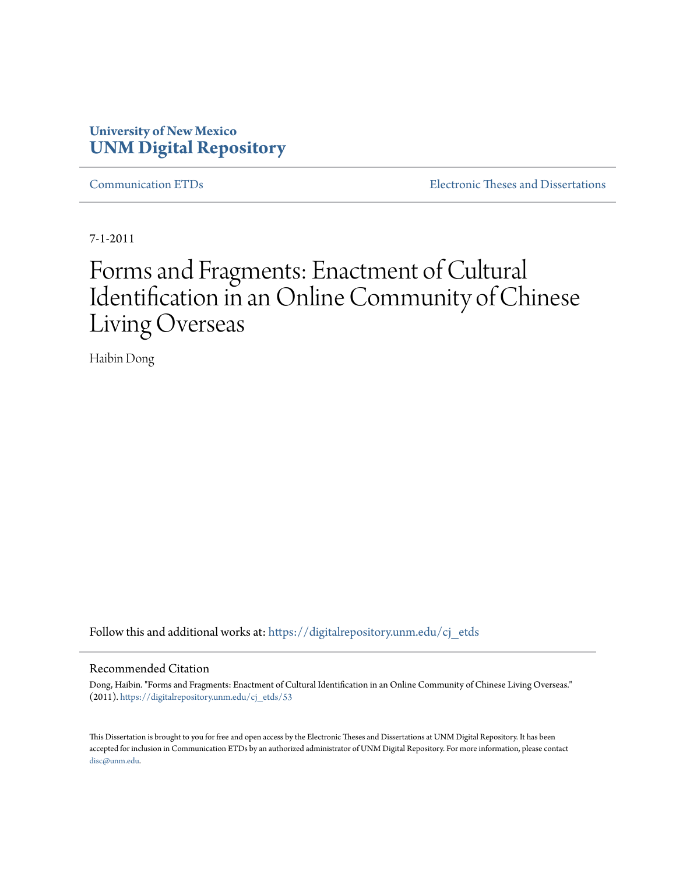## **University of New Mexico [UNM Digital Repository](https://digitalrepository.unm.edu?utm_source=digitalrepository.unm.edu%2Fcj_etds%2F53&utm_medium=PDF&utm_campaign=PDFCoverPages)**

[Communication ETDs](https://digitalrepository.unm.edu/cj_etds?utm_source=digitalrepository.unm.edu%2Fcj_etds%2F53&utm_medium=PDF&utm_campaign=PDFCoverPages) [Electronic Theses and Dissertations](https://digitalrepository.unm.edu/etds?utm_source=digitalrepository.unm.edu%2Fcj_etds%2F53&utm_medium=PDF&utm_campaign=PDFCoverPages)

7-1-2011

## Forms and Fragments: Enactment of Cultural Identification in an Online Community of Chinese Living Overseas

Haibin Dong

Follow this and additional works at: [https://digitalrepository.unm.edu/cj\\_etds](https://digitalrepository.unm.edu/cj_etds?utm_source=digitalrepository.unm.edu%2Fcj_etds%2F53&utm_medium=PDF&utm_campaign=PDFCoverPages)

#### Recommended Citation

Dong, Haibin. "Forms and Fragments: Enactment of Cultural Identification in an Online Community of Chinese Living Overseas." (2011). [https://digitalrepository.unm.edu/cj\\_etds/53](https://digitalrepository.unm.edu/cj_etds/53?utm_source=digitalrepository.unm.edu%2Fcj_etds%2F53&utm_medium=PDF&utm_campaign=PDFCoverPages)

This Dissertation is brought to you for free and open access by the Electronic Theses and Dissertations at UNM Digital Repository. It has been accepted for inclusion in Communication ETDs by an authorized administrator of UNM Digital Repository. For more information, please contact [disc@unm.edu](mailto:disc@unm.edu).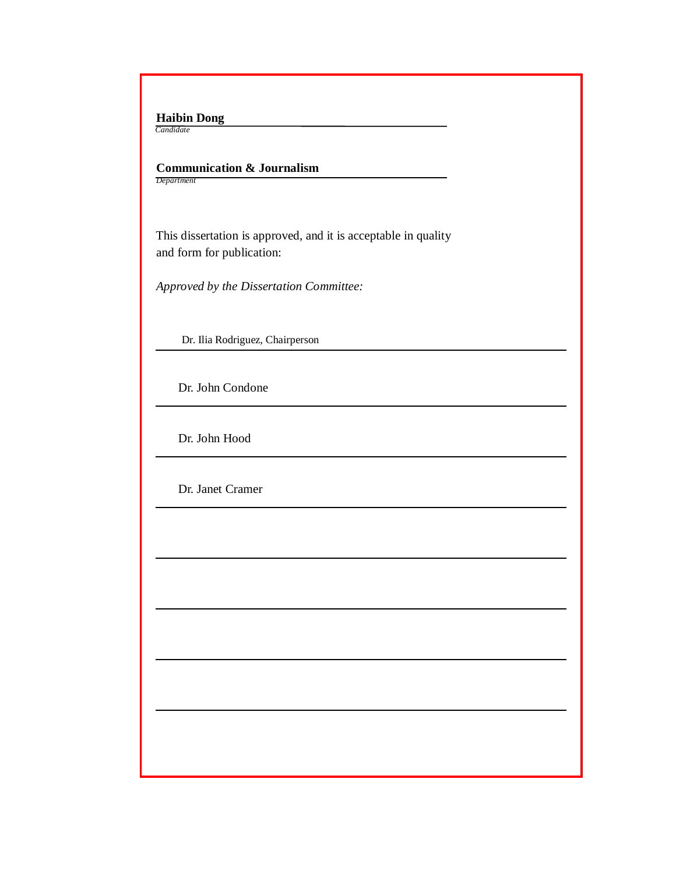**Haibin Dong**  *Candidate*

I

I

I

I

I

I

I

I

I

I

I

I

 **Communication & Journalism** *Department*

 This dissertation is approved, and it is acceptable in quality and form for publication:

*Approved by the Dissertation Committee:*

Dr. Ilia Rodriguez, Chairperson

Dr. John Condone

Dr. John Hood

Dr. Janet Cramer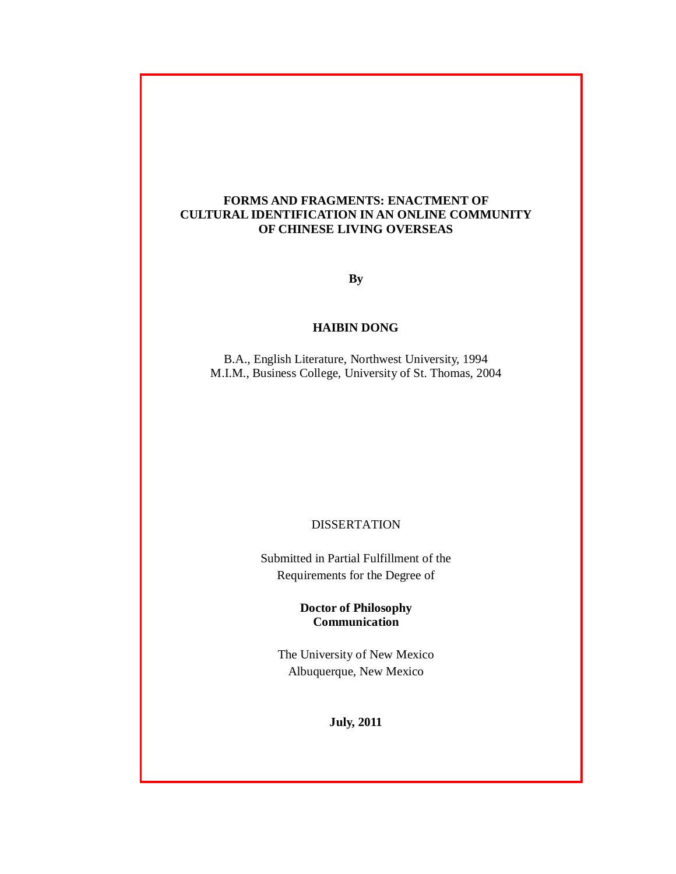## **FORMS AND FRAGMENTS: ENACTMENT OF CULTURAL IDENTIFICATION IN AN ONLINE COMMUNITY OF CHINESE LIVING OVERSEAS**

**By**

## **HAIBIN DONG**

B.A., English Literature, Northwest University, 1994 M.I.M., Business College, University of St. Thomas, 2004

#### DISSERTATION

Submitted in Partial Fulfillment of the Requirements for the Degree of

## **Doctor of Philosophy Communication**

The University of New Mexico Albuquerque, New Mexico

**July, 2011**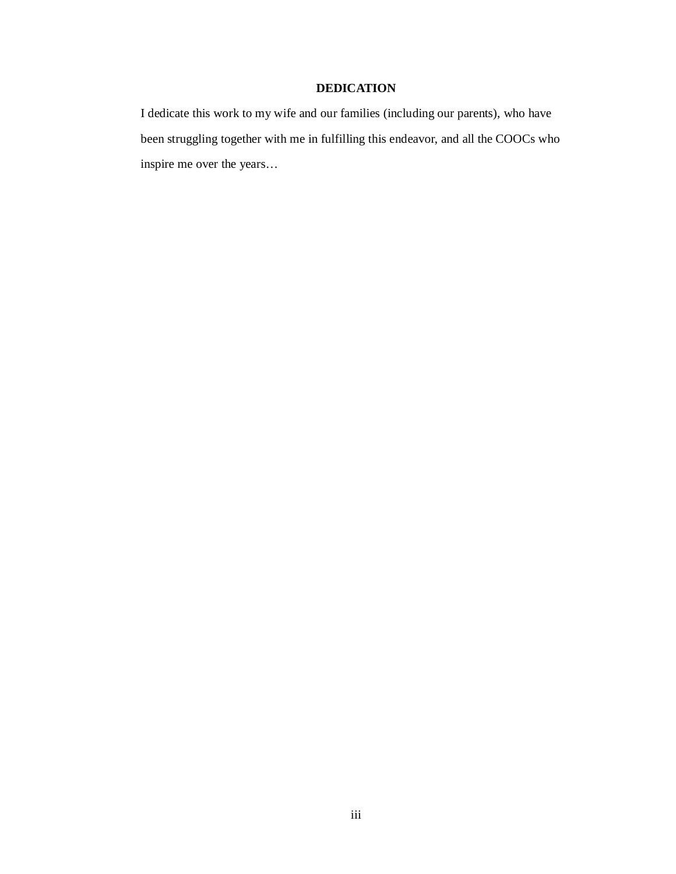## **DEDICATION**

I dedicate this work to my wife and our families (including our parents), who have been struggling together with me in fulfilling this endeavor, and all the COOCs who inspire me over the years…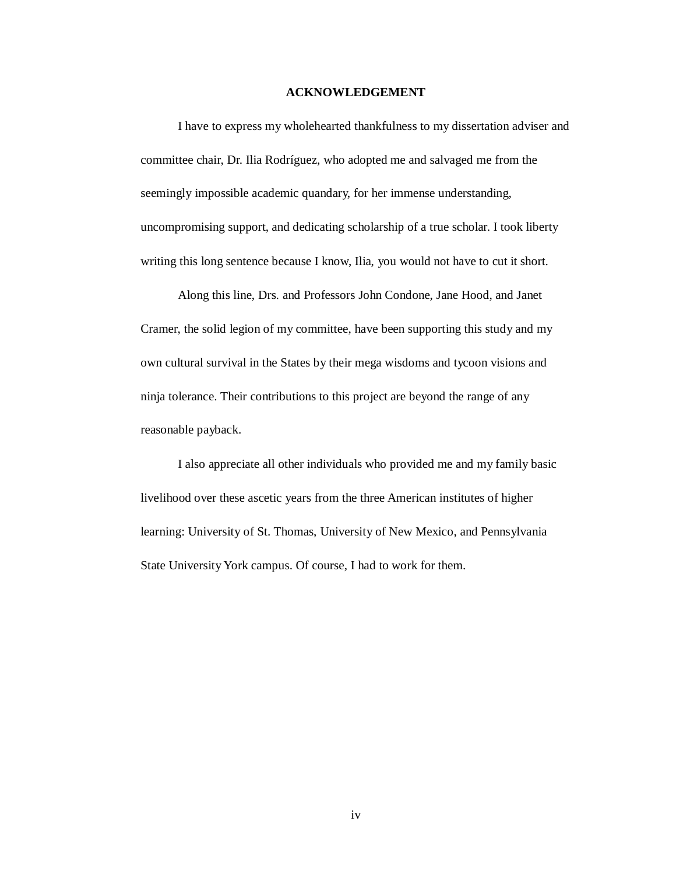#### **ACKNOWLEDGEMENT**

I have to express my wholehearted thankfulness to my dissertation adviser and committee chair, Dr. Ilia Rodríguez, who adopted me and salvaged me from the seemingly impossible academic quandary, for her immense understanding, uncompromising support, and dedicating scholarship of a true scholar. I took liberty writing this long sentence because I know, Ilia, you would not have to cut it short.

Along this line, Drs. and Professors John Condone, Jane Hood, and Janet Cramer, the solid legion of my committee, have been supporting this study and my own cultural survival in the States by their mega wisdoms and tycoon visions and ninja tolerance. Their contributions to this project are beyond the range of any reasonable payback.

I also appreciate all other individuals who provided me and my family basic livelihood over these ascetic years from the three American institutes of higher learning: University of St. Thomas, University of New Mexico, and Pennsylvania State University York campus. Of course, I had to work for them.

iv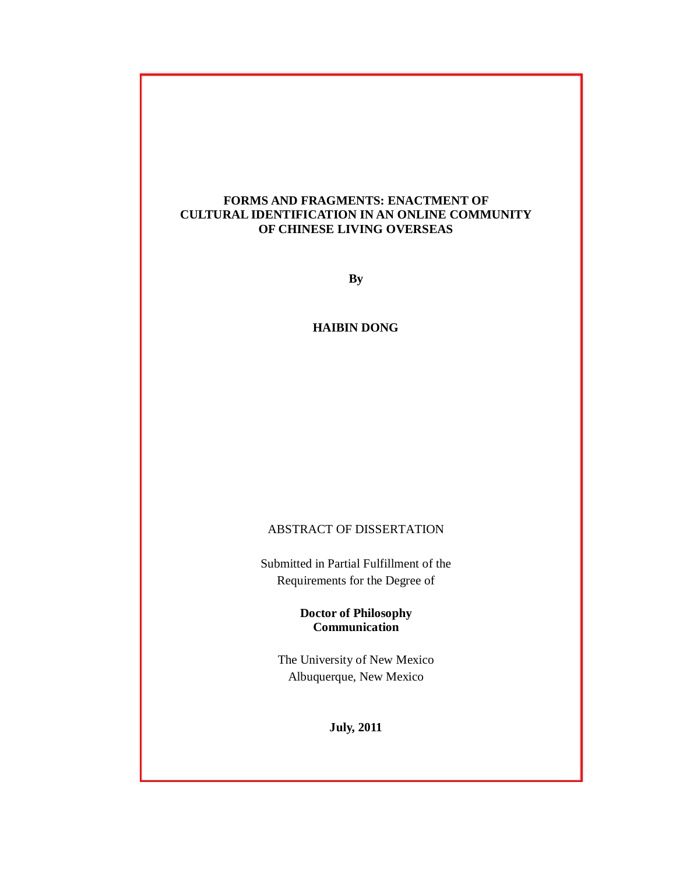## **FORMS AND FRAGMENTS: ENACTMENT OF CULTURAL IDENTIFICATION IN AN ONLINE COMMUNITY OF CHINESE LIVING OVERSEAS**

**By**

**HAIBIN DONG**

## ABSTRACT OF DISSERTATION

Submitted in Partial Fulfillment of the Requirements for the Degree of

> **Doctor of Philosophy Communication**

The University of New Mexico Albuquerque, New Mexico

**July, 2011**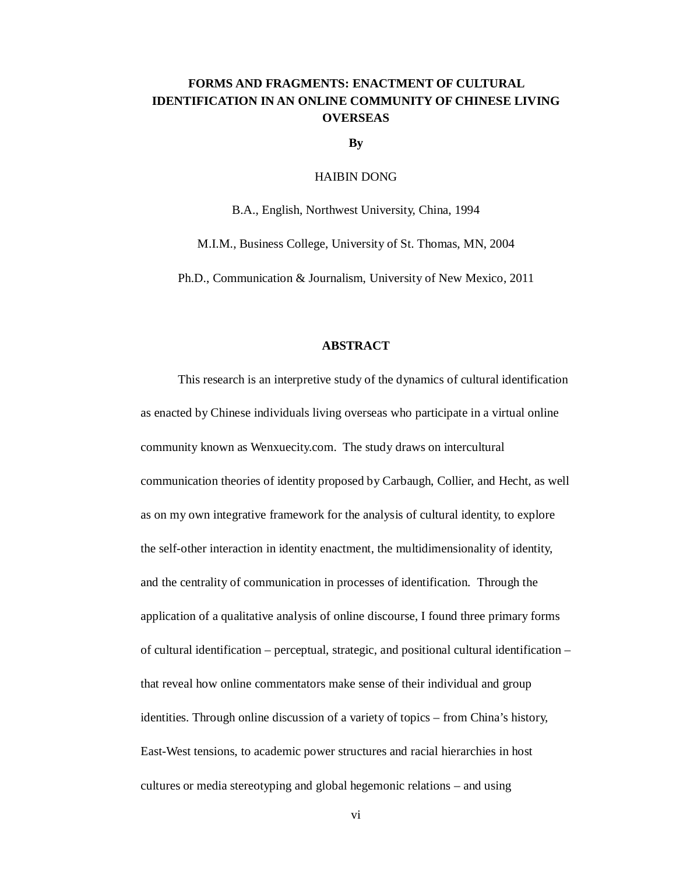## **FORMS AND FRAGMENTS: ENACTMENT OF CULTURAL IDENTIFICATION IN AN ONLINE COMMUNITY OF CHINESE LIVING OVERSEAS**

**By**

#### HAIBIN DONG

B.A., English, Northwest University, China, 1994

M.I.M., Business College, University of St. Thomas, MN, 2004

Ph.D., Communication & Journalism, University of New Mexico, 2011

## **ABSTRACT**

This research is an interpretive study of the dynamics of cultural identification as enacted by Chinese individuals living overseas who participate in a virtual online community known as Wenxuecity.com. The study draws on intercultural communication theories of identity proposed by Carbaugh, Collier, and Hecht, as well as on my own integrative framework for the analysis of cultural identity, to explore the self-other interaction in identity enactment, the multidimensionality of identity, and the centrality of communication in processes of identification. Through the application of a qualitative analysis of online discourse, I found three primary forms of cultural identification – perceptual, strategic, and positional cultural identification – that reveal how online commentators make sense of their individual and group identities. Through online discussion of a variety of topics – from China's history, East-West tensions, to academic power structures and racial hierarchies in host cultures or media stereotyping and global hegemonic relations – and using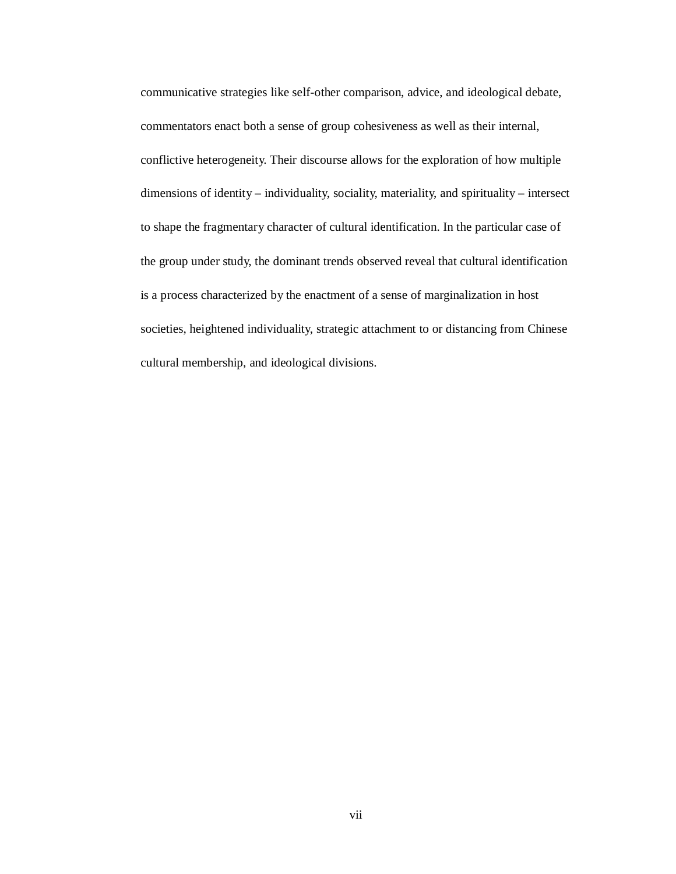communicative strategies like self-other comparison, advice, and ideological debate, commentators enact both a sense of group cohesiveness as well as their internal, conflictive heterogeneity. Their discourse allows for the exploration of how multiple dimensions of identity – individuality, sociality, materiality, and spirituality – intersect to shape the fragmentary character of cultural identification. In the particular case of the group under study, the dominant trends observed reveal that cultural identification is a process characterized by the enactment of a sense of marginalization in host societies, heightened individuality, strategic attachment to or distancing from Chinese cultural membership, and ideological divisions.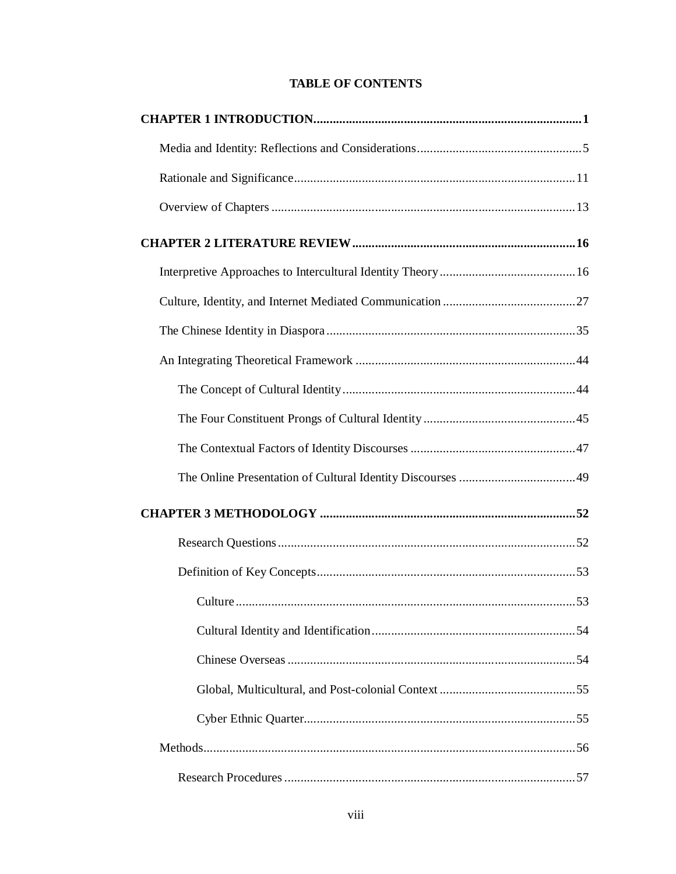## **TABLE OF CONTENTS**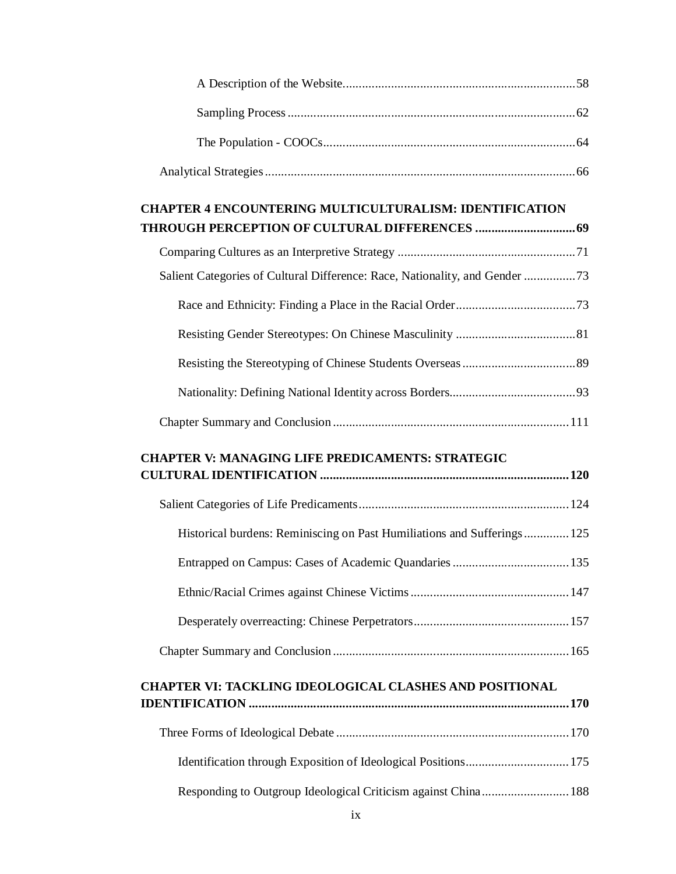| <b>CHAPTER 4 ENCOUNTERING MULTICULTURALISM: IDENTIFICATION</b>              |  |
|-----------------------------------------------------------------------------|--|
|                                                                             |  |
|                                                                             |  |
| Salient Categories of Cultural Difference: Race, Nationality, and Gender 73 |  |
|                                                                             |  |
|                                                                             |  |
|                                                                             |  |
|                                                                             |  |
|                                                                             |  |
|                                                                             |  |
| <b>CHAPTER V: MANAGING LIFE PREDICAMENTS: STRATEGIC</b>                     |  |
|                                                                             |  |
| Historical burdens: Reminiscing on Past Humiliations and Sufferings 125     |  |
|                                                                             |  |
|                                                                             |  |
|                                                                             |  |
|                                                                             |  |
| <b>CHAPTER VI: TACKLING IDEOLOGICAL CLASHES AND POSITIONAL</b>              |  |
|                                                                             |  |
|                                                                             |  |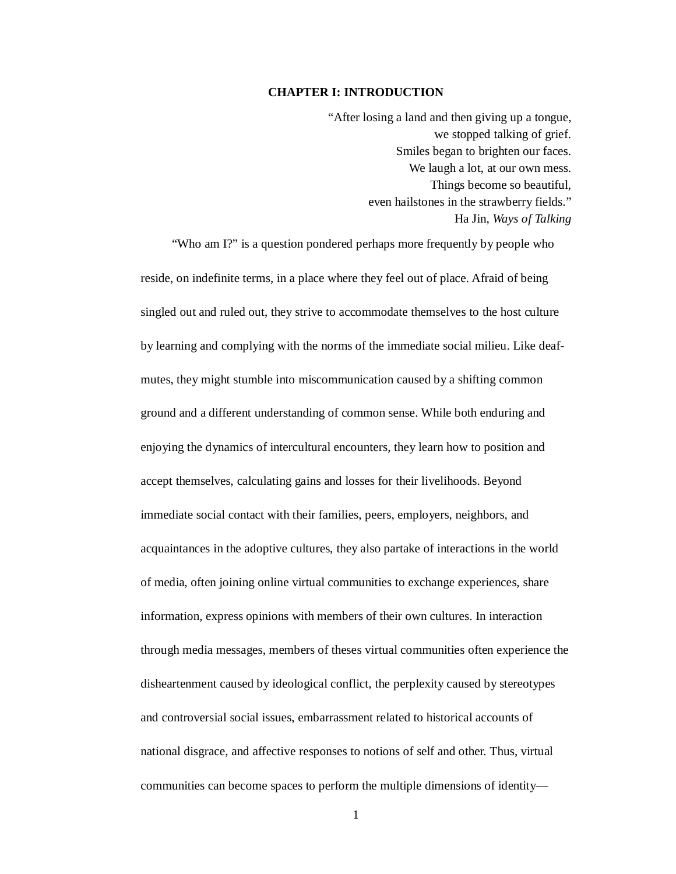#### **CHAPTER I: INTRODUCTION**

"After losing a land and then giving up a tongue, we stopped talking of grief. Smiles began to brighten our faces. We laugh a lot, at our own mess. Things become so beautiful, even hailstones in the strawberry fields." Ha Jin, *Ways of Talking*

"Who am I?" is a question pondered perhaps more frequently by people who reside, on indefinite terms, in a place where they feel out of place. Afraid of being singled out and ruled out, they strive to accommodate themselves to the host culture by learning and complying with the norms of the immediate social milieu. Like deafmutes, they might stumble into miscommunication caused by a shifting common ground and a different understanding of common sense. While both enduring and enjoying the dynamics of intercultural encounters, they learn how to position and accept themselves, calculating gains and losses for their livelihoods. Beyond immediate social contact with their families, peers, employers, neighbors, and acquaintances in the adoptive cultures, they also partake of interactions in the world of media, often joining online virtual communities to exchange experiences, share information, express opinions with members of their own cultures. In interaction through media messages, members of theses virtual communities often experience the disheartenment caused by ideological conflict, the perplexity caused by stereotypes and controversial social issues, embarrassment related to historical accounts of national disgrace, and affective responses to notions of self and other. Thus, virtual communities can become spaces to perform the multiple dimensions of identity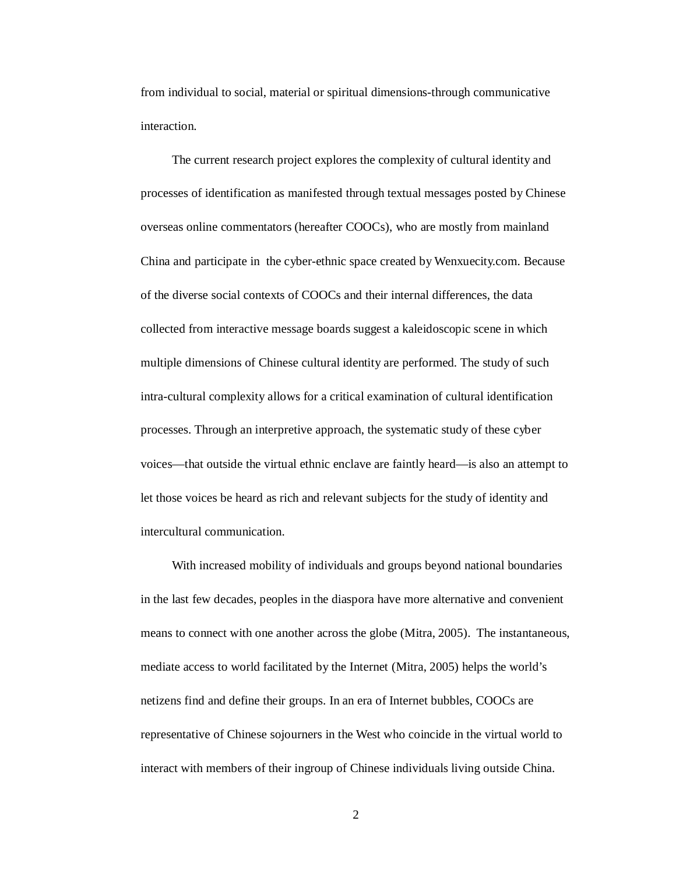from individual to social, material or spiritual dimensions-through communicative interaction.

The current research project explores the complexity of cultural identity and processes of identification as manifested through textual messages posted by Chinese overseas online commentators (hereafter COOCs), who are mostly from mainland China and participate in the cyber-ethnic space created by Wenxuecity.com. Because of the diverse social contexts of COOCs and their internal differences, the data collected from interactive message boards suggest a kaleidoscopic scene in which multiple dimensions of Chinese cultural identity are performed. The study of such intra-cultural complexity allows for a critical examination of cultural identification processes. Through an interpretive approach, the systematic study of these cyber voices—that outside the virtual ethnic enclave are faintly heard—is also an attempt to let those voices be heard as rich and relevant subjects for the study of identity and intercultural communication.

With increased mobility of individuals and groups beyond national boundaries in the last few decades, peoples in the diaspora have more alternative and convenient means to connect with one another across the globe (Mitra, 2005). The instantaneous, mediate access to world facilitated by the Internet (Mitra, 2005) helps the world's netizens find and define their groups. In an era of Internet bubbles, COOCs are representative of Chinese sojourners in the West who coincide in the virtual world to interact with members of their ingroup of Chinese individuals living outside China.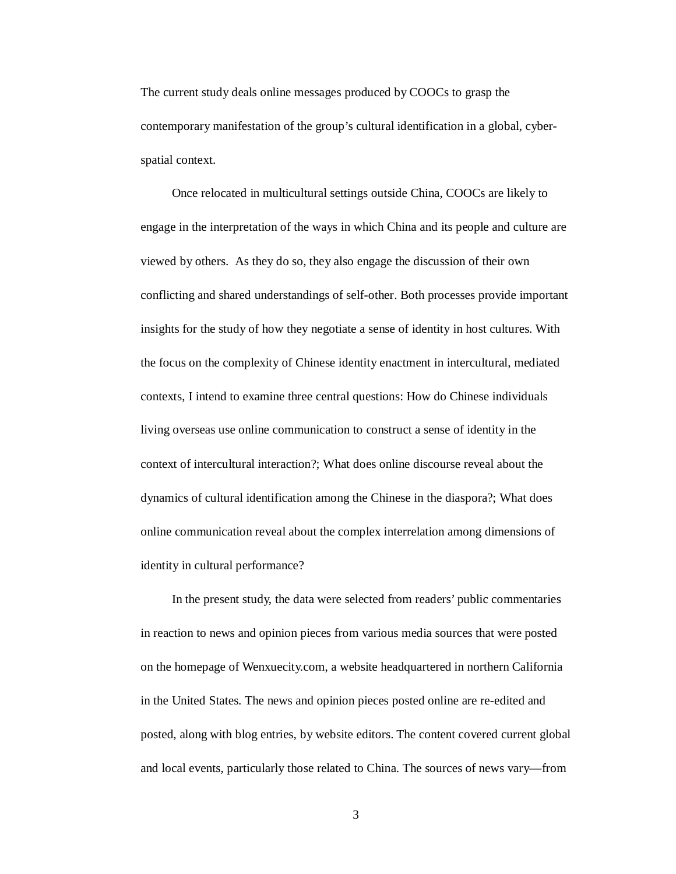The current study deals online messages produced by COOCs to grasp the contemporary manifestation of the group's cultural identification in a global, cyberspatial context.

Once relocated in multicultural settings outside China, COOCs are likely to engage in the interpretation of the ways in which China and its people and culture are viewed by others. As they do so, they also engage the discussion of their own conflicting and shared understandings of self-other. Both processes provide important insights for the study of how they negotiate a sense of identity in host cultures. With the focus on the complexity of Chinese identity enactment in intercultural, mediated contexts, I intend to examine three central questions: How do Chinese individuals living overseas use online communication to construct a sense of identity in the context of intercultural interaction?; What does online discourse reveal about the dynamics of cultural identification among the Chinese in the diaspora?; What does online communication reveal about the complex interrelation among dimensions of identity in cultural performance?

In the present study, the data were selected from readers' public commentaries in reaction to news and opinion pieces from various media sources that were posted on the homepage of Wenxuecity.com, a website headquartered in northern California in the United States. The news and opinion pieces posted online are re-edited and posted, along with blog entries, by website editors. The content covered current global and local events, particularly those related to China. The sources of news vary—from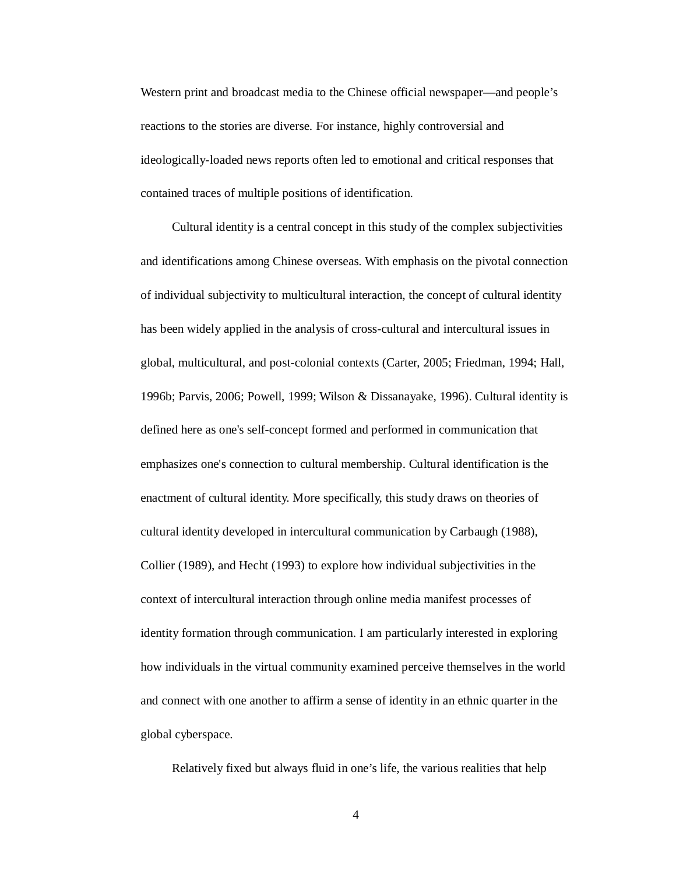Western print and broadcast media to the Chinese official newspaper—and people's reactions to the stories are diverse. For instance, highly controversial and ideologically-loaded news reports often led to emotional and critical responses that contained traces of multiple positions of identification.

Cultural identity is a central concept in this study of the complex subjectivities and identifications among Chinese overseas. With emphasis on the pivotal connection of individual subjectivity to multicultural interaction, the concept of cultural identity has been widely applied in the analysis of cross-cultural and intercultural issues in global, multicultural, and post-colonial contexts (Carter, 2005; Friedman, 1994; Hall, 1996b; Parvis, 2006; Powell, 1999; Wilson & Dissanayake, 1996). Cultural identity is defined here as one's self-concept formed and performed in communication that emphasizes one's connection to cultural membership. Cultural identification is the enactment of cultural identity. More specifically, this study draws on theories of cultural identity developed in intercultural communication by Carbaugh (1988), Collier (1989), and Hecht (1993) to explore how individual subjectivities in the context of intercultural interaction through online media manifest processes of identity formation through communication. I am particularly interested in exploring how individuals in the virtual community examined perceive themselves in the world and connect with one another to affirm a sense of identity in an ethnic quarter in the global cyberspace.

Relatively fixed but always fluid in one's life, the various realities that help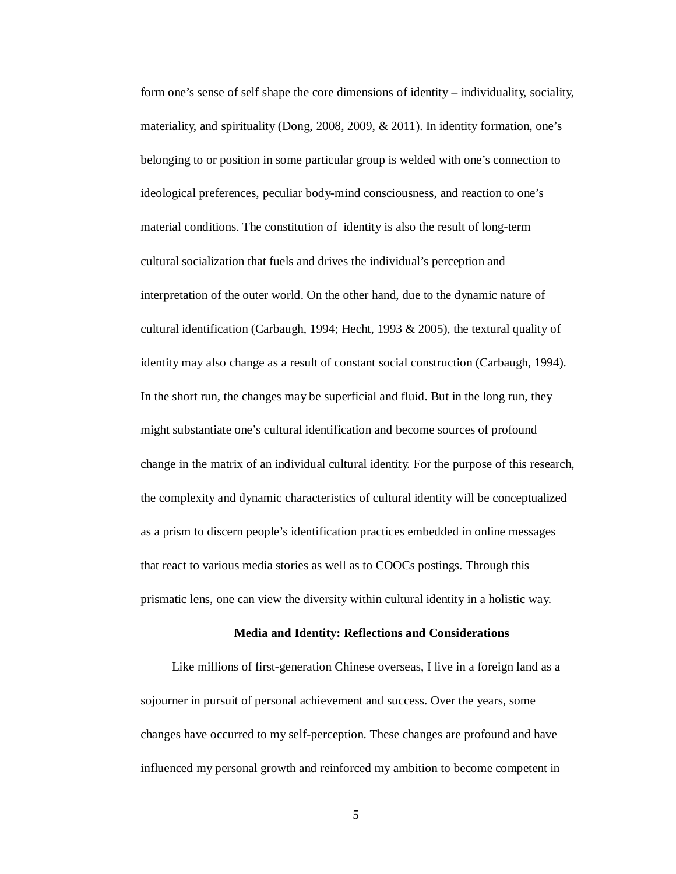form one's sense of self shape the core dimensions of identity – individuality, sociality, materiality, and spirituality (Dong, 2008, 2009, & 2011). In identity formation, one's belonging to or position in some particular group is welded with one's connection to ideological preferences, peculiar body-mind consciousness, and reaction to one's material conditions. The constitution of identity is also the result of long-term cultural socialization that fuels and drives the individual's perception and interpretation of the outer world. On the other hand, due to the dynamic nature of cultural identification (Carbaugh, 1994; Hecht, 1993  $\&$  2005), the textural quality of identity may also change as a result of constant social construction (Carbaugh, 1994). In the short run, the changes may be superficial and fluid. But in the long run, they might substantiate one's cultural identification and become sources of profound change in the matrix of an individual cultural identity. For the purpose of this research, the complexity and dynamic characteristics of cultural identity will be conceptualized as a prism to discern people's identification practices embedded in online messages that react to various media stories as well as to COOCs postings. Through this prismatic lens, one can view the diversity within cultural identity in a holistic way.

#### **Media and Identity: Reflections and Considerations**

Like millions of first-generation Chinese overseas, I live in a foreign land as a sojourner in pursuit of personal achievement and success. Over the years, some changes have occurred to my self-perception. These changes are profound and have influenced my personal growth and reinforced my ambition to become competent in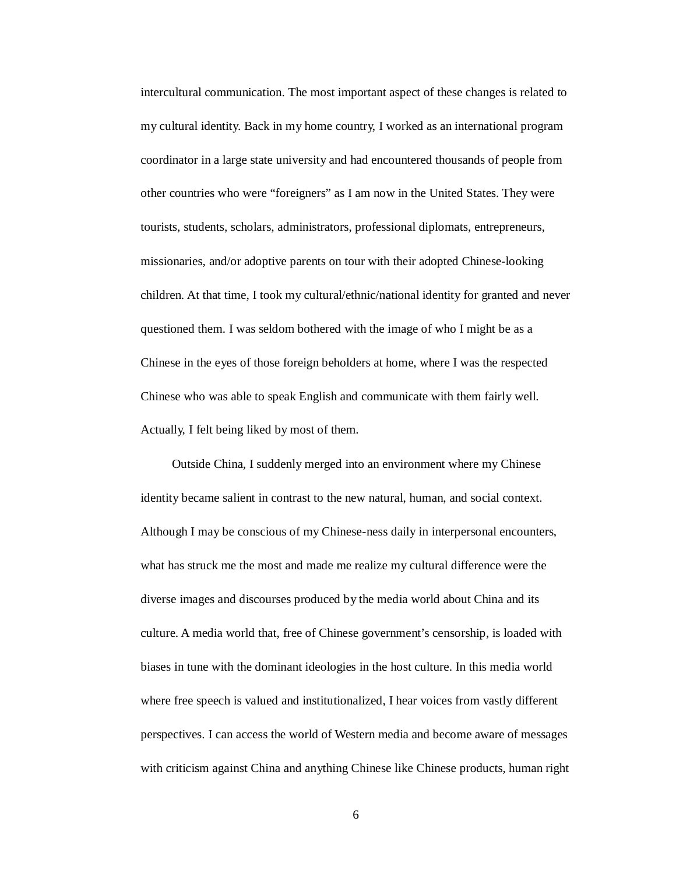intercultural communication. The most important aspect of these changes is related to my cultural identity. Back in my home country, I worked as an international program coordinator in a large state university and had encountered thousands of people from other countries who were "foreigners" as I am now in the United States. They were tourists, students, scholars, administrators, professional diplomats, entrepreneurs, missionaries, and/or adoptive parents on tour with their adopted Chinese-looking children. At that time, I took my cultural/ethnic/national identity for granted and never questioned them. I was seldom bothered with the image of who I might be as a Chinese in the eyes of those foreign beholders at home, where I was the respected Chinese who was able to speak English and communicate with them fairly well. Actually, I felt being liked by most of them.

Outside China, I suddenly merged into an environment where my Chinese identity became salient in contrast to the new natural, human, and social context. Although I may be conscious of my Chinese-ness daily in interpersonal encounters, what has struck me the most and made me realize my cultural difference were the diverse images and discourses produced by the media world about China and its culture. A media world that, free of Chinese government's censorship, is loaded with biases in tune with the dominant ideologies in the host culture. In this media world where free speech is valued and institutionalized, I hear voices from vastly different perspectives. I can access the world of Western media and become aware of messages with criticism against China and anything Chinese like Chinese products, human right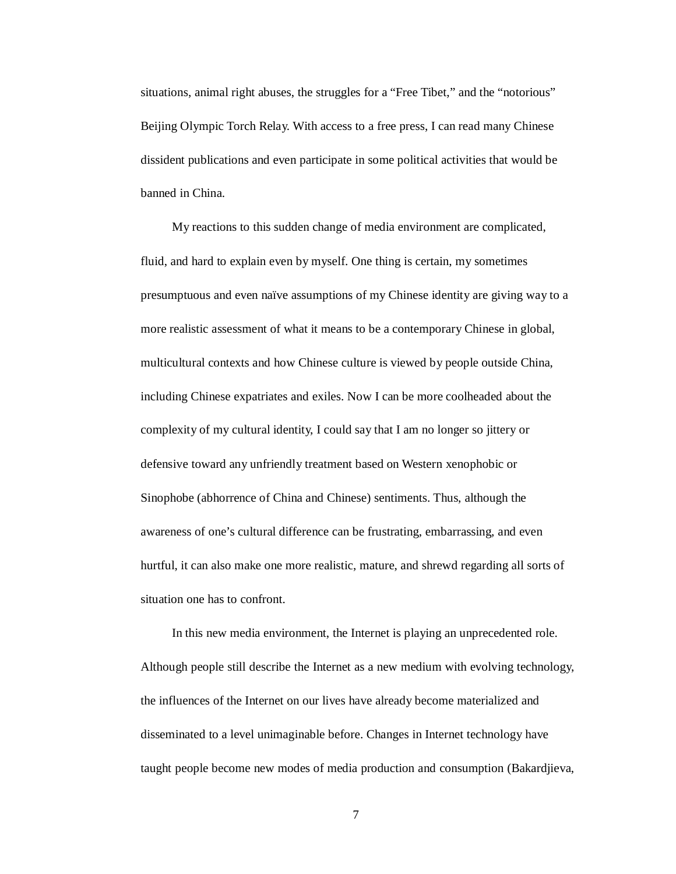situations, animal right abuses, the struggles for a "Free Tibet," and the "notorious" Beijing Olympic Torch Relay. With access to a free press, I can read many Chinese dissident publications and even participate in some political activities that would be banned in China.

My reactions to this sudden change of media environment are complicated, fluid, and hard to explain even by myself. One thing is certain, my sometimes presumptuous and even naïve assumptions of my Chinese identity are giving way to a more realistic assessment of what it means to be a contemporary Chinese in global, multicultural contexts and how Chinese culture is viewed by people outside China, including Chinese expatriates and exiles. Now I can be more coolheaded about the complexity of my cultural identity, I could say that I am no longer so jittery or defensive toward any unfriendly treatment based on Western xenophobic or Sinophobe (abhorrence of China and Chinese) sentiments. Thus, although the awareness of one's cultural difference can be frustrating, embarrassing, and even hurtful, it can also make one more realistic, mature, and shrewd regarding all sorts of situation one has to confront.

In this new media environment, the Internet is playing an unprecedented role. Although people still describe the Internet as a new medium with evolving technology, the influences of the Internet on our lives have already become materialized and disseminated to a level unimaginable before. Changes in Internet technology have taught people become new modes of media production and consumption (Bakardjieva,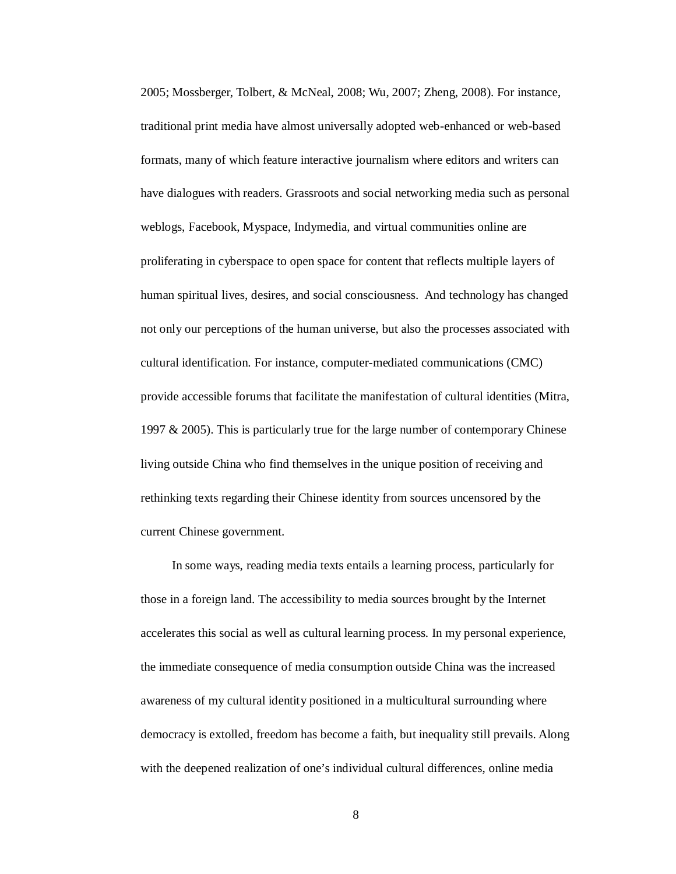2005; Mossberger, Tolbert, & McNeal, 2008; Wu, 2007; Zheng, 2008). For instance, traditional print media have almost universally adopted web-enhanced or web-based formats, many of which feature interactive journalism where editors and writers can have dialogues with readers. Grassroots and social networking media such as personal weblogs, Facebook, Myspace, Indymedia, and virtual communities online are proliferating in cyberspace to open space for content that reflects multiple layers of human spiritual lives, desires, and social consciousness. And technology has changed not only our perceptions of the human universe, but also the processes associated with cultural identification. For instance, computer-mediated communications (CMC) provide accessible forums that facilitate the manifestation of cultural identities (Mitra, 1997 & 2005). This is particularly true for the large number of contemporary Chinese living outside China who find themselves in the unique position of receiving and rethinking texts regarding their Chinese identity from sources uncensored by the current Chinese government.

In some ways, reading media texts entails a learning process, particularly for those in a foreign land. The accessibility to media sources brought by the Internet accelerates this social as well as cultural learning process. In my personal experience, the immediate consequence of media consumption outside China was the increased awareness of my cultural identity positioned in a multicultural surrounding where democracy is extolled, freedom has become a faith, but inequality still prevails. Along with the deepened realization of one's individual cultural differences, online media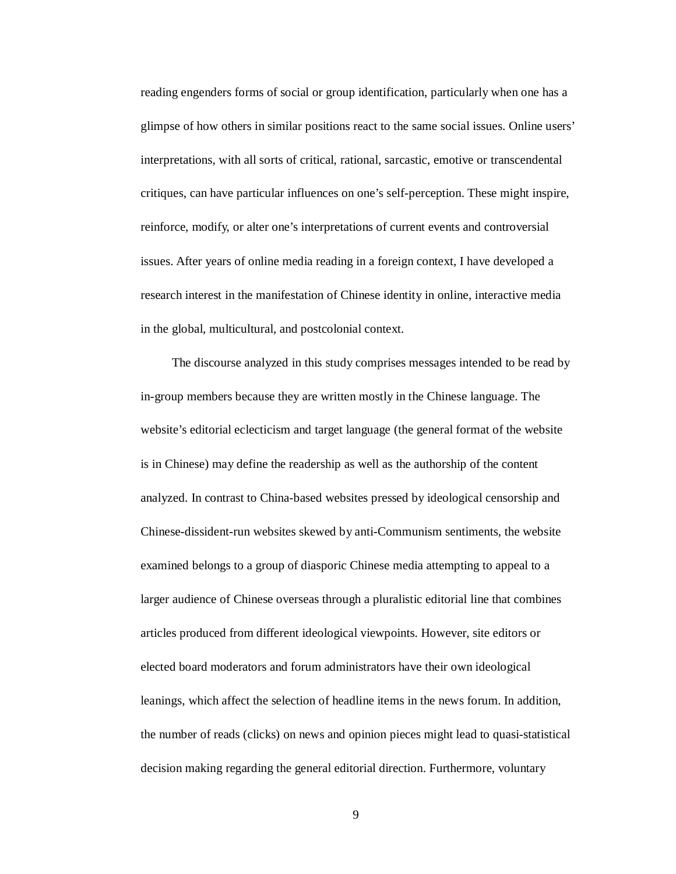reading engenders forms of social or group identification, particularly when one has a glimpse of how others in similar positions react to the same social issues. Online users' interpretations, with all sorts of critical, rational, sarcastic, emotive or transcendental critiques, can have particular influences on one's self-perception. These might inspire, reinforce, modify, or alter one's interpretations of current events and controversial issues. After years of online media reading in a foreign context, I have developed a research interest in the manifestation of Chinese identity in online, interactive media in the global, multicultural, and postcolonial context.

The discourse analyzed in this study comprises messages intended to be read by in-group members because they are written mostly in the Chinese language. The website's editorial eclecticism and target language (the general format of the website is in Chinese) may define the readership as well as the authorship of the content analyzed. In contrast to China-based websites pressed by ideological censorship and Chinese-dissident-run websites skewed by anti-Communism sentiments, the website examined belongs to a group of diasporic Chinese media attempting to appeal to a larger audience of Chinese overseas through a pluralistic editorial line that combines articles produced from different ideological viewpoints. However, site editors or elected board moderators and forum administrators have their own ideological leanings, which affect the selection of headline items in the news forum. In addition, the number of reads (clicks) on news and opinion pieces might lead to quasi-statistical decision making regarding the general editorial direction. Furthermore, voluntary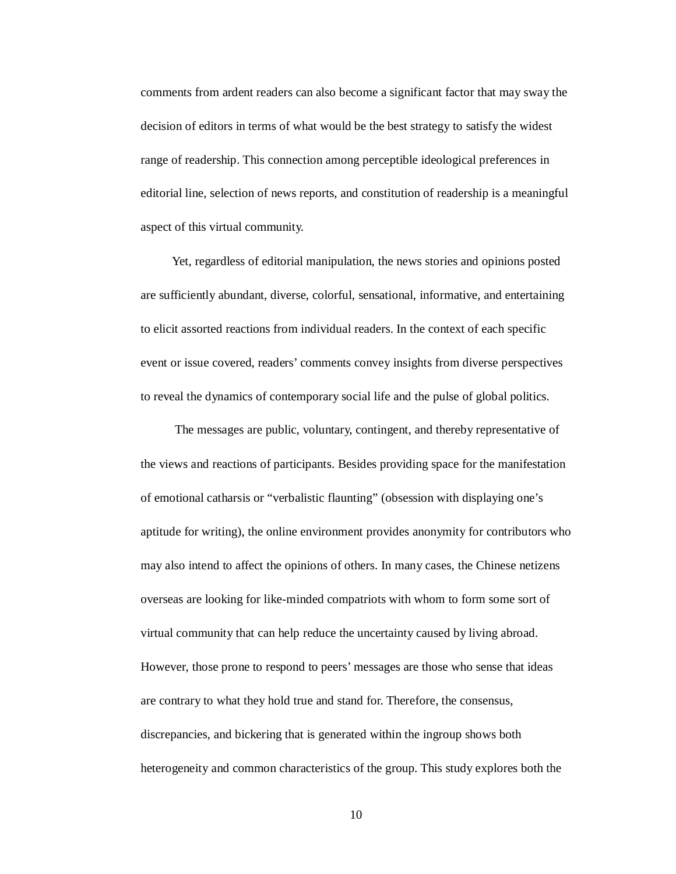comments from ardent readers can also become a significant factor that may sway the decision of editors in terms of what would be the best strategy to satisfy the widest range of readership. This connection among perceptible ideological preferences in editorial line, selection of news reports, and constitution of readership is a meaningful aspect of this virtual community.

Yet, regardless of editorial manipulation, the news stories and opinions posted are sufficiently abundant, diverse, colorful, sensational, informative, and entertaining to elicit assorted reactions from individual readers. In the context of each specific event or issue covered, readers' comments convey insights from diverse perspectives to reveal the dynamics of contemporary social life and the pulse of global politics.

The messages are public, voluntary, contingent, and thereby representative of the views and reactions of participants. Besides providing space for the manifestation of emotional catharsis or "verbalistic flaunting" (obsession with displaying one's aptitude for writing), the online environment provides anonymity for contributors who may also intend to affect the opinions of others. In many cases, the Chinese netizens overseas are looking for like-minded compatriots with whom to form some sort of virtual community that can help reduce the uncertainty caused by living abroad. However, those prone to respond to peers' messages are those who sense that ideas are contrary to what they hold true and stand for. Therefore, the consensus, discrepancies, and bickering that is generated within the ingroup shows both heterogeneity and common characteristics of the group. This study explores both the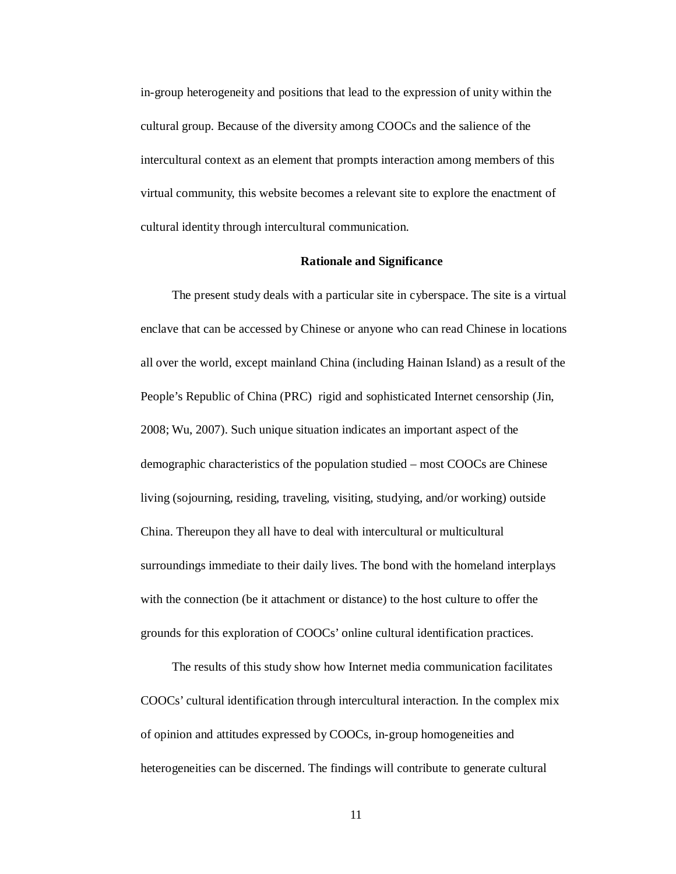in-group heterogeneity and positions that lead to the expression of unity within the cultural group. Because of the diversity among COOCs and the salience of the intercultural context as an element that prompts interaction among members of this virtual community, this website becomes a relevant site to explore the enactment of cultural identity through intercultural communication.

#### **Rationale and Significance**

The present study deals with a particular site in cyberspace. The site is a virtual enclave that can be accessed by Chinese or anyone who can read Chinese in locations all over the world, except mainland China (including Hainan Island) as a result of the People's Republic of China (PRC) rigid and sophisticated Internet censorship (Jin, 2008; Wu, 2007). Such unique situation indicates an important aspect of the demographic characteristics of the population studied – most COOCs are Chinese living (sojourning, residing, traveling, visiting, studying, and/or working) outside China. Thereupon they all have to deal with intercultural or multicultural surroundings immediate to their daily lives. The bond with the homeland interplays with the connection (be it attachment or distance) to the host culture to offer the grounds for this exploration of COOCs' online cultural identification practices.

The results of this study show how Internet media communication facilitates COOCs' cultural identification through intercultural interaction. In the complex mix of opinion and attitudes expressed by COOCs, in-group homogeneities and heterogeneities can be discerned. The findings will contribute to generate cultural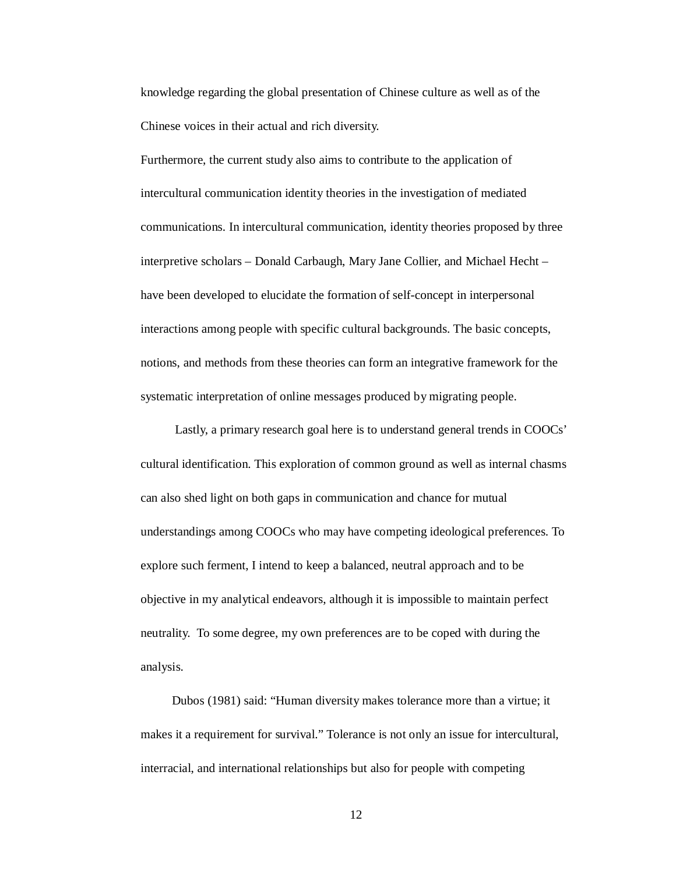knowledge regarding the global presentation of Chinese culture as well as of the Chinese voices in their actual and rich diversity.

Furthermore, the current study also aims to contribute to the application of intercultural communication identity theories in the investigation of mediated communications. In intercultural communication, identity theories proposed by three interpretive scholars – Donald Carbaugh, Mary Jane Collier, and Michael Hecht – have been developed to elucidate the formation of self-concept in interpersonal interactions among people with specific cultural backgrounds. The basic concepts, notions, and methods from these theories can form an integrative framework for the systematic interpretation of online messages produced by migrating people.

Lastly, a primary research goal here is to understand general trends in COOCs' cultural identification. This exploration of common ground as well as internal chasms can also shed light on both gaps in communication and chance for mutual understandings among COOCs who may have competing ideological preferences. To explore such ferment, I intend to keep a balanced, neutral approach and to be objective in my analytical endeavors, although it is impossible to maintain perfect neutrality. To some degree, my own preferences are to be coped with during the analysis.

Dubos (1981) said: "Human diversity makes tolerance more than a virtue; it makes it a requirement for survival." Tolerance is not only an issue for intercultural, interracial, and international relationships but also for people with competing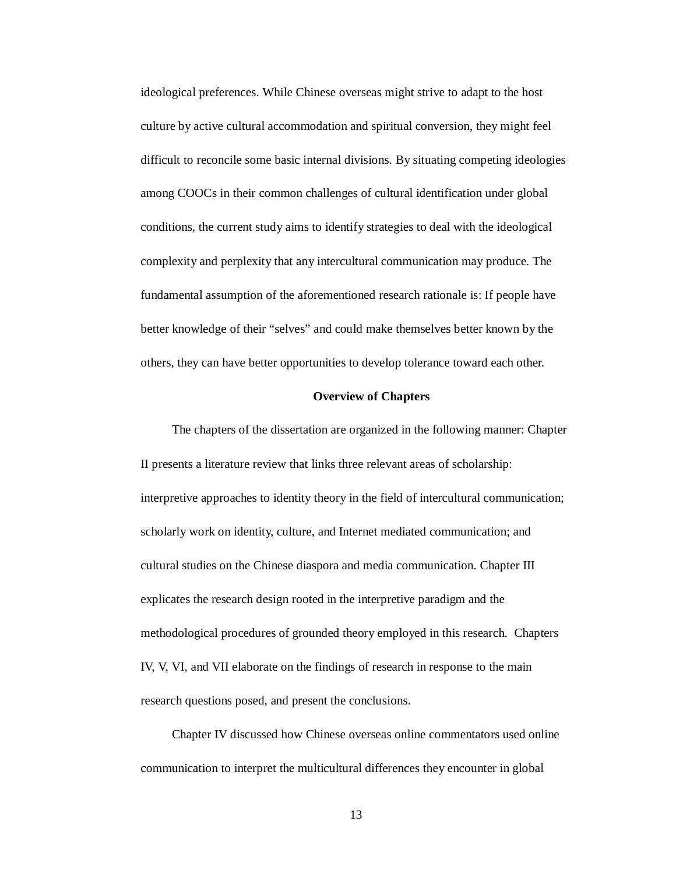ideological preferences. While Chinese overseas might strive to adapt to the host culture by active cultural accommodation and spiritual conversion, they might feel difficult to reconcile some basic internal divisions. By situating competing ideologies among COOCs in their common challenges of cultural identification under global conditions, the current study aims to identify strategies to deal with the ideological complexity and perplexity that any intercultural communication may produce. The fundamental assumption of the aforementioned research rationale is: If people have better knowledge of their "selves" and could make themselves better known by the others, they can have better opportunities to develop tolerance toward each other.

#### **Overview of Chapters**

The chapters of the dissertation are organized in the following manner: Chapter II presents a literature review that links three relevant areas of scholarship: interpretive approaches to identity theory in the field of intercultural communication; scholarly work on identity, culture, and Internet mediated communication; and cultural studies on the Chinese diaspora and media communication. Chapter III explicates the research design rooted in the interpretive paradigm and the methodological procedures of grounded theory employed in this research. Chapters IV, V, VI, and VII elaborate on the findings of research in response to the main research questions posed, and present the conclusions.

Chapter IV discussed how Chinese overseas online commentators used online communication to interpret the multicultural differences they encounter in global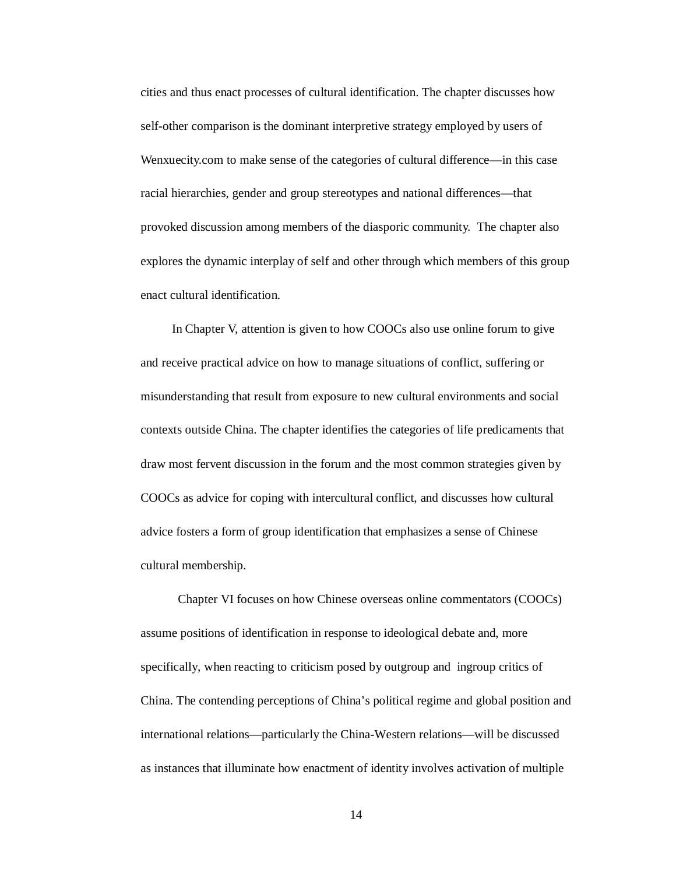cities and thus enact processes of cultural identification. The chapter discusses how self-other comparison is the dominant interpretive strategy employed by users of Wenxuecity.com to make sense of the categories of cultural difference—in this case racial hierarchies, gender and group stereotypes and national differences—that provoked discussion among members of the diasporic community. The chapter also explores the dynamic interplay of self and other through which members of this group enact cultural identification.

In Chapter V, attention is given to how COOCs also use online forum to give and receive practical advice on how to manage situations of conflict, suffering or misunderstanding that result from exposure to new cultural environments and social contexts outside China. The chapter identifies the categories of life predicaments that draw most fervent discussion in the forum and the most common strategies given by COOCs as advice for coping with intercultural conflict, and discusses how cultural advice fosters a form of group identification that emphasizes a sense of Chinese cultural membership.

Chapter VI focuses on how Chinese overseas online commentators (COOCs) assume positions of identification in response to ideological debate and, more specifically, when reacting to criticism posed by outgroup and ingroup critics of China. The contending perceptions of China's political regime and global position and international relations—particularly the China-Western relations—will be discussed as instances that illuminate how enactment of identity involves activation of multiple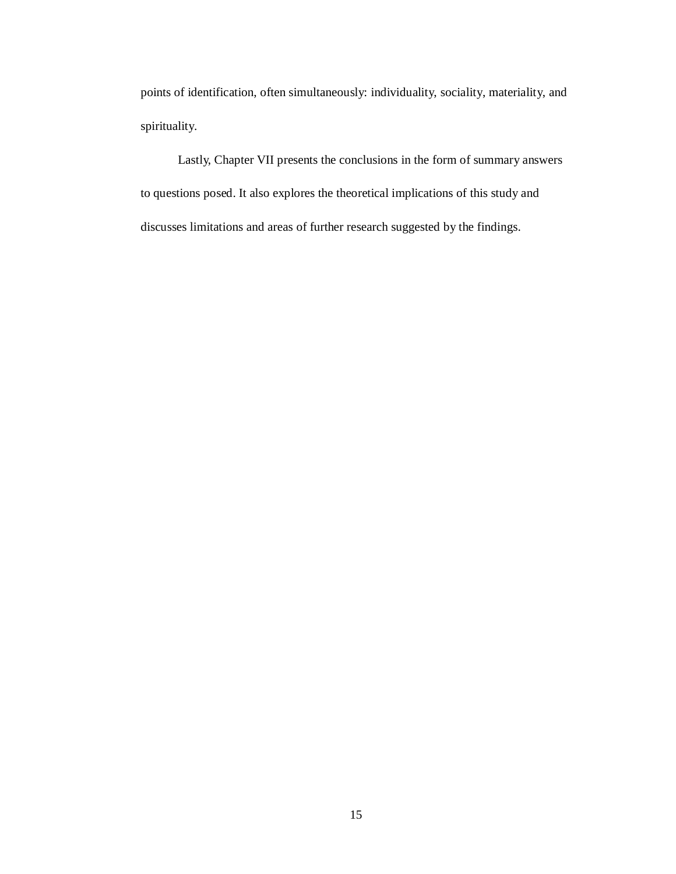points of identification, often simultaneously: individuality, sociality, materiality, and spirituality.

Lastly, Chapter VII presents the conclusions in the form of summary answers to questions posed. It also explores the theoretical implications of this study and discusses limitations and areas of further research suggested by the findings.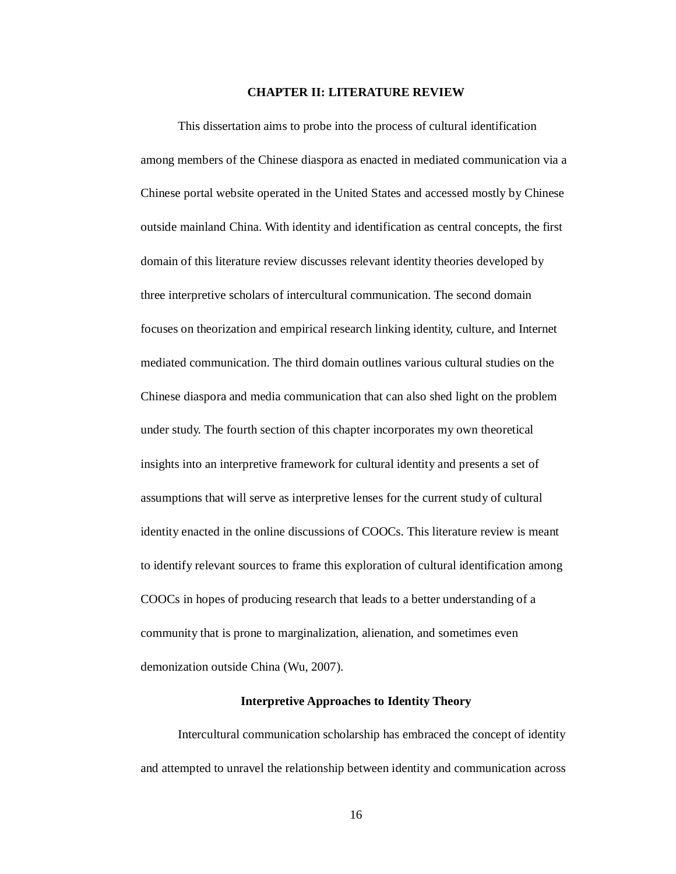#### **CHAPTER II: LITERATURE REVIEW**

This dissertation aims to probe into the process of cultural identification among members of the Chinese diaspora as enacted in mediated communication via a Chinese portal website operated in the United States and accessed mostly by Chinese outside mainland China. With identity and identification as central concepts, the first domain of this literature review discusses relevant identity theories developed by three interpretive scholars of intercultural communication. The second domain focuses on theorization and empirical research linking identity, culture, and Internet mediated communication. The third domain outlines various cultural studies on the Chinese diaspora and media communication that can also shed light on the problem under study. The fourth section of this chapter incorporates my own theoretical insights into an interpretive framework for cultural identity and presents a set of assumptions that will serve as interpretive lenses for the current study of cultural identity enacted in the online discussions of COOCs. This literature review is meant to identify relevant sources to frame this exploration of cultural identification among COOCs in hopes of producing research that leads to a better understanding of a community that is prone to marginalization, alienation, and sometimes even demonization outside China (Wu, 2007).

#### **Interpretive Approaches to Identity Theory**

Intercultural communication scholarship has embraced the concept of identity and attempted to unravel the relationship between identity and communication across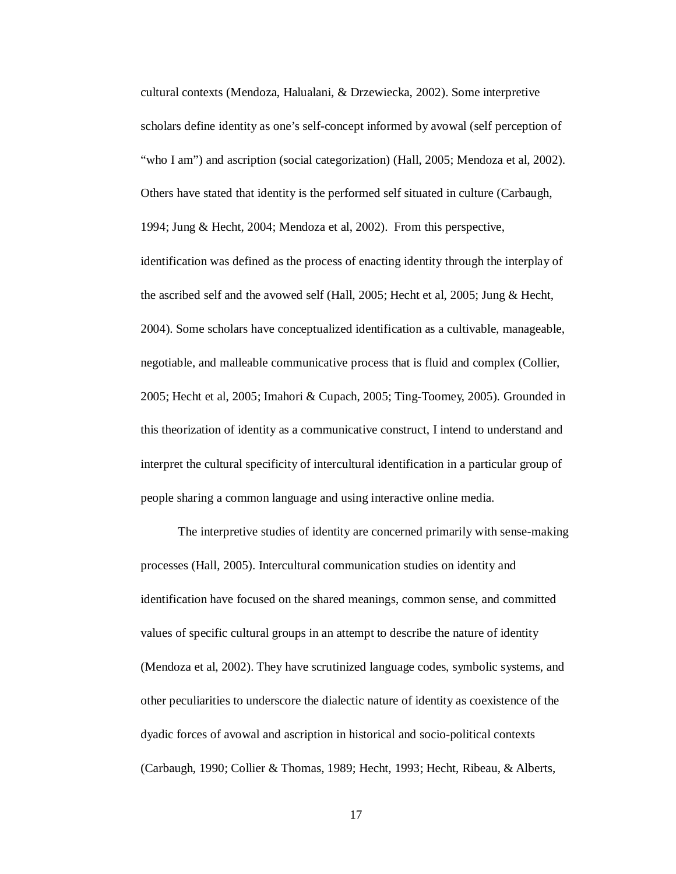cultural contexts (Mendoza, Halualani, & Drzewiecka, 2002). Some interpretive scholars define identity as one's self-concept informed by avowal (self perception of "who I am") and ascription (social categorization) (Hall, 2005; Mendoza et al, 2002). Others have stated that identity is the performed self situated in culture (Carbaugh, 1994; Jung & Hecht, 2004; Mendoza et al, 2002). From this perspective, identification was defined as the process of enacting identity through the interplay of the ascribed self and the avowed self (Hall, 2005; Hecht et al, 2005; Jung & Hecht, 2004). Some scholars have conceptualized identification as a cultivable, manageable, negotiable, and malleable communicative process that is fluid and complex (Collier, 2005; Hecht et al, 2005; Imahori & Cupach, 2005; Ting-Toomey, 2005). Grounded in this theorization of identity as a communicative construct, I intend to understand and interpret the cultural specificity of intercultural identification in a particular group of people sharing a common language and using interactive online media.

The interpretive studies of identity are concerned primarily with sense-making processes (Hall, 2005). Intercultural communication studies on identity and identification have focused on the shared meanings, common sense, and committed values of specific cultural groups in an attempt to describe the nature of identity (Mendoza et al, 2002). They have scrutinized language codes, symbolic systems, and other peculiarities to underscore the dialectic nature of identity as coexistence of the dyadic forces of avowal and ascription in historical and socio-political contexts (Carbaugh, 1990; Collier & Thomas, 1989; Hecht, 1993; Hecht, Ribeau, & Alberts,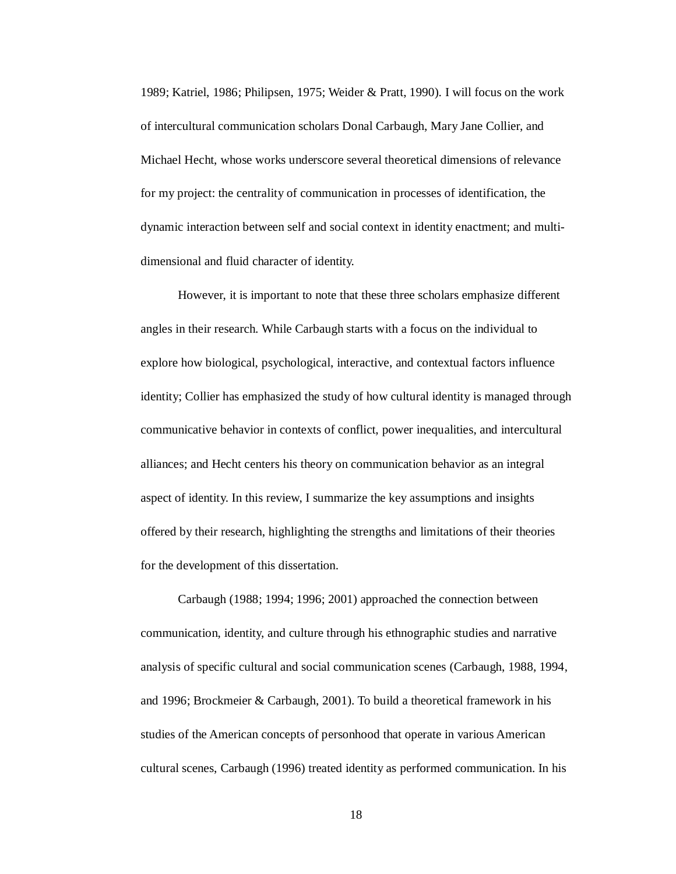1989; Katriel, 1986; Philipsen, 1975; Weider & Pratt, 1990). I will focus on the work of intercultural communication scholars Donal Carbaugh, Mary Jane Collier, and Michael Hecht, whose works underscore several theoretical dimensions of relevance for my project: the centrality of communication in processes of identification, the dynamic interaction between self and social context in identity enactment; and multidimensional and fluid character of identity.

However, it is important to note that these three scholars emphasize different angles in their research. While Carbaugh starts with a focus on the individual to explore how biological, psychological, interactive, and contextual factors influence identity; Collier has emphasized the study of how cultural identity is managed through communicative behavior in contexts of conflict, power inequalities, and intercultural alliances; and Hecht centers his theory on communication behavior as an integral aspect of identity. In this review, I summarize the key assumptions and insights offered by their research, highlighting the strengths and limitations of their theories for the development of this dissertation.

Carbaugh (1988; 1994; 1996; 2001) approached the connection between communication, identity, and culture through his ethnographic studies and narrative analysis of specific cultural and social communication scenes (Carbaugh, 1988, 1994, and 1996; Brockmeier & Carbaugh, 2001). To build a theoretical framework in his studies of the American concepts of personhood that operate in various American cultural scenes, Carbaugh (1996) treated identity as performed communication. In his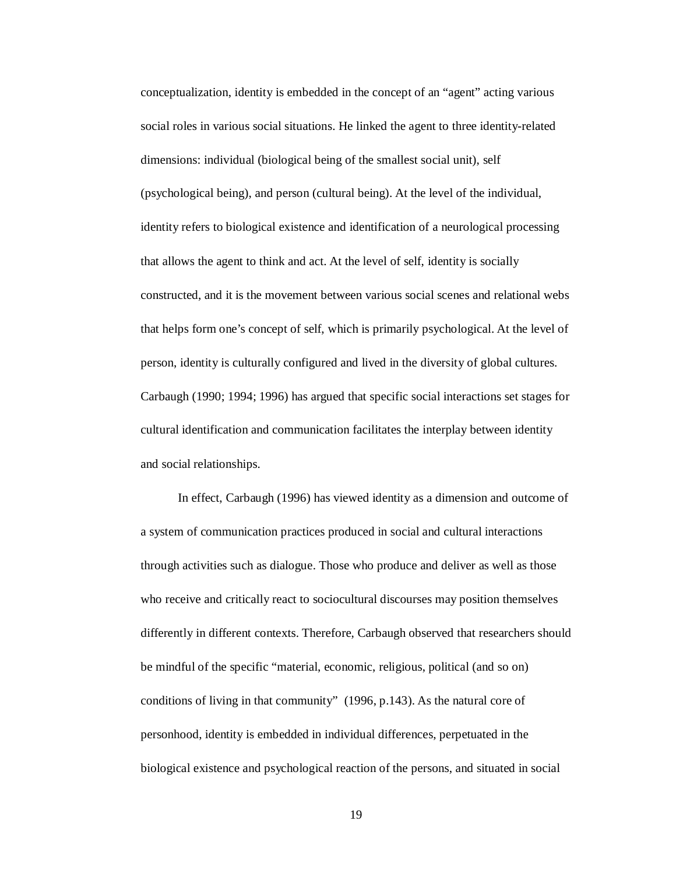conceptualization, identity is embedded in the concept of an "agent" acting various social roles in various social situations. He linked the agent to three identity-related dimensions: individual (biological being of the smallest social unit), self (psychological being), and person (cultural being). At the level of the individual, identity refers to biological existence and identification of a neurological processing that allows the agent to think and act. At the level of self, identity is socially constructed, and it is the movement between various social scenes and relational webs that helps form one's concept of self, which is primarily psychological. At the level of person, identity is culturally configured and lived in the diversity of global cultures. Carbaugh (1990; 1994; 1996) has argued that specific social interactions set stages for cultural identification and communication facilitates the interplay between identity and social relationships.

In effect, Carbaugh (1996) has viewed identity as a dimension and outcome of a system of communication practices produced in social and cultural interactions through activities such as dialogue. Those who produce and deliver as well as those who receive and critically react to sociocultural discourses may position themselves differently in different contexts. Therefore, Carbaugh observed that researchers should be mindful of the specific "material, economic, religious, political (and so on) conditions of living in that community" (1996, p.143). As the natural core of personhood, identity is embedded in individual differences, perpetuated in the biological existence and psychological reaction of the persons, and situated in social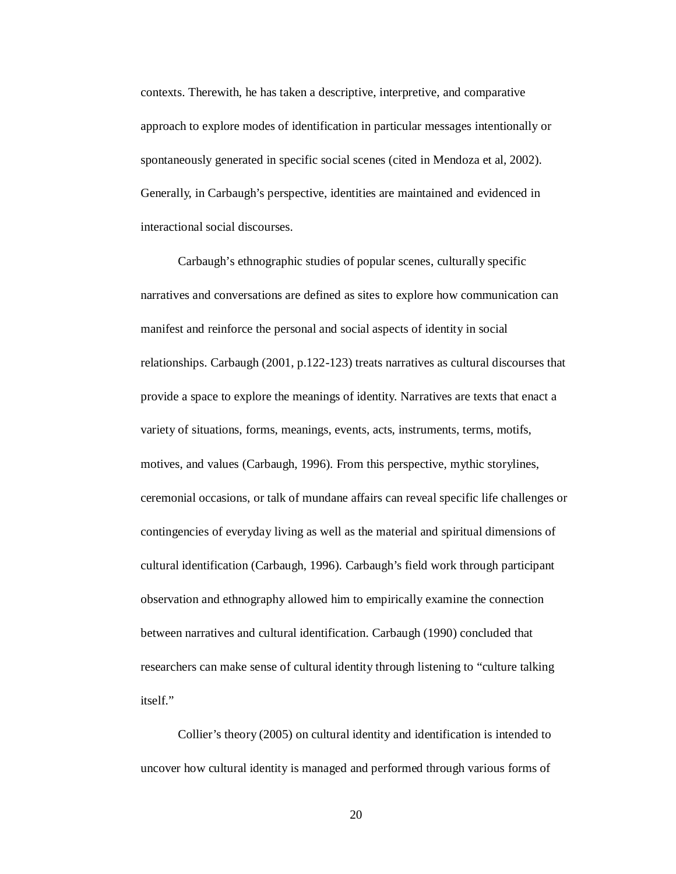contexts. Therewith, he has taken a descriptive, interpretive, and comparative approach to explore modes of identification in particular messages intentionally or spontaneously generated in specific social scenes (cited in Mendoza et al, 2002). Generally, in Carbaugh's perspective, identities are maintained and evidenced in interactional social discourses.

Carbaugh's ethnographic studies of popular scenes, culturally specific narratives and conversations are defined as sites to explore how communication can manifest and reinforce the personal and social aspects of identity in social relationships. Carbaugh (2001, p.122-123) treats narratives as cultural discourses that provide a space to explore the meanings of identity. Narratives are texts that enact a variety of situations, forms, meanings, events, acts, instruments, terms, motifs, motives, and values (Carbaugh, 1996). From this perspective, mythic storylines, ceremonial occasions, or talk of mundane affairs can reveal specific life challenges or contingencies of everyday living as well as the material and spiritual dimensions of cultural identification (Carbaugh, 1996). Carbaugh's field work through participant observation and ethnography allowed him to empirically examine the connection between narratives and cultural identification. Carbaugh (1990) concluded that researchers can make sense of cultural identity through listening to "culture talking itself."

Collier's theory (2005) on cultural identity and identification is intended to uncover how cultural identity is managed and performed through various forms of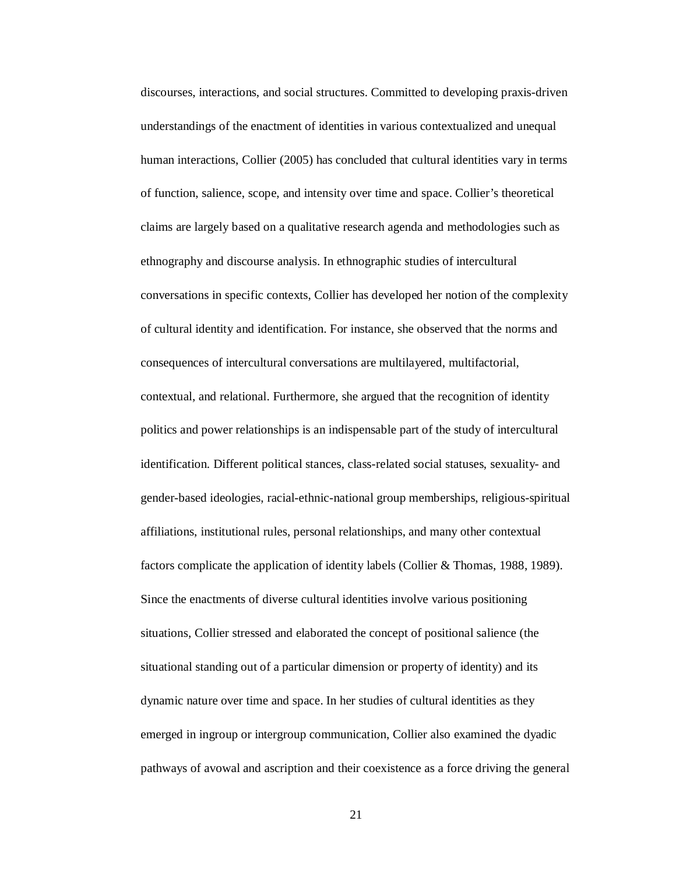discourses, interactions, and social structures. Committed to developing praxis-driven understandings of the enactment of identities in various contextualized and unequal human interactions, Collier (2005) has concluded that cultural identities vary in terms of function, salience, scope, and intensity over time and space. Collier's theoretical claims are largely based on a qualitative research agenda and methodologies such as ethnography and discourse analysis. In ethnographic studies of intercultural conversations in specific contexts, Collier has developed her notion of the complexity of cultural identity and identification. For instance, she observed that the norms and consequences of intercultural conversations are multilayered, multifactorial, contextual, and relational. Furthermore, she argued that the recognition of identity politics and power relationships is an indispensable part of the study of intercultural identification. Different political stances, class-related social statuses, sexuality- and gender-based ideologies, racial-ethnic-national group memberships, religious-spiritual affiliations, institutional rules, personal relationships, and many other contextual factors complicate the application of identity labels (Collier & Thomas, 1988, 1989). Since the enactments of diverse cultural identities involve various positioning situations, Collier stressed and elaborated the concept of positional salience (the situational standing out of a particular dimension or property of identity) and its dynamic nature over time and space. In her studies of cultural identities as they emerged in ingroup or intergroup communication, Collier also examined the dyadic pathways of avowal and ascription and their coexistence as a force driving the general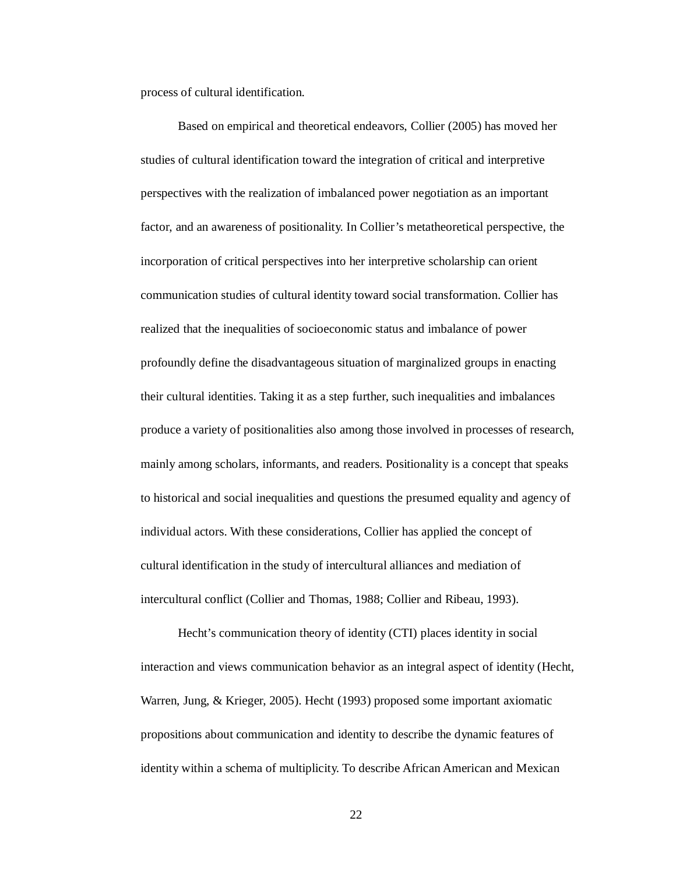process of cultural identification.

Based on empirical and theoretical endeavors, Collier (2005) has moved her studies of cultural identification toward the integration of critical and interpretive perspectives with the realization of imbalanced power negotiation as an important factor, and an awareness of positionality. In Collier's metatheoretical perspective, the incorporation of critical perspectives into her interpretive scholarship can orient communication studies of cultural identity toward social transformation. Collier has realized that the inequalities of socioeconomic status and imbalance of power profoundly define the disadvantageous situation of marginalized groups in enacting their cultural identities. Taking it as a step further, such inequalities and imbalances produce a variety of positionalities also among those involved in processes of research, mainly among scholars, informants, and readers. Positionality is a concept that speaks to historical and social inequalities and questions the presumed equality and agency of individual actors. With these considerations, Collier has applied the concept of cultural identification in the study of intercultural alliances and mediation of intercultural conflict (Collier and Thomas, 1988; Collier and Ribeau, 1993).

Hecht's communication theory of identity (CTI) places identity in social interaction and views communication behavior as an integral aspect of identity (Hecht, Warren, Jung, & Krieger, 2005). Hecht (1993) proposed some important axiomatic propositions about communication and identity to describe the dynamic features of identity within a schema of multiplicity. To describe African American and Mexican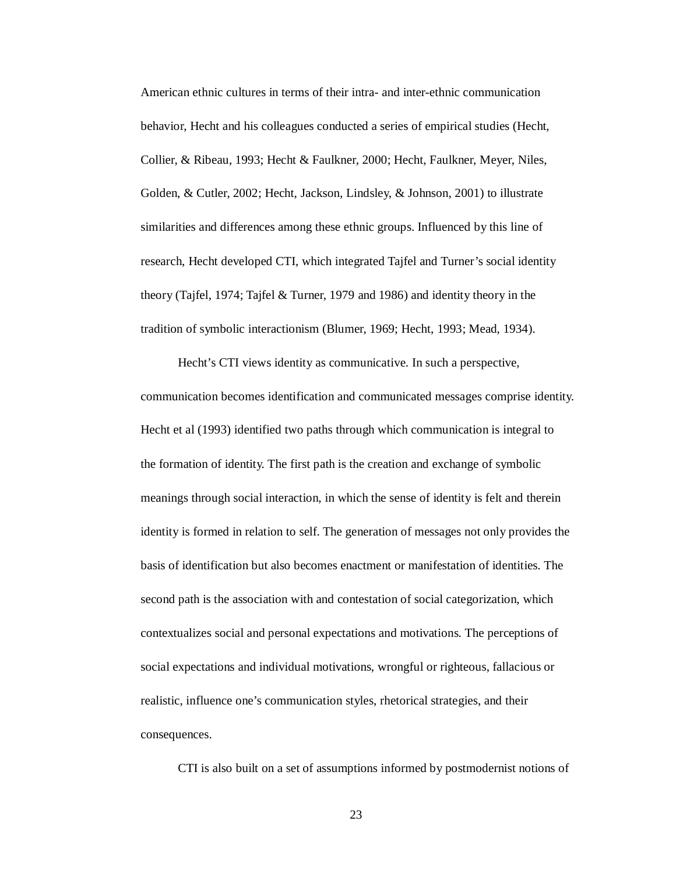American ethnic cultures in terms of their intra- and inter-ethnic communication behavior, Hecht and his colleagues conducted a series of empirical studies (Hecht, Collier, & Ribeau, 1993; Hecht & Faulkner, 2000; Hecht, Faulkner, Meyer, Niles, Golden, & Cutler, 2002; Hecht, Jackson, Lindsley, & Johnson, 2001) to illustrate similarities and differences among these ethnic groups. Influenced by this line of research, Hecht developed CTI, which integrated Tajfel and Turner's social identity theory (Tajfel, 1974; Tajfel & Turner, 1979 and 1986) and identity theory in the tradition of symbolic interactionism (Blumer, 1969; Hecht, 1993; Mead, 1934).

Hecht's CTI views identity as communicative. In such a perspective, communication becomes identification and communicated messages comprise identity. Hecht et al (1993) identified two paths through which communication is integral to the formation of identity. The first path is the creation and exchange of symbolic meanings through social interaction, in which the sense of identity is felt and therein identity is formed in relation to self. The generation of messages not only provides the basis of identification but also becomes enactment or manifestation of identities. The second path is the association with and contestation of social categorization, which contextualizes social and personal expectations and motivations. The perceptions of social expectations and individual motivations, wrongful or righteous, fallacious or realistic, influence one's communication styles, rhetorical strategies, and their consequences.

CTI is also built on a set of assumptions informed by postmodernist notions of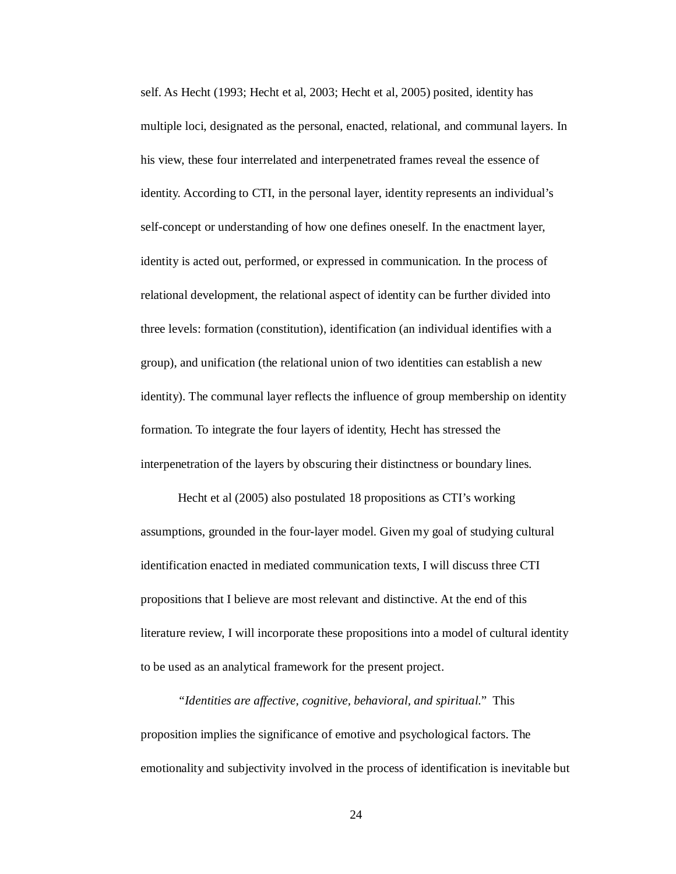self. As Hecht (1993; Hecht et al, 2003; Hecht et al, 2005) posited, identity has multiple loci, designated as the personal, enacted, relational, and communal layers. In his view, these four interrelated and interpenetrated frames reveal the essence of identity. According to CTI, in the personal layer, identity represents an individual's self-concept or understanding of how one defines oneself. In the enactment layer, identity is acted out, performed, or expressed in communication. In the process of relational development, the relational aspect of identity can be further divided into three levels: formation (constitution), identification (an individual identifies with a group), and unification (the relational union of two identities can establish a new identity). The communal layer reflects the influence of group membership on identity formation. To integrate the four layers of identity, Hecht has stressed the interpenetration of the layers by obscuring their distinctness or boundary lines.

Hecht et al (2005) also postulated 18 propositions as CTI's working assumptions, grounded in the four-layer model. Given my goal of studying cultural identification enacted in mediated communication texts, I will discuss three CTI propositions that I believe are most relevant and distinctive. At the end of this literature review, I will incorporate these propositions into a model of cultural identity to be used as an analytical framework for the present project.

*"Identities are affective, cognitive, behavioral, and spiritual*." This proposition implies the significance of emotive and psychological factors. The emotionality and subjectivity involved in the process of identification is inevitable but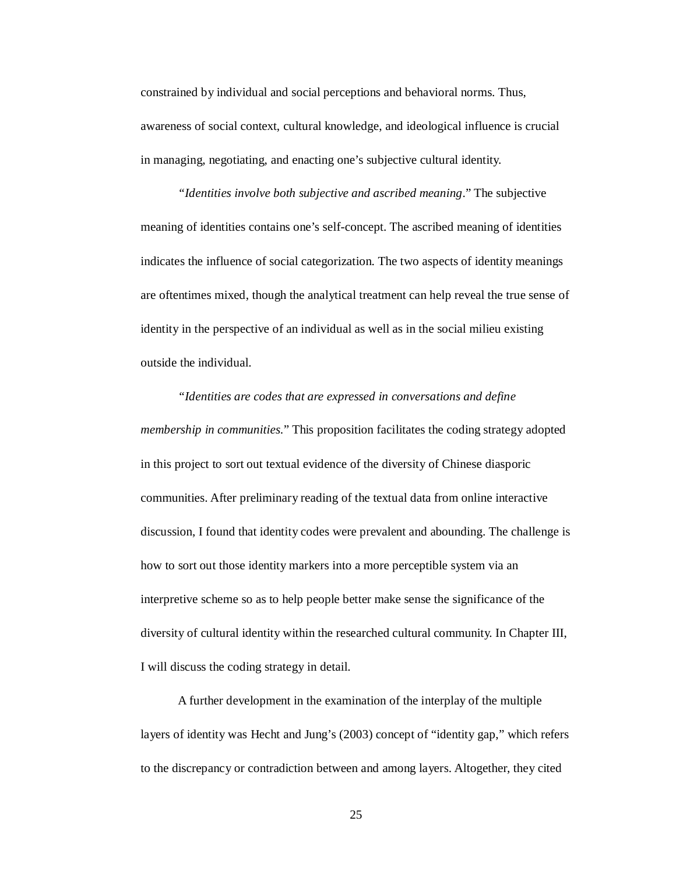constrained by individual and social perceptions and behavioral norms. Thus, awareness of social context, cultural knowledge, and ideological influence is crucial in managing, negotiating, and enacting one's subjective cultural identity.

*"Identities involve both subjective and ascribed meaning*." The subjective meaning of identities contains one's self-concept. The ascribed meaning of identities indicates the influence of social categorization. The two aspects of identity meanings are oftentimes mixed, though the analytical treatment can help reveal the true sense of identity in the perspective of an individual as well as in the social milieu existing outside the individual.

# *"Identities are codes that are expressed in conversations and define membership in communities*." This proposition facilitates the coding strategy adopted in this project to sort out textual evidence of the diversity of Chinese diasporic communities. After preliminary reading of the textual data from online interactive discussion, I found that identity codes were prevalent and abounding. The challenge is how to sort out those identity markers into a more perceptible system via an interpretive scheme so as to help people better make sense the significance of the diversity of cultural identity within the researched cultural community. In Chapter III, I will discuss the coding strategy in detail.

A further development in the examination of the interplay of the multiple layers of identity was Hecht and Jung's (2003) concept of "identity gap," which refers to the discrepancy or contradiction between and among layers. Altogether, they cited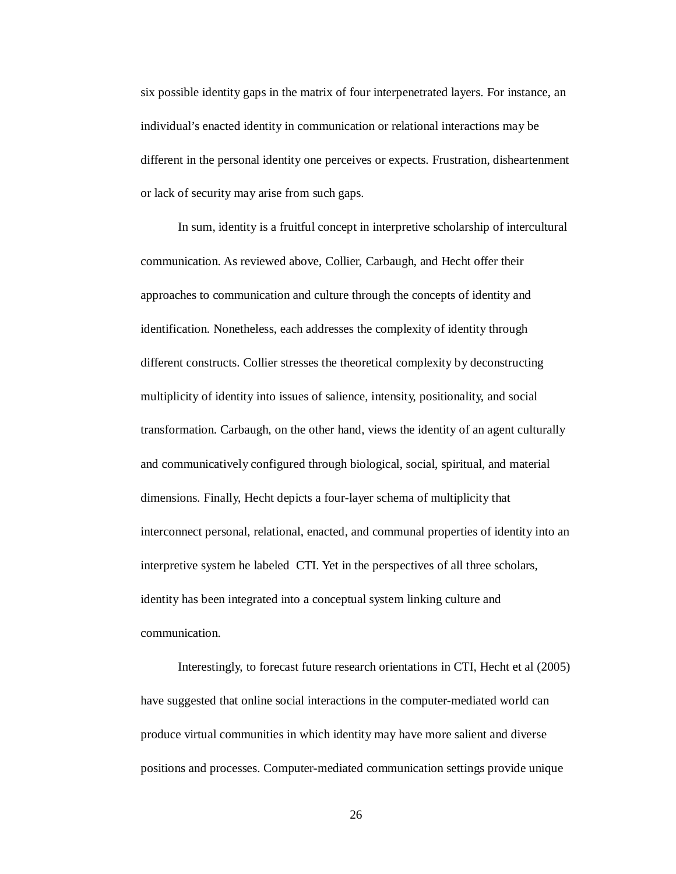six possible identity gaps in the matrix of four interpenetrated layers. For instance, an individual's enacted identity in communication or relational interactions may be different in the personal identity one perceives or expects. Frustration, disheartenment or lack of security may arise from such gaps.

In sum, identity is a fruitful concept in interpretive scholarship of intercultural communication. As reviewed above, Collier, Carbaugh, and Hecht offer their approaches to communication and culture through the concepts of identity and identification. Nonetheless, each addresses the complexity of identity through different constructs. Collier stresses the theoretical complexity by deconstructing multiplicity of identity into issues of salience, intensity, positionality, and social transformation. Carbaugh, on the other hand, views the identity of an agent culturally and communicatively configured through biological, social, spiritual, and material dimensions. Finally, Hecht depicts a four-layer schema of multiplicity that interconnect personal, relational, enacted, and communal properties of identity into an interpretive system he labeled CTI. Yet in the perspectives of all three scholars, identity has been integrated into a conceptual system linking culture and communication.

Interestingly, to forecast future research orientations in CTI, Hecht et al (2005) have suggested that online social interactions in the computer-mediated world can produce virtual communities in which identity may have more salient and diverse positions and processes. Computer-mediated communication settings provide unique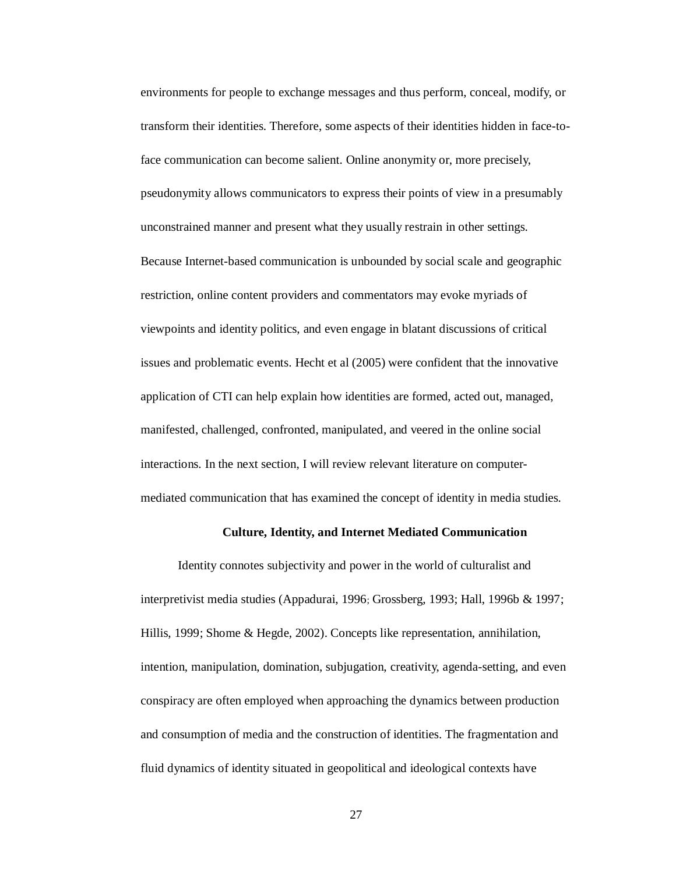environments for people to exchange messages and thus perform, conceal, modify, or transform their identities. Therefore, some aspects of their identities hidden in face-toface communication can become salient. Online anonymity or, more precisely, pseudonymity allows communicators to express their points of view in a presumably unconstrained manner and present what they usually restrain in other settings. Because Internet-based communication is unbounded by social scale and geographic restriction, online content providers and commentators may evoke myriads of viewpoints and identity politics, and even engage in blatant discussions of critical issues and problematic events. Hecht et al (2005) were confident that the innovative application of CTI can help explain how identities are formed, acted out, managed, manifested, challenged, confronted, manipulated, and veered in the online social interactions. In the next section, I will review relevant literature on computermediated communication that has examined the concept of identity in media studies.

### **Culture, Identity, and Internet Mediated Communication**

Identity connotes subjectivity and power in the world of culturalist and interpretivist media studies (Appadurai, 1996; Grossberg, 1993; Hall, 1996b & 1997; Hillis, 1999; Shome & Hegde, 2002). Concepts like representation, annihilation, intention, manipulation, domination, subjugation, creativity, agenda-setting, and even conspiracy are often employed when approaching the dynamics between production and consumption of media and the construction of identities. The fragmentation and fluid dynamics of identity situated in geopolitical and ideological contexts have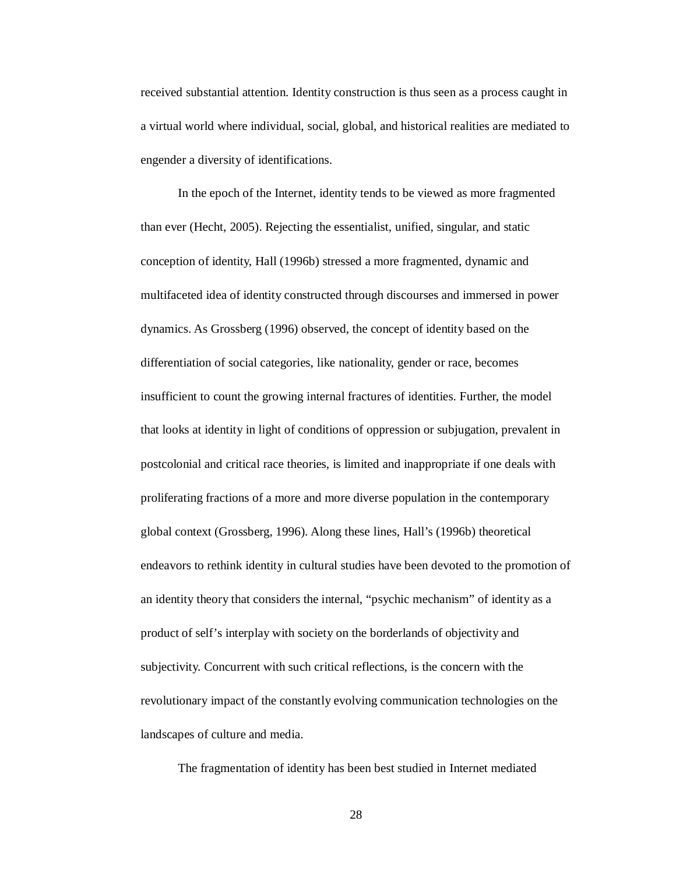received substantial attention. Identity construction is thus seen as a process caught in a virtual world where individual, social, global, and historical realities are mediated to engender a diversity of identifications.

In the epoch of the Internet, identity tends to be viewed as more fragmented than ever (Hecht, 2005). Rejecting the essentialist, unified, singular, and static conception of identity, Hall (1996b) stressed a more fragmented, dynamic and multifaceted idea of identity constructed through discourses and immersed in power dynamics. As Grossberg (1996) observed, the concept of identity based on the differentiation of social categories, like nationality, gender or race, becomes insufficient to count the growing internal fractures of identities. Further, the model that looks at identity in light of conditions of oppression or subjugation, prevalent in postcolonial and critical race theories, is limited and inappropriate if one deals with proliferating fractions of a more and more diverse population in the contemporary global context (Grossberg, 1996). Along these lines, Hall's (1996b) theoretical endeavors to rethink identity in cultural studies have been devoted to the promotion of an identity theory that considers the internal, "psychic mechanism" of identity as a product of self's interplay with society on the borderlands of objectivity and subjectivity. Concurrent with such critical reflections, is the concern with the revolutionary impact of the constantly evolving communication technologies on the landscapes of culture and media.

The fragmentation of identity has been best studied in Internet mediated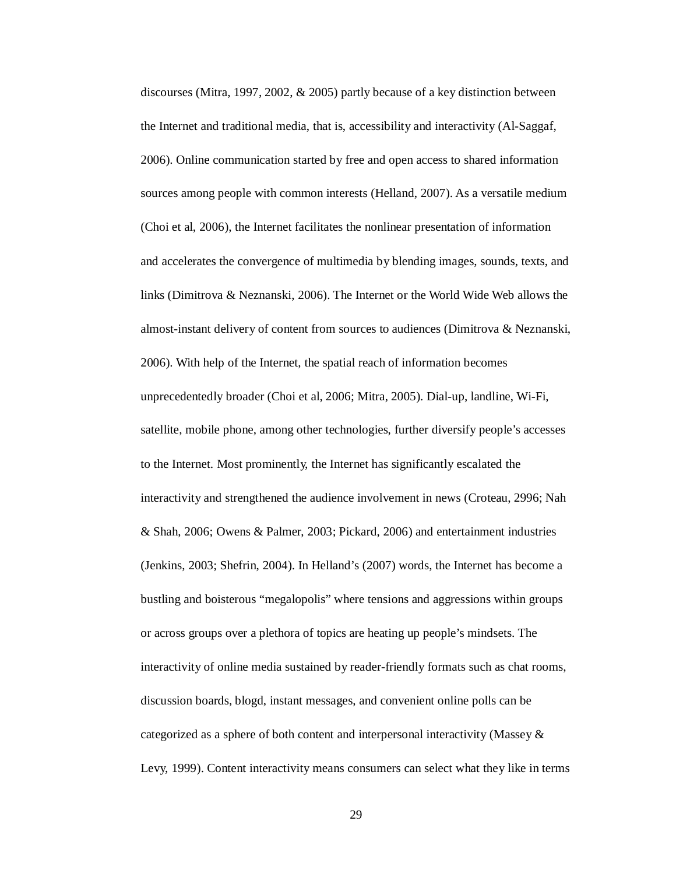discourses (Mitra, 1997, 2002, & 2005) partly because of a key distinction between the Internet and traditional media, that is, accessibility and interactivity (Al-Saggaf, 2006). Online communication started by free and open access to shared information sources among people with common interests (Helland, 2007). As a versatile medium (Choi et al, 2006), the Internet facilitates the nonlinear presentation of information and accelerates the convergence of multimedia by blending images, sounds, texts, and links (Dimitrova & Neznanski, 2006). The Internet or the World Wide Web allows the almost-instant delivery of content from sources to audiences (Dimitrova & Neznanski, 2006). With help of the Internet, the spatial reach of information becomes unprecedentedly broader (Choi et al, 2006; Mitra, 2005). Dial-up, landline, Wi-Fi, satellite, mobile phone, among other technologies, further diversify people's accesses to the Internet. Most prominently, the Internet has significantly escalated the interactivity and strengthened the audience involvement in news (Croteau, 2996; Nah & Shah, 2006; Owens & Palmer, 2003; Pickard, 2006) and entertainment industries (Jenkins, 2003; Shefrin, 2004). In Helland's (2007) words, the Internet has become a bustling and boisterous "megalopolis" where tensions and aggressions within groups or across groups over a plethora of topics are heating up people's mindsets. The interactivity of online media sustained by reader-friendly formats such as chat rooms, discussion boards, blogd, instant messages, and convenient online polls can be categorized as a sphere of both content and interpersonal interactivity (Massey & Levy, 1999). Content interactivity means consumers can select what they like in terms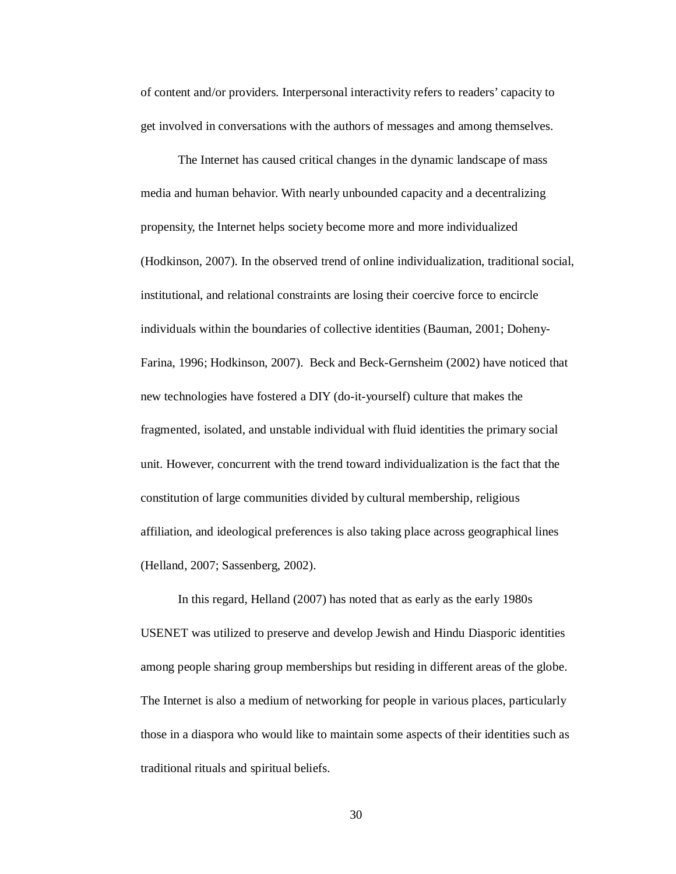of content and/or providers. Interpersonal interactivity refers to readers' capacity to get involved in conversations with the authors of messages and among themselves.

The Internet has caused critical changes in the dynamic landscape of mass media and human behavior. With nearly unbounded capacity and a decentralizing propensity, the Internet helps society become more and more individualized (Hodkinson, 2007). In the observed trend of online individualization, traditional social, institutional, and relational constraints are losing their coercive force to encircle individuals within the boundaries of collective identities (Bauman, 2001; Doheny-Farina, 1996; Hodkinson, 2007). Beck and Beck-Gernsheim (2002) have noticed that new technologies have fostered a DIY (do-it-yourself) culture that makes the fragmented, isolated, and unstable individual with fluid identities the primary social unit. However, concurrent with the trend toward individualization is the fact that the constitution of large communities divided by cultural membership, religious affiliation, and ideological preferences is also taking place across geographical lines (Helland, 2007; Sassenberg, 2002).

In this regard, Helland (2007) has noted that as early as the early 1980s USENET was utilized to preserve and develop Jewish and Hindu Diasporic identities among people sharing group memberships but residing in different areas of the globe. The Internet is also a medium of networking for people in various places, particularly those in a diaspora who would like to maintain some aspects of their identities such as traditional rituals and spiritual beliefs.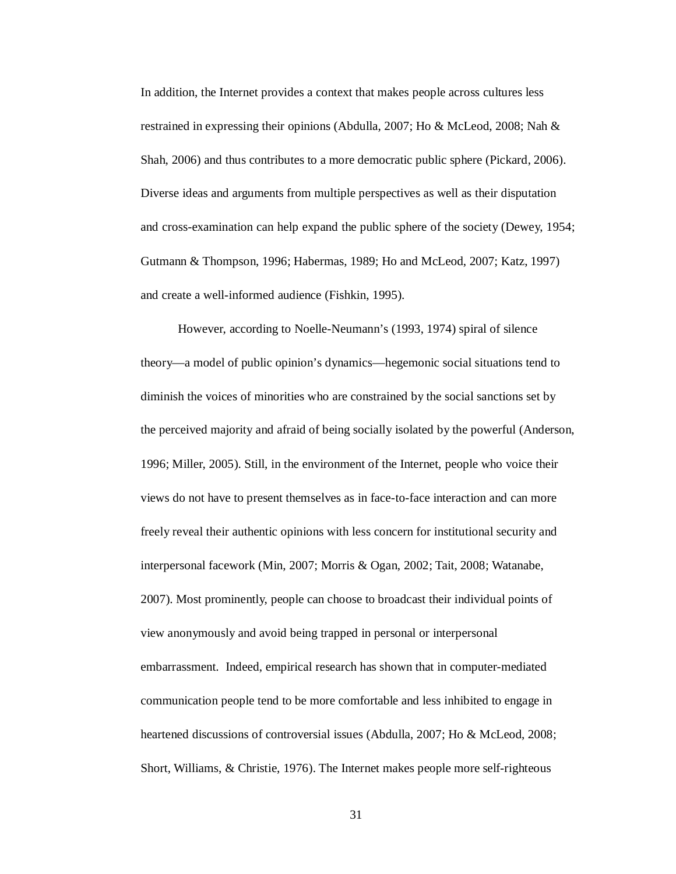In addition, the Internet provides a context that makes people across cultures less restrained in expressing their opinions (Abdulla, 2007; Ho & McLeod, 2008; Nah & Shah, 2006) and thus contributes to a more democratic public sphere (Pickard, 2006). Diverse ideas and arguments from multiple perspectives as well as their disputation and cross-examination can help expand the public sphere of the society (Dewey, 1954; Gutmann & Thompson, 1996; Habermas, 1989; Ho and McLeod, 2007; Katz, 1997) and create a well-informed audience (Fishkin, 1995).

However, according to Noelle-Neumann's (1993, 1974) spiral of silence theory—a model of public opinion's dynamics—hegemonic social situations tend to diminish the voices of minorities who are constrained by the social sanctions set by the perceived majority and afraid of being socially isolated by the powerful (Anderson, 1996; Miller, 2005). Still, in the environment of the Internet, people who voice their views do not have to present themselves as in face-to-face interaction and can more freely reveal their authentic opinions with less concern for institutional security and interpersonal facework (Min, 2007; Morris & Ogan, 2002; Tait, 2008; Watanabe, 2007). Most prominently, people can choose to broadcast their individual points of view anonymously and avoid being trapped in personal or interpersonal embarrassment. Indeed, empirical research has shown that in computer-mediated communication people tend to be more comfortable and less inhibited to engage in heartened discussions of controversial issues (Abdulla, 2007; Ho & McLeod, 2008; Short, Williams, & Christie, 1976). The Internet makes people more self-righteous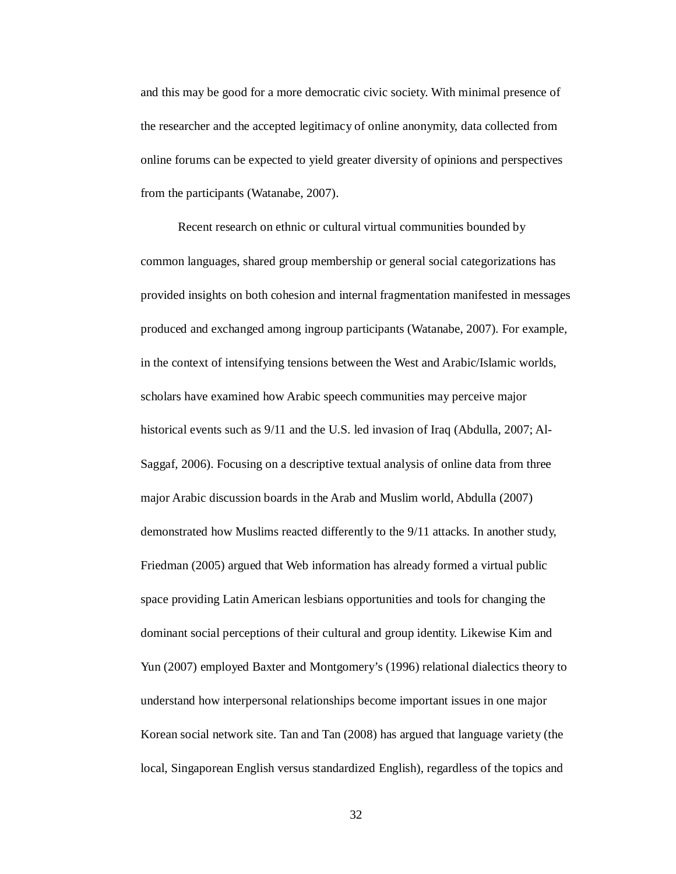and this may be good for a more democratic civic society. With minimal presence of the researcher and the accepted legitimacy of online anonymity, data collected from online forums can be expected to yield greater diversity of opinions and perspectives from the participants (Watanabe, 2007).

Recent research on ethnic or cultural virtual communities bounded by common languages, shared group membership or general social categorizations has provided insights on both cohesion and internal fragmentation manifested in messages produced and exchanged among ingroup participants (Watanabe, 2007). For example, in the context of intensifying tensions between the West and Arabic/Islamic worlds, scholars have examined how Arabic speech communities may perceive major historical events such as 9/11 and the U.S. led invasion of Iraq (Abdulla, 2007; Al-Saggaf, 2006). Focusing on a descriptive textual analysis of online data from three major Arabic discussion boards in the Arab and Muslim world, Abdulla (2007) demonstrated how Muslims reacted differently to the 9/11 attacks. In another study, Friedman (2005) argued that Web information has already formed a virtual public space providing Latin American lesbians opportunities and tools for changing the dominant social perceptions of their cultural and group identity. Likewise Kim and Yun (2007) employed Baxter and Montgomery's (1996) relational dialectics theory to understand how interpersonal relationships become important issues in one major Korean social network site. Tan and Tan (2008) has argued that language variety (the local, Singaporean English versus standardized English), regardless of the topics and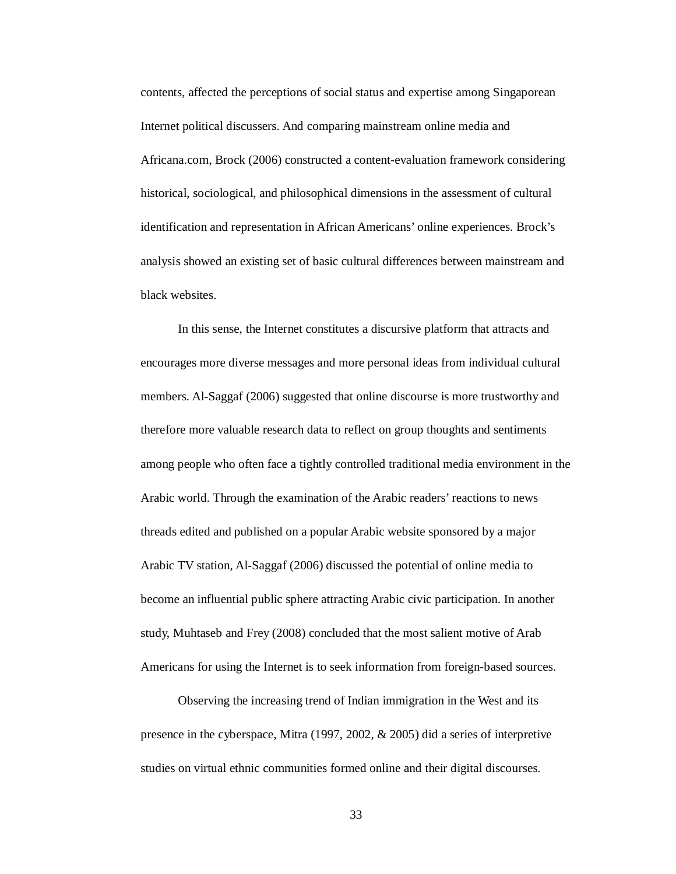contents, affected the perceptions of social status and expertise among Singaporean Internet political discussers. And comparing mainstream online media and Africana.com, Brock (2006) constructed a content-evaluation framework considering historical, sociological, and philosophical dimensions in the assessment of cultural identification and representation in African Americans' online experiences. Brock's analysis showed an existing set of basic cultural differences between mainstream and black websites.

In this sense, the Internet constitutes a discursive platform that attracts and encourages more diverse messages and more personal ideas from individual cultural members. Al-Saggaf (2006) suggested that online discourse is more trustworthy and therefore more valuable research data to reflect on group thoughts and sentiments among people who often face a tightly controlled traditional media environment in the Arabic world. Through the examination of the Arabic readers' reactions to news threads edited and published on a popular Arabic website sponsored by a major Arabic TV station, Al-Saggaf (2006) discussed the potential of online media to become an influential public sphere attracting Arabic civic participation. In another study, Muhtaseb and Frey (2008) concluded that the most salient motive of Arab Americans for using the Internet is to seek information from foreign-based sources.

Observing the increasing trend of Indian immigration in the West and its presence in the cyberspace, Mitra (1997, 2002, & 2005) did a series of interpretive studies on virtual ethnic communities formed online and their digital discourses.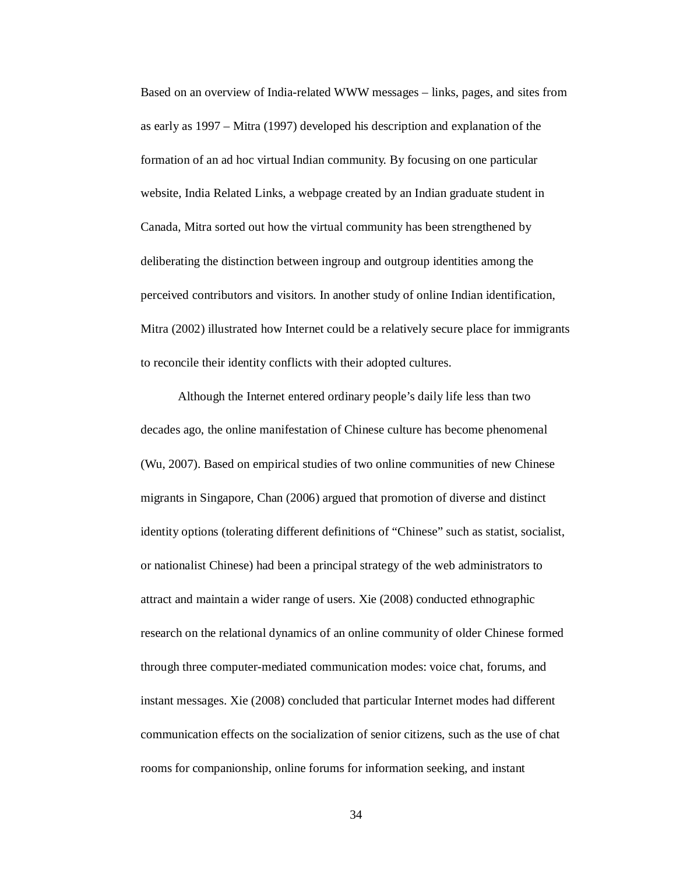Based on an overview of India-related WWW messages – links, pages, and sites from as early as 1997 – Mitra (1997) developed his description and explanation of the formation of an ad hoc virtual Indian community. By focusing on one particular website, India Related Links, a webpage created by an Indian graduate student in Canada, Mitra sorted out how the virtual community has been strengthened by deliberating the distinction between ingroup and outgroup identities among the perceived contributors and visitors. In another study of online Indian identification, Mitra (2002) illustrated how Internet could be a relatively secure place for immigrants to reconcile their identity conflicts with their adopted cultures.

Although the Internet entered ordinary people's daily life less than two decades ago, the online manifestation of Chinese culture has become phenomenal (Wu, 2007). Based on empirical studies of two online communities of new Chinese migrants in Singapore, Chan (2006) argued that promotion of diverse and distinct identity options (tolerating different definitions of "Chinese" such as statist, socialist, or nationalist Chinese) had been a principal strategy of the web administrators to attract and maintain a wider range of users. Xie (2008) conducted ethnographic research on the relational dynamics of an online community of older Chinese formed through three computer-mediated communication modes: voice chat, forums, and instant messages. Xie (2008) concluded that particular Internet modes had different communication effects on the socialization of senior citizens, such as the use of chat rooms for companionship, online forums for information seeking, and instant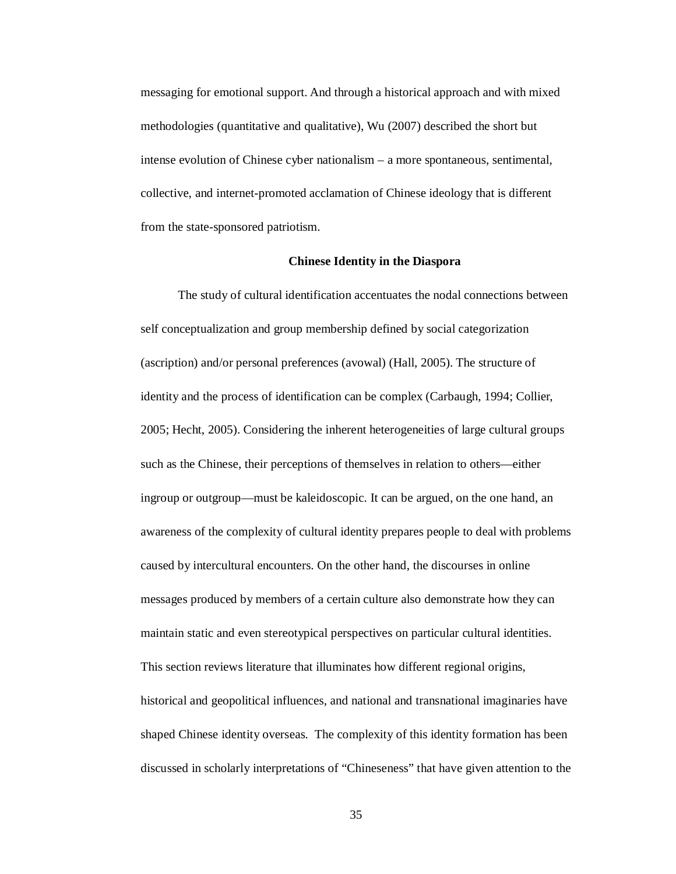messaging for emotional support. And through a historical approach and with mixed methodologies (quantitative and qualitative), Wu (2007) described the short but intense evolution of Chinese cyber nationalism – a more spontaneous, sentimental, collective, and internet-promoted acclamation of Chinese ideology that is different from the state-sponsored patriotism.

#### **Chinese Identity in the Diaspora**

The study of cultural identification accentuates the nodal connections between self conceptualization and group membership defined by social categorization (ascription) and/or personal preferences (avowal) (Hall, 2005). The structure of identity and the process of identification can be complex (Carbaugh, 1994; Collier, 2005; Hecht, 2005). Considering the inherent heterogeneities of large cultural groups such as the Chinese, their perceptions of themselves in relation to others—either ingroup or outgroup—must be kaleidoscopic. It can be argued, on the one hand, an awareness of the complexity of cultural identity prepares people to deal with problems caused by intercultural encounters. On the other hand, the discourses in online messages produced by members of a certain culture also demonstrate how they can maintain static and even stereotypical perspectives on particular cultural identities. This section reviews literature that illuminates how different regional origins, historical and geopolitical influences, and national and transnational imaginaries have shaped Chinese identity overseas. The complexity of this identity formation has been discussed in scholarly interpretations of "Chineseness" that have given attention to the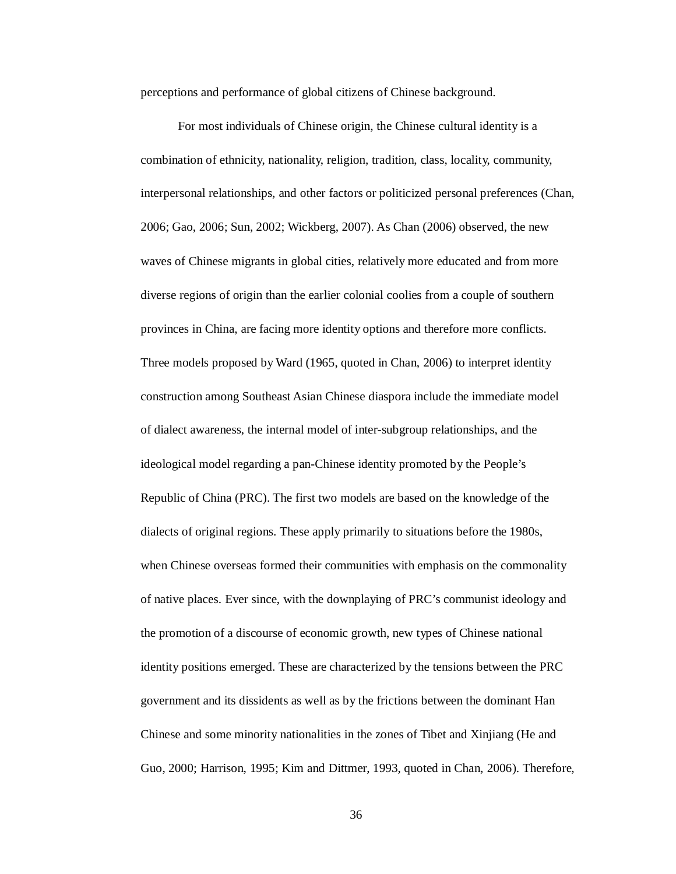perceptions and performance of global citizens of Chinese background.

For most individuals of Chinese origin, the Chinese cultural identity is a combination of ethnicity, nationality, religion, tradition, class, locality, community, interpersonal relationships, and other factors or politicized personal preferences (Chan, 2006; Gao, 2006; Sun, 2002; Wickberg, 2007). As Chan (2006) observed, the new waves of Chinese migrants in global cities, relatively more educated and from more diverse regions of origin than the earlier colonial coolies from a couple of southern provinces in China, are facing more identity options and therefore more conflicts. Three models proposed by Ward (1965, quoted in Chan, 2006) to interpret identity construction among Southeast Asian Chinese diaspora include the immediate model of dialect awareness, the internal model of inter-subgroup relationships, and the ideological model regarding a pan-Chinese identity promoted by the People's Republic of China (PRC). The first two models are based on the knowledge of the dialects of original regions. These apply primarily to situations before the 1980s, when Chinese overseas formed their communities with emphasis on the commonality of native places. Ever since, with the downplaying of PRC's communist ideology and the promotion of a discourse of economic growth, new types of Chinese national identity positions emerged. These are characterized by the tensions between the PRC government and its dissidents as well as by the frictions between the dominant Han Chinese and some minority nationalities in the zones of Tibet and Xinjiang (He and Guo, 2000; Harrison, 1995; Kim and Dittmer, 1993, quoted in Chan, 2006). Therefore,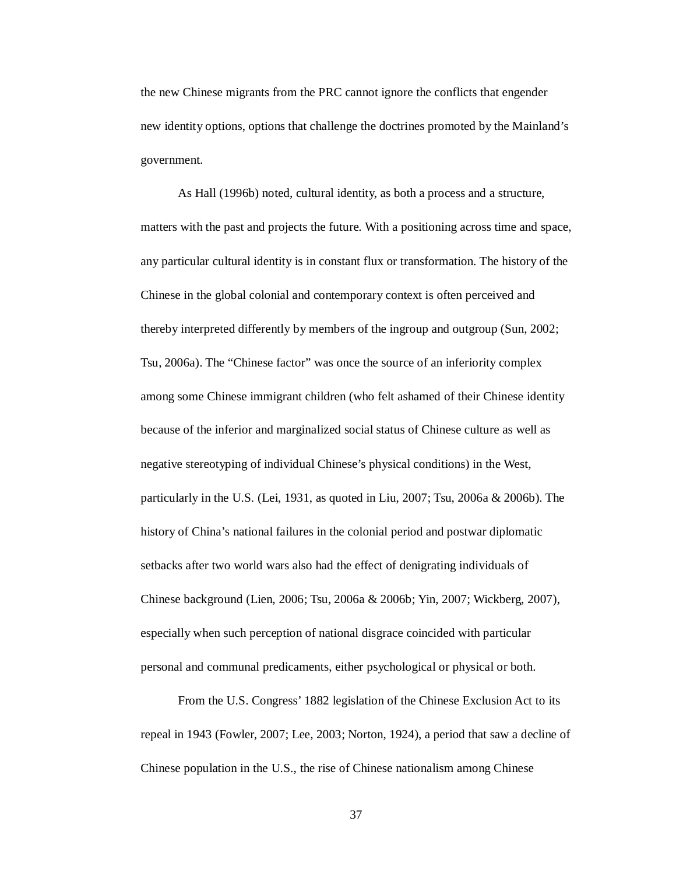the new Chinese migrants from the PRC cannot ignore the conflicts that engender new identity options, options that challenge the doctrines promoted by the Mainland's government.

As Hall (1996b) noted, cultural identity, as both a process and a structure, matters with the past and projects the future. With a positioning across time and space, any particular cultural identity is in constant flux or transformation. The history of the Chinese in the global colonial and contemporary context is often perceived and thereby interpreted differently by members of the ingroup and outgroup (Sun, 2002; Tsu, 2006a). The "Chinese factor" was once the source of an inferiority complex among some Chinese immigrant children (who felt ashamed of their Chinese identity because of the inferior and marginalized social status of Chinese culture as well as negative stereotyping of individual Chinese's physical conditions) in the West, particularly in the U.S. (Lei, 1931, as quoted in Liu, 2007; Tsu, 2006a & 2006b). The history of China's national failures in the colonial period and postwar diplomatic setbacks after two world wars also had the effect of denigrating individuals of Chinese background (Lien, 2006; Tsu, 2006a & 2006b; Yin, 2007; Wickberg, 2007), especially when such perception of national disgrace coincided with particular personal and communal predicaments, either psychological or physical or both.

From the U.S. Congress' 1882 legislation of the Chinese Exclusion Act to its repeal in 1943 (Fowler, 2007; Lee, 2003; Norton, 1924), a period that saw a decline of Chinese population in the U.S., the rise of Chinese nationalism among Chinese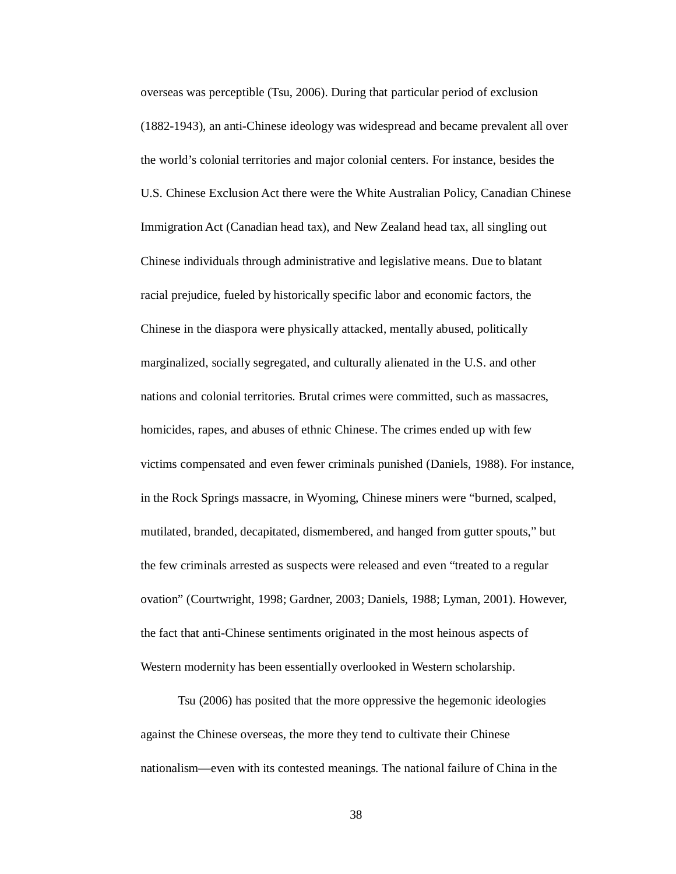overseas was perceptible (Tsu, 2006). During that particular period of exclusion (1882-1943), an anti-Chinese ideology was widespread and became prevalent all over the world's colonial territories and major colonial centers. For instance, besides the U.S. Chinese Exclusion Act there were the White Australian Policy, Canadian Chinese Immigration Act (Canadian head tax), and New Zealand head tax, all singling out Chinese individuals through administrative and legislative means. Due to blatant racial prejudice, fueled by historically specific labor and economic factors, the Chinese in the diaspora were physically attacked, mentally abused, politically marginalized, socially segregated, and culturally alienated in the U.S. and other nations and colonial territories. Brutal crimes were committed, such as massacres, homicides, rapes, and abuses of ethnic Chinese. The crimes ended up with few victims compensated and even fewer criminals punished (Daniels, 1988). For instance, in the Rock Springs massacre, in Wyoming, Chinese miners were "burned, scalped, mutilated, branded, decapitated, dismembered, and hanged from gutter spouts," but the few criminals arrested as suspects were released and even "treated to a regular ovation" (Courtwright, 1998; Gardner, 2003; Daniels, 1988; Lyman, 2001). However, the fact that anti-Chinese sentiments originated in the most heinous aspects of Western modernity has been essentially overlooked in Western scholarship.

Tsu (2006) has posited that the more oppressive the hegemonic ideologies against the Chinese overseas, the more they tend to cultivate their Chinese nationalism—even with its contested meanings. The national failure of China in the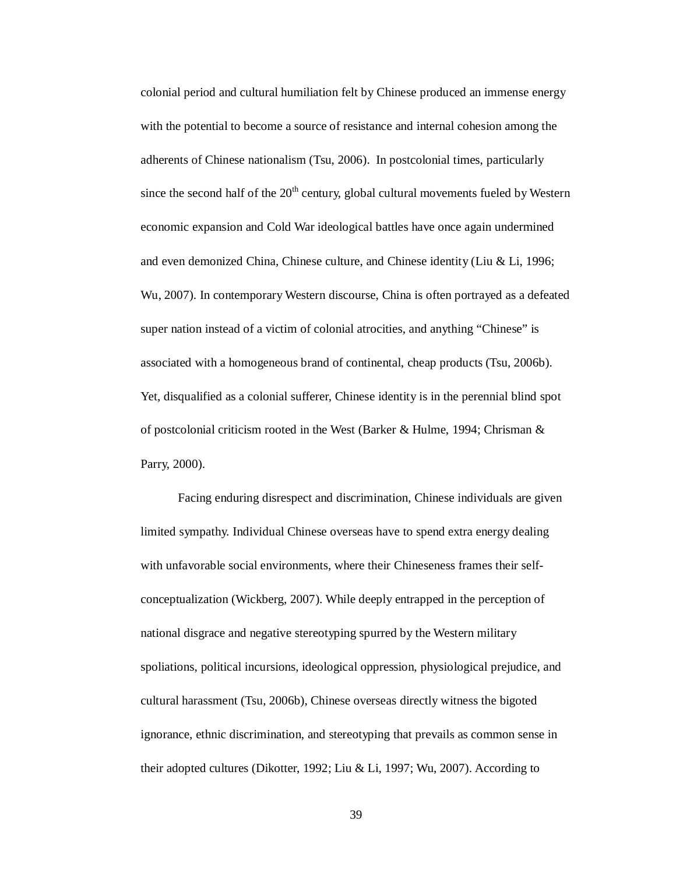colonial period and cultural humiliation felt by Chinese produced an immense energy with the potential to become a source of resistance and internal cohesion among the adherents of Chinese nationalism (Tsu, 2006). In postcolonial times, particularly since the second half of the  $20<sup>th</sup>$  century, global cultural movements fueled by Western economic expansion and Cold War ideological battles have once again undermined and even demonized China, Chinese culture, and Chinese identity (Liu & Li, 1996; Wu, 2007). In contemporary Western discourse, China is often portrayed as a defeated super nation instead of a victim of colonial atrocities, and anything "Chinese" is associated with a homogeneous brand of continental, cheap products (Tsu, 2006b). Yet, disqualified as a colonial sufferer, Chinese identity is in the perennial blind spot of postcolonial criticism rooted in the West (Barker & Hulme, 1994; Chrisman & Parry, 2000).

Facing enduring disrespect and discrimination, Chinese individuals are given limited sympathy. Individual Chinese overseas have to spend extra energy dealing with unfavorable social environments, where their Chineseness frames their selfconceptualization (Wickberg, 2007). While deeply entrapped in the perception of national disgrace and negative stereotyping spurred by the Western military spoliations, political incursions, ideological oppression, physiological prejudice, and cultural harassment (Tsu, 2006b), Chinese overseas directly witness the bigoted ignorance, ethnic discrimination, and stereotyping that prevails as common sense in their adopted cultures (Dikotter, 1992; Liu & Li, 1997; Wu, 2007). According to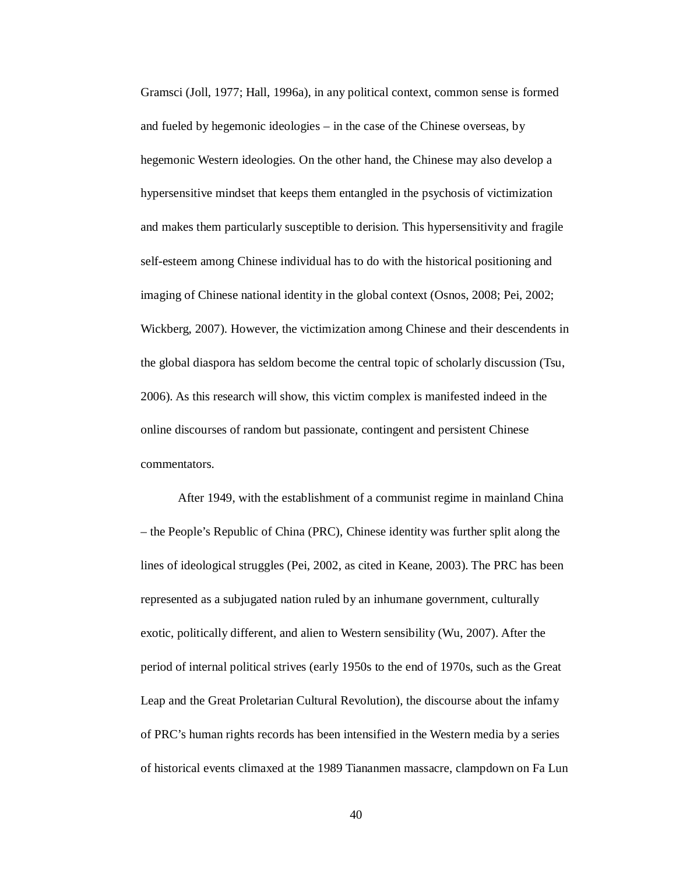Gramsci (Joll, 1977; Hall, 1996a), in any political context, common sense is formed and fueled by hegemonic ideologies – in the case of the Chinese overseas, by hegemonic Western ideologies. On the other hand, the Chinese may also develop a hypersensitive mindset that keeps them entangled in the psychosis of victimization and makes them particularly susceptible to derision. This hypersensitivity and fragile self-esteem among Chinese individual has to do with the historical positioning and imaging of Chinese national identity in the global context (Osnos, 2008; Pei, 2002; Wickberg, 2007). However, the victimization among Chinese and their descendents in the global diaspora has seldom become the central topic of scholarly discussion (Tsu, 2006). As this research will show, this victim complex is manifested indeed in the online discourses of random but passionate, contingent and persistent Chinese commentators.

After 1949, with the establishment of a communist regime in mainland China – the People's Republic of China (PRC), Chinese identity was further split along the lines of ideological struggles (Pei, 2002, as cited in Keane, 2003). The PRC has been represented as a subjugated nation ruled by an inhumane government, culturally exotic, politically different, and alien to Western sensibility (Wu, 2007). After the period of internal political strives (early 1950s to the end of 1970s, such as the Great Leap and the Great Proletarian Cultural Revolution), the discourse about the infamy of PRC's human rights records has been intensified in the Western media by a series of historical events climaxed at the 1989 Tiananmen massacre, clampdown on Fa Lun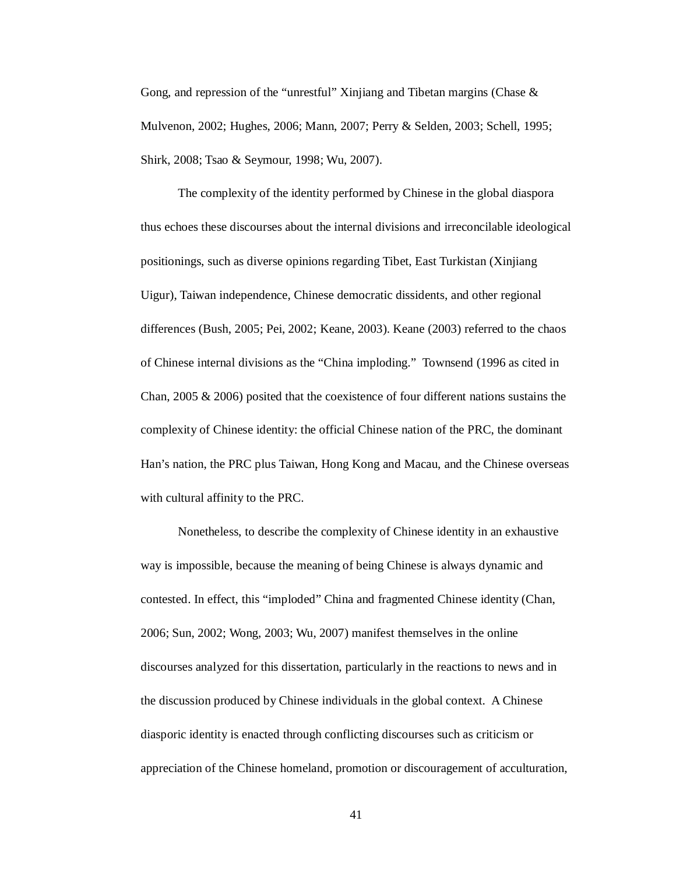Gong, and repression of the "unrestful" Xinjiang and Tibetan margins (Chase & Mulvenon, 2002; Hughes, 2006; Mann, 2007; Perry & Selden, 2003; Schell, 1995; Shirk, 2008; Tsao & Seymour, 1998; Wu, 2007).

The complexity of the identity performed by Chinese in the global diaspora thus echoes these discourses about the internal divisions and irreconcilable ideological positionings, such as diverse opinions regarding Tibet, East Turkistan (Xinjiang Uigur), Taiwan independence, Chinese democratic dissidents, and other regional differences (Bush, 2005; Pei, 2002; Keane, 2003). Keane (2003) referred to the chaos of Chinese internal divisions as the "China imploding." Townsend (1996 as cited in Chan, 2005 & 2006) posited that the coexistence of four different nations sustains the complexity of Chinese identity: the official Chinese nation of the PRC, the dominant Han's nation, the PRC plus Taiwan, Hong Kong and Macau, and the Chinese overseas with cultural affinity to the PRC.

Nonetheless, to describe the complexity of Chinese identity in an exhaustive way is impossible, because the meaning of being Chinese is always dynamic and contested. In effect, this "imploded" China and fragmented Chinese identity (Chan, 2006; Sun, 2002; Wong, 2003; Wu, 2007) manifest themselves in the online discourses analyzed for this dissertation, particularly in the reactions to news and in the discussion produced by Chinese individuals in the global context. A Chinese diasporic identity is enacted through conflicting discourses such as criticism or appreciation of the Chinese homeland, promotion or discouragement of acculturation,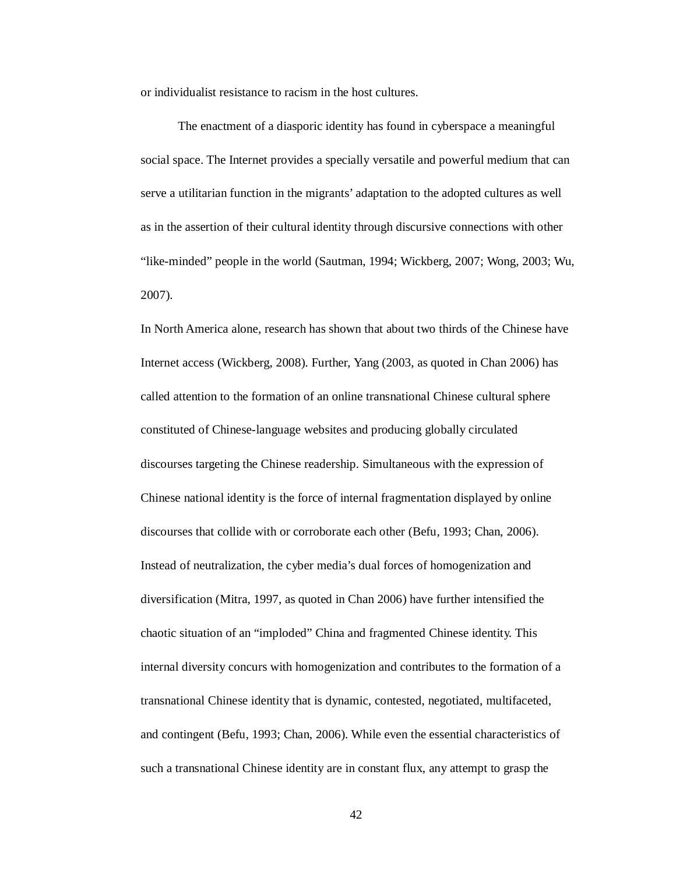or individualist resistance to racism in the host cultures.

The enactment of a diasporic identity has found in cyberspace a meaningful social space. The Internet provides a specially versatile and powerful medium that can serve a utilitarian function in the migrants' adaptation to the adopted cultures as well as in the assertion of their cultural identity through discursive connections with other "like-minded" people in the world (Sautman, 1994; Wickberg, 2007; Wong, 2003; Wu, 2007).

In North America alone, research has shown that about two thirds of the Chinese have Internet access (Wickberg, 2008). Further, Yang (2003, as quoted in Chan 2006) has called attention to the formation of an online transnational Chinese cultural sphere constituted of Chinese-language websites and producing globally circulated discourses targeting the Chinese readership. Simultaneous with the expression of Chinese national identity is the force of internal fragmentation displayed by online discourses that collide with or corroborate each other (Befu, 1993; Chan, 2006). Instead of neutralization, the cyber media's dual forces of homogenization and diversification (Mitra, 1997, as quoted in Chan 2006) have further intensified the chaotic situation of an "imploded" China and fragmented Chinese identity. This internal diversity concurs with homogenization and contributes to the formation of a transnational Chinese identity that is dynamic, contested, negotiated, multifaceted, and contingent (Befu, 1993; Chan, 2006). While even the essential characteristics of such a transnational Chinese identity are in constant flux, any attempt to grasp the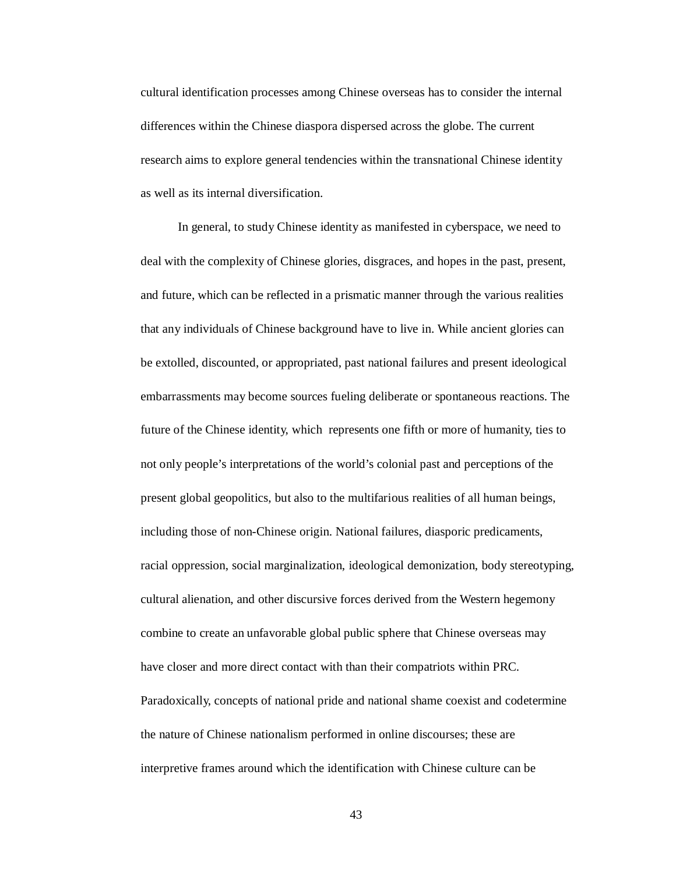cultural identification processes among Chinese overseas has to consider the internal differences within the Chinese diaspora dispersed across the globe. The current research aims to explore general tendencies within the transnational Chinese identity as well as its internal diversification.

In general, to study Chinese identity as manifested in cyberspace, we need to deal with the complexity of Chinese glories, disgraces, and hopes in the past, present, and future, which can be reflected in a prismatic manner through the various realities that any individuals of Chinese background have to live in. While ancient glories can be extolled, discounted, or appropriated, past national failures and present ideological embarrassments may become sources fueling deliberate or spontaneous reactions. The future of the Chinese identity, which represents one fifth or more of humanity, ties to not only people's interpretations of the world's colonial past and perceptions of the present global geopolitics, but also to the multifarious realities of all human beings, including those of non-Chinese origin. National failures, diasporic predicaments, racial oppression, social marginalization, ideological demonization, body stereotyping, cultural alienation, and other discursive forces derived from the Western hegemony combine to create an unfavorable global public sphere that Chinese overseas may have closer and more direct contact with than their compatriots within PRC. Paradoxically, concepts of national pride and national shame coexist and codetermine the nature of Chinese nationalism performed in online discourses; these are interpretive frames around which the identification with Chinese culture can be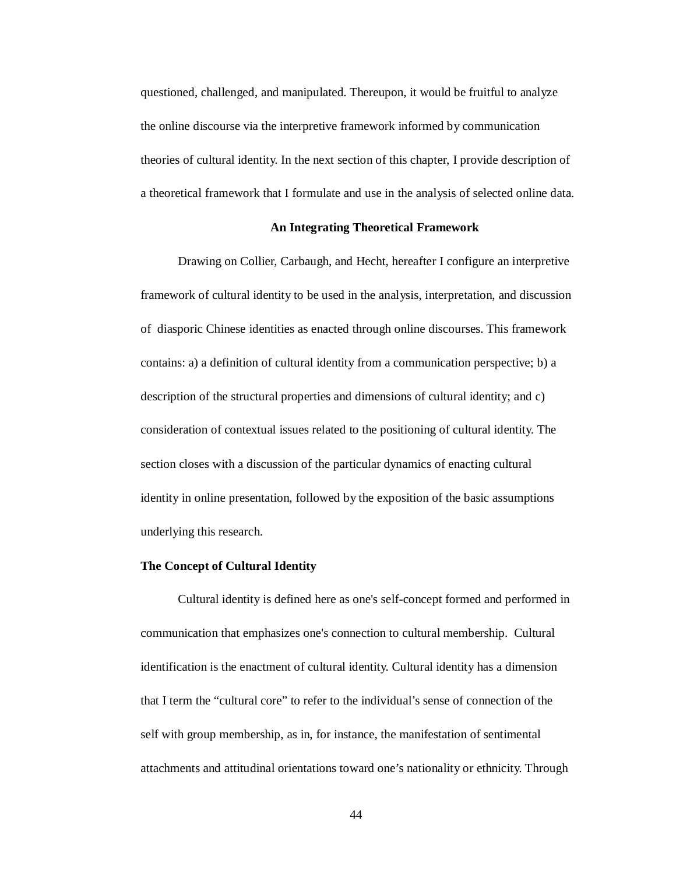questioned, challenged, and manipulated. Thereupon, it would be fruitful to analyze the online discourse via the interpretive framework informed by communication theories of cultural identity. In the next section of this chapter, I provide description of a theoretical framework that I formulate and use in the analysis of selected online data.

### **An Integrating Theoretical Framework**

Drawing on Collier, Carbaugh, and Hecht, hereafter I configure an interpretive framework of cultural identity to be used in the analysis, interpretation, and discussion of diasporic Chinese identities as enacted through online discourses. This framework contains: a) a definition of cultural identity from a communication perspective; b) a description of the structural properties and dimensions of cultural identity; and c) consideration of contextual issues related to the positioning of cultural identity. The section closes with a discussion of the particular dynamics of enacting cultural identity in online presentation, followed by the exposition of the basic assumptions underlying this research.

# **The Concept of Cultural Identity**

Cultural identity is defined here as one's self-concept formed and performed in communication that emphasizes one's connection to cultural membership. Cultural identification is the enactment of cultural identity. Cultural identity has a dimension that I term the "cultural core" to refer to the individual's sense of connection of the self with group membership, as in, for instance, the manifestation of sentimental attachments and attitudinal orientations toward one's nationality or ethnicity. Through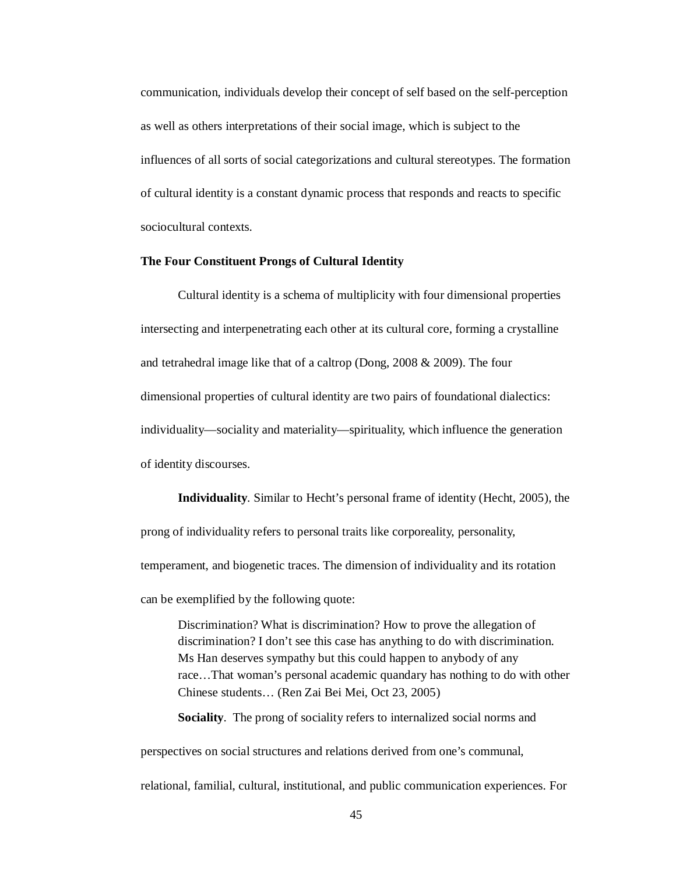communication, individuals develop their concept of self based on the self-perception as well as others interpretations of their social image, which is subject to the influences of all sorts of social categorizations and cultural stereotypes. The formation of cultural identity is a constant dynamic process that responds and reacts to specific sociocultural contexts.

## **The Four Constituent Prongs of Cultural Identity**

Cultural identity is a schema of multiplicity with four dimensional properties intersecting and interpenetrating each other at its cultural core, forming a crystalline and tetrahedral image like that of a caltrop (Dong, 2008 & 2009). The four dimensional properties of cultural identity are two pairs of foundational dialectics: individuality—sociality and materiality—spirituality, which influence the generation of identity discourses.

**Individuality**. Similar to Hecht's personal frame of identity (Hecht, 2005), the prong of individuality refers to personal traits like corporeality, personality, temperament, and biogenetic traces. The dimension of individuality and its rotation can be exemplified by the following quote:

Discrimination? What is discrimination? How to prove the allegation of discrimination? I don't see this case has anything to do with discrimination. Ms Han deserves sympathy but this could happen to anybody of any race…That woman's personal academic quandary has nothing to do with other Chinese students… (Ren Zai Bei Mei, Oct 23, 2005)

**Sociality**. The prong of sociality refers to internalized social norms and

perspectives on social structures and relations derived from one's communal, relational, familial, cultural, institutional, and public communication experiences. For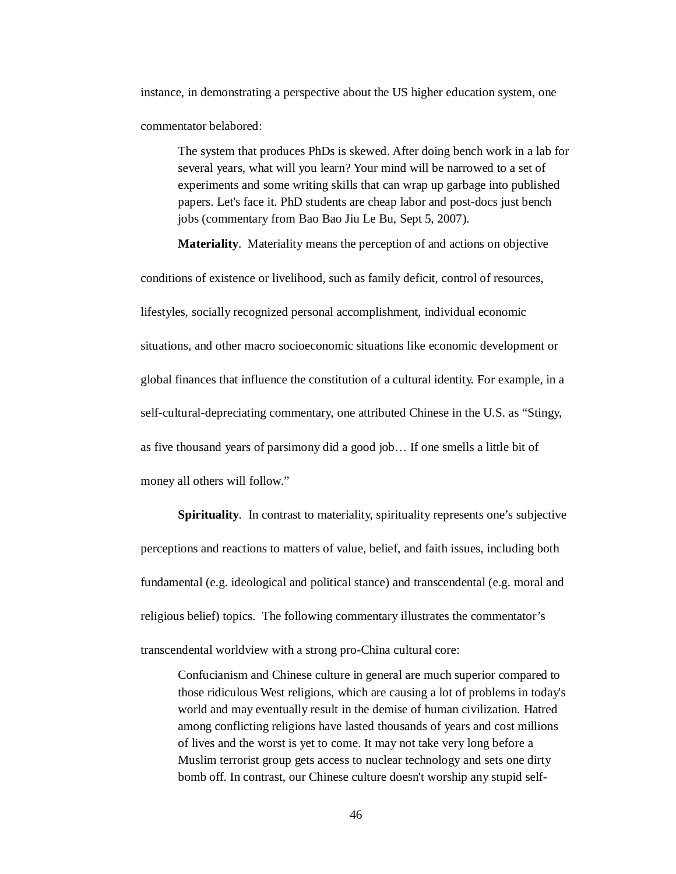instance, in demonstrating a perspective about the US higher education system, one commentator belabored:

The system that produces PhDs is skewed. After doing bench work in a lab for several years, what will you learn? Your mind will be narrowed to a set of experiments and some writing skills that can wrap up garbage into published papers. Let's face it. PhD students are cheap labor and post-docs just bench jobs (commentary from Bao Bao Jiu Le Bu, Sept 5, 2007).

**Materiality**. Materiality means the perception of and actions on objective

conditions of existence or livelihood, such as family deficit, control of resources, lifestyles, socially recognized personal accomplishment, individual economic situations, and other macro socioeconomic situations like economic development or global finances that influence the constitution of a cultural identity. For example, in a self-cultural-depreciating commentary, one attributed Chinese in the U.S. as "Stingy, as five thousand years of parsimony did a good job… If one smells a little bit of money all others will follow."

**Spirituality**. In contrast to materiality, spirituality represents one's subjective perceptions and reactions to matters of value, belief, and faith issues, including both fundamental (e.g. ideological and political stance) and transcendental (e.g. moral and religious belief) topics. The following commentary illustrates the commentator's transcendental worldview with a strong pro-China cultural core:

Confucianism and Chinese culture in general are much superior compared to those ridiculous West religions, which are causing a lot of problems in today's world and may eventually result in the demise of human civilization. Hatred among conflicting religions have lasted thousands of years and cost millions of lives and the worst is yet to come. It may not take very long before a Muslim terrorist group gets access to nuclear technology and sets one dirty bomb off. In contrast, our Chinese culture doesn't worship any stupid self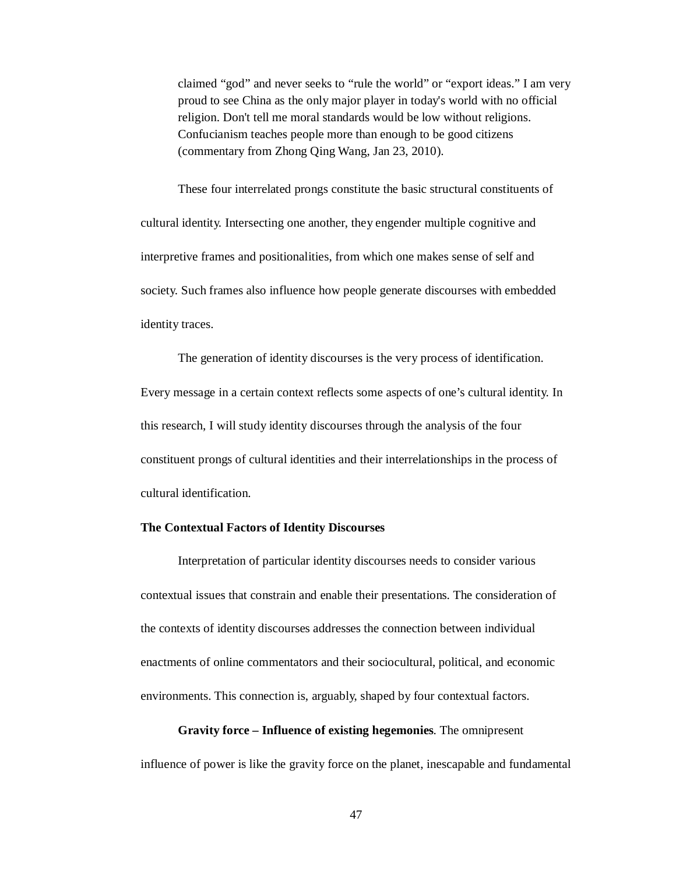claimed "god" and never seeks to "rule the world" or "export ideas." I am very proud to see China as the only major player in today's world with no official religion. Don't tell me moral standards would be low without religions. Confucianism teaches people more than enough to be good citizens (commentary from Zhong Qing Wang, Jan 23, 2010).

These four interrelated prongs constitute the basic structural constituents of cultural identity. Intersecting one another, they engender multiple cognitive and interpretive frames and positionalities, from which one makes sense of self and society. Such frames also influence how people generate discourses with embedded identity traces.

The generation of identity discourses is the very process of identification. Every message in a certain context reflects some aspects of one's cultural identity. In this research, I will study identity discourses through the analysis of the four constituent prongs of cultural identities and their interrelationships in the process of cultural identification.

### **The Contextual Factors of Identity Discourses**

Interpretation of particular identity discourses needs to consider various contextual issues that constrain and enable their presentations. The consideration of the contexts of identity discourses addresses the connection between individual enactments of online commentators and their sociocultural, political, and economic environments. This connection is, arguably, shaped by four contextual factors.

# **Gravity force – Influence of existing hegemonies**. The omnipresent

influence of power is like the gravity force on the planet, inescapable and fundamental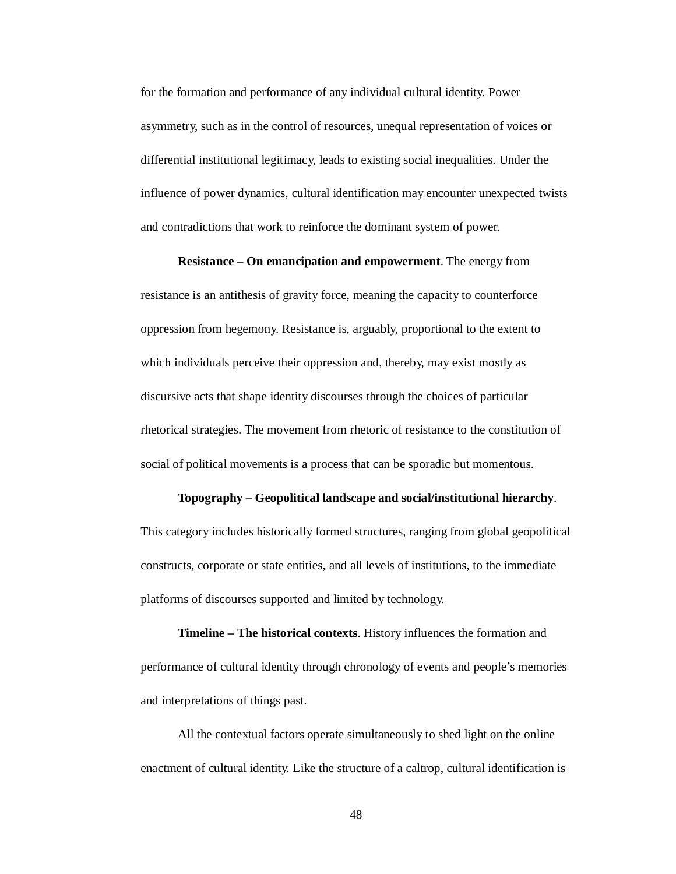for the formation and performance of any individual cultural identity. Power asymmetry, such as in the control of resources, unequal representation of voices or differential institutional legitimacy, leads to existing social inequalities. Under the influence of power dynamics, cultural identification may encounter unexpected twists and contradictions that work to reinforce the dominant system of power.

### **Resistance – On emancipation and empowerment**. The energy from

resistance is an antithesis of gravity force, meaning the capacity to counterforce oppression from hegemony. Resistance is, arguably, proportional to the extent to which individuals perceive their oppression and, thereby, may exist mostly as discursive acts that shape identity discourses through the choices of particular rhetorical strategies. The movement from rhetoric of resistance to the constitution of social of political movements is a process that can be sporadic but momentous.

### **Topography – Geopolitical landscape and social/institutional hierarchy**.

This category includes historically formed structures, ranging from global geopolitical constructs, corporate or state entities, and all levels of institutions, to the immediate platforms of discourses supported and limited by technology.

**Timeline – The historical contexts**. History influences the formation and performance of cultural identity through chronology of events and people's memories and interpretations of things past.

All the contextual factors operate simultaneously to shed light on the online enactment of cultural identity. Like the structure of a caltrop, cultural identification is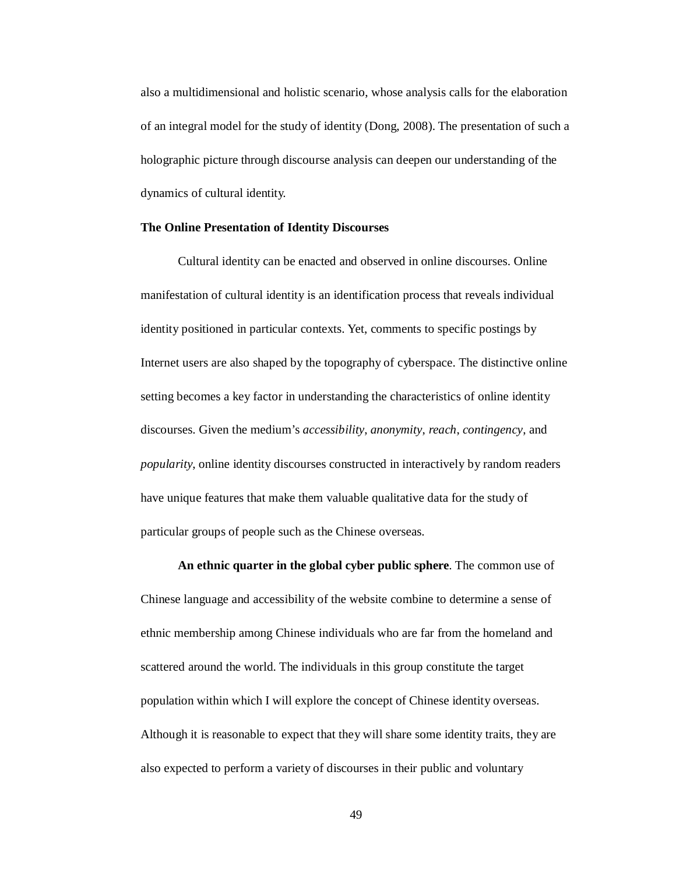also a multidimensional and holistic scenario, whose analysis calls for the elaboration of an integral model for the study of identity (Dong, 2008). The presentation of such a holographic picture through discourse analysis can deepen our understanding of the dynamics of cultural identity.

### **The Online Presentation of Identity Discourses**

Cultural identity can be enacted and observed in online discourses. Online manifestation of cultural identity is an identification process that reveals individual identity positioned in particular contexts. Yet, comments to specific postings by Internet users are also shaped by the topography of cyberspace. The distinctive online setting becomes a key factor in understanding the characteristics of online identity discourses. Given the medium's *accessibility*, *anonymity*, *reach*, *contingency*, and *popularity*, online identity discourses constructed in interactively by random readers have unique features that make them valuable qualitative data for the study of particular groups of people such as the Chinese overseas.

**An ethnic quarter in the global cyber public sphere**. The common use of Chinese language and accessibility of the website combine to determine a sense of ethnic membership among Chinese individuals who are far from the homeland and scattered around the world. The individuals in this group constitute the target population within which I will explore the concept of Chinese identity overseas. Although it is reasonable to expect that they will share some identity traits, they are also expected to perform a variety of discourses in their public and voluntary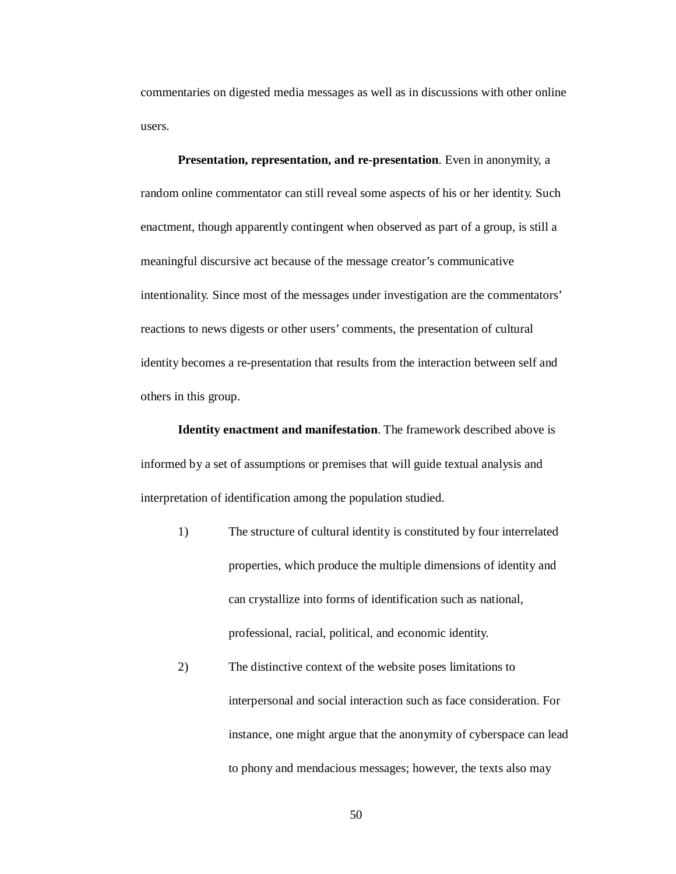commentaries on digested media messages as well as in discussions with other online users.

**Presentation, representation, and re-presentation**. Even in anonymity, a random online commentator can still reveal some aspects of his or her identity. Such enactment, though apparently contingent when observed as part of a group, is still a meaningful discursive act because of the message creator's communicative intentionality. Since most of the messages under investigation are the commentators' reactions to news digests or other users' comments, the presentation of cultural identity becomes a re-presentation that results from the interaction between self and others in this group.

**Identity enactment and manifestation**. The framework described above is informed by a set of assumptions or premises that will guide textual analysis and interpretation of identification among the population studied.

- 1) The structure of cultural identity is constituted by four interrelated properties, which produce the multiple dimensions of identity and can crystallize into forms of identification such as national, professional, racial, political, and economic identity.
- 2) The distinctive context of the website poses limitations to interpersonal and social interaction such as face consideration. For instance, one might argue that the anonymity of cyberspace can lead to phony and mendacious messages; however, the texts also may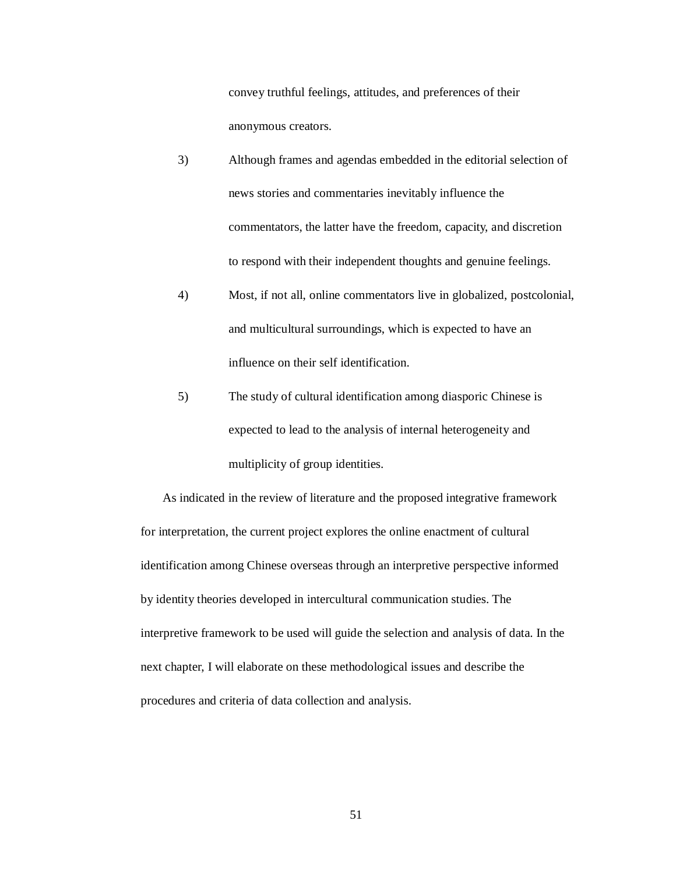convey truthful feelings, attitudes, and preferences of their anonymous creators.

- 3) Although frames and agendas embedded in the editorial selection of news stories and commentaries inevitably influence the commentators, the latter have the freedom, capacity, and discretion to respond with their independent thoughts and genuine feelings.
- 4) Most, if not all, online commentators live in globalized, postcolonial, and multicultural surroundings, which is expected to have an influence on their self identification.
- 5) The study of cultural identification among diasporic Chinese is expected to lead to the analysis of internal heterogeneity and multiplicity of group identities.

As indicated in the review of literature and the proposed integrative framework for interpretation, the current project explores the online enactment of cultural identification among Chinese overseas through an interpretive perspective informed by identity theories developed in intercultural communication studies. The interpretive framework to be used will guide the selection and analysis of data. In the next chapter, I will elaborate on these methodological issues and describe the procedures and criteria of data collection and analysis.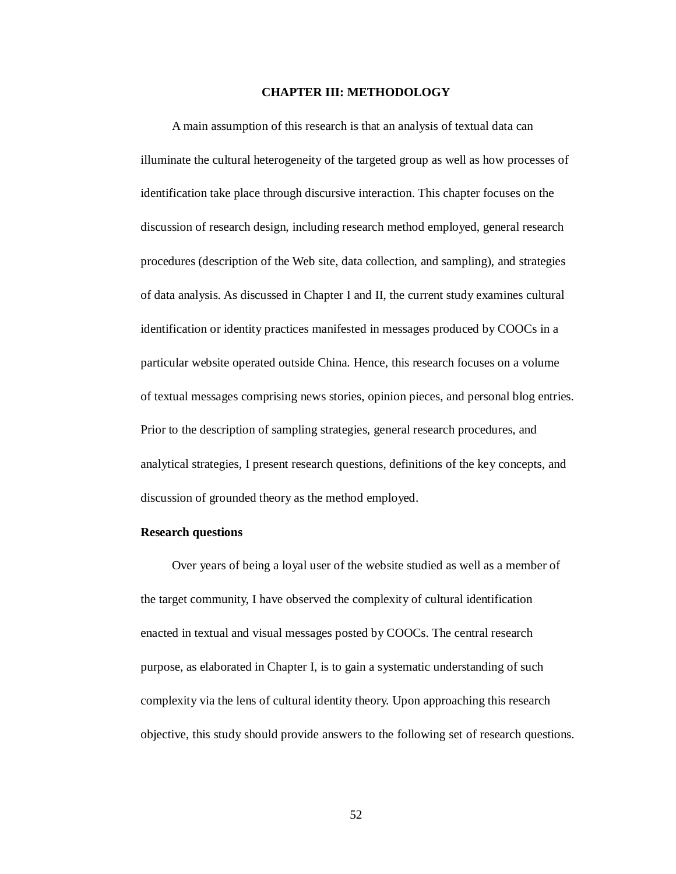## **CHAPTER III: METHODOLOGY**

A main assumption of this research is that an analysis of textual data can illuminate the cultural heterogeneity of the targeted group as well as how processes of identification take place through discursive interaction. This chapter focuses on the discussion of research design, including research method employed, general research procedures (description of the Web site, data collection, and sampling), and strategies of data analysis. As discussed in Chapter I and II, the current study examines cultural identification or identity practices manifested in messages produced by COOCs in a particular website operated outside China. Hence, this research focuses on a volume of textual messages comprising news stories, opinion pieces, and personal blog entries. Prior to the description of sampling strategies, general research procedures, and analytical strategies, I present research questions, definitions of the key concepts, and discussion of grounded theory as the method employed.

#### **Research questions**

Over years of being a loyal user of the website studied as well as a member of the target community, I have observed the complexity of cultural identification enacted in textual and visual messages posted by COOCs. The central research purpose, as elaborated in Chapter I, is to gain a systematic understanding of such complexity via the lens of cultural identity theory. Upon approaching this research objective, this study should provide answers to the following set of research questions.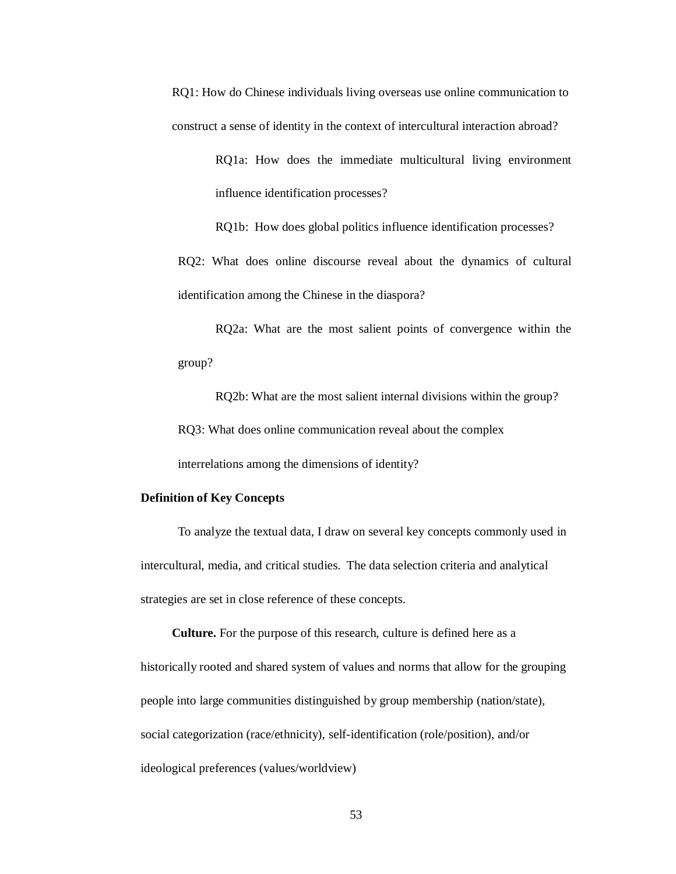RQ1: How do Chinese individuals living overseas use online communication to construct a sense of identity in the context of intercultural interaction abroad?

> RQ1a: How does the immediate multicultural living environment influence identification processes?

RQ1b: How does global politics influence identification processes? RQ2: What does online discourse reveal about the dynamics of cultural identification among the Chinese in the diaspora?

RQ2a: What are the most salient points of convergence within the group?

RQ2b: What are the most salient internal divisions within the group? RQ3: What does online communication reveal about the complex interrelations among the dimensions of identity?

# **Definition of Key Concepts**

To analyze the textual data, I draw on several key concepts commonly used in intercultural, media, and critical studies. The data selection criteria and analytical strategies are set in close reference of these concepts.

**Culture.** For the purpose of this research, culture is defined here as a historically rooted and shared system of values and norms that allow for the grouping people into large communities distinguished by group membership (nation/state), social categorization (race/ethnicity), self-identification (role/position), and/or ideological preferences (values/worldview)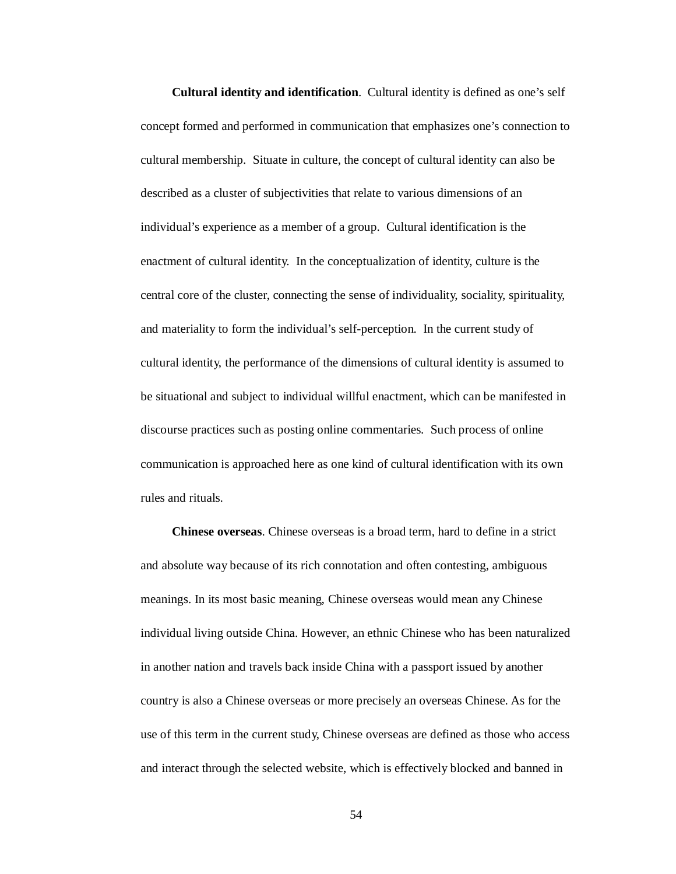**Cultural identity and identification**. Cultural identity is defined as one's self concept formed and performed in communication that emphasizes one's connection to cultural membership. Situate in culture, the concept of cultural identity can also be described as a cluster of subjectivities that relate to various dimensions of an individual's experience as a member of a group. Cultural identification is the enactment of cultural identity. In the conceptualization of identity, culture is the central core of the cluster, connecting the sense of individuality, sociality, spirituality, and materiality to form the individual's self-perception. In the current study of cultural identity, the performance of the dimensions of cultural identity is assumed to be situational and subject to individual willful enactment, which can be manifested in discourse practices such as posting online commentaries. Such process of online communication is approached here as one kind of cultural identification with its own rules and rituals.

**Chinese overseas**. Chinese overseas is a broad term, hard to define in a strict and absolute way because of its rich connotation and often contesting, ambiguous meanings. In its most basic meaning, Chinese overseas would mean any Chinese individual living outside China. However, an ethnic Chinese who has been naturalized in another nation and travels back inside China with a passport issued by another country is also a Chinese overseas or more precisely an overseas Chinese. As for the use of this term in the current study, Chinese overseas are defined as those who access and interact through the selected website, which is effectively blocked and banned in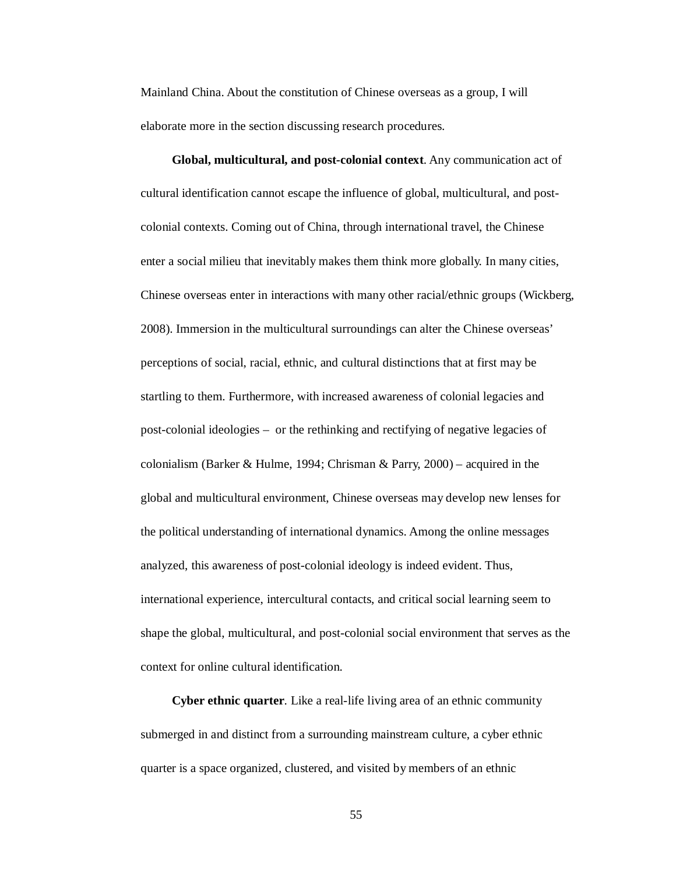Mainland China. About the constitution of Chinese overseas as a group, I will elaborate more in the section discussing research procedures.

**Global, multicultural, and post-colonial context**. Any communication act of cultural identification cannot escape the influence of global, multicultural, and postcolonial contexts. Coming out of China, through international travel, the Chinese enter a social milieu that inevitably makes them think more globally. In many cities, Chinese overseas enter in interactions with many other racial/ethnic groups (Wickberg, 2008). Immersion in the multicultural surroundings can alter the Chinese overseas' perceptions of social, racial, ethnic, and cultural distinctions that at first may be startling to them. Furthermore, with increased awareness of colonial legacies and post-colonial ideologies – or the rethinking and rectifying of negative legacies of colonialism (Barker & Hulme, 1994; Chrisman & Parry, 2000) – acquired in the global and multicultural environment, Chinese overseas may develop new lenses for the political understanding of international dynamics. Among the online messages analyzed, this awareness of post-colonial ideology is indeed evident. Thus, international experience, intercultural contacts, and critical social learning seem to shape the global, multicultural, and post-colonial social environment that serves as the context for online cultural identification.

**Cyber ethnic quarter**. Like a real-life living area of an ethnic community submerged in and distinct from a surrounding mainstream culture, a cyber ethnic quarter is a space organized, clustered, and visited by members of an ethnic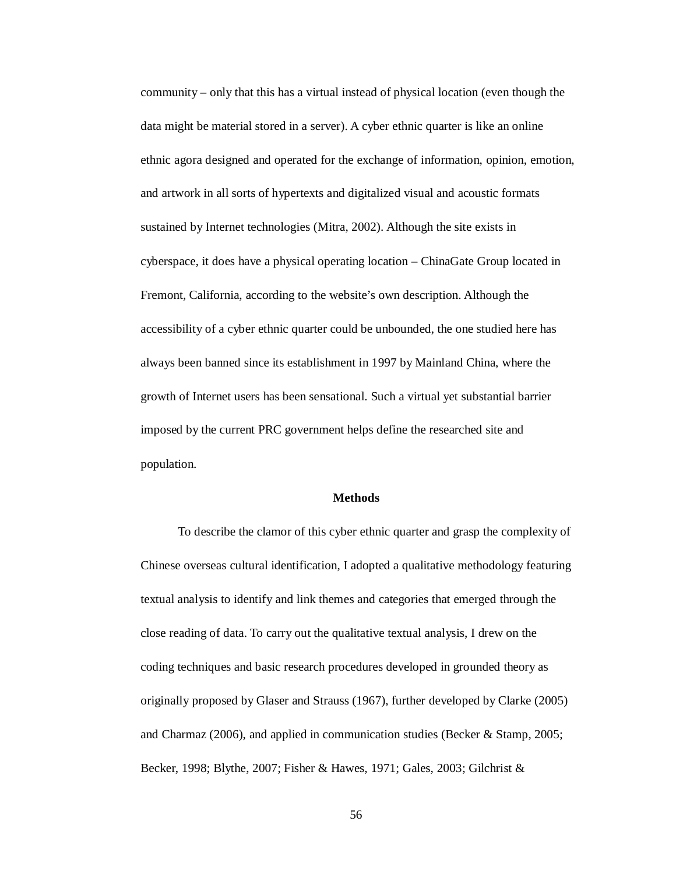community – only that this has a virtual instead of physical location (even though the data might be material stored in a server). A cyber ethnic quarter is like an online ethnic agora designed and operated for the exchange of information, opinion, emotion, and artwork in all sorts of hypertexts and digitalized visual and acoustic formats sustained by Internet technologies (Mitra, 2002). Although the site exists in cyberspace, it does have a physical operating location – ChinaGate Group located in Fremont, California, according to the website's own description. Although the accessibility of a cyber ethnic quarter could be unbounded, the one studied here has always been banned since its establishment in 1997 by Mainland China, where the growth of Internet users has been sensational. Such a virtual yet substantial barrier imposed by the current PRC government helps define the researched site and population.

### **Methods**

To describe the clamor of this cyber ethnic quarter and grasp the complexity of Chinese overseas cultural identification, I adopted a qualitative methodology featuring textual analysis to identify and link themes and categories that emerged through the close reading of data. To carry out the qualitative textual analysis, I drew on the coding techniques and basic research procedures developed in grounded theory as originally proposed by Glaser and Strauss (1967), further developed by Clarke (2005) and Charmaz (2006), and applied in communication studies (Becker & Stamp, 2005; Becker, 1998; Blythe, 2007; Fisher & Hawes, 1971; Gales, 2003; Gilchrist &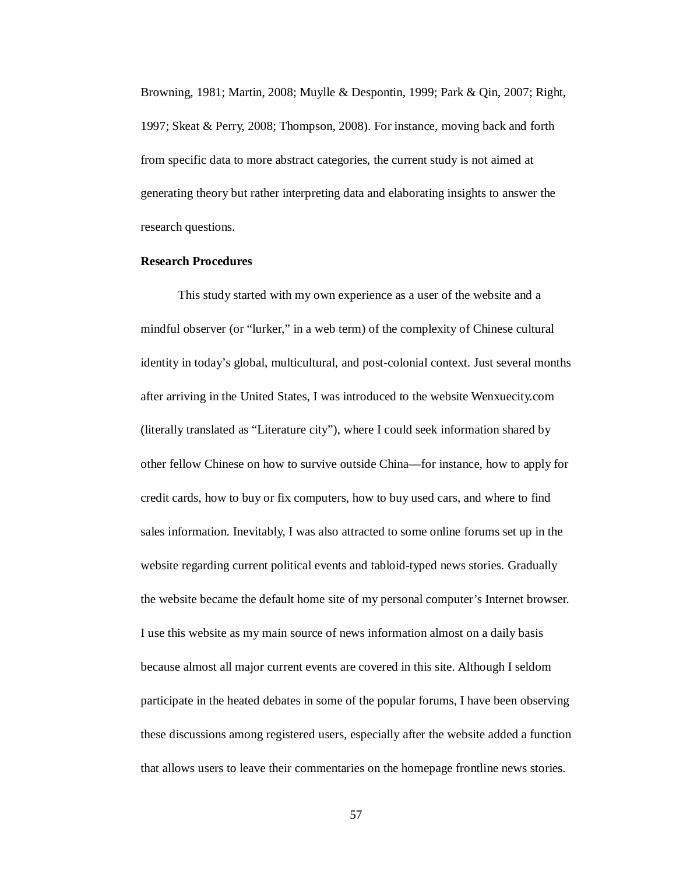Browning, 1981; Martin, 2008; Muylle & Despontin, 1999; Park & Qin, 2007; Right, 1997; Skeat & Perry, 2008; Thompson, 2008). For instance, moving back and forth from specific data to more abstract categories, the current study is not aimed at generating theory but rather interpreting data and elaborating insights to answer the research questions.

# **Research Procedures**

This study started with my own experience as a user of the website and a mindful observer (or "lurker," in a web term) of the complexity of Chinese cultural identity in today's global, multicultural, and post-colonial context. Just several months after arriving in the United States, I was introduced to the website Wenxuecity.com (literally translated as "Literature city"), where I could seek information shared by other fellow Chinese on how to survive outside China—for instance, how to apply for credit cards, how to buy or fix computers, how to buy used cars, and where to find sales information. Inevitably, I was also attracted to some online forums set up in the website regarding current political events and tabloid-typed news stories. Gradually the website became the default home site of my personal computer's Internet browser. I use this website as my main source of news information almost on a daily basis because almost all major current events are covered in this site. Although I seldom participate in the heated debates in some of the popular forums, I have been observing these discussions among registered users, especially after the website added a function that allows users to leave their commentaries on the homepage frontline news stories.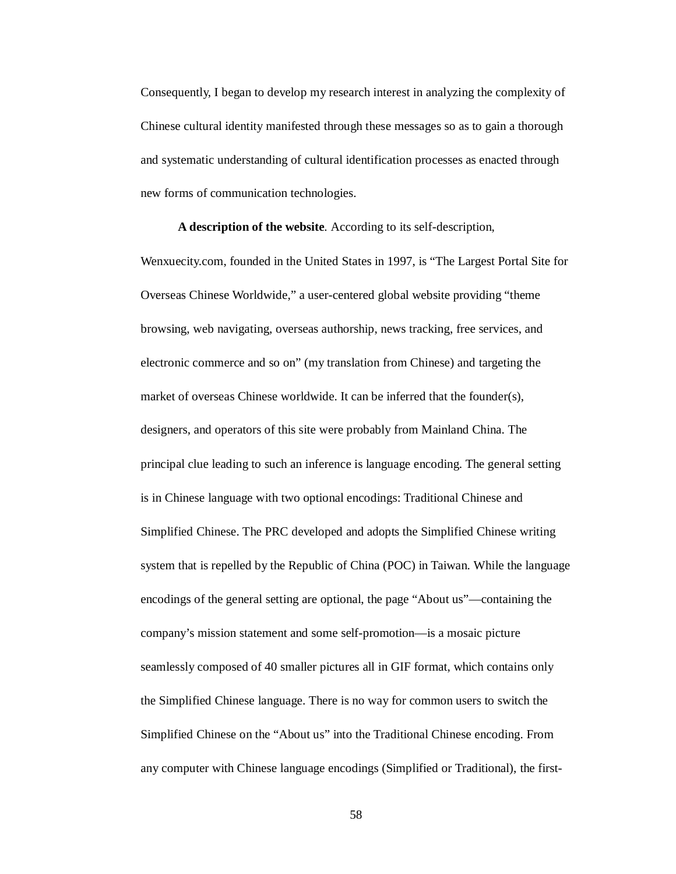Consequently, I began to develop my research interest in analyzing the complexity of Chinese cultural identity manifested through these messages so as to gain a thorough and systematic understanding of cultural identification processes as enacted through new forms of communication technologies.

**A description of the website***.* According to its self-description, Wenxuecity.com, founded in the United States in 1997, is "The Largest Portal Site for Overseas Chinese Worldwide," a user-centered global website providing "theme browsing, web navigating, overseas authorship, news tracking, free services, and electronic commerce and so on" (my translation from Chinese) and targeting the market of overseas Chinese worldwide. It can be inferred that the founder(s), designers, and operators of this site were probably from Mainland China. The principal clue leading to such an inference is language encoding. The general setting is in Chinese language with two optional encodings: Traditional Chinese and Simplified Chinese. The PRC developed and adopts the Simplified Chinese writing system that is repelled by the Republic of China (POC) in Taiwan. While the language encodings of the general setting are optional, the page "About us"—containing the company's mission statement and some self-promotion—is a mosaic picture seamlessly composed of 40 smaller pictures all in GIF format, which contains only the Simplified Chinese language. There is no way for common users to switch the Simplified Chinese on the "About us" into the Traditional Chinese encoding. From any computer with Chinese language encodings (Simplified or Traditional), the first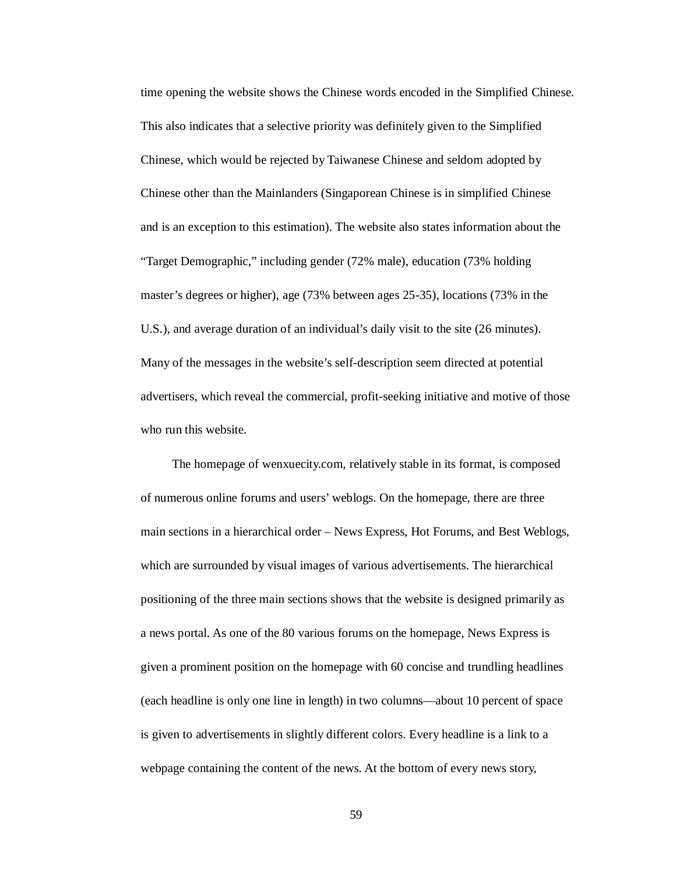time opening the website shows the Chinese words encoded in the Simplified Chinese. This also indicates that a selective priority was definitely given to the Simplified Chinese, which would be rejected by Taiwanese Chinese and seldom adopted by Chinese other than the Mainlanders (Singaporean Chinese is in simplified Chinese and is an exception to this estimation). The website also states information about the "Target Demographic," including gender (72% male), education (73% holding master's degrees or higher), age (73% between ages 25-35), locations (73% in the U.S.), and average duration of an individual's daily visit to the site (26 minutes). Many of the messages in the website's self-description seem directed at potential advertisers, which reveal the commercial, profit-seeking initiative and motive of those who run this website.

The homepage of wenxuecity.com, relatively stable in its format, is composed of numerous online forums and users' weblogs. On the homepage, there are three main sections in a hierarchical order – News Express, Hot Forums, and Best Weblogs, which are surrounded by visual images of various advertisements. The hierarchical positioning of the three main sections shows that the website is designed primarily as a news portal. As one of the 80 various forums on the homepage, News Express is given a prominent position on the homepage with 60 concise and trundling headlines (each headline is only one line in length) in two columns—about 10 percent of space is given to advertisements in slightly different colors. Every headline is a link to a webpage containing the content of the news. At the bottom of every news story,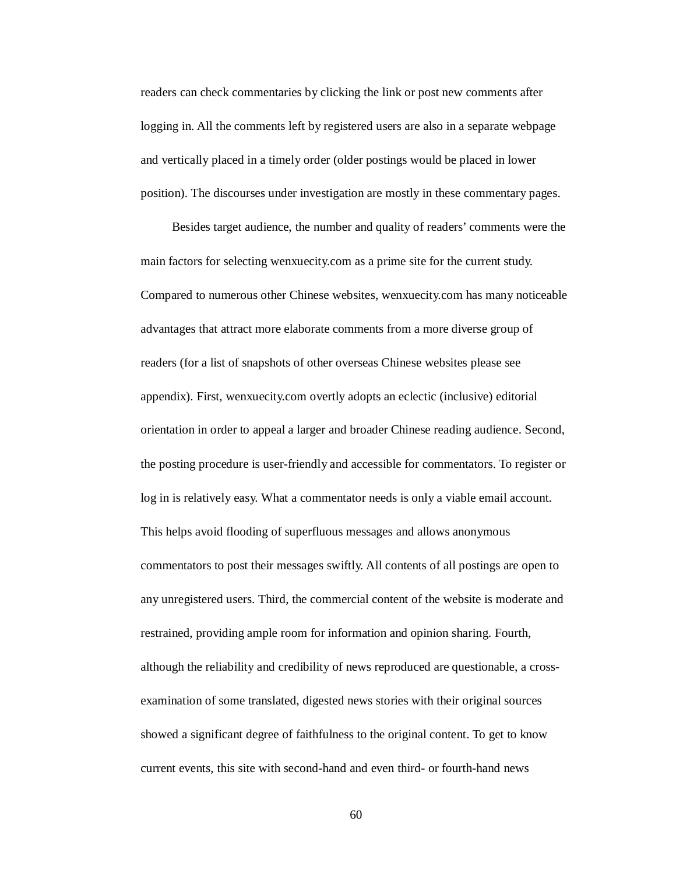readers can check commentaries by clicking the link or post new comments after logging in. All the comments left by registered users are also in a separate webpage and vertically placed in a timely order (older postings would be placed in lower position). The discourses under investigation are mostly in these commentary pages.

Besides target audience, the number and quality of readers' comments were the main factors for selecting wenxuecity.com as a prime site for the current study. Compared to numerous other Chinese websites, wenxuecity.com has many noticeable advantages that attract more elaborate comments from a more diverse group of readers (for a list of snapshots of other overseas Chinese websites please see appendix). First, wenxuecity.com overtly adopts an eclectic (inclusive) editorial orientation in order to appeal a larger and broader Chinese reading audience. Second, the posting procedure is user-friendly and accessible for commentators. To register or log in is relatively easy. What a commentator needs is only a viable email account. This helps avoid flooding of superfluous messages and allows anonymous commentators to post their messages swiftly. All contents of all postings are open to any unregistered users. Third, the commercial content of the website is moderate and restrained, providing ample room for information and opinion sharing. Fourth, although the reliability and credibility of news reproduced are questionable, a crossexamination of some translated, digested news stories with their original sources showed a significant degree of faithfulness to the original content. To get to know current events, this site with second-hand and even third- or fourth-hand news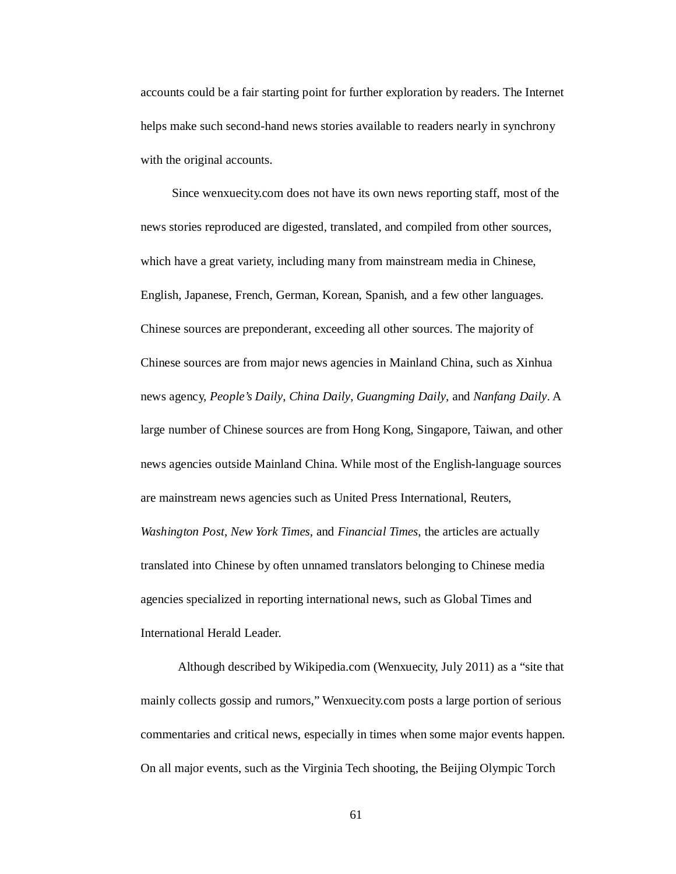accounts could be a fair starting point for further exploration by readers. The Internet helps make such second-hand news stories available to readers nearly in synchrony with the original accounts.

Since wenxuecity.com does not have its own news reporting staff, most of the news stories reproduced are digested, translated, and compiled from other sources, which have a great variety, including many from mainstream media in Chinese, English, Japanese, French, German, Korean, Spanish, and a few other languages. Chinese sources are preponderant, exceeding all other sources. The majority of Chinese sources are from major news agencies in Mainland China, such as Xinhua news agency, *People's Daily*, *China Daily*, *Guangming Daily*, and *Nanfang Daily*. A large number of Chinese sources are from Hong Kong, Singapore, Taiwan, and other news agencies outside Mainland China. While most of the English-language sources are mainstream news agencies such as United Press International, Reuters, *Washington Post*, *New York Times*, and *Financial Times*, the articles are actually translated into Chinese by often unnamed translators belonging to Chinese media agencies specialized in reporting international news, such as Global Times and International Herald Leader.

Although described by Wikipedia.com (Wenxuecity, July 2011) as a "site that mainly collects gossip and rumors," Wenxuecity.com posts a large portion of serious commentaries and critical news, especially in times when some major events happen. On all major events, such as the Virginia Tech shooting, the Beijing Olympic Torch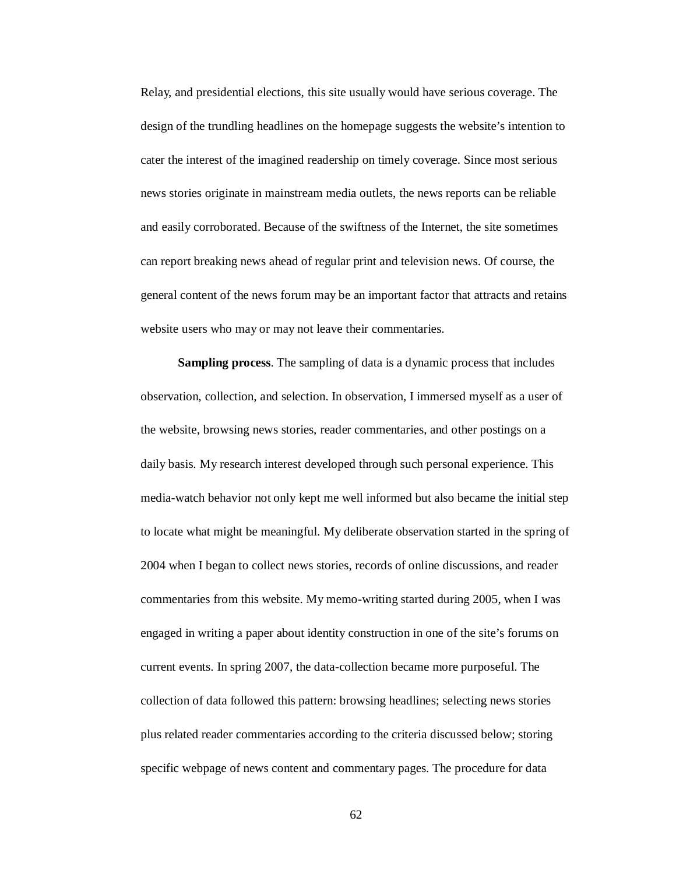Relay, and presidential elections, this site usually would have serious coverage. The design of the trundling headlines on the homepage suggests the website's intention to cater the interest of the imagined readership on timely coverage. Since most serious news stories originate in mainstream media outlets, the news reports can be reliable and easily corroborated. Because of the swiftness of the Internet, the site sometimes can report breaking news ahead of regular print and television news. Of course, the general content of the news forum may be an important factor that attracts and retains website users who may or may not leave their commentaries.

**Sampling process**. The sampling of data is a dynamic process that includes observation, collection, and selection. In observation, I immersed myself as a user of the website, browsing news stories, reader commentaries, and other postings on a daily basis. My research interest developed through such personal experience. This media-watch behavior not only kept me well informed but also became the initial step to locate what might be meaningful. My deliberate observation started in the spring of 2004 when I began to collect news stories, records of online discussions, and reader commentaries from this website. My memo-writing started during 2005, when I was engaged in writing a paper about identity construction in one of the site's forums on current events. In spring 2007, the data-collection became more purposeful. The collection of data followed this pattern: browsing headlines; selecting news stories plus related reader commentaries according to the criteria discussed below; storing specific webpage of news content and commentary pages. The procedure for data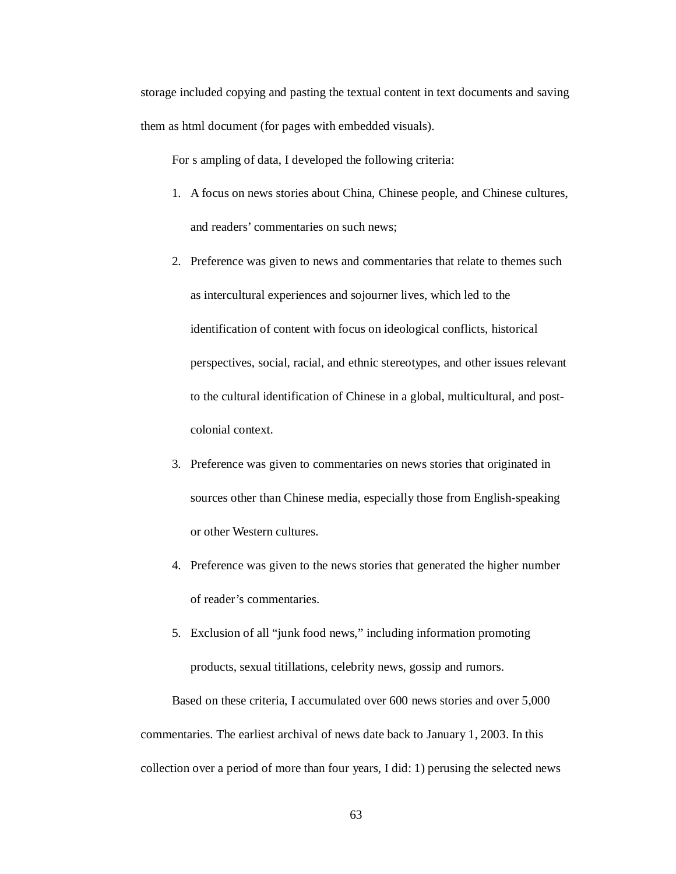storage included copying and pasting the textual content in text documents and saving them as html document (for pages with embedded visuals).

For s ampling of data, I developed the following criteria:

- 1. A focus on news stories about China, Chinese people, and Chinese cultures, and readers' commentaries on such news;
- 2. Preference was given to news and commentaries that relate to themes such as intercultural experiences and sojourner lives, which led to the identification of content with focus on ideological conflicts, historical perspectives, social, racial, and ethnic stereotypes, and other issues relevant to the cultural identification of Chinese in a global, multicultural, and postcolonial context.
- 3. Preference was given to commentaries on news stories that originated in sources other than Chinese media, especially those from English-speaking or other Western cultures.
- 4. Preference was given to the news stories that generated the higher number of reader's commentaries.
- 5. Exclusion of all "junk food news," including information promoting products, sexual titillations, celebrity news, gossip and rumors.

Based on these criteria, I accumulated over 600 news stories and over 5,000 commentaries. The earliest archival of news date back to January 1, 2003. In this collection over a period of more than four years, I did: 1) perusing the selected news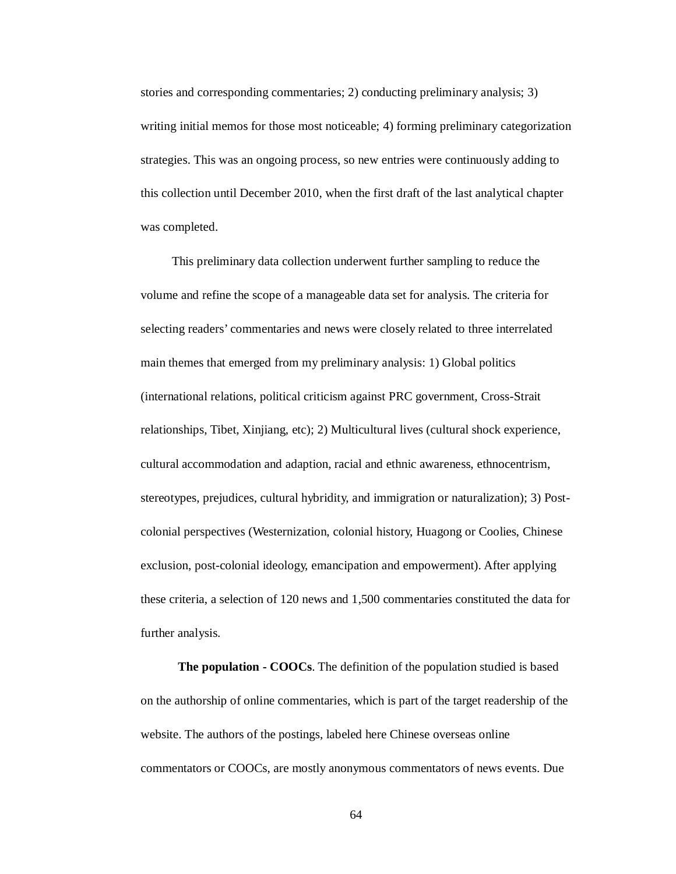stories and corresponding commentaries; 2) conducting preliminary analysis; 3) writing initial memos for those most noticeable; 4) forming preliminary categorization strategies. This was an ongoing process, so new entries were continuously adding to this collection until December 2010, when the first draft of the last analytical chapter was completed.

This preliminary data collection underwent further sampling to reduce the volume and refine the scope of a manageable data set for analysis. The criteria for selecting readers' commentaries and news were closely related to three interrelated main themes that emerged from my preliminary analysis: 1) Global politics (international relations, political criticism against PRC government, Cross-Strait relationships, Tibet, Xinjiang, etc); 2) Multicultural lives (cultural shock experience, cultural accommodation and adaption, racial and ethnic awareness, ethnocentrism, stereotypes, prejudices, cultural hybridity, and immigration or naturalization); 3) Postcolonial perspectives (Westernization, colonial history, Huagong or Coolies, Chinese exclusion, post-colonial ideology, emancipation and empowerment). After applying these criteria, a selection of 120 news and 1,500 commentaries constituted the data for further analysis.

**The population - COOCs**. The definition of the population studied is based on the authorship of online commentaries, which is part of the target readership of the website. The authors of the postings, labeled here Chinese overseas online commentators or COOCs, are mostly anonymous commentators of news events. Due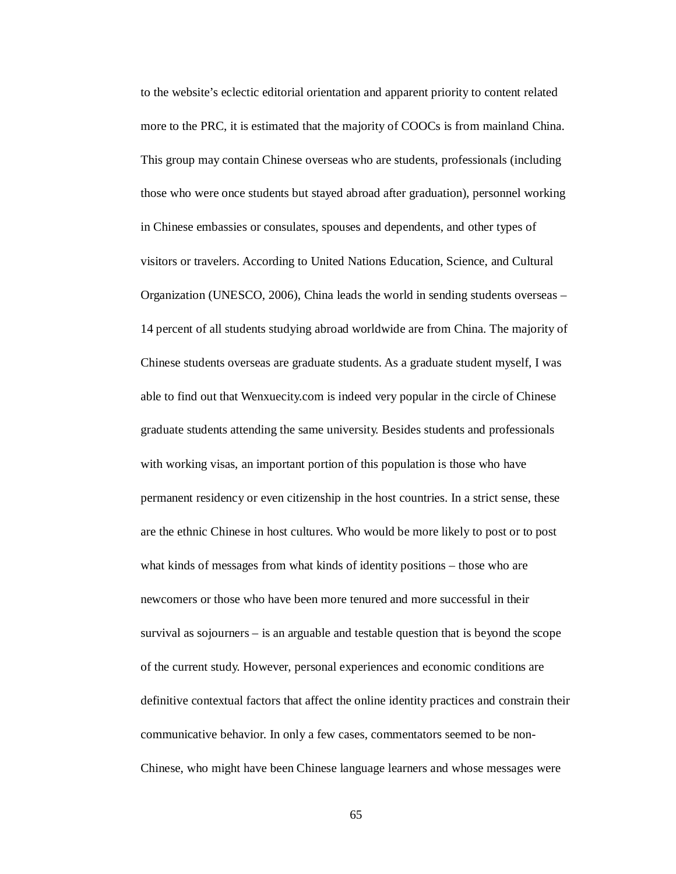to the website's eclectic editorial orientation and apparent priority to content related more to the PRC, it is estimated that the majority of COOCs is from mainland China. This group may contain Chinese overseas who are students, professionals (including those who were once students but stayed abroad after graduation), personnel working in Chinese embassies or consulates, spouses and dependents, and other types of visitors or travelers. According to United Nations Education, Science, and Cultural Organization (UNESCO, 2006), China leads the world in sending students overseas – 14 percent of all students studying abroad worldwide are from China. The majority of Chinese students overseas are graduate students. As a graduate student myself, I was able to find out that Wenxuecity.com is indeed very popular in the circle of Chinese graduate students attending the same university. Besides students and professionals with working visas, an important portion of this population is those who have permanent residency or even citizenship in the host countries. In a strict sense, these are the ethnic Chinese in host cultures. Who would be more likely to post or to post what kinds of messages from what kinds of identity positions – those who are newcomers or those who have been more tenured and more successful in their survival as sojourners – is an arguable and testable question that is beyond the scope of the current study. However, personal experiences and economic conditions are definitive contextual factors that affect the online identity practices and constrain their communicative behavior. In only a few cases, commentators seemed to be non-Chinese, who might have been Chinese language learners and whose messages were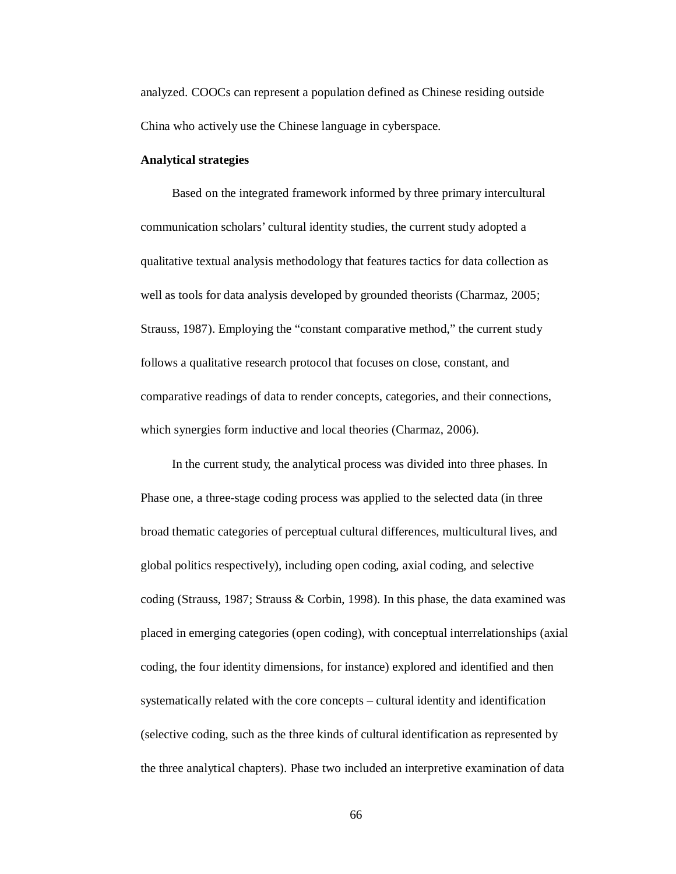analyzed. COOCs can represent a population defined as Chinese residing outside China who actively use the Chinese language in cyberspace.

#### **Analytical strategies**

Based on the integrated framework informed by three primary intercultural communication scholars' cultural identity studies, the current study adopted a qualitative textual analysis methodology that features tactics for data collection as well as tools for data analysis developed by grounded theorists (Charmaz, 2005; Strauss, 1987). Employing the "constant comparative method," the current study follows a qualitative research protocol that focuses on close, constant, and comparative readings of data to render concepts, categories, and their connections, which synergies form inductive and local theories (Charmaz, 2006).

In the current study, the analytical process was divided into three phases. In Phase one, a three-stage coding process was applied to the selected data (in three broad thematic categories of perceptual cultural differences, multicultural lives, and global politics respectively), including open coding, axial coding, and selective coding (Strauss, 1987; Strauss & Corbin, 1998). In this phase, the data examined was placed in emerging categories (open coding), with conceptual interrelationships (axial coding, the four identity dimensions, for instance) explored and identified and then systematically related with the core concepts – cultural identity and identification (selective coding, such as the three kinds of cultural identification as represented by the three analytical chapters). Phase two included an interpretive examination of data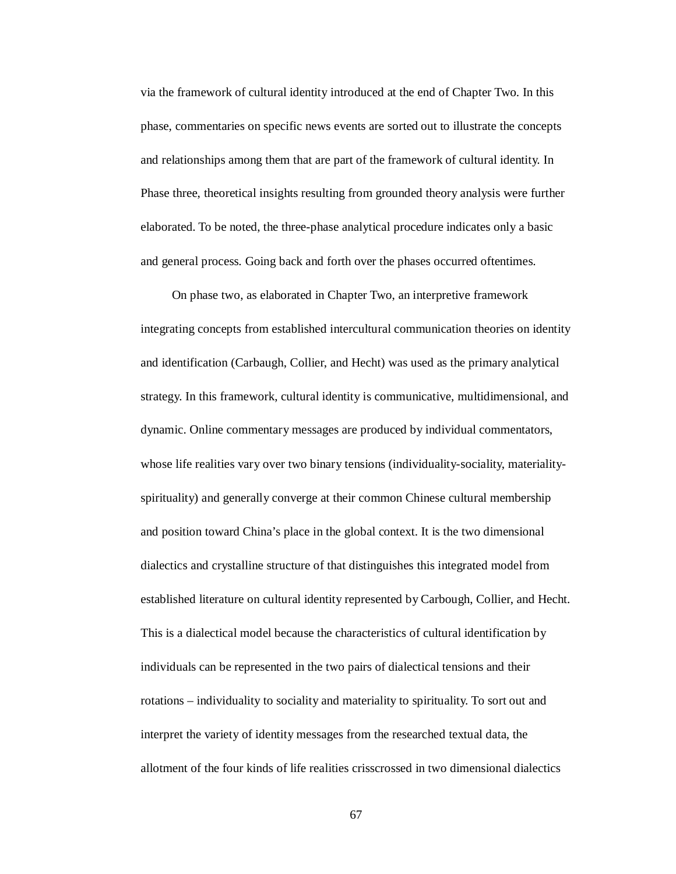via the framework of cultural identity introduced at the end of Chapter Two. In this phase, commentaries on specific news events are sorted out to illustrate the concepts and relationships among them that are part of the framework of cultural identity. In Phase three, theoretical insights resulting from grounded theory analysis were further elaborated. To be noted, the three-phase analytical procedure indicates only a basic and general process. Going back and forth over the phases occurred oftentimes.

On phase two, as elaborated in Chapter Two, an interpretive framework integrating concepts from established intercultural communication theories on identity and identification (Carbaugh, Collier, and Hecht) was used as the primary analytical strategy. In this framework, cultural identity is communicative, multidimensional, and dynamic. Online commentary messages are produced by individual commentators, whose life realities vary over two binary tensions (individuality-sociality, materialityspirituality) and generally converge at their common Chinese cultural membership and position toward China's place in the global context. It is the two dimensional dialectics and crystalline structure of that distinguishes this integrated model from established literature on cultural identity represented by Carbough, Collier, and Hecht. This is a dialectical model because the characteristics of cultural identification by individuals can be represented in the two pairs of dialectical tensions and their rotations – individuality to sociality and materiality to spirituality. To sort out and interpret the variety of identity messages from the researched textual data, the allotment of the four kinds of life realities crisscrossed in two dimensional dialectics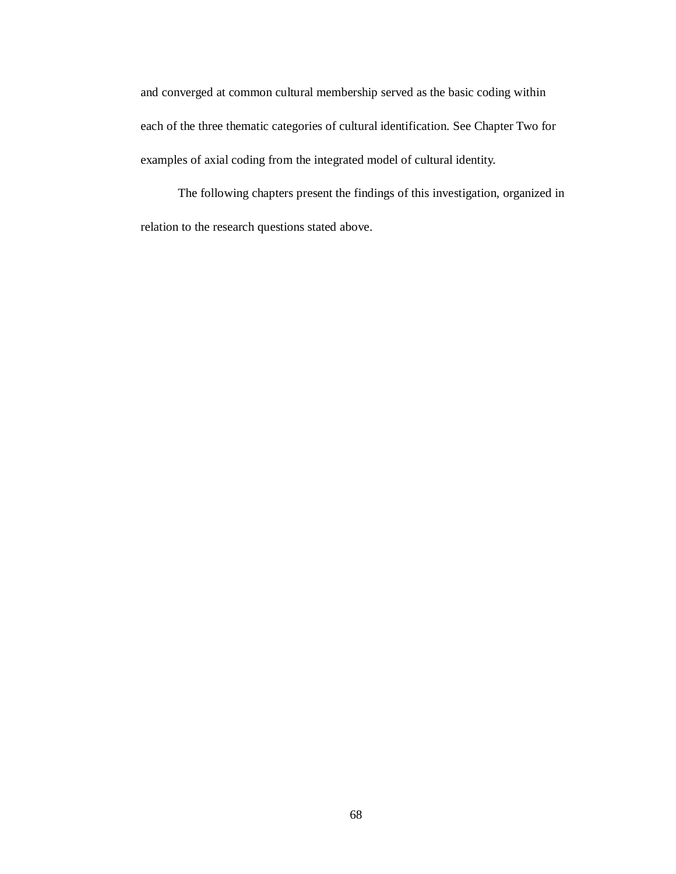and converged at common cultural membership served as the basic coding within each of the three thematic categories of cultural identification. See Chapter Two for examples of axial coding from the integrated model of cultural identity.

The following chapters present the findings of this investigation, organized in relation to the research questions stated above.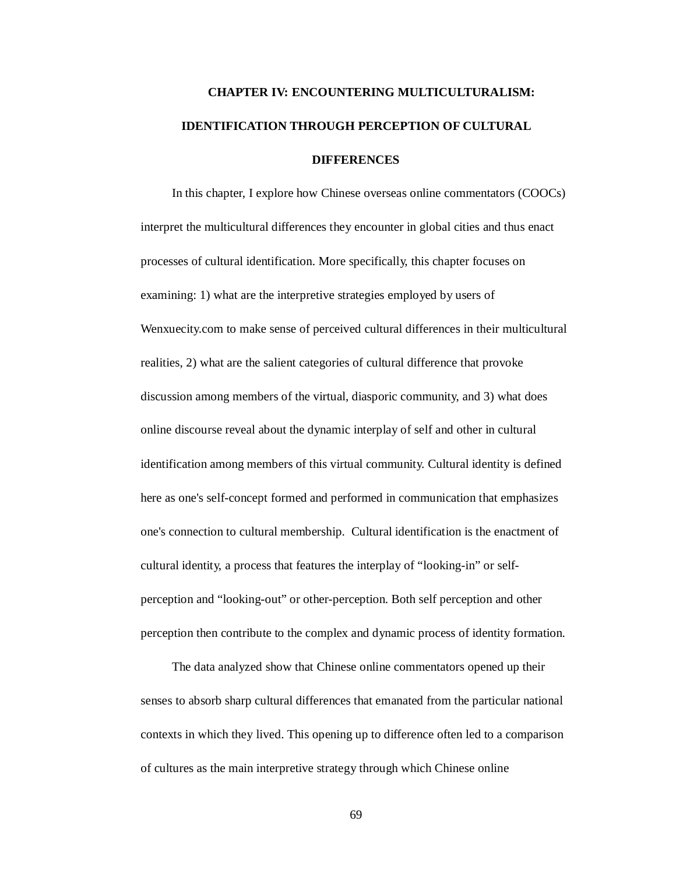# **CHAPTER IV: ENCOUNTERING MULTICULTURALISM: IDENTIFICATION THROUGH PERCEPTION OF CULTURAL DIFFERENCES**

In this chapter, I explore how Chinese overseas online commentators (COOCs) interpret the multicultural differences they encounter in global cities and thus enact processes of cultural identification. More specifically, this chapter focuses on examining: 1) what are the interpretive strategies employed by users of Wenxuecity.com to make sense of perceived cultural differences in their multicultural realities, 2) what are the salient categories of cultural difference that provoke discussion among members of the virtual, diasporic community, and 3) what does online discourse reveal about the dynamic interplay of self and other in cultural identification among members of this virtual community. Cultural identity is defined here as one's self-concept formed and performed in communication that emphasizes one's connection to cultural membership. Cultural identification is the enactment of cultural identity, a process that features the interplay of "looking-in" or selfperception and "looking-out" or other-perception. Both self perception and other perception then contribute to the complex and dynamic process of identity formation.

The data analyzed show that Chinese online commentators opened up their senses to absorb sharp cultural differences that emanated from the particular national contexts in which they lived. This opening up to difference often led to a comparison of cultures as the main interpretive strategy through which Chinese online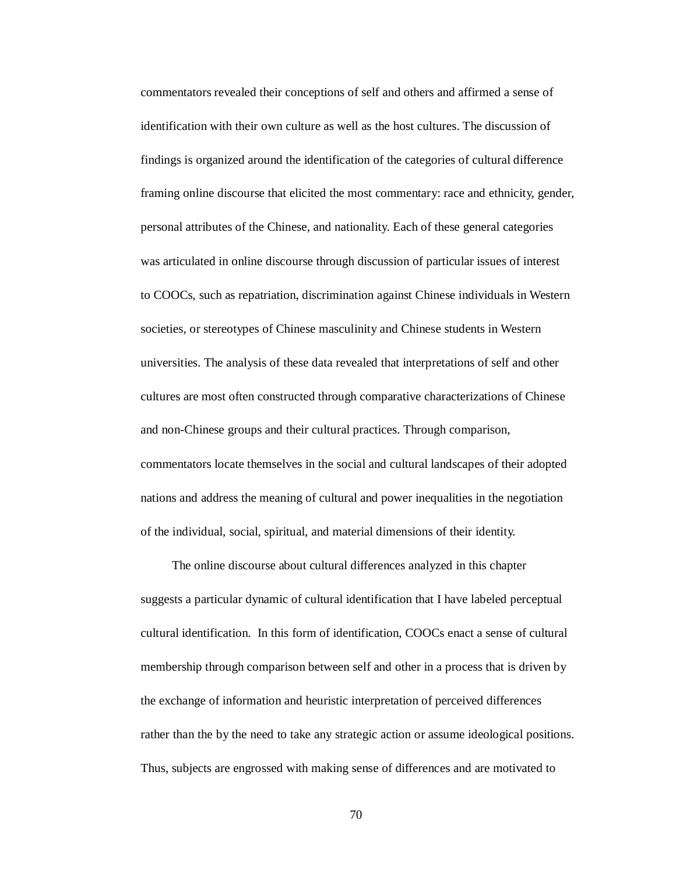commentators revealed their conceptions of self and others and affirmed a sense of identification with their own culture as well as the host cultures. The discussion of findings is organized around the identification of the categories of cultural difference framing online discourse that elicited the most commentary: race and ethnicity, gender, personal attributes of the Chinese, and nationality. Each of these general categories was articulated in online discourse through discussion of particular issues of interest to COOCs, such as repatriation, discrimination against Chinese individuals in Western societies, or stereotypes of Chinese masculinity and Chinese students in Western universities. The analysis of these data revealed that interpretations of self and other cultures are most often constructed through comparative characterizations of Chinese and non-Chinese groups and their cultural practices. Through comparison, commentators locate themselves in the social and cultural landscapes of their adopted nations and address the meaning of cultural and power inequalities in the negotiation of the individual, social, spiritual, and material dimensions of their identity.

The online discourse about cultural differences analyzed in this chapter suggests a particular dynamic of cultural identification that I have labeled perceptual cultural identification. In this form of identification, COOCs enact a sense of cultural membership through comparison between self and other in a process that is driven by the exchange of information and heuristic interpretation of perceived differences rather than the by the need to take any strategic action or assume ideological positions. Thus, subjects are engrossed with making sense of differences and are motivated to

70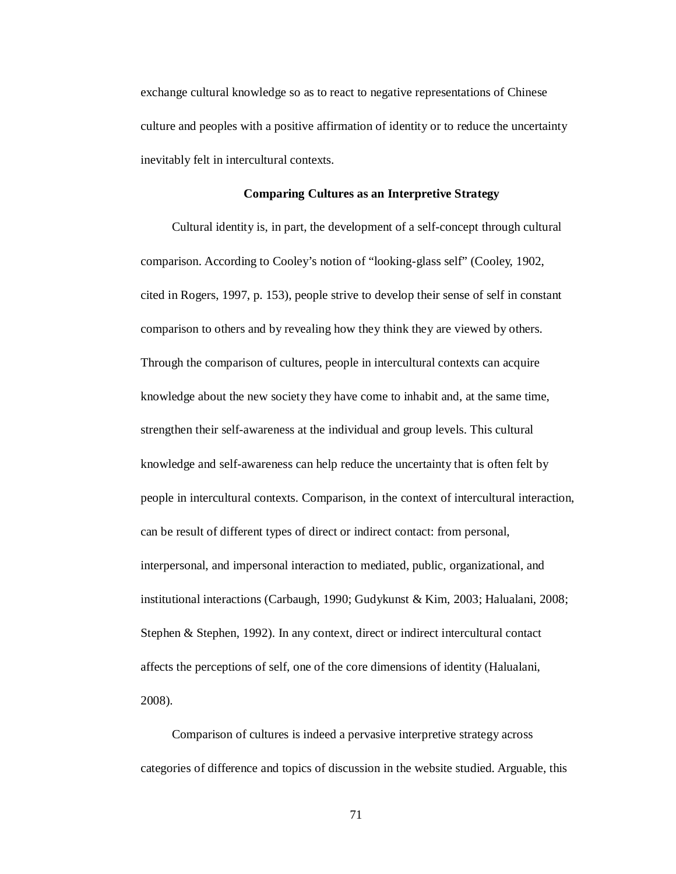exchange cultural knowledge so as to react to negative representations of Chinese culture and peoples with a positive affirmation of identity or to reduce the uncertainty inevitably felt in intercultural contexts.

# **Comparing Cultures as an Interpretive Strategy**

Cultural identity is, in part, the development of a self-concept through cultural comparison. According to Cooley's notion of "looking-glass self" (Cooley, 1902, cited in Rogers, 1997, p. 153), people strive to develop their sense of self in constant comparison to others and by revealing how they think they are viewed by others. Through the comparison of cultures, people in intercultural contexts can acquire knowledge about the new society they have come to inhabit and, at the same time, strengthen their self-awareness at the individual and group levels. This cultural knowledge and self-awareness can help reduce the uncertainty that is often felt by people in intercultural contexts. Comparison, in the context of intercultural interaction, can be result of different types of direct or indirect contact: from personal, interpersonal, and impersonal interaction to mediated, public, organizational, and institutional interactions (Carbaugh, 1990; Gudykunst & Kim, 2003; Halualani, 2008; Stephen & Stephen, 1992). In any context, direct or indirect intercultural contact affects the perceptions of self, one of the core dimensions of identity (Halualani, 2008).

Comparison of cultures is indeed a pervasive interpretive strategy across categories of difference and topics of discussion in the website studied. Arguable, this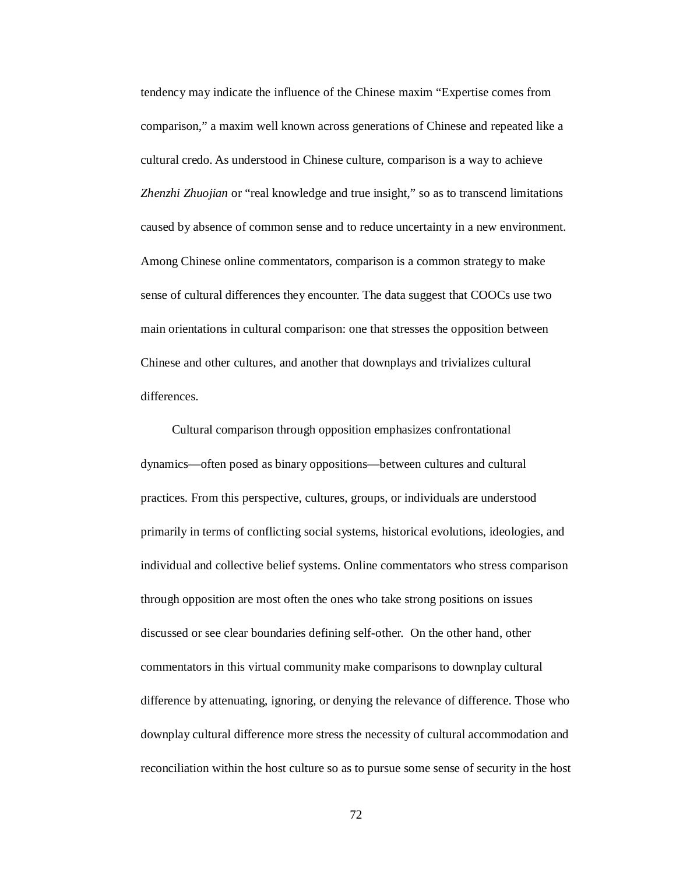tendency may indicate the influence of the Chinese maxim "Expertise comes from comparison," a maxim well known across generations of Chinese and repeated like a cultural credo. As understood in Chinese culture, comparison is a way to achieve *Zhenzhi Zhuojian* or "real knowledge and true insight," so as to transcend limitations caused by absence of common sense and to reduce uncertainty in a new environment. Among Chinese online commentators, comparison is a common strategy to make sense of cultural differences they encounter. The data suggest that COOCs use two main orientations in cultural comparison: one that stresses the opposition between Chinese and other cultures, and another that downplays and trivializes cultural differences.

Cultural comparison through opposition emphasizes confrontational dynamics—often posed as binary oppositions—between cultures and cultural practices. From this perspective, cultures, groups, or individuals are understood primarily in terms of conflicting social systems, historical evolutions, ideologies, and individual and collective belief systems. Online commentators who stress comparison through opposition are most often the ones who take strong positions on issues discussed or see clear boundaries defining self-other. On the other hand, other commentators in this virtual community make comparisons to downplay cultural difference by attenuating, ignoring, or denying the relevance of difference. Those who downplay cultural difference more stress the necessity of cultural accommodation and reconciliation within the host culture so as to pursue some sense of security in the host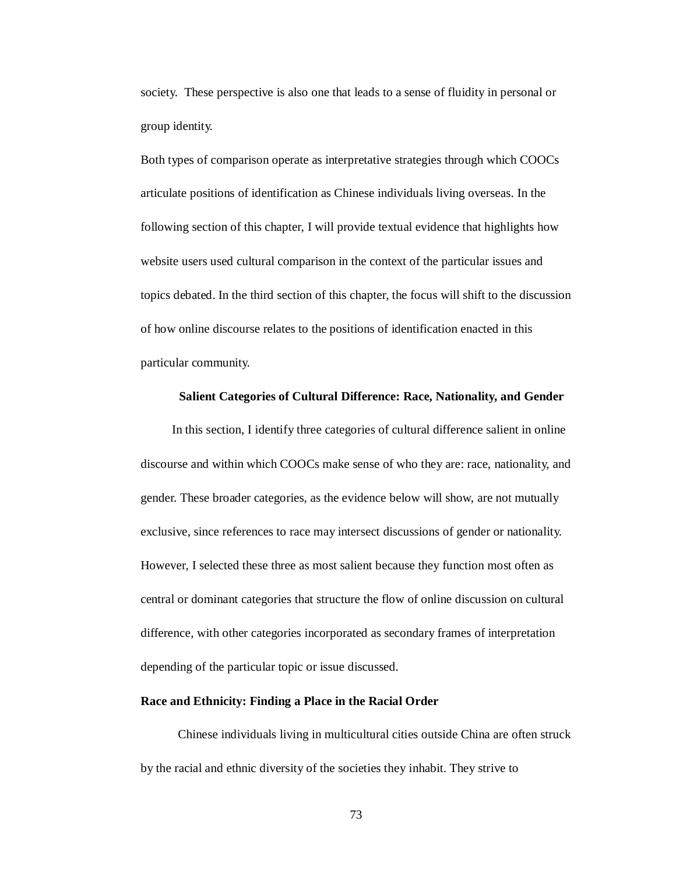society. These perspective is also one that leads to a sense of fluidity in personal or group identity.

Both types of comparison operate as interpretative strategies through which COOCs articulate positions of identification as Chinese individuals living overseas. In the following section of this chapter, I will provide textual evidence that highlights how website users used cultural comparison in the context of the particular issues and topics debated. In the third section of this chapter, the focus will shift to the discussion of how online discourse relates to the positions of identification enacted in this particular community.

#### **Salient Categories of Cultural Difference: Race, Nationality, and Gender**

In this section, I identify three categories of cultural difference salient in online discourse and within which COOCs make sense of who they are: race, nationality, and gender. These broader categories, as the evidence below will show, are not mutually exclusive, since references to race may intersect discussions of gender or nationality. However, I selected these three as most salient because they function most often as central or dominant categories that structure the flow of online discussion on cultural difference, with other categories incorporated as secondary frames of interpretation depending of the particular topic or issue discussed.

### **Race and Ethnicity: Finding a Place in the Racial Order**

Chinese individuals living in multicultural cities outside China are often struck by the racial and ethnic diversity of the societies they inhabit. They strive to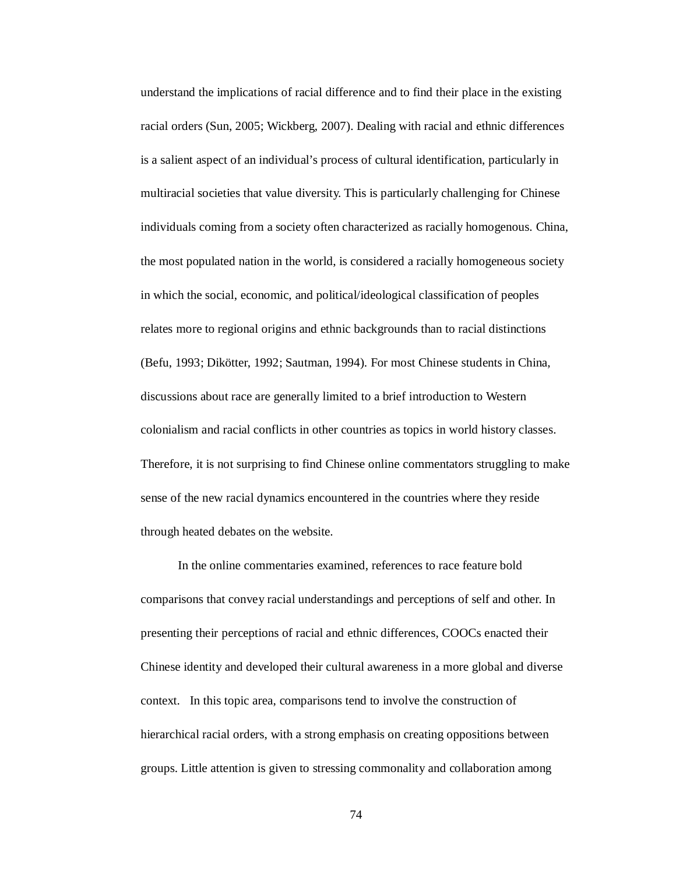understand the implications of racial difference and to find their place in the existing racial orders (Sun, 2005; Wickberg, 2007). Dealing with racial and ethnic differences is a salient aspect of an individual's process of cultural identification, particularly in multiracial societies that value diversity. This is particularly challenging for Chinese individuals coming from a society often characterized as racially homogenous. China, the most populated nation in the world, is considered a racially homogeneous society in which the social, economic, and political/ideological classification of peoples relates more to regional origins and ethnic backgrounds than to racial distinctions (Befu, 1993; Dikötter, 1992; Sautman, 1994). For most Chinese students in China, discussions about race are generally limited to a brief introduction to Western colonialism and racial conflicts in other countries as topics in world history classes. Therefore, it is not surprising to find Chinese online commentators struggling to make sense of the new racial dynamics encountered in the countries where they reside through heated debates on the website.

In the online commentaries examined, references to race feature bold comparisons that convey racial understandings and perceptions of self and other. In presenting their perceptions of racial and ethnic differences, COOCs enacted their Chinese identity and developed their cultural awareness in a more global and diverse context. In this topic area, comparisons tend to involve the construction of hierarchical racial orders, with a strong emphasis on creating oppositions between groups. Little attention is given to stressing commonality and collaboration among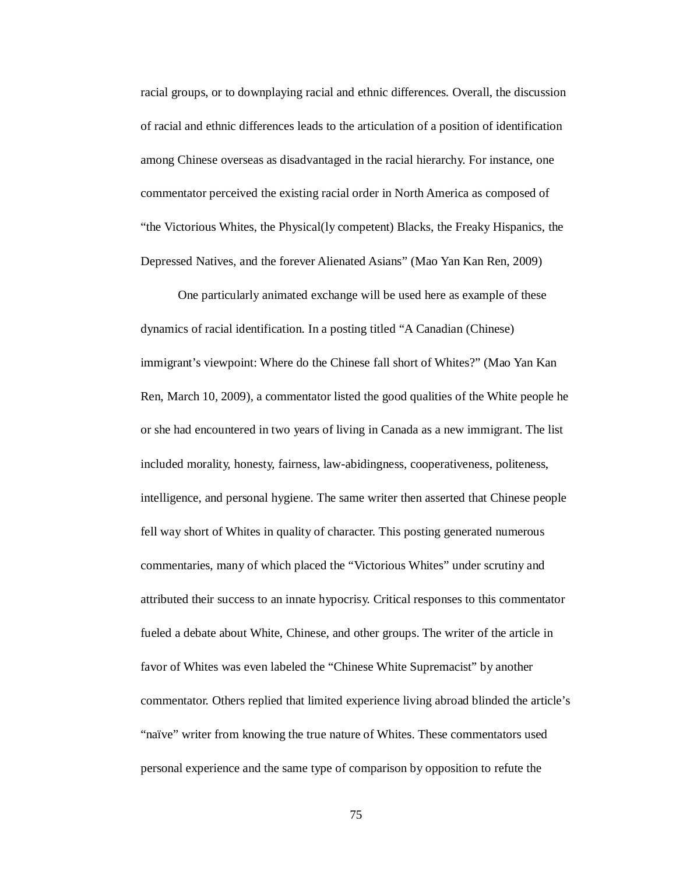racial groups, or to downplaying racial and ethnic differences. Overall, the discussion of racial and ethnic differences leads to the articulation of a position of identification among Chinese overseas as disadvantaged in the racial hierarchy. For instance, one commentator perceived the existing racial order in North America as composed of "the Victorious Whites, the Physical(ly competent) Blacks, the Freaky Hispanics, the Depressed Natives, and the forever Alienated Asians" (Mao Yan Kan Ren, 2009)

One particularly animated exchange will be used here as example of these dynamics of racial identification. In a posting titled "A Canadian (Chinese) immigrant's viewpoint: Where do the Chinese fall short of Whites?" (Mao Yan Kan Ren, March 10, 2009), a commentator listed the good qualities of the White people he or she had encountered in two years of living in Canada as a new immigrant. The list included morality, honesty, fairness, law-abidingness, cooperativeness, politeness, intelligence, and personal hygiene. The same writer then asserted that Chinese people fell way short of Whites in quality of character. This posting generated numerous commentaries, many of which placed the "Victorious Whites" under scrutiny and attributed their success to an innate hypocrisy. Critical responses to this commentator fueled a debate about White, Chinese, and other groups. The writer of the article in favor of Whites was even labeled the "Chinese White Supremacist" by another commentator. Others replied that limited experience living abroad blinded the article's "naïve" writer from knowing the true nature of Whites. These commentators used personal experience and the same type of comparison by opposition to refute the

75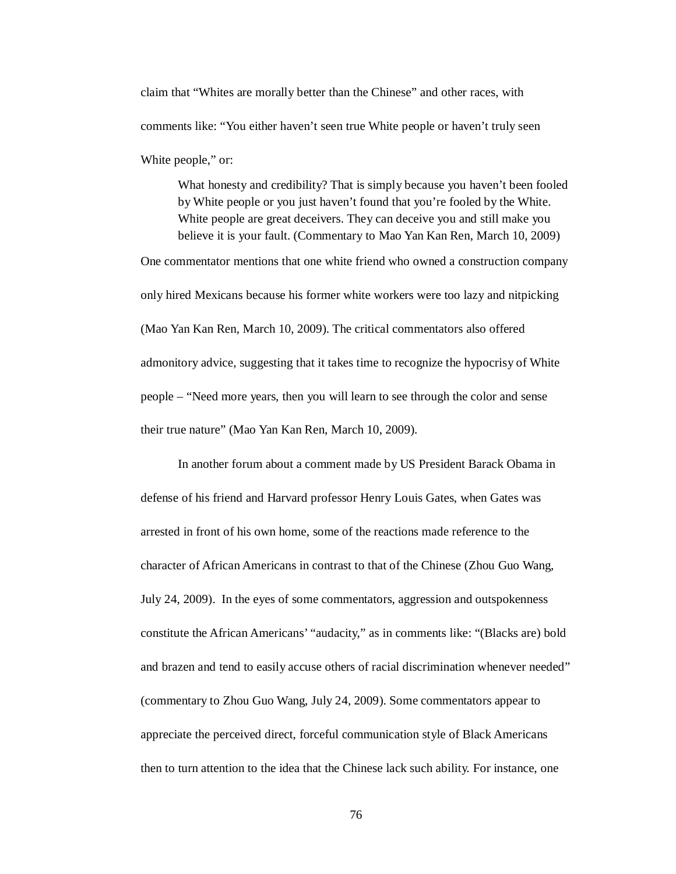claim that "Whites are morally better than the Chinese" and other races, with comments like: "You either haven't seen true White people or haven't truly seen White people," or:

What honesty and credibility? That is simply because you haven't been fooled by White people or you just haven't found that you're fooled by the White. White people are great deceivers. They can deceive you and still make you believe it is your fault. (Commentary to Mao Yan Kan Ren, March 10, 2009)

One commentator mentions that one white friend who owned a construction company only hired Mexicans because his former white workers were too lazy and nitpicking (Mao Yan Kan Ren, March 10, 2009). The critical commentators also offered admonitory advice, suggesting that it takes time to recognize the hypocrisy of White people – "Need more years, then you will learn to see through the color and sense their true nature" (Mao Yan Kan Ren, March 10, 2009).

In another forum about a comment made by US President Barack Obama in defense of his friend and Harvard professor Henry Louis Gates, when Gates was arrested in front of his own home, some of the reactions made reference to the character of African Americans in contrast to that of the Chinese (Zhou Guo Wang, July 24, 2009). In the eyes of some commentators, aggression and outspokenness constitute the African Americans' "audacity," as in comments like: "(Blacks are) bold and brazen and tend to easily accuse others of racial discrimination whenever needed" (commentary to Zhou Guo Wang, July 24, 2009). Some commentators appear to appreciate the perceived direct, forceful communication style of Black Americans then to turn attention to the idea that the Chinese lack such ability. For instance, one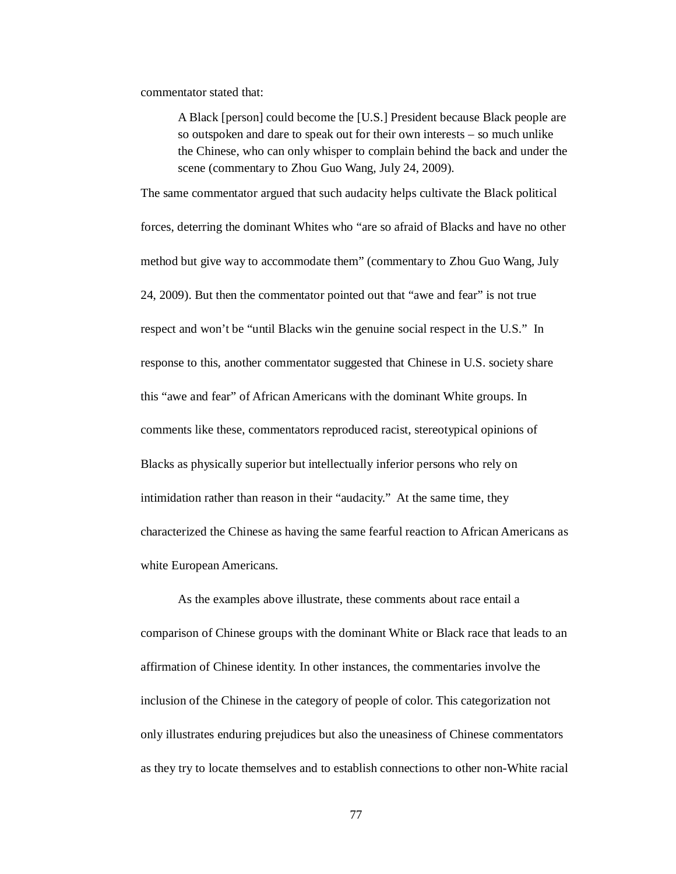commentator stated that:

A Black [person] could become the [U.S.] President because Black people are so outspoken and dare to speak out for their own interests – so much unlike the Chinese, who can only whisper to complain behind the back and under the scene (commentary to Zhou Guo Wang, July 24, 2009).

The same commentator argued that such audacity helps cultivate the Black political forces, deterring the dominant Whites who "are so afraid of Blacks and have no other method but give way to accommodate them" (commentary to Zhou Guo Wang, July 24, 2009). But then the commentator pointed out that "awe and fear" is not true respect and won't be "until Blacks win the genuine social respect in the U.S." In response to this, another commentator suggested that Chinese in U.S. society share this "awe and fear" of African Americans with the dominant White groups. In comments like these, commentators reproduced racist, stereotypical opinions of Blacks as physically superior but intellectually inferior persons who rely on intimidation rather than reason in their "audacity." At the same time, they characterized the Chinese as having the same fearful reaction to African Americans as white European Americans.

As the examples above illustrate, these comments about race entail a comparison of Chinese groups with the dominant White or Black race that leads to an affirmation of Chinese identity. In other instances, the commentaries involve the inclusion of the Chinese in the category of people of color. This categorization not only illustrates enduring prejudices but also the uneasiness of Chinese commentators as they try to locate themselves and to establish connections to other non-White racial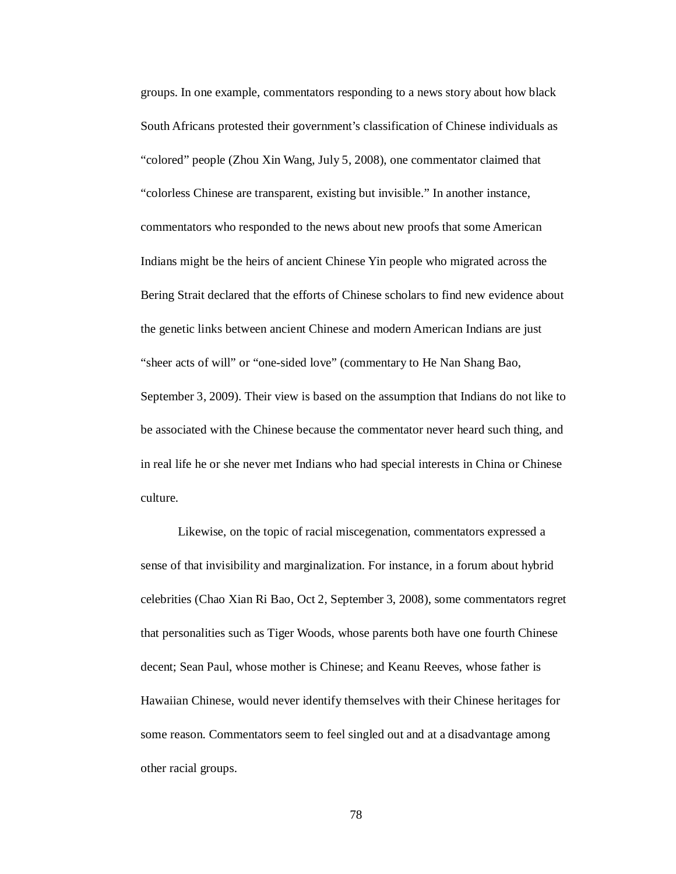groups. In one example, commentators responding to a news story about how black South Africans protested their government's classification of Chinese individuals as "colored" people (Zhou Xin Wang, July 5, 2008), one commentator claimed that "colorless Chinese are transparent, existing but invisible." In another instance, commentators who responded to the news about new proofs that some American Indians might be the heirs of ancient Chinese Yin people who migrated across the Bering Strait declared that the efforts of Chinese scholars to find new evidence about the genetic links between ancient Chinese and modern American Indians are just "sheer acts of will" or "one-sided love" (commentary to He Nan Shang Bao, September 3, 2009). Their view is based on the assumption that Indians do not like to be associated with the Chinese because the commentator never heard such thing, and in real life he or she never met Indians who had special interests in China or Chinese culture.

Likewise, on the topic of racial miscegenation, commentators expressed a sense of that invisibility and marginalization. For instance, in a forum about hybrid celebrities (Chao Xian Ri Bao, Oct 2, September 3, 2008), some commentators regret that personalities such as Tiger Woods, whose parents both have one fourth Chinese decent; Sean Paul, whose mother is Chinese; and Keanu Reeves, whose father is Hawaiian Chinese, would never identify themselves with their Chinese heritages for some reason. Commentators seem to feel singled out and at a disadvantage among other racial groups.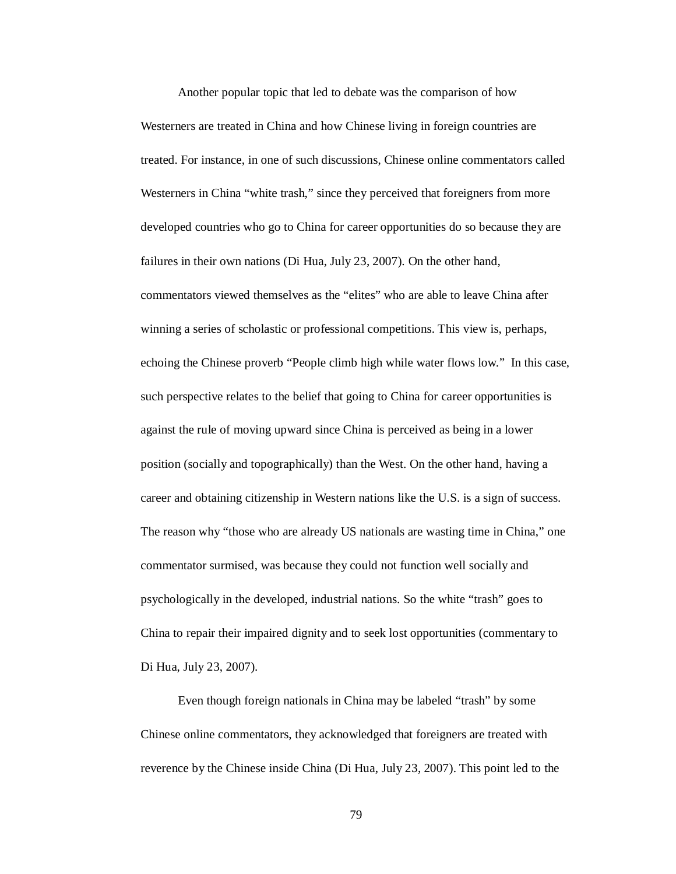Another popular topic that led to debate was the comparison of how Westerners are treated in China and how Chinese living in foreign countries are treated. For instance, in one of such discussions, Chinese online commentators called Westerners in China "white trash," since they perceived that foreigners from more developed countries who go to China for career opportunities do so because they are failures in their own nations (Di Hua, July 23, 2007). On the other hand, commentators viewed themselves as the "elites" who are able to leave China after winning a series of scholastic or professional competitions. This view is, perhaps, echoing the Chinese proverb "People climb high while water flows low." In this case, such perspective relates to the belief that going to China for career opportunities is against the rule of moving upward since China is perceived as being in a lower position (socially and topographically) than the West. On the other hand, having a career and obtaining citizenship in Western nations like the U.S. is a sign of success. The reason why "those who are already US nationals are wasting time in China," one commentator surmised, was because they could not function well socially and psychologically in the developed, industrial nations. So the white "trash" goes to China to repair their impaired dignity and to seek lost opportunities (commentary to Di Hua, July 23, 2007).

Even though foreign nationals in China may be labeled "trash" by some Chinese online commentators, they acknowledged that foreigners are treated with reverence by the Chinese inside China (Di Hua, July 23, 2007). This point led to the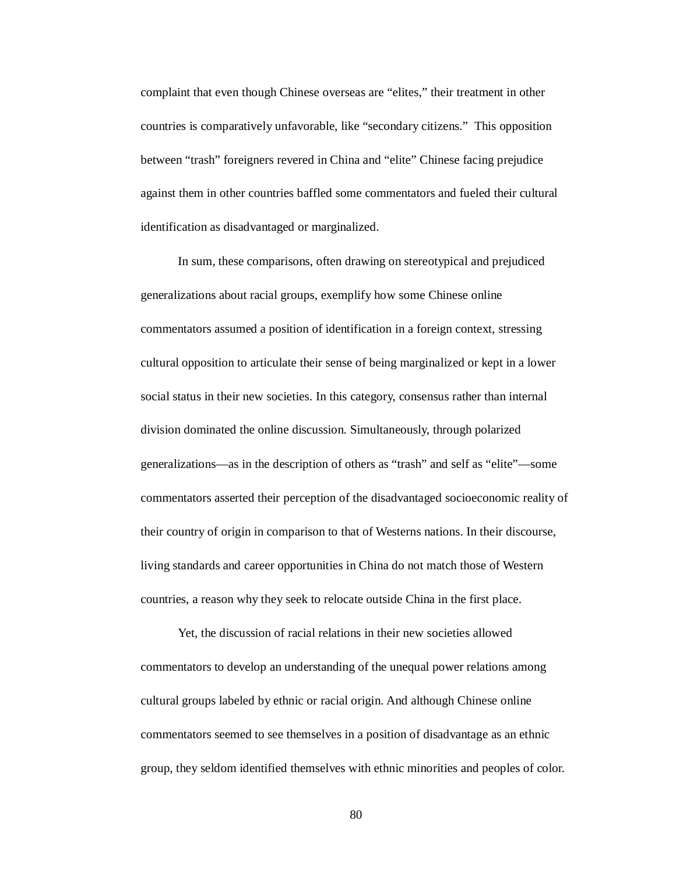complaint that even though Chinese overseas are "elites," their treatment in other countries is comparatively unfavorable, like "secondary citizens." This opposition between "trash" foreigners revered in China and "elite" Chinese facing prejudice against them in other countries baffled some commentators and fueled their cultural identification as disadvantaged or marginalized.

In sum, these comparisons, often drawing on stereotypical and prejudiced generalizations about racial groups, exemplify how some Chinese online commentators assumed a position of identification in a foreign context, stressing cultural opposition to articulate their sense of being marginalized or kept in a lower social status in their new societies. In this category, consensus rather than internal division dominated the online discussion. Simultaneously, through polarized generalizations—as in the description of others as "trash" and self as "elite"—some commentators asserted their perception of the disadvantaged socioeconomic reality of their country of origin in comparison to that of Westerns nations. In their discourse, living standards and career opportunities in China do not match those of Western countries, a reason why they seek to relocate outside China in the first place.

Yet, the discussion of racial relations in their new societies allowed commentators to develop an understanding of the unequal power relations among cultural groups labeled by ethnic or racial origin. And although Chinese online commentators seemed to see themselves in a position of disadvantage as an ethnic group, they seldom identified themselves with ethnic minorities and peoples of color.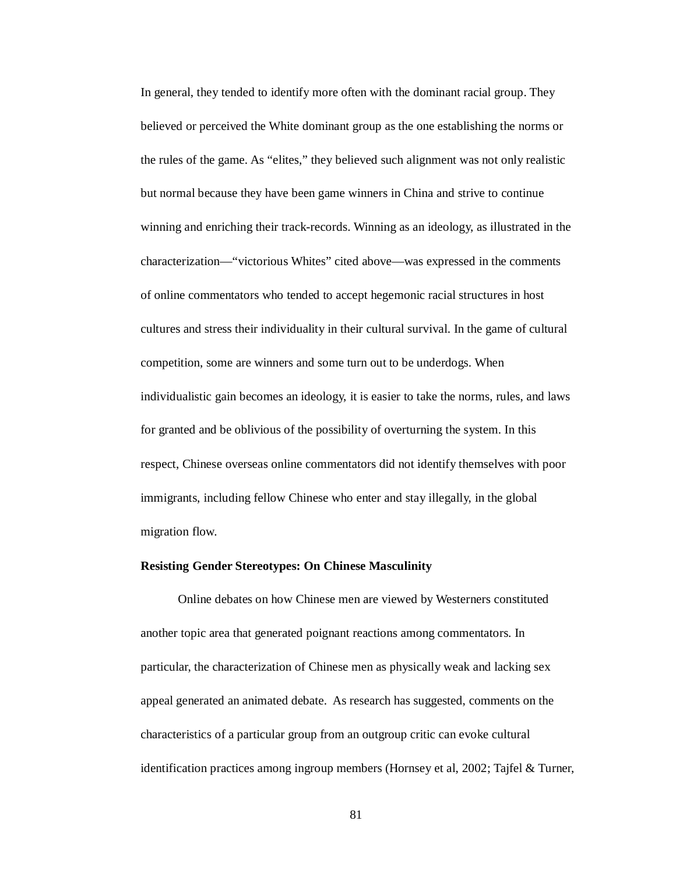In general, they tended to identify more often with the dominant racial group. They believed or perceived the White dominant group as the one establishing the norms or the rules of the game. As "elites," they believed such alignment was not only realistic but normal because they have been game winners in China and strive to continue winning and enriching their track-records. Winning as an ideology, as illustrated in the characterization—"victorious Whites" cited above—was expressed in the comments of online commentators who tended to accept hegemonic racial structures in host cultures and stress their individuality in their cultural survival. In the game of cultural competition, some are winners and some turn out to be underdogs. When individualistic gain becomes an ideology, it is easier to take the norms, rules, and laws for granted and be oblivious of the possibility of overturning the system. In this respect, Chinese overseas online commentators did not identify themselves with poor immigrants, including fellow Chinese who enter and stay illegally, in the global migration flow.

# **Resisting Gender Stereotypes: On Chinese Masculinity**

Online debates on how Chinese men are viewed by Westerners constituted another topic area that generated poignant reactions among commentators. In particular, the characterization of Chinese men as physically weak and lacking sex appeal generated an animated debate. As research has suggested, comments on the characteristics of a particular group from an outgroup critic can evoke cultural identification practices among ingroup members (Hornsey et al, 2002; Tajfel & Turner,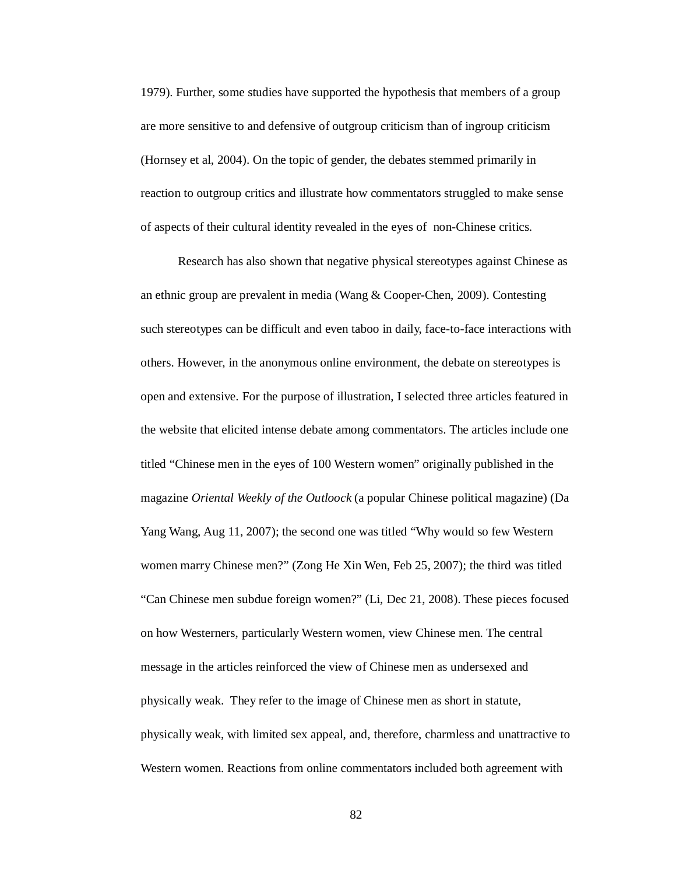1979). Further, some studies have supported the hypothesis that members of a group are more sensitive to and defensive of outgroup criticism than of ingroup criticism (Hornsey et al, 2004). On the topic of gender, the debates stemmed primarily in reaction to outgroup critics and illustrate how commentators struggled to make sense of aspects of their cultural identity revealed in the eyes of non-Chinese critics.

Research has also shown that negative physical stereotypes against Chinese as an ethnic group are prevalent in media (Wang & Cooper-Chen, 2009). Contesting such stereotypes can be difficult and even taboo in daily, face-to-face interactions with others. However, in the anonymous online environment, the debate on stereotypes is open and extensive. For the purpose of illustration, I selected three articles featured in the website that elicited intense debate among commentators. The articles include one titled "Chinese men in the eyes of 100 Western women" originally published in the magazine *Oriental Weekly of the Outloock* (a popular Chinese political magazine) (Da Yang Wang, Aug 11, 2007); the second one was titled "Why would so few Western women marry Chinese men?" (Zong He Xin Wen, Feb 25, 2007); the third was titled "Can Chinese men subdue foreign women?" (Li, Dec 21, 2008). These pieces focused on how Westerners, particularly Western women, view Chinese men. The central message in the articles reinforced the view of Chinese men as undersexed and physically weak. They refer to the image of Chinese men as short in statute, physically weak, with limited sex appeal, and, therefore, charmless and unattractive to Western women. Reactions from online commentators included both agreement with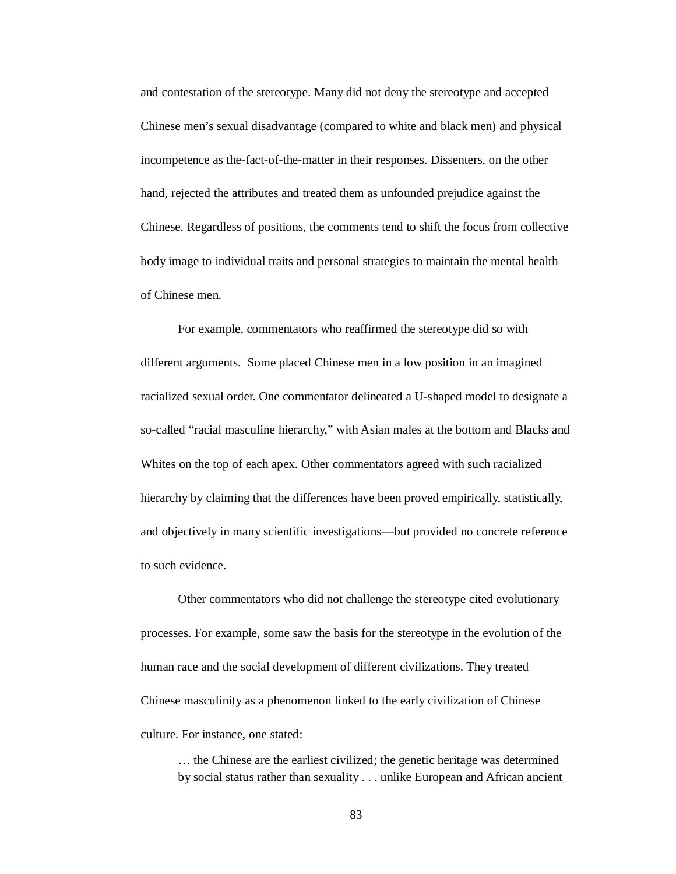and contestation of the stereotype. Many did not deny the stereotype and accepted Chinese men's sexual disadvantage (compared to white and black men) and physical incompetence as the-fact-of-the-matter in their responses. Dissenters, on the other hand, rejected the attributes and treated them as unfounded prejudice against the Chinese. Regardless of positions, the comments tend to shift the focus from collective body image to individual traits and personal strategies to maintain the mental health of Chinese men.

For example, commentators who reaffirmed the stereotype did so with different arguments. Some placed Chinese men in a low position in an imagined racialized sexual order. One commentator delineated a U-shaped model to designate a so-called "racial masculine hierarchy," with Asian males at the bottom and Blacks and Whites on the top of each apex. Other commentators agreed with such racialized hierarchy by claiming that the differences have been proved empirically, statistically, and objectively in many scientific investigations—but provided no concrete reference to such evidence.

Other commentators who did not challenge the stereotype cited evolutionary processes. For example, some saw the basis for the stereotype in the evolution of the human race and the social development of different civilizations. They treated Chinese masculinity as a phenomenon linked to the early civilization of Chinese culture. For instance, one stated:

… the Chinese are the earliest civilized; the genetic heritage was determined by social status rather than sexuality . . . unlike European and African ancient

83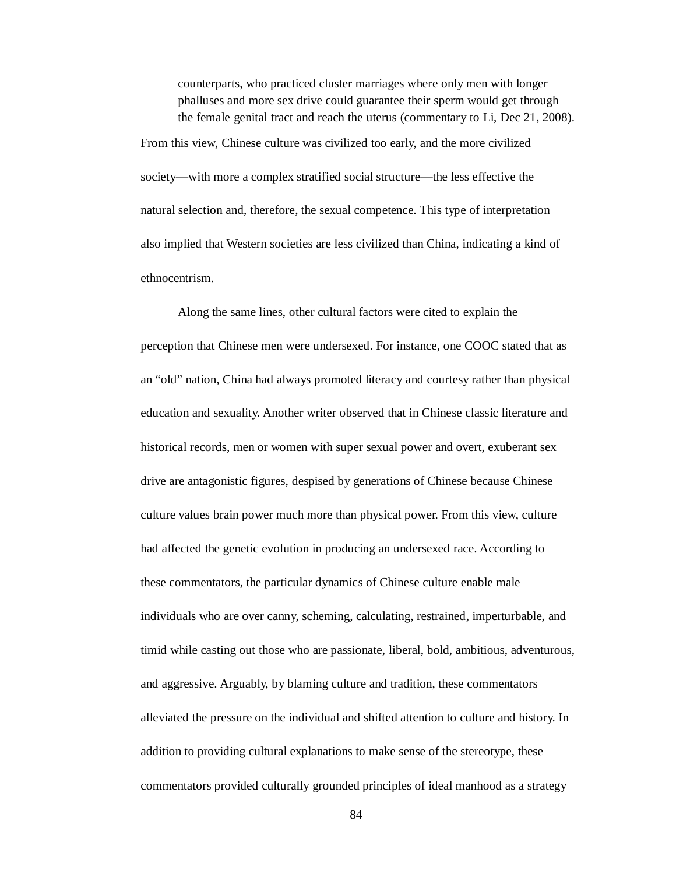counterparts, who practiced cluster marriages where only men with longer phalluses and more sex drive could guarantee their sperm would get through the female genital tract and reach the uterus (commentary to Li, Dec 21, 2008).

From this view, Chinese culture was civilized too early, and the more civilized society—with more a complex stratified social structure—the less effective the natural selection and, therefore, the sexual competence. This type of interpretation also implied that Western societies are less civilized than China, indicating a kind of ethnocentrism.

Along the same lines, other cultural factors were cited to explain the perception that Chinese men were undersexed. For instance, one COOC stated that as an "old" nation, China had always promoted literacy and courtesy rather than physical education and sexuality. Another writer observed that in Chinese classic literature and historical records, men or women with super sexual power and overt, exuberant sex drive are antagonistic figures, despised by generations of Chinese because Chinese culture values brain power much more than physical power. From this view, culture had affected the genetic evolution in producing an undersexed race. According to these commentators, the particular dynamics of Chinese culture enable male individuals who are over canny, scheming, calculating, restrained, imperturbable, and timid while casting out those who are passionate, liberal, bold, ambitious, adventurous, and aggressive. Arguably, by blaming culture and tradition, these commentators alleviated the pressure on the individual and shifted attention to culture and history. In addition to providing cultural explanations to make sense of the stereotype, these commentators provided culturally grounded principles of ideal manhood as a strategy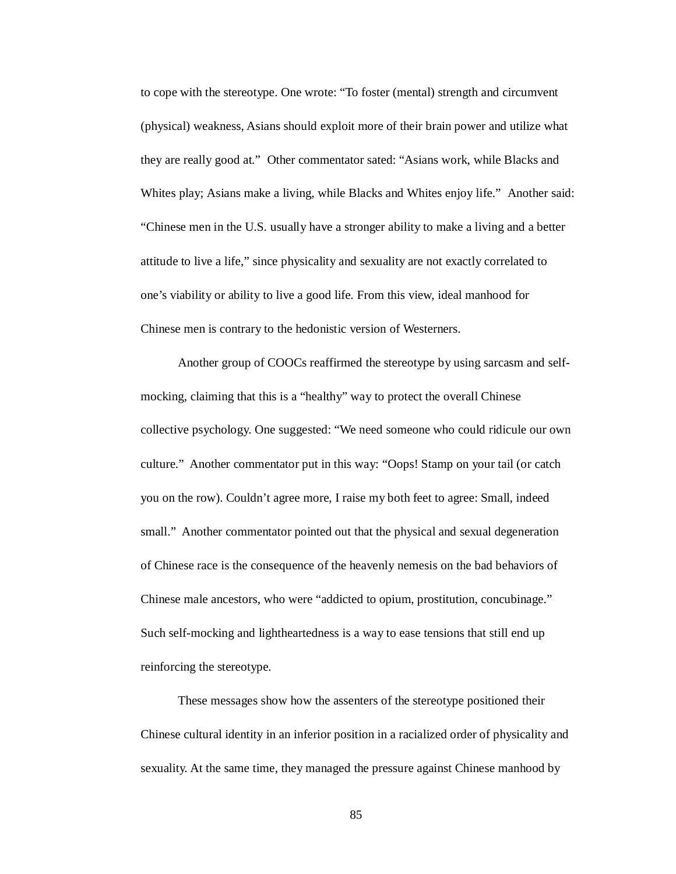to cope with the stereotype. One wrote: "To foster (mental) strength and circumvent (physical) weakness, Asians should exploit more of their brain power and utilize what they are really good at." Other commentator sated: "Asians work, while Blacks and Whites play; Asians make a living, while Blacks and Whites enjoy life." Another said: "Chinese men in the U.S. usually have a stronger ability to make a living and a better attitude to live a life," since physicality and sexuality are not exactly correlated to one's viability or ability to live a good life. From this view, ideal manhood for Chinese men is contrary to the hedonistic version of Westerners.

Another group of COOCs reaffirmed the stereotype by using sarcasm and selfmocking, claiming that this is a "healthy" way to protect the overall Chinese collective psychology. One suggested: "We need someone who could ridicule our own culture." Another commentator put in this way: "Oops! Stamp on your tail (or catch you on the row). Couldn't agree more, I raise my both feet to agree: Small, indeed small." Another commentator pointed out that the physical and sexual degeneration of Chinese race is the consequence of the heavenly nemesis on the bad behaviors of Chinese male ancestors, who were "addicted to opium, prostitution, concubinage." Such self-mocking and lightheartedness is a way to ease tensions that still end up reinforcing the stereotype.

These messages show how the assenters of the stereotype positioned their Chinese cultural identity in an inferior position in a racialized order of physicality and sexuality. At the same time, they managed the pressure against Chinese manhood by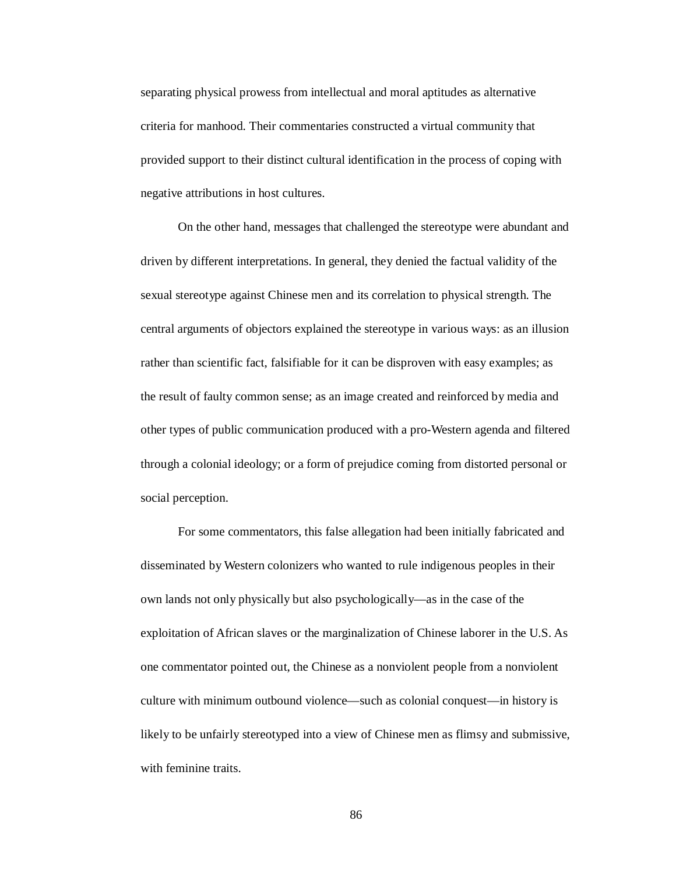separating physical prowess from intellectual and moral aptitudes as alternative criteria for manhood. Their commentaries constructed a virtual community that provided support to their distinct cultural identification in the process of coping with negative attributions in host cultures.

On the other hand, messages that challenged the stereotype were abundant and driven by different interpretations. In general, they denied the factual validity of the sexual stereotype against Chinese men and its correlation to physical strength. The central arguments of objectors explained the stereotype in various ways: as an illusion rather than scientific fact, falsifiable for it can be disproven with easy examples; as the result of faulty common sense; as an image created and reinforced by media and other types of public communication produced with a pro-Western agenda and filtered through a colonial ideology; or a form of prejudice coming from distorted personal or social perception.

For some commentators, this false allegation had been initially fabricated and disseminated by Western colonizers who wanted to rule indigenous peoples in their own lands not only physically but also psychologically—as in the case of the exploitation of African slaves or the marginalization of Chinese laborer in the U.S. As one commentator pointed out, the Chinese as a nonviolent people from a nonviolent culture with minimum outbound violence—such as colonial conquest—in history is likely to be unfairly stereotyped into a view of Chinese men as flimsy and submissive, with feminine traits.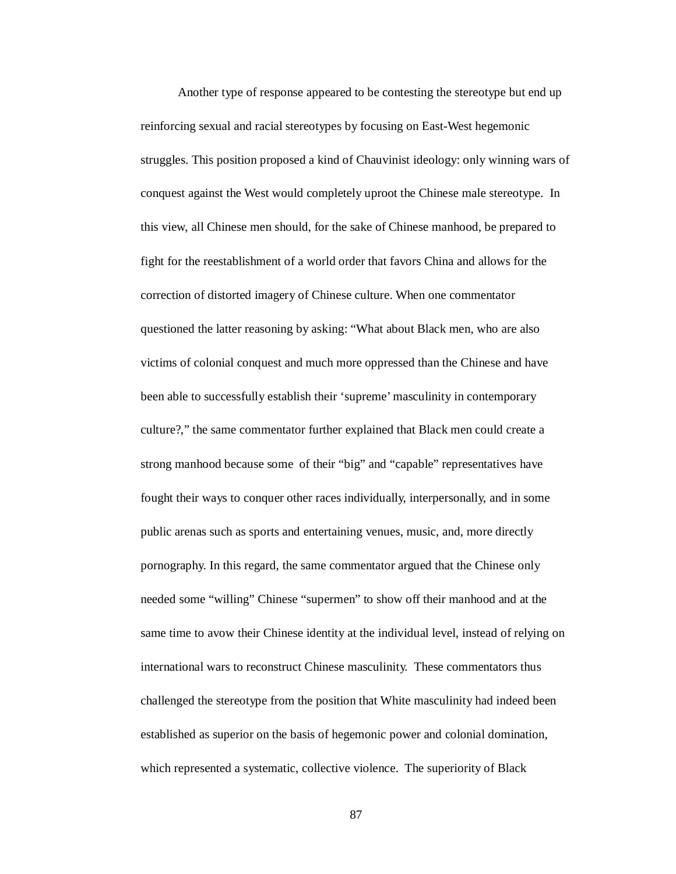Another type of response appeared to be contesting the stereotype but end up reinforcing sexual and racial stereotypes by focusing on East-West hegemonic struggles. This position proposed a kind of Chauvinist ideology: only winning wars of conquest against the West would completely uproot the Chinese male stereotype. In this view, all Chinese men should, for the sake of Chinese manhood, be prepared to fight for the reestablishment of a world order that favors China and allows for the correction of distorted imagery of Chinese culture. When one commentator questioned the latter reasoning by asking: "What about Black men, who are also victims of colonial conquest and much more oppressed than the Chinese and have been able to successfully establish their 'supreme' masculinity in contemporary culture?," the same commentator further explained that Black men could create a strong manhood because some of their "big" and "capable" representatives have fought their ways to conquer other races individually, interpersonally, and in some public arenas such as sports and entertaining venues, music, and, more directly pornography. In this regard, the same commentator argued that the Chinese only needed some "willing" Chinese "supermen" to show off their manhood and at the same time to avow their Chinese identity at the individual level, instead of relying on international wars to reconstruct Chinese masculinity. These commentators thus challenged the stereotype from the position that White masculinity had indeed been established as superior on the basis of hegemonic power and colonial domination, which represented a systematic, collective violence. The superiority of Black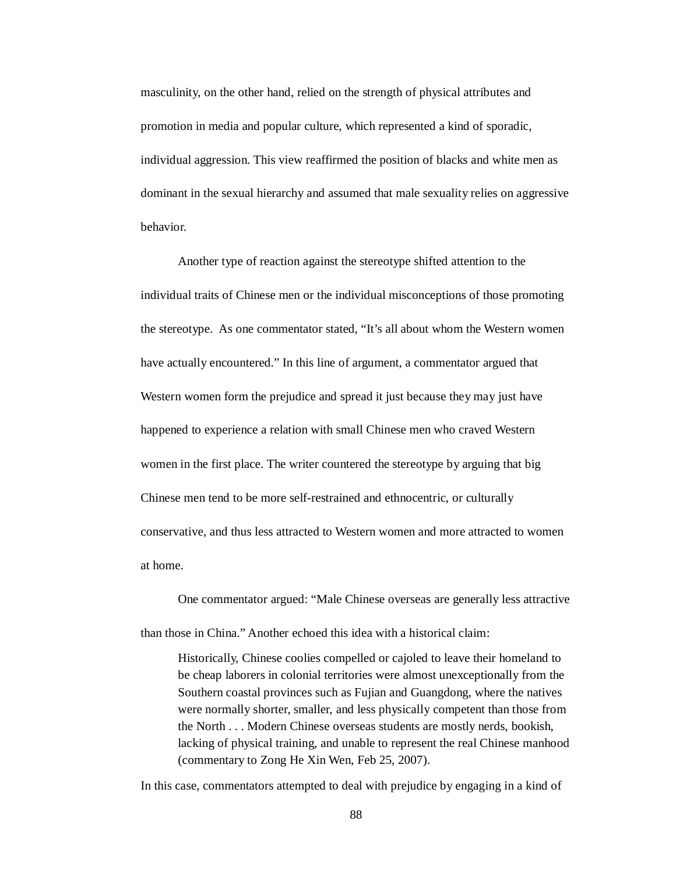masculinity, on the other hand, relied on the strength of physical attributes and promotion in media and popular culture, which represented a kind of sporadic, individual aggression. This view reaffirmed the position of blacks and white men as dominant in the sexual hierarchy and assumed that male sexuality relies on aggressive behavior.

Another type of reaction against the stereotype shifted attention to the individual traits of Chinese men or the individual misconceptions of those promoting the stereotype. As one commentator stated, "It's all about whom the Western women have actually encountered." In this line of argument, a commentator argued that Western women form the prejudice and spread it just because they may just have happened to experience a relation with small Chinese men who craved Western women in the first place. The writer countered the stereotype by arguing that big Chinese men tend to be more self-restrained and ethnocentric, or culturally conservative, and thus less attracted to Western women and more attracted to women at home.

One commentator argued: "Male Chinese overseas are generally less attractive than those in China." Another echoed this idea with a historical claim:

Historically, Chinese coolies compelled or cajoled to leave their homeland to be cheap laborers in colonial territories were almost unexceptionally from the Southern coastal provinces such as Fujian and Guangdong, where the natives were normally shorter, smaller, and less physically competent than those from the North . . . Modern Chinese overseas students are mostly nerds, bookish, lacking of physical training, and unable to represent the real Chinese manhood (commentary to Zong He Xin Wen, Feb 25, 2007).

In this case, commentators attempted to deal with prejudice by engaging in a kind of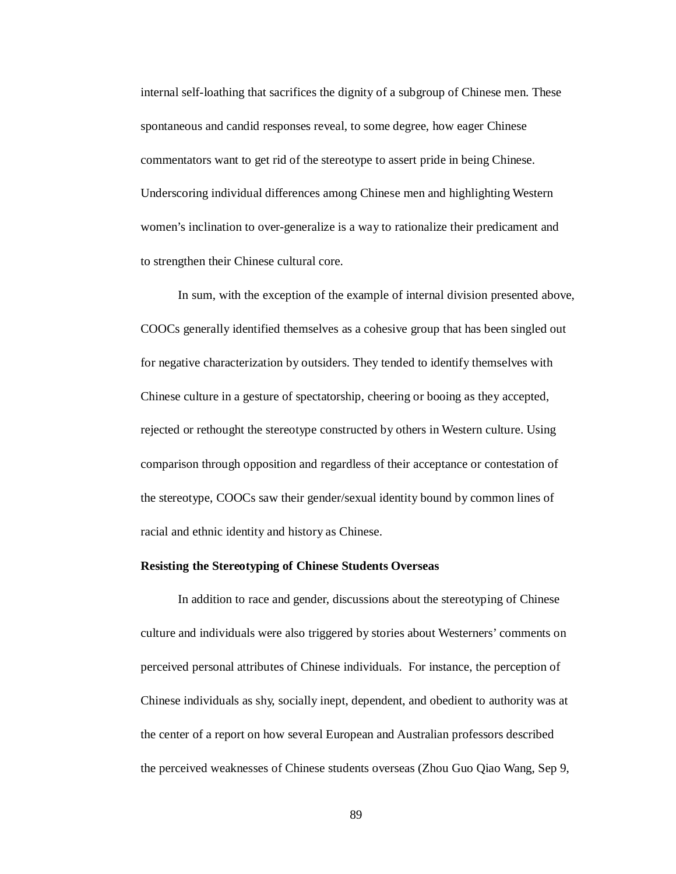internal self-loathing that sacrifices the dignity of a subgroup of Chinese men. These spontaneous and candid responses reveal, to some degree, how eager Chinese commentators want to get rid of the stereotype to assert pride in being Chinese. Underscoring individual differences among Chinese men and highlighting Western women's inclination to over-generalize is a way to rationalize their predicament and to strengthen their Chinese cultural core.

In sum, with the exception of the example of internal division presented above, COOCs generally identified themselves as a cohesive group that has been singled out for negative characterization by outsiders. They tended to identify themselves with Chinese culture in a gesture of spectatorship, cheering or booing as they accepted, rejected or rethought the stereotype constructed by others in Western culture. Using comparison through opposition and regardless of their acceptance or contestation of the stereotype, COOCs saw their gender/sexual identity bound by common lines of racial and ethnic identity and history as Chinese.

# **Resisting the Stereotyping of Chinese Students Overseas**

In addition to race and gender, discussions about the stereotyping of Chinese culture and individuals were also triggered by stories about Westerners' comments on perceived personal attributes of Chinese individuals. For instance, the perception of Chinese individuals as shy, socially inept, dependent, and obedient to authority was at the center of a report on how several European and Australian professors described the perceived weaknesses of Chinese students overseas (Zhou Guo Qiao Wang, Sep 9,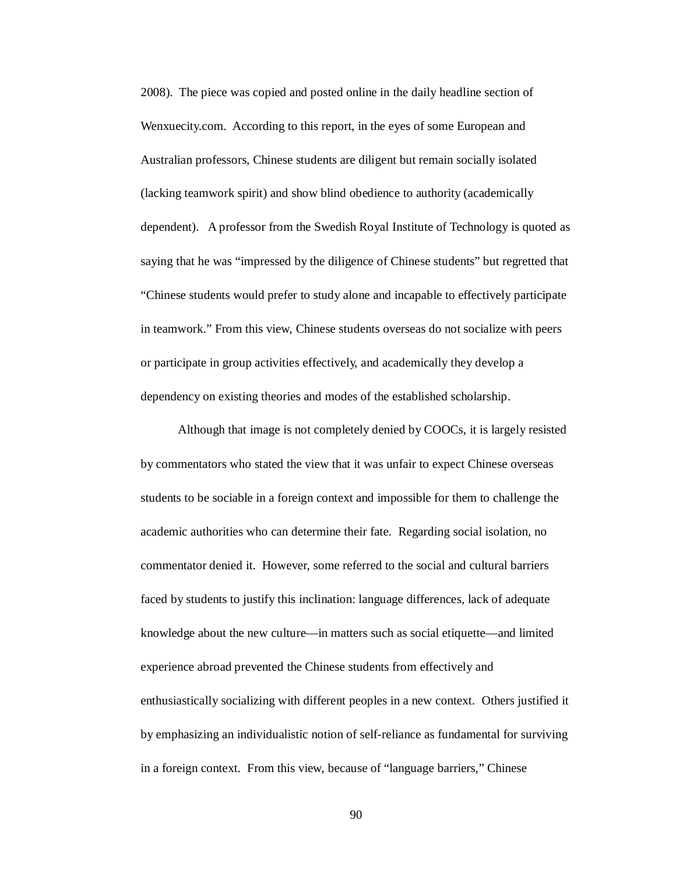2008). The piece was copied and posted online in the daily headline section of Wenxuecity.com. According to this report, in the eyes of some European and Australian professors, Chinese students are diligent but remain socially isolated (lacking teamwork spirit) and show blind obedience to authority (academically dependent). A professor from the Swedish Royal Institute of Technology is quoted as saying that he was "impressed by the diligence of Chinese students" but regretted that "Chinese students would prefer to study alone and incapable to effectively participate in teamwork." From this view, Chinese students overseas do not socialize with peers or participate in group activities effectively, and academically they develop a dependency on existing theories and modes of the established scholarship.

Although that image is not completely denied by COOCs, it is largely resisted by commentators who stated the view that it was unfair to expect Chinese overseas students to be sociable in a foreign context and impossible for them to challenge the academic authorities who can determine their fate. Regarding social isolation, no commentator denied it. However, some referred to the social and cultural barriers faced by students to justify this inclination: language differences, lack of adequate knowledge about the new culture—in matters such as social etiquette—and limited experience abroad prevented the Chinese students from effectively and enthusiastically socializing with different peoples in a new context. Others justified it by emphasizing an individualistic notion of self-reliance as fundamental for surviving in a foreign context. From this view, because of "language barriers," Chinese

90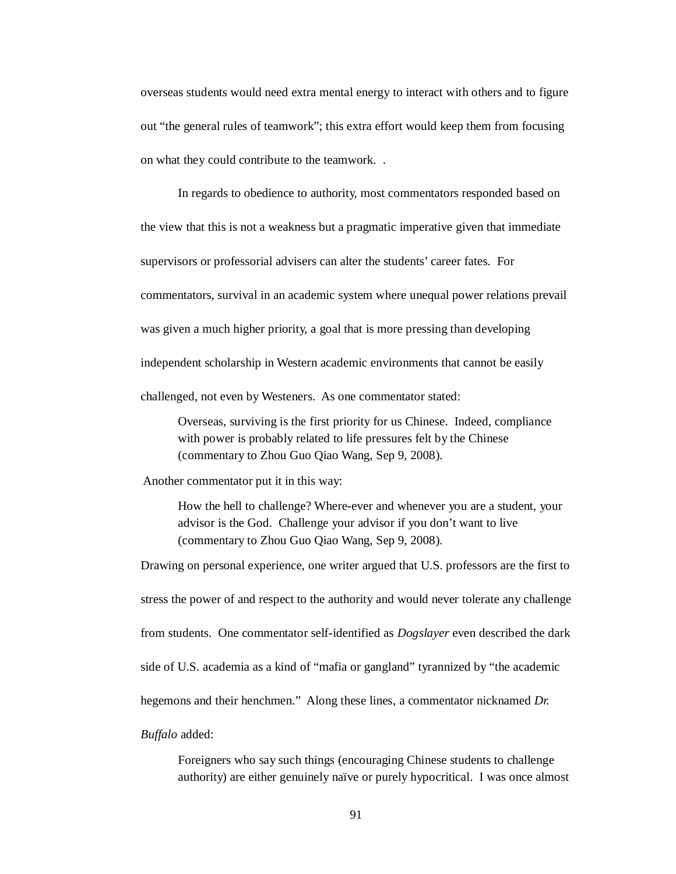overseas students would need extra mental energy to interact with others and to figure out "the general rules of teamwork"; this extra effort would keep them from focusing on what they could contribute to the teamwork. .

In regards to obedience to authority, most commentators responded based on the view that this is not a weakness but a pragmatic imperative given that immediate supervisors or professorial advisers can alter the students' career fates. For commentators, survival in an academic system where unequal power relations prevail was given a much higher priority, a goal that is more pressing than developing independent scholarship in Western academic environments that cannot be easily challenged, not even by Westeners. As one commentator stated:

Overseas, surviving is the first priority for us Chinese. Indeed, compliance with power is probably related to life pressures felt by the Chinese (commentary to Zhou Guo Qiao Wang, Sep 9, 2008).

Another commentator put it in this way:

How the hell to challenge? Where-ever and whenever you are a student, your advisor is the God. Challenge your advisor if you don't want to live (commentary to Zhou Guo Qiao Wang, Sep 9, 2008).

Drawing on personal experience, one writer argued that U.S. professors are the first to stress the power of and respect to the authority and would never tolerate any challenge from students. One commentator self-identified as *Dogslayer* even described the dark side of U.S. academia as a kind of "mafia or gangland" tyrannized by "the academic hegemons and their henchmen." Along these lines, a commentator nicknamed *Dr. Buffalo* added:

Foreigners who say such things (encouraging Chinese students to challenge authority) are either genuinely naïve or purely hypocritical. I was once almost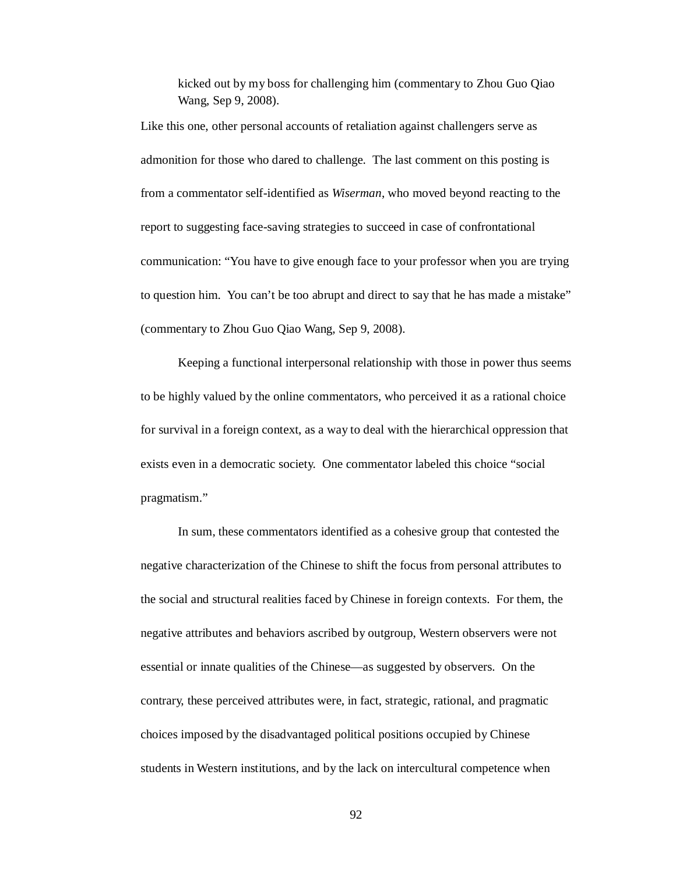kicked out by my boss for challenging him (commentary to Zhou Guo Qiao Wang, Sep 9, 2008).

Like this one, other personal accounts of retaliation against challengers serve as admonition for those who dared to challenge. The last comment on this posting is from a commentator self-identified as *Wiserman*, who moved beyond reacting to the report to suggesting face-saving strategies to succeed in case of confrontational communication: "You have to give enough face to your professor when you are trying to question him. You can't be too abrupt and direct to say that he has made a mistake" (commentary to Zhou Guo Qiao Wang, Sep 9, 2008).

Keeping a functional interpersonal relationship with those in power thus seems to be highly valued by the online commentators, who perceived it as a rational choice for survival in a foreign context, as a way to deal with the hierarchical oppression that exists even in a democratic society. One commentator labeled this choice "social pragmatism."

In sum, these commentators identified as a cohesive group that contested the negative characterization of the Chinese to shift the focus from personal attributes to the social and structural realities faced by Chinese in foreign contexts. For them, the negative attributes and behaviors ascribed by outgroup, Western observers were not essential or innate qualities of the Chinese—as suggested by observers. On the contrary, these perceived attributes were, in fact, strategic, rational, and pragmatic choices imposed by the disadvantaged political positions occupied by Chinese students in Western institutions, and by the lack on intercultural competence when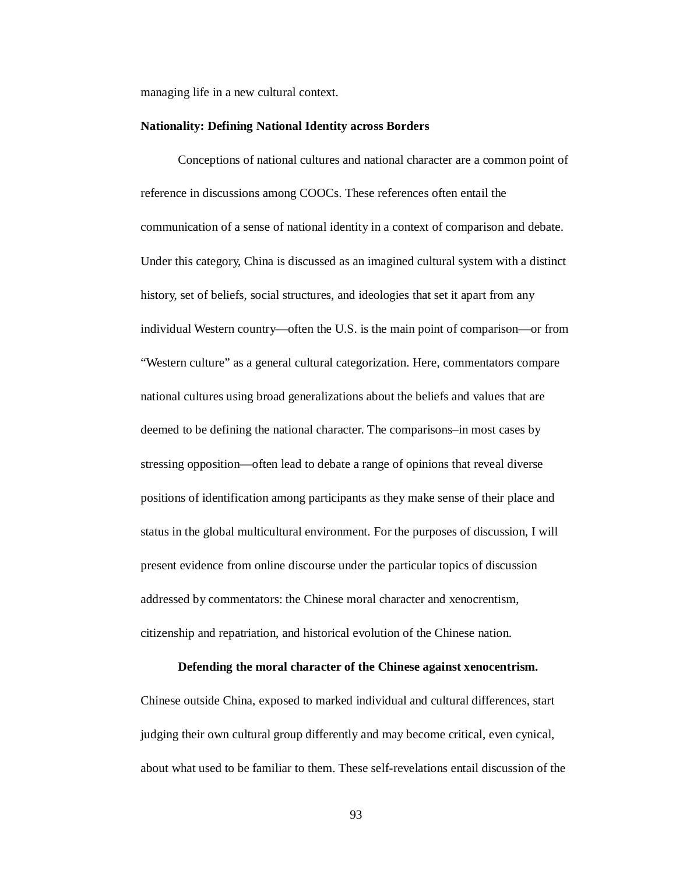managing life in a new cultural context.

#### **Nationality: Defining National Identity across Borders**

Conceptions of national cultures and national character are a common point of reference in discussions among COOCs. These references often entail the communication of a sense of national identity in a context of comparison and debate. Under this category, China is discussed as an imagined cultural system with a distinct history, set of beliefs, social structures, and ideologies that set it apart from any individual Western country—often the U.S. is the main point of comparison—or from "Western culture" as a general cultural categorization. Here, commentators compare national cultures using broad generalizations about the beliefs and values that are deemed to be defining the national character. The comparisons–in most cases by stressing opposition—often lead to debate a range of opinions that reveal diverse positions of identification among participants as they make sense of their place and status in the global multicultural environment. For the purposes of discussion, I will present evidence from online discourse under the particular topics of discussion addressed by commentators: the Chinese moral character and xenocrentism, citizenship and repatriation, and historical evolution of the Chinese nation.

## **Defending the moral character of the Chinese against xenocentrism.**

Chinese outside China, exposed to marked individual and cultural differences, start judging their own cultural group differently and may become critical, even cynical, about what used to be familiar to them. These self-revelations entail discussion of the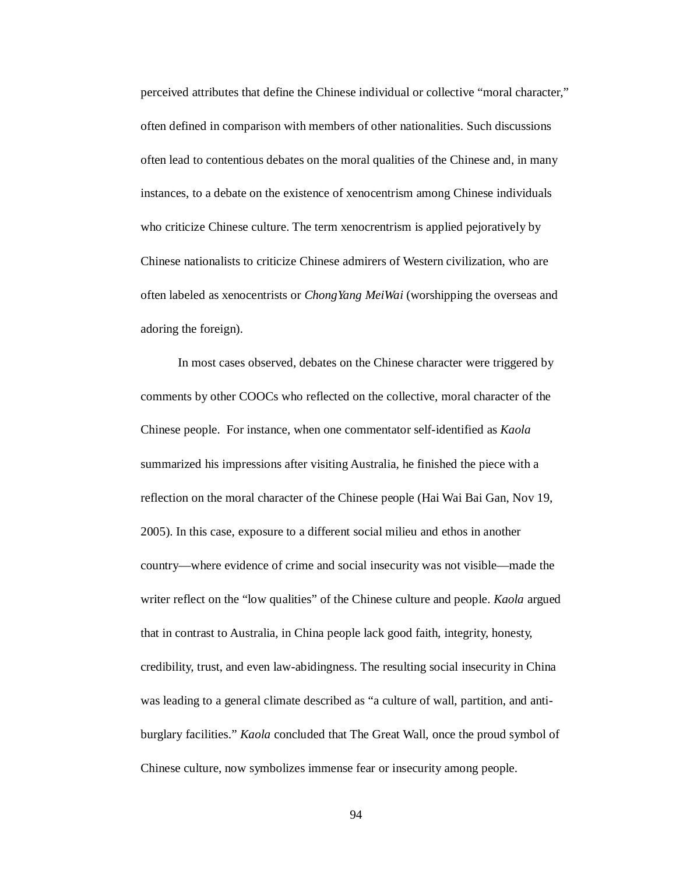perceived attributes that define the Chinese individual or collective "moral character," often defined in comparison with members of other nationalities. Such discussions often lead to contentious debates on the moral qualities of the Chinese and, in many instances, to a debate on the existence of xenocentrism among Chinese individuals who criticize Chinese culture. The term xenocrentrism is applied pejoratively by Chinese nationalists to criticize Chinese admirers of Western civilization, who are often labeled as xenocentrists or *ChongYang MeiWai* (worshipping the overseas and adoring the foreign).

In most cases observed, debates on the Chinese character were triggered by comments by other COOCs who reflected on the collective, moral character of the Chinese people. For instance, when one commentator self-identified as *Kaola* summarized his impressions after visiting Australia, he finished the piece with a reflection on the moral character of the Chinese people (Hai Wai Bai Gan, Nov 19, 2005). In this case, exposure to a different social milieu and ethos in another country—where evidence of crime and social insecurity was not visible—made the writer reflect on the "low qualities" of the Chinese culture and people. *Kaola* argued that in contrast to Australia, in China people lack good faith, integrity, honesty, credibility, trust, and even law-abidingness. The resulting social insecurity in China was leading to a general climate described as "a culture of wall, partition, and antiburglary facilities." *Kaola* concluded that The Great Wall, once the proud symbol of Chinese culture, now symbolizes immense fear or insecurity among people.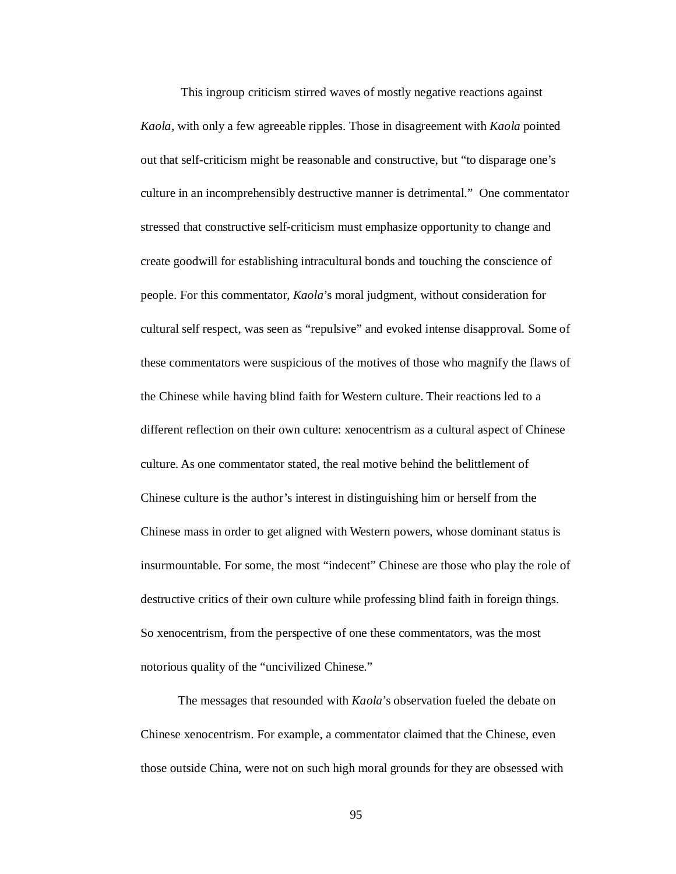This ingroup criticism stirred waves of mostly negative reactions against *Kaola*, with only a few agreeable ripples. Those in disagreement with *Kaola* pointed out that self-criticism might be reasonable and constructive, but "to disparage one's culture in an incomprehensibly destructive manner is detrimental." One commentator stressed that constructive self-criticism must emphasize opportunity to change and create goodwill for establishing intracultural bonds and touching the conscience of people. For this commentator, *Kaola*'s moral judgment, without consideration for cultural self respect, was seen as "repulsive" and evoked intense disapproval. Some of these commentators were suspicious of the motives of those who magnify the flaws of the Chinese while having blind faith for Western culture. Their reactions led to a different reflection on their own culture: xenocentrism as a cultural aspect of Chinese culture. As one commentator stated, the real motive behind the belittlement of Chinese culture is the author's interest in distinguishing him or herself from the Chinese mass in order to get aligned with Western powers, whose dominant status is insurmountable. For some, the most "indecent" Chinese are those who play the role of destructive critics of their own culture while professing blind faith in foreign things. So xenocentrism, from the perspective of one these commentators, was the most notorious quality of the "uncivilized Chinese."

The messages that resounded with *Kaola*'s observation fueled the debate on Chinese xenocentrism. For example, a commentator claimed that the Chinese, even those outside China, were not on such high moral grounds for they are obsessed with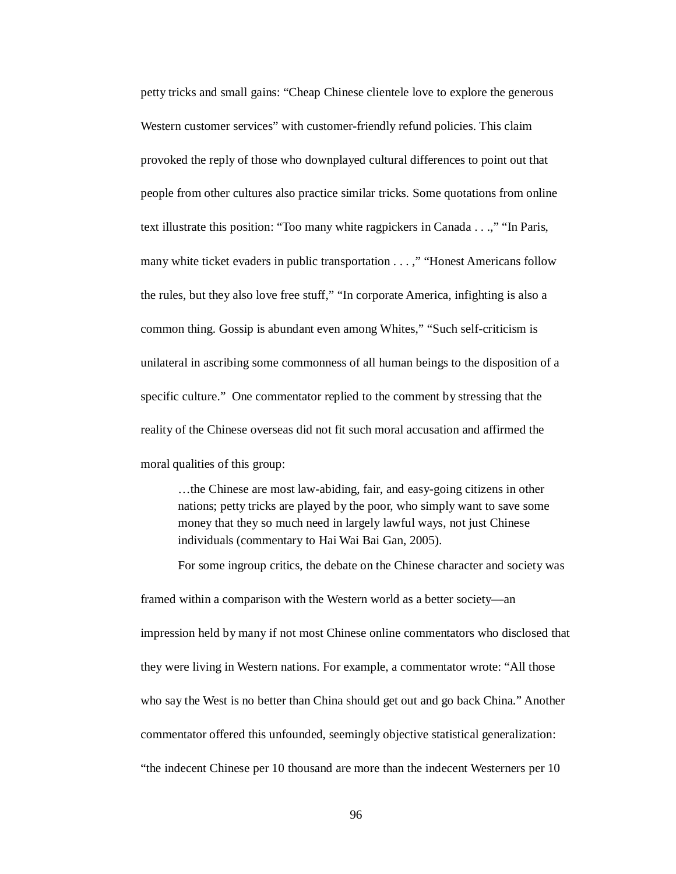petty tricks and small gains: "Cheap Chinese clientele love to explore the generous Western customer services" with customer-friendly refund policies. This claim provoked the reply of those who downplayed cultural differences to point out that people from other cultures also practice similar tricks. Some quotations from online text illustrate this position: "Too many white ragpickers in Canada . . .," "In Paris, many white ticket evaders in public transportation . . . ," "Honest Americans follow the rules, but they also love free stuff," "In corporate America, infighting is also a common thing. Gossip is abundant even among Whites," "Such self-criticism is unilateral in ascribing some commonness of all human beings to the disposition of a specific culture." One commentator replied to the comment by stressing that the reality of the Chinese overseas did not fit such moral accusation and affirmed the moral qualities of this group:

…the Chinese are most law-abiding, fair, and easy-going citizens in other nations; petty tricks are played by the poor, who simply want to save some money that they so much need in largely lawful ways, not just Chinese individuals (commentary to Hai Wai Bai Gan, 2005).

For some ingroup critics, the debate on the Chinese character and society was

framed within a comparison with the Western world as a better society—an impression held by many if not most Chinese online commentators who disclosed that they were living in Western nations. For example, a commentator wrote: "All those who say the West is no better than China should get out and go back China." Another commentator offered this unfounded, seemingly objective statistical generalization: "the indecent Chinese per 10 thousand are more than the indecent Westerners per 10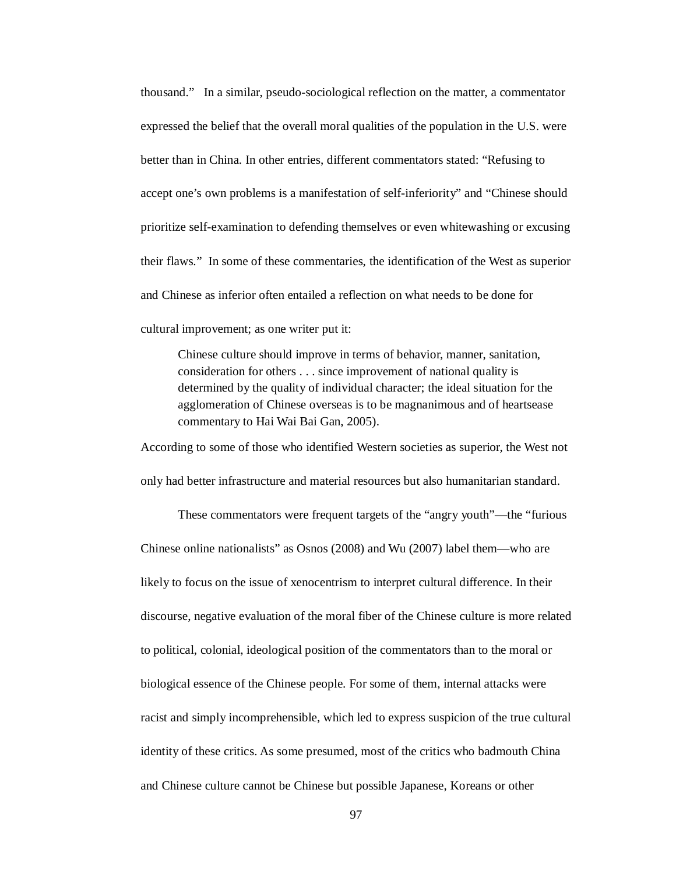thousand." In a similar, pseudo-sociological reflection on the matter, a commentator expressed the belief that the overall moral qualities of the population in the U.S. were better than in China. In other entries, different commentators stated: "Refusing to accept one's own problems is a manifestation of self-inferiority" and "Chinese should prioritize self-examination to defending themselves or even whitewashing or excusing their flaws." In some of these commentaries, the identification of the West as superior and Chinese as inferior often entailed a reflection on what needs to be done for cultural improvement; as one writer put it:

Chinese culture should improve in terms of behavior, manner, sanitation, consideration for others . . . since improvement of national quality is determined by the quality of individual character; the ideal situation for the agglomeration of Chinese overseas is to be magnanimous and of heartsease commentary to Hai Wai Bai Gan, 2005).

According to some of those who identified Western societies as superior, the West not only had better infrastructure and material resources but also humanitarian standard.

These commentators were frequent targets of the "angry youth"—the "furious Chinese online nationalists" as Osnos (2008) and Wu (2007) label them—who are likely to focus on the issue of xenocentrism to interpret cultural difference. In their discourse, negative evaluation of the moral fiber of the Chinese culture is more related to political, colonial, ideological position of the commentators than to the moral or biological essence of the Chinese people. For some of them, internal attacks were racist and simply incomprehensible, which led to express suspicion of the true cultural identity of these critics. As some presumed, most of the critics who badmouth China and Chinese culture cannot be Chinese but possible Japanese, Koreans or other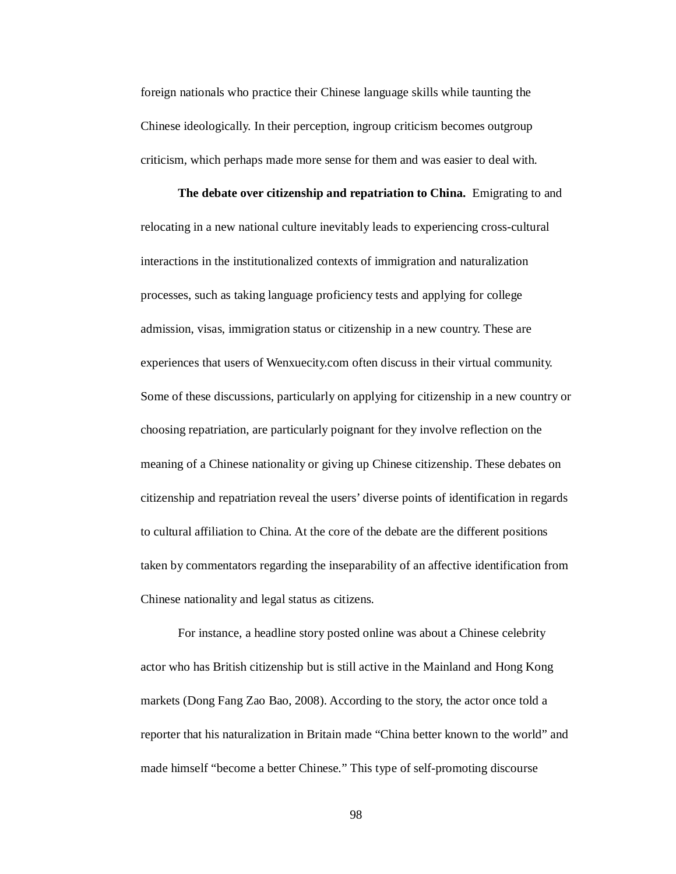foreign nationals who practice their Chinese language skills while taunting the Chinese ideologically. In their perception, ingroup criticism becomes outgroup criticism, which perhaps made more sense for them and was easier to deal with.

**The debate over citizenship and repatriation to China.** Emigrating to and relocating in a new national culture inevitably leads to experiencing cross-cultural interactions in the institutionalized contexts of immigration and naturalization processes, such as taking language proficiency tests and applying for college admission, visas, immigration status or citizenship in a new country. These are experiences that users of Wenxuecity.com often discuss in their virtual community. Some of these discussions, particularly on applying for citizenship in a new country or choosing repatriation, are particularly poignant for they involve reflection on the meaning of a Chinese nationality or giving up Chinese citizenship. These debates on citizenship and repatriation reveal the users' diverse points of identification in regards to cultural affiliation to China. At the core of the debate are the different positions taken by commentators regarding the inseparability of an affective identification from Chinese nationality and legal status as citizens.

For instance, a headline story posted online was about a Chinese celebrity actor who has British citizenship but is still active in the Mainland and Hong Kong markets (Dong Fang Zao Bao, 2008). According to the story, the actor once told a reporter that his naturalization in Britain made "China better known to the world" and made himself "become a better Chinese." This type of self-promoting discourse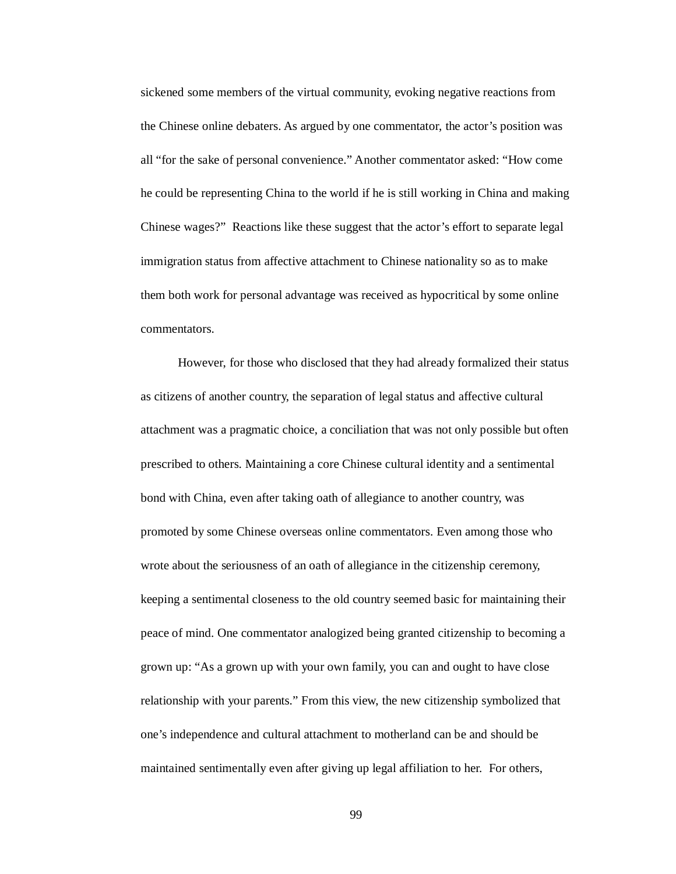sickened some members of the virtual community, evoking negative reactions from the Chinese online debaters. As argued by one commentator, the actor's position was all "for the sake of personal convenience." Another commentator asked: "How come he could be representing China to the world if he is still working in China and making Chinese wages?" Reactions like these suggest that the actor's effort to separate legal immigration status from affective attachment to Chinese nationality so as to make them both work for personal advantage was received as hypocritical by some online commentators.

However, for those who disclosed that they had already formalized their status as citizens of another country, the separation of legal status and affective cultural attachment was a pragmatic choice, a conciliation that was not only possible but often prescribed to others. Maintaining a core Chinese cultural identity and a sentimental bond with China, even after taking oath of allegiance to another country, was promoted by some Chinese overseas online commentators. Even among those who wrote about the seriousness of an oath of allegiance in the citizenship ceremony, keeping a sentimental closeness to the old country seemed basic for maintaining their peace of mind. One commentator analogized being granted citizenship to becoming a grown up: "As a grown up with your own family, you can and ought to have close relationship with your parents." From this view, the new citizenship symbolized that one's independence and cultural attachment to motherland can be and should be maintained sentimentally even after giving up legal affiliation to her. For others,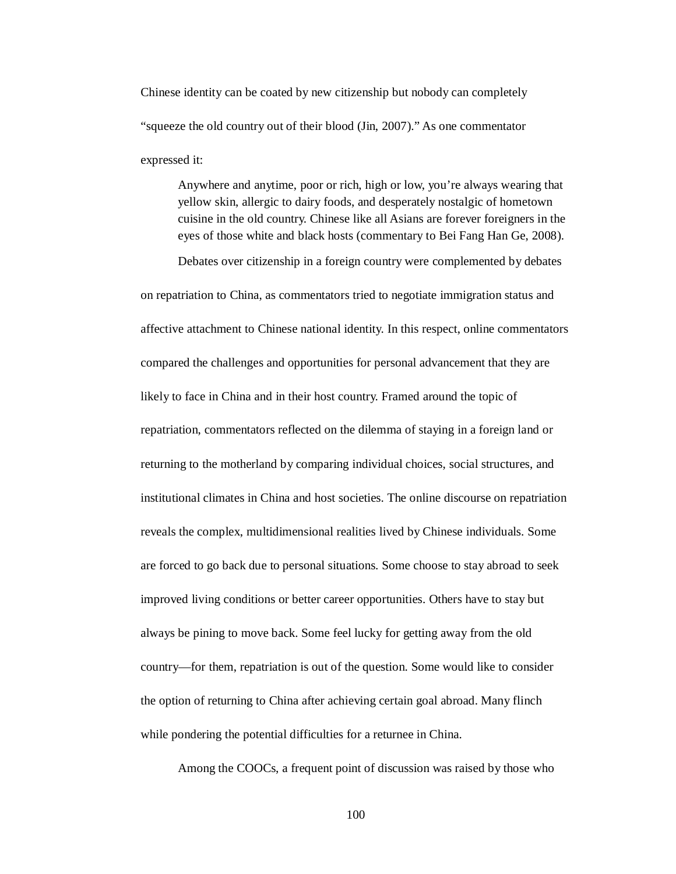Chinese identity can be coated by new citizenship but nobody can completely "squeeze the old country out of their blood (Jin, 2007)." As one commentator expressed it:

Anywhere and anytime, poor or rich, high or low, you're always wearing that yellow skin, allergic to dairy foods, and desperately nostalgic of hometown cuisine in the old country. Chinese like all Asians are forever foreigners in the eyes of those white and black hosts (commentary to Bei Fang Han Ge, 2008).

Debates over citizenship in a foreign country were complemented by debates

on repatriation to China, as commentators tried to negotiate immigration status and affective attachment to Chinese national identity. In this respect, online commentators compared the challenges and opportunities for personal advancement that they are likely to face in China and in their host country. Framed around the topic of repatriation, commentators reflected on the dilemma of staying in a foreign land or returning to the motherland by comparing individual choices, social structures, and institutional climates in China and host societies. The online discourse on repatriation reveals the complex, multidimensional realities lived by Chinese individuals. Some are forced to go back due to personal situations. Some choose to stay abroad to seek improved living conditions or better career opportunities. Others have to stay but always be pining to move back. Some feel lucky for getting away from the old country—for them, repatriation is out of the question. Some would like to consider the option of returning to China after achieving certain goal abroad. Many flinch while pondering the potential difficulties for a returnee in China.

Among the COOCs, a frequent point of discussion was raised by those who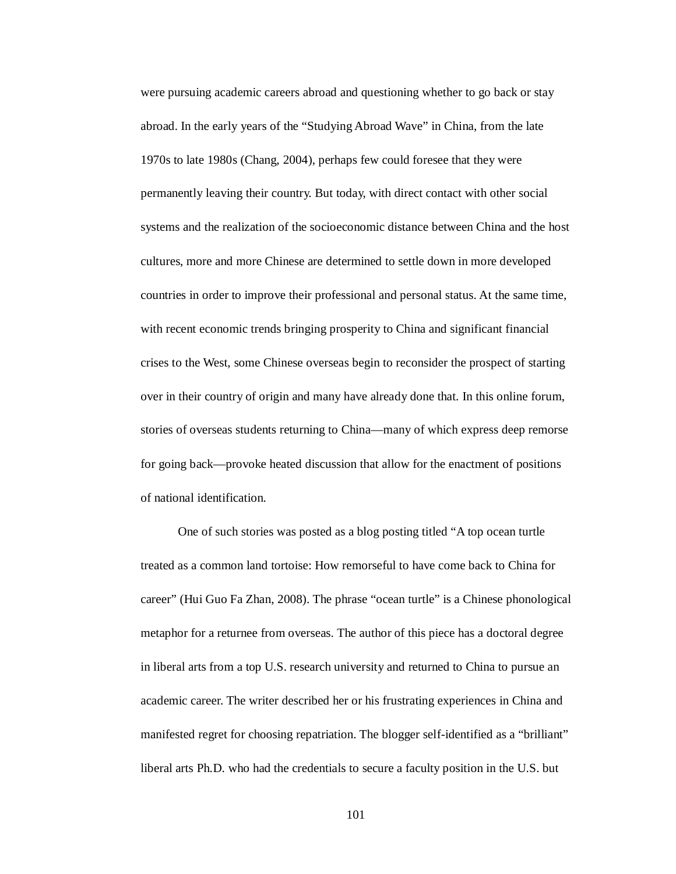were pursuing academic careers abroad and questioning whether to go back or stay abroad. In the early years of the "Studying Abroad Wave" in China, from the late 1970s to late 1980s (Chang, 2004), perhaps few could foresee that they were permanently leaving their country. But today, with direct contact with other social systems and the realization of the socioeconomic distance between China and the host cultures, more and more Chinese are determined to settle down in more developed countries in order to improve their professional and personal status. At the same time, with recent economic trends bringing prosperity to China and significant financial crises to the West, some Chinese overseas begin to reconsider the prospect of starting over in their country of origin and many have already done that. In this online forum, stories of overseas students returning to China—many of which express deep remorse for going back—provoke heated discussion that allow for the enactment of positions of national identification.

One of such stories was posted as a blog posting titled "A top ocean turtle treated as a common land tortoise: How remorseful to have come back to China for career" (Hui Guo Fa Zhan, 2008). The phrase "ocean turtle" is a Chinese phonological metaphor for a returnee from overseas. The author of this piece has a doctoral degree in liberal arts from a top U.S. research university and returned to China to pursue an academic career. The writer described her or his frustrating experiences in China and manifested regret for choosing repatriation. The blogger self-identified as a "brilliant" liberal arts Ph.D. who had the credentials to secure a faculty position in the U.S. but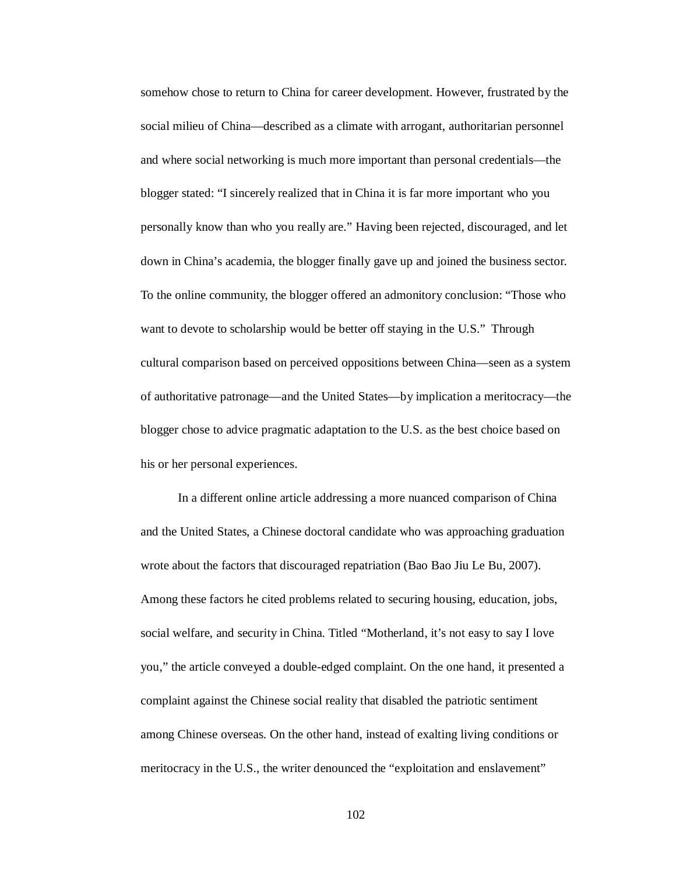somehow chose to return to China for career development. However, frustrated by the social milieu of China—described as a climate with arrogant, authoritarian personnel and where social networking is much more important than personal credentials—the blogger stated: "I sincerely realized that in China it is far more important who you personally know than who you really are." Having been rejected, discouraged, and let down in China's academia, the blogger finally gave up and joined the business sector. To the online community, the blogger offered an admonitory conclusion: "Those who want to devote to scholarship would be better off staying in the U.S." Through cultural comparison based on perceived oppositions between China—seen as a system of authoritative patronage—and the United States—by implication a meritocracy—the blogger chose to advice pragmatic adaptation to the U.S. as the best choice based on his or her personal experiences.

In a different online article addressing a more nuanced comparison of China and the United States, a Chinese doctoral candidate who was approaching graduation wrote about the factors that discouraged repatriation (Bao Bao Jiu Le Bu, 2007). Among these factors he cited problems related to securing housing, education, jobs, social welfare, and security in China. Titled "Motherland, it's not easy to say I love you," the article conveyed a double-edged complaint. On the one hand, it presented a complaint against the Chinese social reality that disabled the patriotic sentiment among Chinese overseas. On the other hand, instead of exalting living conditions or meritocracy in the U.S., the writer denounced the "exploitation and enslavement"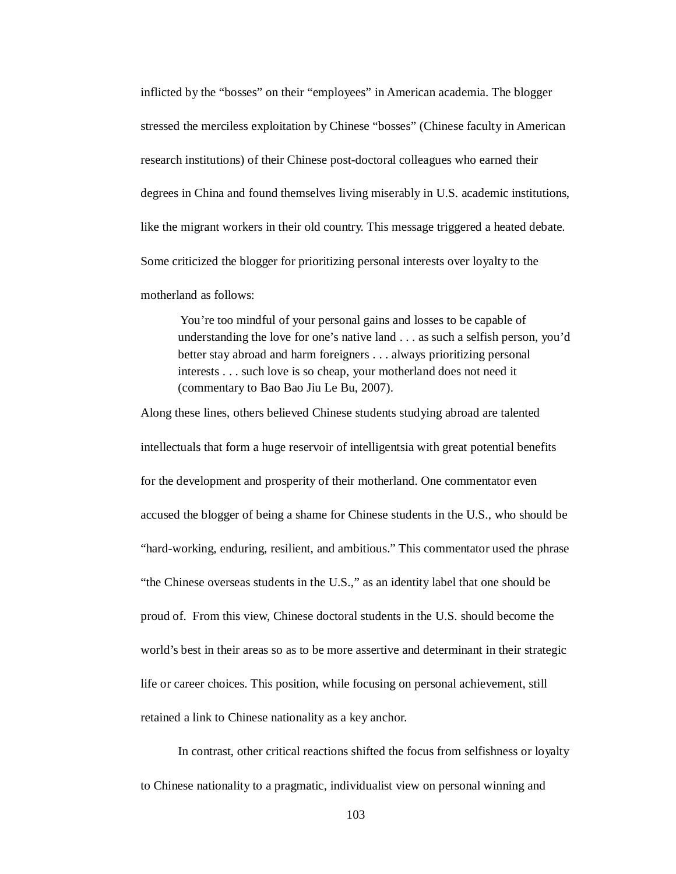inflicted by the "bosses" on their "employees" in American academia. The blogger stressed the merciless exploitation by Chinese "bosses" (Chinese faculty in American research institutions) of their Chinese post-doctoral colleagues who earned their degrees in China and found themselves living miserably in U.S. academic institutions, like the migrant workers in their old country. This message triggered a heated debate. Some criticized the blogger for prioritizing personal interests over loyalty to the motherland as follows:

You're too mindful of your personal gains and losses to be capable of understanding the love for one's native land . . . as such a selfish person, you'd better stay abroad and harm foreigners . . . always prioritizing personal interests . . . such love is so cheap, your motherland does not need it (commentary to Bao Bao Jiu Le Bu, 2007).

Along these lines, others believed Chinese students studying abroad are talented intellectuals that form a huge reservoir of intelligentsia with great potential benefits for the development and prosperity of their motherland. One commentator even accused the blogger of being a shame for Chinese students in the U.S., who should be "hard-working, enduring, resilient, and ambitious." This commentator used the phrase "the Chinese overseas students in the U.S.," as an identity label that one should be proud of. From this view, Chinese doctoral students in the U.S. should become the world's best in their areas so as to be more assertive and determinant in their strategic life or career choices. This position, while focusing on personal achievement, still retained a link to Chinese nationality as a key anchor.

In contrast, other critical reactions shifted the focus from selfishness or loyalty to Chinese nationality to a pragmatic, individualist view on personal winning and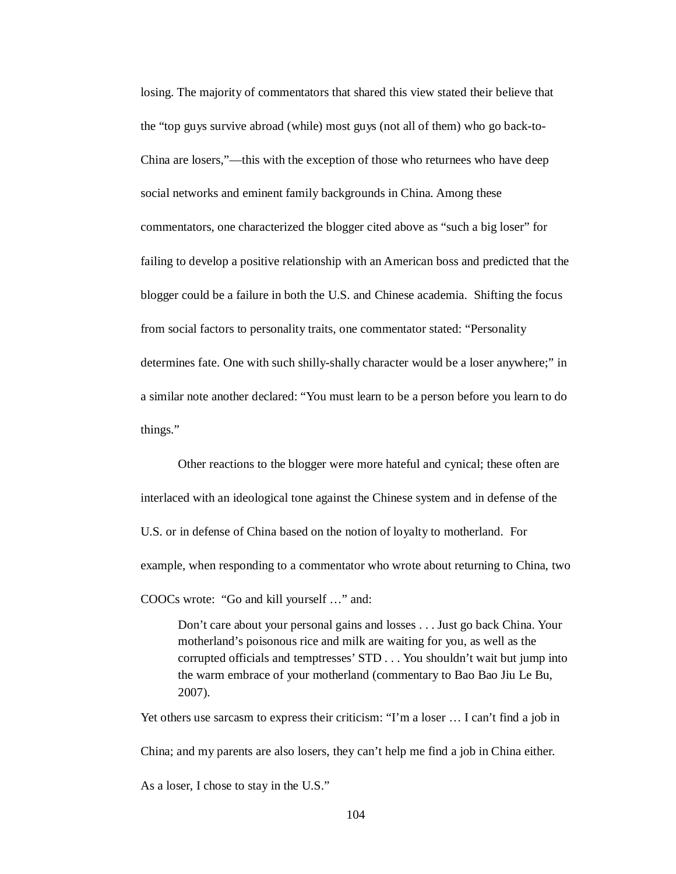losing. The majority of commentators that shared this view stated their believe that the "top guys survive abroad (while) most guys (not all of them) who go back-to-China are losers,"—this with the exception of those who returnees who have deep social networks and eminent family backgrounds in China. Among these commentators, one characterized the blogger cited above as "such a big loser" for failing to develop a positive relationship with an American boss and predicted that the blogger could be a failure in both the U.S. and Chinese academia. Shifting the focus from social factors to personality traits, one commentator stated: "Personality determines fate. One with such shilly-shally character would be a loser anywhere;" in a similar note another declared: "You must learn to be a person before you learn to do things."

Other reactions to the blogger were more hateful and cynical; these often are interlaced with an ideological tone against the Chinese system and in defense of the U.S. or in defense of China based on the notion of loyalty to motherland. For example, when responding to a commentator who wrote about returning to China, two COOCs wrote: "Go and kill yourself …" and:

Don't care about your personal gains and losses . . . Just go back China. Your motherland's poisonous rice and milk are waiting for you, as well as the corrupted officials and temptresses' STD . . . You shouldn't wait but jump into the warm embrace of your motherland (commentary to Bao Bao Jiu Le Bu, 2007).

Yet others use sarcasm to express their criticism: "I'm a loser … I can't find a job in China; and my parents are also losers, they can't help me find a job in China either. As a loser, I chose to stay in the U.S."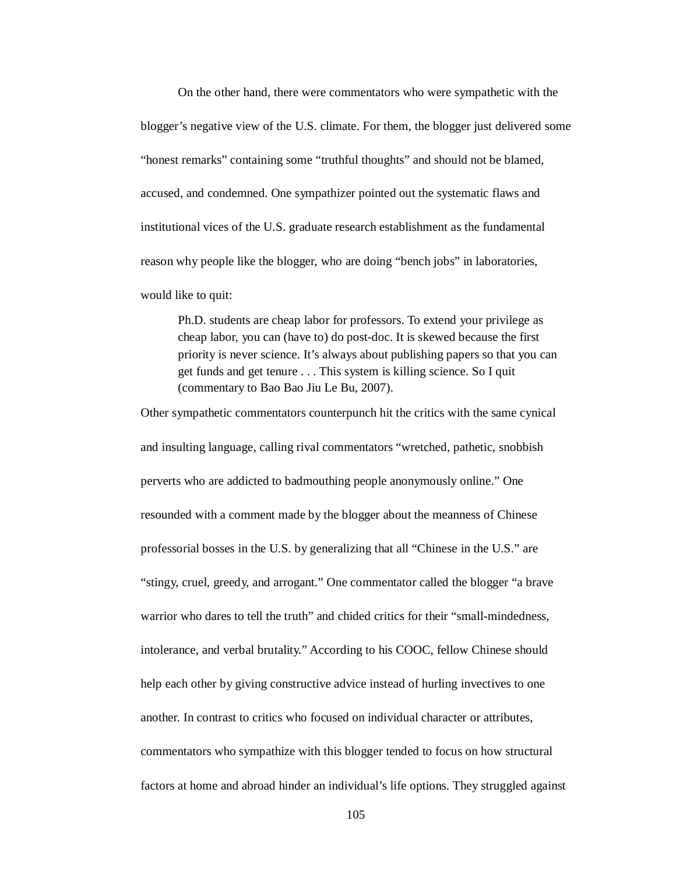On the other hand, there were commentators who were sympathetic with the blogger's negative view of the U.S. climate. For them, the blogger just delivered some "honest remarks" containing some "truthful thoughts" and should not be blamed, accused, and condemned. One sympathizer pointed out the systematic flaws and institutional vices of the U.S. graduate research establishment as the fundamental reason why people like the blogger, who are doing "bench jobs" in laboratories, would like to quit:

Ph.D. students are cheap labor for professors. To extend your privilege as cheap labor, you can (have to) do post-doc. It is skewed because the first priority is never science. It's always about publishing papers so that you can get funds and get tenure . . . This system is killing science. So I quit (commentary to Bao Bao Jiu Le Bu, 2007).

Other sympathetic commentators counterpunch hit the critics with the same cynical and insulting language, calling rival commentators "wretched, pathetic, snobbish perverts who are addicted to badmouthing people anonymously online." One resounded with a comment made by the blogger about the meanness of Chinese professorial bosses in the U.S. by generalizing that all "Chinese in the U.S." are "stingy, cruel, greedy, and arrogant." One commentator called the blogger "a brave warrior who dares to tell the truth" and chided critics for their "small-mindedness, intolerance, and verbal brutality." According to his COOC, fellow Chinese should help each other by giving constructive advice instead of hurling invectives to one another. In contrast to critics who focused on individual character or attributes, commentators who sympathize with this blogger tended to focus on how structural factors at home and abroad hinder an individual's life options. They struggled against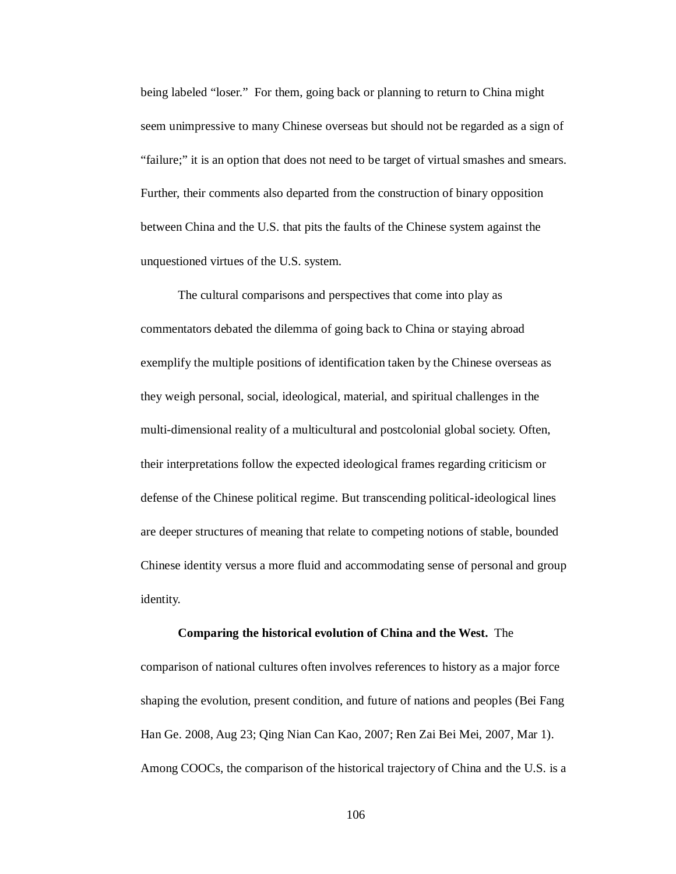being labeled "loser." For them, going back or planning to return to China might seem unimpressive to many Chinese overseas but should not be regarded as a sign of "failure;" it is an option that does not need to be target of virtual smashes and smears. Further, their comments also departed from the construction of binary opposition between China and the U.S. that pits the faults of the Chinese system against the unquestioned virtues of the U.S. system.

The cultural comparisons and perspectives that come into play as commentators debated the dilemma of going back to China or staying abroad exemplify the multiple positions of identification taken by the Chinese overseas as they weigh personal, social, ideological, material, and spiritual challenges in the multi-dimensional reality of a multicultural and postcolonial global society. Often, their interpretations follow the expected ideological frames regarding criticism or defense of the Chinese political regime. But transcending political-ideological lines are deeper structures of meaning that relate to competing notions of stable, bounded Chinese identity versus a more fluid and accommodating sense of personal and group identity.

## **Comparing the historical evolution of China and the West.** The

comparison of national cultures often involves references to history as a major force shaping the evolution, present condition, and future of nations and peoples (Bei Fang Han Ge. 2008, Aug 23; Qing Nian Can Kao, 2007; Ren Zai Bei Mei, 2007, Mar 1). Among COOCs, the comparison of the historical trajectory of China and the U.S. is a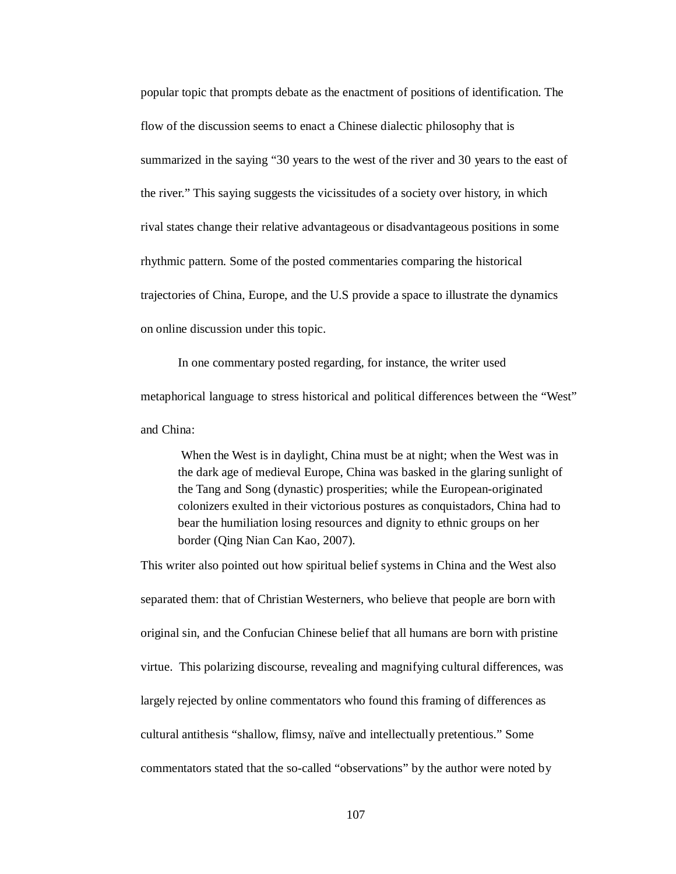popular topic that prompts debate as the enactment of positions of identification. The flow of the discussion seems to enact a Chinese dialectic philosophy that is summarized in the saying "30 years to the west of the river and 30 years to the east of the river." This saying suggests the vicissitudes of a society over history, in which rival states change their relative advantageous or disadvantageous positions in some rhythmic pattern. Some of the posted commentaries comparing the historical trajectories of China, Europe, and the U.S provide a space to illustrate the dynamics on online discussion under this topic.

In one commentary posted regarding, for instance, the writer used metaphorical language to stress historical and political differences between the "West" and China:

When the West is in daylight, China must be at night; when the West was in the dark age of medieval Europe, China was basked in the glaring sunlight of the Tang and Song (dynastic) prosperities; while the European-originated colonizers exulted in their victorious postures as conquistadors, China had to bear the humiliation losing resources and dignity to ethnic groups on her border (Qing Nian Can Kao, 2007).

This writer also pointed out how spiritual belief systems in China and the West also separated them: that of Christian Westerners, who believe that people are born with original sin, and the Confucian Chinese belief that all humans are born with pristine virtue. This polarizing discourse, revealing and magnifying cultural differences, was largely rejected by online commentators who found this framing of differences as cultural antithesis "shallow, flimsy, naïve and intellectually pretentious." Some commentators stated that the so-called "observations" by the author were noted by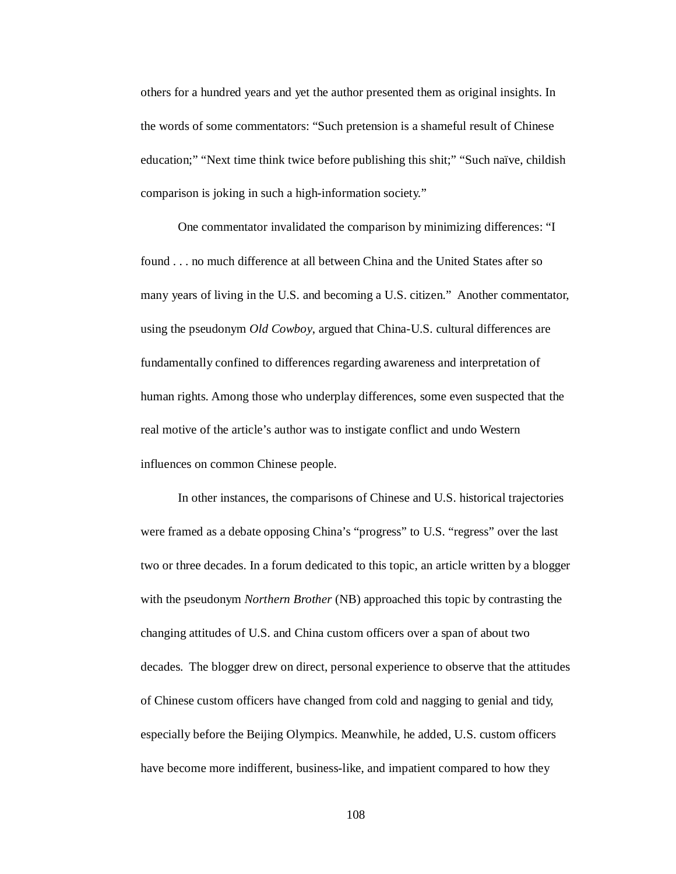others for a hundred years and yet the author presented them as original insights. In the words of some commentators: "Such pretension is a shameful result of Chinese education;" "Next time think twice before publishing this shit;" "Such naïve, childish comparison is joking in such a high-information society."

One commentator invalidated the comparison by minimizing differences: "I found . . . no much difference at all between China and the United States after so many years of living in the U.S. and becoming a U.S. citizen." Another commentator, using the pseudonym *Old Cowboy*, argued that China-U.S. cultural differences are fundamentally confined to differences regarding awareness and interpretation of human rights. Among those who underplay differences, some even suspected that the real motive of the article's author was to instigate conflict and undo Western influences on common Chinese people.

In other instances, the comparisons of Chinese and U.S. historical trajectories were framed as a debate opposing China's "progress" to U.S. "regress" over the last two or three decades. In a forum dedicated to this topic, an article written by a blogger with the pseudonym *Northern Brother* (NB) approached this topic by contrasting the changing attitudes of U.S. and China custom officers over a span of about two decades. The blogger drew on direct, personal experience to observe that the attitudes of Chinese custom officers have changed from cold and nagging to genial and tidy, especially before the Beijing Olympics. Meanwhile, he added, U.S. custom officers have become more indifferent, business-like, and impatient compared to how they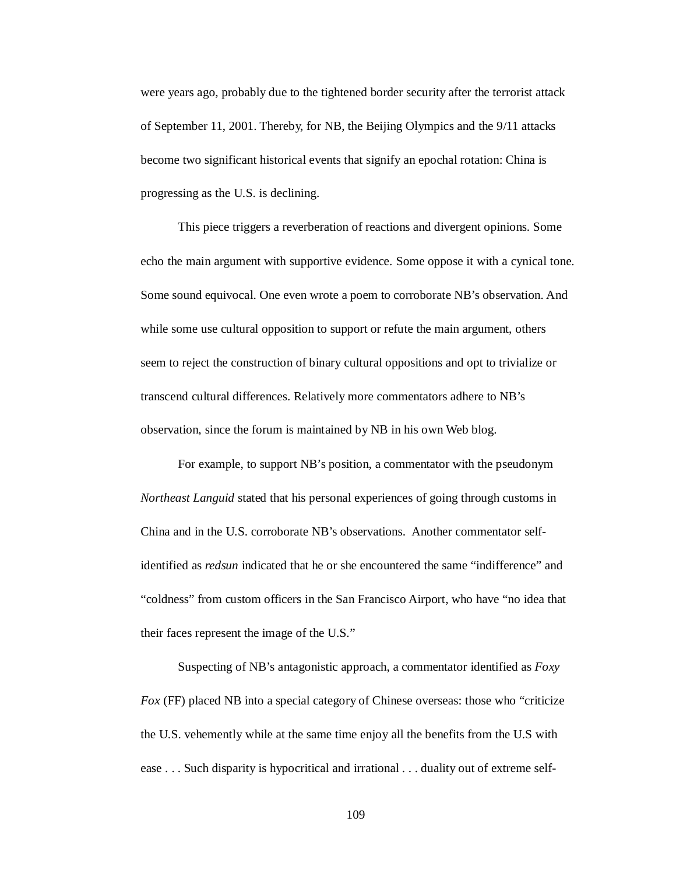were years ago, probably due to the tightened border security after the terrorist attack of September 11, 2001. Thereby, for NB, the Beijing Olympics and the 9/11 attacks become two significant historical events that signify an epochal rotation: China is progressing as the U.S. is declining.

This piece triggers a reverberation of reactions and divergent opinions. Some echo the main argument with supportive evidence. Some oppose it with a cynical tone. Some sound equivocal. One even wrote a poem to corroborate NB's observation. And while some use cultural opposition to support or refute the main argument, others seem to reject the construction of binary cultural oppositions and opt to trivialize or transcend cultural differences. Relatively more commentators adhere to NB's observation, since the forum is maintained by NB in his own Web blog.

For example, to support NB's position, a commentator with the pseudonym *Northeast Languid* stated that his personal experiences of going through customs in China and in the U.S. corroborate NB's observations. Another commentator selfidentified as *redsun* indicated that he or she encountered the same "indifference" and "coldness" from custom officers in the San Francisco Airport, who have "no idea that their faces represent the image of the U.S."

Suspecting of NB's antagonistic approach, a commentator identified as *Foxy Fox* (FF) placed NB into a special category of Chinese overseas: those who "criticize" the U.S. vehemently while at the same time enjoy all the benefits from the U.S with ease . . . Such disparity is hypocritical and irrational . . . duality out of extreme self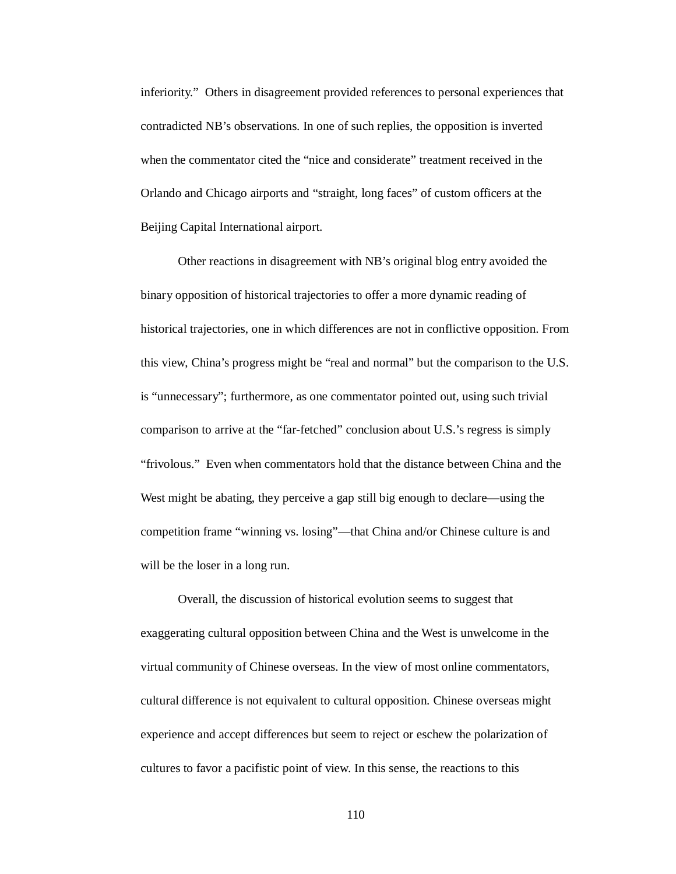inferiority." Others in disagreement provided references to personal experiences that contradicted NB's observations. In one of such replies, the opposition is inverted when the commentator cited the "nice and considerate" treatment received in the Orlando and Chicago airports and "straight, long faces" of custom officers at the Beijing Capital International airport.

Other reactions in disagreement with NB's original blog entry avoided the binary opposition of historical trajectories to offer a more dynamic reading of historical trajectories, one in which differences are not in conflictive opposition. From this view, China's progress might be "real and normal" but the comparison to the U.S. is "unnecessary"; furthermore, as one commentator pointed out, using such trivial comparison to arrive at the "far-fetched" conclusion about U.S.'s regress is simply "frivolous." Even when commentators hold that the distance between China and the West might be abating, they perceive a gap still big enough to declare—using the competition frame "winning vs. losing"—that China and/or Chinese culture is and will be the loser in a long run.

Overall, the discussion of historical evolution seems to suggest that exaggerating cultural opposition between China and the West is unwelcome in the virtual community of Chinese overseas. In the view of most online commentators, cultural difference is not equivalent to cultural opposition. Chinese overseas might experience and accept differences but seem to reject or eschew the polarization of cultures to favor a pacifistic point of view. In this sense, the reactions to this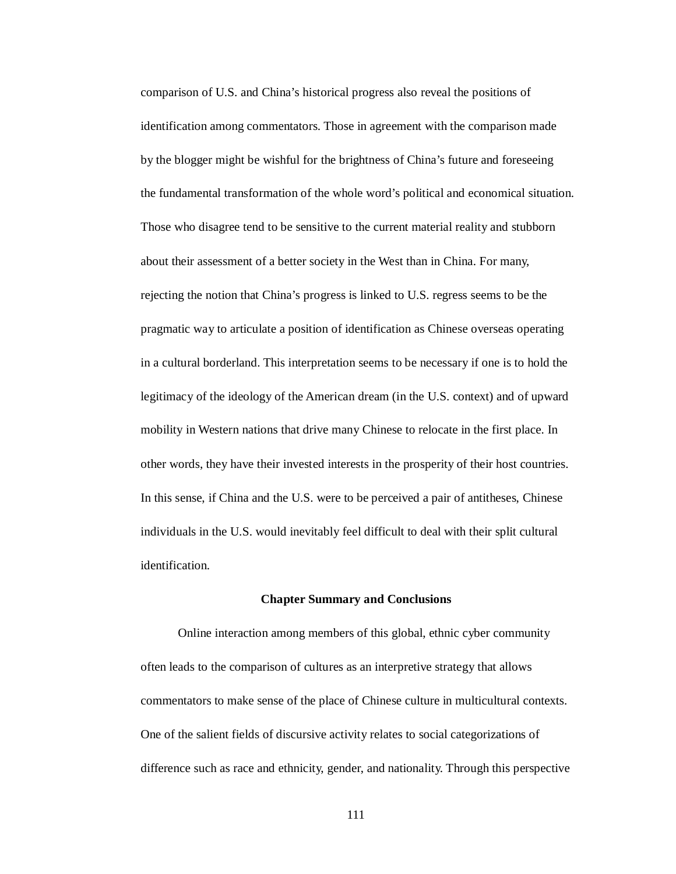comparison of U.S. and China's historical progress also reveal the positions of identification among commentators. Those in agreement with the comparison made by the blogger might be wishful for the brightness of China's future and foreseeing the fundamental transformation of the whole word's political and economical situation. Those who disagree tend to be sensitive to the current material reality and stubborn about their assessment of a better society in the West than in China. For many, rejecting the notion that China's progress is linked to U.S. regress seems to be the pragmatic way to articulate a position of identification as Chinese overseas operating in a cultural borderland. This interpretation seems to be necessary if one is to hold the legitimacy of the ideology of the American dream (in the U.S. context) and of upward mobility in Western nations that drive many Chinese to relocate in the first place. In other words, they have their invested interests in the prosperity of their host countries. In this sense, if China and the U.S. were to be perceived a pair of antitheses, Chinese individuals in the U.S. would inevitably feel difficult to deal with their split cultural identification.

# **Chapter Summary and Conclusions**

Online interaction among members of this global, ethnic cyber community often leads to the comparison of cultures as an interpretive strategy that allows commentators to make sense of the place of Chinese culture in multicultural contexts. One of the salient fields of discursive activity relates to social categorizations of difference such as race and ethnicity, gender, and nationality. Through this perspective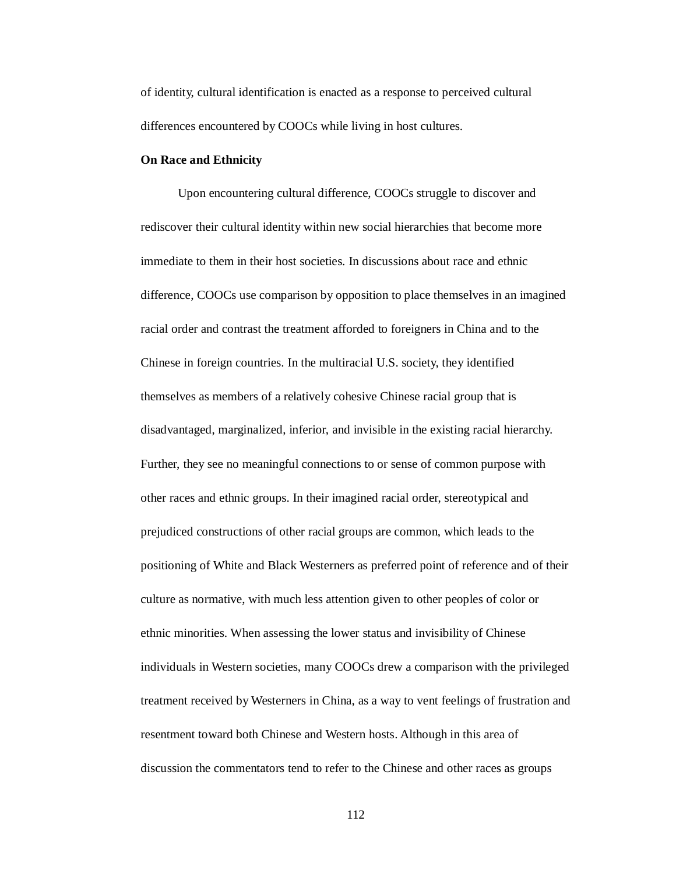of identity, cultural identification is enacted as a response to perceived cultural differences encountered by COOCs while living in host cultures.

### **On Race and Ethnicity**

Upon encountering cultural difference, COOCs struggle to discover and rediscover their cultural identity within new social hierarchies that become more immediate to them in their host societies. In discussions about race and ethnic difference, COOCs use comparison by opposition to place themselves in an imagined racial order and contrast the treatment afforded to foreigners in China and to the Chinese in foreign countries. In the multiracial U.S. society, they identified themselves as members of a relatively cohesive Chinese racial group that is disadvantaged, marginalized, inferior, and invisible in the existing racial hierarchy. Further, they see no meaningful connections to or sense of common purpose with other races and ethnic groups. In their imagined racial order, stereotypical and prejudiced constructions of other racial groups are common, which leads to the positioning of White and Black Westerners as preferred point of reference and of their culture as normative, with much less attention given to other peoples of color or ethnic minorities. When assessing the lower status and invisibility of Chinese individuals in Western societies, many COOCs drew a comparison with the privileged treatment received by Westerners in China, as a way to vent feelings of frustration and resentment toward both Chinese and Western hosts. Although in this area of discussion the commentators tend to refer to the Chinese and other races as groups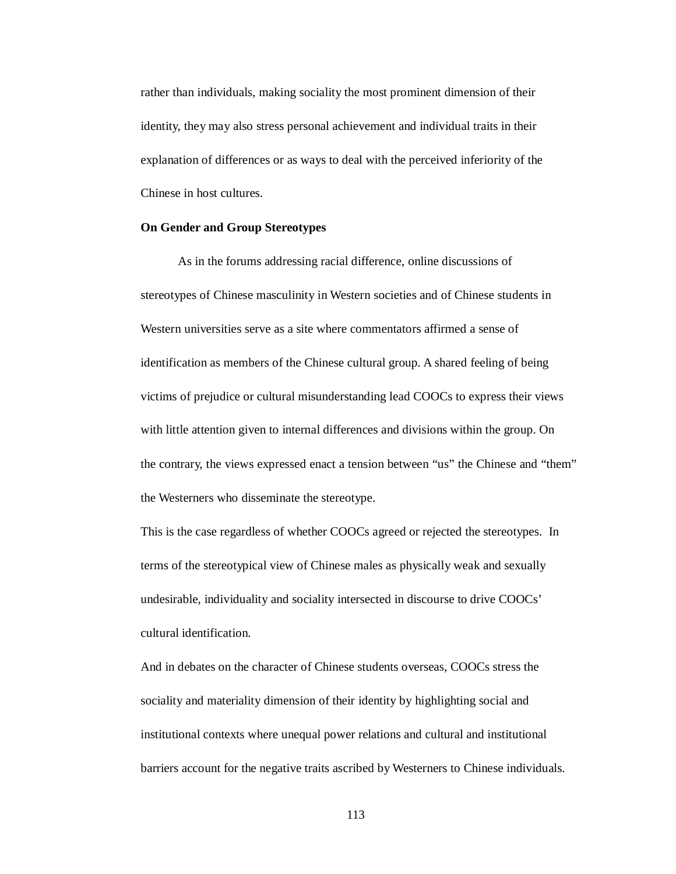rather than individuals, making sociality the most prominent dimension of their identity, they may also stress personal achievement and individual traits in their explanation of differences or as ways to deal with the perceived inferiority of the Chinese in host cultures.

# **On Gender and Group Stereotypes**

As in the forums addressing racial difference, online discussions of stereotypes of Chinese masculinity in Western societies and of Chinese students in Western universities serve as a site where commentators affirmed a sense of identification as members of the Chinese cultural group. A shared feeling of being victims of prejudice or cultural misunderstanding lead COOCs to express their views with little attention given to internal differences and divisions within the group. On the contrary, the views expressed enact a tension between "us" the Chinese and "them" the Westerners who disseminate the stereotype.

This is the case regardless of whether COOCs agreed or rejected the stereotypes. In terms of the stereotypical view of Chinese males as physically weak and sexually undesirable, individuality and sociality intersected in discourse to drive COOCs' cultural identification.

And in debates on the character of Chinese students overseas, COOCs stress the sociality and materiality dimension of their identity by highlighting social and institutional contexts where unequal power relations and cultural and institutional barriers account for the negative traits ascribed by Westerners to Chinese individuals.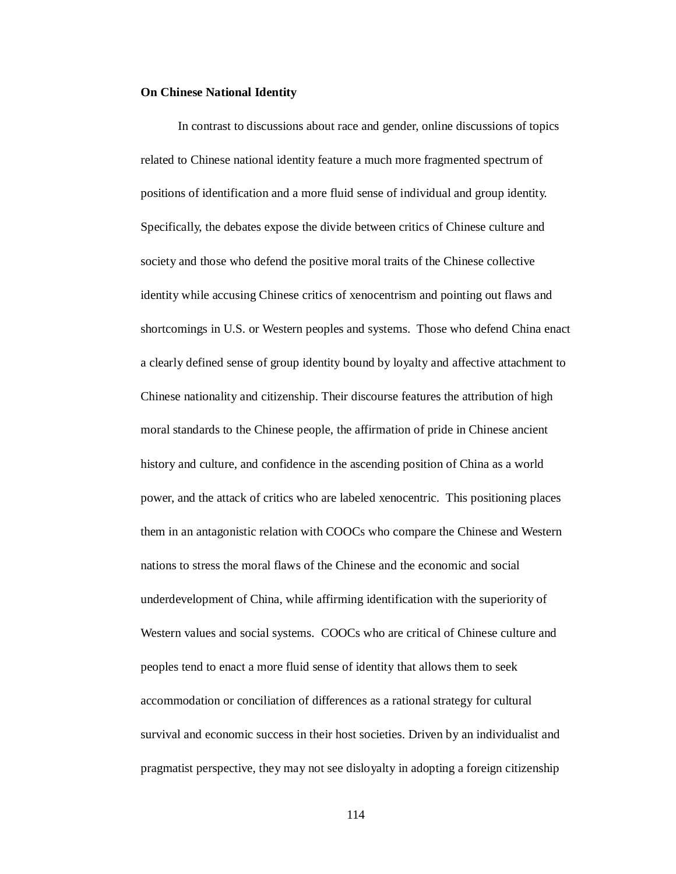## **On Chinese National Identity**

In contrast to discussions about race and gender, online discussions of topics related to Chinese national identity feature a much more fragmented spectrum of positions of identification and a more fluid sense of individual and group identity. Specifically, the debates expose the divide between critics of Chinese culture and society and those who defend the positive moral traits of the Chinese collective identity while accusing Chinese critics of xenocentrism and pointing out flaws and shortcomings in U.S. or Western peoples and systems. Those who defend China enact a clearly defined sense of group identity bound by loyalty and affective attachment to Chinese nationality and citizenship. Their discourse features the attribution of high moral standards to the Chinese people, the affirmation of pride in Chinese ancient history and culture, and confidence in the ascending position of China as a world power, and the attack of critics who are labeled xenocentric. This positioning places them in an antagonistic relation with COOCs who compare the Chinese and Western nations to stress the moral flaws of the Chinese and the economic and social underdevelopment of China, while affirming identification with the superiority of Western values and social systems. COOCs who are critical of Chinese culture and peoples tend to enact a more fluid sense of identity that allows them to seek accommodation or conciliation of differences as a rational strategy for cultural survival and economic success in their host societies. Driven by an individualist and pragmatist perspective, they may not see disloyalty in adopting a foreign citizenship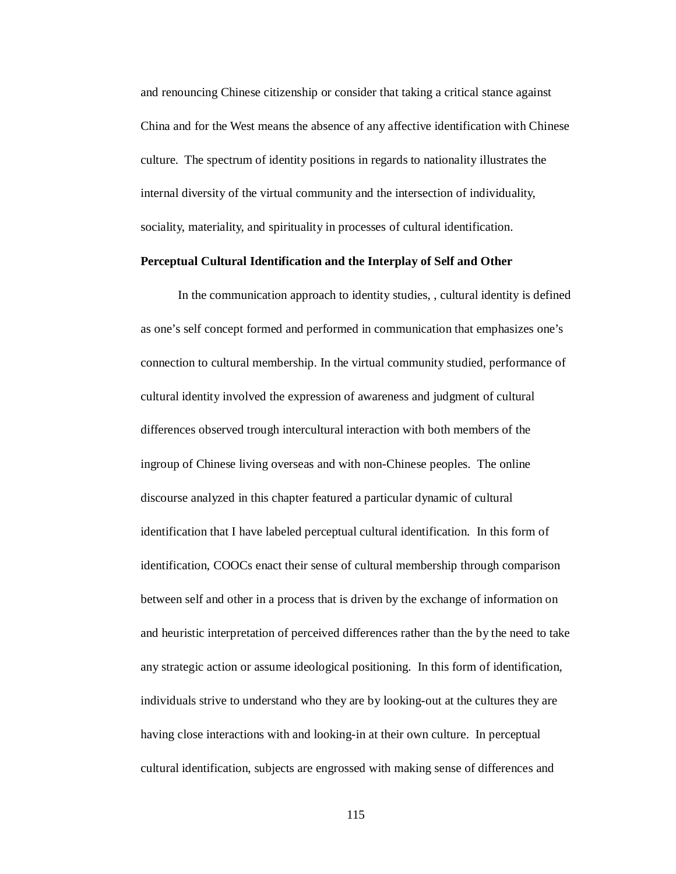and renouncing Chinese citizenship or consider that taking a critical stance against China and for the West means the absence of any affective identification with Chinese culture. The spectrum of identity positions in regards to nationality illustrates the internal diversity of the virtual community and the intersection of individuality, sociality, materiality, and spirituality in processes of cultural identification.

# **Perceptual Cultural Identification and the Interplay of Self and Other**

In the communication approach to identity studies, , cultural identity is defined as one's self concept formed and performed in communication that emphasizes one's connection to cultural membership. In the virtual community studied, performance of cultural identity involved the expression of awareness and judgment of cultural differences observed trough intercultural interaction with both members of the ingroup of Chinese living overseas and with non-Chinese peoples. The online discourse analyzed in this chapter featured a particular dynamic of cultural identification that I have labeled perceptual cultural identification. In this form of identification, COOCs enact their sense of cultural membership through comparison between self and other in a process that is driven by the exchange of information on and heuristic interpretation of perceived differences rather than the by the need to take any strategic action or assume ideological positioning. In this form of identification, individuals strive to understand who they are by looking-out at the cultures they are having close interactions with and looking-in at their own culture. In perceptual cultural identification, subjects are engrossed with making sense of differences and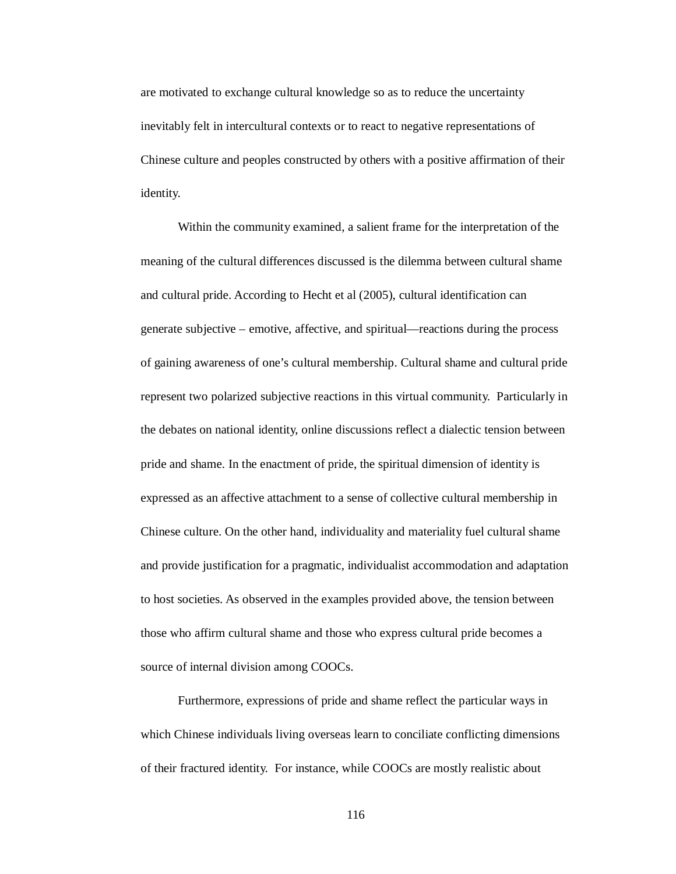are motivated to exchange cultural knowledge so as to reduce the uncertainty inevitably felt in intercultural contexts or to react to negative representations of Chinese culture and peoples constructed by others with a positive affirmation of their identity.

Within the community examined, a salient frame for the interpretation of the meaning of the cultural differences discussed is the dilemma between cultural shame and cultural pride. According to Hecht et al (2005), cultural identification can generate subjective – emotive, affective, and spiritual—reactions during the process of gaining awareness of one's cultural membership. Cultural shame and cultural pride represent two polarized subjective reactions in this virtual community. Particularly in the debates on national identity, online discussions reflect a dialectic tension between pride and shame. In the enactment of pride, the spiritual dimension of identity is expressed as an affective attachment to a sense of collective cultural membership in Chinese culture. On the other hand, individuality and materiality fuel cultural shame and provide justification for a pragmatic, individualist accommodation and adaptation to host societies. As observed in the examples provided above, the tension between those who affirm cultural shame and those who express cultural pride becomes a source of internal division among COOCs.

Furthermore, expressions of pride and shame reflect the particular ways in which Chinese individuals living overseas learn to conciliate conflicting dimensions of their fractured identity. For instance, while COOCs are mostly realistic about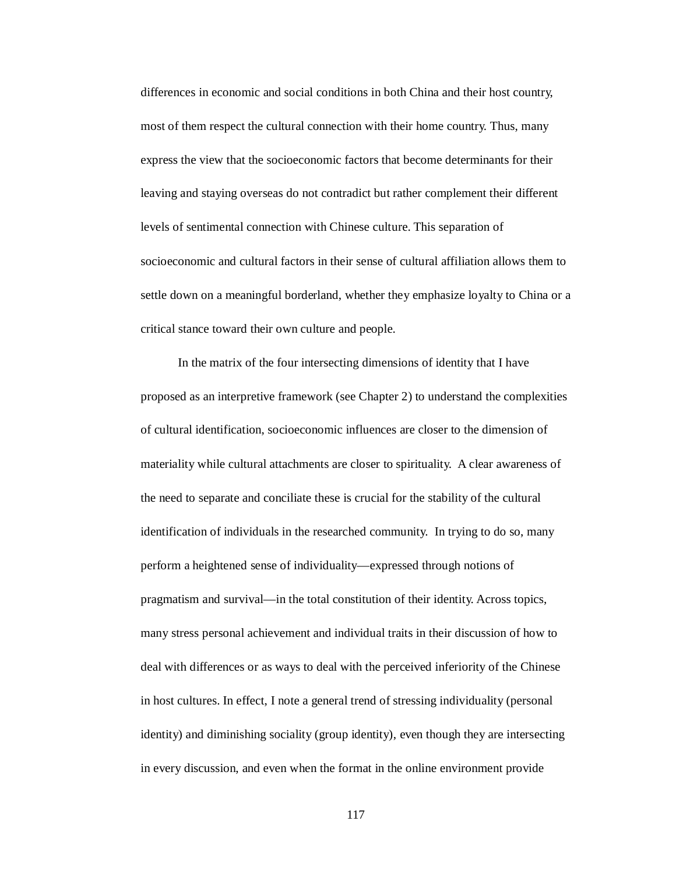differences in economic and social conditions in both China and their host country, most of them respect the cultural connection with their home country. Thus, many express the view that the socioeconomic factors that become determinants for their leaving and staying overseas do not contradict but rather complement their different levels of sentimental connection with Chinese culture. This separation of socioeconomic and cultural factors in their sense of cultural affiliation allows them to settle down on a meaningful borderland, whether they emphasize loyalty to China or a critical stance toward their own culture and people.

In the matrix of the four intersecting dimensions of identity that I have proposed as an interpretive framework (see Chapter 2) to understand the complexities of cultural identification, socioeconomic influences are closer to the dimension of materiality while cultural attachments are closer to spirituality. A clear awareness of the need to separate and conciliate these is crucial for the stability of the cultural identification of individuals in the researched community. In trying to do so, many perform a heightened sense of individuality—expressed through notions of pragmatism and survival—in the total constitution of their identity. Across topics, many stress personal achievement and individual traits in their discussion of how to deal with differences or as ways to deal with the perceived inferiority of the Chinese in host cultures. In effect, I note a general trend of stressing individuality (personal identity) and diminishing sociality (group identity), even though they are intersecting in every discussion, and even when the format in the online environment provide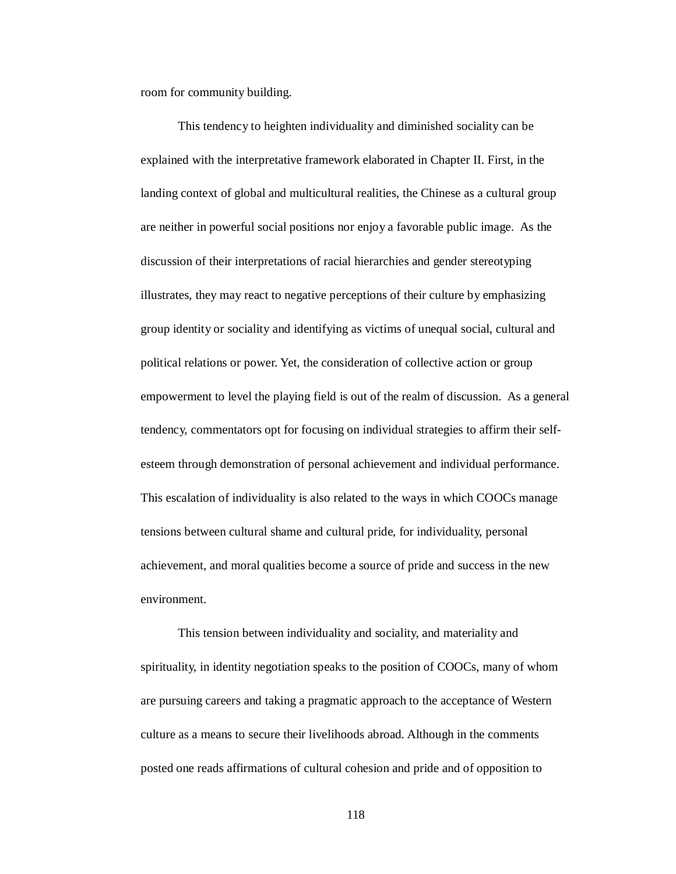room for community building.

This tendency to heighten individuality and diminished sociality can be explained with the interpretative framework elaborated in Chapter II. First, in the landing context of global and multicultural realities, the Chinese as a cultural group are neither in powerful social positions nor enjoy a favorable public image. As the discussion of their interpretations of racial hierarchies and gender stereotyping illustrates, they may react to negative perceptions of their culture by emphasizing group identity or sociality and identifying as victims of unequal social, cultural and political relations or power. Yet, the consideration of collective action or group empowerment to level the playing field is out of the realm of discussion. As a general tendency, commentators opt for focusing on individual strategies to affirm their selfesteem through demonstration of personal achievement and individual performance. This escalation of individuality is also related to the ways in which COOCs manage tensions between cultural shame and cultural pride, for individuality, personal achievement, and moral qualities become a source of pride and success in the new environment.

This tension between individuality and sociality, and materiality and spirituality, in identity negotiation speaks to the position of COOCs, many of whom are pursuing careers and taking a pragmatic approach to the acceptance of Western culture as a means to secure their livelihoods abroad. Although in the comments posted one reads affirmations of cultural cohesion and pride and of opposition to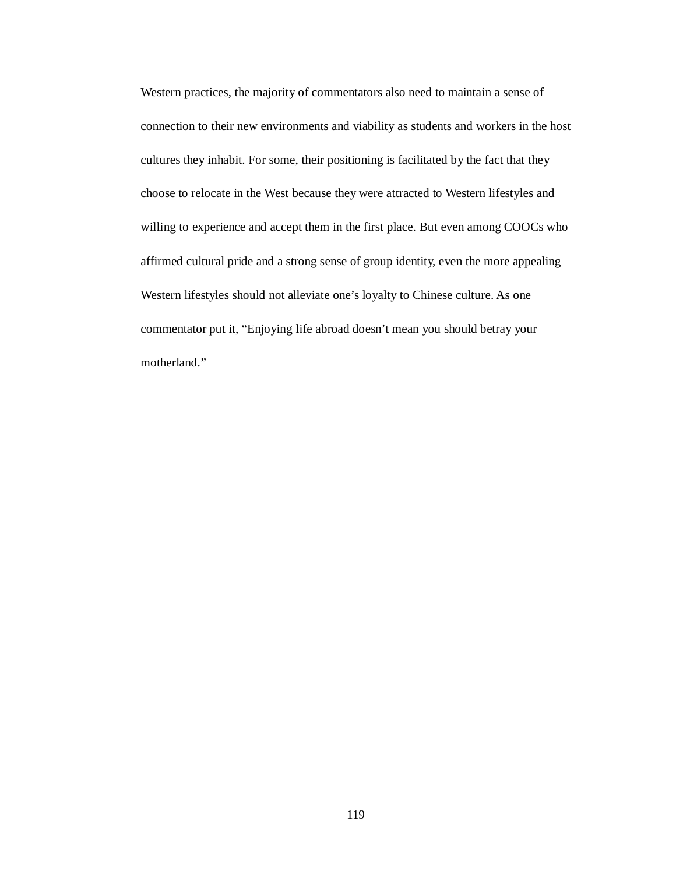Western practices, the majority of commentators also need to maintain a sense of connection to their new environments and viability as students and workers in the host cultures they inhabit. For some, their positioning is facilitated by the fact that they choose to relocate in the West because they were attracted to Western lifestyles and willing to experience and accept them in the first place. But even among COOCs who affirmed cultural pride and a strong sense of group identity, even the more appealing Western lifestyles should not alleviate one's loyalty to Chinese culture. As one commentator put it, "Enjoying life abroad doesn't mean you should betray your motherland."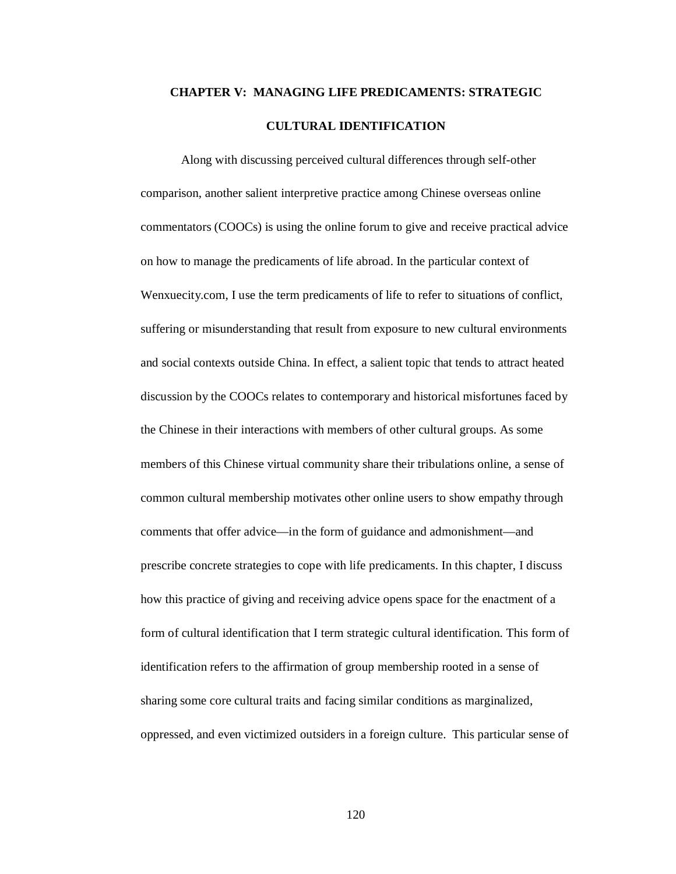# **CHAPTER V: MANAGING LIFE PREDICAMENTS: STRATEGIC CULTURAL IDENTIFICATION**

Along with discussing perceived cultural differences through self-other comparison, another salient interpretive practice among Chinese overseas online commentators (COOCs) is using the online forum to give and receive practical advice on how to manage the predicaments of life abroad. In the particular context of Wenxuecity.com, I use the term predicaments of life to refer to situations of conflict, suffering or misunderstanding that result from exposure to new cultural environments and social contexts outside China. In effect, a salient topic that tends to attract heated discussion by the COOCs relates to contemporary and historical misfortunes faced by the Chinese in their interactions with members of other cultural groups. As some members of this Chinese virtual community share their tribulations online, a sense of common cultural membership motivates other online users to show empathy through comments that offer advice—in the form of guidance and admonishment—and prescribe concrete strategies to cope with life predicaments. In this chapter, I discuss how this practice of giving and receiving advice opens space for the enactment of a form of cultural identification that I term strategic cultural identification. This form of identification refers to the affirmation of group membership rooted in a sense of sharing some core cultural traits and facing similar conditions as marginalized, oppressed, and even victimized outsiders in a foreign culture. This particular sense of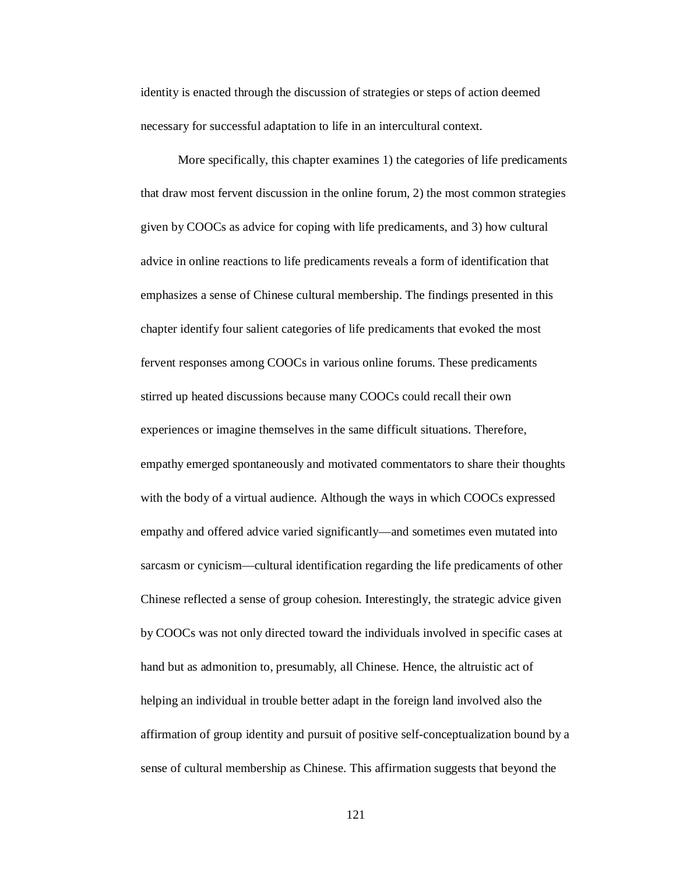identity is enacted through the discussion of strategies or steps of action deemed necessary for successful adaptation to life in an intercultural context.

More specifically, this chapter examines 1) the categories of life predicaments that draw most fervent discussion in the online forum, 2) the most common strategies given by COOCs as advice for coping with life predicaments, and 3) how cultural advice in online reactions to life predicaments reveals a form of identification that emphasizes a sense of Chinese cultural membership. The findings presented in this chapter identify four salient categories of life predicaments that evoked the most fervent responses among COOCs in various online forums. These predicaments stirred up heated discussions because many COOCs could recall their own experiences or imagine themselves in the same difficult situations. Therefore, empathy emerged spontaneously and motivated commentators to share their thoughts with the body of a virtual audience. Although the ways in which COOCs expressed empathy and offered advice varied significantly—and sometimes even mutated into sarcasm or cynicism—cultural identification regarding the life predicaments of other Chinese reflected a sense of group cohesion. Interestingly, the strategic advice given by COOCs was not only directed toward the individuals involved in specific cases at hand but as admonition to, presumably, all Chinese. Hence, the altruistic act of helping an individual in trouble better adapt in the foreign land involved also the affirmation of group identity and pursuit of positive self-conceptualization bound by a sense of cultural membership as Chinese. This affirmation suggests that beyond the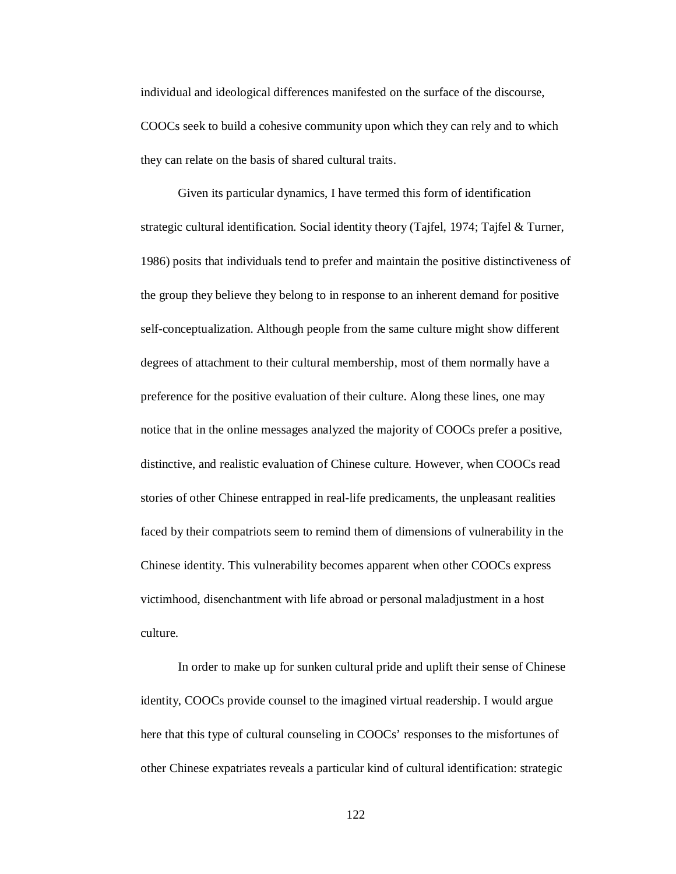individual and ideological differences manifested on the surface of the discourse, COOCs seek to build a cohesive community upon which they can rely and to which they can relate on the basis of shared cultural traits.

Given its particular dynamics, I have termed this form of identification strategic cultural identification. Social identity theory (Tajfel, 1974; Tajfel & Turner, 1986) posits that individuals tend to prefer and maintain the positive distinctiveness of the group they believe they belong to in response to an inherent demand for positive self-conceptualization. Although people from the same culture might show different degrees of attachment to their cultural membership, most of them normally have a preference for the positive evaluation of their culture. Along these lines, one may notice that in the online messages analyzed the majority of COOCs prefer a positive, distinctive, and realistic evaluation of Chinese culture. However, when COOCs read stories of other Chinese entrapped in real-life predicaments, the unpleasant realities faced by their compatriots seem to remind them of dimensions of vulnerability in the Chinese identity. This vulnerability becomes apparent when other COOCs express victimhood, disenchantment with life abroad or personal maladjustment in a host culture.

In order to make up for sunken cultural pride and uplift their sense of Chinese identity, COOCs provide counsel to the imagined virtual readership. I would argue here that this type of cultural counseling in COOCs' responses to the misfortunes of other Chinese expatriates reveals a particular kind of cultural identification: strategic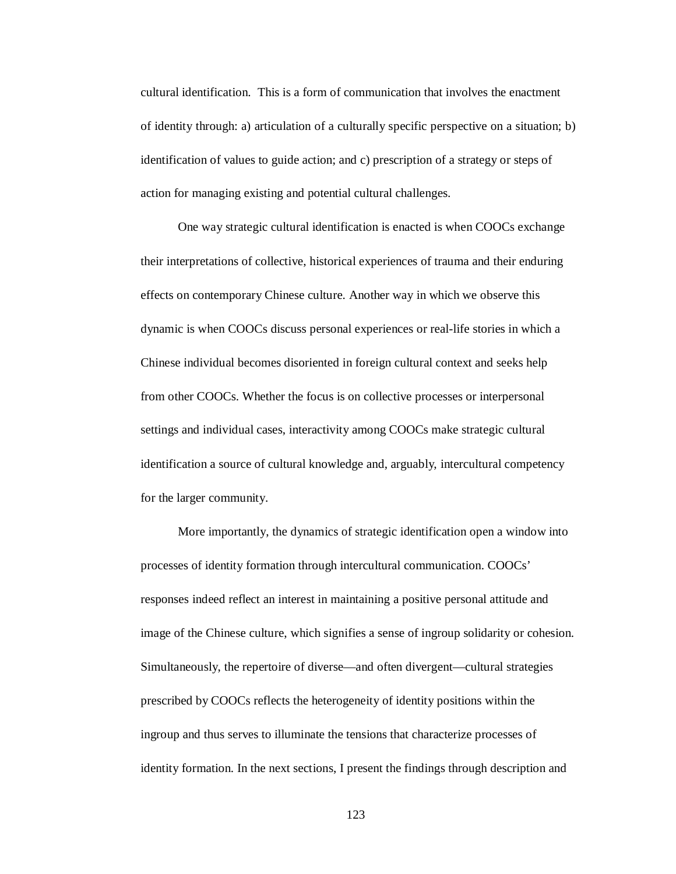cultural identification. This is a form of communication that involves the enactment of identity through: a) articulation of a culturally specific perspective on a situation; b) identification of values to guide action; and c) prescription of a strategy or steps of action for managing existing and potential cultural challenges.

One way strategic cultural identification is enacted is when COOCs exchange their interpretations of collective, historical experiences of trauma and their enduring effects on contemporary Chinese culture. Another way in which we observe this dynamic is when COOCs discuss personal experiences or real-life stories in which a Chinese individual becomes disoriented in foreign cultural context and seeks help from other COOCs. Whether the focus is on collective processes or interpersonal settings and individual cases, interactivity among COOCs make strategic cultural identification a source of cultural knowledge and, arguably, intercultural competency for the larger community.

More importantly, the dynamics of strategic identification open a window into processes of identity formation through intercultural communication. COOCs' responses indeed reflect an interest in maintaining a positive personal attitude and image of the Chinese culture, which signifies a sense of ingroup solidarity or cohesion. Simultaneously, the repertoire of diverse—and often divergent—cultural strategies prescribed by COOCs reflects the heterogeneity of identity positions within the ingroup and thus serves to illuminate the tensions that characterize processes of identity formation. In the next sections, I present the findings through description and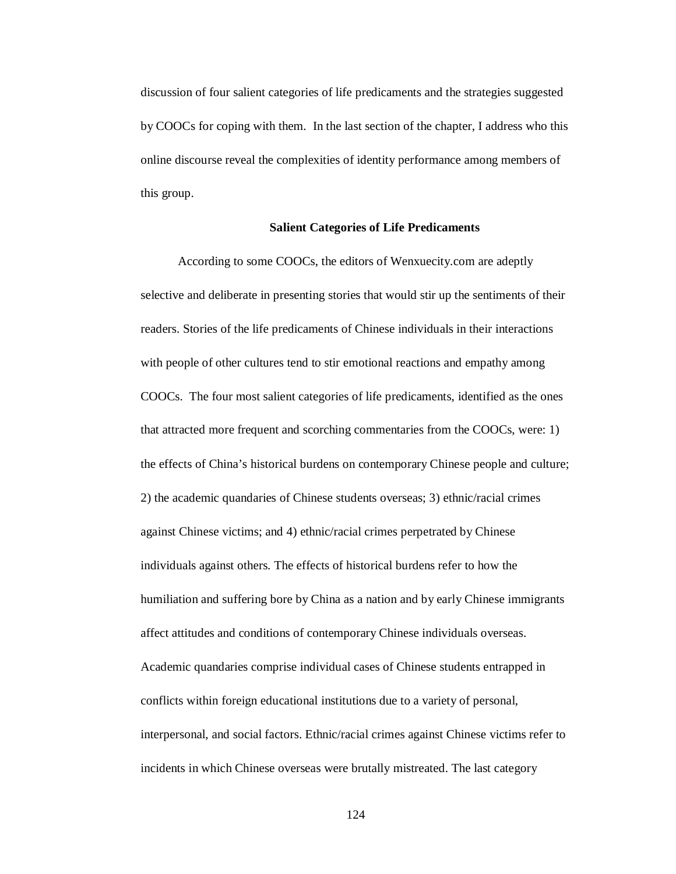discussion of four salient categories of life predicaments and the strategies suggested by COOCs for coping with them. In the last section of the chapter, I address who this online discourse reveal the complexities of identity performance among members of this group.

## **Salient Categories of Life Predicaments**

According to some COOCs, the editors of Wenxuecity.com are adeptly selective and deliberate in presenting stories that would stir up the sentiments of their readers. Stories of the life predicaments of Chinese individuals in their interactions with people of other cultures tend to stir emotional reactions and empathy among COOCs. The four most salient categories of life predicaments, identified as the ones that attracted more frequent and scorching commentaries from the COOCs, were: 1) the effects of China's historical burdens on contemporary Chinese people and culture; 2) the academic quandaries of Chinese students overseas; 3) ethnic/racial crimes against Chinese victims; and 4) ethnic/racial crimes perpetrated by Chinese individuals against others. The effects of historical burdens refer to how the humiliation and suffering bore by China as a nation and by early Chinese immigrants affect attitudes and conditions of contemporary Chinese individuals overseas. Academic quandaries comprise individual cases of Chinese students entrapped in conflicts within foreign educational institutions due to a variety of personal, interpersonal, and social factors. Ethnic/racial crimes against Chinese victims refer to incidents in which Chinese overseas were brutally mistreated. The last category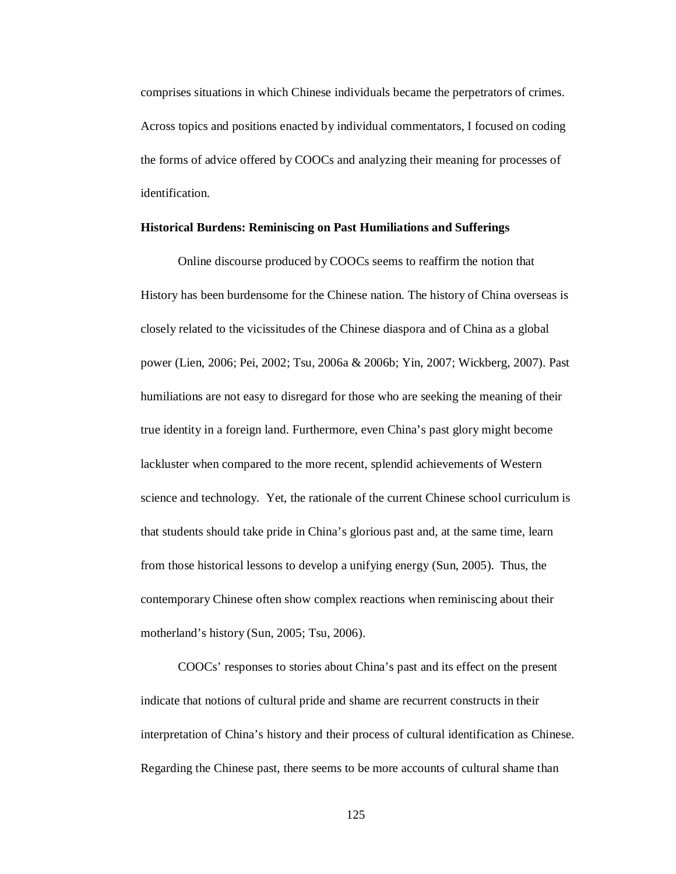comprises situations in which Chinese individuals became the perpetrators of crimes. Across topics and positions enacted by individual commentators, I focused on coding the forms of advice offered by COOCs and analyzing their meaning for processes of identification.

### **Historical Burdens: Reminiscing on Past Humiliations and Sufferings**

Online discourse produced by COOCs seems to reaffirm the notion that History has been burdensome for the Chinese nation. The history of China overseas is closely related to the vicissitudes of the Chinese diaspora and of China as a global power (Lien, 2006; Pei, 2002; Tsu, 2006a & 2006b; Yin, 2007; Wickberg, 2007). Past humiliations are not easy to disregard for those who are seeking the meaning of their true identity in a foreign land. Furthermore, even China's past glory might become lackluster when compared to the more recent, splendid achievements of Western science and technology. Yet, the rationale of the current Chinese school curriculum is that students should take pride in China's glorious past and, at the same time, learn from those historical lessons to develop a unifying energy (Sun, 2005). Thus, the contemporary Chinese often show complex reactions when reminiscing about their motherland's history (Sun, 2005; Tsu, 2006).

COOCs' responses to stories about China's past and its effect on the present indicate that notions of cultural pride and shame are recurrent constructs in their interpretation of China's history and their process of cultural identification as Chinese. Regarding the Chinese past, there seems to be more accounts of cultural shame than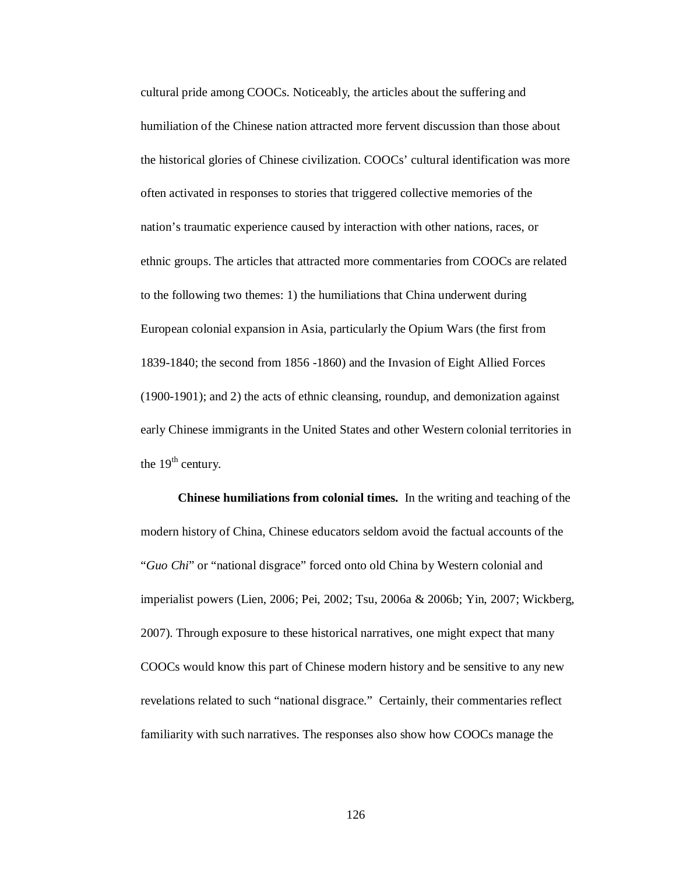cultural pride among COOCs. Noticeably, the articles about the suffering and humiliation of the Chinese nation attracted more fervent discussion than those about the historical glories of Chinese civilization. COOCs' cultural identification was more often activated in responses to stories that triggered collective memories of the nation's traumatic experience caused by interaction with other nations, races, or ethnic groups. The articles that attracted more commentaries from COOCs are related to the following two themes: 1) the humiliations that China underwent during European colonial expansion in Asia, particularly the Opium Wars (the first from 1839-1840; the second from 1856 -1860) and the Invasion of Eight Allied Forces (1900-1901); and 2) the acts of ethnic cleansing, roundup, and demonization against early Chinese immigrants in the United States and other Western colonial territories in the  $19<sup>th</sup>$  century.

**Chinese humiliations from colonial times.** In the writing and teaching of the modern history of China, Chinese educators seldom avoid the factual accounts of the "*Guo Chi*" or "national disgrace" forced onto old China by Western colonial and imperialist powers (Lien, 2006; Pei, 2002; Tsu, 2006a & 2006b; Yin, 2007; Wickberg, 2007). Through exposure to these historical narratives, one might expect that many COOCs would know this part of Chinese modern history and be sensitive to any new revelations related to such "national disgrace." Certainly, their commentaries reflect familiarity with such narratives. The responses also show how COOCs manage the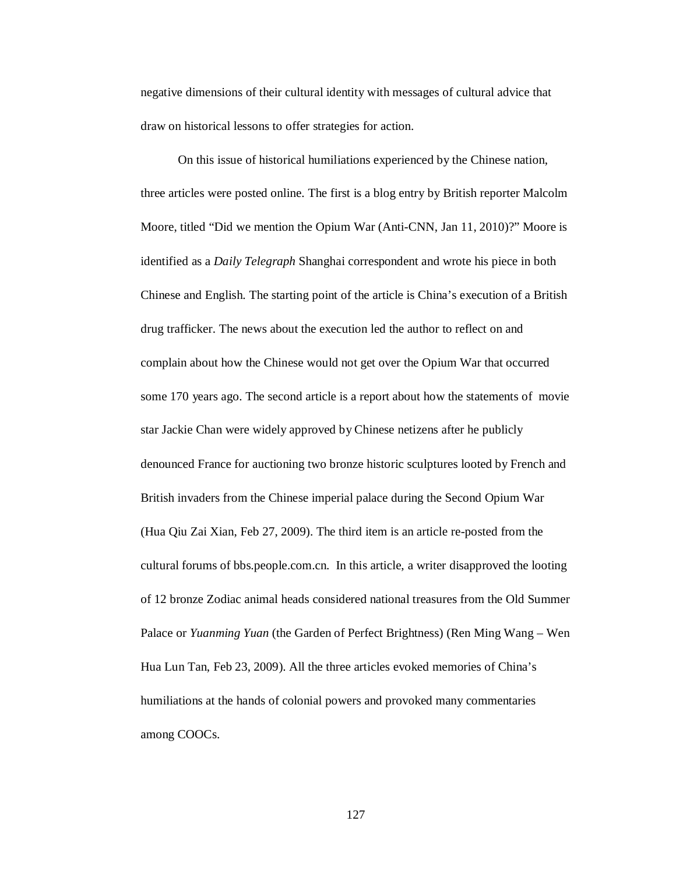negative dimensions of their cultural identity with messages of cultural advice that draw on historical lessons to offer strategies for action.

On this issue of historical humiliations experienced by the Chinese nation, three articles were posted online. The first is a blog entry by British reporter Malcolm Moore, titled "Did we mention the Opium War (Anti-CNN, Jan 11, 2010)?" Moore is identified as a *Daily Telegraph* Shanghai correspondent and wrote his piece in both Chinese and English. The starting point of the article is China's execution of a British drug trafficker. The news about the execution led the author to reflect on and complain about how the Chinese would not get over the Opium War that occurred some 170 years ago. The second article is a report about how the statements of movie star Jackie Chan were widely approved by Chinese netizens after he publicly denounced France for auctioning two bronze historic sculptures looted by French and British invaders from the Chinese imperial palace during the Second Opium War (Hua Qiu Zai Xian, Feb 27, 2009). The third item is an article re-posted from the cultural forums of bbs.people.com.cn. In this article, a writer disapproved the looting of 12 bronze Zodiac animal heads considered national treasures from the Old Summer Palace or *Yuanming Yuan* (the Garden of Perfect Brightness) (Ren Ming Wang – Wen Hua Lun Tan, Feb 23, 2009). All the three articles evoked memories of China's humiliations at the hands of colonial powers and provoked many commentaries among COOCs.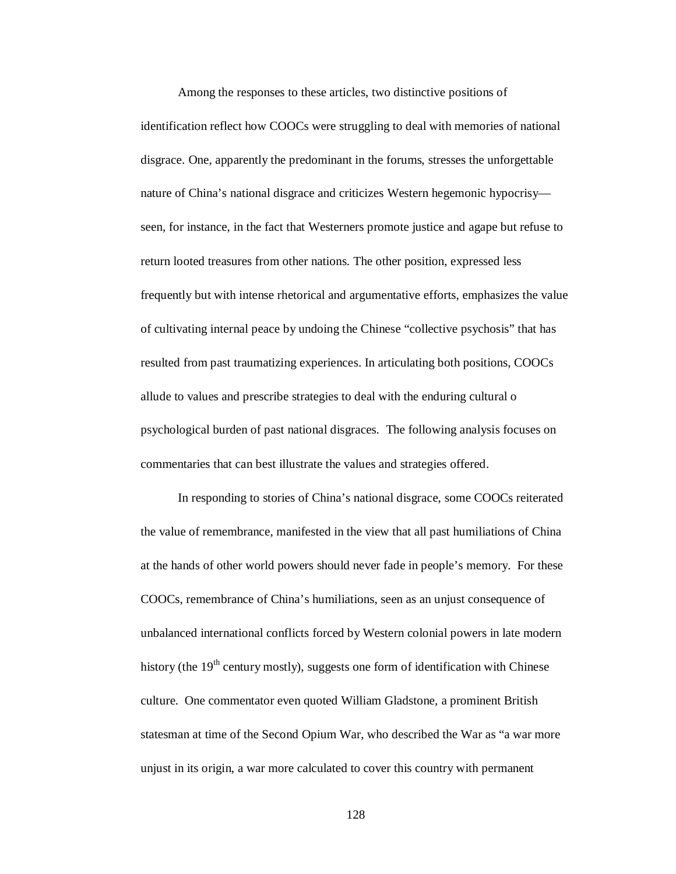Among the responses to these articles, two distinctive positions of identification reflect how COOCs were struggling to deal with memories of national disgrace. One, apparently the predominant in the forums, stresses the unforgettable nature of China's national disgrace and criticizes Western hegemonic hypocrisy seen, for instance, in the fact that Westerners promote justice and agape but refuse to return looted treasures from other nations. The other position, expressed less frequently but with intense rhetorical and argumentative efforts, emphasizes the value of cultivating internal peace by undoing the Chinese "collective psychosis" that has resulted from past traumatizing experiences. In articulating both positions, COOCs allude to values and prescribe strategies to deal with the enduring cultural o psychological burden of past national disgraces. The following analysis focuses on commentaries that can best illustrate the values and strategies offered.

In responding to stories of China's national disgrace, some COOCs reiterated the value of remembrance, manifested in the view that all past humiliations of China at the hands of other world powers should never fade in people's memory. For these COOCs, remembrance of China's humiliations, seen as an unjust consequence of unbalanced international conflicts forced by Western colonial powers in late modern history (the  $19<sup>th</sup>$  century mostly), suggests one form of identification with Chinese culture. One commentator even quoted William Gladstone, a prominent British statesman at time of the Second Opium War, who described the War as "a war more unjust in its origin, a war more calculated to cover this country with permanent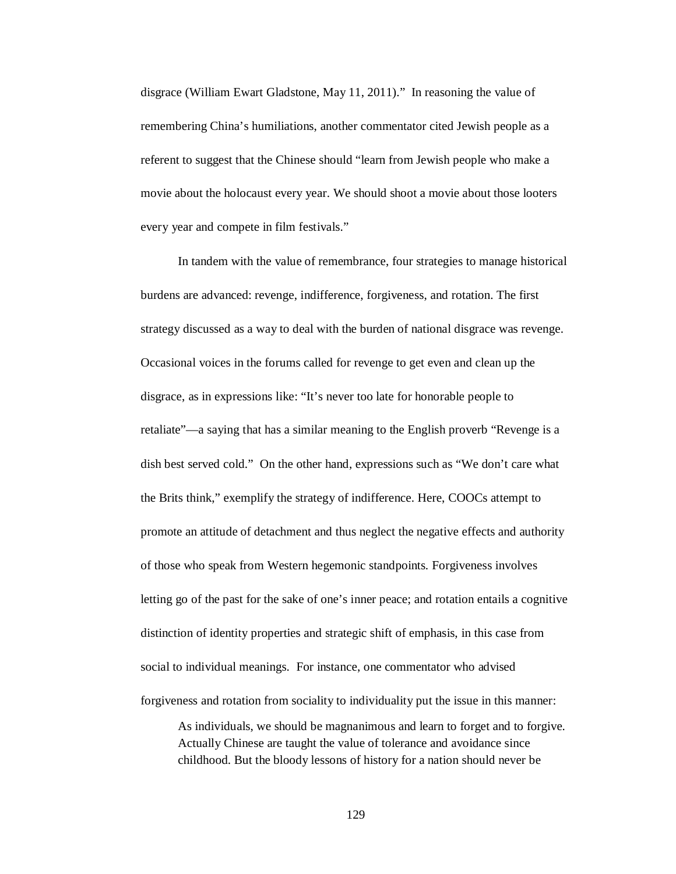disgrace (William Ewart Gladstone, May 11, 2011)." In reasoning the value of remembering China's humiliations, another commentator cited Jewish people as a referent to suggest that the Chinese should "learn from Jewish people who make a movie about the holocaust every year. We should shoot a movie about those looters every year and compete in film festivals."

In tandem with the value of remembrance, four strategies to manage historical burdens are advanced: revenge, indifference, forgiveness, and rotation. The first strategy discussed as a way to deal with the burden of national disgrace was revenge. Occasional voices in the forums called for revenge to get even and clean up the disgrace, as in expressions like: "It's never too late for honorable people to retaliate"—a saying that has a similar meaning to the English proverb "Revenge is a dish best served cold." On the other hand, expressions such as "We don't care what the Brits think," exemplify the strategy of indifference. Here, COOCs attempt to promote an attitude of detachment and thus neglect the negative effects and authority of those who speak from Western hegemonic standpoints. Forgiveness involves letting go of the past for the sake of one's inner peace; and rotation entails a cognitive distinction of identity properties and strategic shift of emphasis, in this case from social to individual meanings. For instance, one commentator who advised forgiveness and rotation from sociality to individuality put the issue in this manner:

As individuals, we should be magnanimous and learn to forget and to forgive. Actually Chinese are taught the value of tolerance and avoidance since childhood. But the bloody lessons of history for a nation should never be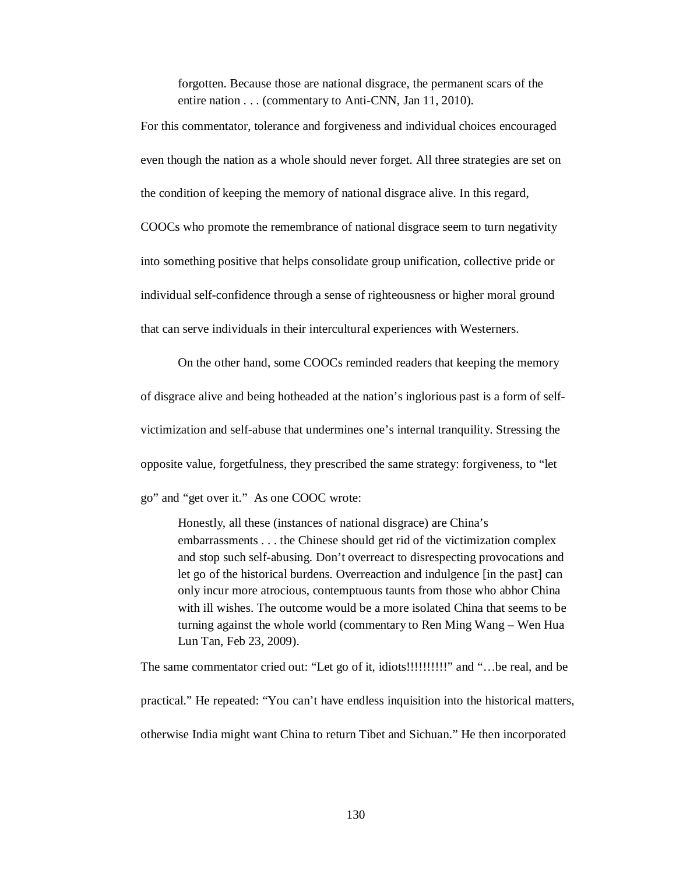forgotten. Because those are national disgrace, the permanent scars of the entire nation . . . (commentary to Anti-CNN, Jan 11, 2010).

For this commentator, tolerance and forgiveness and individual choices encouraged even though the nation as a whole should never forget. All three strategies are set on the condition of keeping the memory of national disgrace alive. In this regard, COOCs who promote the remembrance of national disgrace seem to turn negativity into something positive that helps consolidate group unification, collective pride or individual self-confidence through a sense of righteousness or higher moral ground that can serve individuals in their intercultural experiences with Westerners.

On the other hand, some COOCs reminded readers that keeping the memory of disgrace alive and being hotheaded at the nation's inglorious past is a form of selfvictimization and self-abuse that undermines one's internal tranquility. Stressing the opposite value, forgetfulness, they prescribed the same strategy: forgiveness, to "let go" and "get over it." As one COOC wrote:

Honestly, all these (instances of national disgrace) are China's embarrassments . . . the Chinese should get rid of the victimization complex and stop such self-abusing. Don't overreact to disrespecting provocations and let go of the historical burdens. Overreaction and indulgence [in the past] can only incur more atrocious, contemptuous taunts from those who abhor China with ill wishes. The outcome would be a more isolated China that seems to be turning against the whole world (commentary to Ren Ming Wang – Wen Hua Lun Tan, Feb 23, 2009).

The same commentator cried out: "Let go of it, idiots!!!!!!!!!!!" and "...be real, and be practical." He repeated: "You can't have endless inquisition into the historical matters, otherwise India might want China to return Tibet and Sichuan." He then incorporated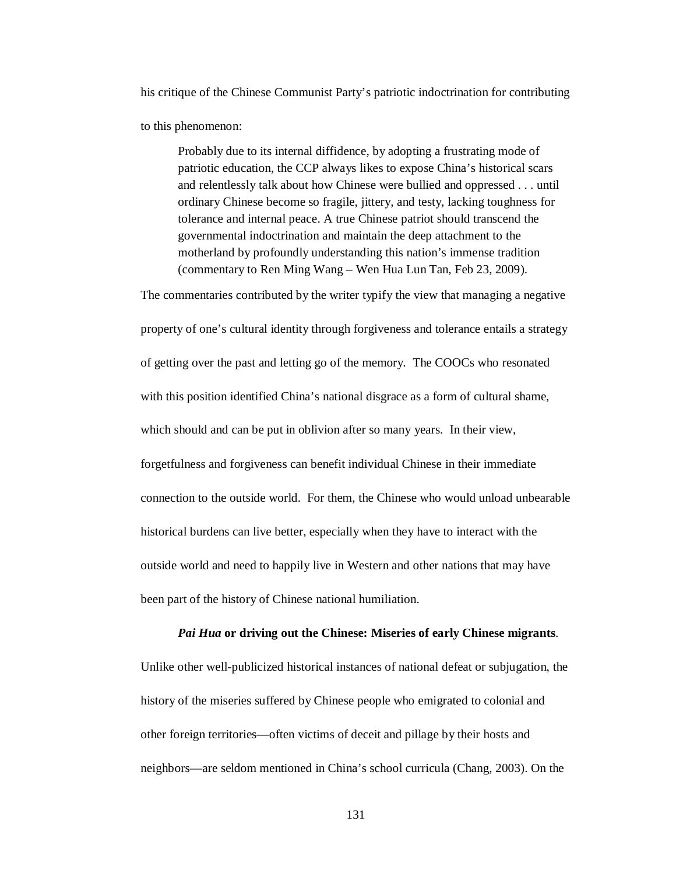his critique of the Chinese Communist Party's patriotic indoctrination for contributing

to this phenomenon:

Probably due to its internal diffidence, by adopting a frustrating mode of patriotic education, the CCP always likes to expose China's historical scars and relentlessly talk about how Chinese were bullied and oppressed . . . until ordinary Chinese become so fragile, jittery, and testy, lacking toughness for tolerance and internal peace. A true Chinese patriot should transcend the governmental indoctrination and maintain the deep attachment to the motherland by profoundly understanding this nation's immense tradition (commentary to Ren Ming Wang – Wen Hua Lun Tan, Feb 23, 2009).

The commentaries contributed by the writer typify the view that managing a negative property of one's cultural identity through forgiveness and tolerance entails a strategy of getting over the past and letting go of the memory. The COOCs who resonated with this position identified China's national disgrace as a form of cultural shame, which should and can be put in oblivion after so many years. In their view, forgetfulness and forgiveness can benefit individual Chinese in their immediate connection to the outside world. For them, the Chinese who would unload unbearable historical burdens can live better, especially when they have to interact with the outside world and need to happily live in Western and other nations that may have been part of the history of Chinese national humiliation.

## *Pai Hua* **or driving out the Chinese: Miseries of early Chinese migrants**.

Unlike other well-publicized historical instances of national defeat or subjugation, the history of the miseries suffered by Chinese people who emigrated to colonial and other foreign territories—often victims of deceit and pillage by their hosts and neighbors—are seldom mentioned in China's school curricula (Chang, 2003). On the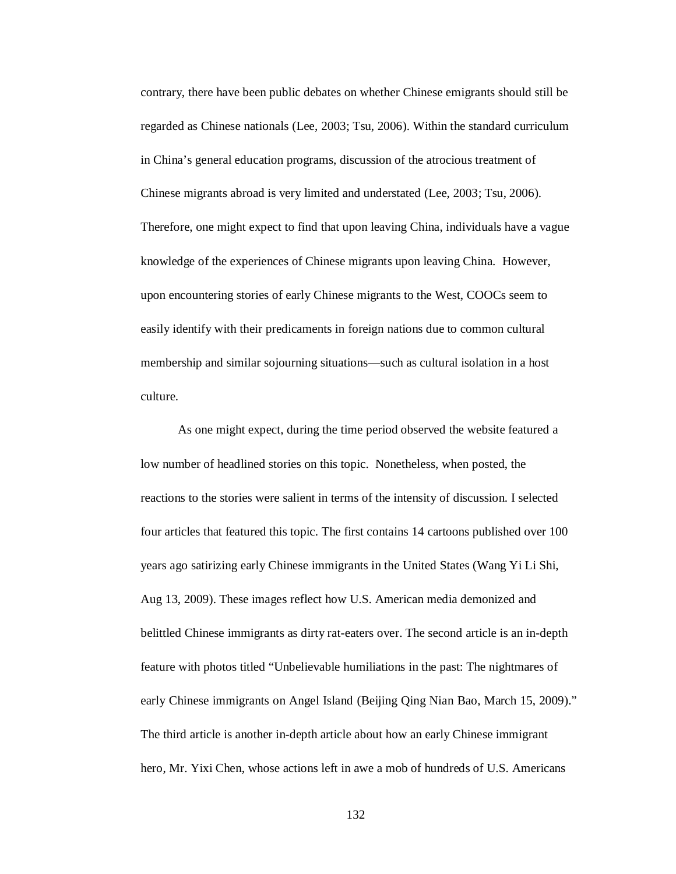contrary, there have been public debates on whether Chinese emigrants should still be regarded as Chinese nationals (Lee, 2003; Tsu, 2006). Within the standard curriculum in China's general education programs, discussion of the atrocious treatment of Chinese migrants abroad is very limited and understated (Lee, 2003; Tsu, 2006). Therefore, one might expect to find that upon leaving China, individuals have a vague knowledge of the experiences of Chinese migrants upon leaving China. However, upon encountering stories of early Chinese migrants to the West, COOCs seem to easily identify with their predicaments in foreign nations due to common cultural membership and similar sojourning situations—such as cultural isolation in a host culture.

As one might expect, during the time period observed the website featured a low number of headlined stories on this topic. Nonetheless, when posted, the reactions to the stories were salient in terms of the intensity of discussion. I selected four articles that featured this topic. The first contains 14 cartoons published over 100 years ago satirizing early Chinese immigrants in the United States (Wang Yi Li Shi, Aug 13, 2009). These images reflect how U.S. American media demonized and belittled Chinese immigrants as dirty rat-eaters over. The second article is an in-depth feature with photos titled "Unbelievable humiliations in the past: The nightmares of early Chinese immigrants on Angel Island (Beijing Qing Nian Bao, March 15, 2009)." The third article is another in-depth article about how an early Chinese immigrant hero, Mr. Yixi Chen, whose actions left in awe a mob of hundreds of U.S. Americans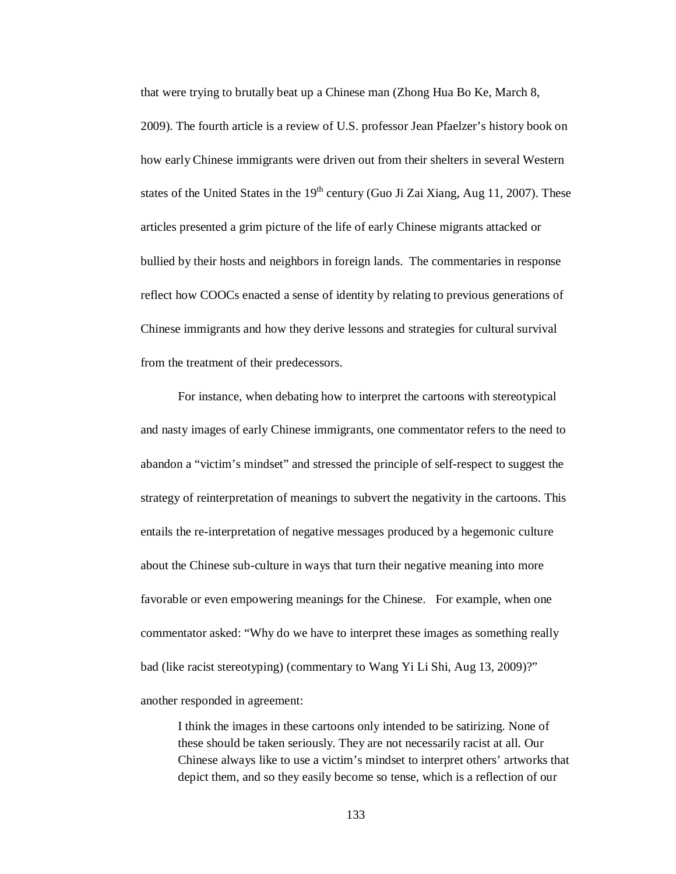that were trying to brutally beat up a Chinese man (Zhong Hua Bo Ke, March 8, 2009). The fourth article is a review of U.S. professor Jean Pfaelzer's history book on how early Chinese immigrants were driven out from their shelters in several Western states of the United States in the  $19<sup>th</sup>$  century (Guo Ji Zai Xiang, Aug 11, 2007). These articles presented a grim picture of the life of early Chinese migrants attacked or bullied by their hosts and neighbors in foreign lands. The commentaries in response reflect how COOCs enacted a sense of identity by relating to previous generations of Chinese immigrants and how they derive lessons and strategies for cultural survival from the treatment of their predecessors.

For instance, when debating how to interpret the cartoons with stereotypical and nasty images of early Chinese immigrants, one commentator refers to the need to abandon a "victim's mindset" and stressed the principle of self-respect to suggest the strategy of reinterpretation of meanings to subvert the negativity in the cartoons. This entails the re-interpretation of negative messages produced by a hegemonic culture about the Chinese sub-culture in ways that turn their negative meaning into more favorable or even empowering meanings for the Chinese. For example, when one commentator asked: "Why do we have to interpret these images as something really bad (like racist stereotyping) (commentary to Wang Yi Li Shi, Aug 13, 2009)?" another responded in agreement:

I think the images in these cartoons only intended to be satirizing. None of these should be taken seriously. They are not necessarily racist at all. Our Chinese always like to use a victim's mindset to interpret others' artworks that depict them, and so they easily become so tense, which is a reflection of our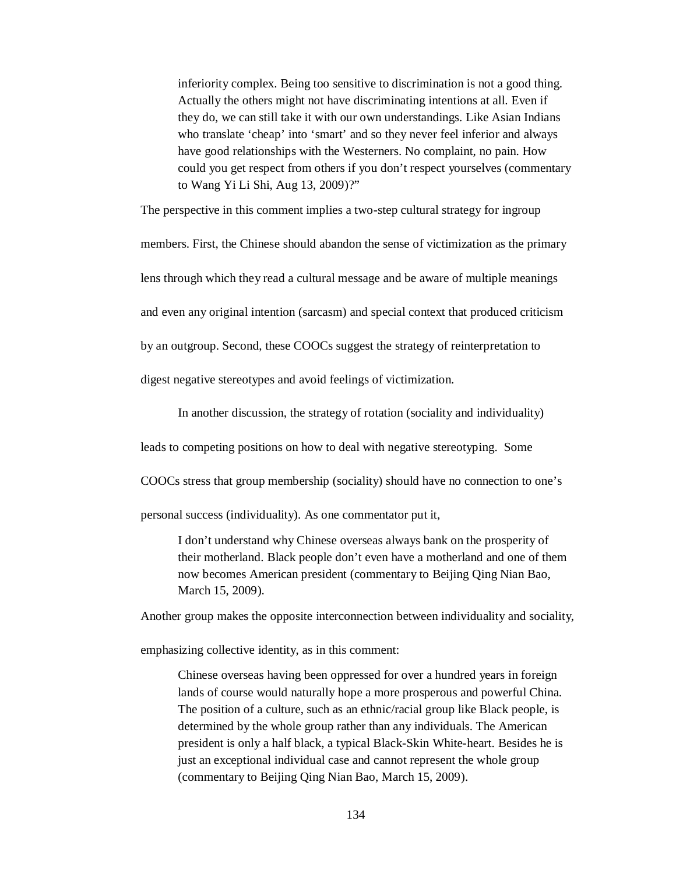inferiority complex. Being too sensitive to discrimination is not a good thing. Actually the others might not have discriminating intentions at all. Even if they do, we can still take it with our own understandings. Like Asian Indians who translate 'cheap' into 'smart' and so they never feel inferior and always have good relationships with the Westerners. No complaint, no pain. How could you get respect from others if you don't respect yourselves (commentary to Wang Yi Li Shi, Aug 13, 2009)?"

The perspective in this comment implies a two-step cultural strategy for ingroup

members. First, the Chinese should abandon the sense of victimization as the primary

lens through which they read a cultural message and be aware of multiple meanings

and even any original intention (sarcasm) and special context that produced criticism

by an outgroup. Second, these COOCs suggest the strategy of reinterpretation to

digest negative stereotypes and avoid feelings of victimization.

In another discussion, the strategy of rotation (sociality and individuality)

leads to competing positions on how to deal with negative stereotyping. Some

COOCs stress that group membership (sociality) should have no connection to one's

personal success (individuality). As one commentator put it,

I don't understand why Chinese overseas always bank on the prosperity of their motherland. Black people don't even have a motherland and one of them now becomes American president (commentary to Beijing Qing Nian Bao, March 15, 2009).

Another group makes the opposite interconnection between individuality and sociality,

emphasizing collective identity, as in this comment:

Chinese overseas having been oppressed for over a hundred years in foreign lands of course would naturally hope a more prosperous and powerful China. The position of a culture, such as an ethnic/racial group like Black people, is determined by the whole group rather than any individuals. The American president is only a half black, a typical Black-Skin White-heart. Besides he is just an exceptional individual case and cannot represent the whole group (commentary to Beijing Qing Nian Bao, March 15, 2009).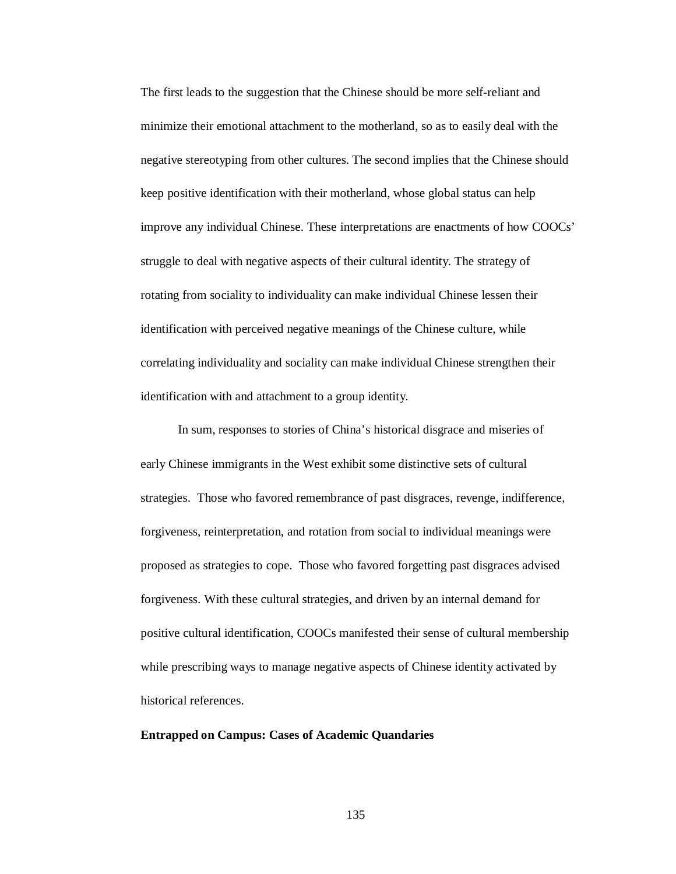The first leads to the suggestion that the Chinese should be more self-reliant and minimize their emotional attachment to the motherland, so as to easily deal with the negative stereotyping from other cultures. The second implies that the Chinese should keep positive identification with their motherland, whose global status can help improve any individual Chinese. These interpretations are enactments of how COOCs' struggle to deal with negative aspects of their cultural identity. The strategy of rotating from sociality to individuality can make individual Chinese lessen their identification with perceived negative meanings of the Chinese culture, while correlating individuality and sociality can make individual Chinese strengthen their identification with and attachment to a group identity.

In sum, responses to stories of China's historical disgrace and miseries of early Chinese immigrants in the West exhibit some distinctive sets of cultural strategies. Those who favored remembrance of past disgraces, revenge, indifference, forgiveness, reinterpretation, and rotation from social to individual meanings were proposed as strategies to cope. Those who favored forgetting past disgraces advised forgiveness. With these cultural strategies, and driven by an internal demand for positive cultural identification, COOCs manifested their sense of cultural membership while prescribing ways to manage negative aspects of Chinese identity activated by historical references.

## **Entrapped on Campus: Cases of Academic Quandaries**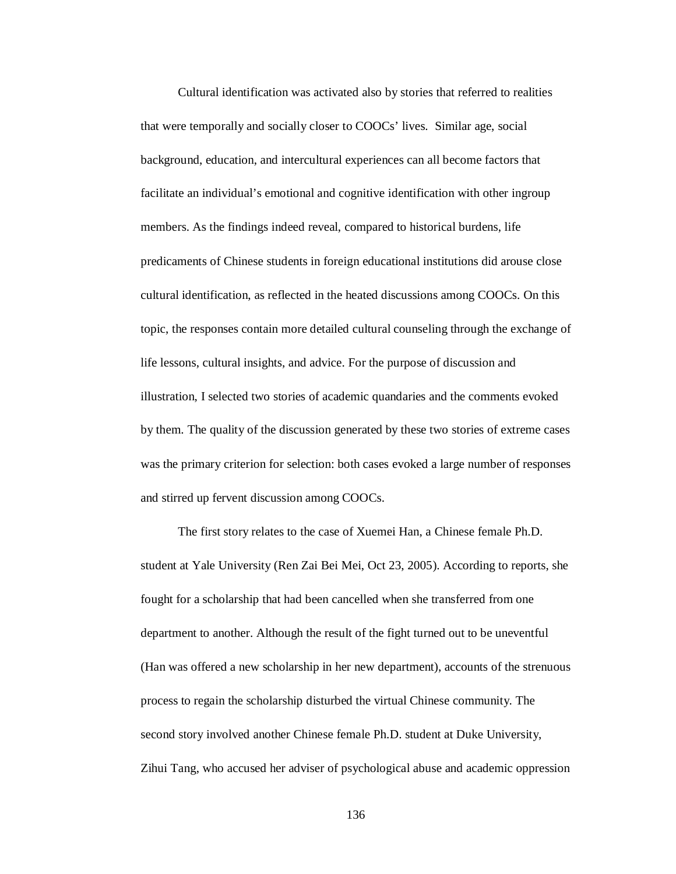Cultural identification was activated also by stories that referred to realities that were temporally and socially closer to COOCs' lives. Similar age, social background, education, and intercultural experiences can all become factors that facilitate an individual's emotional and cognitive identification with other ingroup members. As the findings indeed reveal, compared to historical burdens, life predicaments of Chinese students in foreign educational institutions did arouse close cultural identification, as reflected in the heated discussions among COOCs. On this topic, the responses contain more detailed cultural counseling through the exchange of life lessons, cultural insights, and advice. For the purpose of discussion and illustration, I selected two stories of academic quandaries and the comments evoked by them. The quality of the discussion generated by these two stories of extreme cases was the primary criterion for selection: both cases evoked a large number of responses and stirred up fervent discussion among COOCs.

The first story relates to the case of Xuemei Han, a Chinese female Ph.D. student at Yale University (Ren Zai Bei Mei, Oct 23, 2005). According to reports, she fought for a scholarship that had been cancelled when she transferred from one department to another. Although the result of the fight turned out to be uneventful (Han was offered a new scholarship in her new department), accounts of the strenuous process to regain the scholarship disturbed the virtual Chinese community. The second story involved another Chinese female Ph.D. student at Duke University, Zihui Tang, who accused her adviser of psychological abuse and academic oppression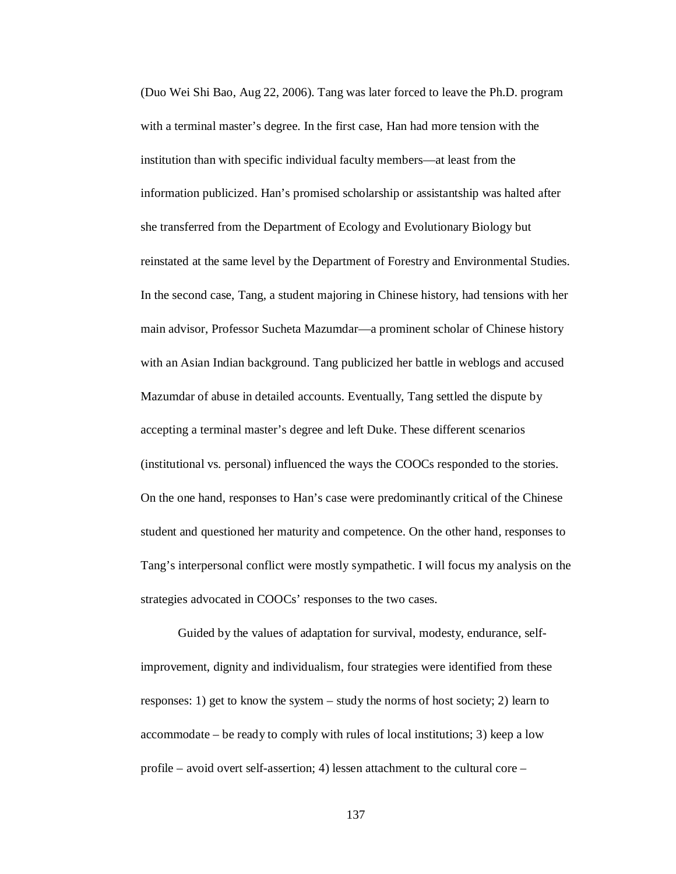(Duo Wei Shi Bao, Aug 22, 2006). Tang was later forced to leave the Ph.D. program with a terminal master's degree. In the first case, Han had more tension with the institution than with specific individual faculty members—at least from the information publicized. Han's promised scholarship or assistantship was halted after she transferred from the Department of Ecology and Evolutionary Biology but reinstated at the same level by the Department of Forestry and Environmental Studies. In the second case, Tang, a student majoring in Chinese history, had tensions with her main advisor, Professor Sucheta Mazumdar—a prominent scholar of Chinese history with an Asian Indian background. Tang publicized her battle in weblogs and accused Mazumdar of abuse in detailed accounts. Eventually, Tang settled the dispute by accepting a terminal master's degree and left Duke. These different scenarios (institutional vs. personal) influenced the ways the COOCs responded to the stories. On the one hand, responses to Han's case were predominantly critical of the Chinese student and questioned her maturity and competence. On the other hand, responses to Tang's interpersonal conflict were mostly sympathetic. I will focus my analysis on the strategies advocated in COOCs' responses to the two cases.

Guided by the values of adaptation for survival, modesty, endurance, selfimprovement, dignity and individualism, four strategies were identified from these responses: 1) get to know the system – study the norms of host society; 2) learn to accommodate – be ready to comply with rules of local institutions; 3) keep a low profile – avoid overt self-assertion; 4) lessen attachment to the cultural core –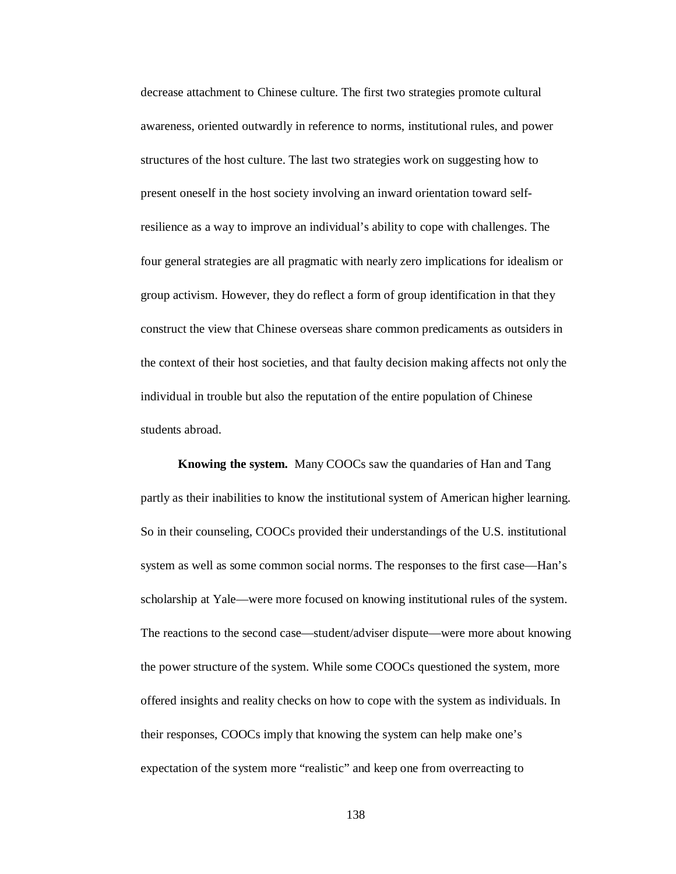decrease attachment to Chinese culture. The first two strategies promote cultural awareness, oriented outwardly in reference to norms, institutional rules, and power structures of the host culture. The last two strategies work on suggesting how to present oneself in the host society involving an inward orientation toward selfresilience as a way to improve an individual's ability to cope with challenges. The four general strategies are all pragmatic with nearly zero implications for idealism or group activism. However, they do reflect a form of group identification in that they construct the view that Chinese overseas share common predicaments as outsiders in the context of their host societies, and that faulty decision making affects not only the individual in trouble but also the reputation of the entire population of Chinese students abroad.

**Knowing the system.** Many COOCs saw the quandaries of Han and Tang partly as their inabilities to know the institutional system of American higher learning. So in their counseling, COOCs provided their understandings of the U.S. institutional system as well as some common social norms. The responses to the first case—Han's scholarship at Yale—were more focused on knowing institutional rules of the system. The reactions to the second case—student/adviser dispute—were more about knowing the power structure of the system. While some COOCs questioned the system, more offered insights and reality checks on how to cope with the system as individuals. In their responses, COOCs imply that knowing the system can help make one's expectation of the system more "realistic" and keep one from overreacting to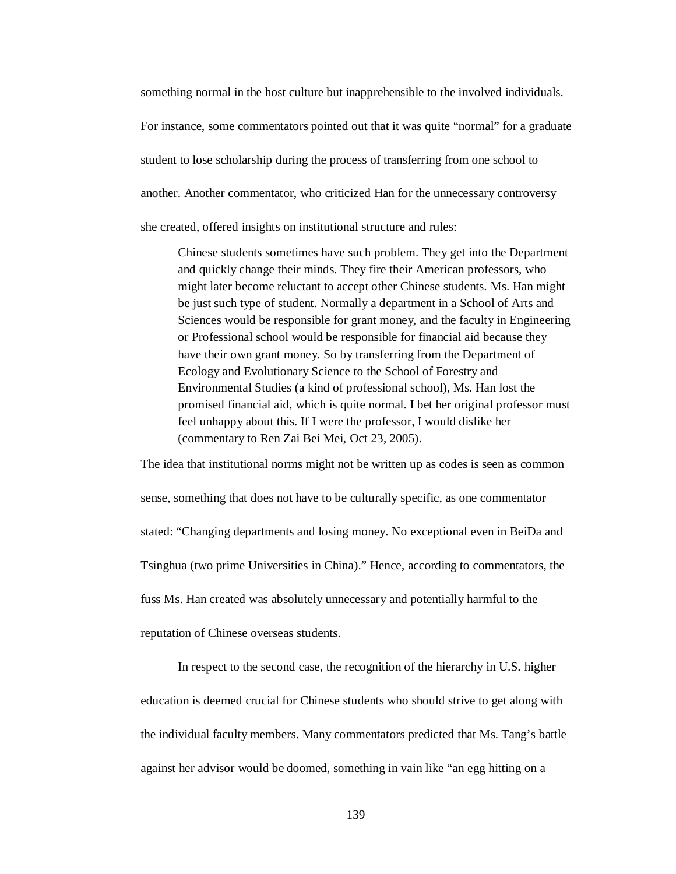something normal in the host culture but inapprehensible to the involved individuals. For instance, some commentators pointed out that it was quite "normal" for a graduate student to lose scholarship during the process of transferring from one school to another. Another commentator, who criticized Han for the unnecessary controversy she created, offered insights on institutional structure and rules:

Chinese students sometimes have such problem. They get into the Department and quickly change their minds. They fire their American professors, who might later become reluctant to accept other Chinese students. Ms. Han might be just such type of student. Normally a department in a School of Arts and Sciences would be responsible for grant money, and the faculty in Engineering or Professional school would be responsible for financial aid because they have their own grant money. So by transferring from the Department of Ecology and Evolutionary Science to the School of Forestry and Environmental Studies (a kind of professional school), Ms. Han lost the promised financial aid, which is quite normal. I bet her original professor must feel unhappy about this. If I were the professor, I would dislike her (commentary to Ren Zai Bei Mei, Oct 23, 2005).

The idea that institutional norms might not be written up as codes is seen as common sense, something that does not have to be culturally specific, as one commentator stated: "Changing departments and losing money. No exceptional even in BeiDa and Tsinghua (two prime Universities in China)." Hence, according to commentators, the fuss Ms. Han created was absolutely unnecessary and potentially harmful to the reputation of Chinese overseas students.

In respect to the second case, the recognition of the hierarchy in U.S. higher education is deemed crucial for Chinese students who should strive to get along with the individual faculty members. Many commentators predicted that Ms. Tang's battle against her advisor would be doomed, something in vain like "an egg hitting on a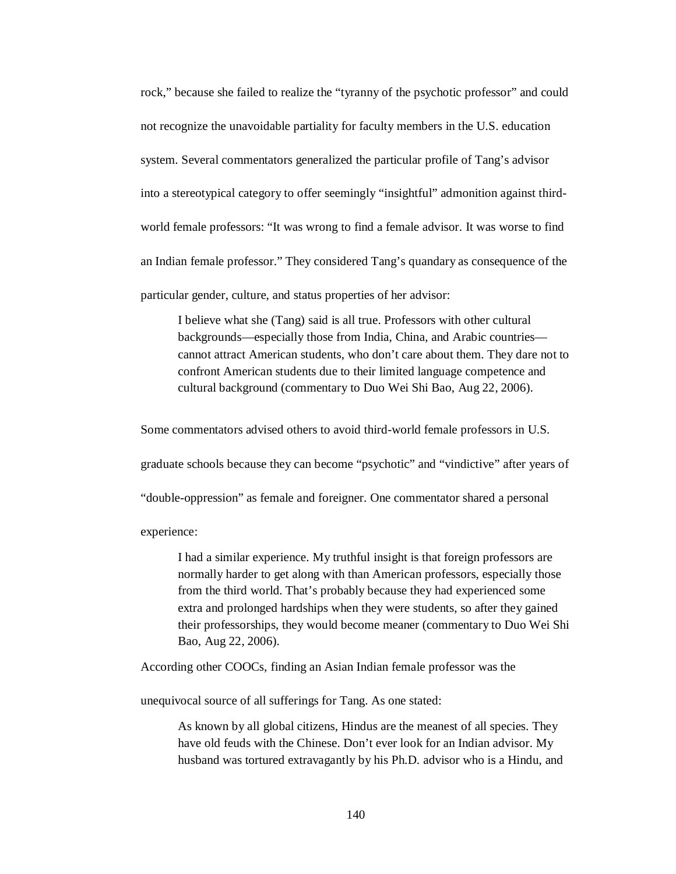rock," because she failed to realize the "tyranny of the psychotic professor" and could not recognize the unavoidable partiality for faculty members in the U.S. education system. Several commentators generalized the particular profile of Tang's advisor into a stereotypical category to offer seemingly "insightful" admonition against thirdworld female professors: "It was wrong to find a female advisor. It was worse to find an Indian female professor." They considered Tang's quandary as consequence of the particular gender, culture, and status properties of her advisor:

I believe what she (Tang) said is all true. Professors with other cultural backgrounds—especially those from India, China, and Arabic countries cannot attract American students, who don't care about them. They dare not to confront American students due to their limited language competence and cultural background (commentary to Duo Wei Shi Bao, Aug 22, 2006).

Some commentators advised others to avoid third-world female professors in U.S. graduate schools because they can become "psychotic" and "vindictive" after years of "double-oppression" as female and foreigner. One commentator shared a personal

experience:

I had a similar experience. My truthful insight is that foreign professors are normally harder to get along with than American professors, especially those from the third world. That's probably because they had experienced some extra and prolonged hardships when they were students, so after they gained their professorships, they would become meaner (commentary to Duo Wei Shi Bao, Aug 22, 2006).

According other COOCs, finding an Asian Indian female professor was the

unequivocal source of all sufferings for Tang. As one stated:

As known by all global citizens, Hindus are the meanest of all species. They have old feuds with the Chinese. Don't ever look for an Indian advisor. My husband was tortured extravagantly by his Ph.D. advisor who is a Hindu, and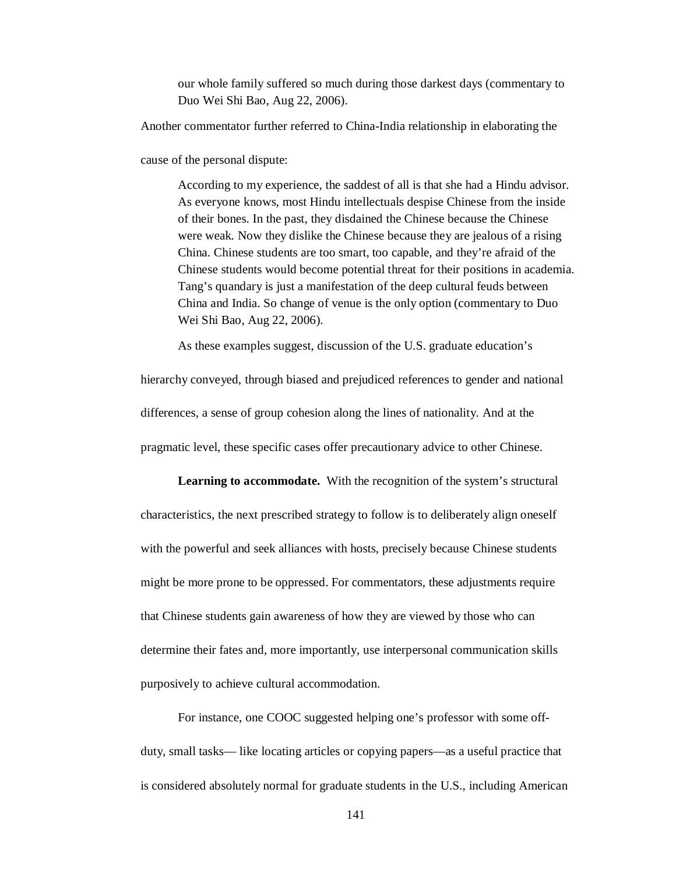our whole family suffered so much during those darkest days (commentary to Duo Wei Shi Bao, Aug 22, 2006).

Another commentator further referred to China-India relationship in elaborating the

cause of the personal dispute:

According to my experience, the saddest of all is that she had a Hindu advisor. As everyone knows, most Hindu intellectuals despise Chinese from the inside of their bones. In the past, they disdained the Chinese because the Chinese were weak. Now they dislike the Chinese because they are jealous of a rising China. Chinese students are too smart, too capable, and they're afraid of the Chinese students would become potential threat for their positions in academia. Tang's quandary is just a manifestation of the deep cultural feuds between China and India. So change of venue is the only option (commentary to Duo Wei Shi Bao, Aug 22, 2006).

As these examples suggest, discussion of the U.S. graduate education's

hierarchy conveyed, through biased and prejudiced references to gender and national differences, a sense of group cohesion along the lines of nationality. And at the pragmatic level, these specific cases offer precautionary advice to other Chinese.

**Learning to accommodate.** With the recognition of the system's structural characteristics, the next prescribed strategy to follow is to deliberately align oneself with the powerful and seek alliances with hosts, precisely because Chinese students might be more prone to be oppressed. For commentators, these adjustments require that Chinese students gain awareness of how they are viewed by those who can determine their fates and, more importantly, use interpersonal communication skills purposively to achieve cultural accommodation.

For instance, one COOC suggested helping one's professor with some offduty, small tasks— like locating articles or copying papers—as a useful practice that is considered absolutely normal for graduate students in the U.S., including American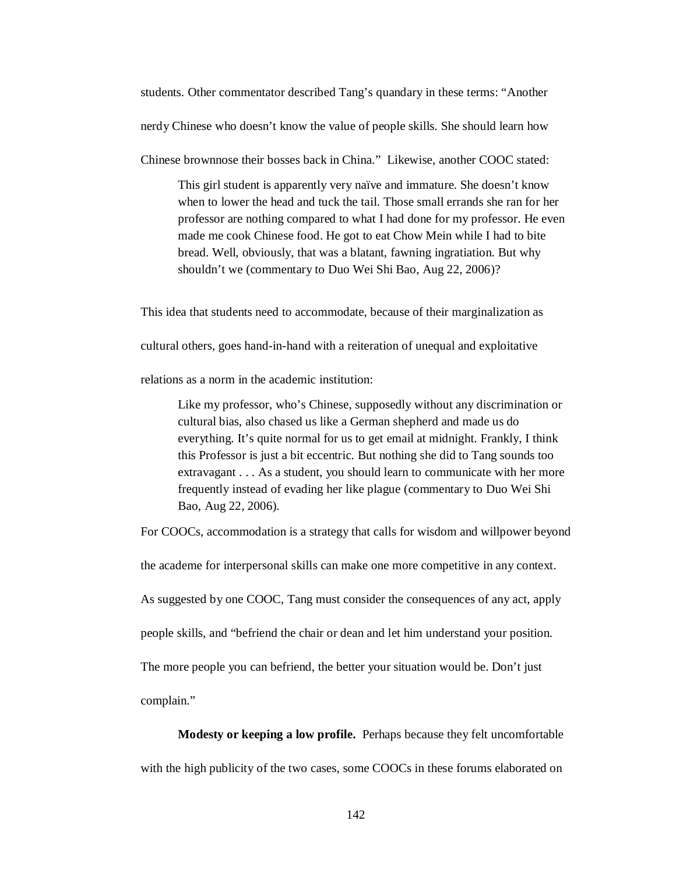students. Other commentator described Tang's quandary in these terms: "Another

nerdy Chinese who doesn't know the value of people skills. She should learn how

Chinese brownnose their bosses back in China." Likewise, another COOC stated:

This girl student is apparently very naïve and immature. She doesn't know when to lower the head and tuck the tail. Those small errands she ran for her professor are nothing compared to what I had done for my professor. He even made me cook Chinese food. He got to eat Chow Mein while I had to bite bread. Well, obviously, that was a blatant, fawning ingratiation. But why shouldn't we (commentary to Duo Wei Shi Bao, Aug 22, 2006)?

This idea that students need to accommodate, because of their marginalization as

cultural others, goes hand-in-hand with a reiteration of unequal and exploitative

relations as a norm in the academic institution:

Like my professor, who's Chinese, supposedly without any discrimination or cultural bias, also chased us like a German shepherd and made us do everything. It's quite normal for us to get email at midnight. Frankly, I think this Professor is just a bit eccentric. But nothing she did to Tang sounds too extravagant . . . As a student, you should learn to communicate with her more frequently instead of evading her like plague (commentary to Duo Wei Shi Bao, Aug 22, 2006).

For COOCs, accommodation is a strategy that calls for wisdom and willpower beyond

the academe for interpersonal skills can make one more competitive in any context.

As suggested by one COOC, Tang must consider the consequences of any act, apply

people skills, and "befriend the chair or dean and let him understand your position.

The more people you can befriend, the better your situation would be. Don't just

complain."

**Modesty or keeping a low profile.** Perhaps because they felt uncomfortable

with the high publicity of the two cases, some COOCs in these forums elaborated on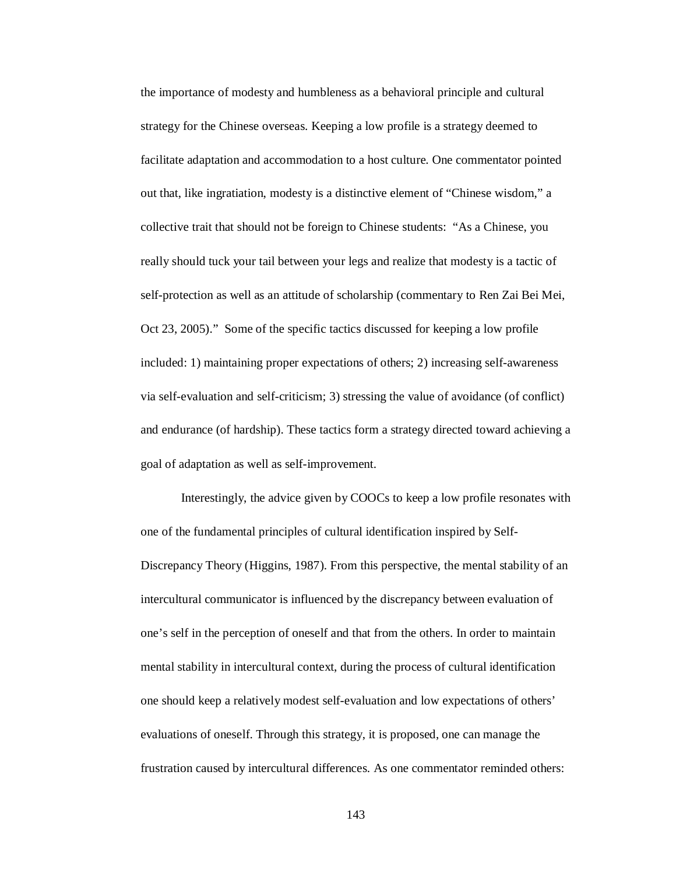the importance of modesty and humbleness as a behavioral principle and cultural strategy for the Chinese overseas. Keeping a low profile is a strategy deemed to facilitate adaptation and accommodation to a host culture. One commentator pointed out that, like ingratiation, modesty is a distinctive element of "Chinese wisdom," a collective trait that should not be foreign to Chinese students: "As a Chinese, you really should tuck your tail between your legs and realize that modesty is a tactic of self-protection as well as an attitude of scholarship (commentary to Ren Zai Bei Mei, Oct 23, 2005)." Some of the specific tactics discussed for keeping a low profile included: 1) maintaining proper expectations of others; 2) increasing self-awareness via self-evaluation and self-criticism; 3) stressing the value of avoidance (of conflict) and endurance (of hardship). These tactics form a strategy directed toward achieving a goal of adaptation as well as self-improvement.

Interestingly, the advice given by COOCs to keep a low profile resonates with one of the fundamental principles of cultural identification inspired by Self-Discrepancy Theory (Higgins, 1987). From this perspective, the mental stability of an intercultural communicator is influenced by the discrepancy between evaluation of one's self in the perception of oneself and that from the others. In order to maintain mental stability in intercultural context, during the process of cultural identification one should keep a relatively modest self-evaluation and low expectations of others' evaluations of oneself. Through this strategy, it is proposed, one can manage the frustration caused by intercultural differences. As one commentator reminded others: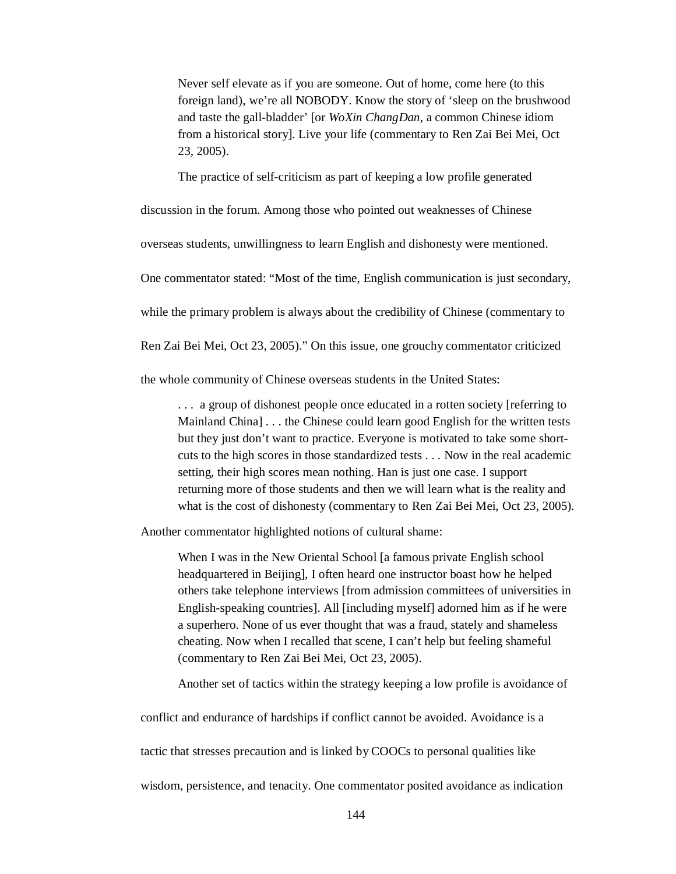Never self elevate as if you are someone. Out of home, come here (to this foreign land), we're all NOBODY. Know the story of 'sleep on the brushwood and taste the gall-bladder' [or *WoXin ChangDan,* a common Chinese idiom from a historical story]. Live your life (commentary to Ren Zai Bei Mei, Oct 23, 2005).

The practice of self-criticism as part of keeping a low profile generated

discussion in the forum. Among those who pointed out weaknesses of Chinese

overseas students, unwillingness to learn English and dishonesty were mentioned.

One commentator stated: "Most of the time, English communication is just secondary,

while the primary problem is always about the credibility of Chinese (commentary to

Ren Zai Bei Mei, Oct 23, 2005)." On this issue, one grouchy commentator criticized

the whole community of Chinese overseas students in the United States:

. . . a group of dishonest people once educated in a rotten society [referring to Mainland China] . . . the Chinese could learn good English for the written tests but they just don't want to practice. Everyone is motivated to take some shortcuts to the high scores in those standardized tests . . . Now in the real academic setting, their high scores mean nothing. Han is just one case. I support returning more of those students and then we will learn what is the reality and what is the cost of dishonesty (commentary to Ren Zai Bei Mei, Oct 23, 2005).

Another commentator highlighted notions of cultural shame:

When I was in the New Oriental School [a famous private English school headquartered in Beijing], I often heard one instructor boast how he helped others take telephone interviews [from admission committees of universities in English-speaking countries]. All [including myself] adorned him as if he were a superhero. None of us ever thought that was a fraud, stately and shameless cheating. Now when I recalled that scene, I can't help but feeling shameful (commentary to Ren Zai Bei Mei, Oct 23, 2005).

Another set of tactics within the strategy keeping a low profile is avoidance of

conflict and endurance of hardships if conflict cannot be avoided. Avoidance is a

tactic that stresses precaution and is linked by COOCs to personal qualities like

wisdom, persistence, and tenacity. One commentator posited avoidance as indication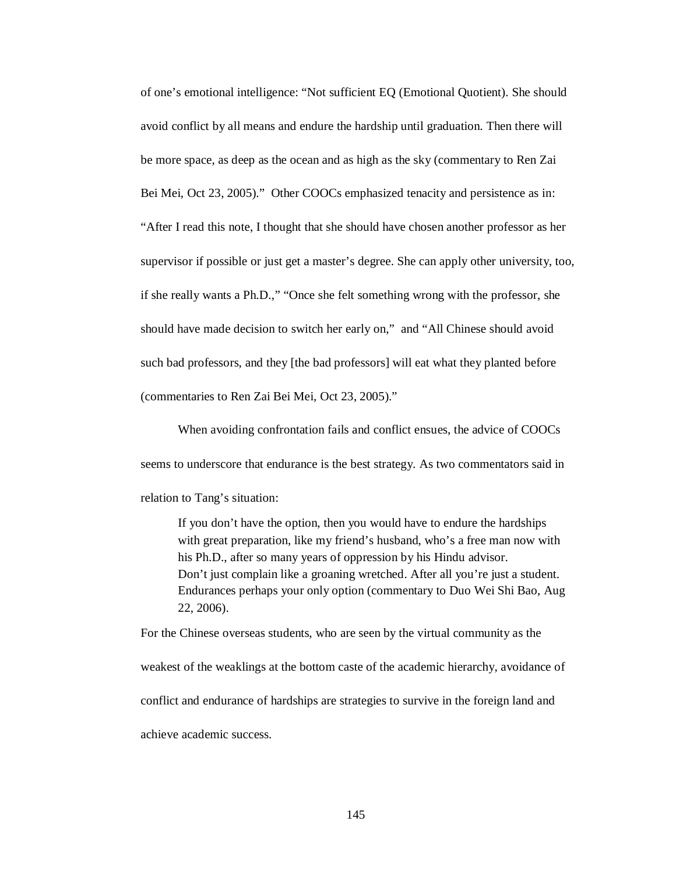of one's emotional intelligence: "Not sufficient EQ (Emotional Quotient). She should avoid conflict by all means and endure the hardship until graduation. Then there will be more space, as deep as the ocean and as high as the sky (commentary to Ren Zai Bei Mei, Oct 23, 2005)." Other COOCs emphasized tenacity and persistence as in: "After I read this note, I thought that she should have chosen another professor as her supervisor if possible or just get a master's degree. She can apply other university, too, if she really wants a Ph.D.," "Once she felt something wrong with the professor, she should have made decision to switch her early on," and "All Chinese should avoid such bad professors, and they [the bad professors] will eat what they planted before (commentaries to Ren Zai Bei Mei, Oct 23, 2005)."

When avoiding confrontation fails and conflict ensues, the advice of COOCs seems to underscore that endurance is the best strategy. As two commentators said in relation to Tang's situation:

If you don't have the option, then you would have to endure the hardships with great preparation, like my friend's husband, who's a free man now with his Ph.D., after so many years of oppression by his Hindu advisor. Don't just complain like a groaning wretched. After all you're just a student. Endurances perhaps your only option (commentary to Duo Wei Shi Bao, Aug 22, 2006).

For the Chinese overseas students, who are seen by the virtual community as the weakest of the weaklings at the bottom caste of the academic hierarchy, avoidance of conflict and endurance of hardships are strategies to survive in the foreign land and achieve academic success.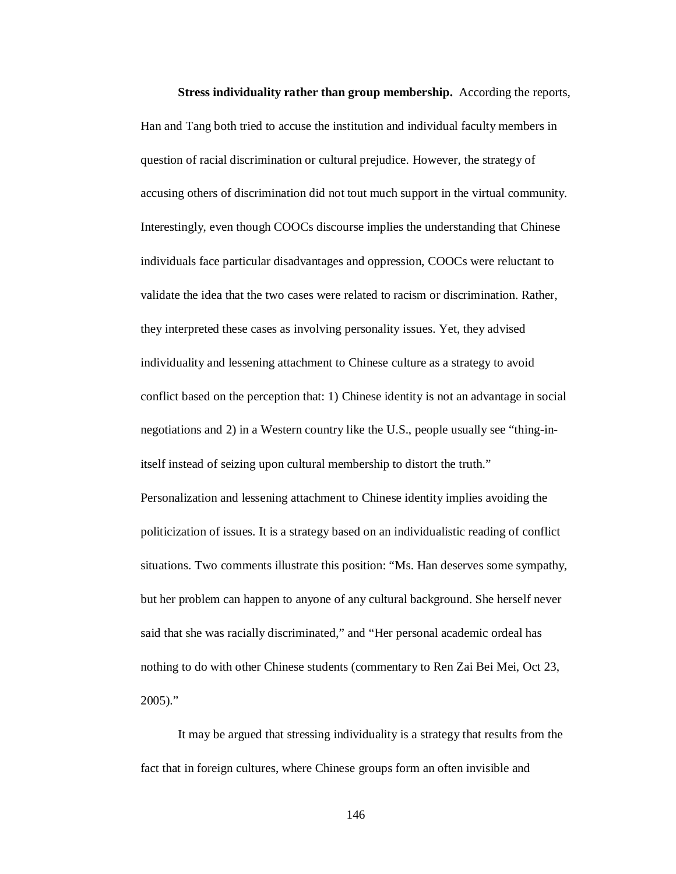**Stress individuality rather than group membership.** According the reports, Han and Tang both tried to accuse the institution and individual faculty members in question of racial discrimination or cultural prejudice. However, the strategy of accusing others of discrimination did not tout much support in the virtual community. Interestingly, even though COOCs discourse implies the understanding that Chinese individuals face particular disadvantages and oppression, COOCs were reluctant to validate the idea that the two cases were related to racism or discrimination. Rather, they interpreted these cases as involving personality issues. Yet, they advised individuality and lessening attachment to Chinese culture as a strategy to avoid conflict based on the perception that: 1) Chinese identity is not an advantage in social negotiations and 2) in a Western country like the U.S., people usually see "thing-initself instead of seizing upon cultural membership to distort the truth." Personalization and lessening attachment to Chinese identity implies avoiding the politicization of issues. It is a strategy based on an individualistic reading of conflict situations. Two comments illustrate this position: "Ms. Han deserves some sympathy, but her problem can happen to anyone of any cultural background. She herself never said that she was racially discriminated," and "Her personal academic ordeal has nothing to do with other Chinese students (commentary to Ren Zai Bei Mei, Oct 23, 2005)."

It may be argued that stressing individuality is a strategy that results from the fact that in foreign cultures, where Chinese groups form an often invisible and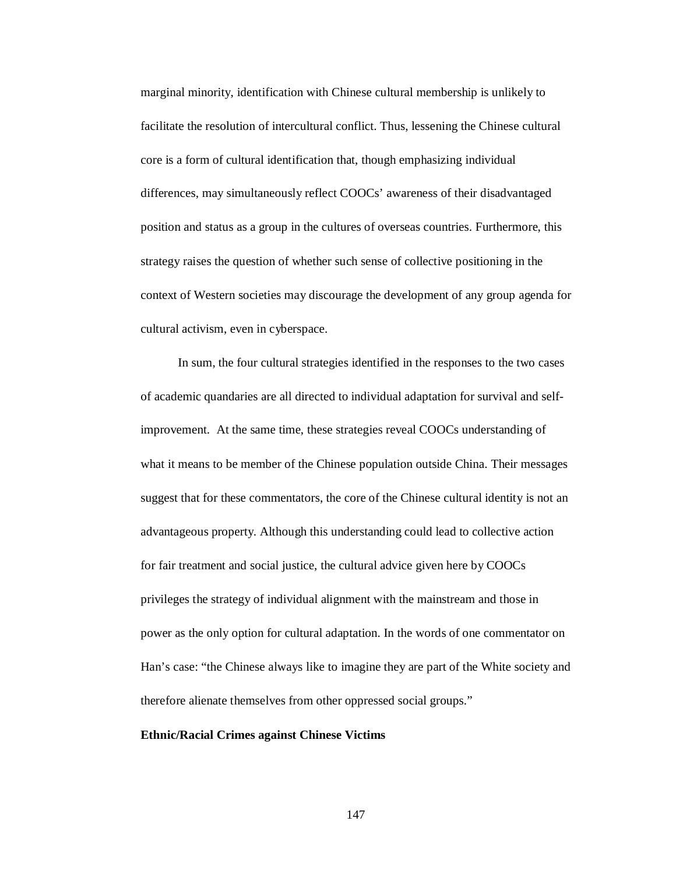marginal minority, identification with Chinese cultural membership is unlikely to facilitate the resolution of intercultural conflict. Thus, lessening the Chinese cultural core is a form of cultural identification that, though emphasizing individual differences, may simultaneously reflect COOCs' awareness of their disadvantaged position and status as a group in the cultures of overseas countries. Furthermore, this strategy raises the question of whether such sense of collective positioning in the context of Western societies may discourage the development of any group agenda for cultural activism, even in cyberspace.

In sum, the four cultural strategies identified in the responses to the two cases of academic quandaries are all directed to individual adaptation for survival and selfimprovement. At the same time, these strategies reveal COOCs understanding of what it means to be member of the Chinese population outside China. Their messages suggest that for these commentators, the core of the Chinese cultural identity is not an advantageous property. Although this understanding could lead to collective action for fair treatment and social justice, the cultural advice given here by COOCs privileges the strategy of individual alignment with the mainstream and those in power as the only option for cultural adaptation. In the words of one commentator on Han's case: "the Chinese always like to imagine they are part of the White society and therefore alienate themselves from other oppressed social groups."

## **Ethnic/Racial Crimes against Chinese Victims**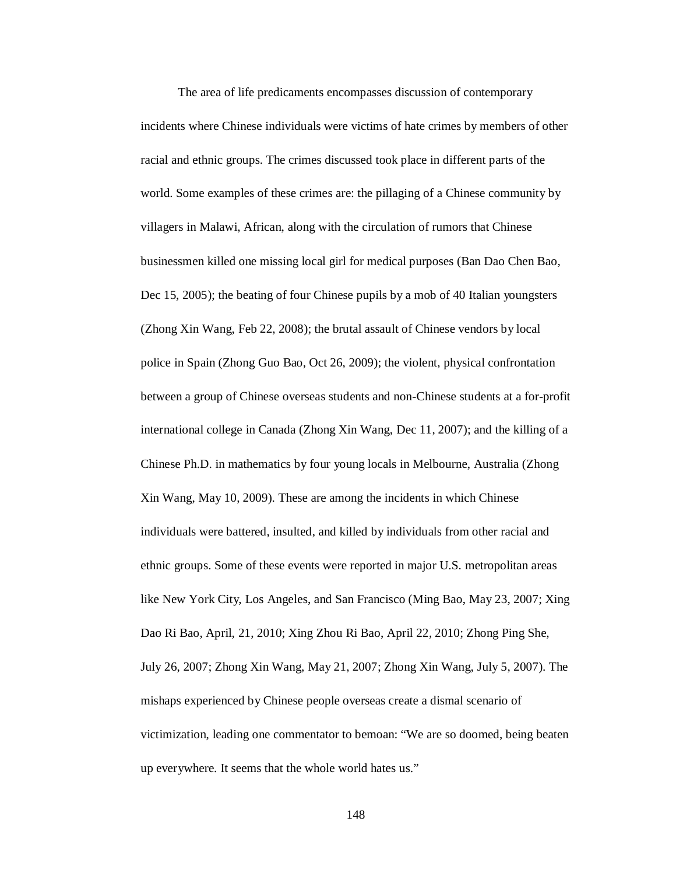The area of life predicaments encompasses discussion of contemporary incidents where Chinese individuals were victims of hate crimes by members of other racial and ethnic groups. The crimes discussed took place in different parts of the world. Some examples of these crimes are: the pillaging of a Chinese community by villagers in Malawi, African, along with the circulation of rumors that Chinese businessmen killed one missing local girl for medical purposes (Ban Dao Chen Bao, Dec 15, 2005); the beating of four Chinese pupils by a mob of 40 Italian youngsters (Zhong Xin Wang, Feb 22, 2008); the brutal assault of Chinese vendors by local police in Spain (Zhong Guo Bao, Oct 26, 2009); the violent, physical confrontation between a group of Chinese overseas students and non-Chinese students at a for-profit international college in Canada (Zhong Xin Wang, Dec 11, 2007); and the killing of a Chinese Ph.D. in mathematics by four young locals in Melbourne, Australia (Zhong Xin Wang, May 10, 2009). These are among the incidents in which Chinese individuals were battered, insulted, and killed by individuals from other racial and ethnic groups. Some of these events were reported in major U.S. metropolitan areas like New York City, Los Angeles, and San Francisco (Ming Bao, May 23, 2007; Xing Dao Ri Bao, April, 21, 2010; Xing Zhou Ri Bao, April 22, 2010; Zhong Ping She, July 26, 2007; Zhong Xin Wang, May 21, 2007; Zhong Xin Wang, July 5, 2007). The mishaps experienced by Chinese people overseas create a dismal scenario of victimization, leading one commentator to bemoan: "We are so doomed, being beaten up everywhere. It seems that the whole world hates us."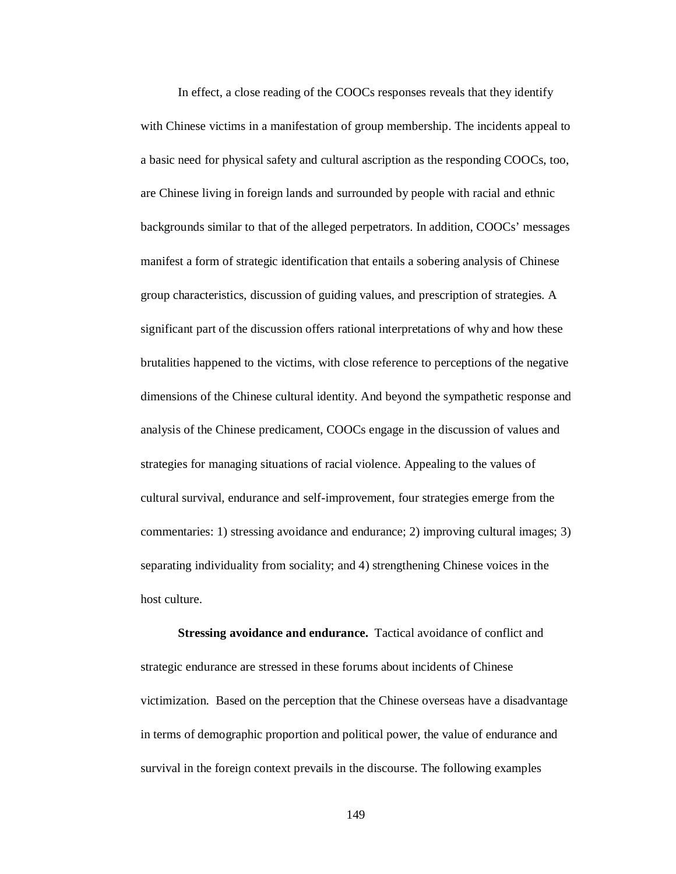In effect, a close reading of the COOCs responses reveals that they identify with Chinese victims in a manifestation of group membership. The incidents appeal to a basic need for physical safety and cultural ascription as the responding COOCs, too, are Chinese living in foreign lands and surrounded by people with racial and ethnic backgrounds similar to that of the alleged perpetrators. In addition, COOCs' messages manifest a form of strategic identification that entails a sobering analysis of Chinese group characteristics, discussion of guiding values, and prescription of strategies. A significant part of the discussion offers rational interpretations of why and how these brutalities happened to the victims, with close reference to perceptions of the negative dimensions of the Chinese cultural identity. And beyond the sympathetic response and analysis of the Chinese predicament, COOCs engage in the discussion of values and strategies for managing situations of racial violence. Appealing to the values of cultural survival, endurance and self-improvement, four strategies emerge from the commentaries: 1) stressing avoidance and endurance; 2) improving cultural images; 3) separating individuality from sociality; and 4) strengthening Chinese voices in the host culture.

**Stressing avoidance and endurance.** Tactical avoidance of conflict and strategic endurance are stressed in these forums about incidents of Chinese victimization. Based on the perception that the Chinese overseas have a disadvantage in terms of demographic proportion and political power, the value of endurance and survival in the foreign context prevails in the discourse. The following examples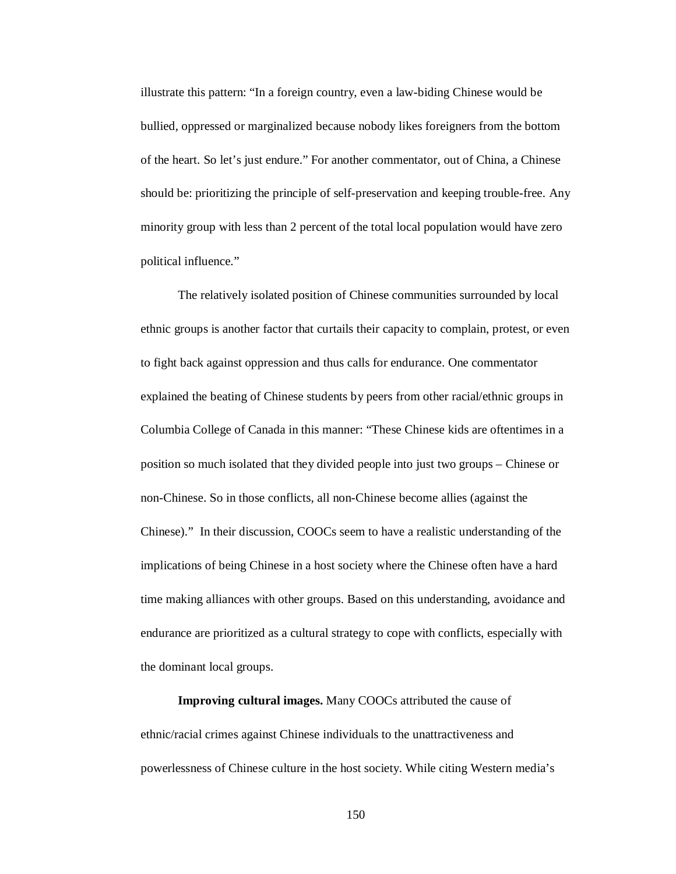illustrate this pattern: "In a foreign country, even a law-biding Chinese would be bullied, oppressed or marginalized because nobody likes foreigners from the bottom of the heart. So let's just endure." For another commentator, out of China, a Chinese should be: prioritizing the principle of self-preservation and keeping trouble-free. Any minority group with less than 2 percent of the total local population would have zero political influence."

The relatively isolated position of Chinese communities surrounded by local ethnic groups is another factor that curtails their capacity to complain, protest, or even to fight back against oppression and thus calls for endurance. One commentator explained the beating of Chinese students by peers from other racial/ethnic groups in Columbia College of Canada in this manner: "These Chinese kids are oftentimes in a position so much isolated that they divided people into just two groups – Chinese or non-Chinese. So in those conflicts, all non-Chinese become allies (against the Chinese)." In their discussion, COOCs seem to have a realistic understanding of the implications of being Chinese in a host society where the Chinese often have a hard time making alliances with other groups. Based on this understanding, avoidance and endurance are prioritized as a cultural strategy to cope with conflicts, especially with the dominant local groups.

**Improving cultural images.** Many COOCs attributed the cause of ethnic/racial crimes against Chinese individuals to the unattractiveness and powerlessness of Chinese culture in the host society. While citing Western media's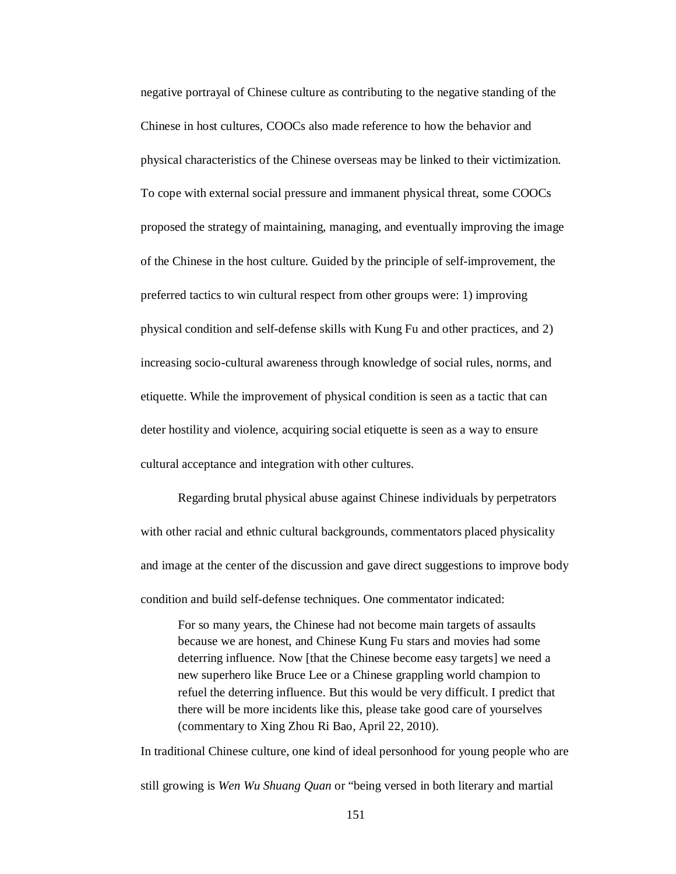negative portrayal of Chinese culture as contributing to the negative standing of the Chinese in host cultures, COOCs also made reference to how the behavior and physical characteristics of the Chinese overseas may be linked to their victimization. To cope with external social pressure and immanent physical threat, some COOCs proposed the strategy of maintaining, managing, and eventually improving the image of the Chinese in the host culture. Guided by the principle of self-improvement, the preferred tactics to win cultural respect from other groups were: 1) improving physical condition and self-defense skills with Kung Fu and other practices, and 2) increasing socio-cultural awareness through knowledge of social rules, norms, and etiquette. While the improvement of physical condition is seen as a tactic that can deter hostility and violence, acquiring social etiquette is seen as a way to ensure cultural acceptance and integration with other cultures.

Regarding brutal physical abuse against Chinese individuals by perpetrators with other racial and ethnic cultural backgrounds, commentators placed physicality and image at the center of the discussion and gave direct suggestions to improve body condition and build self-defense techniques. One commentator indicated:

For so many years, the Chinese had not become main targets of assaults because we are honest, and Chinese Kung Fu stars and movies had some deterring influence. Now [that the Chinese become easy targets] we need a new superhero like Bruce Lee or a Chinese grappling world champion to refuel the deterring influence. But this would be very difficult. I predict that there will be more incidents like this, please take good care of yourselves (commentary to Xing Zhou Ri Bao, April 22, 2010).

In traditional Chinese culture, one kind of ideal personhood for young people who are still growing is *Wen Wu Shuang Quan* or "being versed in both literary and martial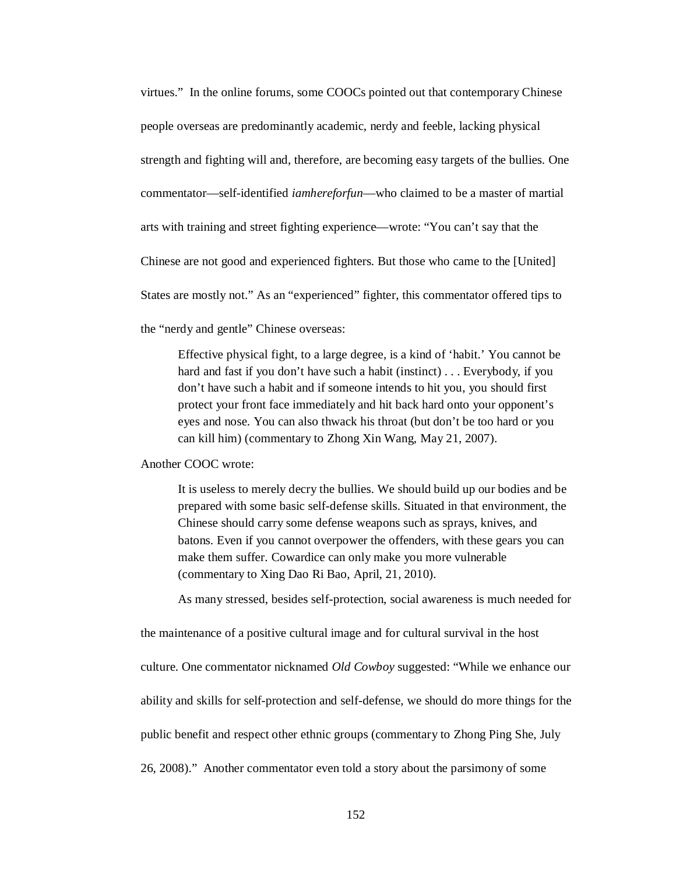virtues." In the online forums, some COOCs pointed out that contemporary Chinese people overseas are predominantly academic, nerdy and feeble, lacking physical strength and fighting will and, therefore, are becoming easy targets of the bullies. One commentator—self-identified *iamhereforfun*—who claimed to be a master of martial arts with training and street fighting experience—wrote: "You can't say that the Chinese are not good and experienced fighters. But those who came to the [United] States are mostly not." As an "experienced" fighter, this commentator offered tips to the "nerdy and gentle" Chinese overseas:

Effective physical fight, to a large degree, is a kind of 'habit.' You cannot be hard and fast if you don't have such a habit (instinct) . . . Everybody, if you don't have such a habit and if someone intends to hit you, you should first protect your front face immediately and hit back hard onto your opponent's eyes and nose. You can also thwack his throat (but don't be too hard or you can kill him) (commentary to Zhong Xin Wang, May 21, 2007).

Another COOC wrote:

It is useless to merely decry the bullies. We should build up our bodies and be prepared with some basic self-defense skills. Situated in that environment, the Chinese should carry some defense weapons such as sprays, knives, and batons. Even if you cannot overpower the offenders, with these gears you can make them suffer. Cowardice can only make you more vulnerable (commentary to Xing Dao Ri Bao, April, 21, 2010).

As many stressed, besides self-protection, social awareness is much needed for

the maintenance of a positive cultural image and for cultural survival in the host culture. One commentator nicknamed *Old Cowboy* suggested: "While we enhance our ability and skills for self-protection and self-defense, we should do more things for the public benefit and respect other ethnic groups (commentary to Zhong Ping She, July 26, 2008)." Another commentator even told a story about the parsimony of some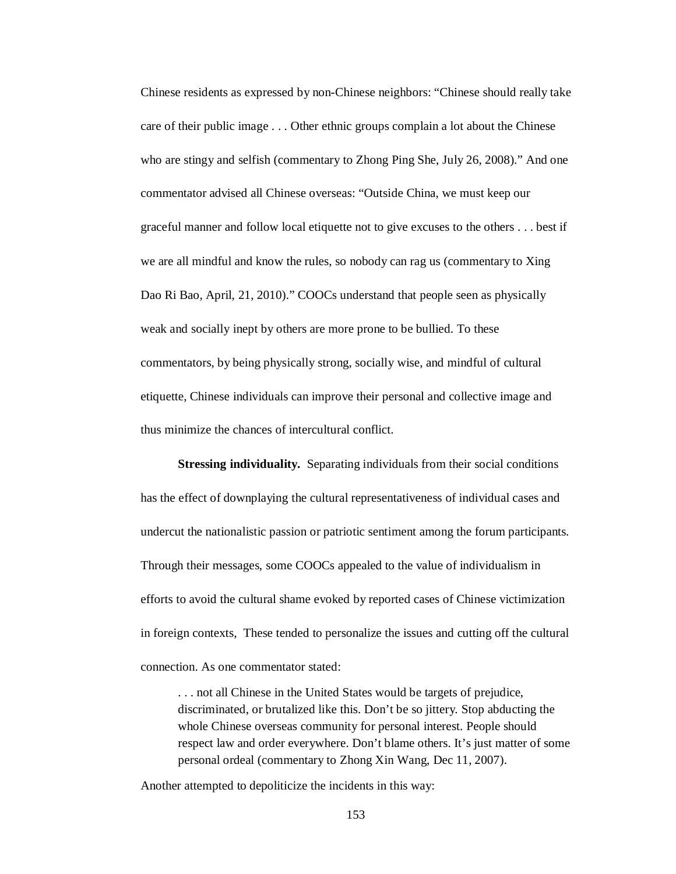Chinese residents as expressed by non-Chinese neighbors: "Chinese should really take care of their public image . . . Other ethnic groups complain a lot about the Chinese who are stingy and selfish (commentary to Zhong Ping She, July 26, 2008)." And one commentator advised all Chinese overseas: "Outside China, we must keep our graceful manner and follow local etiquette not to give excuses to the others . . . best if we are all mindful and know the rules, so nobody can rag us (commentary to Xing Dao Ri Bao, April, 21, 2010)." COOCs understand that people seen as physically weak and socially inept by others are more prone to be bullied. To these commentators, by being physically strong, socially wise, and mindful of cultural etiquette, Chinese individuals can improve their personal and collective image and thus minimize the chances of intercultural conflict.

**Stressing individuality.** Separating individuals from their social conditions has the effect of downplaying the cultural representativeness of individual cases and undercut the nationalistic passion or patriotic sentiment among the forum participants. Through their messages, some COOCs appealed to the value of individualism in efforts to avoid the cultural shame evoked by reported cases of Chinese victimization in foreign contexts, These tended to personalize the issues and cutting off the cultural connection. As one commentator stated:

. . . not all Chinese in the United States would be targets of prejudice, discriminated, or brutalized like this. Don't be so jittery. Stop abducting the whole Chinese overseas community for personal interest. People should respect law and order everywhere. Don't blame others. It's just matter of some personal ordeal (commentary to Zhong Xin Wang, Dec 11, 2007).

Another attempted to depoliticize the incidents in this way: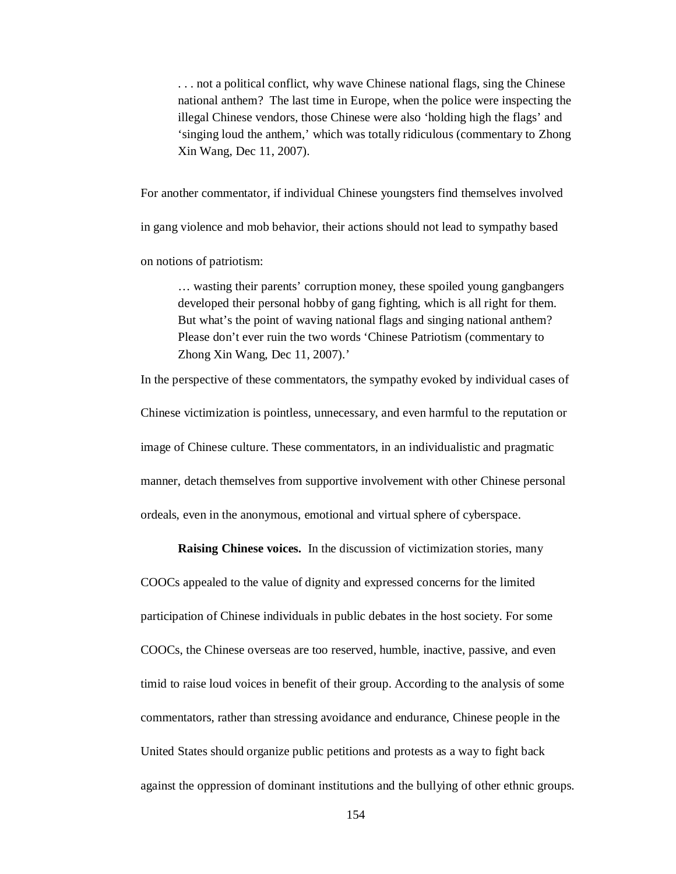. . . not a political conflict, why wave Chinese national flags, sing the Chinese national anthem? The last time in Europe, when the police were inspecting the illegal Chinese vendors, those Chinese were also 'holding high the flags' and 'singing loud the anthem,' which was totally ridiculous (commentary to Zhong Xin Wang, Dec 11, 2007).

For another commentator, if individual Chinese youngsters find themselves involved

in gang violence and mob behavior, their actions should not lead to sympathy based

on notions of patriotism:

… wasting their parents' corruption money, these spoiled young gangbangers developed their personal hobby of gang fighting, which is all right for them. But what's the point of waving national flags and singing national anthem? Please don't ever ruin the two words 'Chinese Patriotism (commentary to Zhong Xin Wang, Dec 11, 2007).'

In the perspective of these commentators, the sympathy evoked by individual cases of Chinese victimization is pointless, unnecessary, and even harmful to the reputation or image of Chinese culture. These commentators, in an individualistic and pragmatic manner, detach themselves from supportive involvement with other Chinese personal ordeals, even in the anonymous, emotional and virtual sphere of cyberspace.

**Raising Chinese voices.** In the discussion of victimization stories, many

COOCs appealed to the value of dignity and expressed concerns for the limited participation of Chinese individuals in public debates in the host society. For some COOCs, the Chinese overseas are too reserved, humble, inactive, passive, and even timid to raise loud voices in benefit of their group. According to the analysis of some commentators, rather than stressing avoidance and endurance, Chinese people in the United States should organize public petitions and protests as a way to fight back against the oppression of dominant institutions and the bullying of other ethnic groups.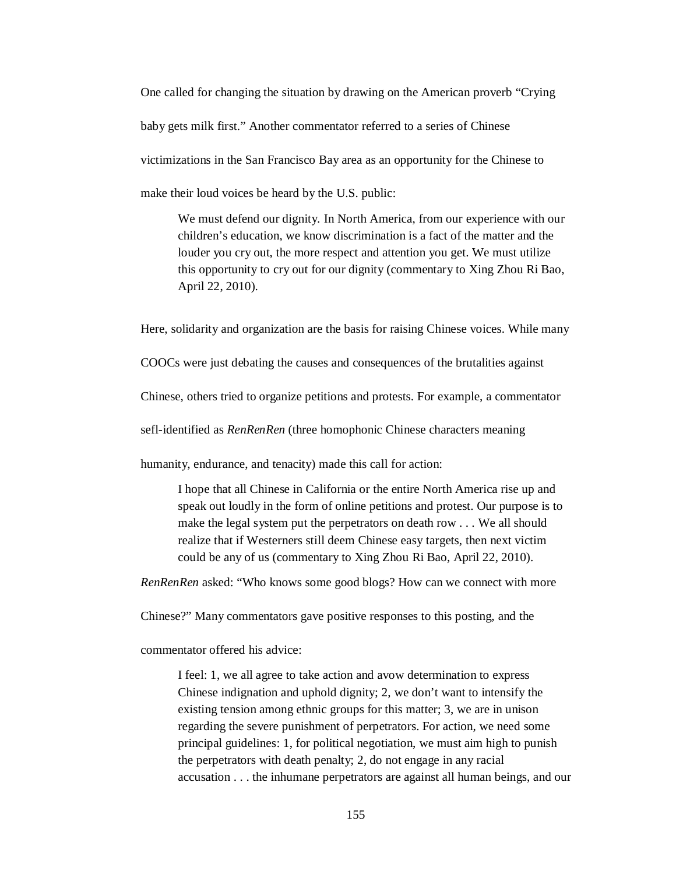One called for changing the situation by drawing on the American proverb "Crying baby gets milk first." Another commentator referred to a series of Chinese victimizations in the San Francisco Bay area as an opportunity for the Chinese to make their loud voices be heard by the U.S. public:

We must defend our dignity. In North America, from our experience with our children's education, we know discrimination is a fact of the matter and the louder you cry out, the more respect and attention you get. We must utilize this opportunity to cry out for our dignity (commentary to Xing Zhou Ri Bao, April 22, 2010).

Here, solidarity and organization are the basis for raising Chinese voices. While many

COOCs were just debating the causes and consequences of the brutalities against

Chinese, others tried to organize petitions and protests. For example, a commentator

sefl-identified as *RenRenRen* (three homophonic Chinese characters meaning

humanity, endurance, and tenacity) made this call for action:

I hope that all Chinese in California or the entire North America rise up and speak out loudly in the form of online petitions and protest. Our purpose is to make the legal system put the perpetrators on death row . . . We all should realize that if Westerners still deem Chinese easy targets, then next victim could be any of us (commentary to Xing Zhou Ri Bao, April 22, 2010).

*RenRenRen* asked: "Who knows some good blogs? How can we connect with more

Chinese?" Many commentators gave positive responses to this posting, and the

commentator offered his advice:

I feel: 1, we all agree to take action and avow determination to express Chinese indignation and uphold dignity; 2, we don't want to intensify the existing tension among ethnic groups for this matter; 3, we are in unison regarding the severe punishment of perpetrators. For action, we need some principal guidelines: 1, for political negotiation, we must aim high to punish the perpetrators with death penalty; 2, do not engage in any racial accusation . . . the inhumane perpetrators are against all human beings, and our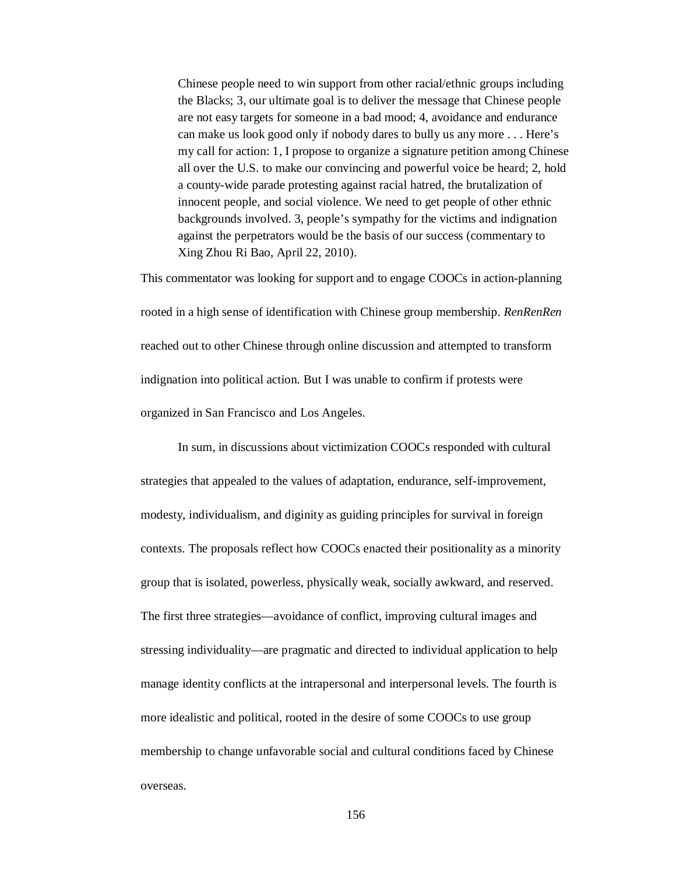Chinese people need to win support from other racial/ethnic groups including the Blacks; 3, our ultimate goal is to deliver the message that Chinese people are not easy targets for someone in a bad mood; 4, avoidance and endurance can make us look good only if nobody dares to bully us any more . . . Here's my call for action: 1, I propose to organize a signature petition among Chinese all over the U.S. to make our convincing and powerful voice be heard; 2, hold a county-wide parade protesting against racial hatred, the brutalization of innocent people, and social violence. We need to get people of other ethnic backgrounds involved. 3, people's sympathy for the victims and indignation against the perpetrators would be the basis of our success (commentary to Xing Zhou Ri Bao, April 22, 2010).

This commentator was looking for support and to engage COOCs in action-planning rooted in a high sense of identification with Chinese group membership. *RenRenRen*  reached out to other Chinese through online discussion and attempted to transform indignation into political action. But I was unable to confirm if protests were organized in San Francisco and Los Angeles.

In sum, in discussions about victimization COOCs responded with cultural strategies that appealed to the values of adaptation, endurance, self-improvement, modesty, individualism, and diginity as guiding principles for survival in foreign contexts. The proposals reflect how COOCs enacted their positionality as a minority group that is isolated, powerless, physically weak, socially awkward, and reserved. The first three strategies—avoidance of conflict, improving cultural images and stressing individuality—are pragmatic and directed to individual application to help manage identity conflicts at the intrapersonal and interpersonal levels. The fourth is more idealistic and political, rooted in the desire of some COOCs to use group membership to change unfavorable social and cultural conditions faced by Chinese overseas.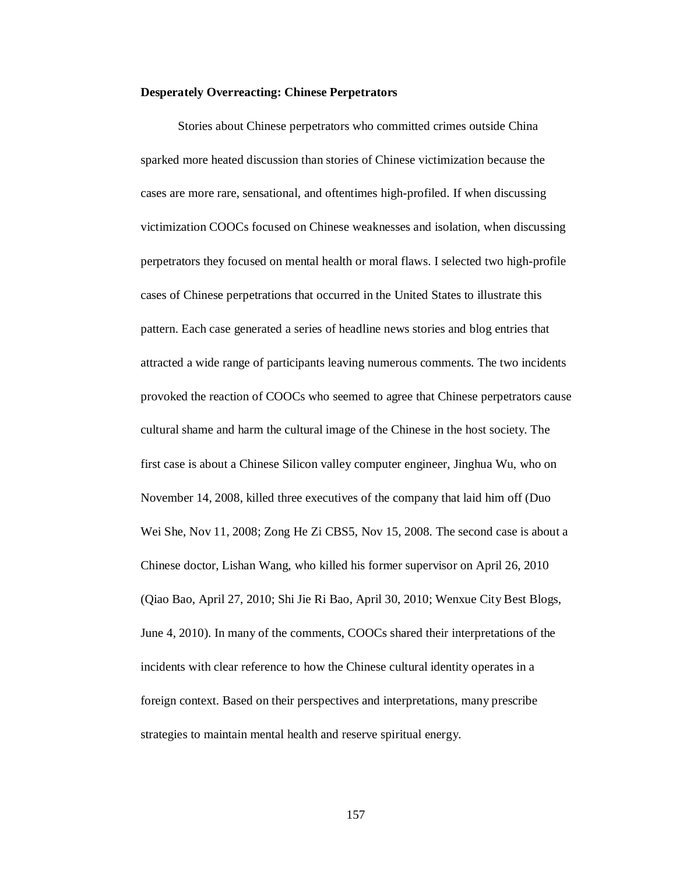## **Desperately Overreacting: Chinese Perpetrators**

Stories about Chinese perpetrators who committed crimes outside China sparked more heated discussion than stories of Chinese victimization because the cases are more rare, sensational, and oftentimes high-profiled. If when discussing victimization COOCs focused on Chinese weaknesses and isolation, when discussing perpetrators they focused on mental health or moral flaws. I selected two high-profile cases of Chinese perpetrations that occurred in the United States to illustrate this pattern. Each case generated a series of headline news stories and blog entries that attracted a wide range of participants leaving numerous comments. The two incidents provoked the reaction of COOCs who seemed to agree that Chinese perpetrators cause cultural shame and harm the cultural image of the Chinese in the host society. The first case is about a Chinese Silicon valley computer engineer, Jinghua Wu, who on November 14, 2008, killed three executives of the company that laid him off (Duo Wei She, Nov 11, 2008; Zong He Zi CBS5, Nov 15, 2008. The second case is about a Chinese doctor, Lishan Wang, who killed his former supervisor on April 26, 2010 (Qiao Bao, April 27, 2010; Shi Jie Ri Bao, April 30, 2010; Wenxue City Best Blogs, June 4, 2010). In many of the comments, COOCs shared their interpretations of the incidents with clear reference to how the Chinese cultural identity operates in a foreign context. Based on their perspectives and interpretations, many prescribe strategies to maintain mental health and reserve spiritual energy.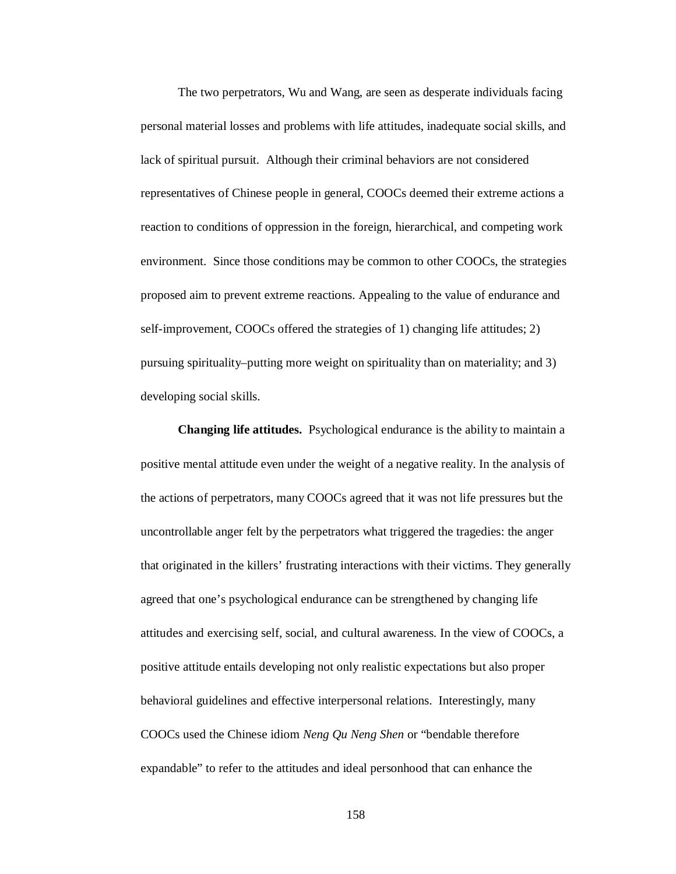The two perpetrators, Wu and Wang, are seen as desperate individuals facing personal material losses and problems with life attitudes, inadequate social skills, and lack of spiritual pursuit. Although their criminal behaviors are not considered representatives of Chinese people in general, COOCs deemed their extreme actions a reaction to conditions of oppression in the foreign, hierarchical, and competing work environment. Since those conditions may be common to other COOCs, the strategies proposed aim to prevent extreme reactions. Appealing to the value of endurance and self-improvement, COOCs offered the strategies of 1) changing life attitudes; 2) pursuing spirituality–putting more weight on spirituality than on materiality; and 3) developing social skills.

**Changing life attitudes.** Psychological endurance is the ability to maintain a positive mental attitude even under the weight of a negative reality. In the analysis of the actions of perpetrators, many COOCs agreed that it was not life pressures but the uncontrollable anger felt by the perpetrators what triggered the tragedies: the anger that originated in the killers' frustrating interactions with their victims. They generally agreed that one's psychological endurance can be strengthened by changing life attitudes and exercising self, social, and cultural awareness. In the view of COOCs, a positive attitude entails developing not only realistic expectations but also proper behavioral guidelines and effective interpersonal relations. Interestingly, many COOCs used the Chinese idiom *Neng Qu Neng Shen* or "bendable therefore expandable" to refer to the attitudes and ideal personhood that can enhance the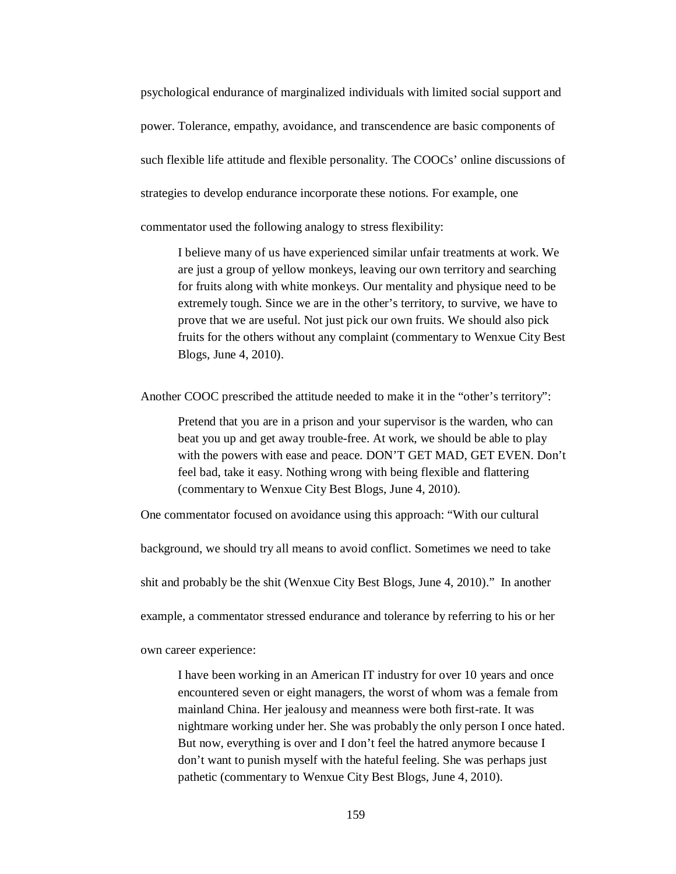psychological endurance of marginalized individuals with limited social support and power. Tolerance, empathy, avoidance, and transcendence are basic components of such flexible life attitude and flexible personality. The COOCs' online discussions of strategies to develop endurance incorporate these notions. For example, one

commentator used the following analogy to stress flexibility:

I believe many of us have experienced similar unfair treatments at work. We are just a group of yellow monkeys, leaving our own territory and searching for fruits along with white monkeys. Our mentality and physique need to be extremely tough. Since we are in the other's territory, to survive, we have to prove that we are useful. Not just pick our own fruits. We should also pick fruits for the others without any complaint (commentary to Wenxue City Best Blogs, June 4, 2010).

Another COOC prescribed the attitude needed to make it in the "other's territory":

Pretend that you are in a prison and your supervisor is the warden, who can beat you up and get away trouble-free. At work, we should be able to play with the powers with ease and peace. DON'T GET MAD, GET EVEN. Don't feel bad, take it easy. Nothing wrong with being flexible and flattering (commentary to Wenxue City Best Blogs, June 4, 2010).

One commentator focused on avoidance using this approach: "With our cultural

background, we should try all means to avoid conflict. Sometimes we need to take

shit and probably be the shit (Wenxue City Best Blogs, June 4, 2010)." In another

example, a commentator stressed endurance and tolerance by referring to his or her

own career experience:

I have been working in an American IT industry for over 10 years and once encountered seven or eight managers, the worst of whom was a female from mainland China. Her jealousy and meanness were both first-rate. It was nightmare working under her. She was probably the only person I once hated. But now, everything is over and I don't feel the hatred anymore because I don't want to punish myself with the hateful feeling. She was perhaps just pathetic (commentary to Wenxue City Best Blogs, June 4, 2010).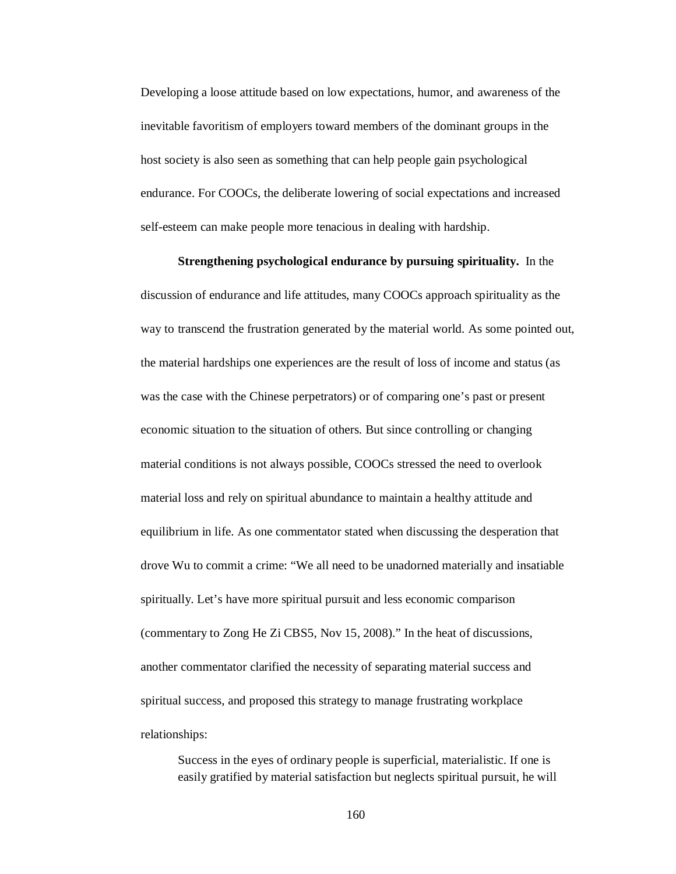Developing a loose attitude based on low expectations, humor, and awareness of the inevitable favoritism of employers toward members of the dominant groups in the host society is also seen as something that can help people gain psychological endurance. For COOCs, the deliberate lowering of social expectations and increased self-esteem can make people more tenacious in dealing with hardship.

**Strengthening psychological endurance by pursuing spirituality.** In the

discussion of endurance and life attitudes, many COOCs approach spirituality as the way to transcend the frustration generated by the material world. As some pointed out, the material hardships one experiences are the result of loss of income and status (as was the case with the Chinese perpetrators) or of comparing one's past or present economic situation to the situation of others. But since controlling or changing material conditions is not always possible, COOCs stressed the need to overlook material loss and rely on spiritual abundance to maintain a healthy attitude and equilibrium in life. As one commentator stated when discussing the desperation that drove Wu to commit a crime: "We all need to be unadorned materially and insatiable spiritually. Let's have more spiritual pursuit and less economic comparison (commentary to Zong He Zi CBS5, Nov 15, 2008)." In the heat of discussions, another commentator clarified the necessity of separating material success and spiritual success, and proposed this strategy to manage frustrating workplace relationships:

Success in the eyes of ordinary people is superficial, materialistic. If one is easily gratified by material satisfaction but neglects spiritual pursuit, he will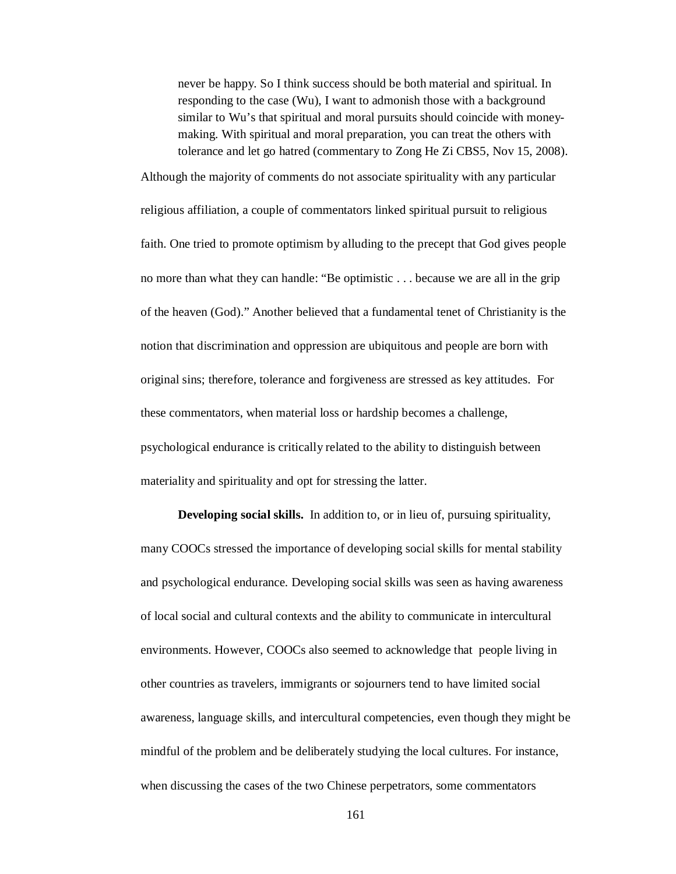never be happy. So I think success should be both material and spiritual. In responding to the case (Wu), I want to admonish those with a background similar to Wu's that spiritual and moral pursuits should coincide with moneymaking. With spiritual and moral preparation, you can treat the others with tolerance and let go hatred (commentary to Zong He Zi CBS5, Nov 15, 2008).

Although the majority of comments do not associate spirituality with any particular religious affiliation, a couple of commentators linked spiritual pursuit to religious faith. One tried to promote optimism by alluding to the precept that God gives people no more than what they can handle: "Be optimistic . . . because we are all in the grip of the heaven (God)." Another believed that a fundamental tenet of Christianity is the notion that discrimination and oppression are ubiquitous and people are born with original sins; therefore, tolerance and forgiveness are stressed as key attitudes. For these commentators, when material loss or hardship becomes a challenge, psychological endurance is critically related to the ability to distinguish between materiality and spirituality and opt for stressing the latter.

**Developing social skills.** In addition to, or in lieu of, pursuing spirituality, many COOCs stressed the importance of developing social skills for mental stability and psychological endurance. Developing social skills was seen as having awareness of local social and cultural contexts and the ability to communicate in intercultural environments. However, COOCs also seemed to acknowledge that people living in other countries as travelers, immigrants or sojourners tend to have limited social awareness, language skills, and intercultural competencies, even though they might be mindful of the problem and be deliberately studying the local cultures. For instance, when discussing the cases of the two Chinese perpetrators, some commentators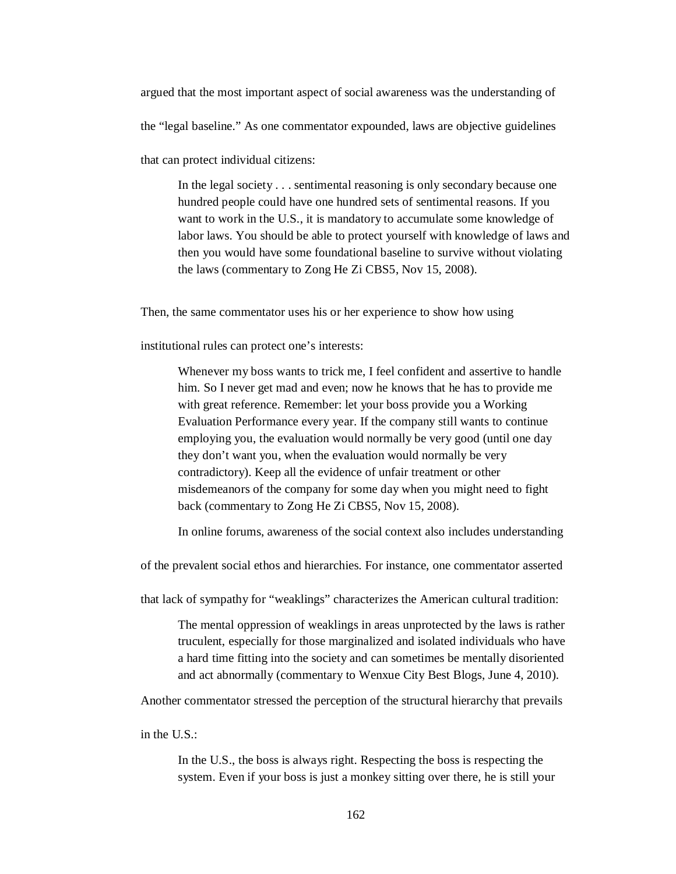argued that the most important aspect of social awareness was the understanding of

the "legal baseline." As one commentator expounded, laws are objective guidelines

that can protect individual citizens:

In the legal society . . . sentimental reasoning is only secondary because one hundred people could have one hundred sets of sentimental reasons. If you want to work in the U.S., it is mandatory to accumulate some knowledge of labor laws. You should be able to protect yourself with knowledge of laws and then you would have some foundational baseline to survive without violating the laws (commentary to Zong He Zi CBS5, Nov 15, 2008).

Then, the same commentator uses his or her experience to show how using

institutional rules can protect one's interests:

Whenever my boss wants to trick me, I feel confident and assertive to handle him. So I never get mad and even; now he knows that he has to provide me with great reference. Remember: let your boss provide you a Working Evaluation Performance every year. If the company still wants to continue employing you, the evaluation would normally be very good (until one day they don't want you, when the evaluation would normally be very contradictory). Keep all the evidence of unfair treatment or other misdemeanors of the company for some day when you might need to fight back (commentary to Zong He Zi CBS5, Nov 15, 2008).

In online forums, awareness of the social context also includes understanding

of the prevalent social ethos and hierarchies. For instance, one commentator asserted

that lack of sympathy for "weaklings" characterizes the American cultural tradition:

The mental oppression of weaklings in areas unprotected by the laws is rather truculent, especially for those marginalized and isolated individuals who have a hard time fitting into the society and can sometimes be mentally disoriented and act abnormally (commentary to Wenxue City Best Blogs, June 4, 2010).

Another commentator stressed the perception of the structural hierarchy that prevails

in the U.S.:

In the U.S., the boss is always right. Respecting the boss is respecting the system. Even if your boss is just a monkey sitting over there, he is still your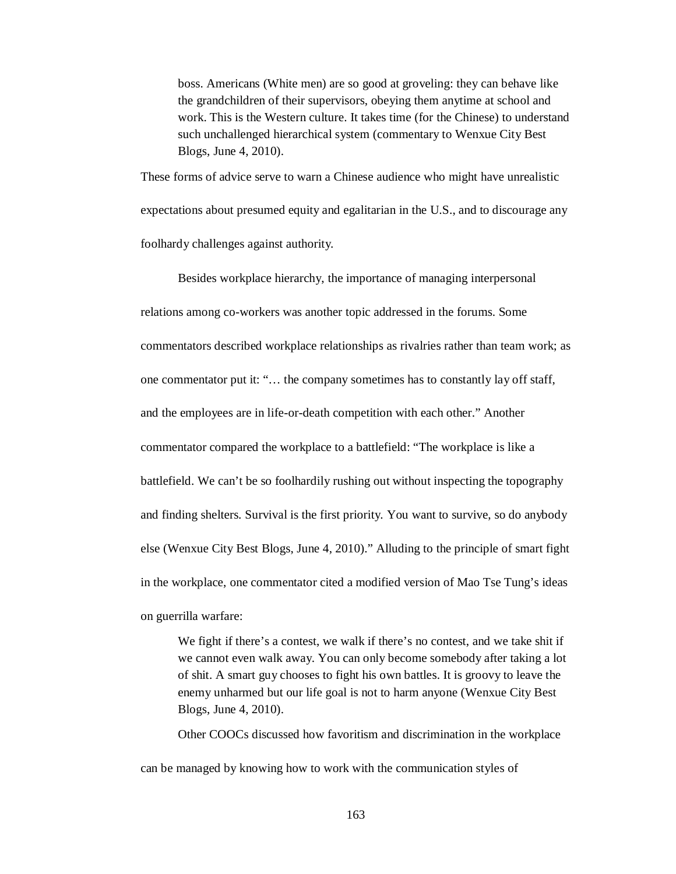boss. Americans (White men) are so good at groveling: they can behave like the grandchildren of their supervisors, obeying them anytime at school and work. This is the Western culture. It takes time (for the Chinese) to understand such unchallenged hierarchical system (commentary to Wenxue City Best Blogs, June 4, 2010).

These forms of advice serve to warn a Chinese audience who might have unrealistic expectations about presumed equity and egalitarian in the U.S., and to discourage any foolhardy challenges against authority.

Besides workplace hierarchy, the importance of managing interpersonal relations among co-workers was another topic addressed in the forums. Some commentators described workplace relationships as rivalries rather than team work; as one commentator put it: "… the company sometimes has to constantly lay off staff, and the employees are in life-or-death competition with each other." Another commentator compared the workplace to a battlefield: "The workplace is like a battlefield. We can't be so foolhardily rushing out without inspecting the topography and finding shelters. Survival is the first priority. You want to survive, so do anybody else (Wenxue City Best Blogs, June 4, 2010)." Alluding to the principle of smart fight in the workplace, one commentator cited a modified version of Mao Tse Tung's ideas on guerrilla warfare:

We fight if there's a contest, we walk if there's no contest, and we take shit if we cannot even walk away. You can only become somebody after taking a lot of shit. A smart guy chooses to fight his own battles. It is groovy to leave the enemy unharmed but our life goal is not to harm anyone (Wenxue City Best Blogs, June 4, 2010).

Other COOCs discussed how favoritism and discrimination in the workplace

can be managed by knowing how to work with the communication styles of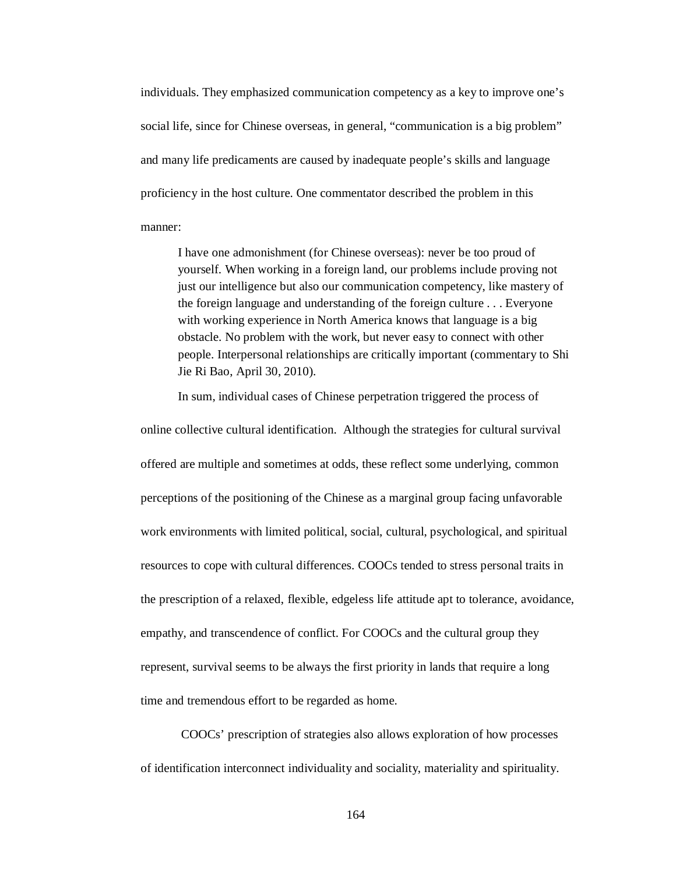individuals. They emphasized communication competency as a key to improve one's social life, since for Chinese overseas, in general, "communication is a big problem" and many life predicaments are caused by inadequate people's skills and language proficiency in the host culture. One commentator described the problem in this manner:

I have one admonishment (for Chinese overseas): never be too proud of yourself. When working in a foreign land, our problems include proving not just our intelligence but also our communication competency, like mastery of the foreign language and understanding of the foreign culture . . . Everyone with working experience in North America knows that language is a big obstacle. No problem with the work, but never easy to connect with other people. Interpersonal relationships are critically important (commentary to Shi Jie Ri Bao, April 30, 2010).

In sum, individual cases of Chinese perpetration triggered the process of

online collective cultural identification. Although the strategies for cultural survival offered are multiple and sometimes at odds, these reflect some underlying, common perceptions of the positioning of the Chinese as a marginal group facing unfavorable work environments with limited political, social, cultural, psychological, and spiritual resources to cope with cultural differences. COOCs tended to stress personal traits in the prescription of a relaxed, flexible, edgeless life attitude apt to tolerance, avoidance, empathy, and transcendence of conflict. For COOCs and the cultural group they represent, survival seems to be always the first priority in lands that require a long time and tremendous effort to be regarded as home.

COOCs' prescription of strategies also allows exploration of how processes of identification interconnect individuality and sociality, materiality and spirituality.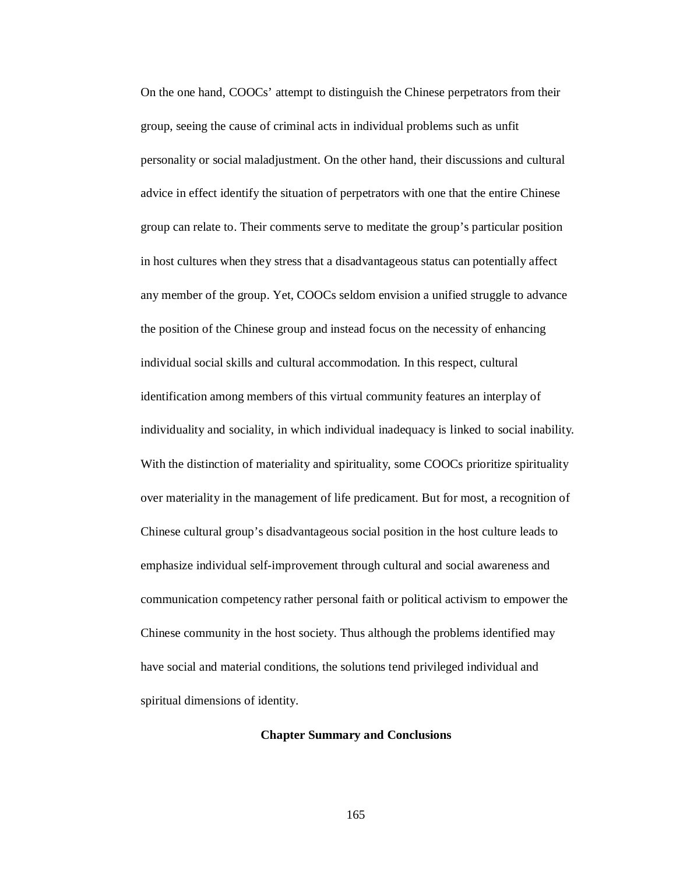On the one hand, COOCs' attempt to distinguish the Chinese perpetrators from their group, seeing the cause of criminal acts in individual problems such as unfit personality or social maladjustment. On the other hand, their discussions and cultural advice in effect identify the situation of perpetrators with one that the entire Chinese group can relate to. Their comments serve to meditate the group's particular position in host cultures when they stress that a disadvantageous status can potentially affect any member of the group. Yet, COOCs seldom envision a unified struggle to advance the position of the Chinese group and instead focus on the necessity of enhancing individual social skills and cultural accommodation. In this respect, cultural identification among members of this virtual community features an interplay of individuality and sociality, in which individual inadequacy is linked to social inability. With the distinction of materiality and spirituality, some COOCs prioritize spirituality over materiality in the management of life predicament. But for most, a recognition of Chinese cultural group's disadvantageous social position in the host culture leads to emphasize individual self-improvement through cultural and social awareness and communication competency rather personal faith or political activism to empower the Chinese community in the host society. Thus although the problems identified may have social and material conditions, the solutions tend privileged individual and spiritual dimensions of identity.

## **Chapter Summary and Conclusions**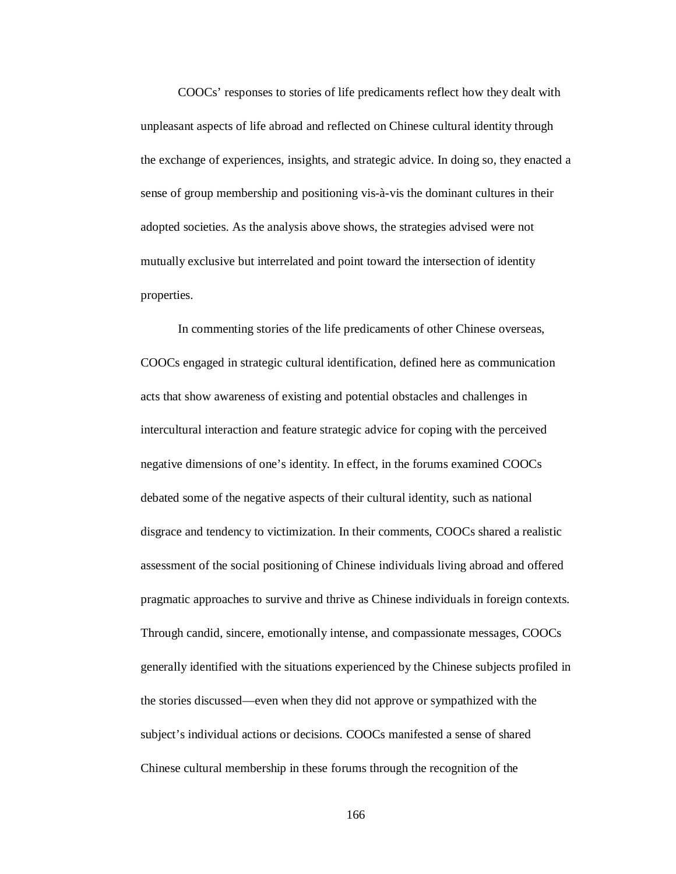COOCs' responses to stories of life predicaments reflect how they dealt with unpleasant aspects of life abroad and reflected on Chinese cultural identity through the exchange of experiences, insights, and strategic advice. In doing so, they enacted a sense of group membership and positioning vis-à-vis the dominant cultures in their adopted societies. As the analysis above shows, the strategies advised were not mutually exclusive but interrelated and point toward the intersection of identity properties.

In commenting stories of the life predicaments of other Chinese overseas, COOCs engaged in strategic cultural identification, defined here as communication acts that show awareness of existing and potential obstacles and challenges in intercultural interaction and feature strategic advice for coping with the perceived negative dimensions of one's identity. In effect, in the forums examined COOCs debated some of the negative aspects of their cultural identity, such as national disgrace and tendency to victimization. In their comments, COOCs shared a realistic assessment of the social positioning of Chinese individuals living abroad and offered pragmatic approaches to survive and thrive as Chinese individuals in foreign contexts. Through candid, sincere, emotionally intense, and compassionate messages, COOCs generally identified with the situations experienced by the Chinese subjects profiled in the stories discussed—even when they did not approve or sympathized with the subject's individual actions or decisions. COOCs manifested a sense of shared Chinese cultural membership in these forums through the recognition of the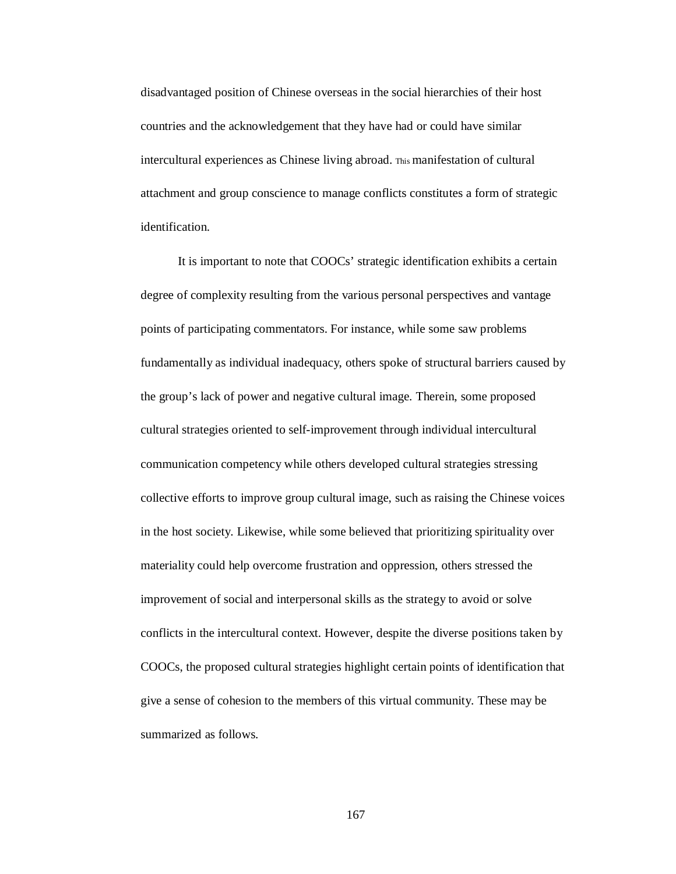disadvantaged position of Chinese overseas in the social hierarchies of their host countries and the acknowledgement that they have had or could have similar intercultural experiences as Chinese living abroad. This manifestation of cultural attachment and group conscience to manage conflicts constitutes a form of strategic identification.

It is important to note that COOCs' strategic identification exhibits a certain degree of complexity resulting from the various personal perspectives and vantage points of participating commentators. For instance, while some saw problems fundamentally as individual inadequacy, others spoke of structural barriers caused by the group's lack of power and negative cultural image. Therein, some proposed cultural strategies oriented to self-improvement through individual intercultural communication competency while others developed cultural strategies stressing collective efforts to improve group cultural image, such as raising the Chinese voices in the host society. Likewise, while some believed that prioritizing spirituality over materiality could help overcome frustration and oppression, others stressed the improvement of social and interpersonal skills as the strategy to avoid or solve conflicts in the intercultural context. However, despite the diverse positions taken by COOCs, the proposed cultural strategies highlight certain points of identification that give a sense of cohesion to the members of this virtual community. These may be summarized as follows.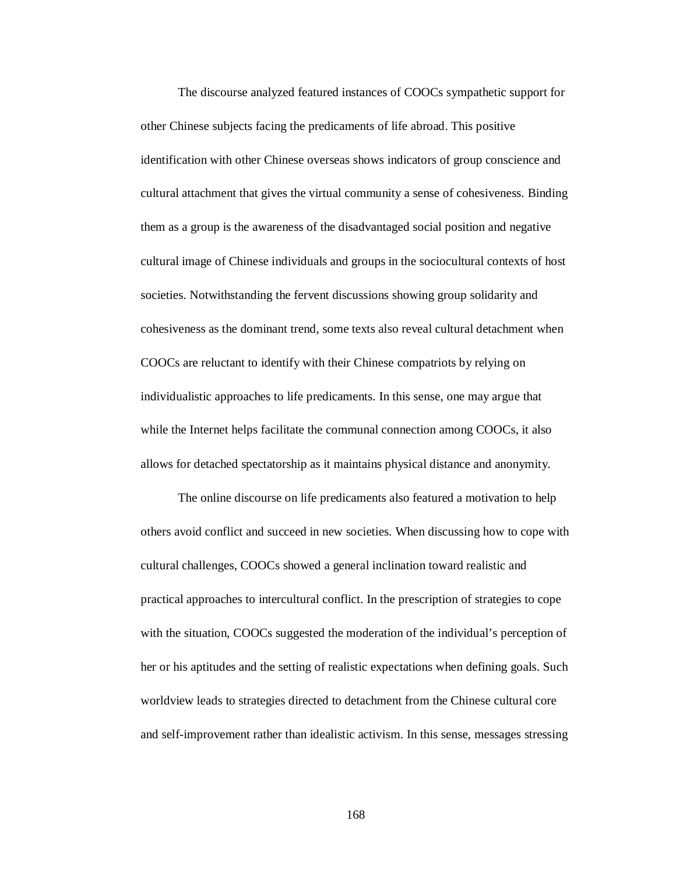The discourse analyzed featured instances of COOCs sympathetic support for other Chinese subjects facing the predicaments of life abroad. This positive identification with other Chinese overseas shows indicators of group conscience and cultural attachment that gives the virtual community a sense of cohesiveness. Binding them as a group is the awareness of the disadvantaged social position and negative cultural image of Chinese individuals and groups in the sociocultural contexts of host societies. Notwithstanding the fervent discussions showing group solidarity and cohesiveness as the dominant trend, some texts also reveal cultural detachment when COOCs are reluctant to identify with their Chinese compatriots by relying on individualistic approaches to life predicaments. In this sense, one may argue that while the Internet helps facilitate the communal connection among COOCs, it also allows for detached spectatorship as it maintains physical distance and anonymity.

The online discourse on life predicaments also featured a motivation to help others avoid conflict and succeed in new societies. When discussing how to cope with cultural challenges, COOCs showed a general inclination toward realistic and practical approaches to intercultural conflict. In the prescription of strategies to cope with the situation, COOCs suggested the moderation of the individual's perception of her or his aptitudes and the setting of realistic expectations when defining goals. Such worldview leads to strategies directed to detachment from the Chinese cultural core and self-improvement rather than idealistic activism. In this sense, messages stressing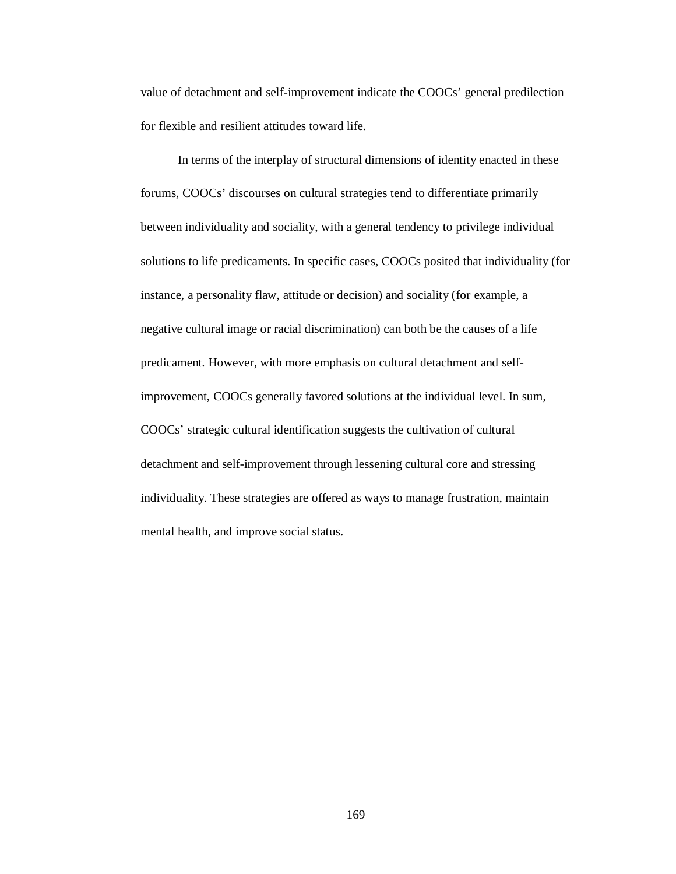value of detachment and self-improvement indicate the COOCs' general predilection for flexible and resilient attitudes toward life.

In terms of the interplay of structural dimensions of identity enacted in these forums, COOCs' discourses on cultural strategies tend to differentiate primarily between individuality and sociality, with a general tendency to privilege individual solutions to life predicaments. In specific cases, COOCs posited that individuality (for instance, a personality flaw, attitude or decision) and sociality (for example, a negative cultural image or racial discrimination) can both be the causes of a life predicament. However, with more emphasis on cultural detachment and selfimprovement, COOCs generally favored solutions at the individual level. In sum, COOCs' strategic cultural identification suggests the cultivation of cultural detachment and self-improvement through lessening cultural core and stressing individuality. These strategies are offered as ways to manage frustration, maintain mental health, and improve social status.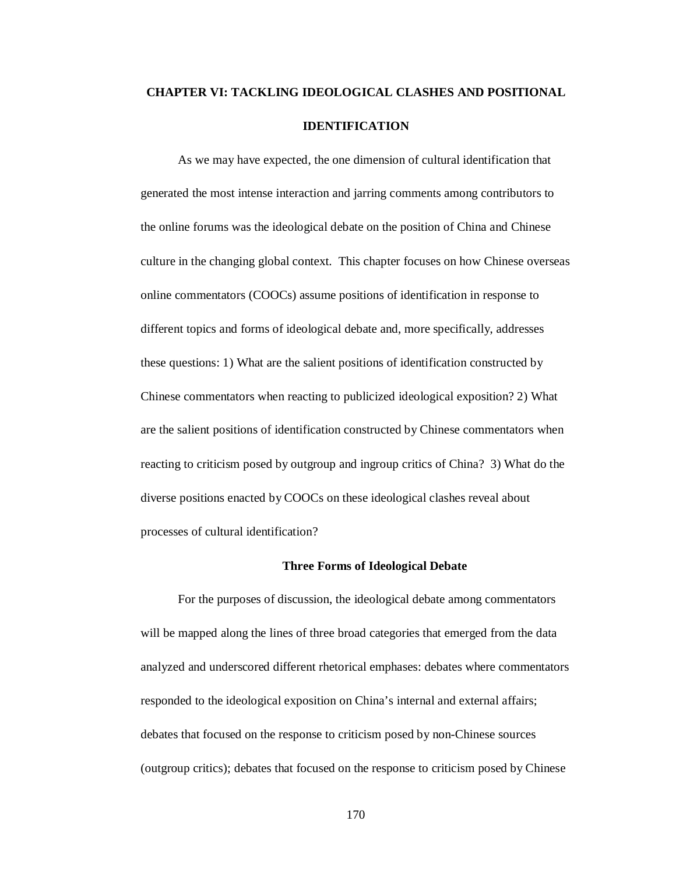# **CHAPTER VI: TACKLING IDEOLOGICAL CLASHES AND POSITIONAL IDENTIFICATION**

As we may have expected, the one dimension of cultural identification that generated the most intense interaction and jarring comments among contributors to the online forums was the ideological debate on the position of China and Chinese culture in the changing global context. This chapter focuses on how Chinese overseas online commentators (COOCs) assume positions of identification in response to different topics and forms of ideological debate and, more specifically, addresses these questions: 1) What are the salient positions of identification constructed by Chinese commentators when reacting to publicized ideological exposition? 2) What are the salient positions of identification constructed by Chinese commentators when reacting to criticism posed by outgroup and ingroup critics of China? 3) What do the diverse positions enacted by COOCs on these ideological clashes reveal about processes of cultural identification?

## **Three Forms of Ideological Debate**

For the purposes of discussion, the ideological debate among commentators will be mapped along the lines of three broad categories that emerged from the data analyzed and underscored different rhetorical emphases: debates where commentators responded to the ideological exposition on China's internal and external affairs; debates that focused on the response to criticism posed by non-Chinese sources (outgroup critics); debates that focused on the response to criticism posed by Chinese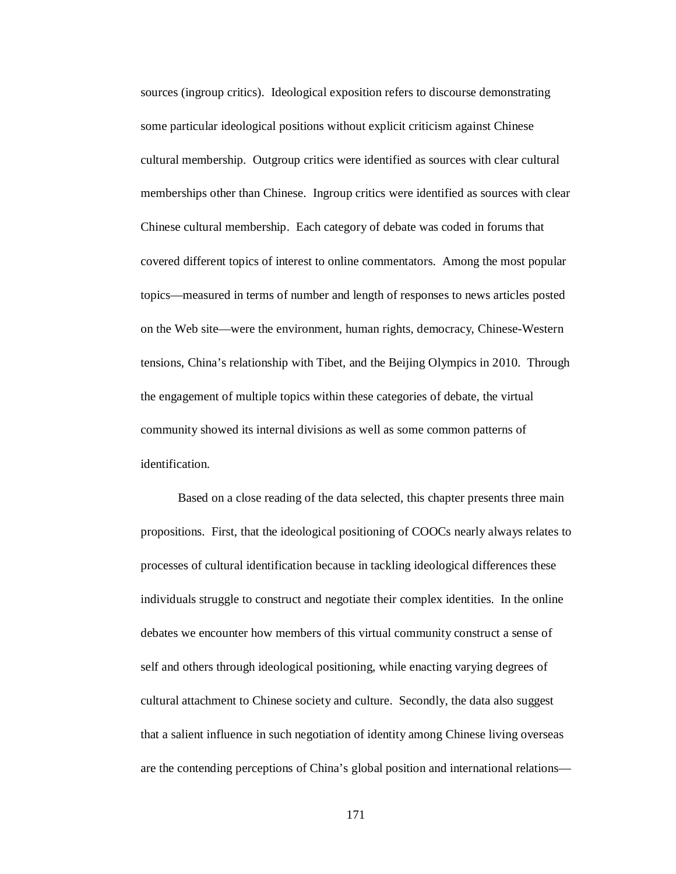sources (ingroup critics). Ideological exposition refers to discourse demonstrating some particular ideological positions without explicit criticism against Chinese cultural membership. Outgroup critics were identified as sources with clear cultural memberships other than Chinese. Ingroup critics were identified as sources with clear Chinese cultural membership. Each category of debate was coded in forums that covered different topics of interest to online commentators. Among the most popular topics—measured in terms of number and length of responses to news articles posted on the Web site—were the environment, human rights, democracy, Chinese-Western tensions, China's relationship with Tibet, and the Beijing Olympics in 2010. Through the engagement of multiple topics within these categories of debate, the virtual community showed its internal divisions as well as some common patterns of identification.

Based on a close reading of the data selected, this chapter presents three main propositions. First, that the ideological positioning of COOCs nearly always relates to processes of cultural identification because in tackling ideological differences these individuals struggle to construct and negotiate their complex identities. In the online debates we encounter how members of this virtual community construct a sense of self and others through ideological positioning, while enacting varying degrees of cultural attachment to Chinese society and culture. Secondly, the data also suggest that a salient influence in such negotiation of identity among Chinese living overseas are the contending perceptions of China's global position and international relations—

171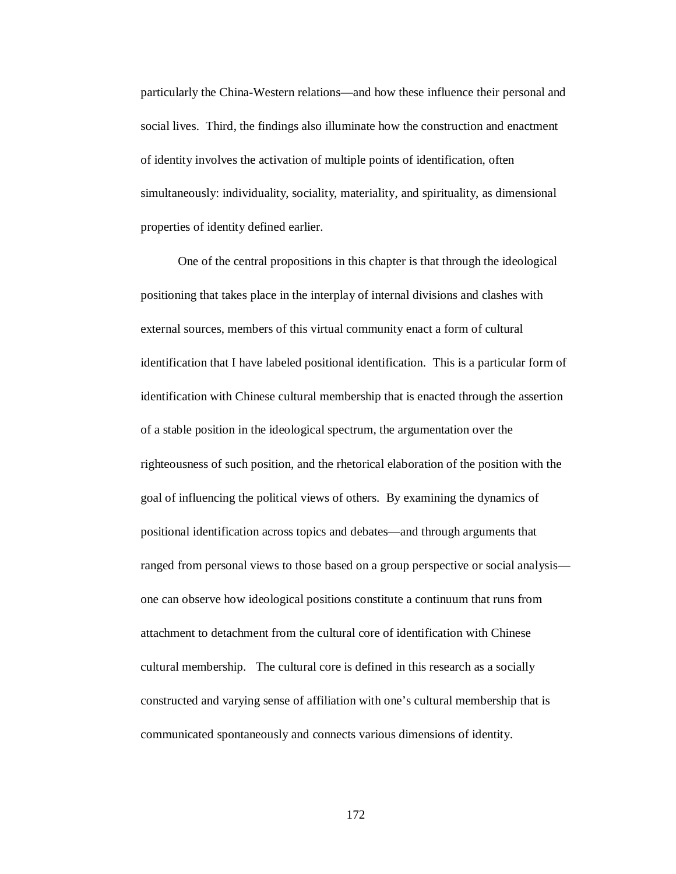particularly the China-Western relations—and how these influence their personal and social lives. Third, the findings also illuminate how the construction and enactment of identity involves the activation of multiple points of identification, often simultaneously: individuality, sociality, materiality, and spirituality, as dimensional properties of identity defined earlier.

One of the central propositions in this chapter is that through the ideological positioning that takes place in the interplay of internal divisions and clashes with external sources, members of this virtual community enact a form of cultural identification that I have labeled positional identification. This is a particular form of identification with Chinese cultural membership that is enacted through the assertion of a stable position in the ideological spectrum, the argumentation over the righteousness of such position, and the rhetorical elaboration of the position with the goal of influencing the political views of others. By examining the dynamics of positional identification across topics and debates—and through arguments that ranged from personal views to those based on a group perspective or social analysis one can observe how ideological positions constitute a continuum that runs from attachment to detachment from the cultural core of identification with Chinese cultural membership. The cultural core is defined in this research as a socially constructed and varying sense of affiliation with one's cultural membership that is communicated spontaneously and connects various dimensions of identity.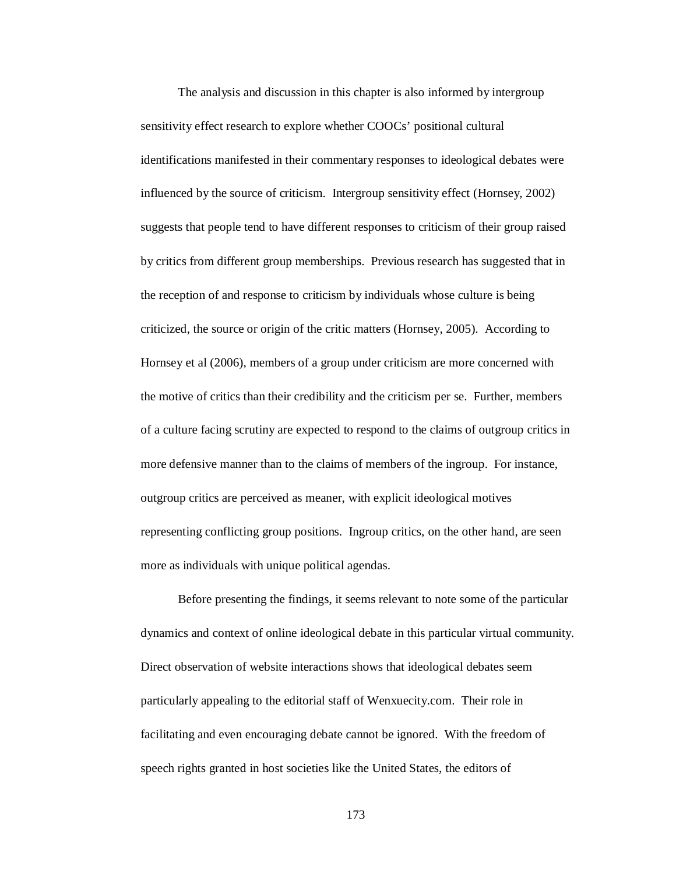The analysis and discussion in this chapter is also informed by intergroup sensitivity effect research to explore whether COOCs' positional cultural identifications manifested in their commentary responses to ideological debates were influenced by the source of criticism. Intergroup sensitivity effect (Hornsey, 2002) suggests that people tend to have different responses to criticism of their group raised by critics from different group memberships. Previous research has suggested that in the reception of and response to criticism by individuals whose culture is being criticized, the source or origin of the critic matters (Hornsey, 2005). According to Hornsey et al (2006), members of a group under criticism are more concerned with the motive of critics than their credibility and the criticism per se. Further, members of a culture facing scrutiny are expected to respond to the claims of outgroup critics in more defensive manner than to the claims of members of the ingroup. For instance, outgroup critics are perceived as meaner, with explicit ideological motives representing conflicting group positions. Ingroup critics, on the other hand, are seen more as individuals with unique political agendas.

Before presenting the findings, it seems relevant to note some of the particular dynamics and context of online ideological debate in this particular virtual community. Direct observation of website interactions shows that ideological debates seem particularly appealing to the editorial staff of Wenxuecity.com. Their role in facilitating and even encouraging debate cannot be ignored. With the freedom of speech rights granted in host societies like the United States, the editors of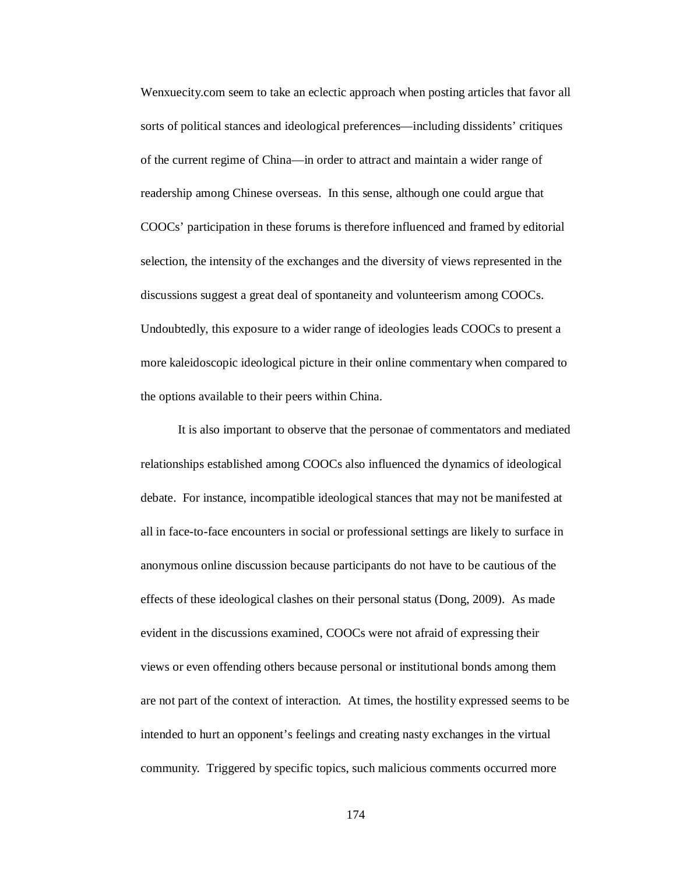Wenxuecity.com seem to take an eclectic approach when posting articles that favor all sorts of political stances and ideological preferences—including dissidents' critiques of the current regime of China—in order to attract and maintain a wider range of readership among Chinese overseas. In this sense, although one could argue that COOCs' participation in these forums is therefore influenced and framed by editorial selection, the intensity of the exchanges and the diversity of views represented in the discussions suggest a great deal of spontaneity and volunteerism among COOCs. Undoubtedly, this exposure to a wider range of ideologies leads COOCs to present a more kaleidoscopic ideological picture in their online commentary when compared to the options available to their peers within China.

It is also important to observe that the personae of commentators and mediated relationships established among COOCs also influenced the dynamics of ideological debate. For instance, incompatible ideological stances that may not be manifested at all in face-to-face encounters in social or professional settings are likely to surface in anonymous online discussion because participants do not have to be cautious of the effects of these ideological clashes on their personal status (Dong, 2009). As made evident in the discussions examined, COOCs were not afraid of expressing their views or even offending others because personal or institutional bonds among them are not part of the context of interaction. At times, the hostility expressed seems to be intended to hurt an opponent's feelings and creating nasty exchanges in the virtual community. Triggered by specific topics, such malicious comments occurred more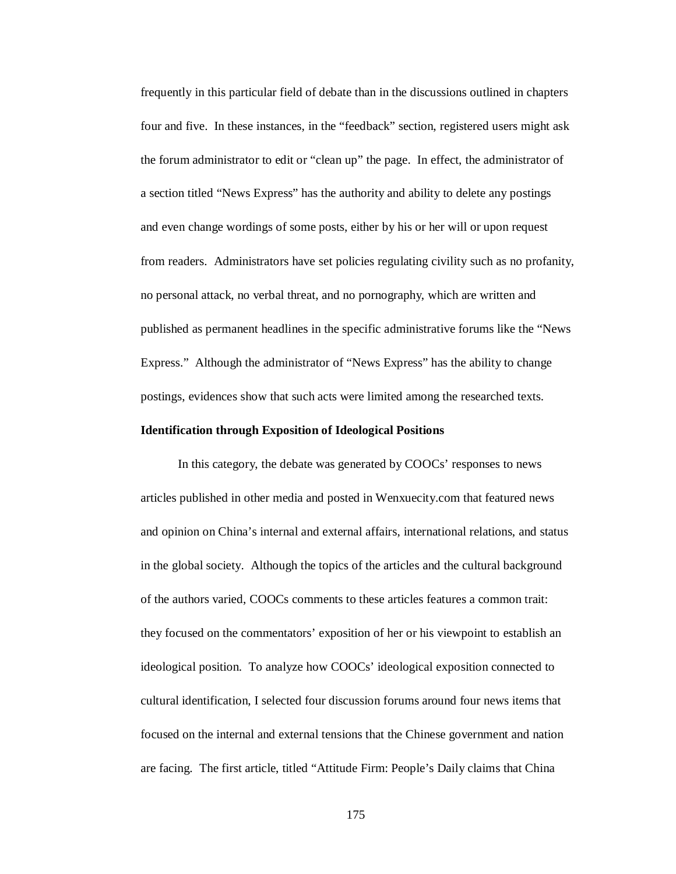frequently in this particular field of debate than in the discussions outlined in chapters four and five. In these instances, in the "feedback" section, registered users might ask the forum administrator to edit or "clean up" the page. In effect, the administrator of a section titled "News Express" has the authority and ability to delete any postings and even change wordings of some posts, either by his or her will or upon request from readers. Administrators have set policies regulating civility such as no profanity, no personal attack, no verbal threat, and no pornography, which are written and published as permanent headlines in the specific administrative forums like the "News Express." Although the administrator of "News Express" has the ability to change postings, evidences show that such acts were limited among the researched texts.

## **Identification through Exposition of Ideological Positions**

In this category, the debate was generated by COOCs' responses to news articles published in other media and posted in Wenxuecity.com that featured news and opinion on China's internal and external affairs, international relations, and status in the global society. Although the topics of the articles and the cultural background of the authors varied, COOCs comments to these articles features a common trait: they focused on the commentators' exposition of her or his viewpoint to establish an ideological position. To analyze how COOCs' ideological exposition connected to cultural identification, I selected four discussion forums around four news items that focused on the internal and external tensions that the Chinese government and nation are facing. The first article, titled "Attitude Firm: People's Daily claims that China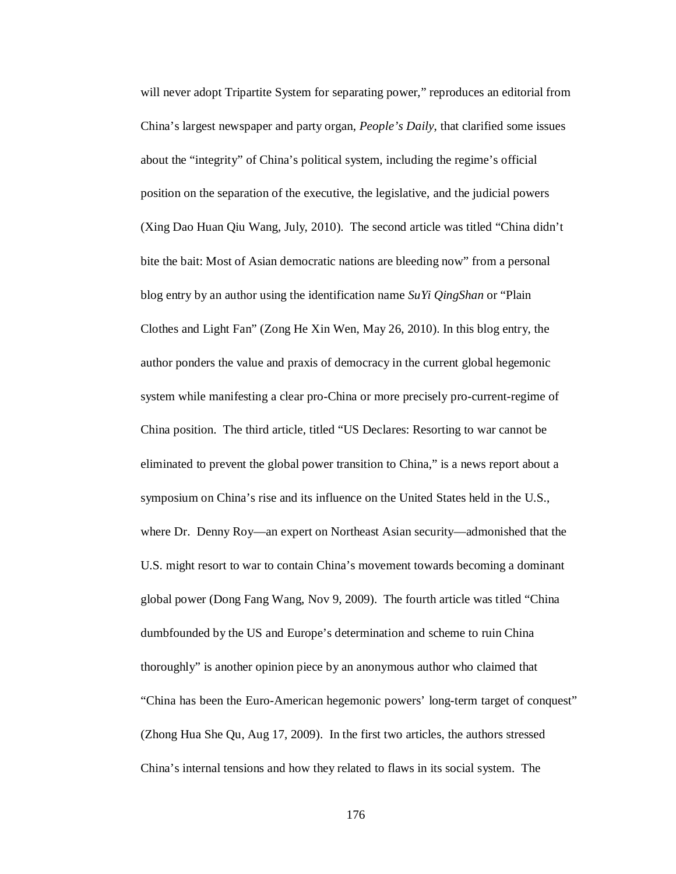will never adopt Tripartite System for separating power," reproduces an editorial from China's largest newspaper and party organ, *People's Daily*, that clarified some issues about the "integrity" of China's political system, including the regime's official position on the separation of the executive, the legislative, and the judicial powers (Xing Dao Huan Qiu Wang, July, 2010). The second article was titled "China didn't bite the bait: Most of Asian democratic nations are bleeding now" from a personal blog entry by an author using the identification name *SuYi QingShan* or "Plain Clothes and Light Fan" (Zong He Xin Wen, May 26, 2010). In this blog entry, the author ponders the value and praxis of democracy in the current global hegemonic system while manifesting a clear pro-China or more precisely pro-current-regime of China position. The third article, titled "US Declares: Resorting to war cannot be eliminated to prevent the global power transition to China," is a news report about a symposium on China's rise and its influence on the United States held in the U.S., where Dr. Denny Roy—an expert on Northeast Asian security—admonished that the U.S. might resort to war to contain China's movement towards becoming a dominant global power (Dong Fang Wang, Nov 9, 2009). The fourth article was titled "China dumbfounded by the US and Europe's determination and scheme to ruin China thoroughly" is another opinion piece by an anonymous author who claimed that "China has been the Euro-American hegemonic powers' long-term target of conquest" (Zhong Hua She Qu, Aug 17, 2009). In the first two articles, the authors stressed China's internal tensions and how they related to flaws in its social system. The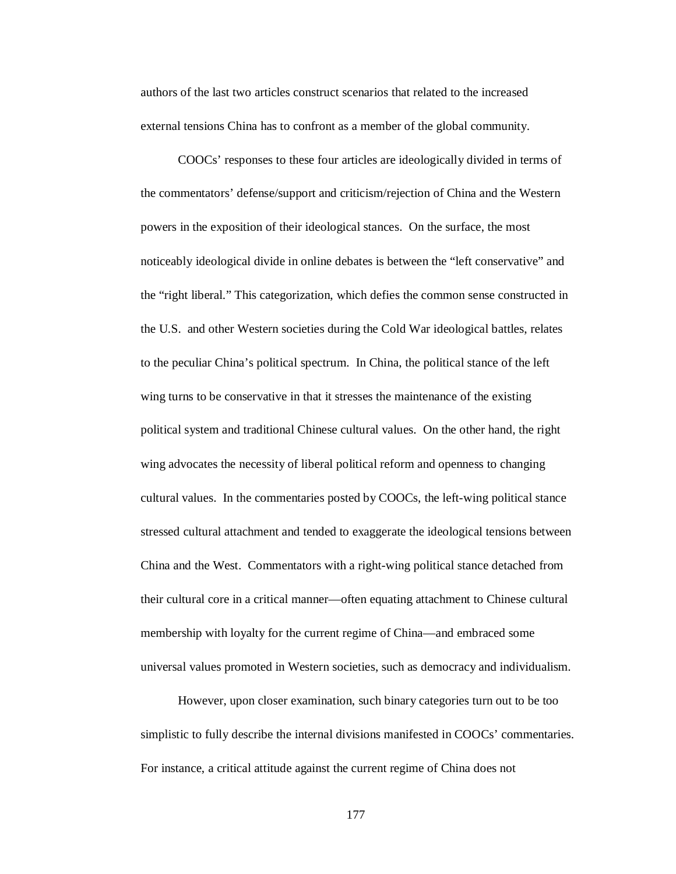authors of the last two articles construct scenarios that related to the increased external tensions China has to confront as a member of the global community.

COOCs' responses to these four articles are ideologically divided in terms of the commentators' defense/support and criticism/rejection of China and the Western powers in the exposition of their ideological stances. On the surface, the most noticeably ideological divide in online debates is between the "left conservative" and the "right liberal." This categorization, which defies the common sense constructed in the U.S. and other Western societies during the Cold War ideological battles, relates to the peculiar China's political spectrum. In China, the political stance of the left wing turns to be conservative in that it stresses the maintenance of the existing political system and traditional Chinese cultural values. On the other hand, the right wing advocates the necessity of liberal political reform and openness to changing cultural values. In the commentaries posted by COOCs, the left-wing political stance stressed cultural attachment and tended to exaggerate the ideological tensions between China and the West. Commentators with a right-wing political stance detached from their cultural core in a critical manner—often equating attachment to Chinese cultural membership with loyalty for the current regime of China—and embraced some universal values promoted in Western societies, such as democracy and individualism.

However, upon closer examination, such binary categories turn out to be too simplistic to fully describe the internal divisions manifested in COOCs' commentaries. For instance, a critical attitude against the current regime of China does not

177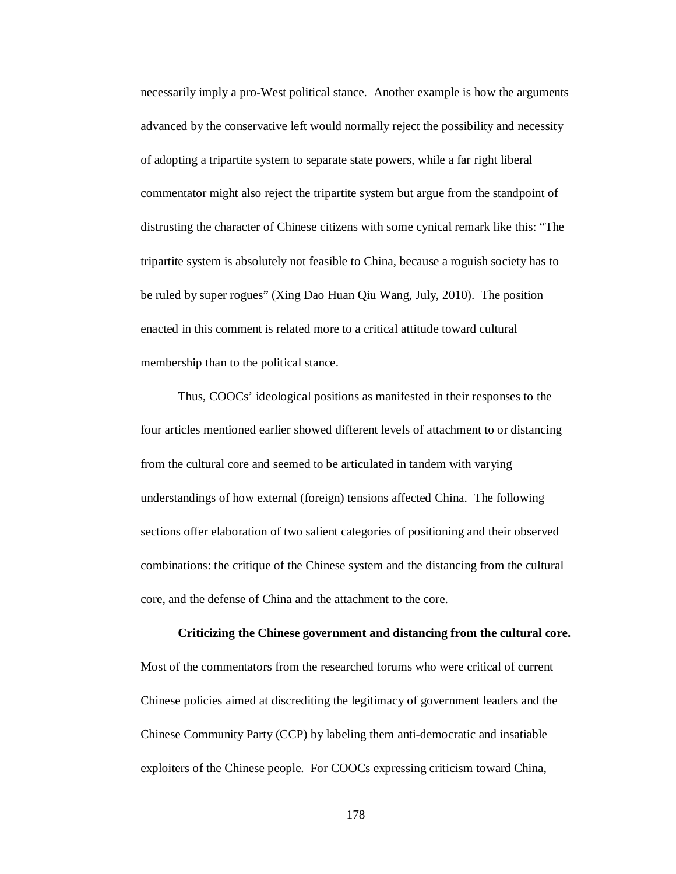necessarily imply a pro-West political stance. Another example is how the arguments advanced by the conservative left would normally reject the possibility and necessity of adopting a tripartite system to separate state powers, while a far right liberal commentator might also reject the tripartite system but argue from the standpoint of distrusting the character of Chinese citizens with some cynical remark like this: "The tripartite system is absolutely not feasible to China, because a roguish society has to be ruled by super rogues" (Xing Dao Huan Qiu Wang, July, 2010). The position enacted in this comment is related more to a critical attitude toward cultural membership than to the political stance.

Thus, COOCs' ideological positions as manifested in their responses to the four articles mentioned earlier showed different levels of attachment to or distancing from the cultural core and seemed to be articulated in tandem with varying understandings of how external (foreign) tensions affected China. The following sections offer elaboration of two salient categories of positioning and their observed combinations: the critique of the Chinese system and the distancing from the cultural core, and the defense of China and the attachment to the core.

Most of the commentators from the researched forums who were critical of current Chinese policies aimed at discrediting the legitimacy of government leaders and the Chinese Community Party (CCP) by labeling them anti-democratic and insatiable exploiters of the Chinese people. For COOCs expressing criticism toward China,

**Criticizing the Chinese government and distancing from the cultural core.**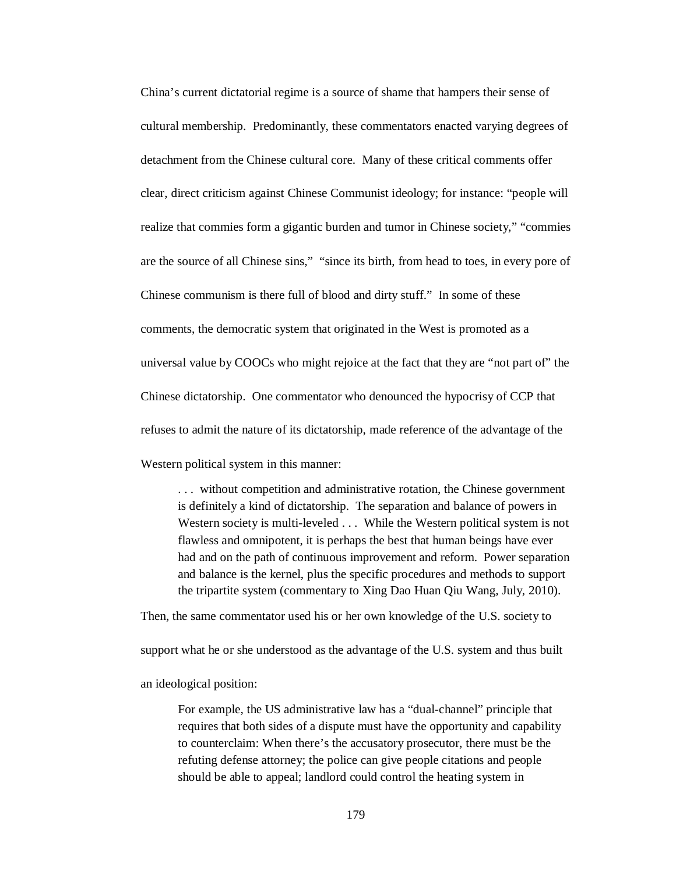China's current dictatorial regime is a source of shame that hampers their sense of cultural membership. Predominantly, these commentators enacted varying degrees of detachment from the Chinese cultural core. Many of these critical comments offer clear, direct criticism against Chinese Communist ideology; for instance: "people will realize that commies form a gigantic burden and tumor in Chinese society," "commies are the source of all Chinese sins," "since its birth, from head to toes, in every pore of Chinese communism is there full of blood and dirty stuff." In some of these comments, the democratic system that originated in the West is promoted as a universal value by COOCs who might rejoice at the fact that they are "not part of" the Chinese dictatorship. One commentator who denounced the hypocrisy of CCP that refuses to admit the nature of its dictatorship, made reference of the advantage of the Western political system in this manner:

. . . without competition and administrative rotation, the Chinese government is definitely a kind of dictatorship. The separation and balance of powers in Western society is multi-leveled . . . While the Western political system is not flawless and omnipotent, it is perhaps the best that human beings have ever had and on the path of continuous improvement and reform. Power separation and balance is the kernel, plus the specific procedures and methods to support the tripartite system (commentary to Xing Dao Huan Qiu Wang, July, 2010).

Then, the same commentator used his or her own knowledge of the U.S. society to support what he or she understood as the advantage of the U.S. system and thus built an ideological position:

For example, the US administrative law has a "dual-channel" principle that requires that both sides of a dispute must have the opportunity and capability to counterclaim: When there's the accusatory prosecutor, there must be the refuting defense attorney; the police can give people citations and people should be able to appeal; landlord could control the heating system in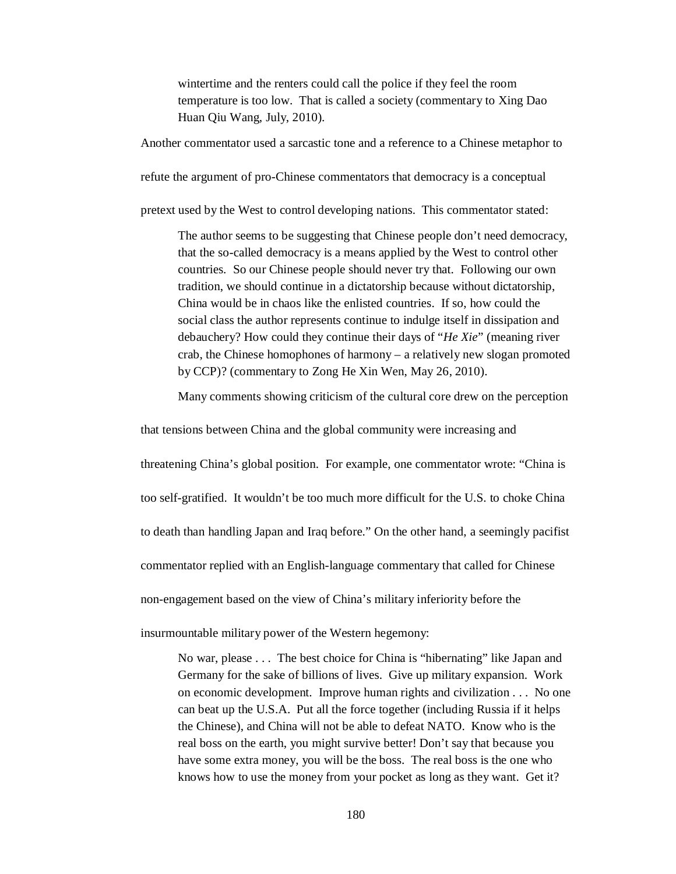wintertime and the renters could call the police if they feel the room temperature is too low. That is called a society (commentary to Xing Dao Huan Qiu Wang, July, 2010).

Another commentator used a sarcastic tone and a reference to a Chinese metaphor to

refute the argument of pro-Chinese commentators that democracy is a conceptual

pretext used by the West to control developing nations. This commentator stated:

The author seems to be suggesting that Chinese people don't need democracy, that the so-called democracy is a means applied by the West to control other countries. So our Chinese people should never try that. Following our own tradition, we should continue in a dictatorship because without dictatorship, China would be in chaos like the enlisted countries. If so, how could the social class the author represents continue to indulge itself in dissipation and debauchery? How could they continue their days of "*He Xie*" (meaning river crab, the Chinese homophones of harmony – a relatively new slogan promoted by CCP)? (commentary to Zong He Xin Wen, May 26, 2010).

Many comments showing criticism of the cultural core drew on the perception

that tensions between China and the global community were increasing and

threatening China's global position. For example, one commentator wrote: "China is

too self-gratified. It wouldn't be too much more difficult for the U.S. to choke China

to death than handling Japan and Iraq before." On the other hand, a seemingly pacifist

commentator replied with an English-language commentary that called for Chinese

non-engagement based on the view of China's military inferiority before the

insurmountable military power of the Western hegemony:

No war, please . . . The best choice for China is "hibernating" like Japan and Germany for the sake of billions of lives. Give up military expansion. Work on economic development. Improve human rights and civilization . . . No one can beat up the U.S.A. Put all the force together (including Russia if it helps the Chinese), and China will not be able to defeat NATO. Know who is the real boss on the earth, you might survive better! Don't say that because you have some extra money, you will be the boss. The real boss is the one who knows how to use the money from your pocket as long as they want. Get it?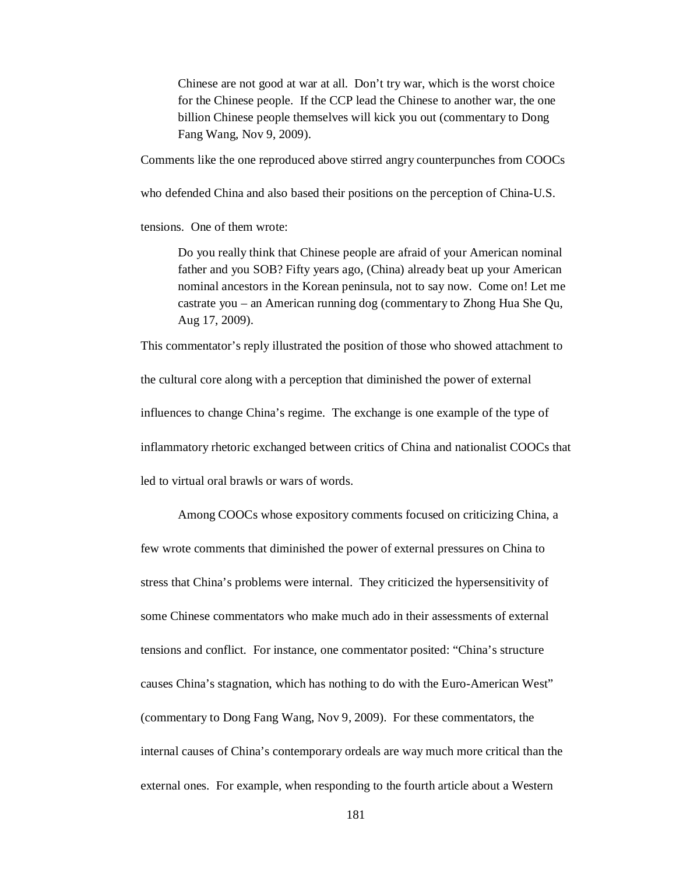Chinese are not good at war at all. Don't try war, which is the worst choice for the Chinese people. If the CCP lead the Chinese to another war, the one billion Chinese people themselves will kick you out (commentary to Dong Fang Wang, Nov 9, 2009).

Comments like the one reproduced above stirred angry counterpunches from COOCs

who defended China and also based their positions on the perception of China-U.S.

tensions. One of them wrote:

Do you really think that Chinese people are afraid of your American nominal father and you SOB? Fifty years ago, (China) already beat up your American nominal ancestors in the Korean peninsula, not to say now. Come on! Let me castrate you – an American running dog (commentary to Zhong Hua She Qu, Aug 17, 2009).

This commentator's reply illustrated the position of those who showed attachment to

the cultural core along with a perception that diminished the power of external influences to change China's regime. The exchange is one example of the type of inflammatory rhetoric exchanged between critics of China and nationalist COOCs that led to virtual oral brawls or wars of words.

Among COOCs whose expository comments focused on criticizing China, a few wrote comments that diminished the power of external pressures on China to stress that China's problems were internal. They criticized the hypersensitivity of some Chinese commentators who make much ado in their assessments of external tensions and conflict. For instance, one commentator posited: "China's structure causes China's stagnation, which has nothing to do with the Euro-American West" (commentary to Dong Fang Wang, Nov 9, 2009). For these commentators, the internal causes of China's contemporary ordeals are way much more critical than the external ones. For example, when responding to the fourth article about a Western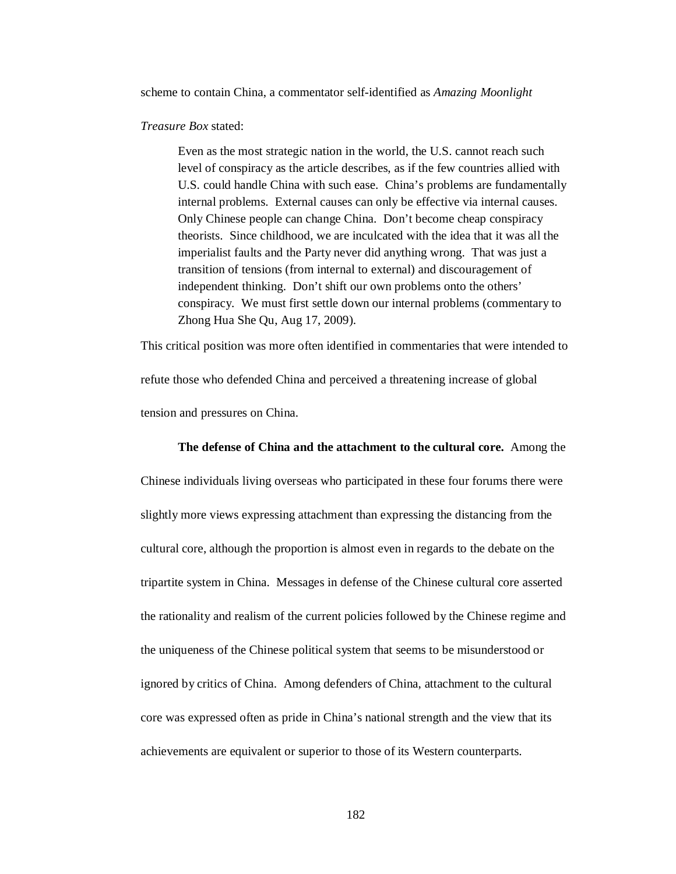scheme to contain China, a commentator self-identified as *Amazing Moonlight* 

#### *Treasure Box* stated:

Even as the most strategic nation in the world, the U.S. cannot reach such level of conspiracy as the article describes, as if the few countries allied with U.S. could handle China with such ease. China's problems are fundamentally internal problems. External causes can only be effective via internal causes. Only Chinese people can change China. Don't become cheap conspiracy theorists. Since childhood, we are inculcated with the idea that it was all the imperialist faults and the Party never did anything wrong. That was just a transition of tensions (from internal to external) and discouragement of independent thinking. Don't shift our own problems onto the others' conspiracy. We must first settle down our internal problems (commentary to Zhong Hua She Qu, Aug 17, 2009).

This critical position was more often identified in commentaries that were intended to refute those who defended China and perceived a threatening increase of global tension and pressures on China.

### **The defense of China and the attachment to the cultural core.** Among the

Chinese individuals living overseas who participated in these four forums there were slightly more views expressing attachment than expressing the distancing from the cultural core, although the proportion is almost even in regards to the debate on the tripartite system in China. Messages in defense of the Chinese cultural core asserted the rationality and realism of the current policies followed by the Chinese regime and the uniqueness of the Chinese political system that seems to be misunderstood or ignored by critics of China. Among defenders of China, attachment to the cultural core was expressed often as pride in China's national strength and the view that its achievements are equivalent or superior to those of its Western counterparts.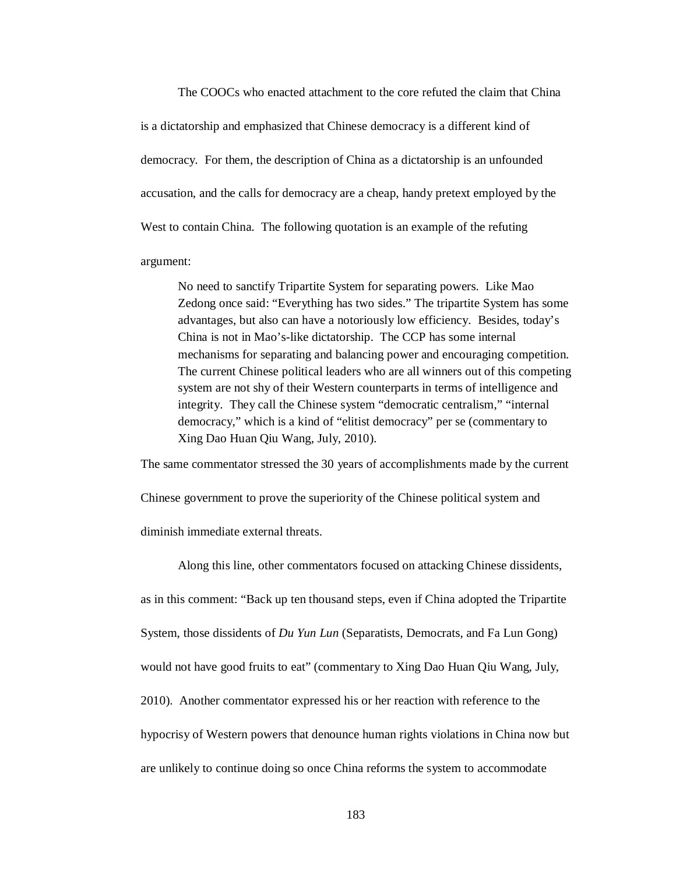The COOCs who enacted attachment to the core refuted the claim that China is a dictatorship and emphasized that Chinese democracy is a different kind of democracy. For them, the description of China as a dictatorship is an unfounded accusation, and the calls for democracy are a cheap, handy pretext employed by the West to contain China. The following quotation is an example of the refuting argument:

No need to sanctify Tripartite System for separating powers. Like Mao Zedong once said: "Everything has two sides." The tripartite System has some advantages, but also can have a notoriously low efficiency. Besides, today's China is not in Mao's-like dictatorship. The CCP has some internal mechanisms for separating and balancing power and encouraging competition. The current Chinese political leaders who are all winners out of this competing system are not shy of their Western counterparts in terms of intelligence and integrity. They call the Chinese system "democratic centralism," "internal democracy," which is a kind of "elitist democracy" per se (commentary to Xing Dao Huan Qiu Wang, July, 2010).

The same commentator stressed the 30 years of accomplishments made by the current

Chinese government to prove the superiority of the Chinese political system and

diminish immediate external threats.

Along this line, other commentators focused on attacking Chinese dissidents, as in this comment: "Back up ten thousand steps, even if China adopted the Tripartite System, those dissidents of *Du Yun Lun* (Separatists, Democrats, and Fa Lun Gong) would not have good fruits to eat" (commentary to Xing Dao Huan Qiu Wang, July, 2010). Another commentator expressed his or her reaction with reference to the hypocrisy of Western powers that denounce human rights violations in China now but are unlikely to continue doing so once China reforms the system to accommodate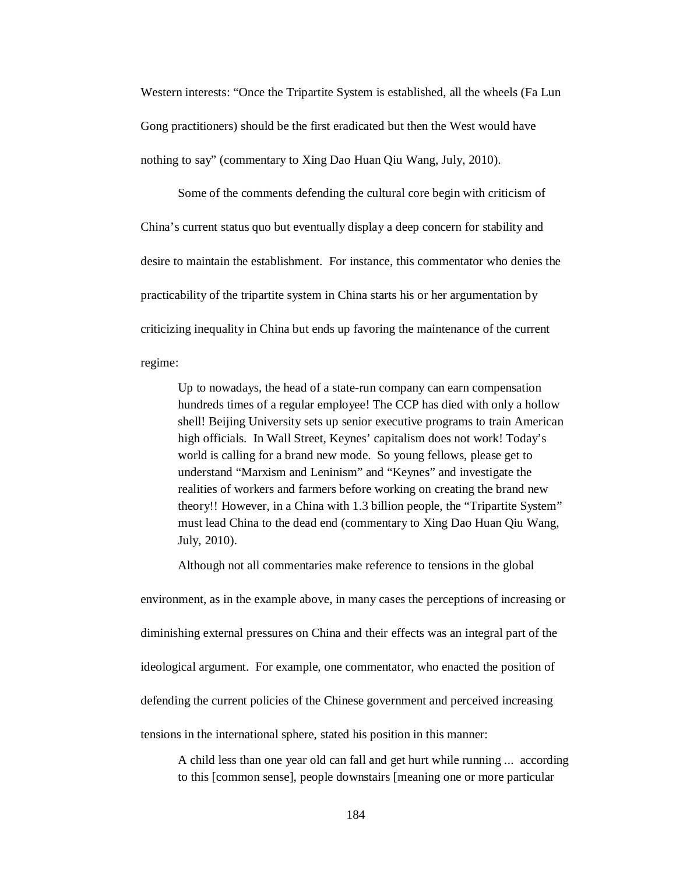Western interests: "Once the Tripartite System is established, all the wheels (Fa Lun Gong practitioners) should be the first eradicated but then the West would have nothing to say" (commentary to Xing Dao Huan Qiu Wang, July, 2010).

Some of the comments defending the cultural core begin with criticism of China's current status quo but eventually display a deep concern for stability and desire to maintain the establishment. For instance, this commentator who denies the practicability of the tripartite system in China starts his or her argumentation by criticizing inequality in China but ends up favoring the maintenance of the current regime:

Up to nowadays, the head of a state-run company can earn compensation hundreds times of a regular employee! The CCP has died with only a hollow shell! Beijing University sets up senior executive programs to train American high officials. In Wall Street, Keynes' capitalism does not work! Today's world is calling for a brand new mode. So young fellows, please get to understand "Marxism and Leninism" and "Keynes" and investigate the realities of workers and farmers before working on creating the brand new theory!! However, in a China with 1.3 billion people, the "Tripartite System" must lead China to the dead end (commentary to Xing Dao Huan Qiu Wang, July, 2010).

Although not all commentaries make reference to tensions in the global

environment, as in the example above, in many cases the perceptions of increasing or diminishing external pressures on China and their effects was an integral part of the ideological argument. For example, one commentator, who enacted the position of defending the current policies of the Chinese government and perceived increasing tensions in the international sphere, stated his position in this manner:

A child less than one year old can fall and get hurt while running ... according to this [common sense], people downstairs [meaning one or more particular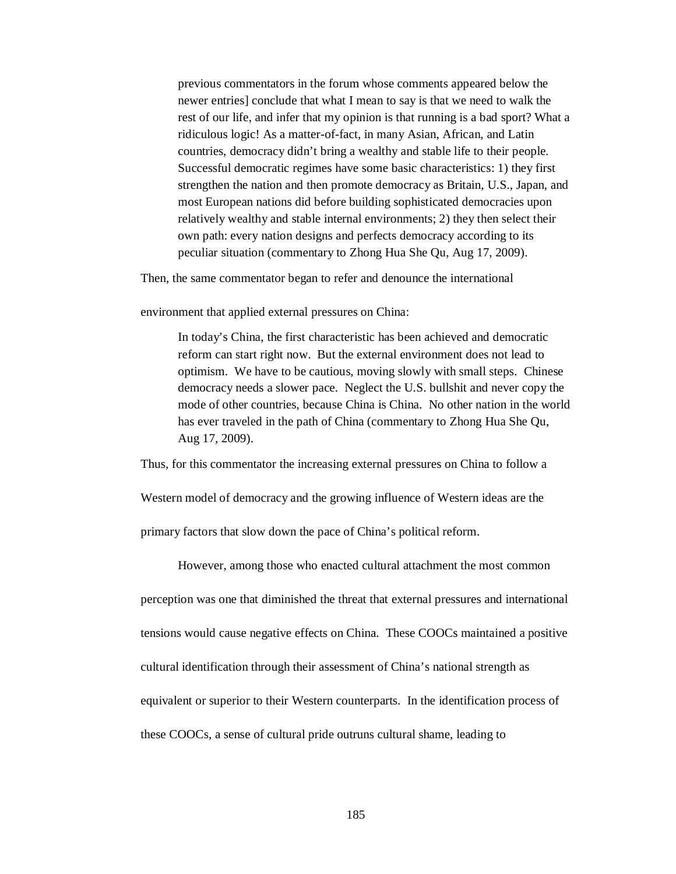previous commentators in the forum whose comments appeared below the newer entries] conclude that what I mean to say is that we need to walk the rest of our life, and infer that my opinion is that running is a bad sport? What a ridiculous logic! As a matter-of-fact, in many Asian, African, and Latin countries, democracy didn't bring a wealthy and stable life to their people. Successful democratic regimes have some basic characteristics: 1) they first strengthen the nation and then promote democracy as Britain, U.S., Japan, and most European nations did before building sophisticated democracies upon relatively wealthy and stable internal environments; 2) they then select their own path: every nation designs and perfects democracy according to its peculiar situation (commentary to Zhong Hua She Qu, Aug 17, 2009).

Then, the same commentator began to refer and denounce the international

environment that applied external pressures on China:

In today's China, the first characteristic has been achieved and democratic reform can start right now. But the external environment does not lead to optimism. We have to be cautious, moving slowly with small steps. Chinese democracy needs a slower pace. Neglect the U.S. bullshit and never copy the mode of other countries, because China is China. No other nation in the world has ever traveled in the path of China (commentary to Zhong Hua She Qu, Aug 17, 2009).

Thus, for this commentator the increasing external pressures on China to follow a

Western model of democracy and the growing influence of Western ideas are the

primary factors that slow down the pace of China's political reform.

However, among those who enacted cultural attachment the most common

perception was one that diminished the threat that external pressures and international tensions would cause negative effects on China. These COOCs maintained a positive cultural identification through their assessment of China's national strength as equivalent or superior to their Western counterparts. In the identification process of these COOCs, a sense of cultural pride outruns cultural shame, leading to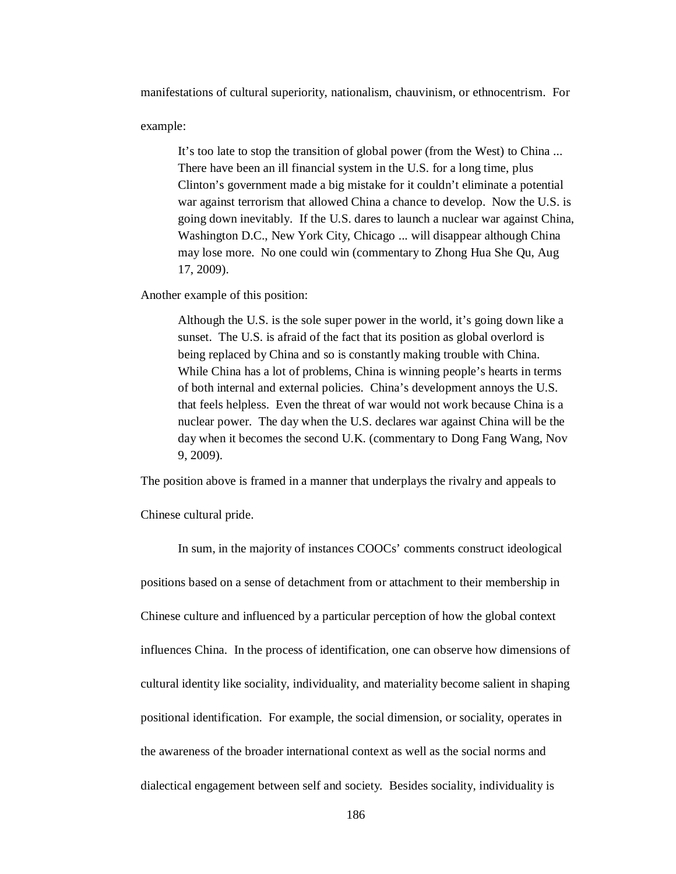manifestations of cultural superiority, nationalism, chauvinism, or ethnocentrism. For

example:

It's too late to stop the transition of global power (from the West) to China ... There have been an ill financial system in the U.S. for a long time, plus Clinton's government made a big mistake for it couldn't eliminate a potential war against terrorism that allowed China a chance to develop. Now the U.S. is going down inevitably. If the U.S. dares to launch a nuclear war against China, Washington D.C., New York City, Chicago ... will disappear although China may lose more. No one could win (commentary to Zhong Hua She Qu, Aug 17, 2009).

Another example of this position:

Although the U.S. is the sole super power in the world, it's going down like a sunset. The U.S. is afraid of the fact that its position as global overlord is being replaced by China and so is constantly making trouble with China. While China has a lot of problems, China is winning people's hearts in terms of both internal and external policies. China's development annoys the U.S. that feels helpless. Even the threat of war would not work because China is a nuclear power. The day when the U.S. declares war against China will be the day when it becomes the second U.K. (commentary to Dong Fang Wang, Nov 9, 2009).

The position above is framed in a manner that underplays the rivalry and appeals to

Chinese cultural pride.

In sum, in the majority of instances COOCs' comments construct ideological positions based on a sense of detachment from or attachment to their membership in Chinese culture and influenced by a particular perception of how the global context influences China. In the process of identification, one can observe how dimensions of cultural identity like sociality, individuality, and materiality become salient in shaping positional identification. For example, the social dimension, or sociality, operates in the awareness of the broader international context as well as the social norms and dialectical engagement between self and society. Besides sociality, individuality is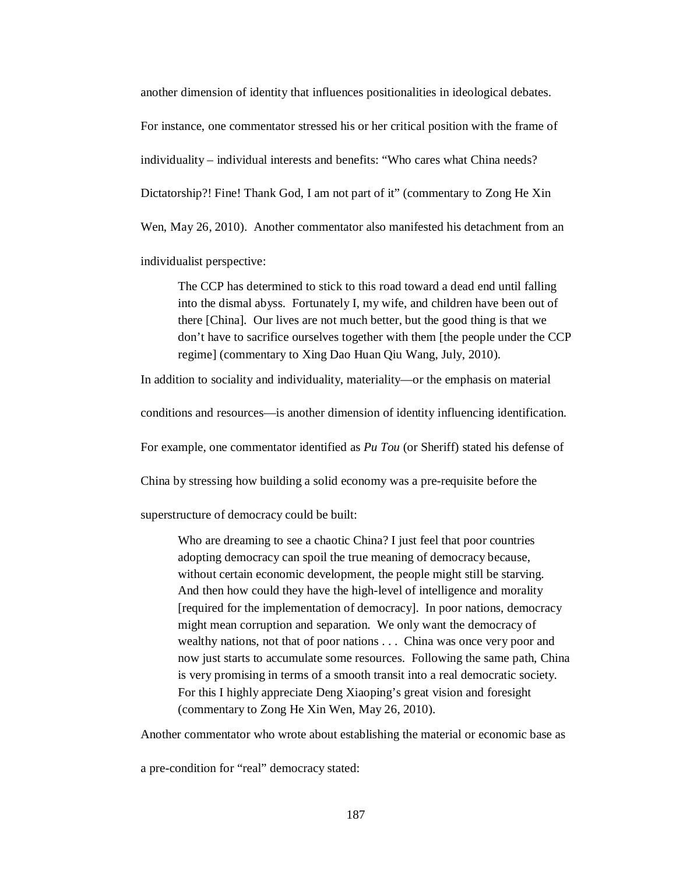another dimension of identity that influences positionalities in ideological debates.

For instance, one commentator stressed his or her critical position with the frame of

individuality – individual interests and benefits: "Who cares what China needs?

Dictatorship?! Fine! Thank God, I am not part of it" (commentary to Zong He Xin

Wen, May 26, 2010). Another commentator also manifested his detachment from an

individualist perspective:

The CCP has determined to stick to this road toward a dead end until falling into the dismal abyss. Fortunately I, my wife, and children have been out of there [China]. Our lives are not much better, but the good thing is that we don't have to sacrifice ourselves together with them [the people under the CCP regime] (commentary to Xing Dao Huan Qiu Wang, July, 2010).

In addition to sociality and individuality, materiality—or the emphasis on material

conditions and resources—is another dimension of identity influencing identification.

For example, one commentator identified as *Pu Tou* (or Sheriff) stated his defense of

China by stressing how building a solid economy was a pre-requisite before the

superstructure of democracy could be built:

Who are dreaming to see a chaotic China? I just feel that poor countries adopting democracy can spoil the true meaning of democracy because, without certain economic development, the people might still be starving. And then how could they have the high-level of intelligence and morality [required for the implementation of democracy]. In poor nations, democracy might mean corruption and separation. We only want the democracy of wealthy nations, not that of poor nations . . . China was once very poor and now just starts to accumulate some resources. Following the same path, China is very promising in terms of a smooth transit into a real democratic society. For this I highly appreciate Deng Xiaoping's great vision and foresight (commentary to Zong He Xin Wen, May 26, 2010).

Another commentator who wrote about establishing the material or economic base as

a pre-condition for "real" democracy stated: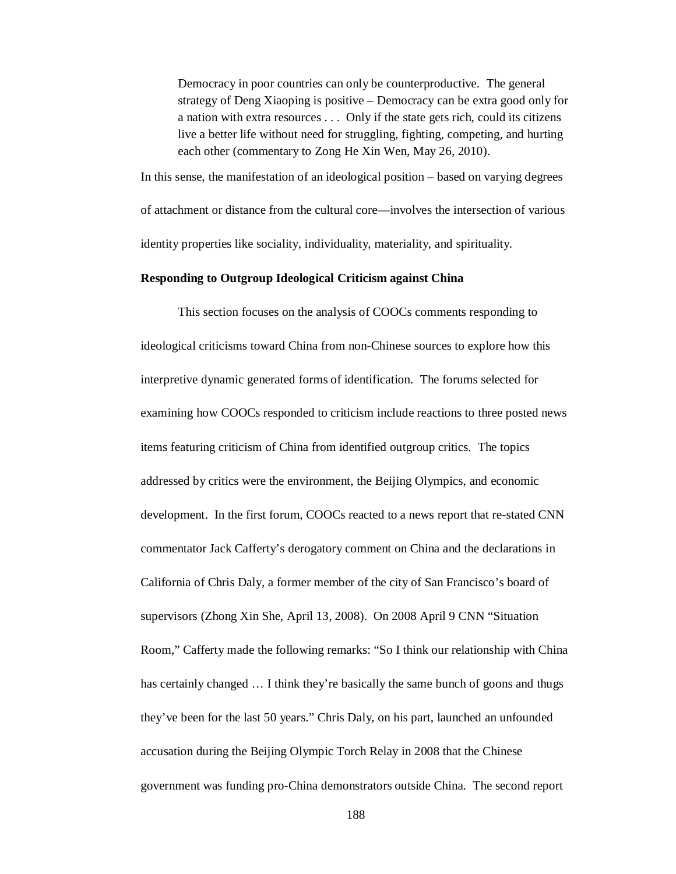Democracy in poor countries can only be counterproductive. The general strategy of Deng Xiaoping is positive – Democracy can be extra good only for a nation with extra resources . . . Only if the state gets rich, could its citizens live a better life without need for struggling, fighting, competing, and hurting each other (commentary to Zong He Xin Wen, May 26, 2010).

In this sense, the manifestation of an ideological position – based on varying degrees of attachment or distance from the cultural core—involves the intersection of various identity properties like sociality, individuality, materiality, and spirituality.

### **Responding to Outgroup Ideological Criticism against China**

This section focuses on the analysis of COOCs comments responding to ideological criticisms toward China from non-Chinese sources to explore how this interpretive dynamic generated forms of identification. The forums selected for examining how COOCs responded to criticism include reactions to three posted news items featuring criticism of China from identified outgroup critics. The topics addressed by critics were the environment, the Beijing Olympics, and economic development. In the first forum, COOCs reacted to a news report that re-stated CNN commentator Jack Cafferty's derogatory comment on China and the declarations in California of Chris Daly, a former member of the city of San Francisco's board of supervisors (Zhong Xin She, April 13, 2008). On 2008 April 9 CNN "Situation Room," Cafferty made the following remarks: "So I think our relationship with China has certainly changed  $\dots$  I think they're basically the same bunch of goons and thugs they've been for the last 50 years." Chris Daly, on his part, launched an unfounded accusation during the Beijing Olympic Torch Relay in 2008 that the Chinese government was funding pro-China demonstrators outside China. The second report

188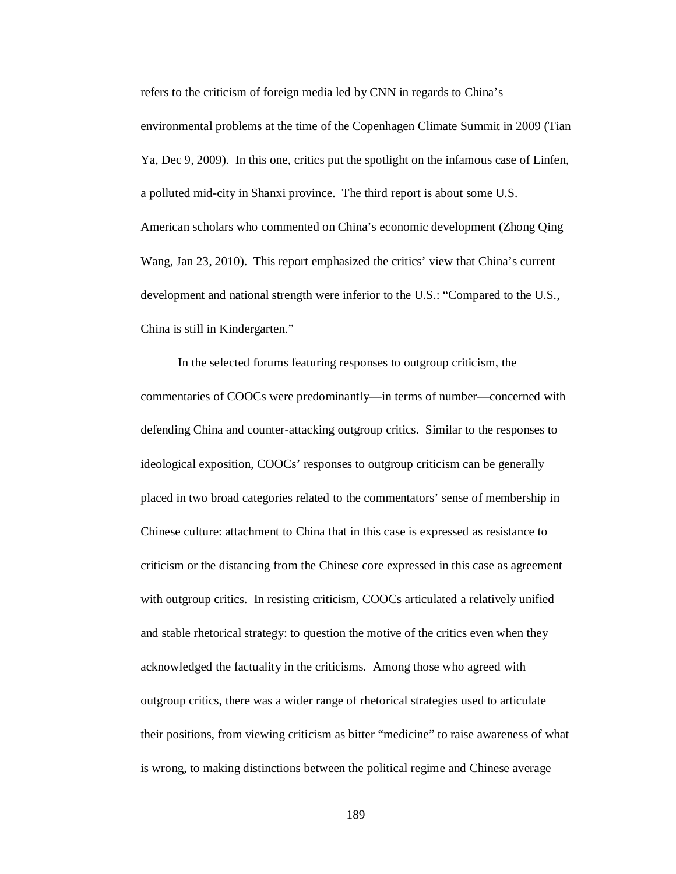refers to the criticism of foreign media led by CNN in regards to China's environmental problems at the time of the Copenhagen Climate Summit in 2009 (Tian Ya, Dec 9, 2009). In this one, critics put the spotlight on the infamous case of Linfen, a polluted mid-city in Shanxi province. The third report is about some U.S. American scholars who commented on China's economic development (Zhong Qing Wang, Jan 23, 2010). This report emphasized the critics' view that China's current development and national strength were inferior to the U.S.: "Compared to the U.S., China is still in Kindergarten."

In the selected forums featuring responses to outgroup criticism, the commentaries of COOCs were predominantly—in terms of number—concerned with defending China and counter-attacking outgroup critics. Similar to the responses to ideological exposition, COOCs' responses to outgroup criticism can be generally placed in two broad categories related to the commentators' sense of membership in Chinese culture: attachment to China that in this case is expressed as resistance to criticism or the distancing from the Chinese core expressed in this case as agreement with outgroup critics. In resisting criticism, COOCs articulated a relatively unified and stable rhetorical strategy: to question the motive of the critics even when they acknowledged the factuality in the criticisms. Among those who agreed with outgroup critics, there was a wider range of rhetorical strategies used to articulate their positions, from viewing criticism as bitter "medicine" to raise awareness of what is wrong, to making distinctions between the political regime and Chinese average

189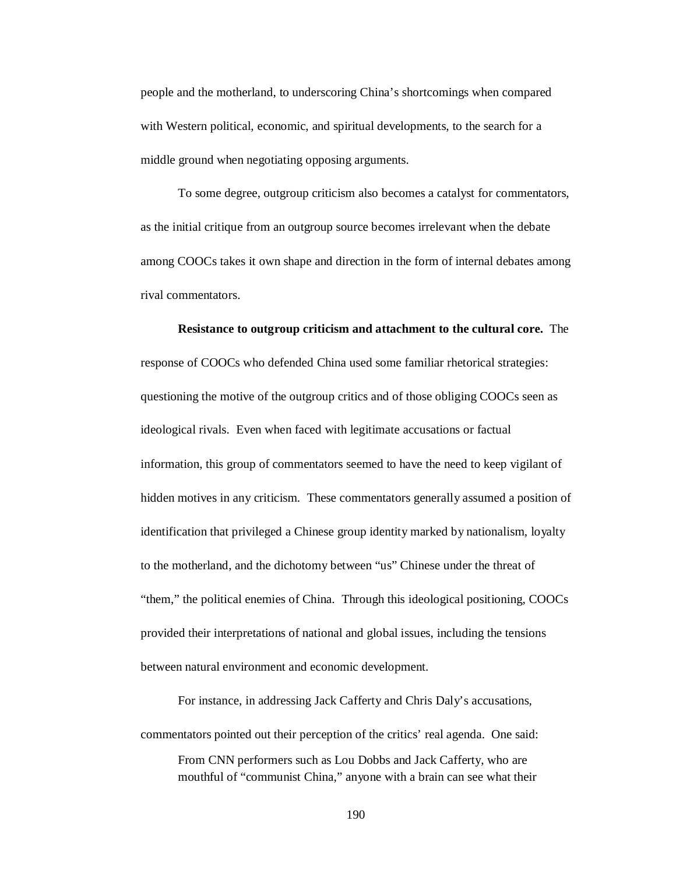people and the motherland, to underscoring China's shortcomings when compared with Western political, economic, and spiritual developments, to the search for a middle ground when negotiating opposing arguments.

To some degree, outgroup criticism also becomes a catalyst for commentators, as the initial critique from an outgroup source becomes irrelevant when the debate among COOCs takes it own shape and direction in the form of internal debates among rival commentators.

**Resistance to outgroup criticism and attachment to the cultural core.** The response of COOCs who defended China used some familiar rhetorical strategies: questioning the motive of the outgroup critics and of those obliging COOCs seen as ideological rivals. Even when faced with legitimate accusations or factual information, this group of commentators seemed to have the need to keep vigilant of hidden motives in any criticism. These commentators generally assumed a position of identification that privileged a Chinese group identity marked by nationalism, loyalty to the motherland, and the dichotomy between "us" Chinese under the threat of "them," the political enemies of China. Through this ideological positioning, COOCs provided their interpretations of national and global issues, including the tensions between natural environment and economic development.

For instance, in addressing Jack Cafferty and Chris Daly's accusations, commentators pointed out their perception of the critics' real agenda. One said:

From CNN performers such as Lou Dobbs and Jack Cafferty, who are mouthful of "communist China," anyone with a brain can see what their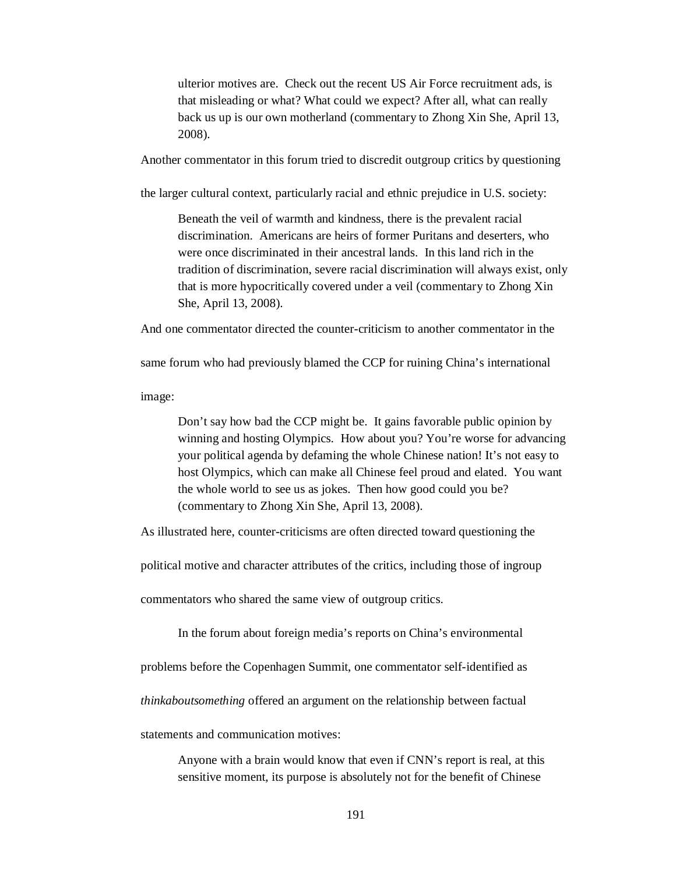ulterior motives are. Check out the recent US Air Force recruitment ads, is that misleading or what? What could we expect? After all, what can really back us up is our own motherland (commentary to Zhong Xin She, April 13, 2008).

Another commentator in this forum tried to discredit outgroup critics by questioning

the larger cultural context, particularly racial and ethnic prejudice in U.S. society:

Beneath the veil of warmth and kindness, there is the prevalent racial discrimination. Americans are heirs of former Puritans and deserters, who were once discriminated in their ancestral lands. In this land rich in the tradition of discrimination, severe racial discrimination will always exist, only that is more hypocritically covered under a veil (commentary to Zhong Xin She, April 13, 2008).

And one commentator directed the counter-criticism to another commentator in the

same forum who had previously blamed the CCP for ruining China's international

image:

Don't say how bad the CCP might be. It gains favorable public opinion by winning and hosting Olympics. How about you? You're worse for advancing your political agenda by defaming the whole Chinese nation! It's not easy to host Olympics, which can make all Chinese feel proud and elated. You want the whole world to see us as jokes. Then how good could you be? (commentary to Zhong Xin She, April 13, 2008).

As illustrated here, counter-criticisms are often directed toward questioning the

political motive and character attributes of the critics, including those of ingroup

commentators who shared the same view of outgroup critics.

In the forum about foreign media's reports on China's environmental

problems before the Copenhagen Summit, one commentator self-identified as

*thinkaboutsomething* offered an argument on the relationship between factual

statements and communication motives:

Anyone with a brain would know that even if CNN's report is real, at this sensitive moment, its purpose is absolutely not for the benefit of Chinese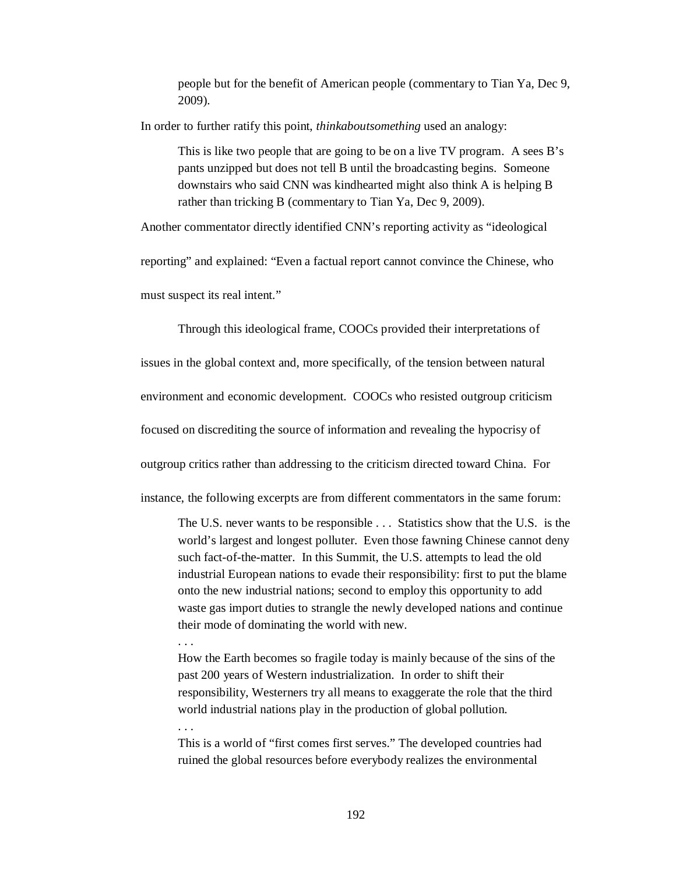people but for the benefit of American people (commentary to Tian Ya, Dec 9, 2009).

In order to further ratify this point, *thinkaboutsomething* used an analogy:

This is like two people that are going to be on a live TV program. A sees B's pants unzipped but does not tell B until the broadcasting begins. Someone downstairs who said CNN was kindhearted might also think A is helping B rather than tricking B (commentary to Tian Ya, Dec 9, 2009).

Another commentator directly identified CNN's reporting activity as "ideological

reporting" and explained: "Even a factual report cannot convince the Chinese, who

must suspect its real intent."

. . .

. . .

Through this ideological frame, COOCs provided their interpretations of

issues in the global context and, more specifically, of the tension between natural

environment and economic development. COOCs who resisted outgroup criticism

focused on discrediting the source of information and revealing the hypocrisy of

outgroup critics rather than addressing to the criticism directed toward China. For

instance, the following excerpts are from different commentators in the same forum:

The U.S. never wants to be responsible . . . Statistics show that the U.S. is the world's largest and longest polluter. Even those fawning Chinese cannot deny such fact-of-the-matter. In this Summit, the U.S. attempts to lead the old industrial European nations to evade their responsibility: first to put the blame onto the new industrial nations; second to employ this opportunity to add waste gas import duties to strangle the newly developed nations and continue their mode of dominating the world with new.

How the Earth becomes so fragile today is mainly because of the sins of the past 200 years of Western industrialization. In order to shift their responsibility, Westerners try all means to exaggerate the role that the third world industrial nations play in the production of global pollution.

This is a world of "first comes first serves." The developed countries had ruined the global resources before everybody realizes the environmental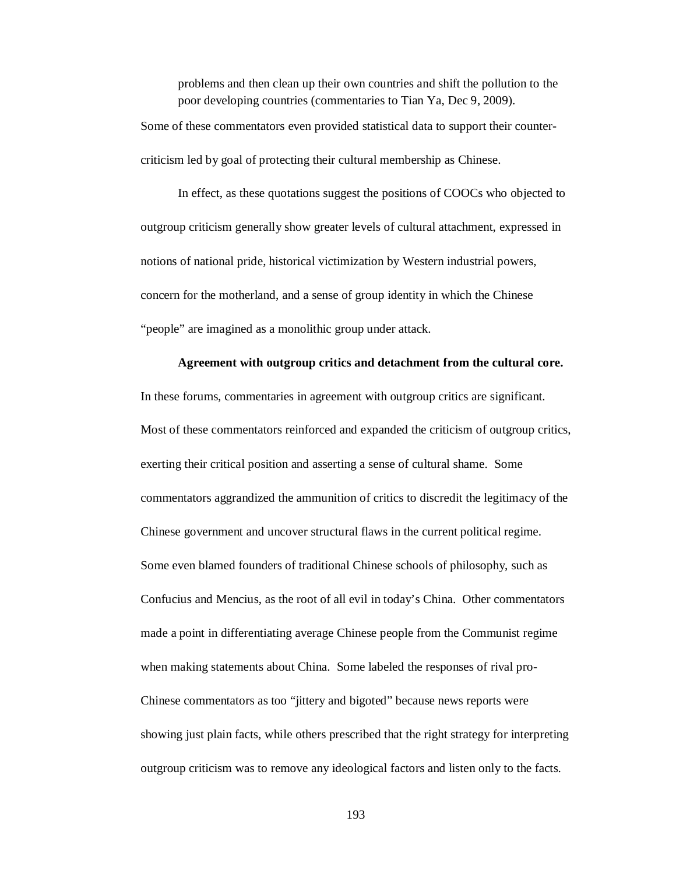problems and then clean up their own countries and shift the pollution to the poor developing countries (commentaries to Tian Ya, Dec 9, 2009). Some of these commentators even provided statistical data to support their counter-

criticism led by goal of protecting their cultural membership as Chinese.

In effect, as these quotations suggest the positions of COOCs who objected to outgroup criticism generally show greater levels of cultural attachment, expressed in notions of national pride, historical victimization by Western industrial powers, concern for the motherland, and a sense of group identity in which the Chinese "people" are imagined as a monolithic group under attack.

## **Agreement with outgroup critics and detachment from the cultural core.**

In these forums, commentaries in agreement with outgroup critics are significant. Most of these commentators reinforced and expanded the criticism of outgroup critics, exerting their critical position and asserting a sense of cultural shame. Some commentators aggrandized the ammunition of critics to discredit the legitimacy of the Chinese government and uncover structural flaws in the current political regime. Some even blamed founders of traditional Chinese schools of philosophy, such as Confucius and Mencius, as the root of all evil in today's China. Other commentators made a point in differentiating average Chinese people from the Communist regime when making statements about China. Some labeled the responses of rival pro-Chinese commentators as too "jittery and bigoted" because news reports were showing just plain facts, while others prescribed that the right strategy for interpreting outgroup criticism was to remove any ideological factors and listen only to the facts.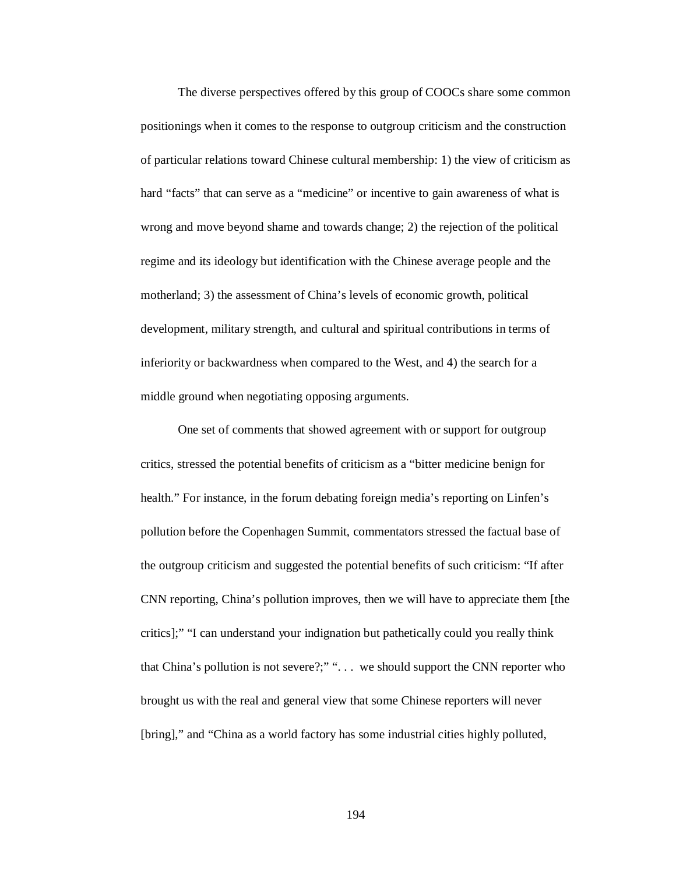The diverse perspectives offered by this group of COOCs share some common positionings when it comes to the response to outgroup criticism and the construction of particular relations toward Chinese cultural membership: 1) the view of criticism as hard "facts" that can serve as a "medicine" or incentive to gain awareness of what is wrong and move beyond shame and towards change; 2) the rejection of the political regime and its ideology but identification with the Chinese average people and the motherland; 3) the assessment of China's levels of economic growth, political development, military strength, and cultural and spiritual contributions in terms of inferiority or backwardness when compared to the West, and 4) the search for a middle ground when negotiating opposing arguments.

One set of comments that showed agreement with or support for outgroup critics, stressed the potential benefits of criticism as a "bitter medicine benign for health." For instance, in the forum debating foreign media's reporting on Linfen's pollution before the Copenhagen Summit, commentators stressed the factual base of the outgroup criticism and suggested the potential benefits of such criticism: "If after CNN reporting, China's pollution improves, then we will have to appreciate them [the critics];" "I can understand your indignation but pathetically could you really think that China's pollution is not severe?;" ". . . we should support the CNN reporter who brought us with the real and general view that some Chinese reporters will never [bring]," and "China as a world factory has some industrial cities highly polluted,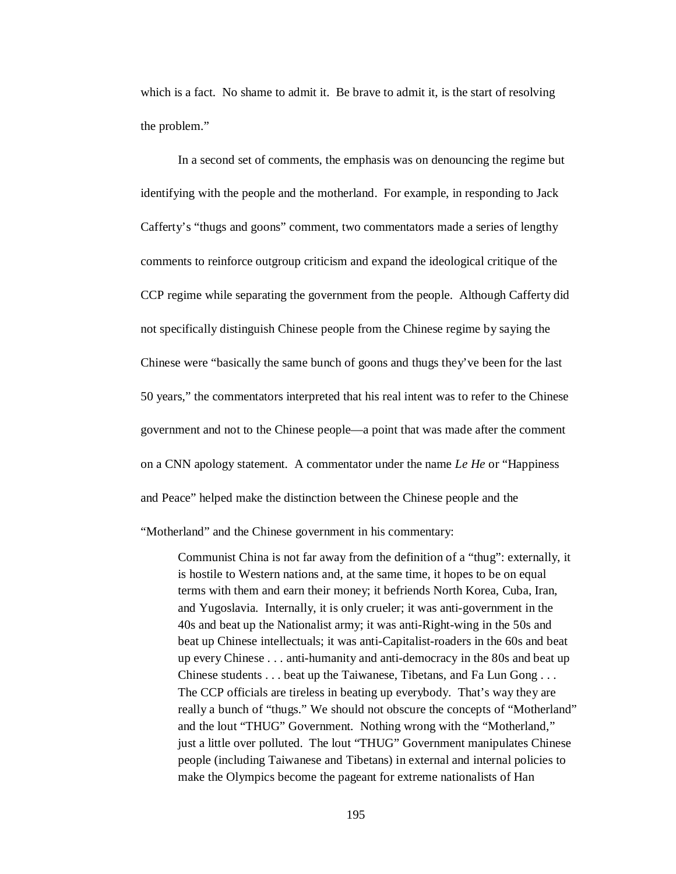which is a fact. No shame to admit it. Be brave to admit it, is the start of resolving the problem."

In a second set of comments, the emphasis was on denouncing the regime but identifying with the people and the motherland. For example, in responding to Jack Cafferty's "thugs and goons" comment, two commentators made a series of lengthy comments to reinforce outgroup criticism and expand the ideological critique of the CCP regime while separating the government from the people. Although Cafferty did not specifically distinguish Chinese people from the Chinese regime by saying the Chinese were "basically the same bunch of goons and thugs they've been for the last 50 years," the commentators interpreted that his real intent was to refer to the Chinese government and not to the Chinese people—a point that was made after the comment on a CNN apology statement. A commentator under the name *Le He* or "Happiness and Peace" helped make the distinction between the Chinese people and the

"Motherland" and the Chinese government in his commentary:

Communist China is not far away from the definition of a "thug": externally, it is hostile to Western nations and, at the same time, it hopes to be on equal terms with them and earn their money; it befriends North Korea, Cuba, Iran, and Yugoslavia. Internally, it is only crueler; it was anti-government in the 40s and beat up the Nationalist army; it was anti-Right-wing in the 50s and beat up Chinese intellectuals; it was anti-Capitalist-roaders in the 60s and beat up every Chinese . . . anti-humanity and anti-democracy in the 80s and beat up Chinese students . . . beat up the Taiwanese, Tibetans, and Fa Lun Gong . . . The CCP officials are tireless in beating up everybody. That's way they are really a bunch of "thugs." We should not obscure the concepts of "Motherland" and the lout "THUG" Government. Nothing wrong with the "Motherland," just a little over polluted. The lout "THUG" Government manipulates Chinese people (including Taiwanese and Tibetans) in external and internal policies to make the Olympics become the pageant for extreme nationalists of Han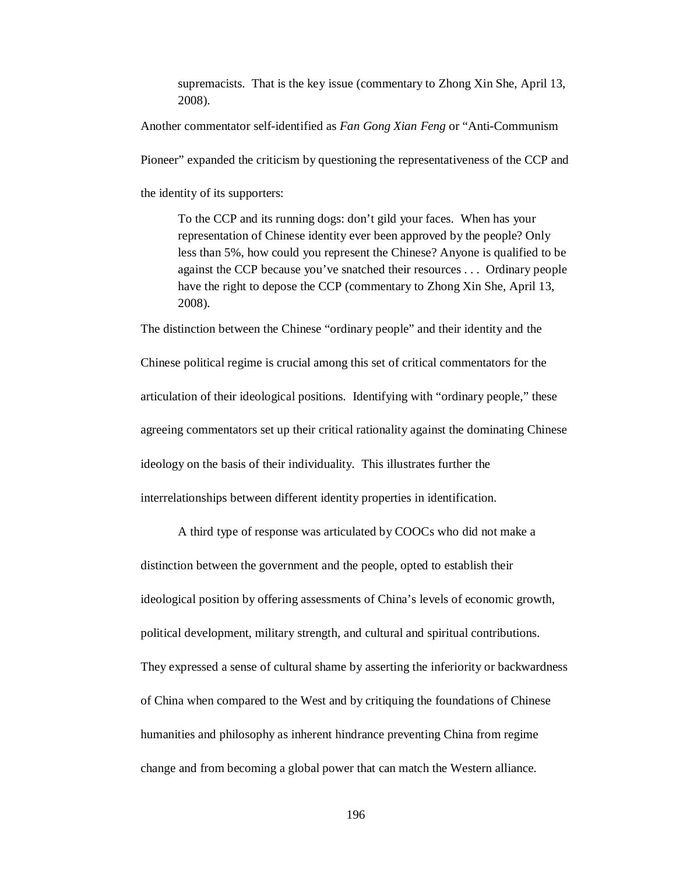supremacists. That is the key issue (commentary to Zhong Xin She, April 13, 2008).

Another commentator self-identified as *Fan Gong Xian Feng* or "Anti-Communism

Pioneer" expanded the criticism by questioning the representativeness of the CCP and

the identity of its supporters:

To the CCP and its running dogs: don't gild your faces. When has your representation of Chinese identity ever been approved by the people? Only less than 5%, how could you represent the Chinese? Anyone is qualified to be against the CCP because you've snatched their resources . . . Ordinary people have the right to depose the CCP (commentary to Zhong Xin She, April 13, 2008).

Chinese political regime is crucial among this set of critical commentators for the articulation of their ideological positions. Identifying with "ordinary people," these agreeing commentators set up their critical rationality against the dominating Chinese ideology on the basis of their individuality. This illustrates further the interrelationships between different identity properties in identification.

The distinction between the Chinese "ordinary people" and their identity and the

A third type of response was articulated by COOCs who did not make a distinction between the government and the people, opted to establish their ideological position by offering assessments of China's levels of economic growth, political development, military strength, and cultural and spiritual contributions. They expressed a sense of cultural shame by asserting the inferiority or backwardness of China when compared to the West and by critiquing the foundations of Chinese humanities and philosophy as inherent hindrance preventing China from regime change and from becoming a global power that can match the Western alliance.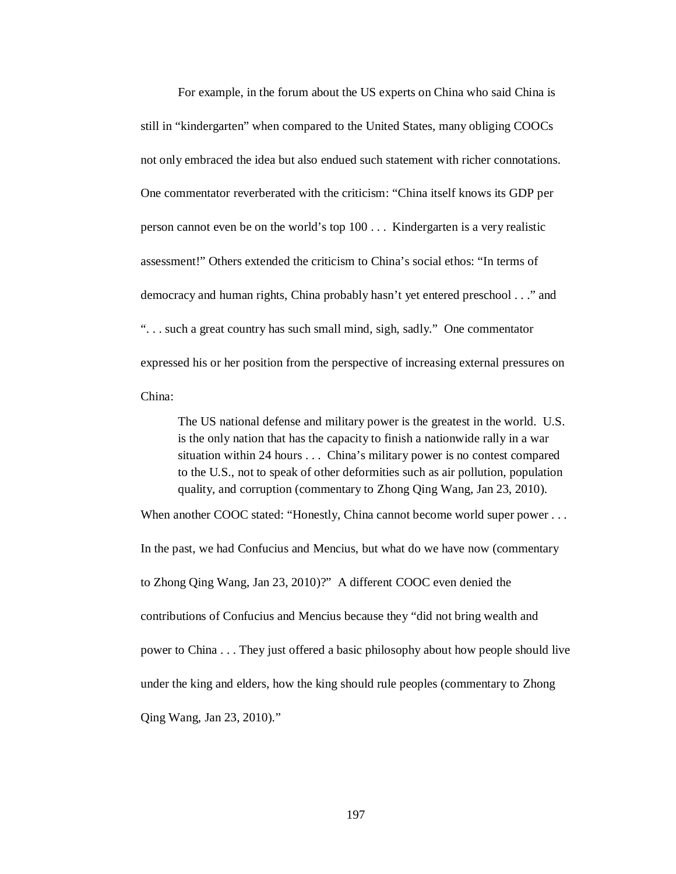For example, in the forum about the US experts on China who said China is still in "kindergarten" when compared to the United States, many obliging COOCs not only embraced the idea but also endued such statement with richer connotations. One commentator reverberated with the criticism: "China itself knows its GDP per person cannot even be on the world's top 100 . . . Kindergarten is a very realistic assessment!" Others extended the criticism to China's social ethos: "In terms of democracy and human rights, China probably hasn't yet entered preschool . . ." and ". . . such a great country has such small mind, sigh, sadly." One commentator expressed his or her position from the perspective of increasing external pressures on China:

The US national defense and military power is the greatest in the world. U.S. is the only nation that has the capacity to finish a nationwide rally in a war situation within 24 hours . . . China's military power is no contest compared to the U.S., not to speak of other deformities such as air pollution, population quality, and corruption (commentary to Zhong Qing Wang, Jan 23, 2010).

When another COOC stated: "Honestly, China cannot become world super power . . .

In the past, we had Confucius and Mencius, but what do we have now (commentary to Zhong Qing Wang, Jan 23, 2010)?" A different COOC even denied the contributions of Confucius and Mencius because they "did not bring wealth and power to China . . . They just offered a basic philosophy about how people should live under the king and elders, how the king should rule peoples (commentary to Zhong Qing Wang, Jan 23, 2010)."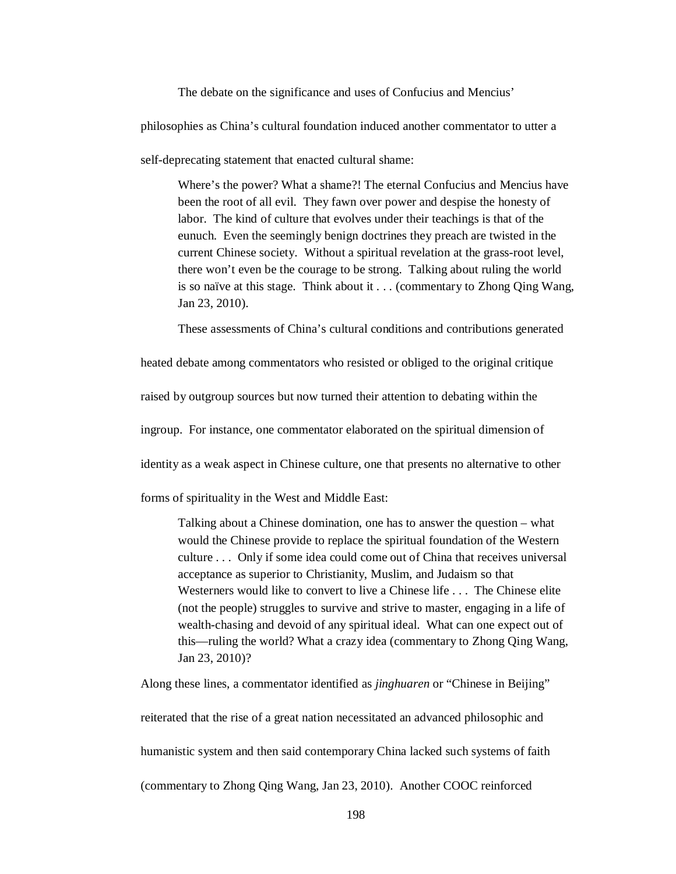The debate on the significance and uses of Confucius and Mencius'

philosophies as China's cultural foundation induced another commentator to utter a

self-deprecating statement that enacted cultural shame:

Where's the power? What a shame?! The eternal Confucius and Mencius have been the root of all evil. They fawn over power and despise the honesty of labor. The kind of culture that evolves under their teachings is that of the eunuch. Even the seemingly benign doctrines they preach are twisted in the current Chinese society. Without a spiritual revelation at the grass-root level, there won't even be the courage to be strong. Talking about ruling the world is so naïve at this stage. Think about it . . . (commentary to Zhong Qing Wang, Jan 23, 2010).

These assessments of China's cultural conditions and contributions generated

heated debate among commentators who resisted or obliged to the original critique

raised by outgroup sources but now turned their attention to debating within the

ingroup. For instance, one commentator elaborated on the spiritual dimension of

identity as a weak aspect in Chinese culture, one that presents no alternative to other

forms of spirituality in the West and Middle East:

Talking about a Chinese domination, one has to answer the question – what would the Chinese provide to replace the spiritual foundation of the Western culture . . . Only if some idea could come out of China that receives universal acceptance as superior to Christianity, Muslim, and Judaism so that Westerners would like to convert to live a Chinese life . . . The Chinese elite (not the people) struggles to survive and strive to master, engaging in a life of wealth-chasing and devoid of any spiritual ideal. What can one expect out of this—ruling the world? What a crazy idea (commentary to Zhong Qing Wang, Jan 23, 2010)?

Along these lines, a commentator identified as *jinghuaren* or "Chinese in Beijing" reiterated that the rise of a great nation necessitated an advanced philosophic and humanistic system and then said contemporary China lacked such systems of faith (commentary to Zhong Qing Wang, Jan 23, 2010). Another COOC reinforced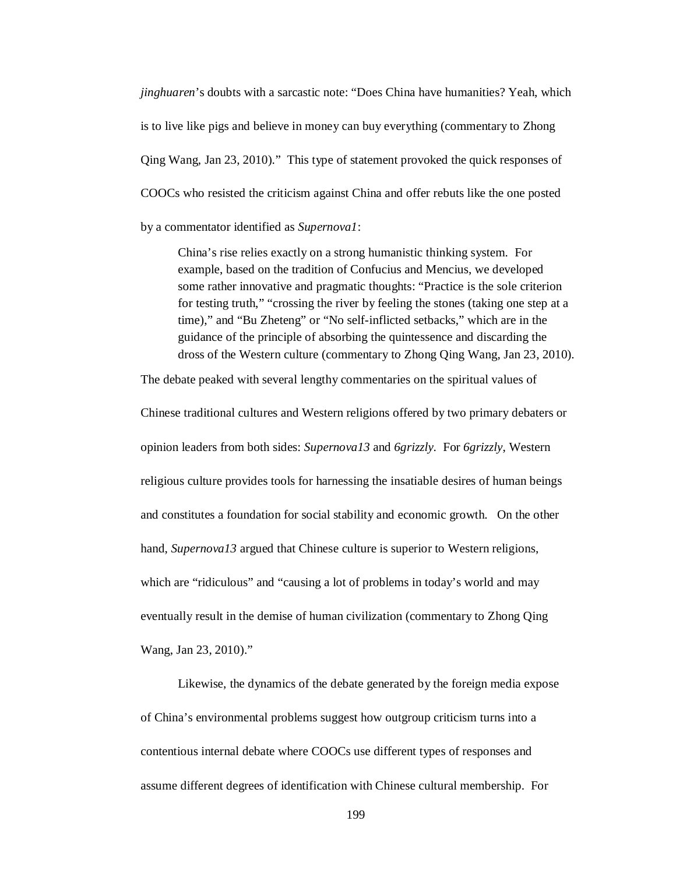*jinghuaren*'s doubts with a sarcastic note: "Does China have humanities? Yeah, which is to live like pigs and believe in money can buy everything (commentary to Zhong Qing Wang, Jan 23, 2010)." This type of statement provoked the quick responses of COOCs who resisted the criticism against China and offer rebuts like the one posted by a commentator identified as *Supernova1*:

China's rise relies exactly on a strong humanistic thinking system. For example, based on the tradition of Confucius and Mencius, we developed some rather innovative and pragmatic thoughts: "Practice is the sole criterion for testing truth," "crossing the river by feeling the stones (taking one step at a time)," and "Bu Zheteng" or "No self-inflicted setbacks," which are in the guidance of the principle of absorbing the quintessence and discarding the dross of the Western culture (commentary to Zhong Qing Wang, Jan 23, 2010).

The debate peaked with several lengthy commentaries on the spiritual values of

Chinese traditional cultures and Western religions offered by two primary debaters or opinion leaders from both sides: *Supernova13* and *6grizzly*. For *6grizzly*, Western religious culture provides tools for harnessing the insatiable desires of human beings and constitutes a foundation for social stability and economic growth. On the other hand, *Supernova13* argued that Chinese culture is superior to Western religions, which are "ridiculous" and "causing a lot of problems in today's world and may eventually result in the demise of human civilization (commentary to Zhong Qing Wang, Jan 23, 2010)."

Likewise, the dynamics of the debate generated by the foreign media expose of China's environmental problems suggest how outgroup criticism turns into a contentious internal debate where COOCs use different types of responses and assume different degrees of identification with Chinese cultural membership. For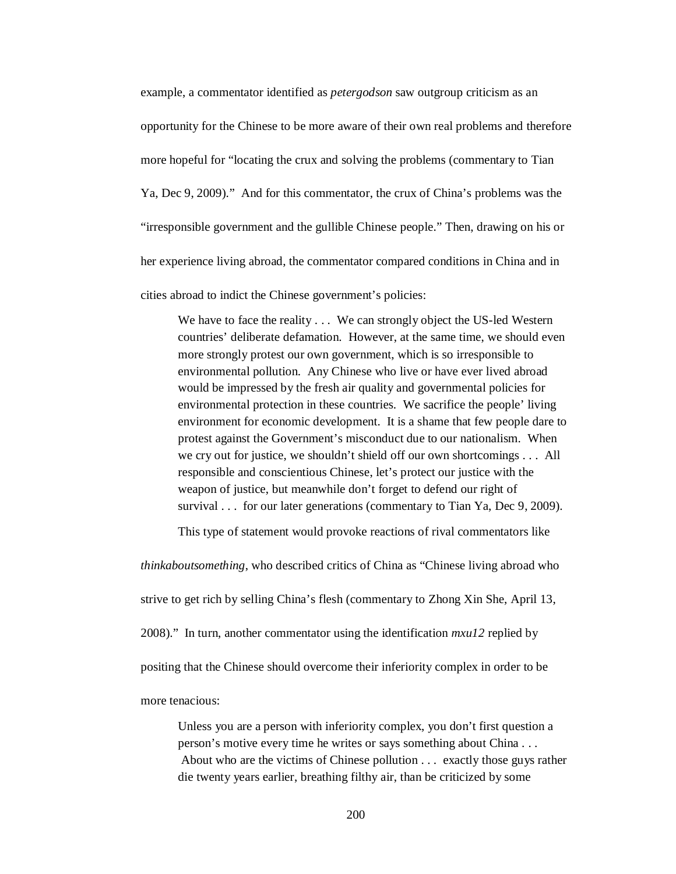example, a commentator identified as *petergodson* saw outgroup criticism as an opportunity for the Chinese to be more aware of their own real problems and therefore more hopeful for "locating the crux and solving the problems (commentary to Tian Ya, Dec 9, 2009)." And for this commentator, the crux of China's problems was the "irresponsible government and the gullible Chinese people." Then, drawing on his or her experience living abroad, the commentator compared conditions in China and in

cities abroad to indict the Chinese government's policies:

We have to face the reality . . . We can strongly object the US-led Western countries' deliberate defamation. However, at the same time, we should even more strongly protest our own government, which is so irresponsible to environmental pollution. Any Chinese who live or have ever lived abroad would be impressed by the fresh air quality and governmental policies for environmental protection in these countries. We sacrifice the people' living environment for economic development. It is a shame that few people dare to protest against the Government's misconduct due to our nationalism. When we cry out for justice, we shouldn't shield off our own shortcomings . . . All responsible and conscientious Chinese, let's protect our justice with the weapon of justice, but meanwhile don't forget to defend our right of survival . . . for our later generations (commentary to Tian Ya, Dec 9, 2009).

This type of statement would provoke reactions of rival commentators like

*thinkaboutsomething*, who described critics of China as "Chinese living abroad who strive to get rich by selling China's flesh (commentary to Zhong Xin She, April 13, 2008)." In turn, another commentator using the identification *mxu12* replied by positing that the Chinese should overcome their inferiority complex in order to be more tenacious:

Unless you are a person with inferiority complex, you don't first question a person's motive every time he writes or says something about China . . . About who are the victims of Chinese pollution . . . exactly those guys rather die twenty years earlier, breathing filthy air, than be criticized by some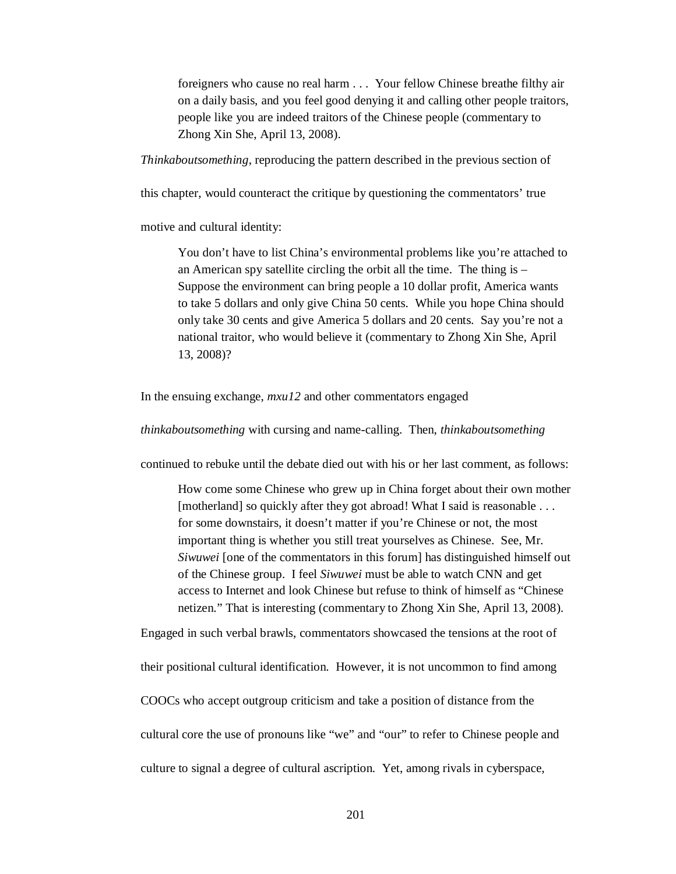foreigners who cause no real harm . . . Your fellow Chinese breathe filthy air on a daily basis, and you feel good denying it and calling other people traitors, people like you are indeed traitors of the Chinese people (commentary to Zhong Xin She, April 13, 2008).

*Thinkaboutsomething*, reproducing the pattern described in the previous section of

this chapter, would counteract the critique by questioning the commentators' true

motive and cultural identity:

You don't have to list China's environmental problems like you're attached to an American spy satellite circling the orbit all the time. The thing is – Suppose the environment can bring people a 10 dollar profit, America wants to take 5 dollars and only give China 50 cents. While you hope China should only take 30 cents and give America 5 dollars and 20 cents. Say you're not a national traitor, who would believe it (commentary to Zhong Xin She, April 13, 2008)?

In the ensuing exchange, *mxu12* and other commentators engaged

*thinkaboutsomething* with cursing and name-calling. Then, *thinkaboutsomething* 

continued to rebuke until the debate died out with his or her last comment, as follows:

How come some Chinese who grew up in China forget about their own mother [motherland] so quickly after they got abroad! What I said is reasonable . . . for some downstairs, it doesn't matter if you're Chinese or not, the most important thing is whether you still treat yourselves as Chinese. See, Mr. *Siwuwei* [one of the commentators in this forum] has distinguished himself out of the Chinese group. I feel *Siwuwei* must be able to watch CNN and get access to Internet and look Chinese but refuse to think of himself as "Chinese netizen." That is interesting (commentary to Zhong Xin She, April 13, 2008).

Engaged in such verbal brawls, commentators showcased the tensions at the root of their positional cultural identification. However, it is not uncommon to find among COOCs who accept outgroup criticism and take a position of distance from the cultural core the use of pronouns like "we" and "our" to refer to Chinese people and culture to signal a degree of cultural ascription. Yet, among rivals in cyberspace,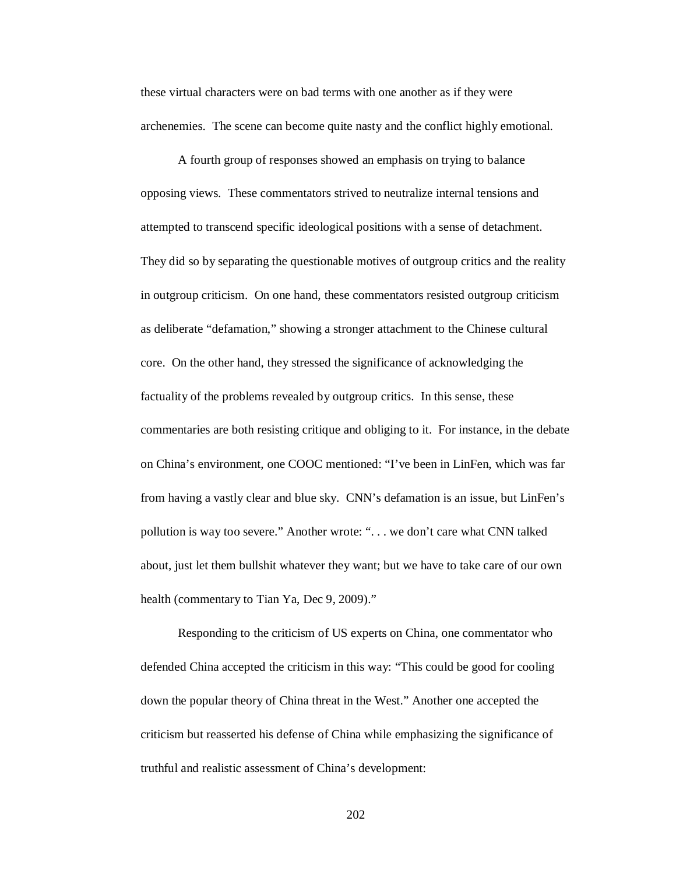these virtual characters were on bad terms with one another as if they were archenemies. The scene can become quite nasty and the conflict highly emotional.

A fourth group of responses showed an emphasis on trying to balance opposing views. These commentators strived to neutralize internal tensions and attempted to transcend specific ideological positions with a sense of detachment. They did so by separating the questionable motives of outgroup critics and the reality in outgroup criticism. On one hand, these commentators resisted outgroup criticism as deliberate "defamation," showing a stronger attachment to the Chinese cultural core. On the other hand, they stressed the significance of acknowledging the factuality of the problems revealed by outgroup critics. In this sense, these commentaries are both resisting critique and obliging to it. For instance, in the debate on China's environment, one COOC mentioned: "I've been in LinFen, which was far from having a vastly clear and blue sky. CNN's defamation is an issue, but LinFen's pollution is way too severe." Another wrote: ". . . we don't care what CNN talked about, just let them bullshit whatever they want; but we have to take care of our own health (commentary to Tian Ya, Dec 9, 2009)."

Responding to the criticism of US experts on China, one commentator who defended China accepted the criticism in this way: "This could be good for cooling down the popular theory of China threat in the West." Another one accepted the criticism but reasserted his defense of China while emphasizing the significance of truthful and realistic assessment of China's development:

202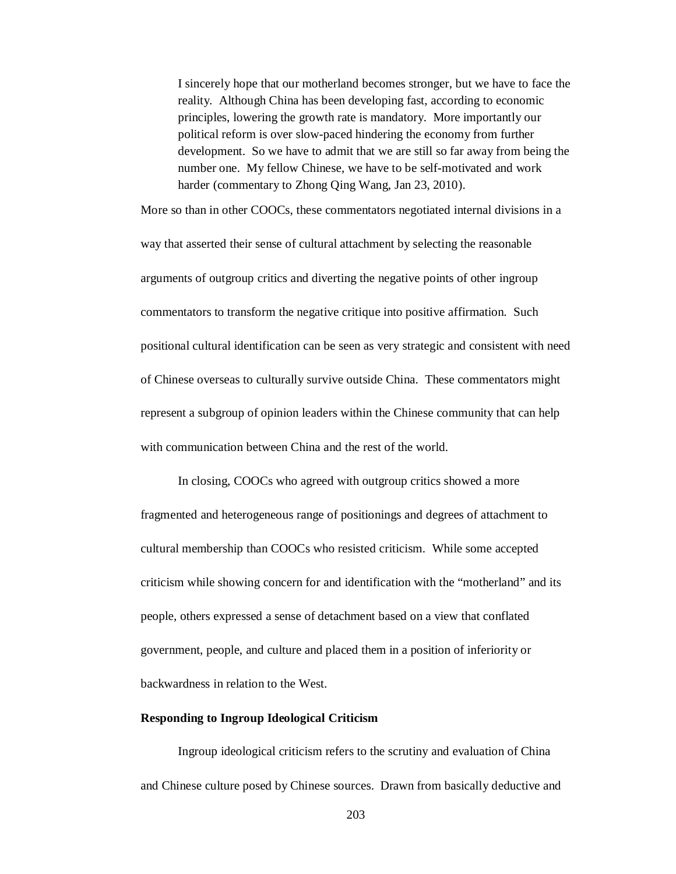I sincerely hope that our motherland becomes stronger, but we have to face the reality. Although China has been developing fast, according to economic principles, lowering the growth rate is mandatory. More importantly our political reform is over slow-paced hindering the economy from further development. So we have to admit that we are still so far away from being the number one. My fellow Chinese, we have to be self-motivated and work harder (commentary to Zhong Qing Wang, Jan 23, 2010).

More so than in other COOCs, these commentators negotiated internal divisions in a way that asserted their sense of cultural attachment by selecting the reasonable arguments of outgroup critics and diverting the negative points of other ingroup commentators to transform the negative critique into positive affirmation. Such positional cultural identification can be seen as very strategic and consistent with need of Chinese overseas to culturally survive outside China. These commentators might represent a subgroup of opinion leaders within the Chinese community that can help with communication between China and the rest of the world.

In closing, COOCs who agreed with outgroup critics showed a more fragmented and heterogeneous range of positionings and degrees of attachment to cultural membership than COOCs who resisted criticism. While some accepted criticism while showing concern for and identification with the "motherland" and its people, others expressed a sense of detachment based on a view that conflated government, people, and culture and placed them in a position of inferiority or backwardness in relation to the West.

## **Responding to Ingroup Ideological Criticism**

Ingroup ideological criticism refers to the scrutiny and evaluation of China and Chinese culture posed by Chinese sources. Drawn from basically deductive and

203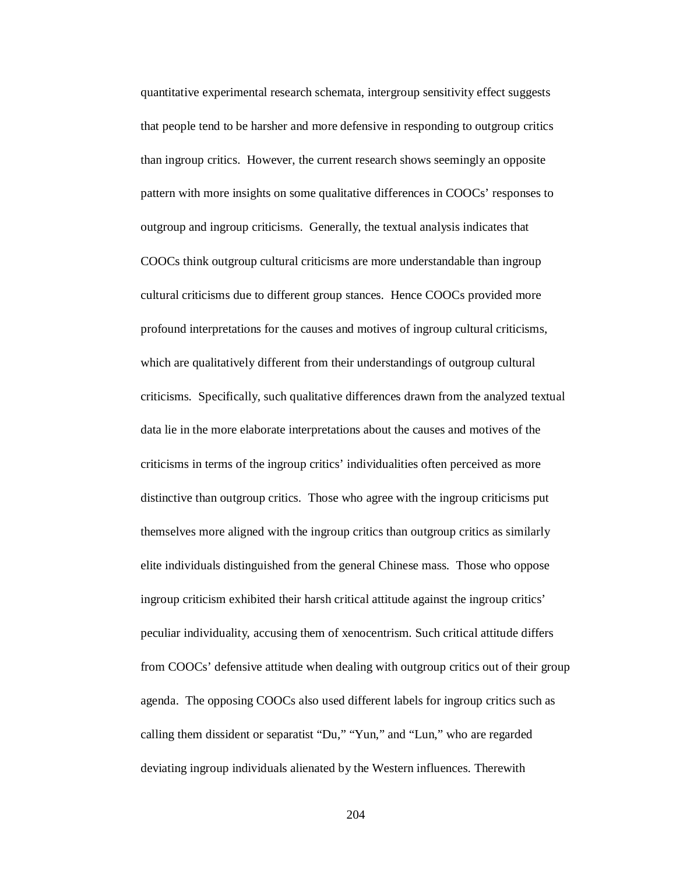quantitative experimental research schemata, intergroup sensitivity effect suggests that people tend to be harsher and more defensive in responding to outgroup critics than ingroup critics. However, the current research shows seemingly an opposite pattern with more insights on some qualitative differences in COOCs' responses to outgroup and ingroup criticisms. Generally, the textual analysis indicates that COOCs think outgroup cultural criticisms are more understandable than ingroup cultural criticisms due to different group stances. Hence COOCs provided more profound interpretations for the causes and motives of ingroup cultural criticisms, which are qualitatively different from their understandings of outgroup cultural criticisms. Specifically, such qualitative differences drawn from the analyzed textual data lie in the more elaborate interpretations about the causes and motives of the criticisms in terms of the ingroup critics' individualities often perceived as more distinctive than outgroup critics. Those who agree with the ingroup criticisms put themselves more aligned with the ingroup critics than outgroup critics as similarly elite individuals distinguished from the general Chinese mass. Those who oppose ingroup criticism exhibited their harsh critical attitude against the ingroup critics' peculiar individuality, accusing them of xenocentrism. Such critical attitude differs from COOCs' defensive attitude when dealing with outgroup critics out of their group agenda. The opposing COOCs also used different labels for ingroup critics such as calling them dissident or separatist "Du," "Yun," and "Lun," who are regarded deviating ingroup individuals alienated by the Western influences. Therewith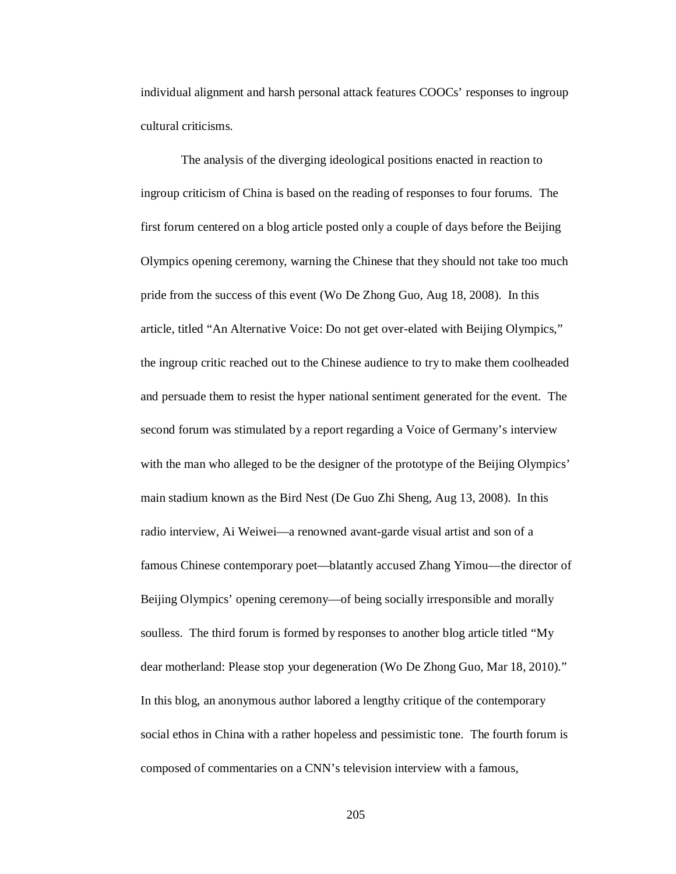individual alignment and harsh personal attack features COOCs' responses to ingroup cultural criticisms.

The analysis of the diverging ideological positions enacted in reaction to ingroup criticism of China is based on the reading of responses to four forums. The first forum centered on a blog article posted only a couple of days before the Beijing Olympics opening ceremony, warning the Chinese that they should not take too much pride from the success of this event (Wo De Zhong Guo, Aug 18, 2008). In this article, titled "An Alternative Voice: Do not get over-elated with Beijing Olympics," the ingroup critic reached out to the Chinese audience to try to make them coolheaded and persuade them to resist the hyper national sentiment generated for the event. The second forum was stimulated by a report regarding a Voice of Germany's interview with the man who alleged to be the designer of the prototype of the Beijing Olympics' main stadium known as the Bird Nest (De Guo Zhi Sheng, Aug 13, 2008). In this radio interview, Ai Weiwei—a renowned avant-garde visual artist and son of a famous Chinese contemporary poet—blatantly accused Zhang Yimou—the director of Beijing Olympics' opening ceremony—of being socially irresponsible and morally soulless. The third forum is formed by responses to another blog article titled "My dear motherland: Please stop your degeneration (Wo De Zhong Guo, Mar 18, 2010)." In this blog, an anonymous author labored a lengthy critique of the contemporary social ethos in China with a rather hopeless and pessimistic tone. The fourth forum is composed of commentaries on a CNN's television interview with a famous,

205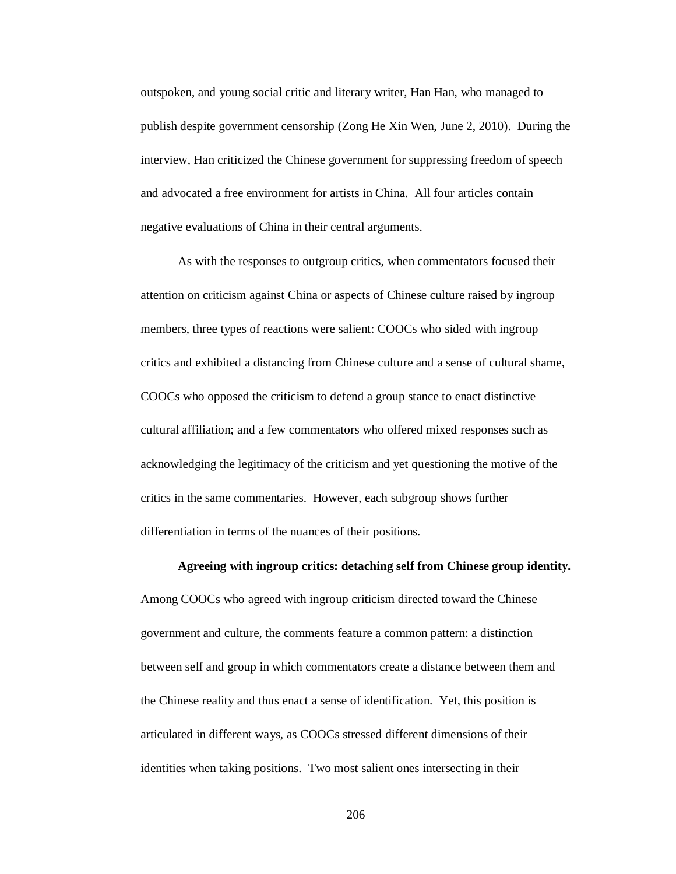outspoken, and young social critic and literary writer, Han Han, who managed to publish despite government censorship (Zong He Xin Wen, June 2, 2010). During the interview, Han criticized the Chinese government for suppressing freedom of speech and advocated a free environment for artists in China. All four articles contain negative evaluations of China in their central arguments.

As with the responses to outgroup critics, when commentators focused their attention on criticism against China or aspects of Chinese culture raised by ingroup members, three types of reactions were salient: COOCs who sided with ingroup critics and exhibited a distancing from Chinese culture and a sense of cultural shame, COOCs who opposed the criticism to defend a group stance to enact distinctive cultural affiliation; and a few commentators who offered mixed responses such as acknowledging the legitimacy of the criticism and yet questioning the motive of the critics in the same commentaries. However, each subgroup shows further differentiation in terms of the nuances of their positions.

## **Agreeing with ingroup critics: detaching self from Chinese group identity.**

Among COOCs who agreed with ingroup criticism directed toward the Chinese government and culture, the comments feature a common pattern: a distinction between self and group in which commentators create a distance between them and the Chinese reality and thus enact a sense of identification. Yet, this position is articulated in different ways, as COOCs stressed different dimensions of their identities when taking positions. Two most salient ones intersecting in their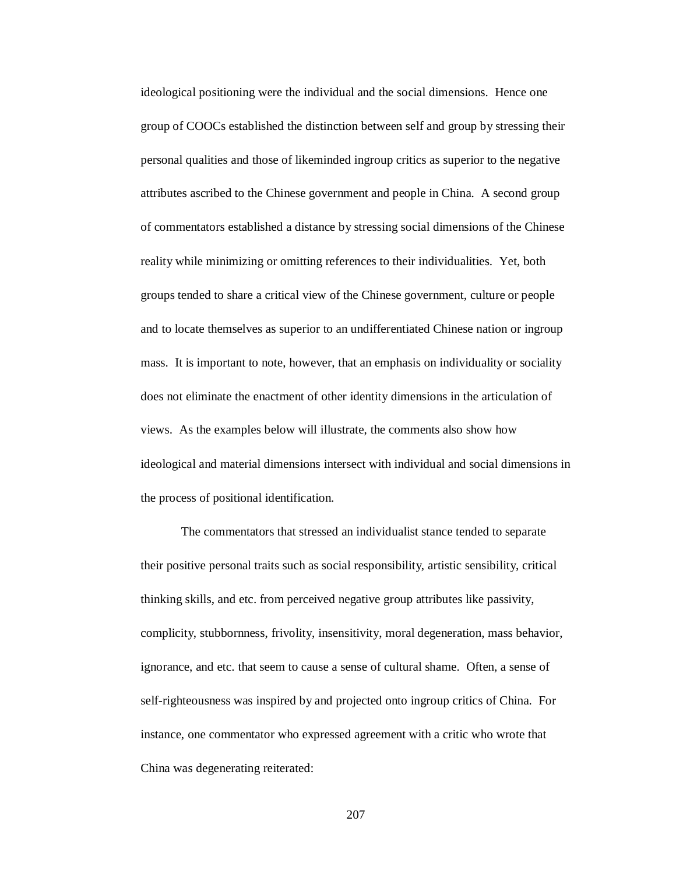ideological positioning were the individual and the social dimensions. Hence one group of COOCs established the distinction between self and group by stressing their personal qualities and those of likeminded ingroup critics as superior to the negative attributes ascribed to the Chinese government and people in China. A second group of commentators established a distance by stressing social dimensions of the Chinese reality while minimizing or omitting references to their individualities. Yet, both groups tended to share a critical view of the Chinese government, culture or people and to locate themselves as superior to an undifferentiated Chinese nation or ingroup mass. It is important to note, however, that an emphasis on individuality or sociality does not eliminate the enactment of other identity dimensions in the articulation of views. As the examples below will illustrate, the comments also show how ideological and material dimensions intersect with individual and social dimensions in the process of positional identification.

The commentators that stressed an individualist stance tended to separate their positive personal traits such as social responsibility, artistic sensibility, critical thinking skills, and etc. from perceived negative group attributes like passivity, complicity, stubbornness, frivolity, insensitivity, moral degeneration, mass behavior, ignorance, and etc. that seem to cause a sense of cultural shame. Often, a sense of self-righteousness was inspired by and projected onto ingroup critics of China. For instance, one commentator who expressed agreement with a critic who wrote that China was degenerating reiterated: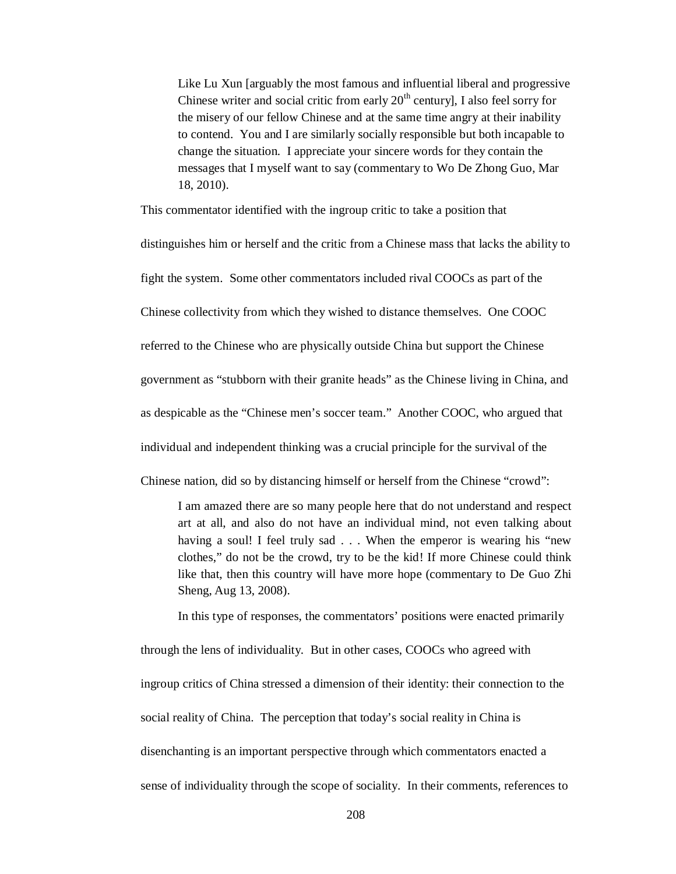Like Lu Xun [arguably the most famous and influential liberal and progressive Chinese writer and social critic from early  $20<sup>th</sup>$  century], I also feel sorry for the misery of our fellow Chinese and at the same time angry at their inability to contend. You and I are similarly socially responsible but both incapable to change the situation. I appreciate your sincere words for they contain the messages that I myself want to say (commentary to Wo De Zhong Guo, Mar 18, 2010).

This commentator identified with the ingroup critic to take a position that

distinguishes him or herself and the critic from a Chinese mass that lacks the ability to fight the system. Some other commentators included rival COOCs as part of the Chinese collectivity from which they wished to distance themselves. One COOC referred to the Chinese who are physically outside China but support the Chinese government as "stubborn with their granite heads" as the Chinese living in China, and as despicable as the "Chinese men's soccer team." Another COOC, who argued that individual and independent thinking was a crucial principle for the survival of the

Chinese nation, did so by distancing himself or herself from the Chinese "crowd":

I am amazed there are so many people here that do not understand and respect art at all, and also do not have an individual mind, not even talking about having a soul! I feel truly sad . . . When the emperor is wearing his "new clothes," do not be the crowd, try to be the kid! If more Chinese could think like that, then this country will have more hope (commentary to De Guo Zhi Sheng, Aug 13, 2008).

In this type of responses, the commentators' positions were enacted primarily

through the lens of individuality. But in other cases, COOCs who agreed with ingroup critics of China stressed a dimension of their identity: their connection to the social reality of China. The perception that today's social reality in China is disenchanting is an important perspective through which commentators enacted a sense of individuality through the scope of sociality. In their comments, references to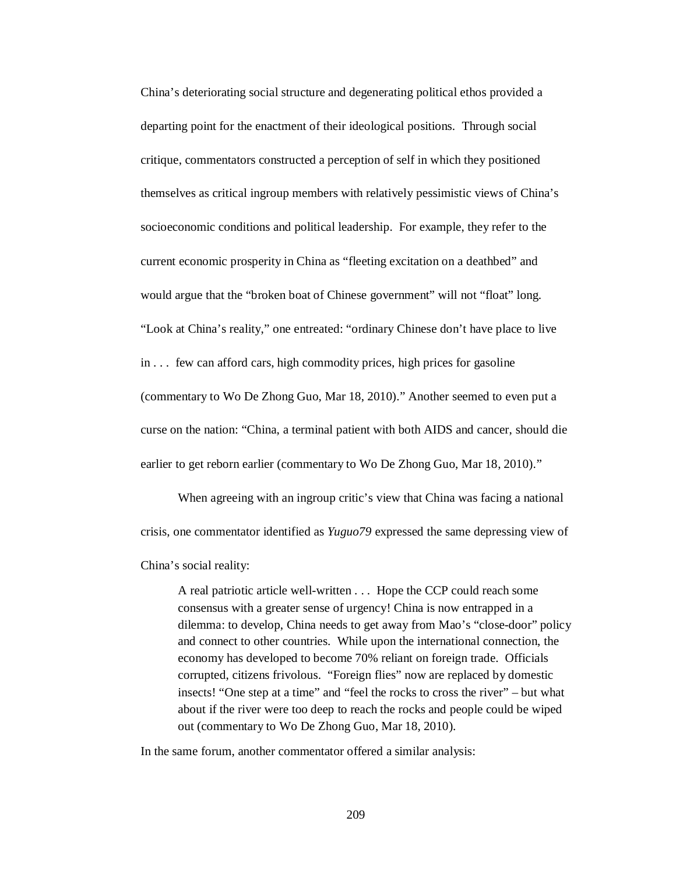China's deteriorating social structure and degenerating political ethos provided a departing point for the enactment of their ideological positions. Through social critique, commentators constructed a perception of self in which they positioned themselves as critical ingroup members with relatively pessimistic views of China's socioeconomic conditions and political leadership. For example, they refer to the current economic prosperity in China as "fleeting excitation on a deathbed" and would argue that the "broken boat of Chinese government" will not "float" long. "Look at China's reality," one entreated: "ordinary Chinese don't have place to live in . . . few can afford cars, high commodity prices, high prices for gasoline (commentary to Wo De Zhong Guo, Mar 18, 2010)." Another seemed to even put a curse on the nation: "China, a terminal patient with both AIDS and cancer, should die earlier to get reborn earlier (commentary to Wo De Zhong Guo, Mar 18, 2010)."

When agreeing with an ingroup critic's view that China was facing a national crisis, one commentator identified as *Yuguo79* expressed the same depressing view of China's social reality:

A real patriotic article well-written . . . Hope the CCP could reach some consensus with a greater sense of urgency! China is now entrapped in a dilemma: to develop, China needs to get away from Mao's "close-door" policy and connect to other countries. While upon the international connection, the economy has developed to become 70% reliant on foreign trade. Officials corrupted, citizens frivolous. "Foreign flies" now are replaced by domestic insects! "One step at a time" and "feel the rocks to cross the river" – but what about if the river were too deep to reach the rocks and people could be wiped out (commentary to Wo De Zhong Guo, Mar 18, 2010).

In the same forum, another commentator offered a similar analysis: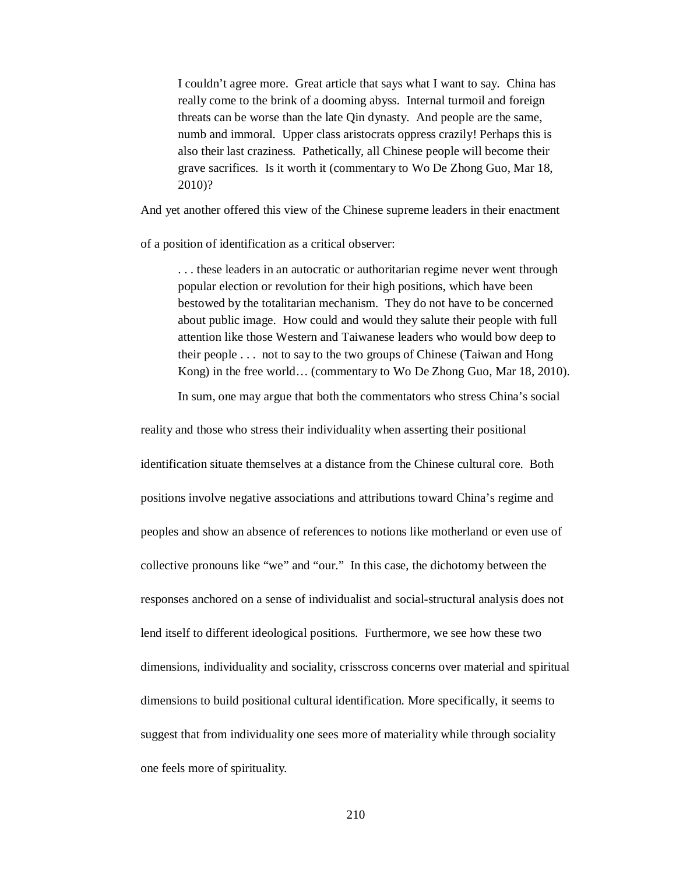I couldn't agree more. Great article that says what I want to say. China has really come to the brink of a dooming abyss. Internal turmoil and foreign threats can be worse than the late Qin dynasty. And people are the same, numb and immoral. Upper class aristocrats oppress crazily! Perhaps this is also their last craziness. Pathetically, all Chinese people will become their grave sacrifices. Is it worth it (commentary to Wo De Zhong Guo, Mar 18, 2010)?

And yet another offered this view of the Chinese supreme leaders in their enactment

of a position of identification as a critical observer:

. . . these leaders in an autocratic or authoritarian regime never went through popular election or revolution for their high positions, which have been bestowed by the totalitarian mechanism. They do not have to be concerned about public image. How could and would they salute their people with full attention like those Western and Taiwanese leaders who would bow deep to their people . . . not to say to the two groups of Chinese (Taiwan and Hong Kong) in the free world… (commentary to Wo De Zhong Guo, Mar 18, 2010).

In sum, one may argue that both the commentators who stress China's social

reality and those who stress their individuality when asserting their positional identification situate themselves at a distance from the Chinese cultural core. Both positions involve negative associations and attributions toward China's regime and peoples and show an absence of references to notions like motherland or even use of collective pronouns like "we" and "our." In this case, the dichotomy between the responses anchored on a sense of individualist and social-structural analysis does not lend itself to different ideological positions. Furthermore, we see how these two dimensions, individuality and sociality, crisscross concerns over material and spiritual dimensions to build positional cultural identification. More specifically, it seems to suggest that from individuality one sees more of materiality while through sociality one feels more of spirituality.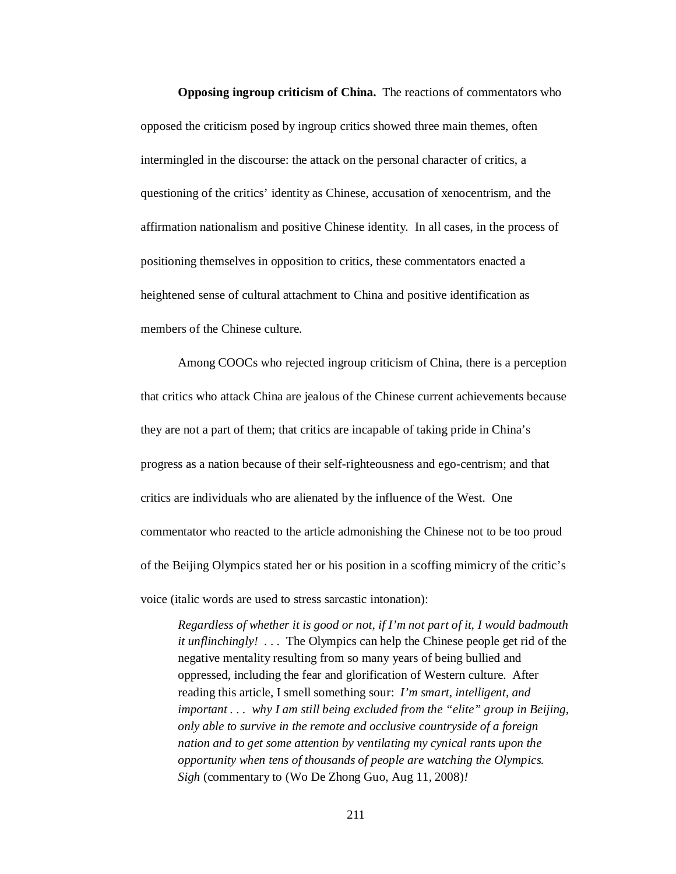**Opposing ingroup criticism of China.** The reactions of commentators who opposed the criticism posed by ingroup critics showed three main themes, often intermingled in the discourse: the attack on the personal character of critics, a questioning of the critics' identity as Chinese, accusation of xenocentrism, and the affirmation nationalism and positive Chinese identity. In all cases, in the process of positioning themselves in opposition to critics, these commentators enacted a heightened sense of cultural attachment to China and positive identification as members of the Chinese culture.

Among COOCs who rejected ingroup criticism of China, there is a perception that critics who attack China are jealous of the Chinese current achievements because they are not a part of them; that critics are incapable of taking pride in China's progress as a nation because of their self-righteousness and ego-centrism; and that critics are individuals who are alienated by the influence of the West. One commentator who reacted to the article admonishing the Chinese not to be too proud of the Beijing Olympics stated her or his position in a scoffing mimicry of the critic's voice (italic words are used to stress sarcastic intonation):

*Regardless of whether it is good or not, if I'm not part of it, I would badmouth it unflinchingly!* . . . The Olympics can help the Chinese people get rid of the negative mentality resulting from so many years of being bullied and oppressed, including the fear and glorification of Western culture. After reading this article, I smell something sour: *I'm smart, intelligent, and important . . . why I am still being excluded from the "elite" group in Beijing, only able to survive in the remote and occlusive countryside of a foreign nation and to get some attention by ventilating my cynical rants upon the opportunity when tens of thousands of people are watching the Olympics. Sigh* (commentary to (Wo De Zhong Guo, Aug 11, 2008)*!*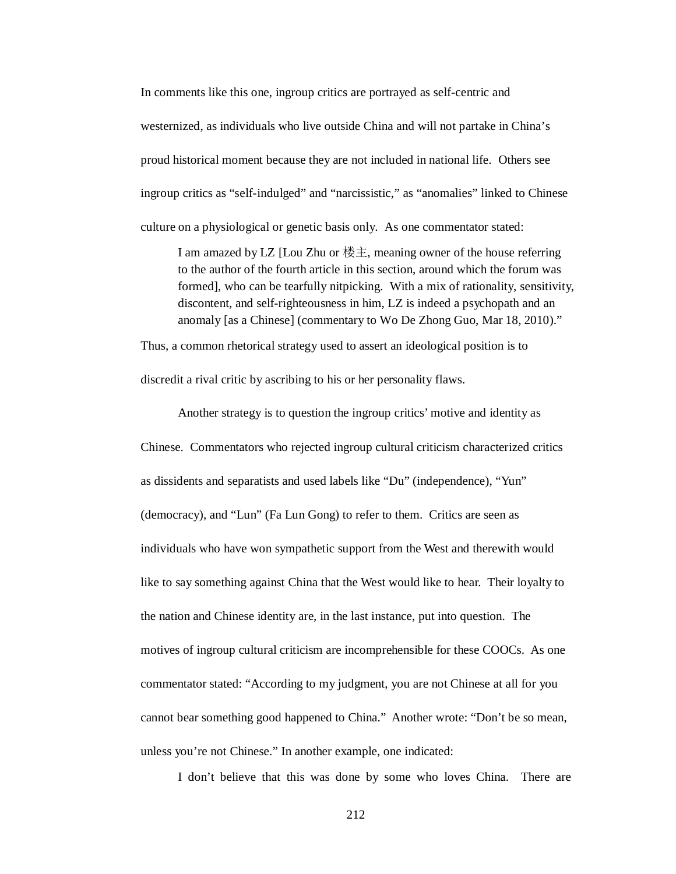In comments like this one, ingroup critics are portrayed as self-centric and westernized, as individuals who live outside China and will not partake in China's proud historical moment because they are not included in national life. Others see ingroup critics as "self-indulged" and "narcissistic," as "anomalies" linked to Chinese culture on a physiological or genetic basis only. As one commentator stated:

I am amazed by LZ [Lou Zhu or 楼主, meaning owner of the house referring to the author of the fourth article in this section, around which the forum was formed], who can be tearfully nitpicking. With a mix of rationality, sensitivity, discontent, and self-righteousness in him, LZ is indeed a psychopath and an anomaly [as a Chinese] (commentary to Wo De Zhong Guo, Mar 18, 2010)."

Thus, a common rhetorical strategy used to assert an ideological position is to discredit a rival critic by ascribing to his or her personality flaws.

Another strategy is to question the ingroup critics' motive and identity as Chinese. Commentators who rejected ingroup cultural criticism characterized critics as dissidents and separatists and used labels like "Du" (independence), "Yun" (democracy), and "Lun" (Fa Lun Gong) to refer to them. Critics are seen as individuals who have won sympathetic support from the West and therewith would like to say something against China that the West would like to hear. Their loyalty to the nation and Chinese identity are, in the last instance, put into question. The motives of ingroup cultural criticism are incomprehensible for these COOCs. As one commentator stated: "According to my judgment, you are not Chinese at all for you cannot bear something good happened to China." Another wrote: "Don't be so mean, unless you're not Chinese." In another example, one indicated:

I don't believe that this was done by some who loves China. There are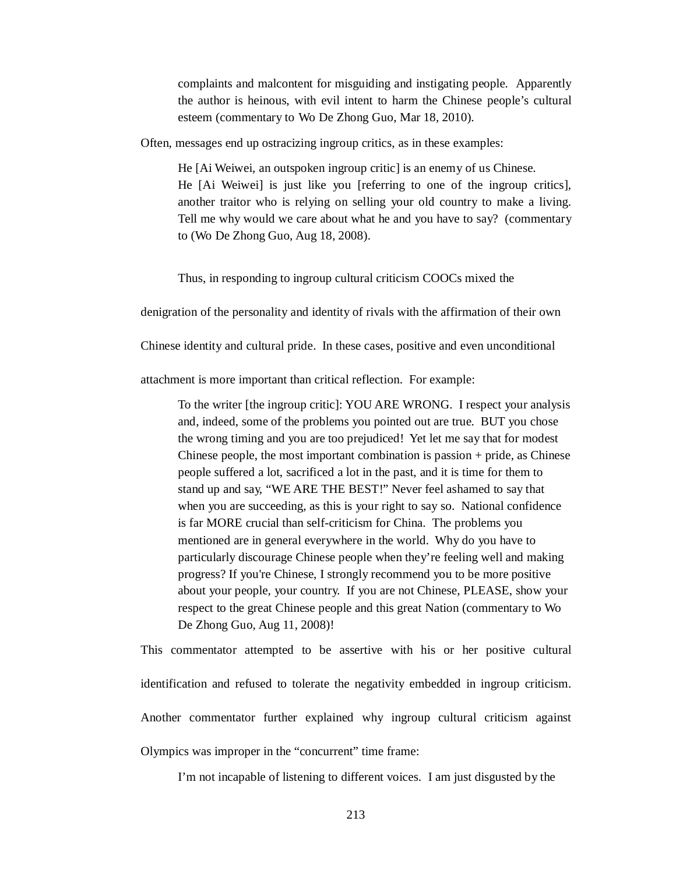complaints and malcontent for misguiding and instigating people. Apparently the author is heinous, with evil intent to harm the Chinese people's cultural esteem (commentary to Wo De Zhong Guo, Mar 18, 2010).

Often, messages end up ostracizing ingroup critics, as in these examples:

He [Ai Weiwei, an outspoken ingroup critic] is an enemy of us Chinese. He [Ai Weiwei] is just like you [referring to one of the ingroup critics], another traitor who is relying on selling your old country to make a living. Tell me why would we care about what he and you have to say? (commentary to (Wo De Zhong Guo, Aug 18, 2008).

Thus, in responding to ingroup cultural criticism COOCs mixed the

denigration of the personality and identity of rivals with the affirmation of their own

Chinese identity and cultural pride. In these cases, positive and even unconditional

attachment is more important than critical reflection. For example:

To the writer [the ingroup critic]: YOU ARE WRONG. I respect your analysis and, indeed, some of the problems you pointed out are true. BUT you chose the wrong timing and you are too prejudiced! Yet let me say that for modest Chinese people, the most important combination is passion + pride, as Chinese people suffered a lot, sacrificed a lot in the past, and it is time for them to stand up and say, "WE ARE THE BEST!" Never feel ashamed to say that when you are succeeding, as this is your right to say so. National confidence is far MORE crucial than self-criticism for China. The problems you mentioned are in general everywhere in the world. Why do you have to particularly discourage Chinese people when they're feeling well and making progress? If you're Chinese, I strongly recommend you to be more positive about your people, your country. If you are not Chinese, PLEASE, show your respect to the great Chinese people and this great Nation (commentary to Wo De Zhong Guo, Aug 11, 2008)!

This commentator attempted to be assertive with his or her positive cultural identification and refused to tolerate the negativity embedded in ingroup criticism. Another commentator further explained why ingroup cultural criticism against Olympics was improper in the "concurrent" time frame:

I'm not incapable of listening to different voices. I am just disgusted by the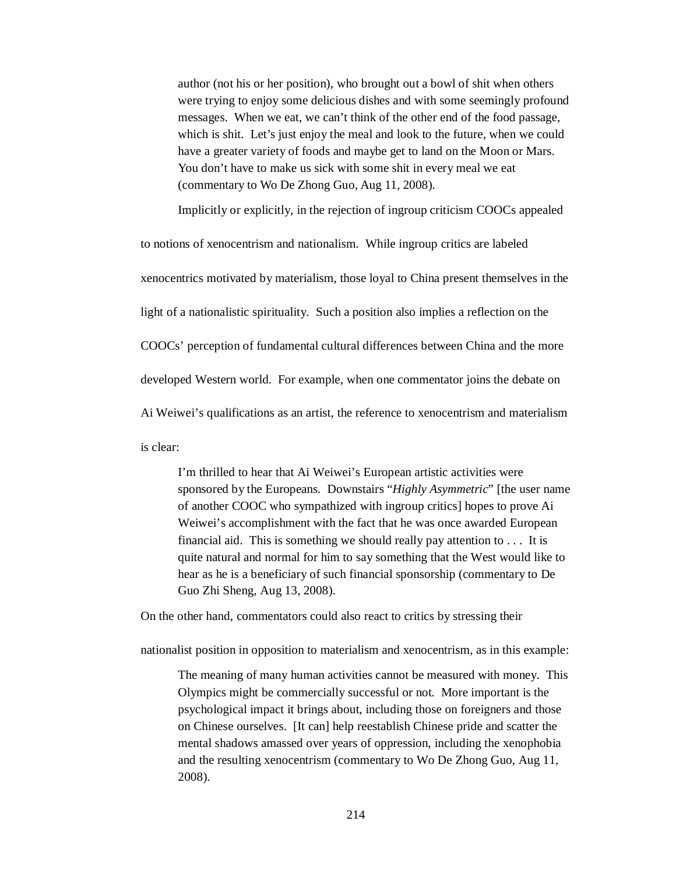author (not his or her position), who brought out a bowl of shit when others were trying to enjoy some delicious dishes and with some seemingly profound messages. When we eat, we can't think of the other end of the food passage, which is shit. Let's just enjoy the meal and look to the future, when we could have a greater variety of foods and maybe get to land on the Moon or Mars. You don't have to make us sick with some shit in every meal we eat (commentary to Wo De Zhong Guo, Aug 11, 2008).

Implicitly or explicitly*,* in the rejection of ingroup criticism COOCs appealed

to notions of xenocentrism and nationalism. While ingroup critics are labeled xenocentrics motivated by materialism, those loyal to China present themselves in the light of a nationalistic spirituality. Such a position also implies a reflection on the COOCs' perception of fundamental cultural differences between China and the more developed Western world. For example, when one commentator joins the debate on Ai Weiwei's qualifications as an artist, the reference to xenocentrism and materialism is clear:

I'm thrilled to hear that Ai Weiwei's European artistic activities were sponsored by the Europeans. Downstairs "*Highly Asymmetric*" [the user name of another COOC who sympathized with ingroup critics] hopes to prove Ai Weiwei's accomplishment with the fact that he was once awarded European financial aid. This is something we should really pay attention to . . . It is quite natural and normal for him to say something that the West would like to hear as he is a beneficiary of such financial sponsorship (commentary to De Guo Zhi Sheng, Aug 13, 2008).

On the other hand, commentators could also react to critics by stressing their

nationalist position in opposition to materialism and xenocentrism, as in this example:

The meaning of many human activities cannot be measured with money. This Olympics might be commercially successful or not. More important is the psychological impact it brings about, including those on foreigners and those on Chinese ourselves. [It can] help reestablish Chinese pride and scatter the mental shadows amassed over years of oppression, including the xenophobia and the resulting xenocentrism (commentary to Wo De Zhong Guo, Aug 11, 2008).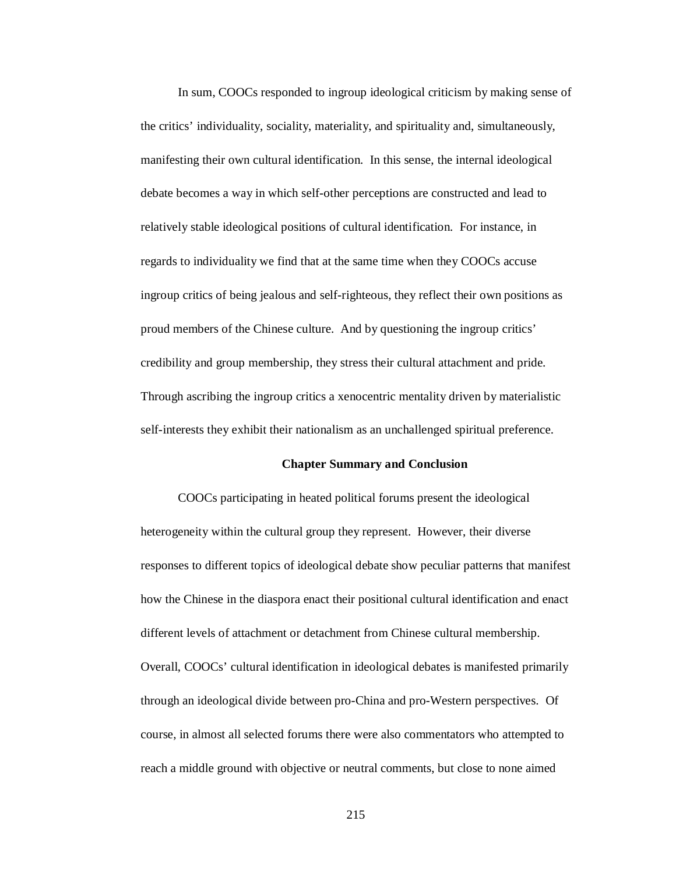In sum, COOCs responded to ingroup ideological criticism by making sense of the critics' individuality, sociality, materiality, and spirituality and, simultaneously, manifesting their own cultural identification. In this sense, the internal ideological debate becomes a way in which self-other perceptions are constructed and lead to relatively stable ideological positions of cultural identification. For instance, in regards to individuality we find that at the same time when they COOCs accuse ingroup critics of being jealous and self-righteous, they reflect their own positions as proud members of the Chinese culture. And by questioning the ingroup critics' credibility and group membership, they stress their cultural attachment and pride. Through ascribing the ingroup critics a xenocentric mentality driven by materialistic self-interests they exhibit their nationalism as an unchallenged spiritual preference.

## **Chapter Summary and Conclusion**

COOCs participating in heated political forums present the ideological heterogeneity within the cultural group they represent. However, their diverse responses to different topics of ideological debate show peculiar patterns that manifest how the Chinese in the diaspora enact their positional cultural identification and enact different levels of attachment or detachment from Chinese cultural membership. Overall, COOCs' cultural identification in ideological debates is manifested primarily through an ideological divide between pro-China and pro-Western perspectives. Of course, in almost all selected forums there were also commentators who attempted to reach a middle ground with objective or neutral comments, but close to none aimed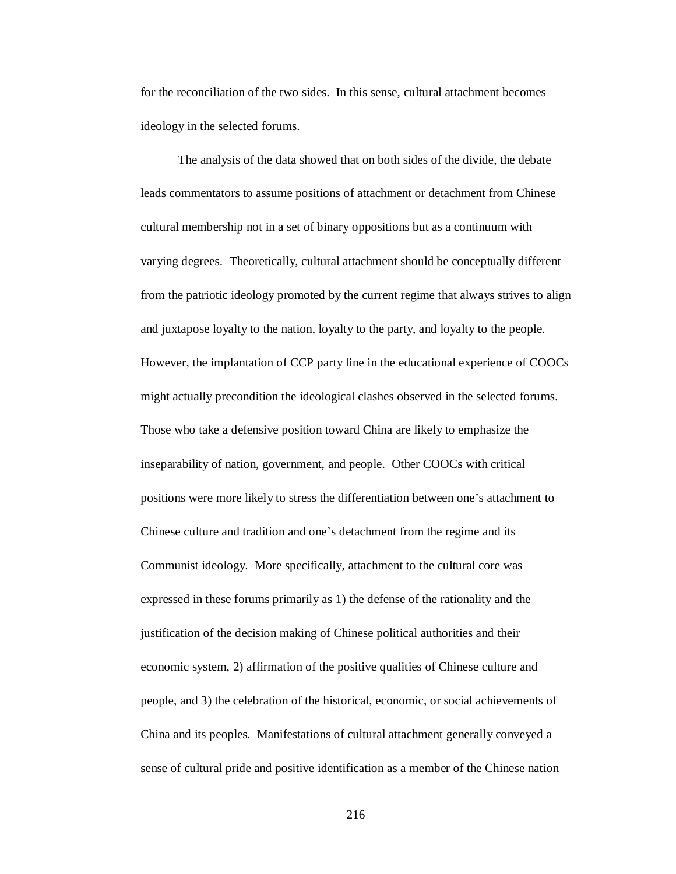for the reconciliation of the two sides. In this sense, cultural attachment becomes ideology in the selected forums.

The analysis of the data showed that on both sides of the divide, the debate leads commentators to assume positions of attachment or detachment from Chinese cultural membership not in a set of binary oppositions but as a continuum with varying degrees. Theoretically, cultural attachment should be conceptually different from the patriotic ideology promoted by the current regime that always strives to align and juxtapose loyalty to the nation, loyalty to the party, and loyalty to the people. However, the implantation of CCP party line in the educational experience of COOCs might actually precondition the ideological clashes observed in the selected forums. Those who take a defensive position toward China are likely to emphasize the inseparability of nation, government, and people. Other COOCs with critical positions were more likely to stress the differentiation between one's attachment to Chinese culture and tradition and one's detachment from the regime and its Communist ideology. More specifically, attachment to the cultural core was expressed in these forums primarily as 1) the defense of the rationality and the justification of the decision making of Chinese political authorities and their economic system, 2) affirmation of the positive qualities of Chinese culture and people, and 3) the celebration of the historical, economic, or social achievements of China and its peoples. Manifestations of cultural attachment generally conveyed a sense of cultural pride and positive identification as a member of the Chinese nation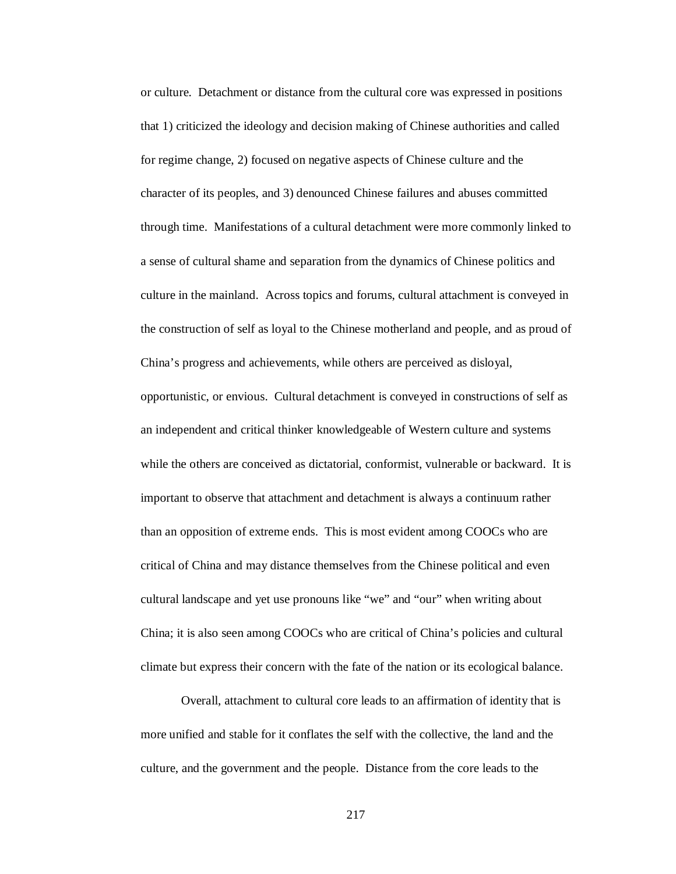or culture. Detachment or distance from the cultural core was expressed in positions that 1) criticized the ideology and decision making of Chinese authorities and called for regime change, 2) focused on negative aspects of Chinese culture and the character of its peoples, and 3) denounced Chinese failures and abuses committed through time. Manifestations of a cultural detachment were more commonly linked to a sense of cultural shame and separation from the dynamics of Chinese politics and culture in the mainland. Across topics and forums, cultural attachment is conveyed in the construction of self as loyal to the Chinese motherland and people, and as proud of China's progress and achievements, while others are perceived as disloyal, opportunistic, or envious. Cultural detachment is conveyed in constructions of self as an independent and critical thinker knowledgeable of Western culture and systems while the others are conceived as dictatorial, conformist, vulnerable or backward. It is important to observe that attachment and detachment is always a continuum rather than an opposition of extreme ends. This is most evident among COOCs who are critical of China and may distance themselves from the Chinese political and even cultural landscape and yet use pronouns like "we" and "our" when writing about China; it is also seen among COOCs who are critical of China's policies and cultural climate but express their concern with the fate of the nation or its ecological balance.

Overall, attachment to cultural core leads to an affirmation of identity that is more unified and stable for it conflates the self with the collective, the land and the culture, and the government and the people. Distance from the core leads to the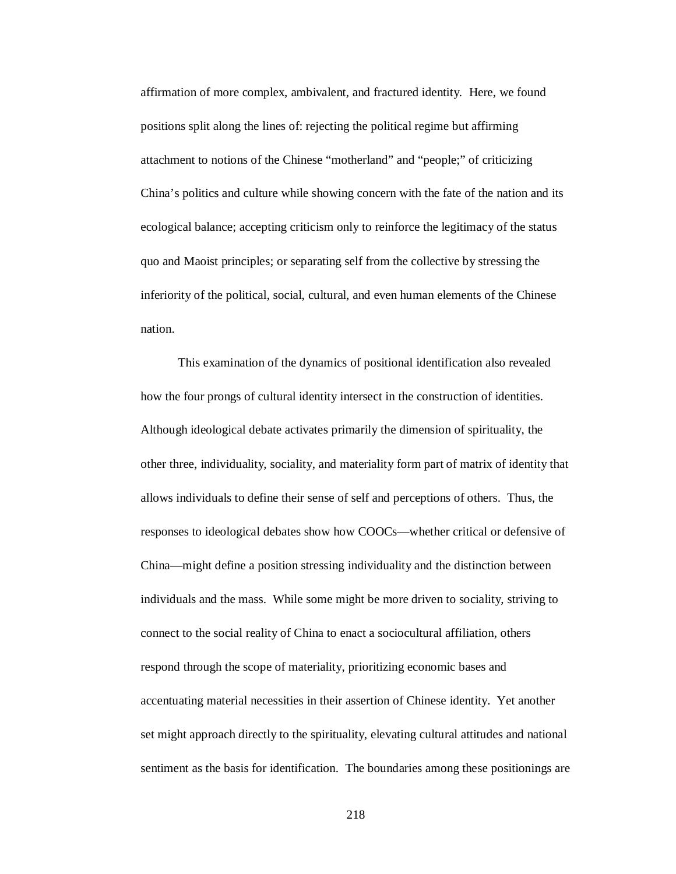affirmation of more complex, ambivalent, and fractured identity. Here, we found positions split along the lines of: rejecting the political regime but affirming attachment to notions of the Chinese "motherland" and "people;" of criticizing China's politics and culture while showing concern with the fate of the nation and its ecological balance; accepting criticism only to reinforce the legitimacy of the status quo and Maoist principles; or separating self from the collective by stressing the inferiority of the political, social, cultural, and even human elements of the Chinese nation.

This examination of the dynamics of positional identification also revealed how the four prongs of cultural identity intersect in the construction of identities. Although ideological debate activates primarily the dimension of spirituality, the other three, individuality, sociality, and materiality form part of matrix of identity that allows individuals to define their sense of self and perceptions of others. Thus, the responses to ideological debates show how COOCs—whether critical or defensive of China—might define a position stressing individuality and the distinction between individuals and the mass. While some might be more driven to sociality, striving to connect to the social reality of China to enact a sociocultural affiliation, others respond through the scope of materiality, prioritizing economic bases and accentuating material necessities in their assertion of Chinese identity. Yet another set might approach directly to the spirituality, elevating cultural attitudes and national sentiment as the basis for identification. The boundaries among these positionings are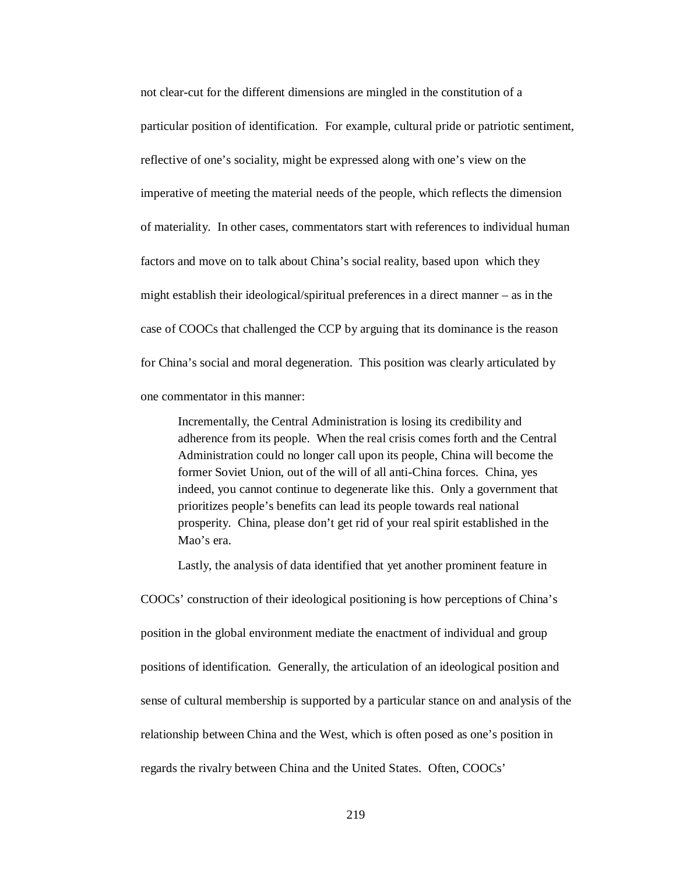not clear-cut for the different dimensions are mingled in the constitution of a particular position of identification. For example, cultural pride or patriotic sentiment, reflective of one's sociality, might be expressed along with one's view on the imperative of meeting the material needs of the people, which reflects the dimension of materiality. In other cases, commentators start with references to individual human factors and move on to talk about China's social reality, based upon which they might establish their ideological/spiritual preferences in a direct manner – as in the case of COOCs that challenged the CCP by arguing that its dominance is the reason for China's social and moral degeneration. This position was clearly articulated by one commentator in this manner:

Incrementally, the Central Administration is losing its credibility and adherence from its people. When the real crisis comes forth and the Central Administration could no longer call upon its people, China will become the former Soviet Union, out of the will of all anti-China forces. China, yes indeed, you cannot continue to degenerate like this. Only a government that prioritizes people's benefits can lead its people towards real national prosperity. China, please don't get rid of your real spirit established in the Mao's era.

Lastly, the analysis of data identified that yet another prominent feature in

COOCs' construction of their ideological positioning is how perceptions of China's position in the global environment mediate the enactment of individual and group positions of identification. Generally, the articulation of an ideological position and sense of cultural membership is supported by a particular stance on and analysis of the relationship between China and the West, which is often posed as one's position in regards the rivalry between China and the United States. Often, COOCs'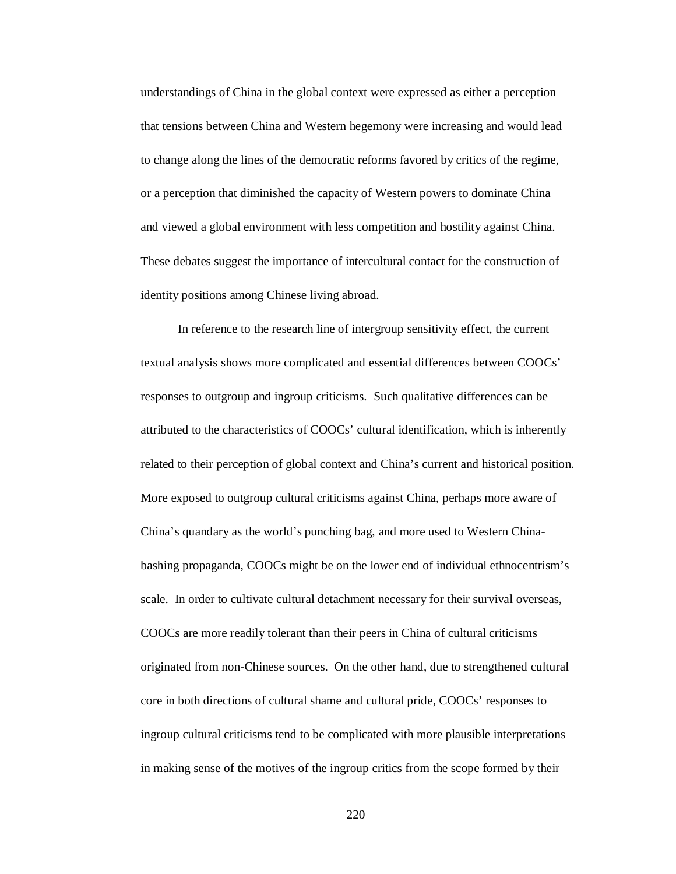understandings of China in the global context were expressed as either a perception that tensions between China and Western hegemony were increasing and would lead to change along the lines of the democratic reforms favored by critics of the regime, or a perception that diminished the capacity of Western powers to dominate China and viewed a global environment with less competition and hostility against China. These debates suggest the importance of intercultural contact for the construction of identity positions among Chinese living abroad.

In reference to the research line of intergroup sensitivity effect, the current textual analysis shows more complicated and essential differences between COOCs' responses to outgroup and ingroup criticisms. Such qualitative differences can be attributed to the characteristics of COOCs' cultural identification, which is inherently related to their perception of global context and China's current and historical position. More exposed to outgroup cultural criticisms against China, perhaps more aware of China's quandary as the world's punching bag, and more used to Western Chinabashing propaganda, COOCs might be on the lower end of individual ethnocentrism's scale. In order to cultivate cultural detachment necessary for their survival overseas, COOCs are more readily tolerant than their peers in China of cultural criticisms originated from non-Chinese sources. On the other hand, due to strengthened cultural core in both directions of cultural shame and cultural pride, COOCs' responses to ingroup cultural criticisms tend to be complicated with more plausible interpretations in making sense of the motives of the ingroup critics from the scope formed by their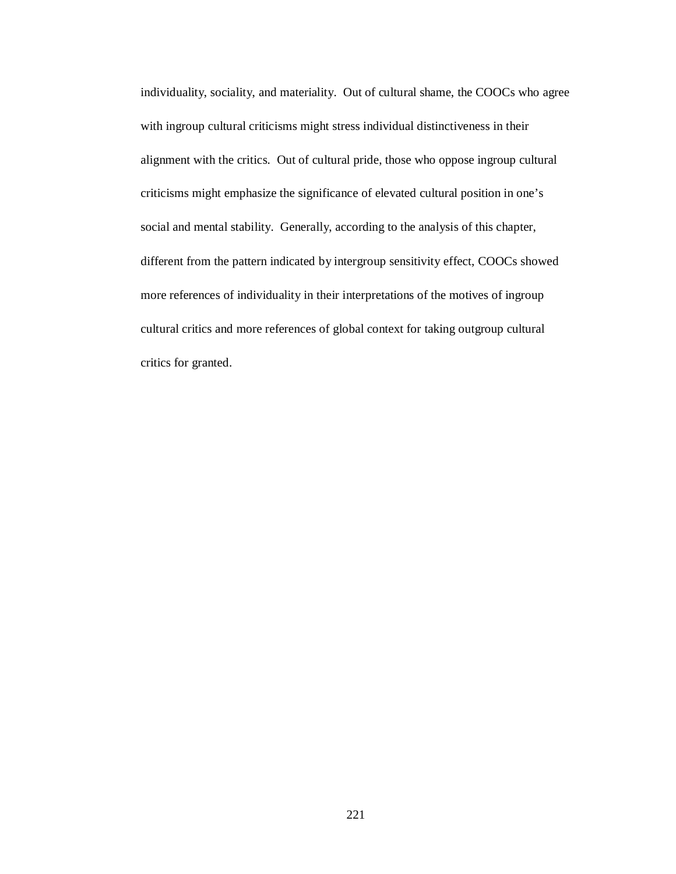individuality, sociality, and materiality. Out of cultural shame, the COOCs who agree with ingroup cultural criticisms might stress individual distinctiveness in their alignment with the critics. Out of cultural pride, those who oppose ingroup cultural criticisms might emphasize the significance of elevated cultural position in one's social and mental stability. Generally, according to the analysis of this chapter, different from the pattern indicated by intergroup sensitivity effect, COOCs showed more references of individuality in their interpretations of the motives of ingroup cultural critics and more references of global context for taking outgroup cultural critics for granted.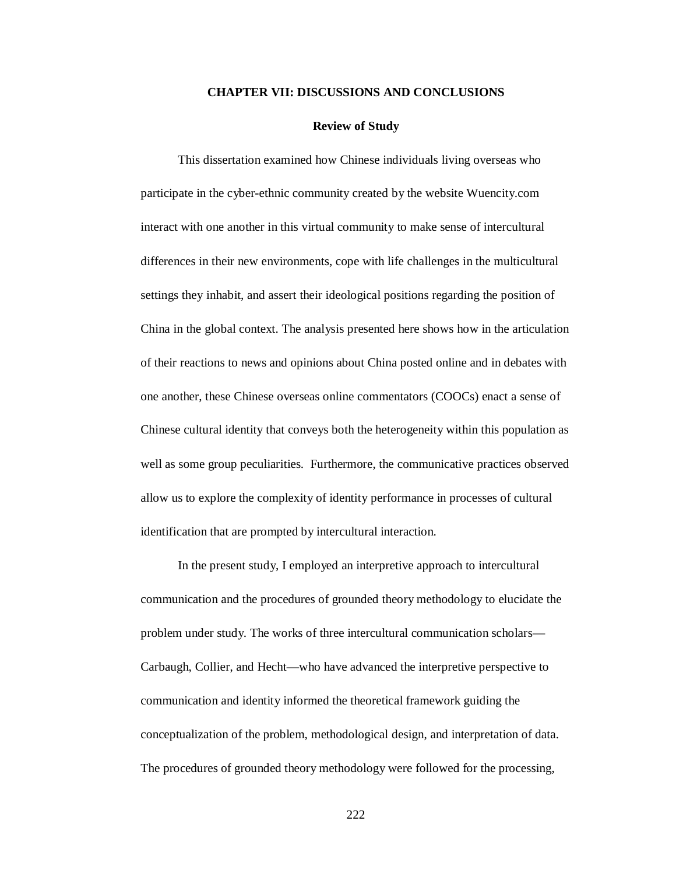## **CHAPTER VII: DISCUSSIONS AND CONCLUSIONS**

#### **Review of Study**

This dissertation examined how Chinese individuals living overseas who participate in the cyber-ethnic community created by the website Wuencity.com interact with one another in this virtual community to make sense of intercultural differences in their new environments, cope with life challenges in the multicultural settings they inhabit, and assert their ideological positions regarding the position of China in the global context. The analysis presented here shows how in the articulation of their reactions to news and opinions about China posted online and in debates with one another, these Chinese overseas online commentators (COOCs) enact a sense of Chinese cultural identity that conveys both the heterogeneity within this population as well as some group peculiarities. Furthermore, the communicative practices observed allow us to explore the complexity of identity performance in processes of cultural identification that are prompted by intercultural interaction.

In the present study, I employed an interpretive approach to intercultural communication and the procedures of grounded theory methodology to elucidate the problem under study. The works of three intercultural communication scholars— Carbaugh, Collier, and Hecht—who have advanced the interpretive perspective to communication and identity informed the theoretical framework guiding the conceptualization of the problem, methodological design, and interpretation of data. The procedures of grounded theory methodology were followed for the processing,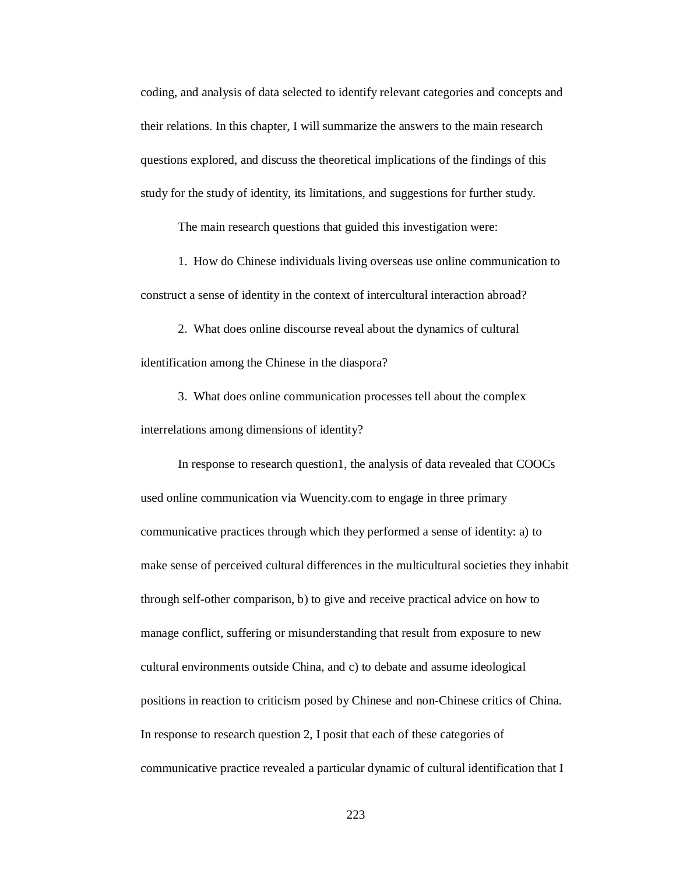coding, and analysis of data selected to identify relevant categories and concepts and their relations. In this chapter, I will summarize the answers to the main research questions explored, and discuss the theoretical implications of the findings of this study for the study of identity, its limitations, and suggestions for further study.

The main research questions that guided this investigation were:

1. How do Chinese individuals living overseas use online communication to construct a sense of identity in the context of intercultural interaction abroad?

2. What does online discourse reveal about the dynamics of cultural identification among the Chinese in the diaspora?

3. What does online communication processes tell about the complex interrelations among dimensions of identity?

In response to research question1, the analysis of data revealed that COOCs used online communication via Wuencity.com to engage in three primary communicative practices through which they performed a sense of identity: a) to make sense of perceived cultural differences in the multicultural societies they inhabit through self-other comparison, b) to give and receive practical advice on how to manage conflict, suffering or misunderstanding that result from exposure to new cultural environments outside China, and c) to debate and assume ideological positions in reaction to criticism posed by Chinese and non-Chinese critics of China. In response to research question 2, I posit that each of these categories of communicative practice revealed a particular dynamic of cultural identification that I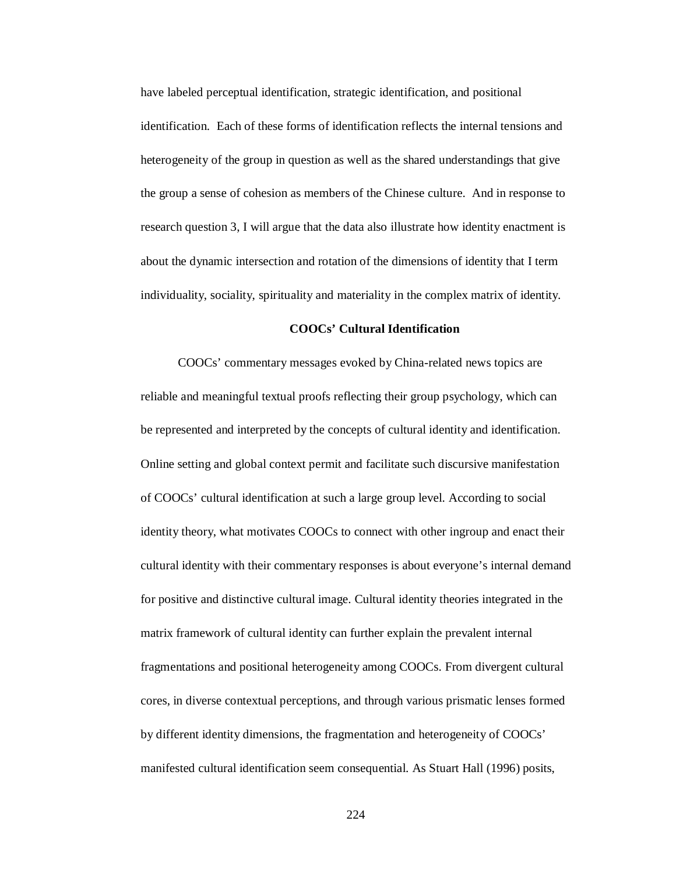have labeled perceptual identification, strategic identification, and positional identification. Each of these forms of identification reflects the internal tensions and heterogeneity of the group in question as well as the shared understandings that give the group a sense of cohesion as members of the Chinese culture. And in response to research question 3, I will argue that the data also illustrate how identity enactment is about the dynamic intersection and rotation of the dimensions of identity that I term individuality, sociality, spirituality and materiality in the complex matrix of identity.

## **COOCs' Cultural Identification**

COOCs' commentary messages evoked by China-related news topics are reliable and meaningful textual proofs reflecting their group psychology, which can be represented and interpreted by the concepts of cultural identity and identification. Online setting and global context permit and facilitate such discursive manifestation of COOCs' cultural identification at such a large group level. According to social identity theory, what motivates COOCs to connect with other ingroup and enact their cultural identity with their commentary responses is about everyone's internal demand for positive and distinctive cultural image. Cultural identity theories integrated in the matrix framework of cultural identity can further explain the prevalent internal fragmentations and positional heterogeneity among COOCs. From divergent cultural cores, in diverse contextual perceptions, and through various prismatic lenses formed by different identity dimensions, the fragmentation and heterogeneity of COOCs' manifested cultural identification seem consequential. As Stuart Hall (1996) posits,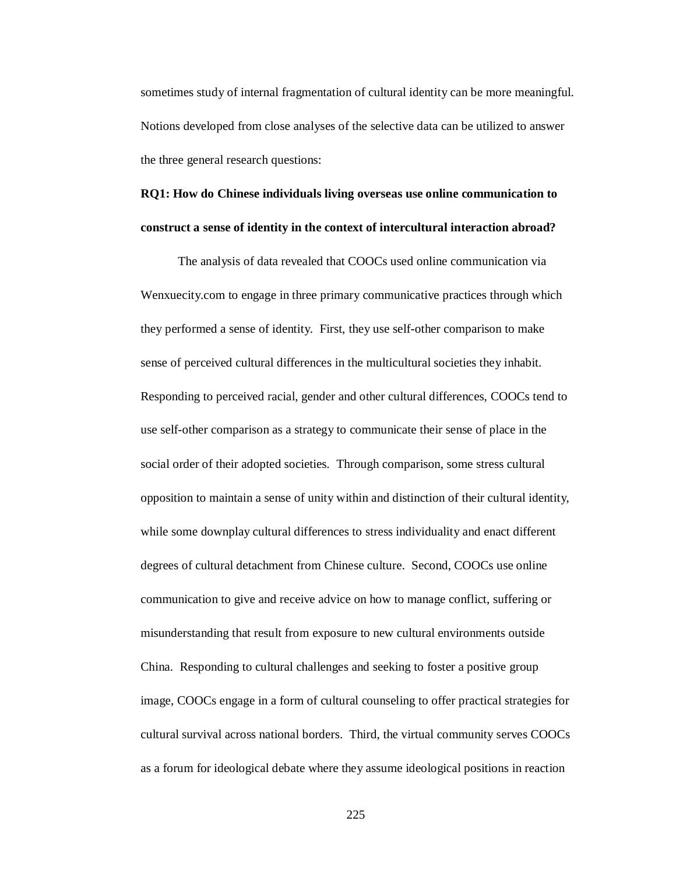sometimes study of internal fragmentation of cultural identity can be more meaningful. Notions developed from close analyses of the selective data can be utilized to answer the three general research questions:

## **RQ1: How do Chinese individuals living overseas use online communication to construct a sense of identity in the context of intercultural interaction abroad?**

The analysis of data revealed that COOCs used online communication via Wenxuecity.com to engage in three primary communicative practices through which they performed a sense of identity. First, they use self-other comparison to make sense of perceived cultural differences in the multicultural societies they inhabit. Responding to perceived racial, gender and other cultural differences, COOCs tend to use self-other comparison as a strategy to communicate their sense of place in the social order of their adopted societies. Through comparison, some stress cultural opposition to maintain a sense of unity within and distinction of their cultural identity, while some downplay cultural differences to stress individuality and enact different degrees of cultural detachment from Chinese culture. Second, COOCs use online communication to give and receive advice on how to manage conflict, suffering or misunderstanding that result from exposure to new cultural environments outside China. Responding to cultural challenges and seeking to foster a positive group image, COOCs engage in a form of cultural counseling to offer practical strategies for cultural survival across national borders. Third, the virtual community serves COOCs as a forum for ideological debate where they assume ideological positions in reaction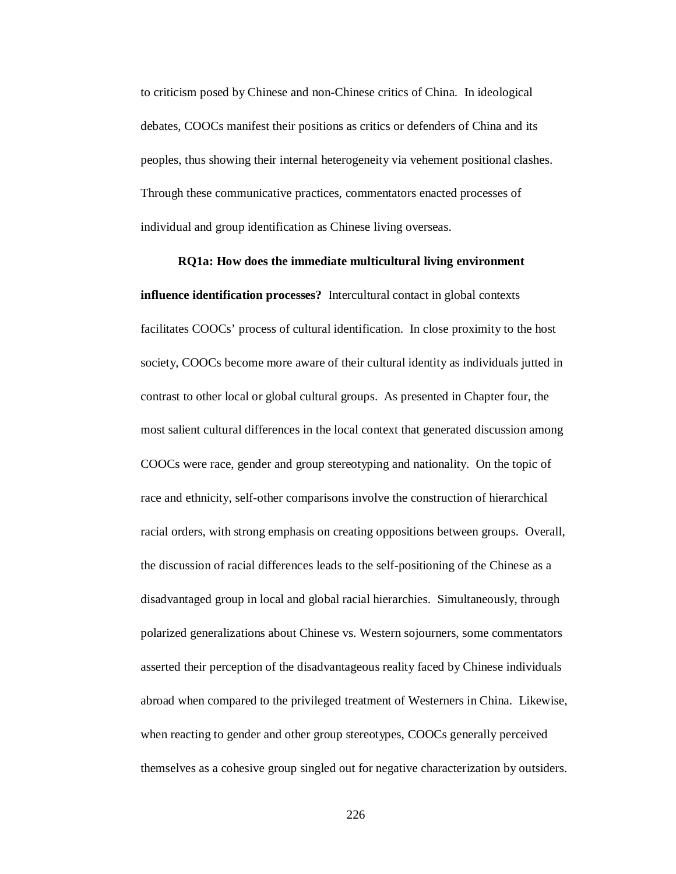to criticism posed by Chinese and non-Chinese critics of China. In ideological debates, COOCs manifest their positions as critics or defenders of China and its peoples, thus showing their internal heterogeneity via vehement positional clashes. Through these communicative practices, commentators enacted processes of individual and group identification as Chinese living overseas.

## **RQ1a: How does the immediate multicultural living environment**

**influence identification processes?** Intercultural contact in global contexts facilitates COOCs' process of cultural identification. In close proximity to the host society, COOCs become more aware of their cultural identity as individuals jutted in contrast to other local or global cultural groups. As presented in Chapter four, the most salient cultural differences in the local context that generated discussion among COOCs were race, gender and group stereotyping and nationality. On the topic of race and ethnicity, self-other comparisons involve the construction of hierarchical racial orders, with strong emphasis on creating oppositions between groups. Overall, the discussion of racial differences leads to the self-positioning of the Chinese as a disadvantaged group in local and global racial hierarchies. Simultaneously, through polarized generalizations about Chinese vs. Western sojourners, some commentators asserted their perception of the disadvantageous reality faced by Chinese individuals abroad when compared to the privileged treatment of Westerners in China. Likewise, when reacting to gender and other group stereotypes, COOCs generally perceived themselves as a cohesive group singled out for negative characterization by outsiders.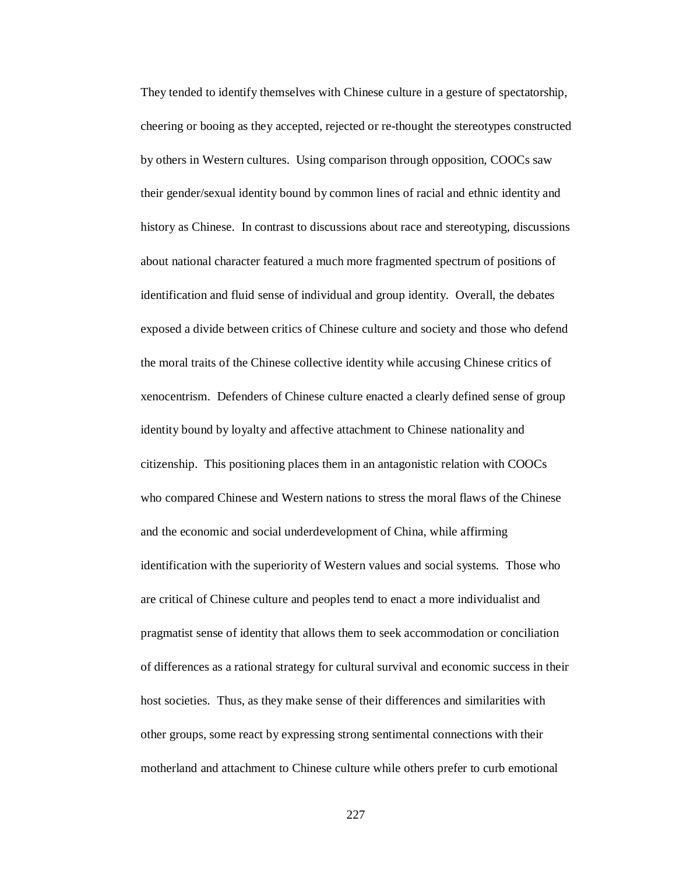They tended to identify themselves with Chinese culture in a gesture of spectatorship, cheering or booing as they accepted, rejected or re-thought the stereotypes constructed by others in Western cultures. Using comparison through opposition, COOCs saw their gender/sexual identity bound by common lines of racial and ethnic identity and history as Chinese. In contrast to discussions about race and stereotyping, discussions about national character featured a much more fragmented spectrum of positions of identification and fluid sense of individual and group identity. Overall, the debates exposed a divide between critics of Chinese culture and society and those who defend the moral traits of the Chinese collective identity while accusing Chinese critics of xenocentrism. Defenders of Chinese culture enacted a clearly defined sense of group identity bound by loyalty and affective attachment to Chinese nationality and citizenship. This positioning places them in an antagonistic relation with COOCs who compared Chinese and Western nations to stress the moral flaws of the Chinese and the economic and social underdevelopment of China, while affirming identification with the superiority of Western values and social systems. Those who are critical of Chinese culture and peoples tend to enact a more individualist and pragmatist sense of identity that allows them to seek accommodation or conciliation of differences as a rational strategy for cultural survival and economic success in their host societies. Thus, as they make sense of their differences and similarities with other groups, some react by expressing strong sentimental connections with their motherland and attachment to Chinese culture while others prefer to curb emotional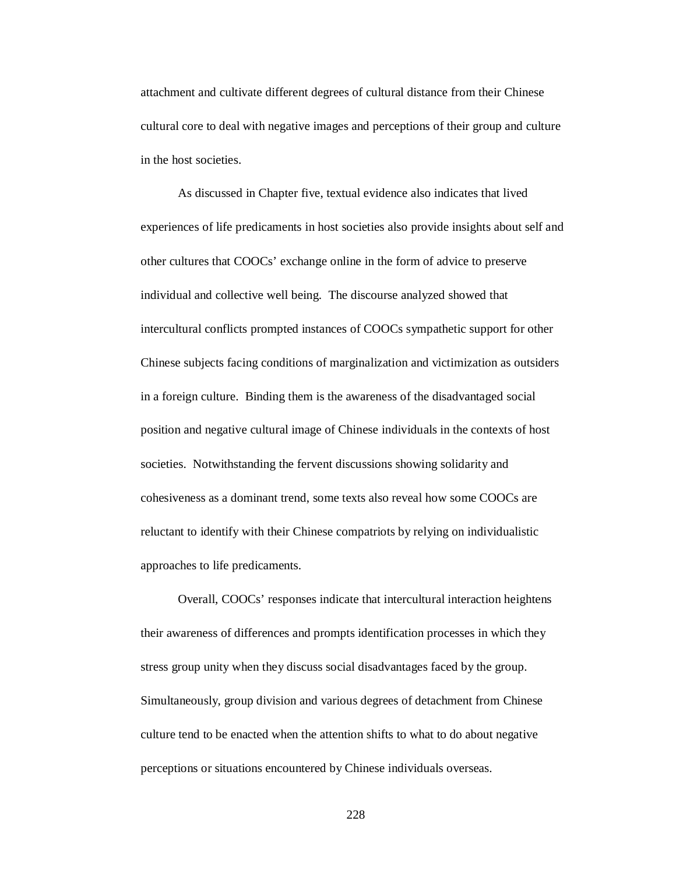attachment and cultivate different degrees of cultural distance from their Chinese cultural core to deal with negative images and perceptions of their group and culture in the host societies.

As discussed in Chapter five, textual evidence also indicates that lived experiences of life predicaments in host societies also provide insights about self and other cultures that COOCs' exchange online in the form of advice to preserve individual and collective well being. The discourse analyzed showed that intercultural conflicts prompted instances of COOCs sympathetic support for other Chinese subjects facing conditions of marginalization and victimization as outsiders in a foreign culture. Binding them is the awareness of the disadvantaged social position and negative cultural image of Chinese individuals in the contexts of host societies. Notwithstanding the fervent discussions showing solidarity and cohesiveness as a dominant trend, some texts also reveal how some COOCs are reluctant to identify with their Chinese compatriots by relying on individualistic approaches to life predicaments.

Overall, COOCs' responses indicate that intercultural interaction heightens their awareness of differences and prompts identification processes in which they stress group unity when they discuss social disadvantages faced by the group. Simultaneously, group division and various degrees of detachment from Chinese culture tend to be enacted when the attention shifts to what to do about negative perceptions or situations encountered by Chinese individuals overseas.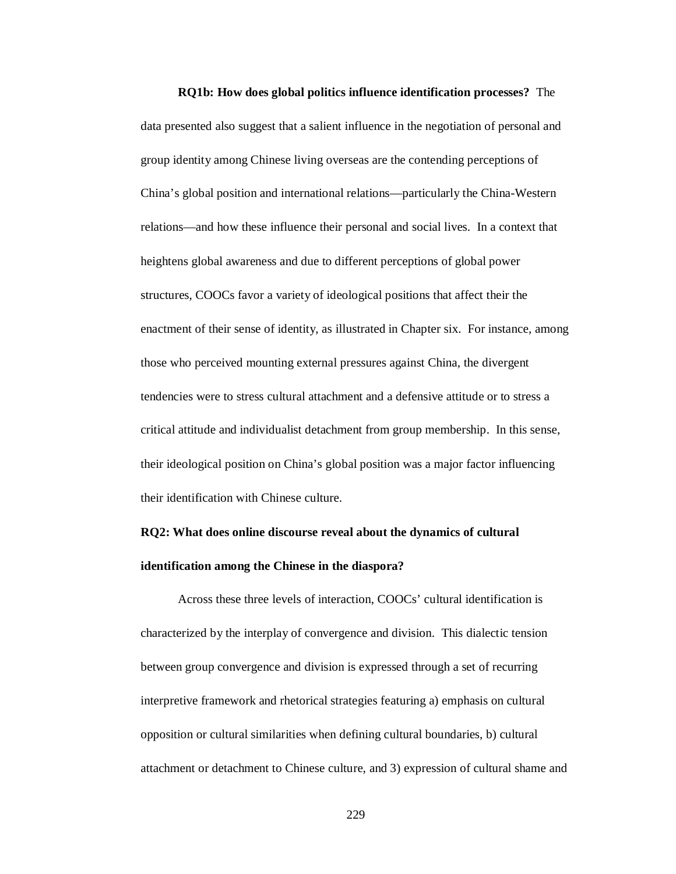**RQ1b: How does global politics influence identification processes?** The data presented also suggest that a salient influence in the negotiation of personal and group identity among Chinese living overseas are the contending perceptions of China's global position and international relations—particularly the China-Western relations—and how these influence their personal and social lives. In a context that heightens global awareness and due to different perceptions of global power structures, COOCs favor a variety of ideological positions that affect their the enactment of their sense of identity, as illustrated in Chapter six. For instance, among those who perceived mounting external pressures against China, the divergent tendencies were to stress cultural attachment and a defensive attitude or to stress a critical attitude and individualist detachment from group membership. In this sense, their ideological position on China's global position was a major factor influencing their identification with Chinese culture.

## **RQ2: What does online discourse reveal about the dynamics of cultural**

## **identification among the Chinese in the diaspora?**

Across these three levels of interaction, COOCs' cultural identification is characterized by the interplay of convergence and division. This dialectic tension between group convergence and division is expressed through a set of recurring interpretive framework and rhetorical strategies featuring a) emphasis on cultural opposition or cultural similarities when defining cultural boundaries, b) cultural attachment or detachment to Chinese culture, and 3) expression of cultural shame and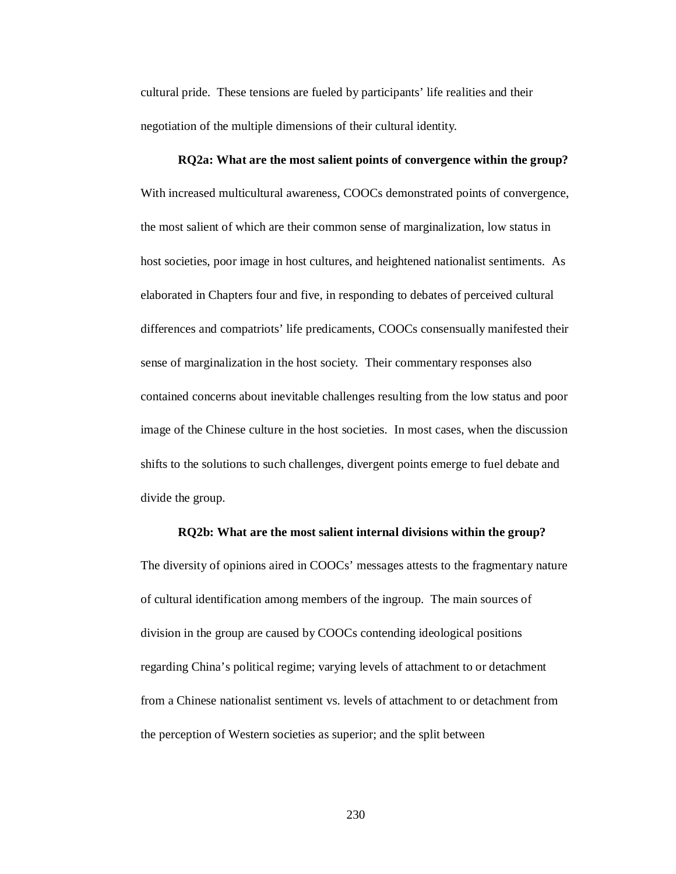cultural pride. These tensions are fueled by participants' life realities and their negotiation of the multiple dimensions of their cultural identity.

# **RQ2a: What are the most salient points of convergence within the group?** With increased multicultural awareness, COOCs demonstrated points of convergence, the most salient of which are their common sense of marginalization, low status in host societies, poor image in host cultures, and heightened nationalist sentiments. As elaborated in Chapters four and five, in responding to debates of perceived cultural differences and compatriots' life predicaments, COOCs consensually manifested their sense of marginalization in the host society. Their commentary responses also contained concerns about inevitable challenges resulting from the low status and poor image of the Chinese culture in the host societies. In most cases, when the discussion shifts to the solutions to such challenges, divergent points emerge to fuel debate and divide the group.

## **RQ2b: What are the most salient internal divisions within the group?**

The diversity of opinions aired in COOCs' messages attests to the fragmentary nature of cultural identification among members of the ingroup. The main sources of division in the group are caused by COOCs contending ideological positions regarding China's political regime; varying levels of attachment to or detachment from a Chinese nationalist sentiment vs. levels of attachment to or detachment from the perception of Western societies as superior; and the split between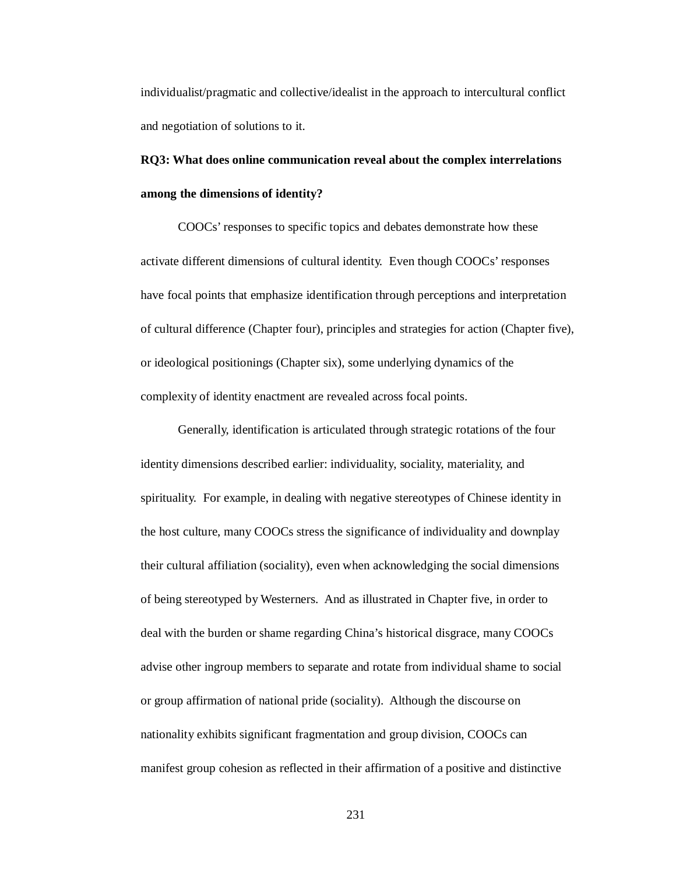individualist/pragmatic and collective/idealist in the approach to intercultural conflict and negotiation of solutions to it.

**RQ3: What does online communication reveal about the complex interrelations among the dimensions of identity?** 

COOCs' responses to specific topics and debates demonstrate how these activate different dimensions of cultural identity. Even though COOCs' responses have focal points that emphasize identification through perceptions and interpretation of cultural difference (Chapter four), principles and strategies for action (Chapter five), or ideological positionings (Chapter six), some underlying dynamics of the complexity of identity enactment are revealed across focal points.

Generally, identification is articulated through strategic rotations of the four identity dimensions described earlier: individuality, sociality, materiality, and spirituality. For example, in dealing with negative stereotypes of Chinese identity in the host culture, many COOCs stress the significance of individuality and downplay their cultural affiliation (sociality), even when acknowledging the social dimensions of being stereotyped by Westerners. And as illustrated in Chapter five, in order to deal with the burden or shame regarding China's historical disgrace, many COOCs advise other ingroup members to separate and rotate from individual shame to social or group affirmation of national pride (sociality). Although the discourse on nationality exhibits significant fragmentation and group division, COOCs can manifest group cohesion as reflected in their affirmation of a positive and distinctive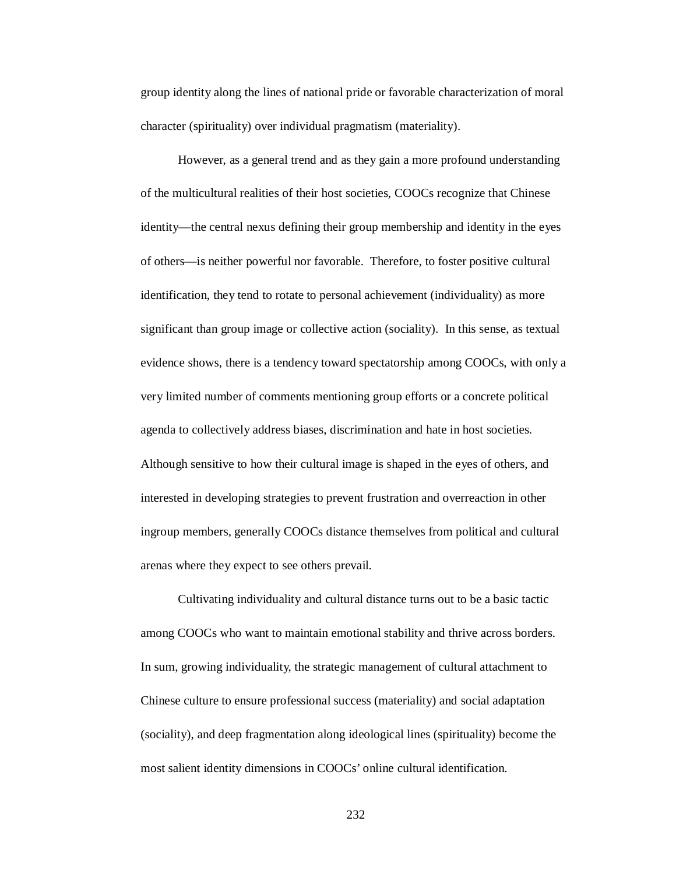group identity along the lines of national pride or favorable characterization of moral character (spirituality) over individual pragmatism (materiality).

However, as a general trend and as they gain a more profound understanding of the multicultural realities of their host societies, COOCs recognize that Chinese identity—the central nexus defining their group membership and identity in the eyes of others—is neither powerful nor favorable. Therefore, to foster positive cultural identification, they tend to rotate to personal achievement (individuality) as more significant than group image or collective action (sociality). In this sense, as textual evidence shows, there is a tendency toward spectatorship among COOCs, with only a very limited number of comments mentioning group efforts or a concrete political agenda to collectively address biases, discrimination and hate in host societies. Although sensitive to how their cultural image is shaped in the eyes of others, and interested in developing strategies to prevent frustration and overreaction in other ingroup members, generally COOCs distance themselves from political and cultural arenas where they expect to see others prevail.

Cultivating individuality and cultural distance turns out to be a basic tactic among COOCs who want to maintain emotional stability and thrive across borders. In sum, growing individuality, the strategic management of cultural attachment to Chinese culture to ensure professional success (materiality) and social adaptation (sociality), and deep fragmentation along ideological lines (spirituality) become the most salient identity dimensions in COOCs' online cultural identification.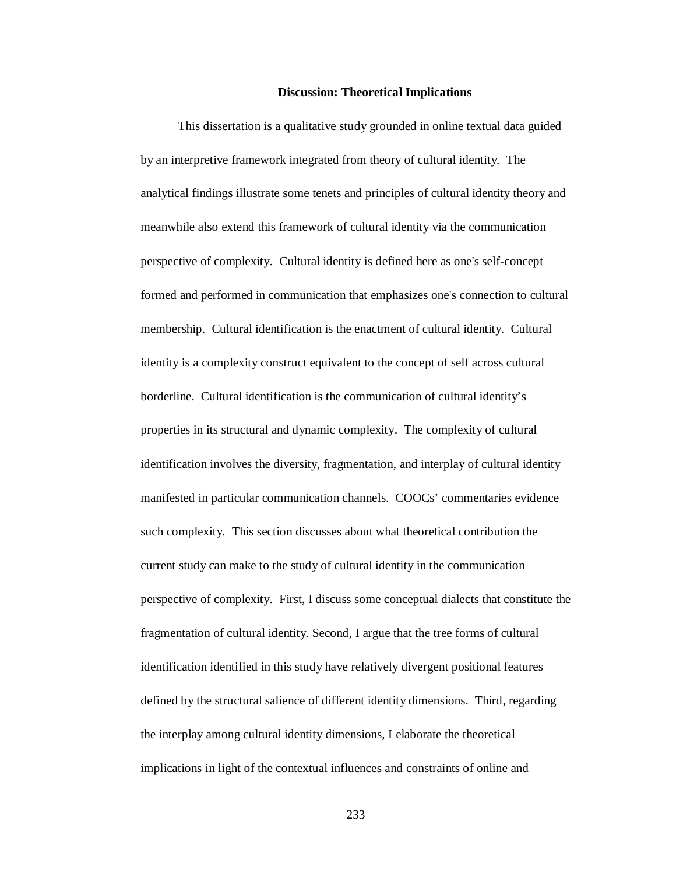## **Discussion: Theoretical Implications**

This dissertation is a qualitative study grounded in online textual data guided by an interpretive framework integrated from theory of cultural identity. The analytical findings illustrate some tenets and principles of cultural identity theory and meanwhile also extend this framework of cultural identity via the communication perspective of complexity. Cultural identity is defined here as one's self-concept formed and performed in communication that emphasizes one's connection to cultural membership. Cultural identification is the enactment of cultural identity. Cultural identity is a complexity construct equivalent to the concept of self across cultural borderline. Cultural identification is the communication of cultural identity's properties in its structural and dynamic complexity. The complexity of cultural identification involves the diversity, fragmentation, and interplay of cultural identity manifested in particular communication channels. COOCs' commentaries evidence such complexity. This section discusses about what theoretical contribution the current study can make to the study of cultural identity in the communication perspective of complexity. First, I discuss some conceptual dialects that constitute the fragmentation of cultural identity. Second, I argue that the tree forms of cultural identification identified in this study have relatively divergent positional features defined by the structural salience of different identity dimensions. Third, regarding the interplay among cultural identity dimensions, I elaborate the theoretical implications in light of the contextual influences and constraints of online and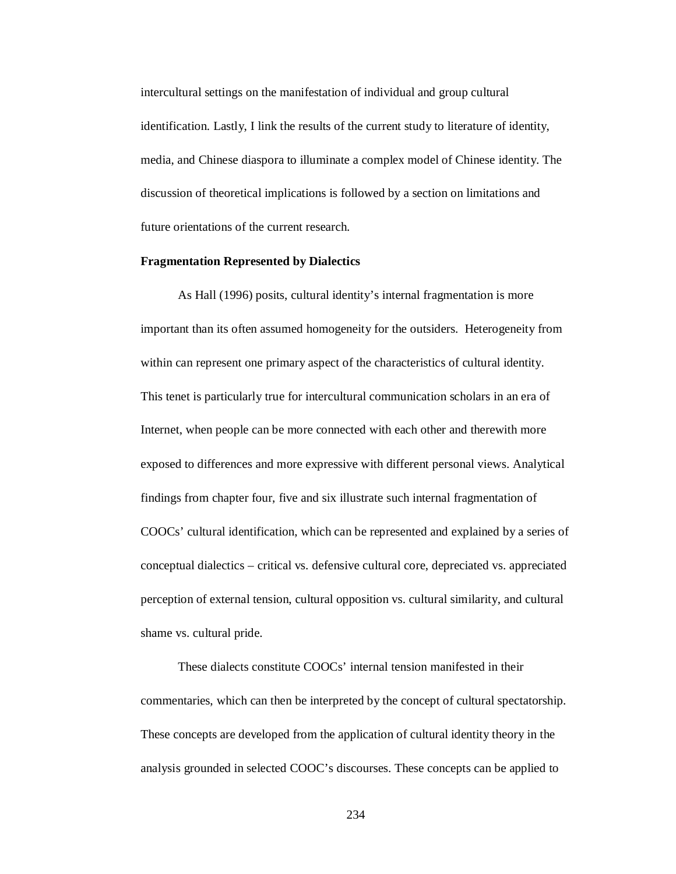intercultural settings on the manifestation of individual and group cultural identification. Lastly, I link the results of the current study to literature of identity, media, and Chinese diaspora to illuminate a complex model of Chinese identity. The discussion of theoretical implications is followed by a section on limitations and future orientations of the current research.

## **Fragmentation Represented by Dialectics**

As Hall (1996) posits, cultural identity's internal fragmentation is more important than its often assumed homogeneity for the outsiders. Heterogeneity from within can represent one primary aspect of the characteristics of cultural identity. This tenet is particularly true for intercultural communication scholars in an era of Internet, when people can be more connected with each other and therewith more exposed to differences and more expressive with different personal views. Analytical findings from chapter four, five and six illustrate such internal fragmentation of COOCs' cultural identification, which can be represented and explained by a series of conceptual dialectics – critical vs. defensive cultural core, depreciated vs. appreciated perception of external tension, cultural opposition vs. cultural similarity, and cultural shame vs. cultural pride.

These dialects constitute COOCs' internal tension manifested in their commentaries, which can then be interpreted by the concept of cultural spectatorship. These concepts are developed from the application of cultural identity theory in the analysis grounded in selected COOC's discourses. These concepts can be applied to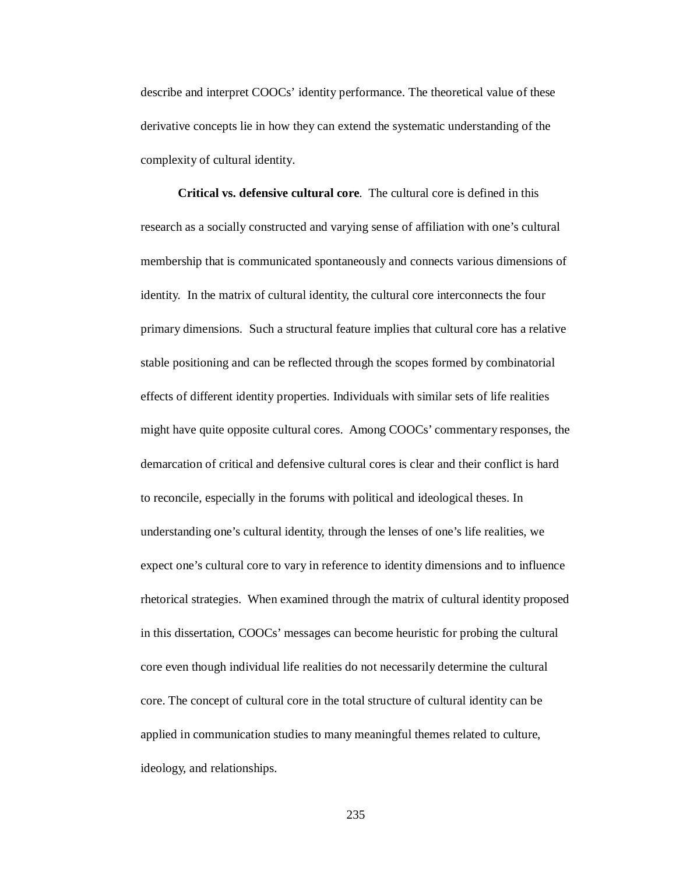describe and interpret COOCs' identity performance. The theoretical value of these derivative concepts lie in how they can extend the systematic understanding of the complexity of cultural identity.

**Critical vs. defensive cultural core**. The cultural core is defined in this research as a socially constructed and varying sense of affiliation with one's cultural membership that is communicated spontaneously and connects various dimensions of identity. In the matrix of cultural identity, the cultural core interconnects the four primary dimensions. Such a structural feature implies that cultural core has a relative stable positioning and can be reflected through the scopes formed by combinatorial effects of different identity properties. Individuals with similar sets of life realities might have quite opposite cultural cores. Among COOCs' commentary responses, the demarcation of critical and defensive cultural cores is clear and their conflict is hard to reconcile, especially in the forums with political and ideological theses. In understanding one's cultural identity, through the lenses of one's life realities, we expect one's cultural core to vary in reference to identity dimensions and to influence rhetorical strategies. When examined through the matrix of cultural identity proposed in this dissertation, COOCs' messages can become heuristic for probing the cultural core even though individual life realities do not necessarily determine the cultural core. The concept of cultural core in the total structure of cultural identity can be applied in communication studies to many meaningful themes related to culture, ideology, and relationships.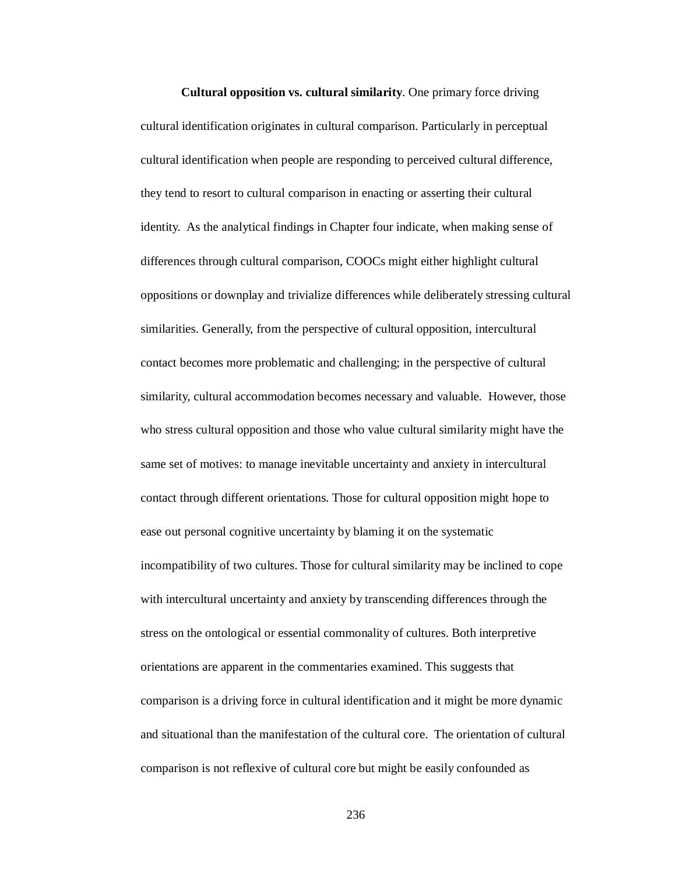**Cultural opposition vs. cultural similarity**. One primary force driving cultural identification originates in cultural comparison. Particularly in perceptual cultural identification when people are responding to perceived cultural difference, they tend to resort to cultural comparison in enacting or asserting their cultural identity. As the analytical findings in Chapter four indicate, when making sense of differences through cultural comparison, COOCs might either highlight cultural oppositions or downplay and trivialize differences while deliberately stressing cultural similarities. Generally, from the perspective of cultural opposition, intercultural contact becomes more problematic and challenging; in the perspective of cultural similarity, cultural accommodation becomes necessary and valuable. However, those who stress cultural opposition and those who value cultural similarity might have the same set of motives: to manage inevitable uncertainty and anxiety in intercultural contact through different orientations. Those for cultural opposition might hope to ease out personal cognitive uncertainty by blaming it on the systematic incompatibility of two cultures. Those for cultural similarity may be inclined to cope with intercultural uncertainty and anxiety by transcending differences through the stress on the ontological or essential commonality of cultures. Both interpretive orientations are apparent in the commentaries examined. This suggests that comparison is a driving force in cultural identification and it might be more dynamic and situational than the manifestation of the cultural core. The orientation of cultural comparison is not reflexive of cultural core but might be easily confounded as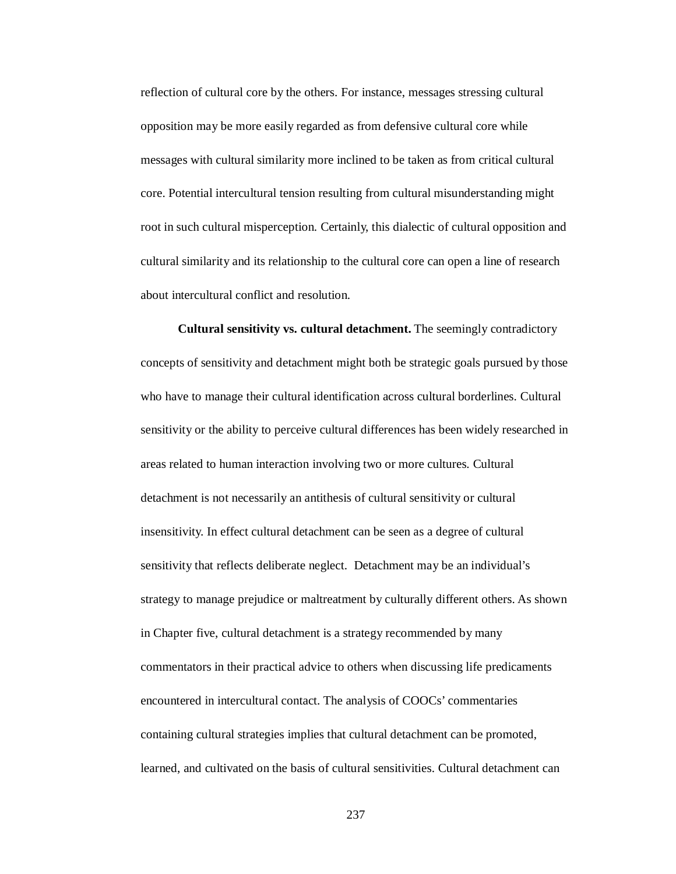reflection of cultural core by the others. For instance, messages stressing cultural opposition may be more easily regarded as from defensive cultural core while messages with cultural similarity more inclined to be taken as from critical cultural core. Potential intercultural tension resulting from cultural misunderstanding might root in such cultural misperception. Certainly, this dialectic of cultural opposition and cultural similarity and its relationship to the cultural core can open a line of research about intercultural conflict and resolution.

**Cultural sensitivity vs. cultural detachment.** The seemingly contradictory concepts of sensitivity and detachment might both be strategic goals pursued by those who have to manage their cultural identification across cultural borderlines. Cultural sensitivity or the ability to perceive cultural differences has been widely researched in areas related to human interaction involving two or more cultures. Cultural detachment is not necessarily an antithesis of cultural sensitivity or cultural insensitivity. In effect cultural detachment can be seen as a degree of cultural sensitivity that reflects deliberate neglect. Detachment may be an individual's strategy to manage prejudice or maltreatment by culturally different others. As shown in Chapter five, cultural detachment is a strategy recommended by many commentators in their practical advice to others when discussing life predicaments encountered in intercultural contact. The analysis of COOCs' commentaries containing cultural strategies implies that cultural detachment can be promoted, learned, and cultivated on the basis of cultural sensitivities. Cultural detachment can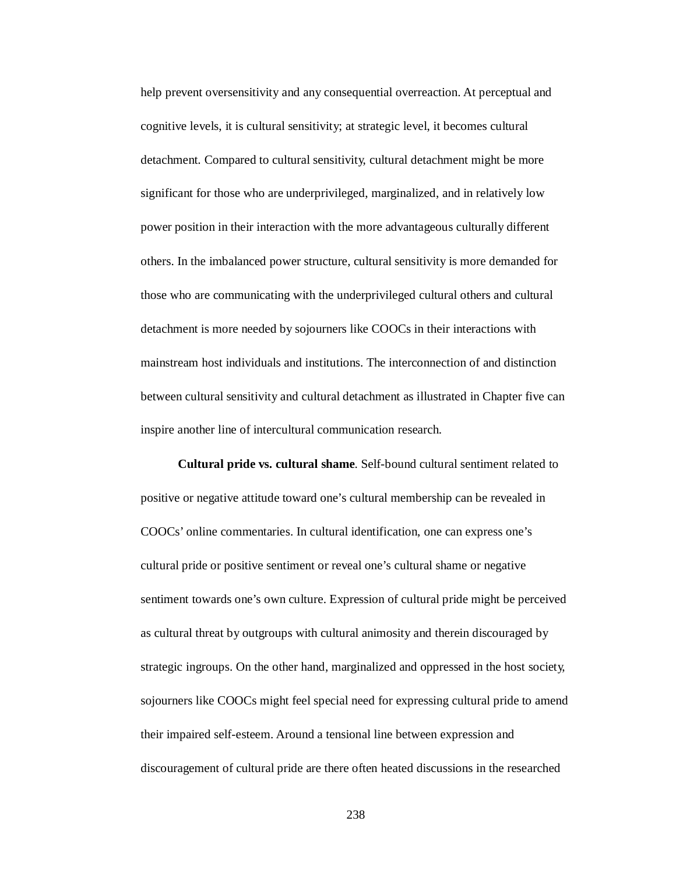help prevent oversensitivity and any consequential overreaction. At perceptual and cognitive levels, it is cultural sensitivity; at strategic level, it becomes cultural detachment. Compared to cultural sensitivity, cultural detachment might be more significant for those who are underprivileged, marginalized, and in relatively low power position in their interaction with the more advantageous culturally different others. In the imbalanced power structure, cultural sensitivity is more demanded for those who are communicating with the underprivileged cultural others and cultural detachment is more needed by sojourners like COOCs in their interactions with mainstream host individuals and institutions. The interconnection of and distinction between cultural sensitivity and cultural detachment as illustrated in Chapter five can inspire another line of intercultural communication research.

**Cultural pride vs. cultural shame**. Self-bound cultural sentiment related to positive or negative attitude toward one's cultural membership can be revealed in COOCs' online commentaries. In cultural identification, one can express one's cultural pride or positive sentiment or reveal one's cultural shame or negative sentiment towards one's own culture. Expression of cultural pride might be perceived as cultural threat by outgroups with cultural animosity and therein discouraged by strategic ingroups. On the other hand, marginalized and oppressed in the host society, sojourners like COOCs might feel special need for expressing cultural pride to amend their impaired self-esteem. Around a tensional line between expression and discouragement of cultural pride are there often heated discussions in the researched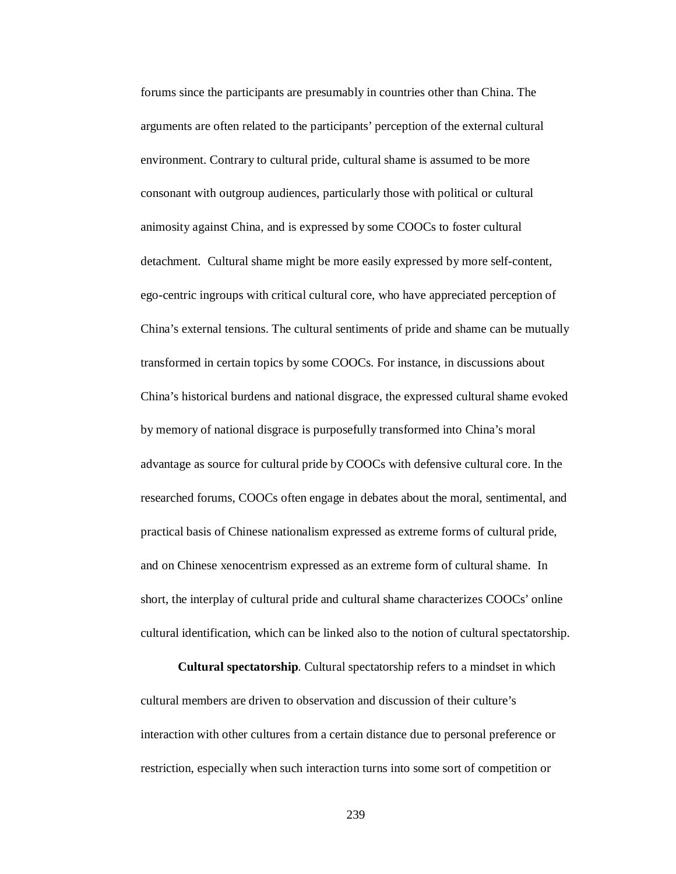forums since the participants are presumably in countries other than China. The arguments are often related to the participants' perception of the external cultural environment. Contrary to cultural pride, cultural shame is assumed to be more consonant with outgroup audiences, particularly those with political or cultural animosity against China, and is expressed by some COOCs to foster cultural detachment. Cultural shame might be more easily expressed by more self-content, ego-centric ingroups with critical cultural core, who have appreciated perception of China's external tensions. The cultural sentiments of pride and shame can be mutually transformed in certain topics by some COOCs. For instance, in discussions about China's historical burdens and national disgrace, the expressed cultural shame evoked by memory of national disgrace is purposefully transformed into China's moral advantage as source for cultural pride by COOCs with defensive cultural core. In the researched forums, COOCs often engage in debates about the moral, sentimental, and practical basis of Chinese nationalism expressed as extreme forms of cultural pride, and on Chinese xenocentrism expressed as an extreme form of cultural shame. In short, the interplay of cultural pride and cultural shame characterizes COOCs' online cultural identification, which can be linked also to the notion of cultural spectatorship.

**Cultural spectatorship**. Cultural spectatorship refers to a mindset in which cultural members are driven to observation and discussion of their culture's interaction with other cultures from a certain distance due to personal preference or restriction, especially when such interaction turns into some sort of competition or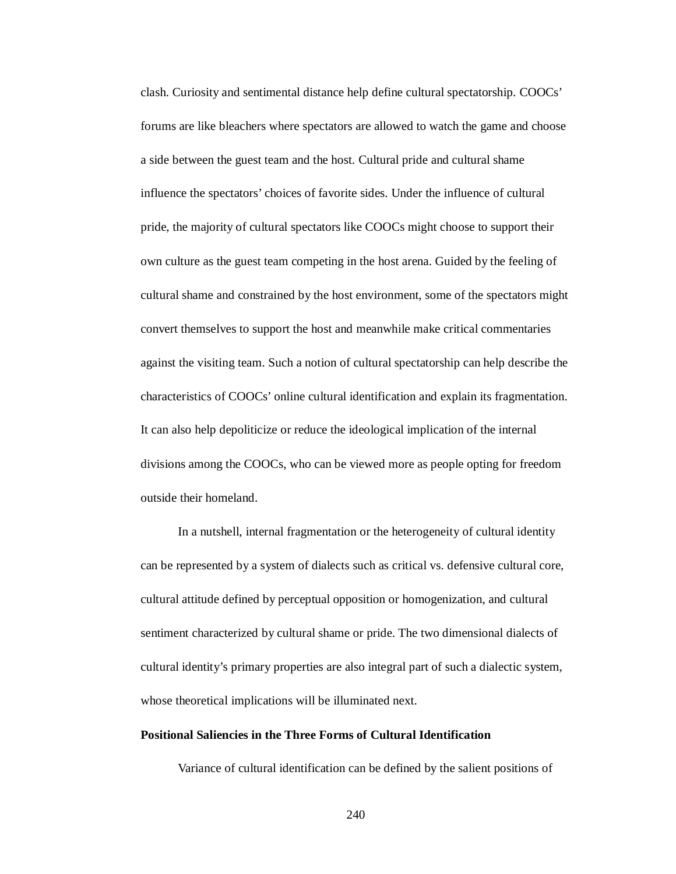clash. Curiosity and sentimental distance help define cultural spectatorship. COOCs' forums are like bleachers where spectators are allowed to watch the game and choose a side between the guest team and the host. Cultural pride and cultural shame influence the spectators' choices of favorite sides. Under the influence of cultural pride, the majority of cultural spectators like COOCs might choose to support their own culture as the guest team competing in the host arena. Guided by the feeling of cultural shame and constrained by the host environment, some of the spectators might convert themselves to support the host and meanwhile make critical commentaries against the visiting team. Such a notion of cultural spectatorship can help describe the characteristics of COOCs' online cultural identification and explain its fragmentation. It can also help depoliticize or reduce the ideological implication of the internal divisions among the COOCs, who can be viewed more as people opting for freedom outside their homeland.

In a nutshell, internal fragmentation or the heterogeneity of cultural identity can be represented by a system of dialects such as critical vs. defensive cultural core, cultural attitude defined by perceptual opposition or homogenization, and cultural sentiment characterized by cultural shame or pride. The two dimensional dialects of cultural identity's primary properties are also integral part of such a dialectic system, whose theoretical implications will be illuminated next.

## **Positional Saliencies in the Three Forms of Cultural Identification**

Variance of cultural identification can be defined by the salient positions of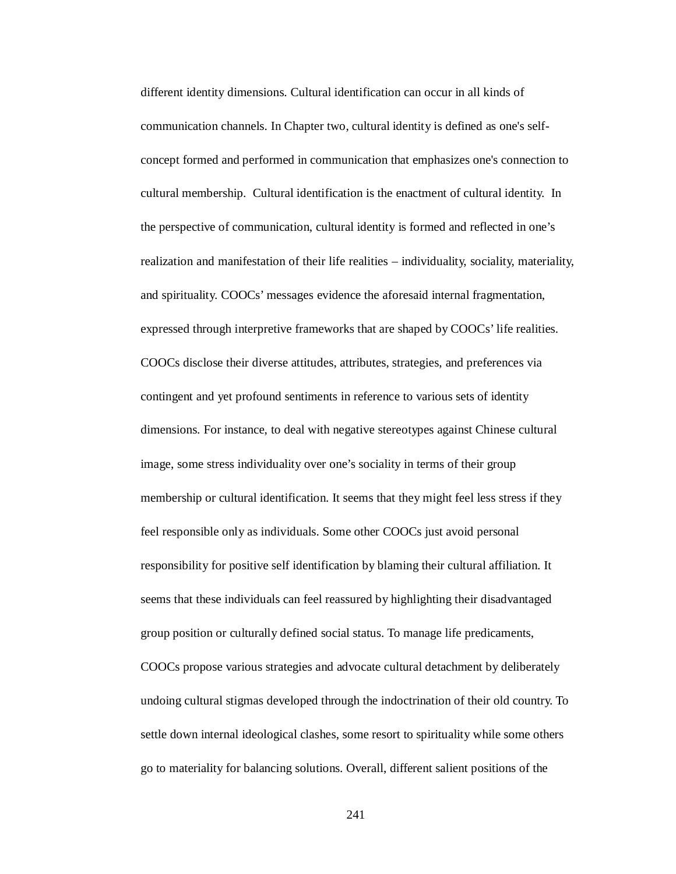different identity dimensions. Cultural identification can occur in all kinds of communication channels. In Chapter two, cultural identity is defined as one's selfconcept formed and performed in communication that emphasizes one's connection to cultural membership. Cultural identification is the enactment of cultural identity. In the perspective of communication, cultural identity is formed and reflected in one's realization and manifestation of their life realities – individuality, sociality, materiality, and spirituality. COOCs' messages evidence the aforesaid internal fragmentation, expressed through interpretive frameworks that are shaped by COOCs' life realities. COOCs disclose their diverse attitudes, attributes, strategies, and preferences via contingent and yet profound sentiments in reference to various sets of identity dimensions. For instance, to deal with negative stereotypes against Chinese cultural image, some stress individuality over one's sociality in terms of their group membership or cultural identification. It seems that they might feel less stress if they feel responsible only as individuals. Some other COOCs just avoid personal responsibility for positive self identification by blaming their cultural affiliation. It seems that these individuals can feel reassured by highlighting their disadvantaged group position or culturally defined social status. To manage life predicaments, COOCs propose various strategies and advocate cultural detachment by deliberately undoing cultural stigmas developed through the indoctrination of their old country. To settle down internal ideological clashes, some resort to spirituality while some others go to materiality for balancing solutions. Overall, different salient positions of the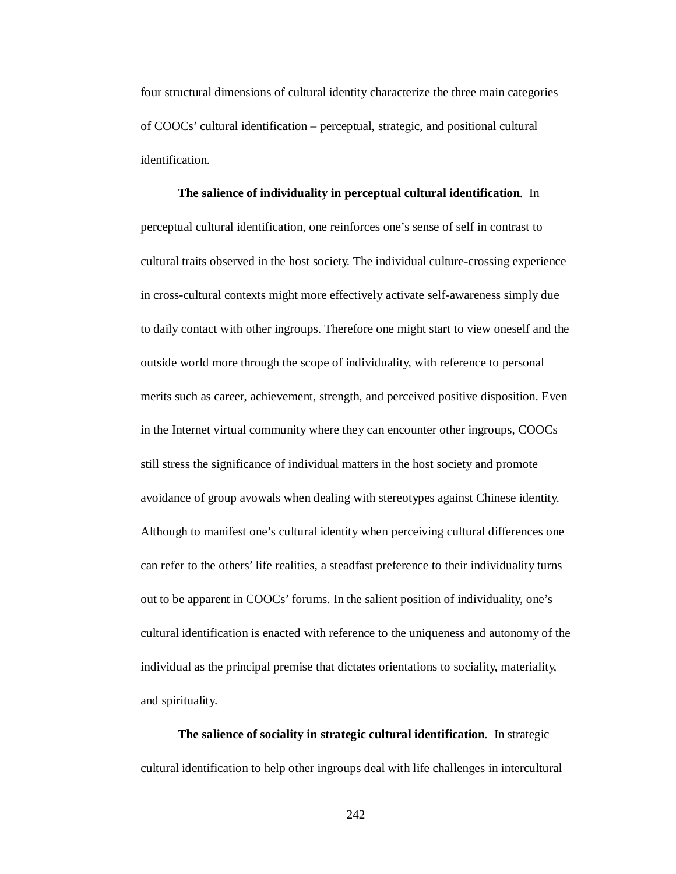four structural dimensions of cultural identity characterize the three main categories of COOCs' cultural identification – perceptual, strategic, and positional cultural identification.

**The salience of individuality in perceptual cultural identification***.* In perceptual cultural identification, one reinforces one's sense of self in contrast to cultural traits observed in the host society. The individual culture-crossing experience in cross-cultural contexts might more effectively activate self-awareness simply due to daily contact with other ingroups. Therefore one might start to view oneself and the outside world more through the scope of individuality, with reference to personal merits such as career, achievement, strength, and perceived positive disposition. Even in the Internet virtual community where they can encounter other ingroups, COOCs still stress the significance of individual matters in the host society and promote avoidance of group avowals when dealing with stereotypes against Chinese identity. Although to manifest one's cultural identity when perceiving cultural differences one can refer to the others' life realities, a steadfast preference to their individuality turns out to be apparent in COOCs' forums. In the salient position of individuality, one's cultural identification is enacted with reference to the uniqueness and autonomy of the individual as the principal premise that dictates orientations to sociality, materiality, and spirituality.

**The salience of sociality in strategic cultural identification***.* In strategic cultural identification to help other ingroups deal with life challenges in intercultural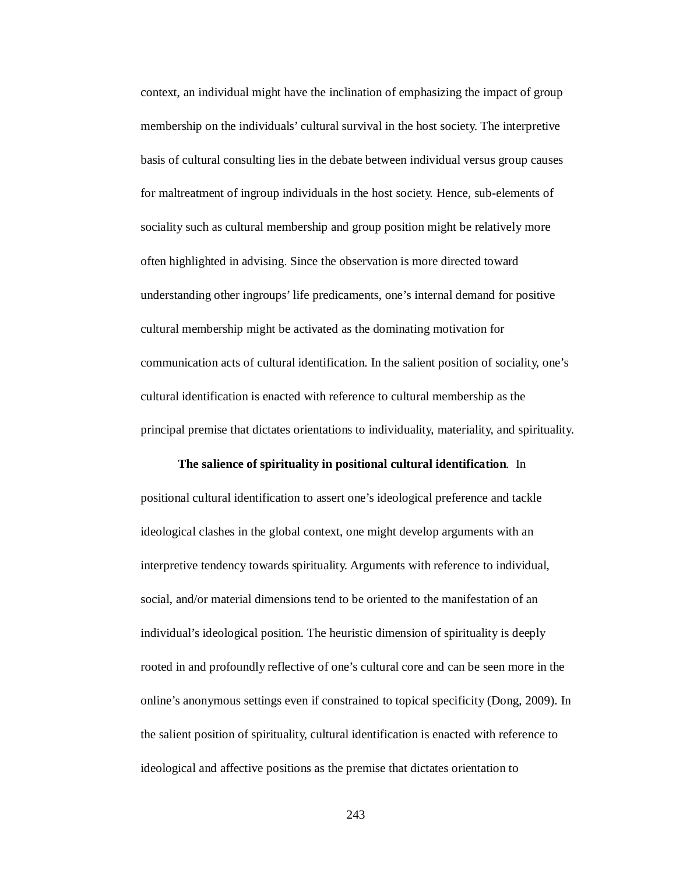context, an individual might have the inclination of emphasizing the impact of group membership on the individuals' cultural survival in the host society. The interpretive basis of cultural consulting lies in the debate between individual versus group causes for maltreatment of ingroup individuals in the host society. Hence, sub-elements of sociality such as cultural membership and group position might be relatively more often highlighted in advising. Since the observation is more directed toward understanding other ingroups' life predicaments, one's internal demand for positive cultural membership might be activated as the dominating motivation for communication acts of cultural identification. In the salient position of sociality, one's cultural identification is enacted with reference to cultural membership as the principal premise that dictates orientations to individuality, materiality, and spirituality.

#### **The salience of spirituality in positional cultural identification***.* In

positional cultural identification to assert one's ideological preference and tackle ideological clashes in the global context, one might develop arguments with an interpretive tendency towards spirituality. Arguments with reference to individual, social, and/or material dimensions tend to be oriented to the manifestation of an individual's ideological position. The heuristic dimension of spirituality is deeply rooted in and profoundly reflective of one's cultural core and can be seen more in the online's anonymous settings even if constrained to topical specificity (Dong, 2009). In the salient position of spirituality, cultural identification is enacted with reference to ideological and affective positions as the premise that dictates orientation to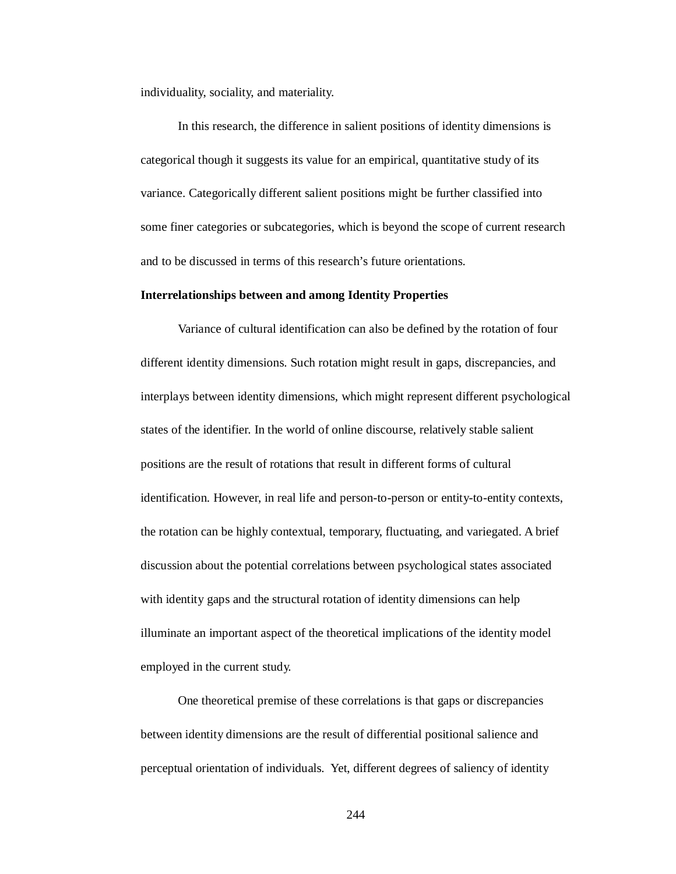individuality, sociality, and materiality.

In this research, the difference in salient positions of identity dimensions is categorical though it suggests its value for an empirical, quantitative study of its variance. Categorically different salient positions might be further classified into some finer categories or subcategories, which is beyond the scope of current research and to be discussed in terms of this research's future orientations.

#### **Interrelationships between and among Identity Properties**

Variance of cultural identification can also be defined by the rotation of four different identity dimensions. Such rotation might result in gaps, discrepancies, and interplays between identity dimensions, which might represent different psychological states of the identifier. In the world of online discourse, relatively stable salient positions are the result of rotations that result in different forms of cultural identification. However, in real life and person-to-person or entity-to-entity contexts, the rotation can be highly contextual, temporary, fluctuating, and variegated. A brief discussion about the potential correlations between psychological states associated with identity gaps and the structural rotation of identity dimensions can help illuminate an important aspect of the theoretical implications of the identity model employed in the current study.

One theoretical premise of these correlations is that gaps or discrepancies between identity dimensions are the result of differential positional salience and perceptual orientation of individuals. Yet, different degrees of saliency of identity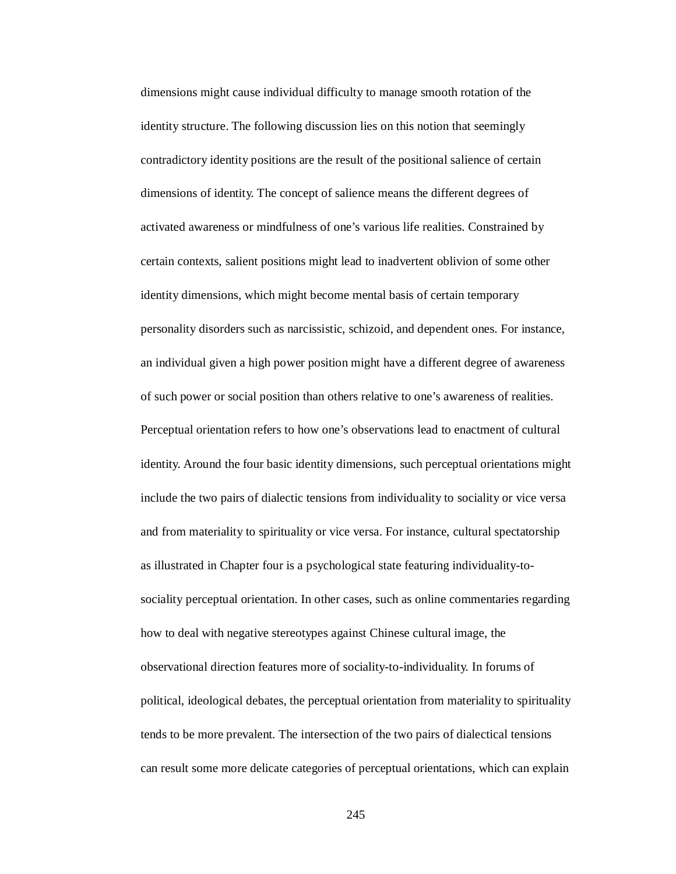dimensions might cause individual difficulty to manage smooth rotation of the identity structure. The following discussion lies on this notion that seemingly contradictory identity positions are the result of the positional salience of certain dimensions of identity. The concept of salience means the different degrees of activated awareness or mindfulness of one's various life realities. Constrained by certain contexts, salient positions might lead to inadvertent oblivion of some other identity dimensions, which might become mental basis of certain temporary personality disorders such as narcissistic, schizoid, and dependent ones. For instance, an individual given a high power position might have a different degree of awareness of such power or social position than others relative to one's awareness of realities. Perceptual orientation refers to how one's observations lead to enactment of cultural identity. Around the four basic identity dimensions, such perceptual orientations might include the two pairs of dialectic tensions from individuality to sociality or vice versa and from materiality to spirituality or vice versa. For instance, cultural spectatorship as illustrated in Chapter four is a psychological state featuring individuality-tosociality perceptual orientation. In other cases, such as online commentaries regarding how to deal with negative stereotypes against Chinese cultural image, the observational direction features more of sociality-to-individuality. In forums of political, ideological debates, the perceptual orientation from materiality to spirituality tends to be more prevalent. The intersection of the two pairs of dialectical tensions can result some more delicate categories of perceptual orientations, which can explain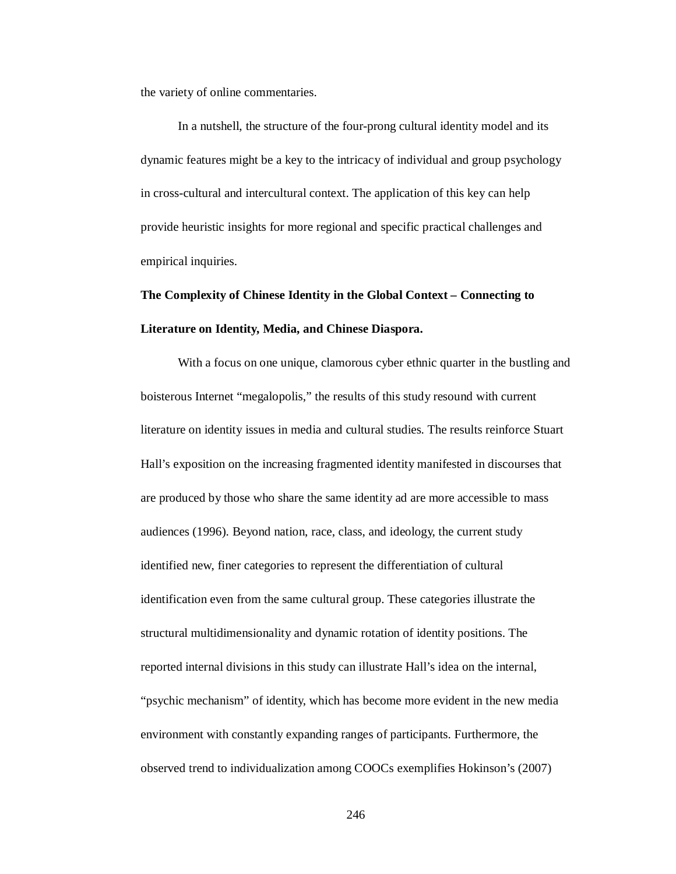the variety of online commentaries.

In a nutshell, the structure of the four-prong cultural identity model and its dynamic features might be a key to the intricacy of individual and group psychology in cross-cultural and intercultural context. The application of this key can help provide heuristic insights for more regional and specific practical challenges and empirical inquiries.

# **The Complexity of Chinese Identity in the Global Context – Connecting to Literature on Identity, Media, and Chinese Diaspora.**

With a focus on one unique, clamorous cyber ethnic quarter in the bustling and boisterous Internet "megalopolis," the results of this study resound with current literature on identity issues in media and cultural studies. The results reinforce Stuart Hall's exposition on the increasing fragmented identity manifested in discourses that are produced by those who share the same identity ad are more accessible to mass audiences (1996). Beyond nation, race, class, and ideology, the current study identified new, finer categories to represent the differentiation of cultural identification even from the same cultural group. These categories illustrate the structural multidimensionality and dynamic rotation of identity positions. The reported internal divisions in this study can illustrate Hall's idea on the internal, "psychic mechanism" of identity, which has become more evident in the new media environment with constantly expanding ranges of participants. Furthermore, the observed trend to individualization among COOCs exemplifies Hokinson's (2007)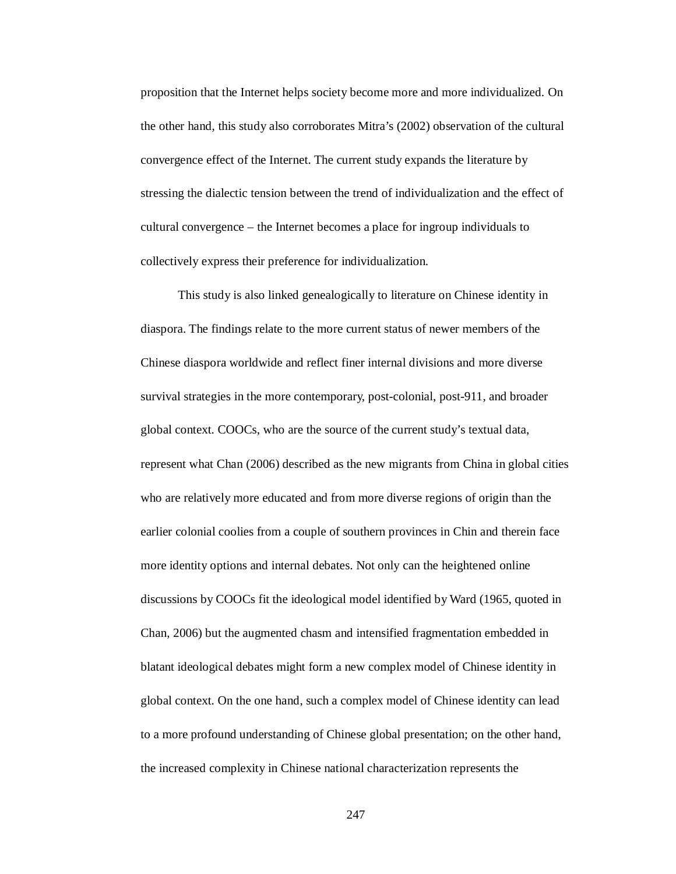proposition that the Internet helps society become more and more individualized. On the other hand, this study also corroborates Mitra's (2002) observation of the cultural convergence effect of the Internet. The current study expands the literature by stressing the dialectic tension between the trend of individualization and the effect of cultural convergence – the Internet becomes a place for ingroup individuals to collectively express their preference for individualization.

This study is also linked genealogically to literature on Chinese identity in diaspora. The findings relate to the more current status of newer members of the Chinese diaspora worldwide and reflect finer internal divisions and more diverse survival strategies in the more contemporary, post-colonial, post-911, and broader global context. COOCs, who are the source of the current study's textual data, represent what Chan (2006) described as the new migrants from China in global cities who are relatively more educated and from more diverse regions of origin than the earlier colonial coolies from a couple of southern provinces in Chin and therein face more identity options and internal debates. Not only can the heightened online discussions by COOCs fit the ideological model identified by Ward (1965, quoted in Chan, 2006) but the augmented chasm and intensified fragmentation embedded in blatant ideological debates might form a new complex model of Chinese identity in global context. On the one hand, such a complex model of Chinese identity can lead to a more profound understanding of Chinese global presentation; on the other hand, the increased complexity in Chinese national characterization represents the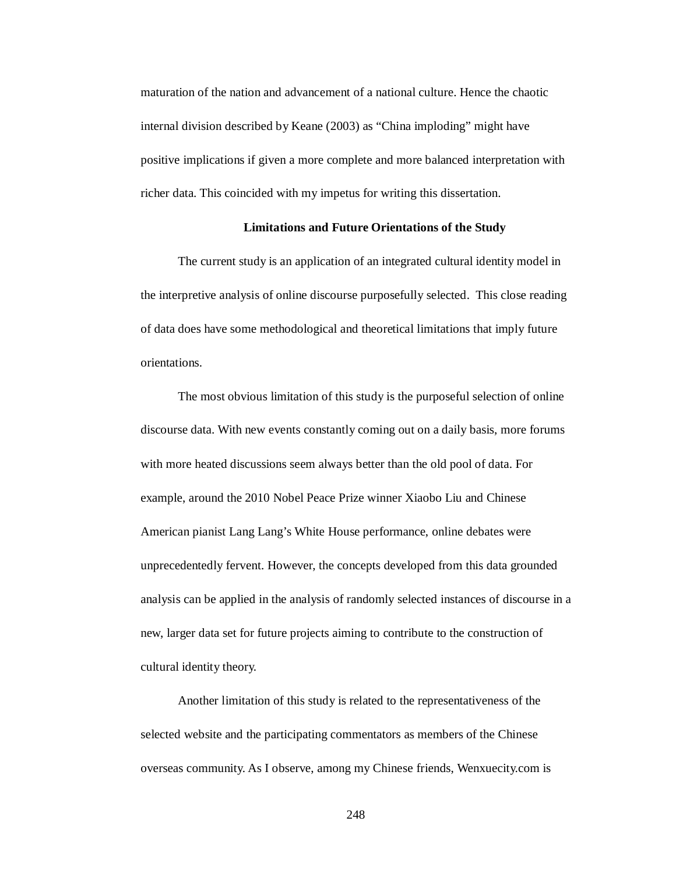maturation of the nation and advancement of a national culture. Hence the chaotic internal division described by Keane (2003) as "China imploding" might have positive implications if given a more complete and more balanced interpretation with richer data. This coincided with my impetus for writing this dissertation.

## **Limitations and Future Orientations of the Study**

The current study is an application of an integrated cultural identity model in the interpretive analysis of online discourse purposefully selected. This close reading of data does have some methodological and theoretical limitations that imply future orientations.

The most obvious limitation of this study is the purposeful selection of online discourse data. With new events constantly coming out on a daily basis, more forums with more heated discussions seem always better than the old pool of data. For example, around the 2010 Nobel Peace Prize winner Xiaobo Liu and Chinese American pianist Lang Lang's White House performance, online debates were unprecedentedly fervent. However, the concepts developed from this data grounded analysis can be applied in the analysis of randomly selected instances of discourse in a new, larger data set for future projects aiming to contribute to the construction of cultural identity theory.

Another limitation of this study is related to the representativeness of the selected website and the participating commentators as members of the Chinese overseas community. As I observe, among my Chinese friends, Wenxuecity.com is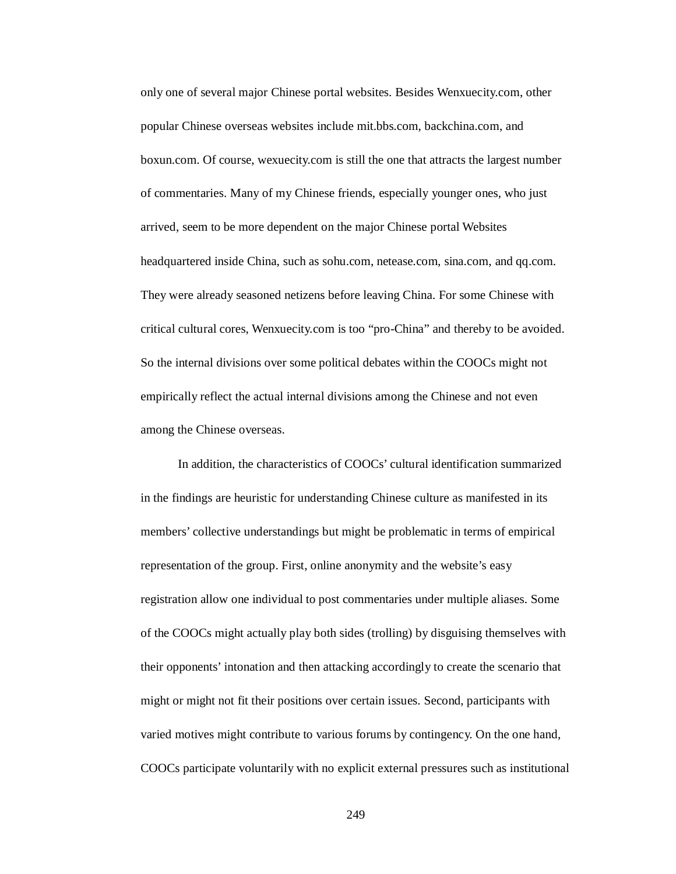only one of several major Chinese portal websites. Besides Wenxuecity.com, other popular Chinese overseas websites include mit.bbs.com, backchina.com, and boxun.com. Of course, wexuecity.com is still the one that attracts the largest number of commentaries. Many of my Chinese friends, especially younger ones, who just arrived, seem to be more dependent on the major Chinese portal Websites headquartered inside China, such as sohu.com, netease.com, sina.com, and qq.com. They were already seasoned netizens before leaving China. For some Chinese with critical cultural cores, Wenxuecity.com is too "pro-China" and thereby to be avoided. So the internal divisions over some political debates within the COOCs might not empirically reflect the actual internal divisions among the Chinese and not even among the Chinese overseas.

In addition, the characteristics of COOCs' cultural identification summarized in the findings are heuristic for understanding Chinese culture as manifested in its members' collective understandings but might be problematic in terms of empirical representation of the group. First, online anonymity and the website's easy registration allow one individual to post commentaries under multiple aliases. Some of the COOCs might actually play both sides (trolling) by disguising themselves with their opponents' intonation and then attacking accordingly to create the scenario that might or might not fit their positions over certain issues. Second, participants with varied motives might contribute to various forums by contingency. On the one hand, COOCs participate voluntarily with no explicit external pressures such as institutional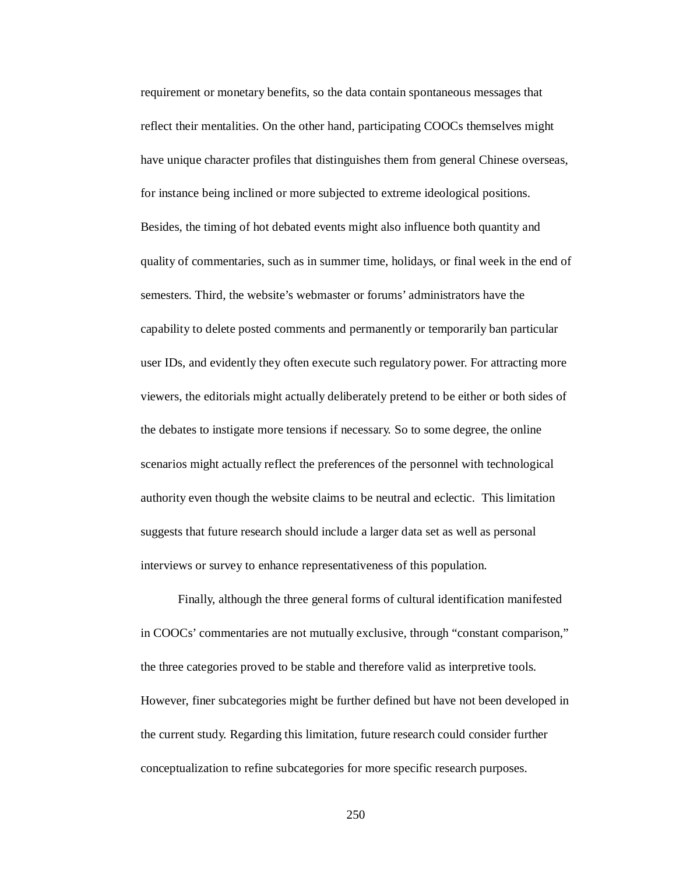requirement or monetary benefits, so the data contain spontaneous messages that reflect their mentalities. On the other hand, participating COOCs themselves might have unique character profiles that distinguishes them from general Chinese overseas, for instance being inclined or more subjected to extreme ideological positions. Besides, the timing of hot debated events might also influence both quantity and quality of commentaries, such as in summer time, holidays, or final week in the end of semesters. Third, the website's webmaster or forums' administrators have the capability to delete posted comments and permanently or temporarily ban particular user IDs, and evidently they often execute such regulatory power. For attracting more viewers, the editorials might actually deliberately pretend to be either or both sides of the debates to instigate more tensions if necessary. So to some degree, the online scenarios might actually reflect the preferences of the personnel with technological authority even though the website claims to be neutral and eclectic. This limitation suggests that future research should include a larger data set as well as personal interviews or survey to enhance representativeness of this population.

Finally, although the three general forms of cultural identification manifested in COOCs' commentaries are not mutually exclusive, through "constant comparison," the three categories proved to be stable and therefore valid as interpretive tools. However, finer subcategories might be further defined but have not been developed in the current study. Regarding this limitation, future research could consider further conceptualization to refine subcategories for more specific research purposes.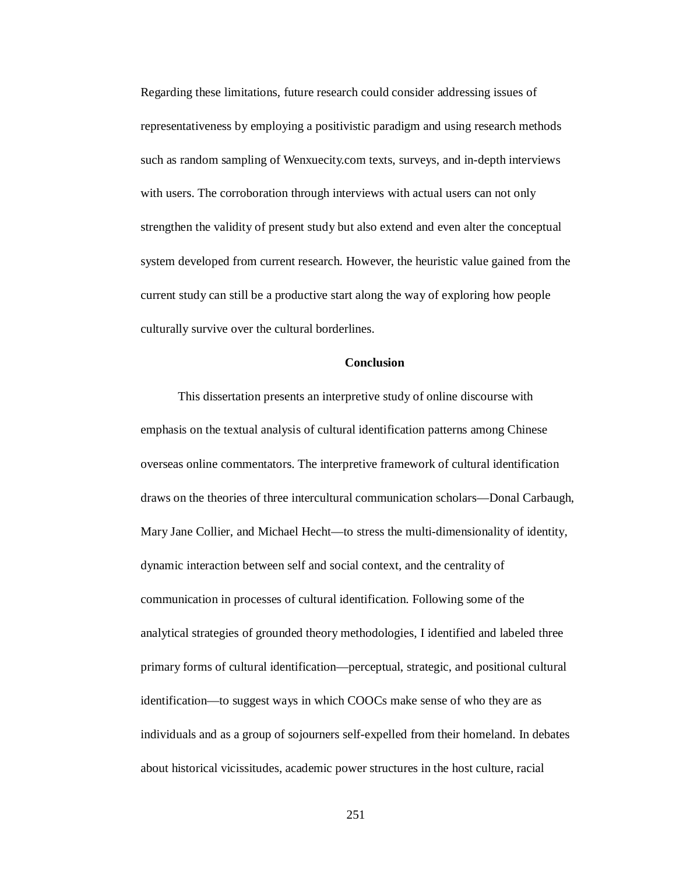Regarding these limitations, future research could consider addressing issues of representativeness by employing a positivistic paradigm and using research methods such as random sampling of Wenxuecity.com texts, surveys, and in-depth interviews with users. The corroboration through interviews with actual users can not only strengthen the validity of present study but also extend and even alter the conceptual system developed from current research. However, the heuristic value gained from the current study can still be a productive start along the way of exploring how people culturally survive over the cultural borderlines.

# **Conclusion**

This dissertation presents an interpretive study of online discourse with emphasis on the textual analysis of cultural identification patterns among Chinese overseas online commentators. The interpretive framework of cultural identification draws on the theories of three intercultural communication scholars—Donal Carbaugh, Mary Jane Collier, and Michael Hecht—to stress the multi-dimensionality of identity, dynamic interaction between self and social context, and the centrality of communication in processes of cultural identification. Following some of the analytical strategies of grounded theory methodologies, I identified and labeled three primary forms of cultural identification—perceptual, strategic, and positional cultural identification—to suggest ways in which COOCs make sense of who they are as individuals and as a group of sojourners self-expelled from their homeland. In debates about historical vicissitudes, academic power structures in the host culture, racial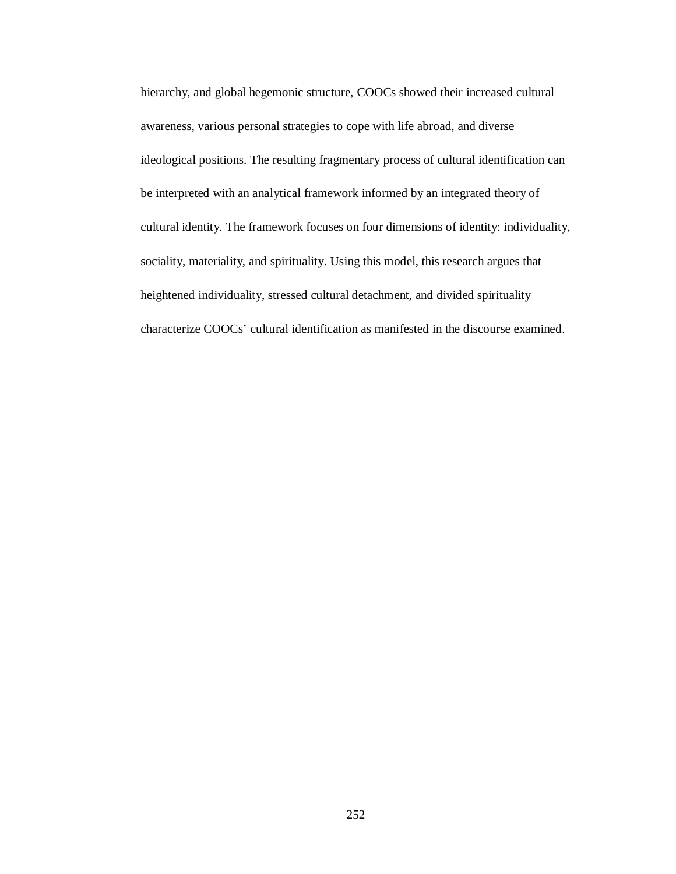hierarchy, and global hegemonic structure, COOCs showed their increased cultural awareness, various personal strategies to cope with life abroad, and diverse ideological positions. The resulting fragmentary process of cultural identification can be interpreted with an analytical framework informed by an integrated theory of cultural identity. The framework focuses on four dimensions of identity: individuality, sociality, materiality, and spirituality. Using this model, this research argues that heightened individuality, stressed cultural detachment, and divided spirituality characterize COOCs' cultural identification as manifested in the discourse examined.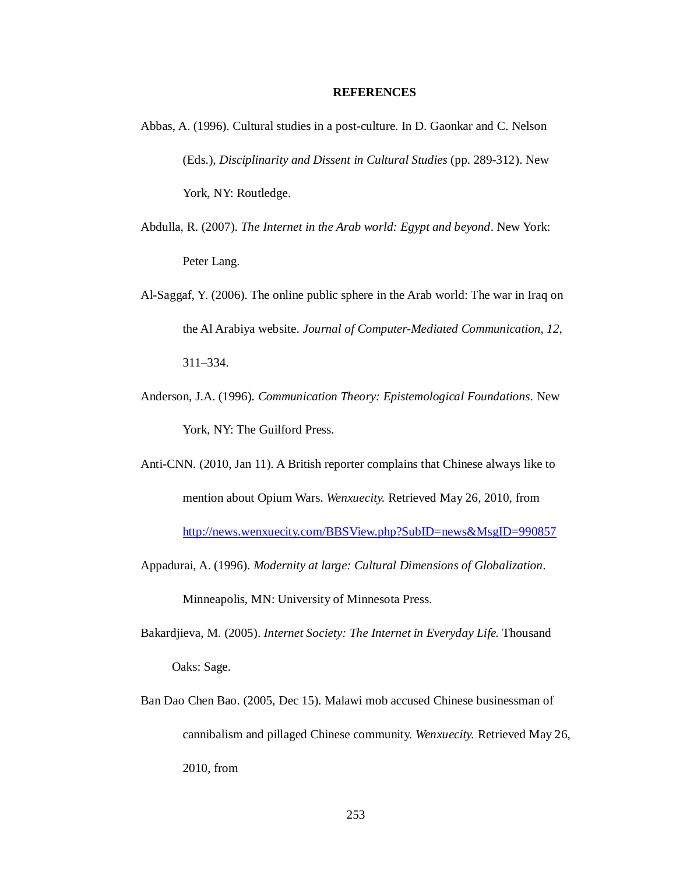## **REFERENCES**

- Abbas, A. (1996). Cultural studies in a post-culture. In D. Gaonkar and C. Nelson (Eds.), *Disciplinarity and Dissent in Cultural Studies* (pp. 289-312). New York, NY: Routledge.
- Abdulla, R. (2007). *The Internet in the Arab world: Egypt and beyond*. New York: Peter Lang.
- Al-Saggaf, Y. (2006). The online public sphere in the Arab world: The war in Iraq on the Al Arabiya website. *Journal of Computer-Mediated Communication, 12*, 311–334.
- Anderson, J.A. (1996). *Communication Theory: Epistemological Foundations*. New York, NY: The Guilford Press.
- Anti-CNN. (2010, Jan 11). A British reporter complains that Chinese always like to mention about Opium Wars. *Wenxuecity.* Retrieved May 26, 2010, from http://news.wenxuecity.com/BBSView.php?SubID=news&MsgID=990857
- Appadurai, A. (1996). *Modernity at large: Cultural Dimensions of Globalization*. Minneapolis, MN: University of Minnesota Press.
- Bakardjieva, M. (2005). *Internet Society: The Internet in Everyday Life.* Thousand Oaks: Sage.
- Ban Dao Chen Bao. (2005, Dec 15). Malawi mob accused Chinese businessman of cannibalism and pillaged Chinese community. *Wenxuecity.* Retrieved May 26, 2010, from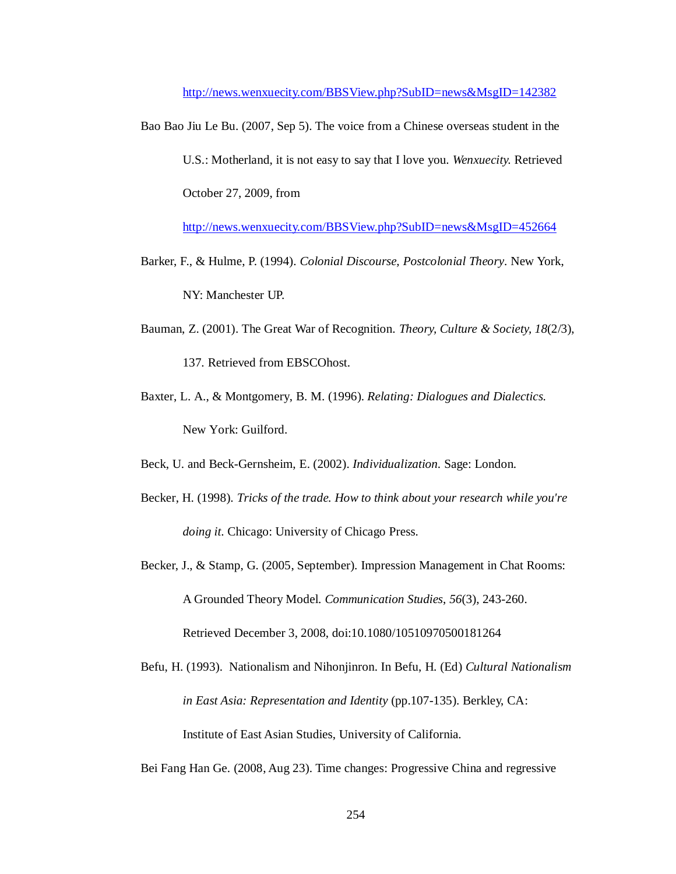http://news.wenxuecity.com/BBSView.php?SubID=news&MsgID=142382

Bao Bao Jiu Le Bu. (2007, Sep 5). The voice from a Chinese overseas student in the U.S.: Motherland, it is not easy to say that I love you. *Wenxuecity.* Retrieved October 27, 2009, from

http://news.wenxuecity.com/BBSView.php?SubID=news&MsgID=452664

- Barker, F., & Hulme, P. (1994). *Colonial Discourse, Postcolonial Theory*. New York, NY: Manchester UP.
- Bauman, Z. (2001). The Great War of Recognition. *Theory, Culture & Society, 18*(2/3), 137. Retrieved from EBSCOhost.
- Baxter, L. A., & Montgomery, B. M. (1996). *Relating: Dialogues and Dialectics.* New York: Guilford.

Beck, U. and Beck-Gernsheim, E. (2002). *Individualization*. Sage: London.

- Becker, H. (1998). *Tricks of the trade. How to think about your research while you're doing it.* Chicago: University of Chicago Press.
- Becker, J., & Stamp, G. (2005, September). Impression Management in Chat Rooms: A Grounded Theory Model. *Communication Studies*, *56*(3), 243-260. Retrieved December 3, 2008, doi:10.1080/10510970500181264

Befu, H. (1993). Nationalism and Nihonjinron. In Befu, H. (Ed) *Cultural Nationalism in East Asia: Representation and Identity* (pp.107-135). Berkley, CA: Institute of East Asian Studies, University of California.

Bei Fang Han Ge. (2008, Aug 23). Time changes: Progressive China and regressive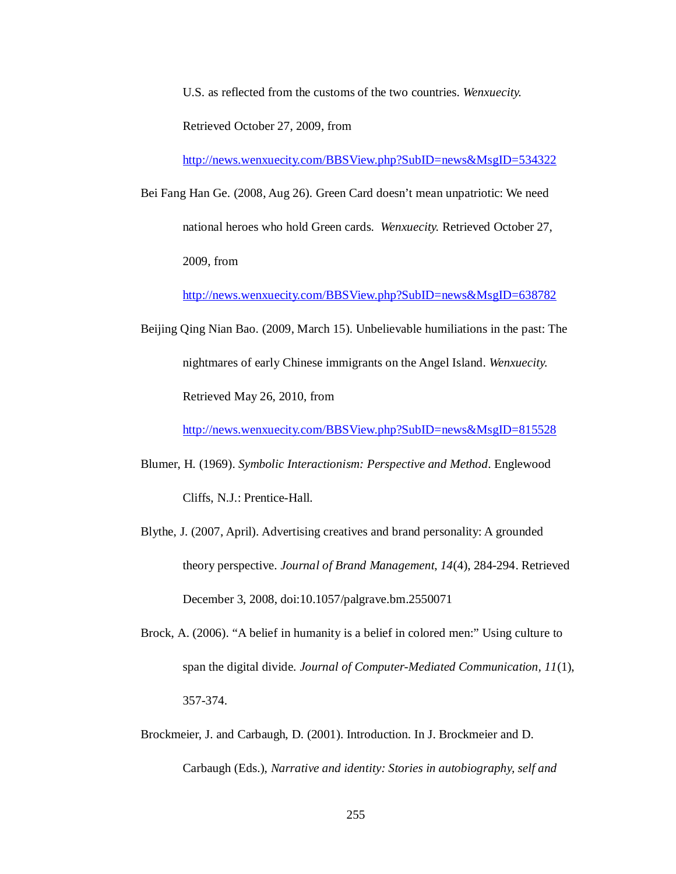U.S. as reflected from the customs of the two countries. *Wenxuecity.*

Retrieved October 27, 2009, from

http://news.wenxuecity.com/BBSView.php?SubID=news&MsgID=534322

Bei Fang Han Ge. (2008, Aug 26). Green Card doesn't mean unpatriotic: We need national heroes who hold Green cards. *Wenxuecity.* Retrieved October 27, 2009, from

http://news.wenxuecity.com/BBSView.php?SubID=news&MsgID=638782

Beijing Qing Nian Bao. (2009, March 15). Unbelievable humiliations in the past: The nightmares of early Chinese immigrants on the Angel Island. *Wenxuecity.* Retrieved May 26, 2010, from

http://news.wenxuecity.com/BBSView.php?SubID=news&MsgID=815528

- Blumer, H. (1969). *Symbolic Interactionism: Perspective and Method*. Englewood Cliffs, N.J.: Prentice-Hall.
- Blythe, J. (2007, April). Advertising creatives and brand personality: A grounded theory perspective. *Journal of Brand Management*, *14*(4), 284-294. Retrieved December 3, 2008, doi:10.1057/palgrave.bm.2550071
- Brock, A. (2006). "A belief in humanity is a belief in colored men:" Using culture to span the digital divide. *Journal of Computer-Mediated Communication, 11*(1), 357-374.

Brockmeier, J. and Carbaugh, D. (2001). Introduction. In J. Brockmeier and D. Carbaugh (Eds.), *Narrative and identity: Stories in autobiography, self and*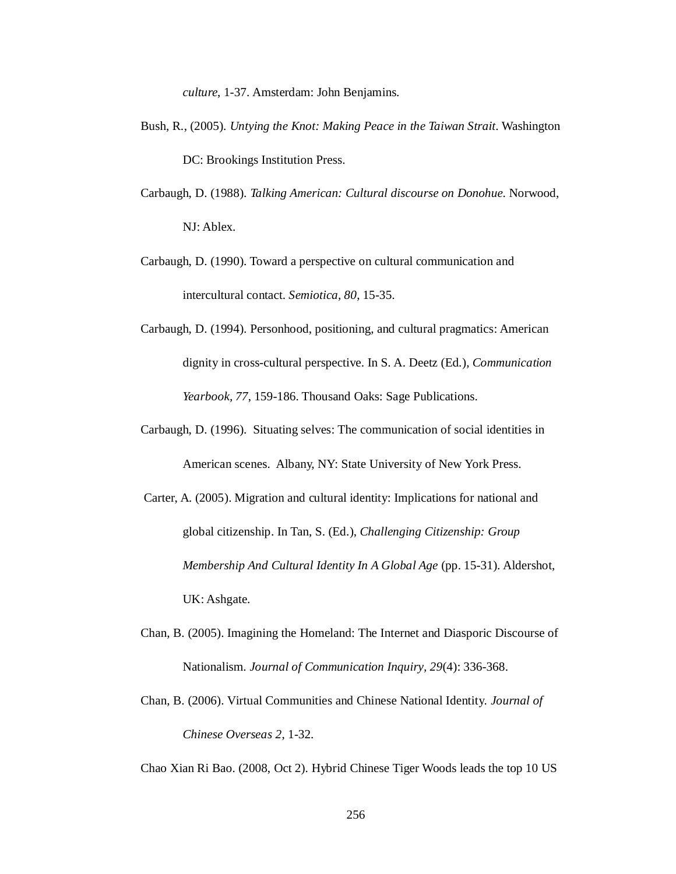*culture*, 1-37. Amsterdam: John Benjamins.

- Bush, R., (2005). *Untying the Knot: Making Peace in the Taiwan Strait*. Washington DC: Brookings Institution Press.
- Carbaugh, D. (1988). *Talking American: Cultural discourse on Donohue*. Norwood, NJ: Ablex.
- Carbaugh, D. (1990). Toward a perspective on cultural communication and intercultural contact. *Semiotica, 80*, 15-35.
- Carbaugh, D. (1994). Personhood, positioning, and cultural pragmatics: American dignity in cross-cultural perspective. In S. A. Deetz (Ed.), *Communication Yearbook, 77*, 159-186. Thousand Oaks: Sage Publications.
- Carbaugh, D. (1996). Situating selves: The communication of social identities in American scenes. Albany, NY: State University of New York Press.
- Carter, A. (2005). Migration and cultural identity: Implications for national and global citizenship. In Tan, S. (Ed.), *Challenging Citizenship: Group Membership And Cultural Identity In A Global Age* (pp. 15-31). Aldershot, UK: Ashgate.
- Chan, B. (2005). Imagining the Homeland: The Internet and Diasporic Discourse of Nationalism. *Journal of Communication Inquiry, 29*(4): 336-368.
- Chan, B. (2006). Virtual Communities and Chinese National Identity. *Journal of Chinese Overseas 2*, 1-32.

Chao Xian Ri Bao. (2008, Oct 2). Hybrid Chinese Tiger Woods leads the top 10 US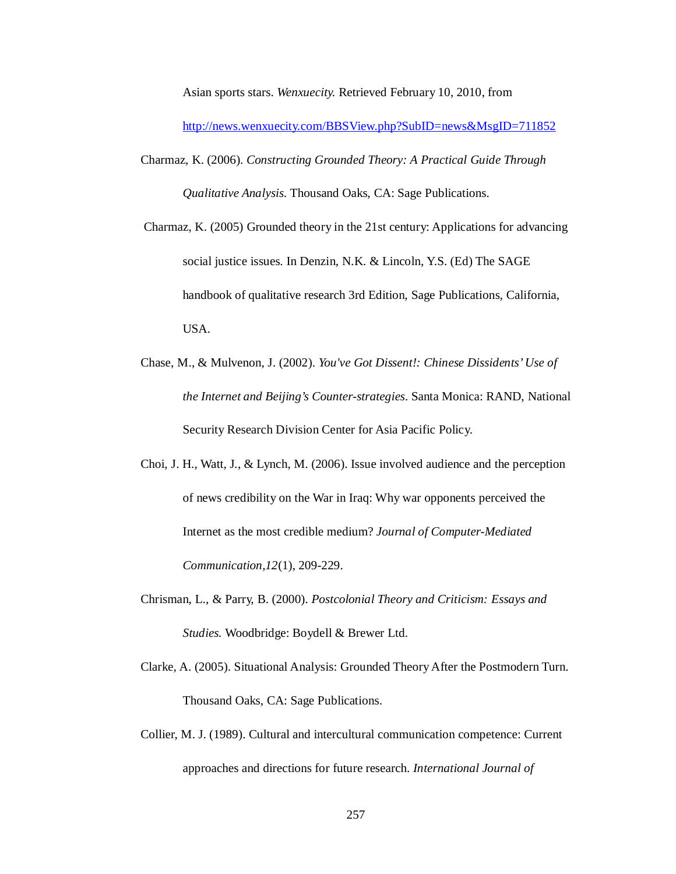Asian sports stars. *Wenxuecity.* Retrieved February 10, 2010, from

http://news.wenxuecity.com/BBSView.php?SubID=news&MsgID=711852

- Charmaz, K. (2006). *Constructing Grounded Theory: A Practical Guide Through Qualitative Analysis.* Thousand Oaks, CA: Sage Publications.
- Charmaz, K. (2005) Grounded theory in the 21st century: Applications for advancing social justice issues. In Denzin, N.K. & Lincoln, Y.S. (Ed) The SAGE handbook of qualitative research 3rd Edition, Sage Publications, California, USA.
- Chase, M., & Mulvenon, J. (2002). *You've Got Dissent!: Chinese Dissidents' Use of the Internet and Beijing's Counter-strategies*. Santa Monica: RAND, National Security Research Division Center for Asia Pacific Policy.
- Choi, J. H., Watt, J., & Lynch, M. (2006). Issue involved audience and the perception of news credibility on the War in Iraq: Why war opponents perceived the Internet as the most credible medium? *Journal of Computer-Mediated Communication,12*(1), 209-229.
- Chrisman, L., & Parry, B. (2000). *Postcolonial Theory and Criticism: Essays and Studies.* Woodbridge: Boydell & Brewer Ltd.
- Clarke, A. (2005). Situational Analysis: Grounded Theory After the Postmodern Turn. Thousand Oaks, CA: Sage Publications.
- Collier, M. J. (1989). Cultural and intercultural communication competence: Current approaches and directions for future research. *International Journal of*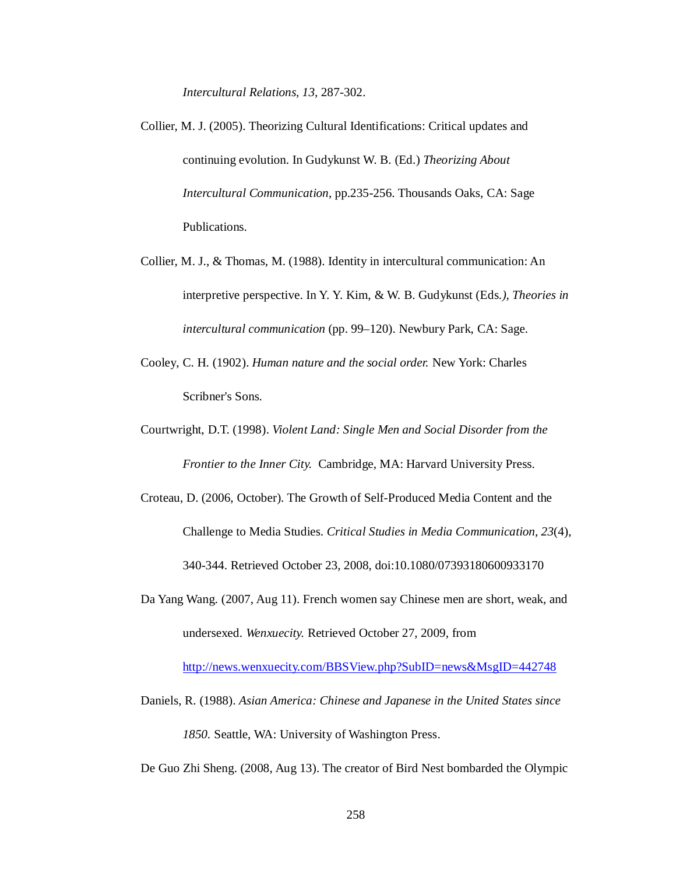*Intercultural Relations, 13,* 287-302.

- Collier, M. J. (2005). Theorizing Cultural Identifications: Critical updates and continuing evolution. In Gudykunst W. B. (Ed.) *Theorizing About Intercultural Communication*, pp.235-256. Thousands Oaks, CA: Sage Publications.
- Collier, M. J., & Thomas, M. (1988). Identity in intercultural communication: An interpretive perspective. In Y. Y. Kim, & W. B. Gudykunst (Eds*.), Theories in intercultural communication* (pp. 99–120). Newbury Park, CA: Sage.
- Cooley, C. H. (1902). *Human nature and the social order.* New York: Charles Scribner's Sons.
- Courtwright, D.T. (1998). *Violent Land: Single Men and Social Disorder from the Frontier to the Inner City.* Cambridge, MA: Harvard University Press.
- Croteau, D. (2006, October). The Growth of Self-Produced Media Content and the Challenge to Media Studies. *Critical Studies in Media Communication*, *23*(4), 340-344. Retrieved October 23, 2008, doi:10.1080/07393180600933170
- Da Yang Wang. (2007, Aug 11). French women say Chinese men are short, weak, and undersexed. *Wenxuecity.* Retrieved October 27, 2009, from

http://news.wenxuecity.com/BBSView.php?SubID=news&MsgID=442748

Daniels, R. (1988). *Asian America: Chinese and Japanese in the United States since 1850.* Seattle, WA: University of Washington Press.

De Guo Zhi Sheng. (2008, Aug 13). The creator of Bird Nest bombarded the Olympic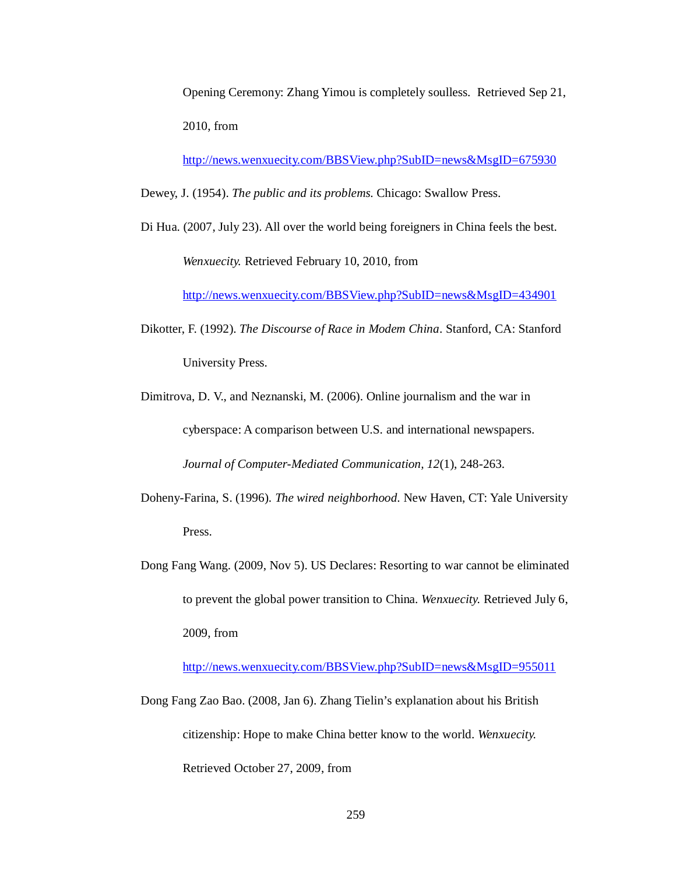Opening Ceremony: Zhang Yimou is completely soulless. Retrieved Sep 21, 2010, from

http://news.wenxuecity.com/BBSView.php?SubID=news&MsgID=675930

Dewey, J. (1954). *The public and its problems.* Chicago: Swallow Press.

Di Hua. (2007, July 23). All over the world being foreigners in China feels the best. *Wenxuecity.* Retrieved February 10, 2010, from

http://news.wenxuecity.com/BBSView.php?SubID=news&MsgID=434901

Dikotter, F. (1992). *The Discourse of Race in Modem China*. Stanford, CA: Stanford University Press.

Dimitrova, D. V., and Neznanski, M. (2006). Online journalism and the war in cyberspace: A comparison between U.S. and international newspapers. *Journal of Computer-Mediated Communication, 12*(1), 248-263.

- Doheny-Farina, S. (1996). *The wired neighborhood*. New Haven, CT: Yale University Press.
- Dong Fang Wang. (2009, Nov 5). US Declares: Resorting to war cannot be eliminated to prevent the global power transition to China. *Wenxuecity.* Retrieved July 6, 2009, from

http://news.wenxuecity.com/BBSView.php?SubID=news&MsgID=955011

Dong Fang Zao Bao. (2008, Jan 6). Zhang Tielin's explanation about his British citizenship: Hope to make China better know to the world. *Wenxuecity.* Retrieved October 27, 2009, from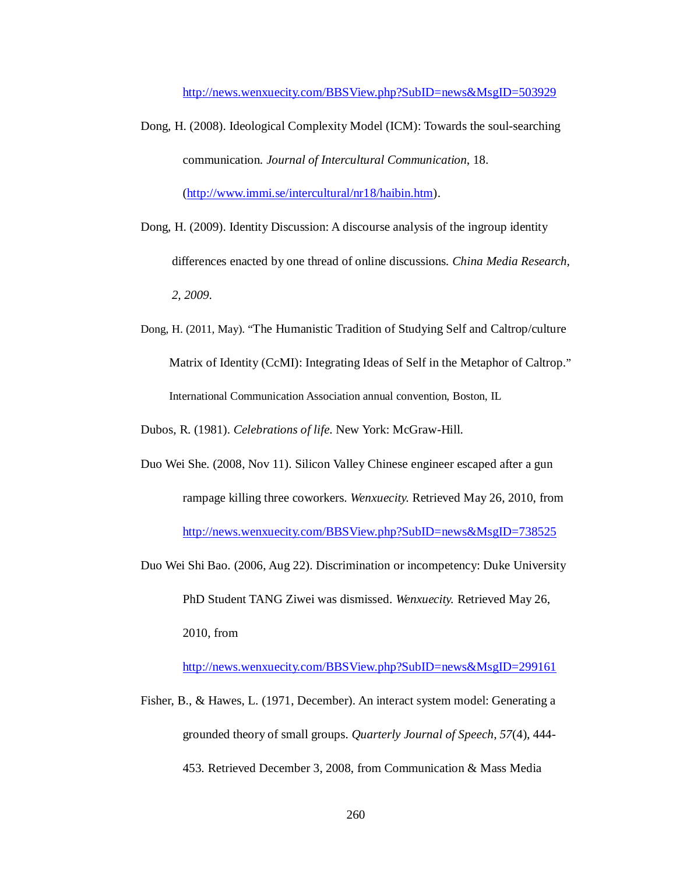http://news.wenxuecity.com/BBSView.php?SubID=news&MsgID=503929

- Dong, H. (2008). Ideological Complexity Model (ICM): Towards the soul-searching communication. *Journal of Intercultural Communication*, 18. (http://www.immi.se/intercultural/nr18/haibin.htm).
- Dong, H. (2009). Identity Discussion: A discourse analysis of the ingroup identity differences enacted by one thread of online discussions. *China Media Research, 2, 2009.*
- Dong, H. (2011, May). "The Humanistic Tradition of Studying Self and Caltrop/culture Matrix of Identity (CcMI): Integrating Ideas of Self in the Metaphor of Caltrop." International Communication Association annual convention, Boston, IL

Dubos, R. (1981). *Celebrations of life*. New York: McGraw-Hill.

- Duo Wei She. (2008, Nov 11). Silicon Valley Chinese engineer escaped after a gun rampage killing three coworkers. *Wenxuecity.* Retrieved May 26, 2010, from http://news.wenxuecity.com/BBSView.php?SubID=news&MsgID=738525
- Duo Wei Shi Bao. (2006, Aug 22). Discrimination or incompetency: Duke University PhD Student TANG Ziwei was dismissed. *Wenxuecity.* Retrieved May 26, 2010, from

http://news.wenxuecity.com/BBSView.php?SubID=news&MsgID=299161

Fisher, B., & Hawes, L. (1971, December). An interact system model: Generating a grounded theory of small groups. *Quarterly Journal of Speech*, *57*(4), 444- 453. Retrieved December 3, 2008, from Communication & Mass Media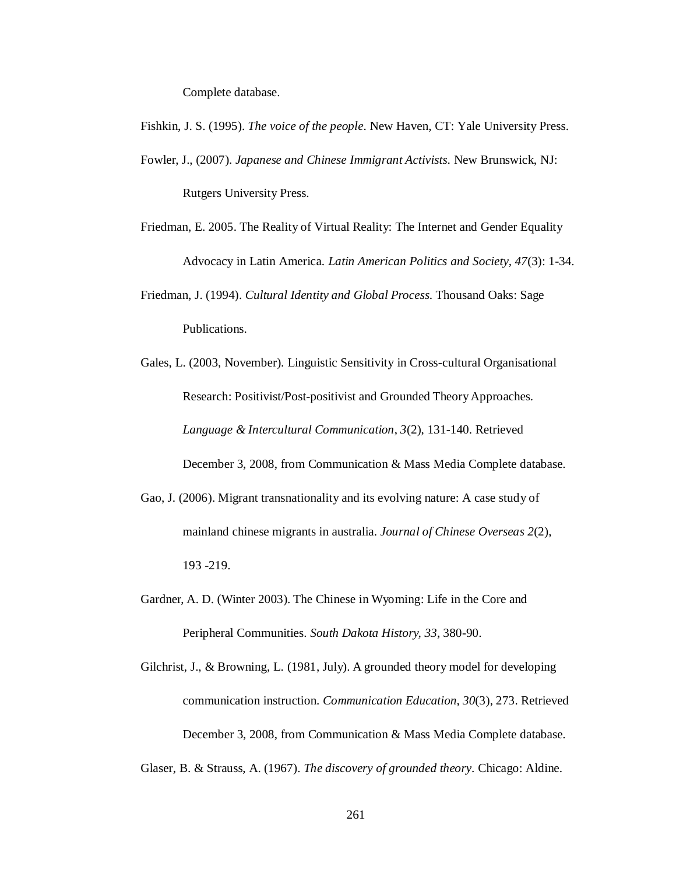Complete database.

- Fishkin, J. S. (1995). *The voice of the people*. New Haven, CT: Yale University Press. Fowler, J., (2007). *Japanese and Chinese Immigrant Activists*. New Brunswick, NJ: Rutgers University Press.
- Friedman, E. 2005. The Reality of Virtual Reality: The Internet and Gender Equality Advocacy in Latin America. *Latin American Politics and Society, 47*(3): 1-34.
- Friedman, J. (1994). *Cultural Identity and Global Process*. Thousand Oaks: Sage Publications.
- Gales, L. (2003, November). Linguistic Sensitivity in Cross-cultural Organisational Research: Positivist/Post-positivist and Grounded Theory Approaches. *Language & Intercultural Communication*, *3*(2), 131-140. Retrieved December 3, 2008, from Communication & Mass Media Complete database.
- Gao, J. (2006). Migrant transnationality and its evolving nature: A case study of mainland chinese migrants in australia. *Journal of Chinese Overseas 2*(2), 193 -219.
- Gardner, A. D. (Winter 2003). The Chinese in Wyoming: Life in the Core and Peripheral Communities. *South Dakota History, 33*, 380-90.
- Gilchrist, J., & Browning, L. (1981, July). A grounded theory model for developing communication instruction. *Communication Education*, *30*(3), 273. Retrieved December 3, 2008, from Communication & Mass Media Complete database.

Glaser, B. & Strauss, A. (1967). *The discovery of grounded theory*. Chicago: Aldine.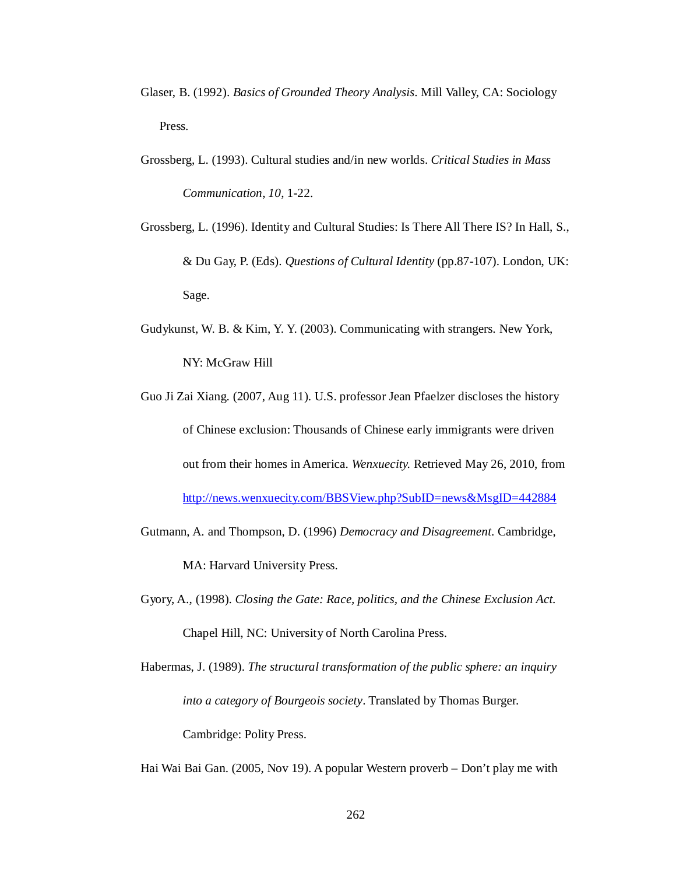- Glaser, B. (1992). *Basics of Grounded Theory Analysis*. Mill Valley, CA: Sociology Press.
- Grossberg, L. (1993). Cultural studies and/in new worlds. *Critical Studies in Mass Communication*, *10*, 1-22.
- Grossberg, L. (1996). Identity and Cultural Studies: Is There All There IS? In Hall, S., & Du Gay, P. (Eds). *Questions of Cultural Identity* (pp.87-107). London, UK: Sage.
- Gudykunst, W. B. & Kim, Y. Y. (2003). Communicating with strangers. New York, NY: McGraw Hill
- Guo Ji Zai Xiang. (2007, Aug 11). U.S. professor Jean Pfaelzer discloses the history of Chinese exclusion: Thousands of Chinese early immigrants were driven out from their homes in America. *Wenxuecity.* Retrieved May 26, 2010, from http://news.wenxuecity.com/BBSView.php?SubID=news&MsgID=442884
- Gutmann, A. and Thompson, D. (1996) *Democracy and Disagreement*. Cambridge, MA: Harvard University Press.
- Gyory, A., (1998). *Closing the Gate: Race, politics, and the Chinese Exclusion Act*. Chapel Hill, NC: University of North Carolina Press.
- Habermas, J. (1989). *The structural transformation of the public sphere: an inquiry into a category of Bourgeois society*. Translated by Thomas Burger. Cambridge: Polity Press.

Hai Wai Bai Gan. (2005, Nov 19). A popular Western proverb – Don't play me with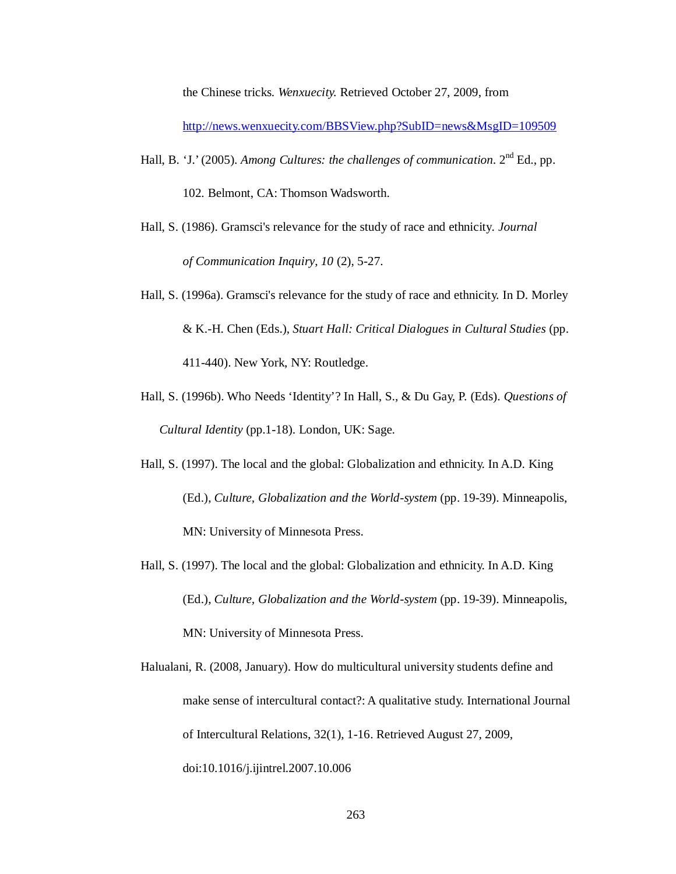the Chinese tricks. *Wenxuecity.* Retrieved October 27, 2009, from

http://news.wenxuecity.com/BBSView.php?SubID=news&MsgID=109509

- Hall, B. 'J.' (2005). *Among Cultures: the challenges of communication*. 2<sup>nd</sup> Ed., pp. 102. Belmont, CA: Thomson Wadsworth.
- Hall, S. (1986). Gramsci's relevance for the study of race and ethnicity. *Journal of Communication Inquiry*, *10* (2), 5-27.
- Hall, S. (1996a). Gramsci's relevance for the study of race and ethnicity. In D. Morley & K.-H. Chen (Eds.), *Stuart Hall: Critical Dialogues in Cultural Studies* (pp. 411-440). New York, NY: Routledge.
- Hall, S. (1996b). Who Needs 'Identity'? In Hall, S., & Du Gay, P. (Eds). *Questions of Cultural Identity* (pp.1-18). London, UK: Sage.
- Hall, S. (1997). The local and the global: Globalization and ethnicity. In A.D. King (Ed.), *Culture, Globalization and the World-system* (pp. 19-39). Minneapolis, MN: University of Minnesota Press.
- Hall, S. (1997). The local and the global: Globalization and ethnicity. In A.D. King (Ed.), *Culture, Globalization and the World-system* (pp. 19-39). Minneapolis, MN: University of Minnesota Press.
- Halualani, R. (2008, January). How do multicultural university students define and make sense of intercultural contact?: A qualitative study. International Journal of Intercultural Relations, 32(1), 1-16. Retrieved August 27, 2009, doi:10.1016/j.ijintrel.2007.10.006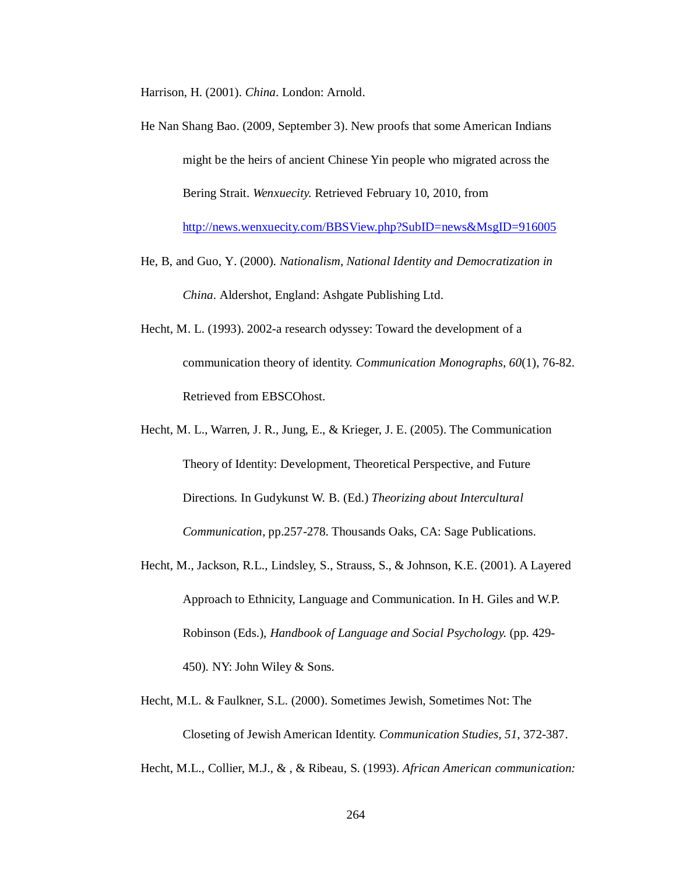Harrison, H. (2001). *China*. London: Arnold.

- He Nan Shang Bao. (2009, September 3). New proofs that some American Indians might be the heirs of ancient Chinese Yin people who migrated across the Bering Strait. *Wenxuecity.* Retrieved February 10, 2010, from http://news.wenxuecity.com/BBSView.php?SubID=news&MsgID=916005
- He, B, and Guo, Y. (2000). *Nationalism, National Identity and Democratization in China.* Aldershot, England: Ashgate Publishing Ltd.
- Hecht, M. L. (1993). 2002-a research odyssey: Toward the development of a communication theory of identity. *Communication Monographs, 60*(1), 76-82. Retrieved from EBSCOhost.
- Hecht, M. L., Warren, J. R., Jung, E., & Krieger, J. E. (2005). The Communication Theory of Identity: Development, Theoretical Perspective, and Future Directions. In Gudykunst W. B. (Ed.) *Theorizing about Intercultural Communication*, pp.257-278. Thousands Oaks, CA: Sage Publications.
- Hecht, M., Jackson, R.L., Lindsley, S., Strauss, S., & Johnson, K.E. (2001). A Layered Approach to Ethnicity, Language and Communication. In H. Giles and W.P. Robinson (Eds.), *Handbook of Language and Social Psychology.* (pp. 429- 450). NY: John Wiley & Sons.
- Hecht, M.L. & Faulkner, S.L. (2000). Sometimes Jewish, Sometimes Not: The Closeting of Jewish American Identity. *Communication Studies, 51*, 372-387.

Hecht, M.L., Collier, M.J., & , & Ribeau, S. (1993). *African American communication:*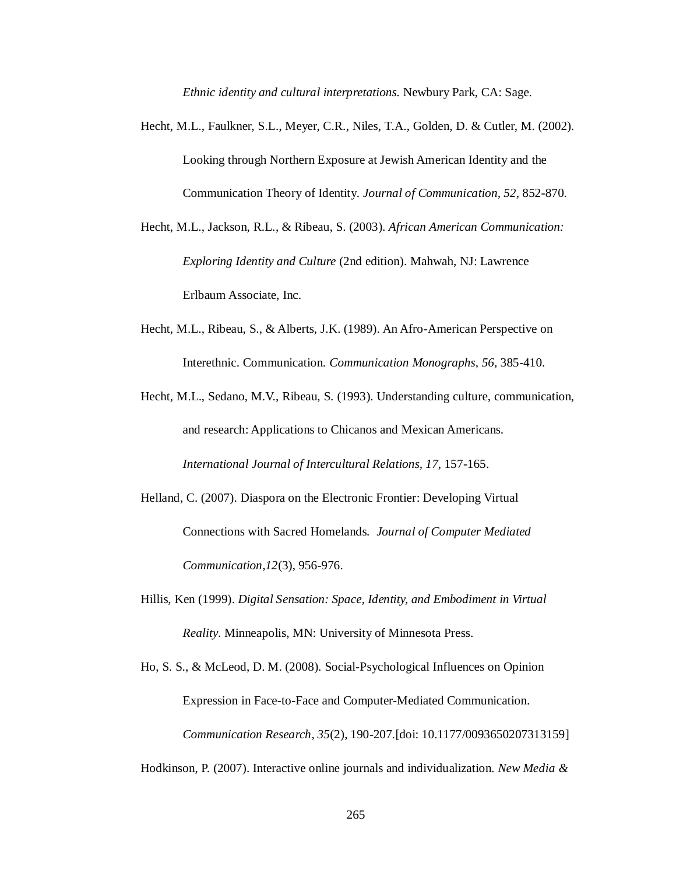*Ethnic identity and cultural interpretations.* Newbury Park, CA: Sage.

- Hecht, M.L., Faulkner, S.L., Meyer, C.R., Niles, T.A., Golden, D. & Cutler, M. (2002). Looking through Northern Exposure at Jewish American Identity and the Communication Theory of Identity*. Journal of Communication, 52*, 852-870.
- Hecht, M.L., Jackson, R.L., & Ribeau, S. (2003). *African American Communication: Exploring Identity and Culture* (2nd edition). Mahwah, NJ: Lawrence Erlbaum Associate, Inc.
- Hecht, M.L., Ribeau, S., & Alberts, J.K. (1989). An Afro-American Perspective on Interethnic. Communication. *Communication Monographs, 56*, 385-410.
- Hecht, M.L., Sedano, M.V., Ribeau, S. (1993). Understanding culture, communication, and research: Applications to Chicanos and Mexican Americans. *International Journal of Intercultural Relations, 17*, 157-165.
- Helland, C. (2007). Diaspora on the Electronic Frontier: Developing Virtual Connections with Sacred Homelands*. Journal of Computer Mediated Communication,12*(3), 956-976.
- Hillis, Ken (1999). *Digital Sensation: Space, Identity, and Embodiment in Virtual Reality*. Minneapolis, MN: University of Minnesota Press.
- Ho, S. S., & McLeod, D. M. (2008). Social-Psychological Influences on Opinion Expression in Face-to-Face and Computer-Mediated Communication. *Communication Research, 35*(2), 190-207.[doi: 10.1177/0093650207313159]
- Hodkinson, P. (2007). Interactive online journals and individualization. *New Media &*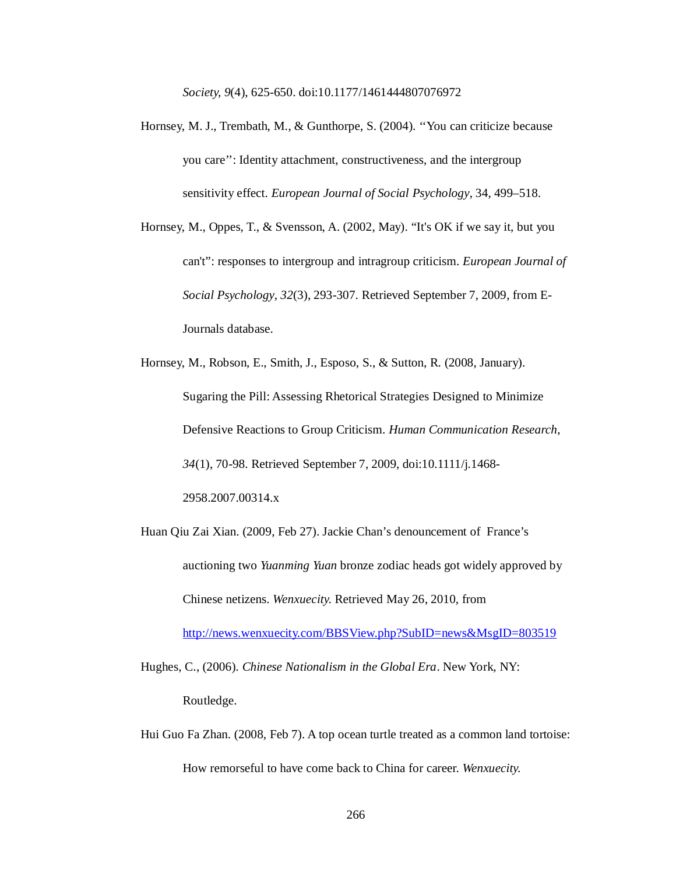*Society, 9*(4), 625-650. doi:10.1177/1461444807076972

- Hornsey, M. J., Trembath, M., & Gunthorpe, S. (2004). ''You can criticize because you care'': Identity attachment, constructiveness, and the intergroup sensitivity effect. *European Journal of Social Psychology*, 34, 499–518.
- Hornsey, M., Oppes, T., & Svensson, A. (2002, May). "It's OK if we say it, but you can't": responses to intergroup and intragroup criticism. *European Journal of Social Psychology*, *32*(3), 293-307. Retrieved September 7, 2009, from E-Journals database.
- Hornsey, M., Robson, E., Smith, J., Esposo, S., & Sutton, R. (2008, January). Sugaring the Pill: Assessing Rhetorical Strategies Designed to Minimize Defensive Reactions to Group Criticism. *Human Communication Research*, *34*(1), 70-98. Retrieved September 7, 2009, doi:10.1111/j.1468- 2958.2007.00314.x
- Huan Qiu Zai Xian. (2009, Feb 27). Jackie Chan's denouncement of France's auctioning two *Yuanming Yuan* bronze zodiac heads got widely approved by Chinese netizens. *Wenxuecity.* Retrieved May 26, 2010, from

http://news.wenxuecity.com/BBSView.php?SubID=news&MsgID=803519

Hughes, C., (2006). *Chinese Nationalism in the Global Era*. New York, NY: Routledge.

Hui Guo Fa Zhan. (2008, Feb 7). A top ocean turtle treated as a common land tortoise: How remorseful to have come back to China for career. *Wenxuecity.*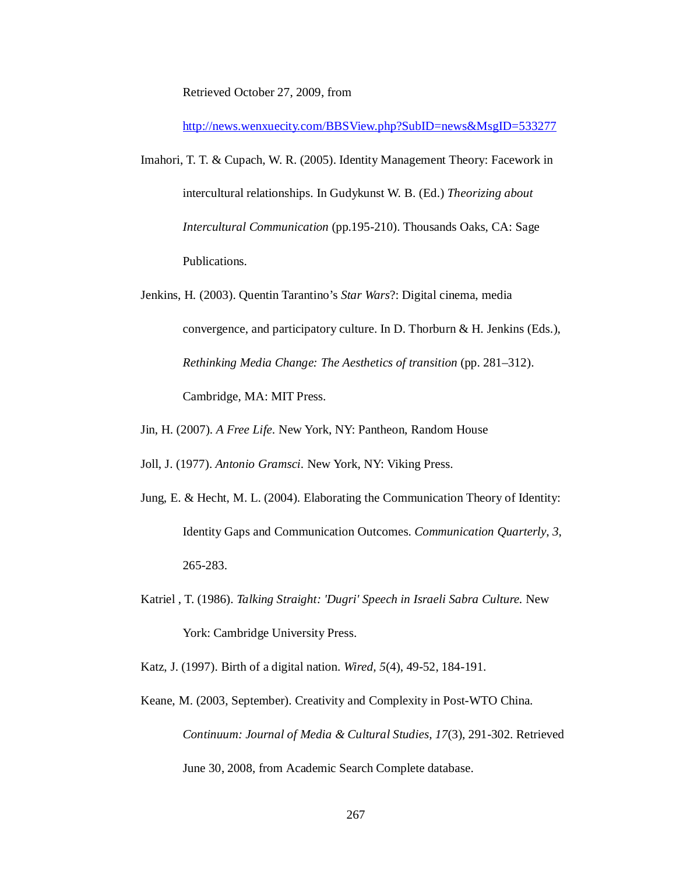Retrieved October 27, 2009, from

http://news.wenxuecity.com/BBSView.php?SubID=news&MsgID=533277

- Imahori, T. T. & Cupach, W. R. (2005). Identity Management Theory: Facework in intercultural relationships. In Gudykunst W. B. (Ed.) *Theorizing about Intercultural Communication* (pp.195-210). Thousands Oaks, CA: Sage Publications.
- Jenkins, H. (2003). Quentin Tarantino's *Star Wars*?: Digital cinema, media convergence, and participatory culture. In D. Thorburn & H. Jenkins (Eds.), *Rethinking Media Change: The Aesthetics of transition* (pp. 281–312). Cambridge, MA: MIT Press.
- Jin, H. (2007). *A Free Life*. New York, NY: Pantheon, Random House

Joll, J. (1977). *Antonio Gramsci*. New York, NY: Viking Press.

- Jung, E. & Hecht, M. L. (2004). Elaborating the Communication Theory of Identity: Identity Gaps and Communication Outcomes. *Communication Quarterly*, *3*, 265-283.
- Katriel , T. (1986). *Talking Straight: 'Dugri' Speech in Israeli Sabra Culture.* New York: Cambridge University Press.
- Katz, J. (1997). Birth of a digital nation. *Wired, 5*(4), 49-52, 184-191.
- Keane, M. (2003, September). Creativity and Complexity in Post-WTO China. *Continuum: Journal of Media & Cultural Studies, 17*(3), 291-302. Retrieved June 30, 2008, from Academic Search Complete database.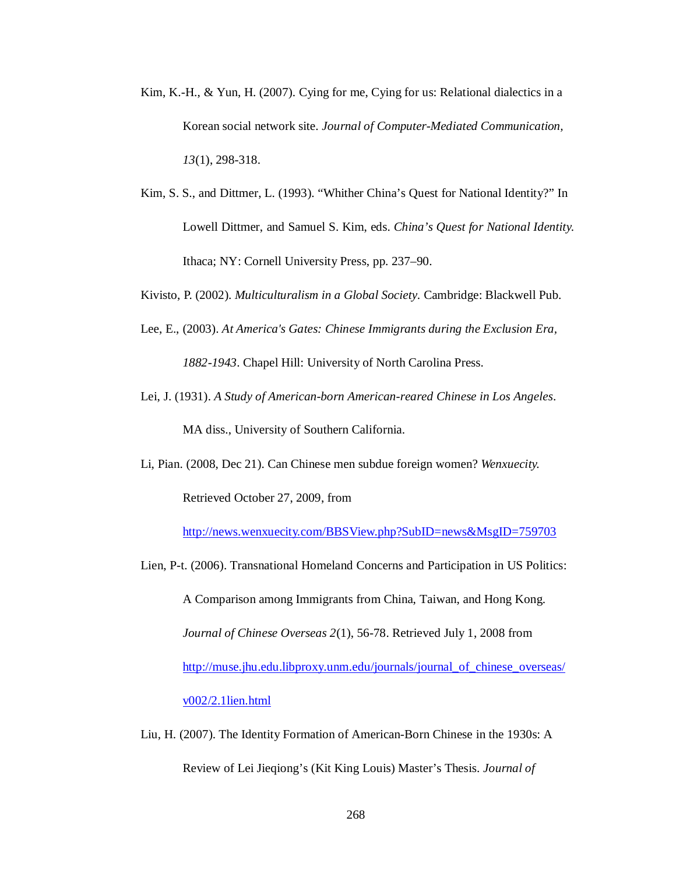- Kim, K.-H., & Yun, H. (2007). Cying for me, Cying for us: Relational dialectics in a Korean social network site. *Journal of Computer-Mediated Communication, 13*(1), 298-318.
- Kim, S. S., and Dittmer, L. (1993). "Whither China's Quest for National Identity?" In Lowell Dittmer, and Samuel S. Kim, eds. *China's Quest for National Identity.* Ithaca; NY: Cornell University Press, pp. 237–90.
- Kivisto, P. (2002). *Multiculturalism in a Global Society*. Cambridge: Blackwell Pub.
- Lee, E., (2003). *At America's Gates: Chinese Immigrants during the Exclusion Era, 1882-1943*. Chapel Hill: University of North Carolina Press.
- Lei, J. (1931). *A Study of American-born American-reared Chinese in Los Angeles*. MA diss., University of Southern California.
- Li, Pian. (2008, Dec 21). Can Chinese men subdue foreign women? *Wenxuecity.*

Retrieved October 27, 2009, from

http://news.wenxuecity.com/BBSView.php?SubID=news&MsgID=759703

- Lien, P-t. (2006). Transnational Homeland Concerns and Participation in US Politics: A Comparison among Immigrants from China, Taiwan, and Hong Kong. *Journal of Chinese Overseas 2*(1), 56-78. Retrieved July 1, 2008 from http://muse.jhu.edu.libproxy.unm.edu/journals/journal\_of\_chinese\_overseas/ v002/2.1lien.html
- Liu, H. (2007). The Identity Formation of American-Born Chinese in the 1930s: A Review of Lei Jieqiong's (Kit King Louis) Master's Thesis. *Journal of*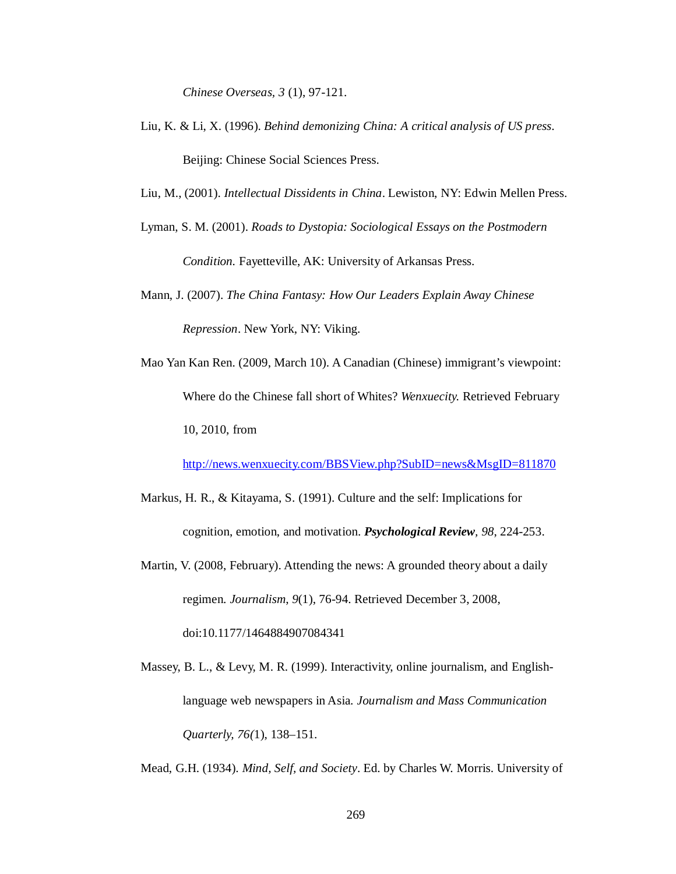*Chinese Overseas, 3* (1), 97-121.

- Liu, K. & Li, X. (1996). *Behind demonizing China: A critical analysis of US press*. Beijing: Chinese Social Sciences Press.
- Liu, M., (2001). *Intellectual Dissidents in China*. Lewiston, NY: Edwin Mellen Press.
- Lyman, S. M. (2001). *Roads to Dystopia: Sociological Essays on the Postmodern Condition.* Fayetteville, AK: University of Arkansas Press.
- Mann, J. (2007). *The China Fantasy: How Our Leaders Explain Away Chinese Repression*. New York, NY: Viking.
- Mao Yan Kan Ren. (2009, March 10). A Canadian (Chinese) immigrant's viewpoint: Where do the Chinese fall short of Whites? *Wenxuecity.* Retrieved February 10, 2010, from

http://news.wenxuecity.com/BBSView.php?SubID=news&MsgID=811870

- Markus, H. R., & Kitayama, S. (1991). Culture and the self: Implications for cognition, emotion, and motivation. *Psychological Review, 98*, 224-253.
- Martin, V. (2008, February). Attending the news: A grounded theory about a daily regimen. *Journalism*, *9*(1), 76-94. Retrieved December 3, 2008, doi:10.1177/1464884907084341
- Massey, B. L., & Levy, M. R. (1999). Interactivity, online journalism, and Englishlanguage web newspapers in Asia. *Journalism and Mass Communication Quarterly, 76(*1), 138–151.

Mead, G.H. (1934). *Mind, Self, and Society*. Ed. by Charles W. Morris. University of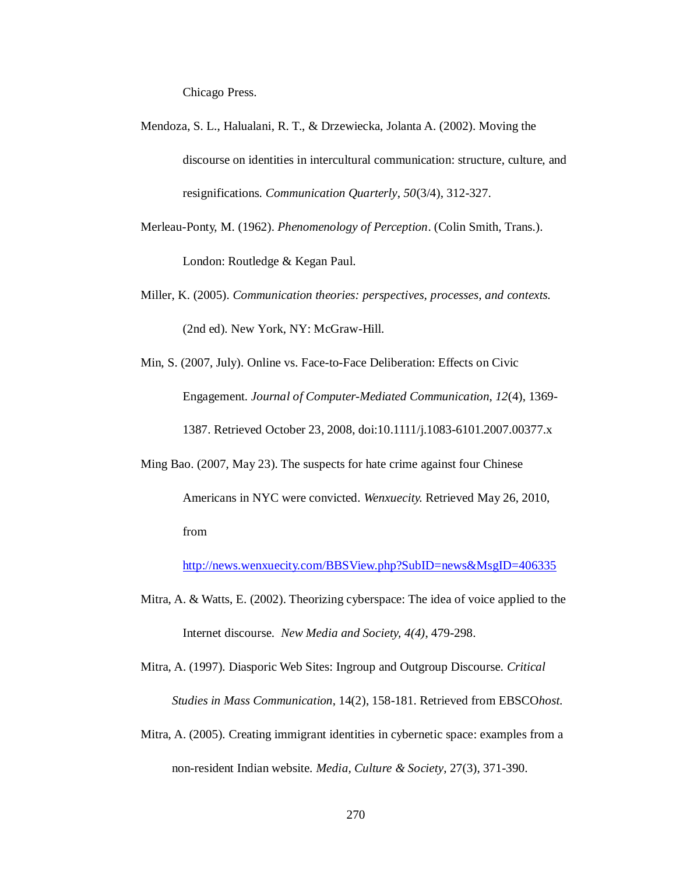Chicago Press.

- Mendoza, S. L., Halualani, R. T., & Drzewiecka, Jolanta A. (2002). Moving the discourse on identities in intercultural communication: structure, culture, and resignifications. *Communication Quarterly*, *50*(3/4), 312-327.
- Merleau-Ponty, M. (1962). *Phenomenology of Perception*. (Colin Smith, Trans.). London: Routledge & Kegan Paul.
- Miller, K. (2005). *Communication theories: perspectives, processes, and contexts.*  (2nd ed). New York, NY: McGraw-Hill.
- Min, S. (2007, July). Online vs. Face-to-Face Deliberation: Effects on Civic Engagement. *Journal of Computer-Mediated Communication*, *12*(4), 1369- 1387. Retrieved October 23, 2008, doi:10.1111/j.1083-6101.2007.00377.x
- Ming Bao. (2007, May 23). The suspects for hate crime against four Chinese Americans in NYC were convicted. *Wenxuecity.* Retrieved May 26, 2010, from

http://news.wenxuecity.com/BBSView.php?SubID=news&MsgID=406335

- Mitra, A. & Watts, E. (2002). Theorizing cyberspace: The idea of voice applied to the Internet discourse. *New Media and Society, 4(4)*, 479-298.
- Mitra, A. (1997). Diasporic Web Sites: Ingroup and Outgroup Discourse. *Critical Studies in Mass Communication*, 14(2), 158-181. Retrieved from EBSCO*host*.
- Mitra, A. (2005). Creating immigrant identities in cybernetic space: examples from a non-resident Indian website. *Media, Culture & Society*, 27(3), 371-390.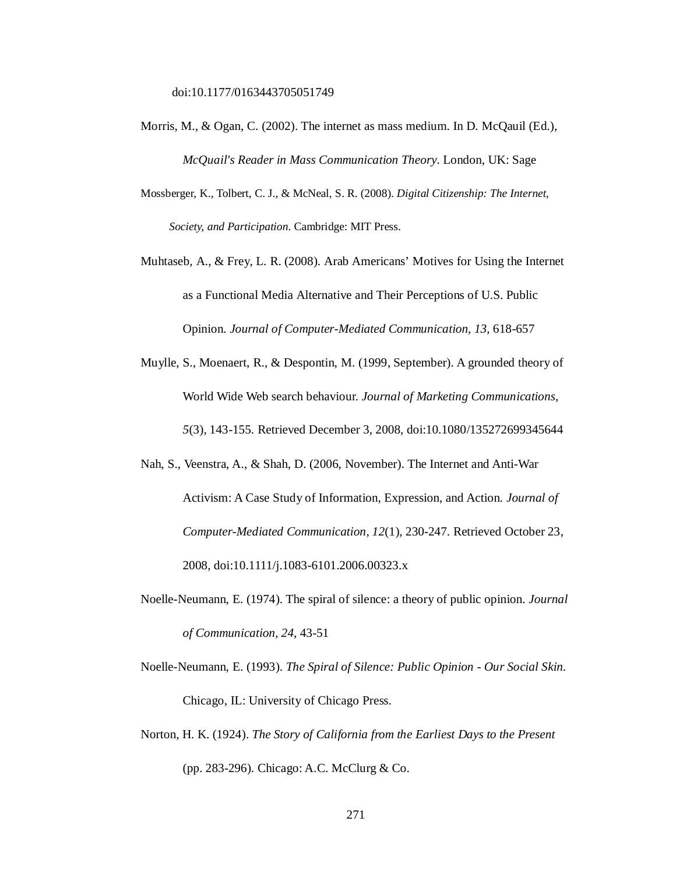- Morris, M., & Ogan, C. (2002). The internet as mass medium. In D. McQauil (Ed.), *McQuail's Reader in Mass Communication Theory*. London, UK: Sage
- Mossberger, K., Tolbert, C. J., & McNeal, S. R. (2008). *Digital Citizenship: The Internet, Society, and Participation*. Cambridge: MIT Press.
- Muhtaseb, A., & Frey, L. R. (2008). Arab Americans' Motives for Using the Internet as a Functional Media Alternative and Their Perceptions of U.S. Public Opinion. *Journal of Computer-Mediated Communication, 13*, 618-657
- Muylle, S., Moenaert, R., & Despontin, M. (1999, September). A grounded theory of World Wide Web search behaviour. *Journal of Marketing Communications*, *5*(3), 143-155. Retrieved December 3, 2008, doi:10.1080/135272699345644
- Nah, S., Veenstra, A., & Shah, D. (2006, November). The Internet and Anti-War Activism: A Case Study of Information, Expression, and Action. *Journal of Computer-Mediated Communication*, *12*(1), 230-247. Retrieved October 23, 2008, doi:10.1111/j.1083-6101.2006.00323.x
- Noelle-Neumann, E. (1974). The spiral of silence: a theory of public opinion. *Journal of Communication, 24*, 43-51
- Noelle-Neumann, E. (1993). *The Spiral of Silence: Public Opinion - Our Social Skin*. Chicago, IL: University of Chicago Press.
- Norton, H. K. (1924). *The Story of California from the Earliest Days to the Present*  (pp. 283-296). Chicago: A.C. McClurg & Co.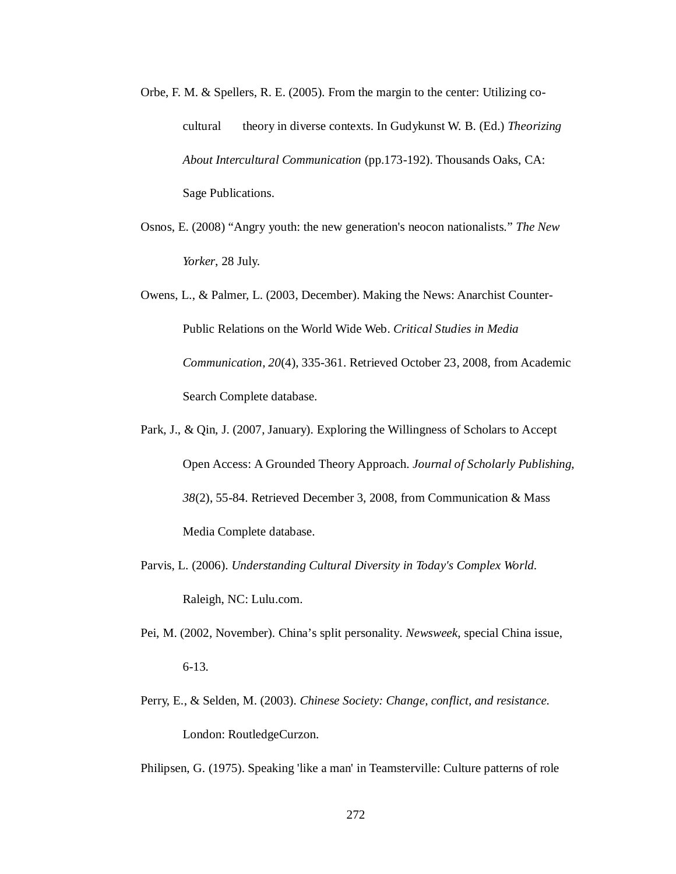- Orbe, F. M. & Spellers, R. E. (2005). From the margin to the center: Utilizing cocultural theory in diverse contexts. In Gudykunst W. B. (Ed.) *Theorizing About Intercultural Communication* (pp.173-192). Thousands Oaks, CA: Sage Publications.
- Osnos, E. (2008) "Angry youth: the new generation's neocon nationalists." *The New Yorker*, 28 July.
- Owens, L., & Palmer, L. (2003, December). Making the News: Anarchist Counter-Public Relations on the World Wide Web. *Critical Studies in Media Communication*, *20*(4), 335-361. Retrieved October 23, 2008, from Academic Search Complete database.
- Park, J., & Qin, J. (2007, January). Exploring the Willingness of Scholars to Accept Open Access: A Grounded Theory Approach. *Journal of Scholarly Publishing*, *38*(2), 55-84. Retrieved December 3, 2008, from Communication & Mass Media Complete database.
- Parvis, L. (2006). *Understanding Cultural Diversity in Today's Complex World*. Raleigh, NC: Lulu.com.
- Pei, M. (2002, November). China's split personality. *Newsweek*, special China issue, 6-13.
- Perry, E., & Selden, M. (2003). *Chinese Society: Change, conflict, and resistance*. London: RoutledgeCurzon.

Philipsen, G. (1975). Speaking 'like a man' in Teamsterville: Culture patterns of role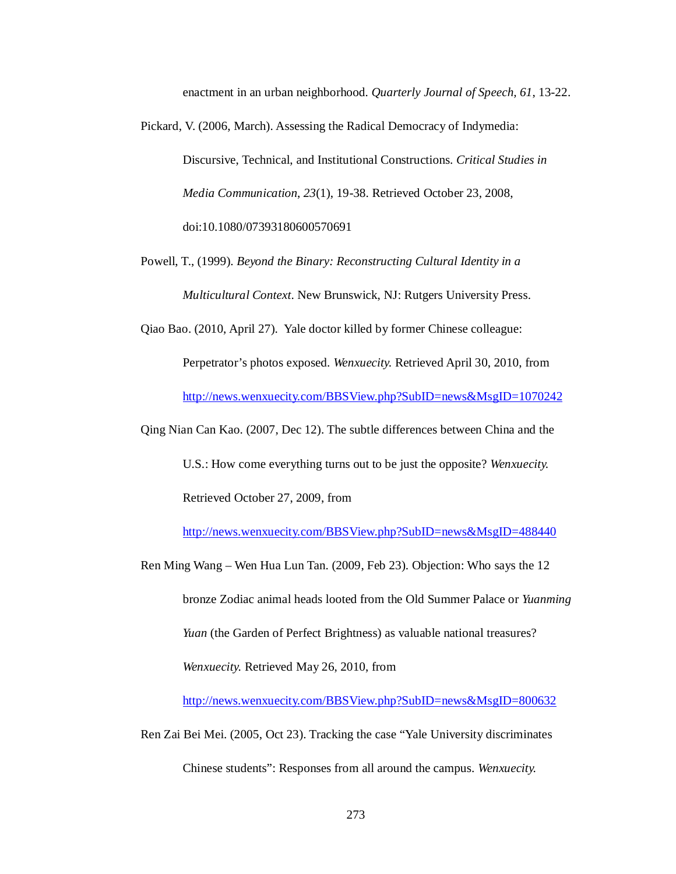enactment in an urban neighborhood. *Quarterly Journal of Speech, 61*, 13-22.

Pickard, V. (2006, March). Assessing the Radical Democracy of Indymedia:

Discursive, Technical, and Institutional Constructions. *Critical Studies in Media Communication*, *23*(1), 19-38. Retrieved October 23, 2008, doi:10.1080/07393180600570691

Powell, T., (1999). *Beyond the Binary: Reconstructing Cultural Identity in a Multicultural Context*. New Brunswick, NJ: Rutgers University Press.

Qiao Bao. (2010, April 27). Yale doctor killed by former Chinese colleague: Perpetrator's photos exposed. *Wenxuecity.* Retrieved April 30, 2010, from

http://news.wenxuecity.com/BBSView.php?SubID=news&MsgID=1070242

Qing Nian Can Kao. (2007, Dec 12). The subtle differences between China and the

U.S.: How come everything turns out to be just the opposite? *Wenxuecity.*

Retrieved October 27, 2009, from

http://news.wenxuecity.com/BBSView.php?SubID=news&MsgID=488440

Ren Ming Wang – Wen Hua Lun Tan. (2009, Feb 23). Objection: Who says the 12 bronze Zodiac animal heads looted from the Old Summer Palace or *Yuanming Yuan* (the Garden of Perfect Brightness) as valuable national treasures? *Wenxuecity.* Retrieved May 26, 2010, from

http://news.wenxuecity.com/BBSView.php?SubID=news&MsgID=800632

Ren Zai Bei Mei. (2005, Oct 23). Tracking the case "Yale University discriminates

Chinese students": Responses from all around the campus. *Wenxuecity.*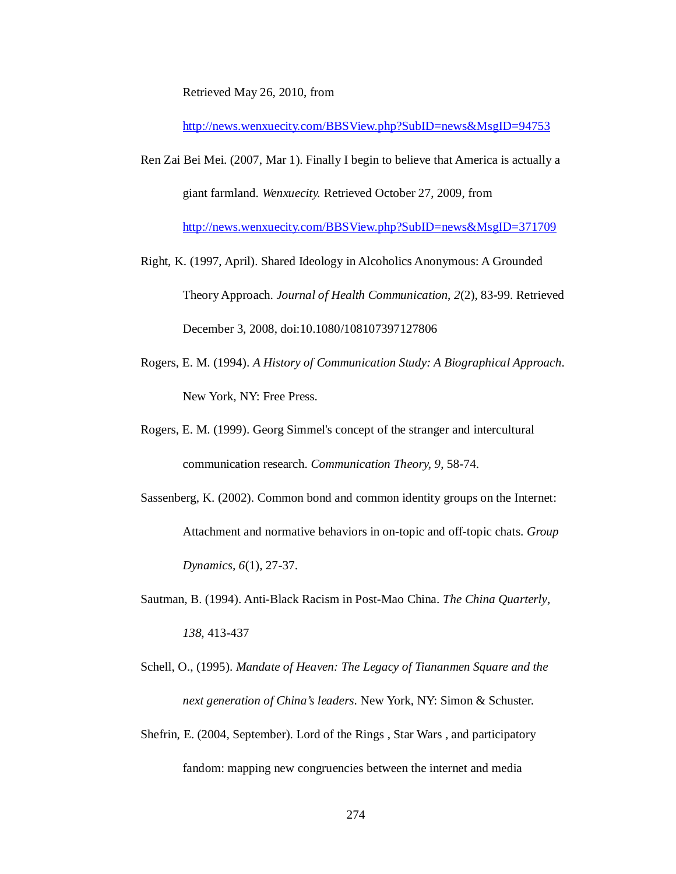Retrieved May 26, 2010, from

http://news.wenxuecity.com/BBSView.php?SubID=news&MsgID=94753

Ren Zai Bei Mei. (2007, Mar 1). Finally I begin to believe that America is actually a giant farmland. *Wenxuecity.* Retrieved October 27, 2009, from

http://news.wenxuecity.com/BBSView.php?SubID=news&MsgID=371709

- Right, K. (1997, April). Shared Ideology in Alcoholics Anonymous: A Grounded Theory Approach. *Journal of Health Communication*, *2*(2), 83-99. Retrieved December 3, 2008, doi:10.1080/108107397127806
- Rogers, E. M. (1994). *A History of Communication Study: A Biographical Approach*. New York, NY: Free Press.
- Rogers, E. M. (1999). Georg Simmel's concept of the stranger and intercultural communication research. *Communication Theory, 9*, 58-74.
- Sassenberg, K. (2002). Common bond and common identity groups on the Internet: Attachment and normative behaviors in on-topic and off-topic chats. *Group Dynamics, 6*(1), 27-37.
- Sautman, B. (1994). Anti-Black Racism in Post-Mao China. *The China Quarterly*, *138*, 413-437
- Schell, O., (1995). *Mandate of Heaven: The Legacy of Tiananmen Square and the next generation of China's leaders*. New York, NY: Simon & Schuster.
- Shefrin, E. (2004, September). Lord of the Rings , Star Wars , and participatory fandom: mapping new congruencies between the internet and media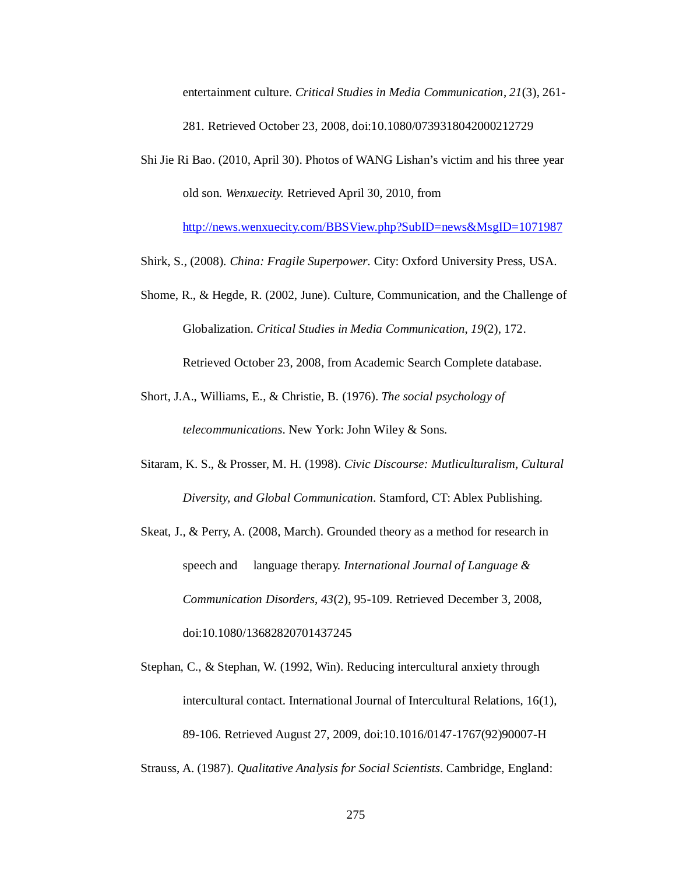entertainment culture. *Critical Studies in Media Communication*, *21*(3), 261- 281. Retrieved October 23, 2008, doi:10.1080/0739318042000212729

Shi Jie Ri Bao. (2010, April 30). Photos of WANG Lishan's victim and his three year old son. *Wenxuecity.* Retrieved April 30, 2010, from

http://news.wenxuecity.com/BBSView.php?SubID=news&MsgID=1071987

Shirk, S., (2008). *China: Fragile Superpower*. City: Oxford University Press, USA.

- Shome, R., & Hegde, R. (2002, June). Culture, Communication, and the Challenge of Globalization. *Critical Studies in Media Communication*, *19*(2), 172. Retrieved October 23, 2008, from Academic Search Complete database.
- Short, J.A., Williams, E., & Christie, B. (1976). *The social psychology of telecommunications*. New York: John Wiley & Sons.
- Sitaram, K. S., & Prosser, M. H. (1998). *Civic Discourse: Mutliculturalism, Cultural Diversity, and Global Communication*. Stamford, CT: Ablex Publishing.
- Skeat, J., & Perry, A. (2008, March). Grounded theory as a method for research in speech and language therapy. *International Journal of Language & Communication Disorders*, *43*(2), 95-109. Retrieved December 3, 2008, doi:10.1080/13682820701437245
- Stephan, C., & Stephan, W. (1992, Win). Reducing intercultural anxiety through intercultural contact. International Journal of Intercultural Relations, 16(1), 89-106. Retrieved August 27, 2009, doi:10.1016/0147-1767(92)90007-H

Strauss, A. (1987). *Qualitative Analysis for Social Scientists*. Cambridge, England: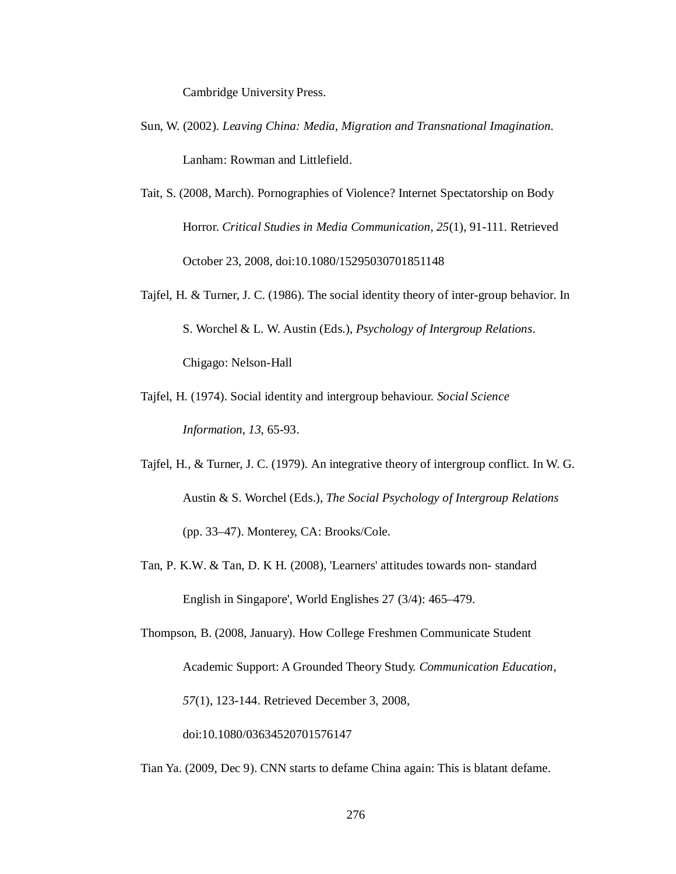Cambridge University Press.

- Sun, W. (2002). *Leaving China: Media, Migration and Transnational Imagination*. Lanham: Rowman and Littlefield.
- Tait, S. (2008, March). Pornographies of Violence? Internet Spectatorship on Body Horror. *Critical Studies in Media Communication*, *25*(1), 91-111. Retrieved October 23, 2008, doi:10.1080/15295030701851148
- Tajfel, H. & Turner, J. C. (1986). The social identity theory of inter-group behavior. In S. Worchel & L. W. Austin (Eds.), *Psychology of Intergroup Relations*. Chigago: Nelson-Hall
- Tajfel, H. (1974). Social identity and intergroup behaviour. *Social Science Information*, *13*, 65-93.
- Tajfel, H., & Turner, J. C. (1979). An integrative theory of intergroup conflict. In W. G. Austin & S. Worchel (Eds.), *The Social Psychology of Intergroup Relations* (pp. 33–47). Monterey, CA: Brooks/Cole.
- Tan, P. K.W. & Tan, D. K H. (2008), 'Learners' attitudes towards non- standard English in Singapore', World Englishes 27 (3/4): 465–479.

Thompson, B. (2008, January). How College Freshmen Communicate Student Academic Support: A Grounded Theory Study. *Communication Education*, *57*(1), 123-144. Retrieved December 3, 2008, doi:10.1080/03634520701576147

Tian Ya. (2009, Dec 9). CNN starts to defame China again: This is blatant defame.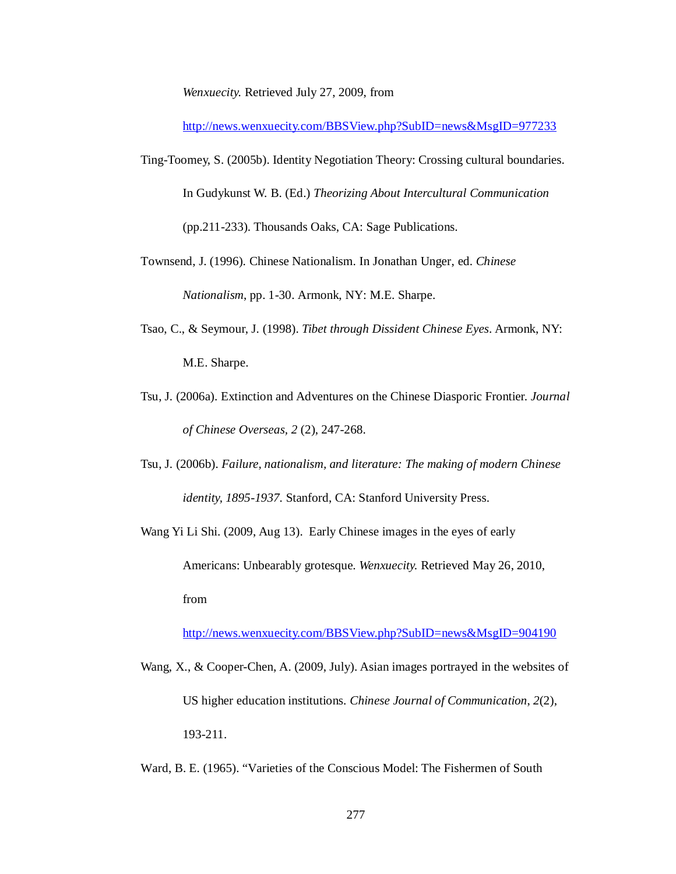*Wenxuecity.* Retrieved July 27, 2009, from

http://news.wenxuecity.com/BBSView.php?SubID=news&MsgID=977233

- Ting-Toomey, S. (2005b). Identity Negotiation Theory: Crossing cultural boundaries. In Gudykunst W. B. (Ed.) *Theorizing About Intercultural Communication* (pp.211-233). Thousands Oaks, CA: Sage Publications.
- Townsend, J. (1996). Chinese Nationalism. In Jonathan Unger, ed. *Chinese Nationalism*, pp. 1-30. Armonk, NY: M.E. Sharpe.
- Tsao, C., & Seymour, J. (1998). *Tibet through Dissident Chinese Eyes*. Armonk, NY: M.E. Sharpe.
- Tsu, J. (2006a). Extinction and Adventures on the Chinese Diasporic Frontier. *Journal of Chinese Overseas, 2* (2), 247-268.
- Tsu, J. (2006b). *Failure, nationalism, and literature: The making of modern Chinese identity, 1895-1937.* Stanford, CA: Stanford University Press.
- Wang Yi Li Shi. (2009, Aug 13). Early Chinese images in the eyes of early Americans: Unbearably grotesque. *Wenxuecity.* Retrieved May 26, 2010, from

http://news.wenxuecity.com/BBSView.php?SubID=news&MsgID=904190

- Wang, X., & Cooper-Chen, A. (2009, July). Asian images portrayed in the websites of US higher education institutions. *Chinese Journal of Communication*, *2*(2), 193-211.
- Ward, B. E. (1965). "Varieties of the Conscious Model: The Fishermen of South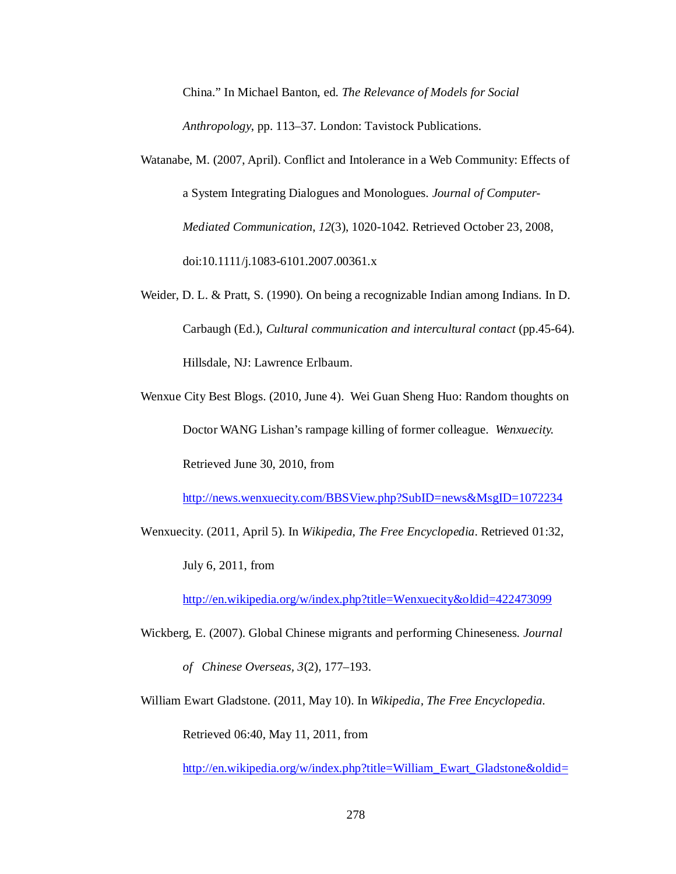China." In Michael Banton, ed. *The Relevance of Models for Social Anthropology*, pp. 113–37. London: Tavistock Publications.

- Watanabe, M. (2007, April). Conflict and Intolerance in a Web Community: Effects of a System Integrating Dialogues and Monologues. *Journal of Computer-Mediated Communication*, *12*(3), 1020-1042. Retrieved October 23, 2008, doi:10.1111/j.1083-6101.2007.00361.x
- Weider, D. L. & Pratt, S. (1990). On being a recognizable Indian among Indians. In D. Carbaugh (Ed.), *Cultural communication and intercultural contact* (pp.45-64). Hillsdale, NJ: Lawrence Erlbaum.
- Wenxue City Best Blogs. (2010, June 4). Wei Guan Sheng Huo: Random thoughts on Doctor WANG Lishan's rampage killing of former colleague. *Wenxuecity.* Retrieved June 30, 2010, from

http://news.wenxuecity.com/BBSView.php?SubID=news&MsgID=1072234

Wenxuecity. (2011, April 5). In *Wikipedia, The Free Encyclopedia*. Retrieved 01:32,

July 6, 2011, from

http://en.wikipedia.org/w/index.php?title=Wenxuecity&oldid=422473099

Wickberg, E. (2007). Global Chinese migrants and performing Chineseness. *Journal of Chinese Overseas, 3*(2), 177–193.

William Ewart Gladstone. (2011, May 10). In *Wikipedia, The Free Encyclopedia*. Retrieved 06:40, May 11, 2011, from

http://en.wikipedia.org/w/index.php?title=William\_Ewart\_Gladstone&oldid=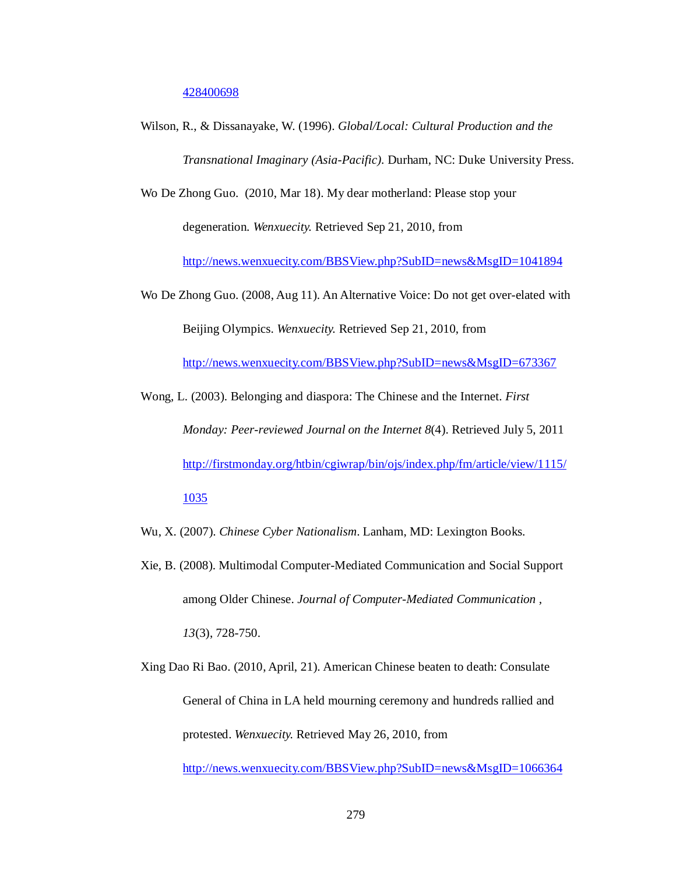428400698

Wilson, R., & Dissanayake, W. (1996). *Global/Local: Cultural Production and the Transnational Imaginary (Asia-Pacific)*. Durham, NC: Duke University Press.

Wo De Zhong Guo. (2010, Mar 18). My dear motherland: Please stop your degeneration. *Wenxuecity.* Retrieved Sep 21, 2010, from

http://news.wenxuecity.com/BBSView.php?SubID=news&MsgID=1041894

Wo De Zhong Guo. (2008, Aug 11). An Alternative Voice: Do not get over-elated with Beijing Olympics. *Wenxuecity.* Retrieved Sep 21, 2010, from

http://news.wenxuecity.com/BBSView.php?SubID=news&MsgID=673367

Wong, L. (2003). Belonging and diaspora: The Chinese and the Internet. *First Monday: Peer-reviewed Journal on the Internet 8*(4). Retrieved July 5, 2011 http://firstmonday.org/htbin/cgiwrap/bin/ojs/index.php/fm/article/view/1115/ 1035

Wu, X. (2007). *Chinese Cyber Nationalism*. Lanham, MD: Lexington Books.

- Xie, B. (2008). Multimodal Computer-Mediated Communication and Social Support among Older Chinese. *Journal of Computer-Mediated Communication , 13*(3), 728-750.
- Xing Dao Ri Bao. (2010, April, 21). American Chinese beaten to death: Consulate General of China in LA held mourning ceremony and hundreds rallied and protested. *Wenxuecity.* Retrieved May 26, 2010, from

http://news.wenxuecity.com/BBSView.php?SubID=news&MsgID=1066364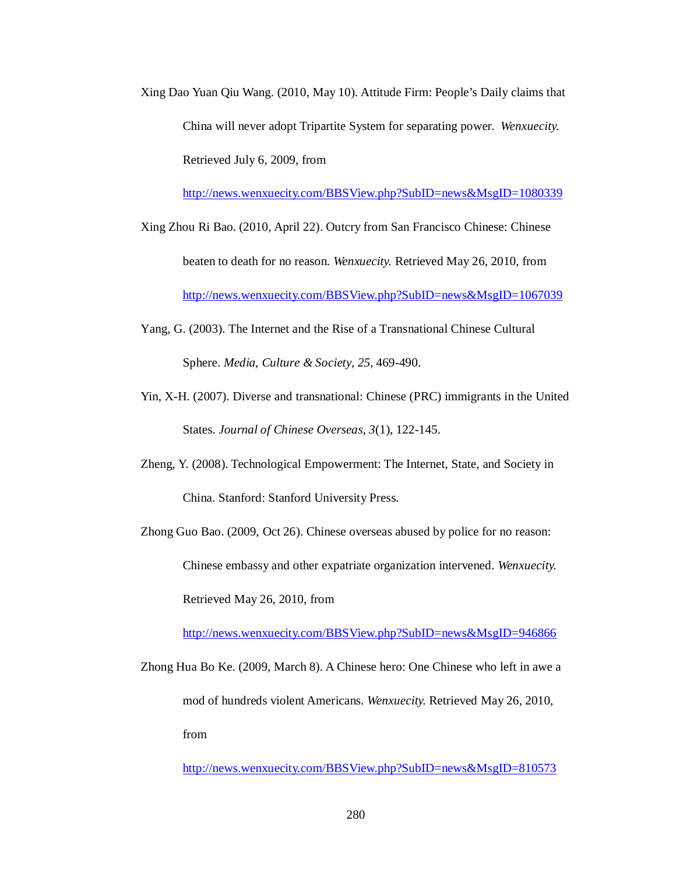Xing Dao Yuan Qiu Wang. (2010, May 10). Attitude Firm: People's Daily claims that China will never adopt Tripartite System for separating power. *Wenxuecity.* Retrieved July 6, 2009, from

http://news.wenxuecity.com/BBSView.php?SubID=news&MsgID=1080339

- Xing Zhou Ri Bao. (2010, April 22). Outcry from San Francisco Chinese: Chinese beaten to death for no reason. *Wenxuecity.* Retrieved May 26, 2010, from http://news.wenxuecity.com/BBSView.php?SubID=news&MsgID=1067039
- Yang, G. (2003). The Internet and the Rise of a Transnational Chinese Cultural Sphere. *Media, Culture & Society, 25*, 469-490.
- Yin, X-H. (2007). Diverse and transnational: Chinese (PRC) immigrants in the United States. *Journal of Chinese Overseas, 3*(1), 122-145.
- Zheng, Y. (2008). Technological Empowerment: The Internet, State, and Society in China. Stanford: Stanford University Press.
- Zhong Guo Bao. (2009, Oct 26). Chinese overseas abused by police for no reason: Chinese embassy and other expatriate organization intervened. *Wenxuecity.* Retrieved May 26, 2010, from

http://news.wenxuecity.com/BBSView.php?SubID=news&MsgID=946866

Zhong Hua Bo Ke. (2009, March 8). A Chinese hero: One Chinese who left in awe a mod of hundreds violent Americans. *Wenxuecity.* Retrieved May 26, 2010, from

http://news.wenxuecity.com/BBSView.php?SubID=news&MsgID=810573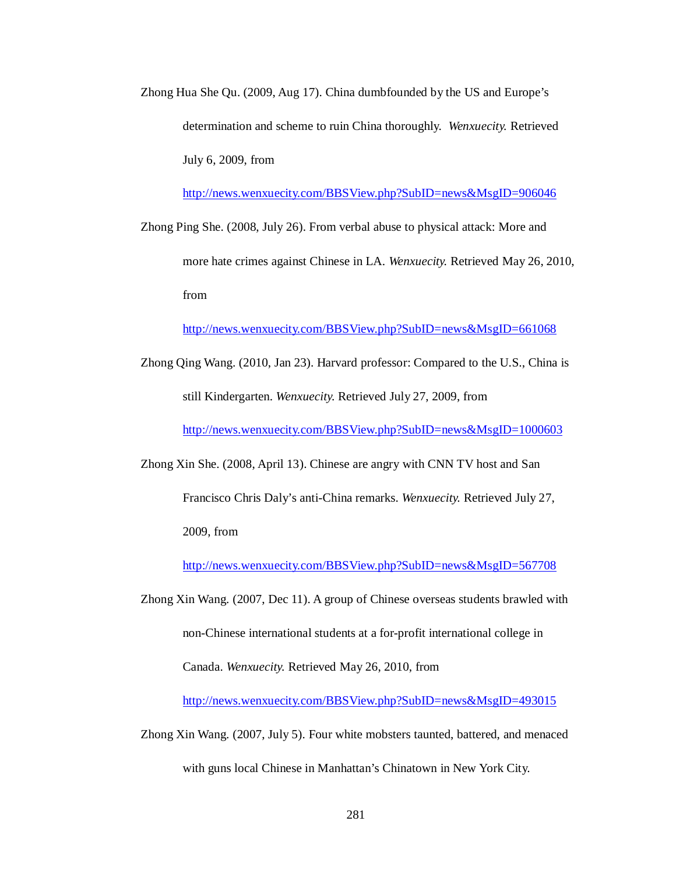Zhong Hua She Qu. (2009, Aug 17). China dumbfounded by the US and Europe's determination and scheme to ruin China thoroughly. *Wenxuecity.* Retrieved July 6, 2009, from

http://news.wenxuecity.com/BBSView.php?SubID=news&MsgID=906046

Zhong Ping She. (2008, July 26). From verbal abuse to physical attack: More and more hate crimes against Chinese in LA. *Wenxuecity.* Retrieved May 26, 2010, from

http://news.wenxuecity.com/BBSView.php?SubID=news&MsgID=661068

Zhong Qing Wang. (2010, Jan 23). Harvard professor: Compared to the U.S., China is still Kindergarten. *Wenxuecity.* Retrieved July 27, 2009, from

http://news.wenxuecity.com/BBSView.php?SubID=news&MsgID=1000603

Zhong Xin She. (2008, April 13). Chinese are angry with CNN TV host and San

Francisco Chris Daly's anti-China remarks. *Wenxuecity.* Retrieved July 27,

2009, from

http://news.wenxuecity.com/BBSView.php?SubID=news&MsgID=567708

Zhong Xin Wang. (2007, Dec 11). A group of Chinese overseas students brawled with non-Chinese international students at a for-profit international college in Canada. *Wenxuecity.* Retrieved May 26, 2010, from

http://news.wenxuecity.com/BBSView.php?SubID=news&MsgID=493015

Zhong Xin Wang. (2007, July 5). Four white mobsters taunted, battered, and menaced with guns local Chinese in Manhattan's Chinatown in New York City.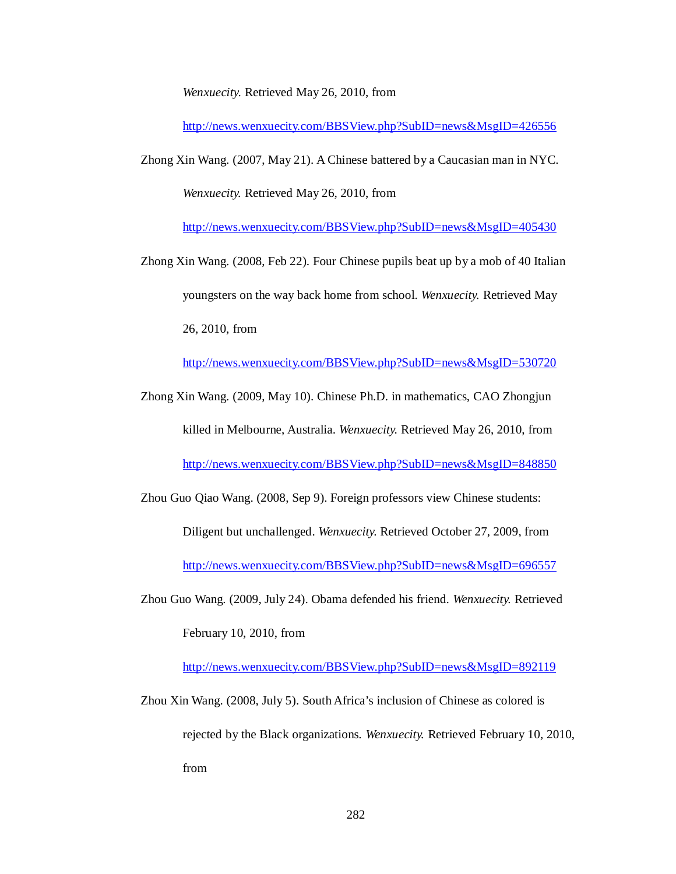*Wenxuecity.* Retrieved May 26, 2010, from

http://news.wenxuecity.com/BBSView.php?SubID=news&MsgID=426556

Zhong Xin Wang. (2007, May 21). A Chinese battered by a Caucasian man in NYC. *Wenxuecity.* Retrieved May 26, 2010, from

http://news.wenxuecity.com/BBSView.php?SubID=news&MsgID=405430

Zhong Xin Wang. (2008, Feb 22). Four Chinese pupils beat up by a mob of 40 Italian youngsters on the way back home from school. *Wenxuecity.* Retrieved May 26, 2010, from

http://news.wenxuecity.com/BBSView.php?SubID=news&MsgID=530720

Zhong Xin Wang. (2009, May 10). Chinese Ph.D. in mathematics, CAO Zhongjun killed in Melbourne, Australia. *Wenxuecity.* Retrieved May 26, 2010, from http://news.wenxuecity.com/BBSView.php?SubID=news&MsgID=848850

Zhou Guo Qiao Wang. (2008, Sep 9). Foreign professors view Chinese students:

Diligent but unchallenged. *Wenxuecity.* Retrieved October 27, 2009, from http://news.wenxuecity.com/BBSView.php?SubID=news&MsgID=696557

Zhou Guo Wang. (2009, July 24). Obama defended his friend. *Wenxuecity.* Retrieved February 10, 2010, from

http://news.wenxuecity.com/BBSView.php?SubID=news&MsgID=892119

Zhou Xin Wang. (2008, July 5). South Africa's inclusion of Chinese as colored is rejected by the Black organizations. *Wenxuecity.* Retrieved February 10, 2010, from